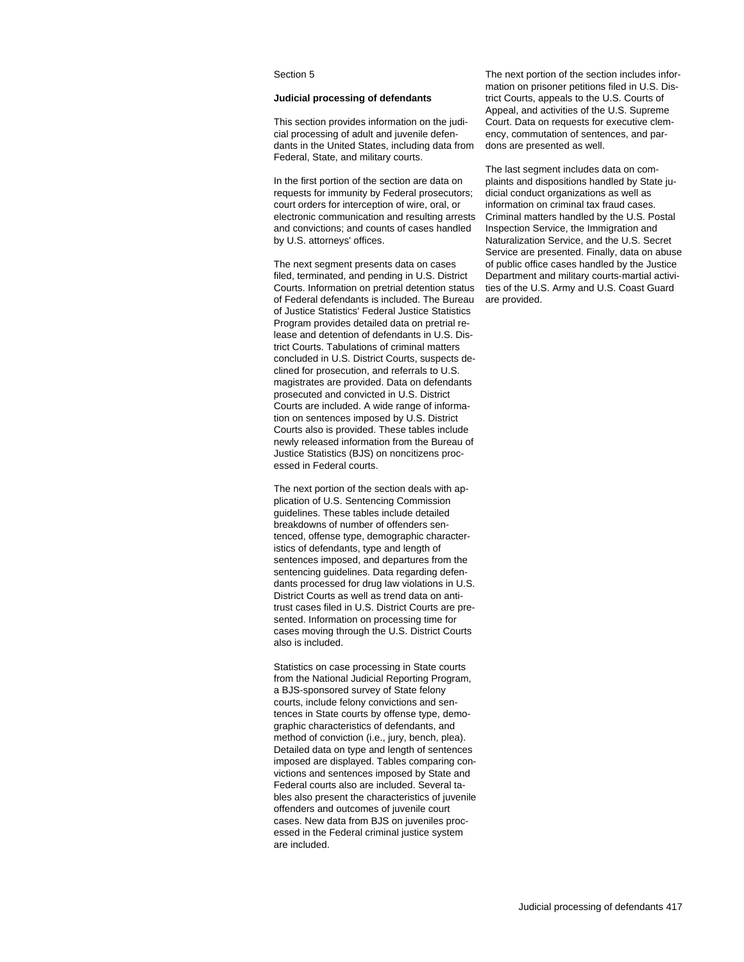Section 5

#### **Judicial processing of defendants**

This section provides information on the judicial processing of adult and juvenile defendants in the United States, including data from Federal, State, and military courts.

In the first portion of the section are data on requests for immunity by Federal prosecutors; court orders for interception of wire, oral, or electronic communication and resulting arrests and convictions; and counts of cases handled by U.S. attorneys' offices.

The next segment presents data on cases filed, terminated, and pending in U.S. District Courts. Information on pretrial detention status of Federal defendants is included. The Bureau of Justice Statistics' Federal Justice Statistics Program provides detailed data on pretrial release and detention of defendants in U.S. District Courts. Tabulations of criminal matters concluded in U.S. District Courts, suspects declined for prosecution, and referrals to U.S. magistrates are provided. Data on defendants prosecuted and convicted in U.S. District Courts are included. A wide range of information on sentences imposed by U.S. District Courts also is provided. These tables include newly released information from the Bureau of Justice Statistics (BJS) on noncitizens processed in Federal courts.

The next portion of the section deals with application of U.S. Sentencing Commission guidelines. These tables include detailed breakdowns of number of offenders sentenced, offense type, demographic characteristics of defendants, type and length of sentences imposed, and departures from the sentencing guidelines. Data regarding defendants processed for drug law violations in U.S. District Courts as well as trend data on antitrust cases filed in U.S. District Courts are presented. Information on processing time for cases moving through the U.S. District Courts also is included.

Statistics on case processing in State courts from the National Judicial Reporting Program, a BJS-sponsored survey of State felony courts, include felony convictions and sentences in State courts by offense type, demographic characteristics of defendants, and method of conviction (i.e., jury, bench, plea). Detailed data on type and length of sentences imposed are displayed. Tables comparing convictions and sentences imposed by State and Federal courts also are included. Several tables also present the characteristics of juvenile offenders and outcomes of juvenile court cases. New data from BJS on juveniles processed in the Federal criminal justice system are included.

The next portion of the section includes information on prisoner petitions filed in U.S. District Courts, appeals to the U.S. Courts of Appeal, and activities of the U.S. Supreme Court. Data on requests for executive clemency, commutation of sentences, and pardons are presented as well.

The last segment includes data on complaints and dispositions handled by State judicial conduct organizations as well as information on criminal tax fraud cases. Criminal matters handled by the U.S. Postal Inspection Service, the Immigration and Naturalization Service, and the U.S. Secret Service are presented. Finally, data on abuse of public office cases handled by the Justice Department and military courts-martial activities of the U.S. Army and U.S. Coast Guard are provided.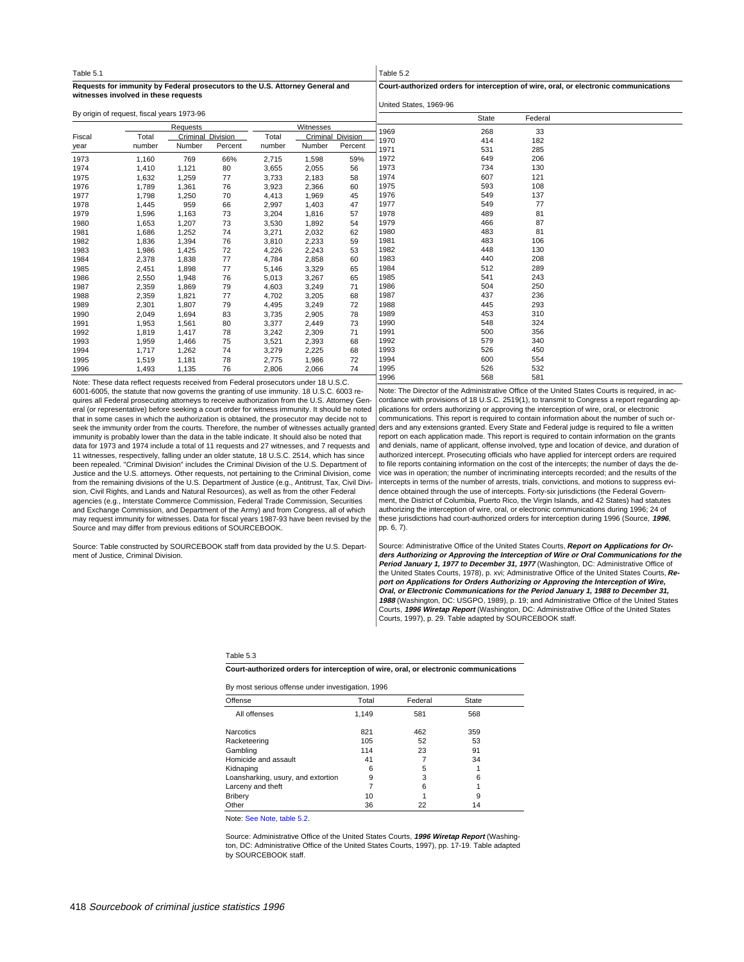| Table 5.1                                                                                                             | Table 5.2                                                                            |
|-----------------------------------------------------------------------------------------------------------------------|--------------------------------------------------------------------------------------|
| Requests for immunity by Federal prosecutors to the U.S. Attorney General and<br>witnesses involved in these requests | Court-authorized orders for interception of wire, oral, or electronic communications |
|                                                                                                                       | United States, 1969-96                                                               |

|                   | By origin of request, fiscal years 1973-96 |                   |                                      |        |                |                   |      | <b>State</b> | Feder |
|-------------------|--------------------------------------------|-------------------|--------------------------------------|--------|----------------|-------------------|------|--------------|-------|
|                   |                                            | Requests          |                                      |        | Witnesses      |                   | 1969 | 268          | 33    |
| Fiscal            | Total                                      | Criminal Division |                                      | Total  |                | Criminal Division | 1970 | 414          | 182   |
| year              | number                                     | Number            | Percent                              | number | Number         | Percent           | 1971 | 531          | 285   |
| 1973              | 1,160                                      | 769               | 66%                                  | 2,715  | 1,598          | 59%               | 1972 | 649          | 206   |
| 1974              | 1,410                                      | 1,121             | 80                                   | 3,655  | 2,055          | 56                | 1973 | 734          | 130   |
| 1975              | 1,632                                      | 1,259             | 77                                   | 3,733  | 2,183          | 58                | 1974 | 607          | 121   |
| 1976              | 1,789                                      | 1,361             | 76                                   | 3,923  | 2,366          | 60                | 1975 | 593          | 108   |
| 1977              | 1,798                                      | 1,250             | 70                                   | 4,413  | 1,969          | 45                | 1976 | 549          | 137   |
| 1978              | 1,445                                      | 959               | 66                                   | 2,997  | 1,403          | 47                | 1977 | 549          | 77    |
| 1979              | 1,596                                      | 1,163             | 73                                   | 3,204  | 1,816          | 57                | 1978 | 489          | 81    |
| 1980              | 1,653                                      | 1,207             | 73                                   | 3,530  | 1,892          | 54                | 1979 | 466          | 87    |
| 1981              | 1,686                                      | 1,252             | 74                                   | 3,271  | 2,032          | 62                | 1980 | 483          | 81    |
| 1982              | 1,836                                      | 1,394             | 76                                   | 3,810  | 2,233          | 59                | 1981 | 483          | 106   |
| 1983              | 1,986                                      | 1,425             | 72                                   | 4,226  | 2,243          | 53                | 1982 | 448          | 130   |
| 1984              | 2,378                                      | 1,838             | 77                                   | 4,784  | 2,858          | 60                | 1983 | 440          | 208   |
| 1985              | 2,451                                      | 1,898             | 77                                   | 5,146  | 3,329          | 65                | 1984 | 512          | 289   |
| 1986              | 2,550                                      | 1,948             | 76                                   | 5,013  | 3,267          | 65                | 1985 | 541          | 243   |
| 1987              | 2,359                                      | 1,869             | 79                                   | 4,603  | 3,249          | 71                | 1986 | 504          | 250   |
| 1988              | 2,359                                      | 1,821             | 77                                   | 4,702  | 3,205          | 68                | 1987 | 437          | 236   |
| 1989              | 2,301                                      | 1,807             | 79                                   | 4,495  | 3,249          | 72                | 1988 | 445          | 293   |
| 1990              | 2,049                                      | 1,694             | 83                                   | 3,735  | 2,905          | 78                | 1989 | 453          | 310   |
| 1991              | 1,953                                      | 1,561             | 80                                   | 3,377  | 2,449          | 73                | 1990 | 548          | 324   |
| 1992              | 1,819                                      | 1,417             | 78                                   | 3,242  | 2,309          | 71                | 1991 | 500          | 356   |
| 1993              | 1,959                                      | 1,466             | 75                                   | 3,521  | 2,393          | 68                | 1992 | 579          | 340   |
| 1994              | 1,717                                      | 1,262             | 74                                   | 3,279  | 2,225          | 68                | 1993 | 526          | 450   |
| 1995              | 1,519                                      | 1,181             | 78                                   | 2,775  | 1,986          | 72                | 1994 | 600          | 554   |
| 1996              | 1.493                                      | 1,135             | 76                                   | 2.806  | 2,066          | 74                | 1995 | 526          | 532   |
| Martin Theory des |                                            |                   | a los antico di fannoni Ele di conti |        | $-1 - 1010000$ |                   | 1996 | 568          | 581   |

Note: These data reflect requests received from Federal prosecutors under 18 U.S.C. 6001-6005, the statute that now governs the granting of use immunity. 18 U.S.C. 6003 requires all Federal prosecuting attorneys to receive authorization from the U.S. Attorney General (or representative) before seeking a court order for witness immunity. It should be noted that in some cases in which the authorization is obtained, the prosecutor may decide not to seek the immunity order from the courts. Therefore, the number of witnesses actually grante immunity is probably lower than the data in the table indicate. It should also be noted that data for 1973 and 1974 include a total of 11 requests and 27 witnesses, and 7 requests and 11 witnesses, respectively, falling under an older statute, 18 U.S.C. 2514, which has since been repealed. "Criminal Division" includes the Criminal Division of the U.S. Department of Justice and the U.S. attorneys. Other requests, not pertaining to the Criminal Division, come from the remaining divisions of the U.S. Department of Justice (e.g., Antitrust, Tax, Civil Division, Civil Rights, and Lands and Natural Resources), as well as from the other Federal agencies (e.g., Interstate Commerce Commission, Federal Trade Commission, Securities and Exchange Commission, and Department of the Army) and from Congress, all of which may request immunity for witnesses. Data for fiscal years 1987-93 have been revised by the Source and may differ from previous editions of SOURCEBOOK.

Source: Table constructed by SOURCEBOOK staff from data provided by the U.S. Department of Justice, Criminal Division.

<span id="page-1-0"></span>Note: The Director of the Administrative Office of the United States Courts is required, in accordance with provisions of 18 U.S.C. 2519(1), to transmit to Congress a report regarding applications for orders authorizing or approving the interception of wire, oral, or electronic communications. This report is required to contain information about the number of such orders and any extensions granted. Every State and Federal judge is required to file a written report on each application made. This report is required to contain information on the grants and denials, name of applicant, offense involved, type and location of device, and duration of authorized intercept. Prosecuting officials who have applied for intercept orders are required to file reports containing information on the cost of the intercepts; the number of days the device was in operation; the number of incriminating intercepts recorded; and the results of the intercepts in terms of the number of arrests, trials, convictions, and motions to suppress evidence obtained through the use of intercepts. Forty-six jurisdictions (the Federal Government, the District of Columbia, Puerto Rico, the Virgin Islands, and 42 States) had statutes authorizing the interception of wire, oral, or electronic communications during 1996; 24 of these jurisdictions had court-authorized orders for interception during 1996 (Source, **1996**, pp. 6, 7).

State Federal

Source: Administrative Office of the United States Courts, **Report on Applications for Orders Authorizing or Approving the Interception of Wire or Oral Communications for the** Period January 1, 1977 to December 31, 1977 (Washington, DC: Administrative Office of the United States Courts, 1978), p. xvi; Administrative Office of the United States Courts, **Report on Applications for Orders Authorizing or Approving the Interception of Wire, Oral, or Electronic Communications for the Period January 1, 1988 to December 31, 1988** (Washington, DC: USGPO, 1989), p. 19; and Administrative Office of the United States Courts, **1996 Wiretap Report** (Washington, DC: Administrative Office of the United States Courts, 1997), p. 29. Table adapted by SOURCEBOOK staff.

#### Table 5.3

#### **Court-authorized orders for interception of wire, oral, or electronic communications**

| By most serious offense under investigation, 1996 |       |         |              |  |
|---------------------------------------------------|-------|---------|--------------|--|
| Offense                                           | Total | Federal | <b>State</b> |  |
| All offenses                                      | 1,149 | 581     | 568          |  |
| <b>Narcotics</b>                                  | 821   | 462     | 359          |  |
| Racketeering                                      | 105   | 52      | 53           |  |
| Gambling                                          | 114   | 23      | 91           |  |
| Homicide and assault                              | 41    |         | 34           |  |
| Kidnaping                                         | 6     | 5       |              |  |
| Loansharking, usury, and extortion                | 9     | 3       | 6            |  |
| Larceny and theft                                 | 7     | 6       |              |  |
| <b>Briberv</b>                                    | 10    |         | 9            |  |

Other 36 22 14

Note: [See Note, table 5.2.](#page-1-0)

Source: Administrative Office of the United States Courts, **1996 Wiretap Report** (Washington, DC: Administrative Office of the United States Courts, 1997), pp. 17-19. Table adapted by SOURCEBOOK staff.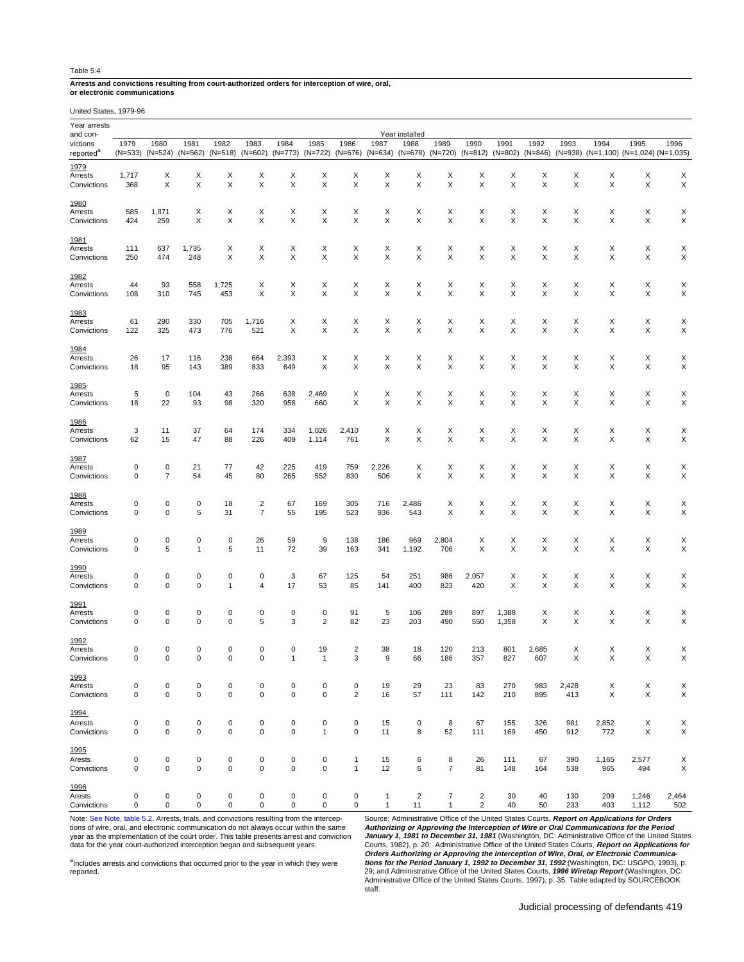#### **Arrests and convictions resulting from court-authorized orders for interception of wire, oral, or electronic communications**

United States, 1979-96

| Year arrests<br>and con-          |                 |                          |                           |                           |                              |                          |                             |                              |                              | Year installed              |                     |                                           |                   |                   |              |                                               |                |              |
|-----------------------------------|-----------------|--------------------------|---------------------------|---------------------------|------------------------------|--------------------------|-----------------------------|------------------------------|------------------------------|-----------------------------|---------------------|-------------------------------------------|-------------------|-------------------|--------------|-----------------------------------------------|----------------|--------------|
| victions<br>reported <sup>a</sup> | 1979<br>(N=533) | 1980<br>(N=524) (N=562)  | 1981                      | 1982<br>$(N=518)$         | 1983<br>$(N=602)$            | 1984<br>$(N=773)$        | 1985<br>$(N=722)$           | 1986<br>$(N=676)$            | 1987                         | 1988<br>$(N=634)$ $(N=678)$ | 1989<br>$(N=720)$   | 1990<br>$(N=812)$                         | 1991<br>$(N=802)$ | 1992<br>$(N=846)$ | 1993         | 1994<br>(N=938) (N=1,100) (N=1,024) (N=1,035) | 1995           | 1996         |
| 1979<br>Arrests<br>Convictions    | 1,717<br>368    | X<br>X                   | X<br>X                    | X<br>X                    | X<br>Χ                       | X<br>Χ                   | Х<br>Χ                      | Х<br>X                       | Х<br>X                       | х<br>X                      | Χ<br>Χ              | X<br>X                                    | X<br>X            | X<br>X            | X<br>X       | X<br>Χ                                        | Х<br>Χ         | X<br>X       |
| 1980<br>Arrests<br>Convictions    | 585<br>424      | 1,871<br>259             | X<br>X                    | Х<br>X                    | X<br>X                       | Х<br>X                   | X<br>X                      | Х<br>Χ                       | Х<br>X                       | х<br>X                      | X<br>X              | X<br>Χ                                    | Х<br>X            | Х<br>X            | Х<br>X       | х<br>Χ                                        | Х<br>Χ         | х<br>X       |
| 1981<br>Arrests<br>Convictions    | 111<br>250      | 637<br>474               | 1,735<br>248              | X<br>X                    | X<br>Χ                       | Х<br>Χ                   | X<br>X                      | Х<br>Χ                       | х<br>X                       | х<br>X                      | X<br>Χ              | X<br>Χ                                    | X<br>X            | х<br>X            | Х<br>X       | х<br>Χ                                        | Х<br>X         | х<br>X       |
| 1982<br>Arrests<br>Convictions    | 44<br>108       | 93<br>310                | 558<br>745                | 1,725<br>453              | х<br>X                       | Х<br>X                   | Х<br>Χ                      | Х<br>X                       | Х<br>X                       | х<br>X                      | X<br>X              | X<br>X                                    | X<br>X            | X<br>X            | Х<br>X       | X<br>Χ                                        | Х<br>Χ         | х<br>X       |
| 1983<br>Arrests<br>Convictions    | 61<br>122       | 290<br>325               | 330<br>473                | 705<br>776                | 1,716<br>521                 | Х<br>X                   | X<br>Χ                      | Х<br>X                       | х<br>X                       | х<br>X                      | X<br>X              | X<br>X                                    | X<br>X            | х<br>X            | X<br>X       | х<br>Χ                                        | Х<br>X         | Х<br>X       |
| 1984<br>Arrests<br>Convictions    | 26<br>18        | 17<br>95                 | 116<br>143                | 238<br>389                | 664<br>833                   | 2,393<br>649             | Х<br>X                      | Х<br>X                       | Х<br>X                       | х<br>X                      | X<br>X              | X<br>X                                    | Х<br>X            | х<br>X            | Х<br>X       | х<br>Χ                                        | Х<br>X         | Х<br>X       |
| 1985<br>Arrests<br>Convictions    | 5<br>18         | $\pmb{0}$<br>22          | 104<br>93                 | 43<br>98                  | 266<br>320                   | 638<br>958               | 2,469<br>660                | Х<br>X                       | х<br>X                       | х<br>X                      | X<br>X              | X<br>X                                    | Х<br>X            | X<br>X            | х<br>X       | х<br>Χ                                        | Х<br>X         | X<br>X       |
| 1986<br>Arrests<br>Convictions    | 3<br>62         | 11<br>15                 | 37<br>47                  | 64<br>88                  | 174<br>226                   | 334<br>409               | 1,026<br>1,114              | 2,410<br>761                 | Х<br>X                       | х<br>X                      | X<br>X              | X<br>X                                    | Х<br>X            | Х<br>X            | Х<br>X       | Х<br>Χ                                        | Х<br>X         | х<br>X       |
| 1987<br>Arrests<br>Convictions    | 0<br>0          | $\pmb{0}$<br>7           | 21<br>54                  | 77<br>45                  | 42<br>80                     | 225<br>265               | 419<br>552                  | 759<br>830                   | 2,226<br>506                 | х<br>X                      | X<br>Χ              | X<br>X                                    | X<br>X            | Х<br>X            | Х<br>X       | х<br>Χ                                        | Х<br>Χ         | х<br>X       |
| 1988<br>Arrests<br>Convictions    | 0<br>0          | $\pmb{0}$<br>$\mathbf 0$ | $\pmb{0}$<br>5            | 18<br>31                  | $\overline{\mathbf{c}}$<br>7 | 67<br>55                 | 169<br>195                  | 305<br>523                   | 716<br>936                   | 2,486<br>543                | X<br>X              | X<br>X                                    | X<br>X            | Х<br>X            | Х<br>X       | X<br>Χ                                        | Х<br>Χ         | х<br>X       |
| 1989<br>Arrests<br>Convictions    | 0<br>0          | $\pmb{0}$<br>5           | $\pmb{0}$<br>$\mathbf{1}$ | $\pmb{0}$<br>5            | 26<br>11                     | 59<br>72                 | 9<br>39                     | 138<br>163                   | 186<br>341                   | 969<br>1,192                | 2,804<br>706        | X<br>X                                    | X<br>X            | Х<br>X            | Х<br>X       | X<br>Χ                                        | Х<br>Χ         | х<br>X       |
| 1990<br>Arrests<br>Convictions    | 0<br>0          | $\pmb{0}$<br>$\mathbf 0$ | $\pmb{0}$<br>$\mathbf 0$  | $\pmb{0}$<br>$\mathbf{1}$ | 0<br>$\overline{4}$          | 3<br>17                  | 67<br>53                    | 125<br>85                    | 54<br>141                    | 251<br>400                  | 986<br>823          | 2,057<br>420                              | X<br>X            | Х<br>X            | Х<br>X       | X<br>Χ                                        | Х<br>X         | х<br>X       |
| 1991<br>Arrests<br>Convictions    | 0<br>0          | 0<br>0                   | $\pmb{0}$<br>$\mathbf 0$  | 0<br>$\pmb{0}$            | 0<br>5                       | 0<br>3                   | $\pmb{0}$<br>$\overline{2}$ | 91<br>82                     | 5<br>23                      | 106<br>203                  | 289<br>490          | 897<br>550                                | 1,388<br>1,358    | Х<br>X            | х<br>X       | х<br>Χ                                        | Х<br>X         | X<br>X       |
| 1992<br>Arrests<br>Convictions    | 0<br>0          | 0<br>$\mathbf 0$         | $\pmb{0}$<br>0            | $\pmb{0}$<br>0            | 0<br>$\mathbf 0$             | 0<br>$\mathbf{1}$        | 19<br>$\mathbf{1}$          | $\overline{\mathbf{c}}$<br>3 | 38<br>9                      | 18<br>66                    | 120<br>186          | 213<br>357                                | 801<br>827        | 2,685<br>607      | Х<br>X       | х<br>Χ                                        | Х<br>X         | х<br>X       |
| 1993<br>Arrests<br>Convictions    | 0<br>0          | $\pmb{0}$<br>$\mathbf 0$ | $\pmb{0}$<br>$\mathbf 0$  | 0<br>$\mathsf 0$          | $\pmb{0}$<br>$\pmb{0}$       | 0<br>$\pmb{0}$           | $\pmb{0}$<br>$\pmb{0}$      | $\pmb{0}$<br>$\overline{2}$  | 19<br>16                     | 29<br>57                    | 23<br>111           | 83<br>142                                 | 270<br>210        | 983<br>895        | 2,428<br>413 | х<br>X                                        | X<br>X         | X<br>X       |
| 1994<br>Arrests<br>Convictions    | 0<br>0          | 0<br>0                   | 0<br>$\mathbf 0$          | 0<br>$\mathsf 0$          | $\pmb{0}$<br>$\pmb{0}$       | $\pmb{0}$<br>$\pmb{0}$   | $\pmb{0}$<br>$\mathbf{1}$   | $\pmb{0}$<br>$\mathsf 0$     | 15<br>11                     | 0<br>8                      | 8<br>52             | 67<br>111                                 | 155<br>169        | 326<br>450        | 981<br>912   | 2,852<br>772                                  | Х<br>X         | X<br>X       |
| 1995<br>Arests<br>Convictions     | 0<br>0          | $\pmb{0}$<br>0           | $\pmb{0}$<br>$\pmb{0}$    | $\pmb{0}$<br>$\pmb{0}$    | $\pmb{0}$<br>$\pmb{0}$       | $\mathbf 0$<br>$\pmb{0}$ | $\pmb{0}$<br>$\pmb{0}$      | $\mathbf{1}$<br>$\mathbf{1}$ | 15<br>12                     | 6<br>6                      | 8<br>$\overline{7}$ | 26<br>81                                  | 111<br>148        | 67<br>164         | 390<br>538   | 1,165<br>965                                  | 2,577<br>494   | х<br>X       |
| 1996<br>Arests<br>Convictions     | 0<br>0          | 0<br>0                   | 0<br>$\pmb{0}$            | 0<br>0                    | 0<br>$\pmb{0}$               | 0<br>$\mathbf 0$         | 0<br>$\pmb{0}$              | $\pmb{0}$<br>$\mathsf 0$     | $\mathbf{1}$<br>$\mathbf{1}$ | $\overline{2}$<br>11        | 7<br>$\mathbf{1}$   | $\overline{\mathbf{c}}$<br>$\overline{2}$ | 30<br>40          | 40<br>50          | 130<br>233   | 209<br>403                                    | 1,246<br>1,112 | 2,464<br>502 |

Note[: See Note, table 5.2.](#page-1-0) Arrests, trials, and convictions resulting from the interceptions of wire, oral, and electronic communication do not always occur within the same year as the implementation of the court order. This table presents arrest and conviction data for the year court-authorized interception began and subsequent years.

Source: Administrative Office of the United States Courts, **Report on Applications for Orders Authorizing or Approving the Interception of Wire or Oral Communications for the Period January 1, 1981 to December 31, 1981** (Washington, DC: Administrative Office of the United States Courts, 1982), p. 20; Administrative Office of the United States Courts, **Report on Applications for Orders Authorizing or Approving the Interception of Wire, Oral, or Electronic Communications for the Period January 1, 1992 to December 31, 1992** (Washington, DC: USGPO, 1993), p. 29; and Administrative Office of the United States Courts, **1996 Wiretap Report** (Washington, DC: Administrative Office of the United States Courts, 1997), p. 35. Table adapted by SOURCEBOOK staff.

<sup>a</sup>Includes arrests and convictions that occurred prior to the year in which they were reported.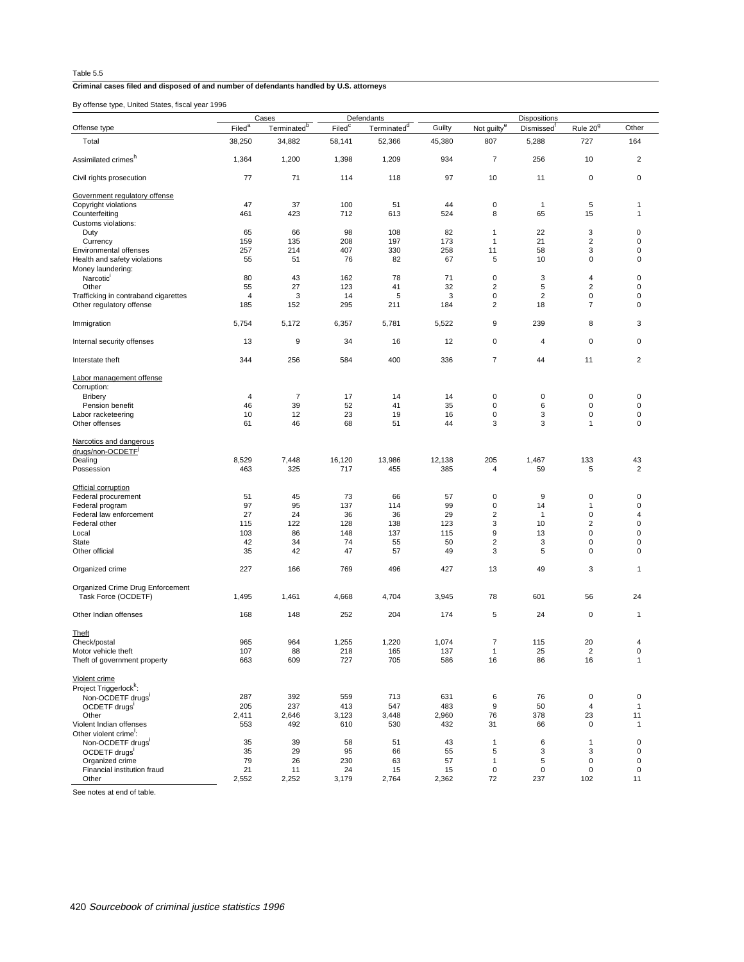# **Criminal cases filed and disposed of and number of defendants handled by U.S. attorneys**

By offense type, United States, fiscal year 1996

|                                                         |                    | Cases                   |                    | Defendants              |        |                         | <b>Dispositions</b>     |                         |                |
|---------------------------------------------------------|--------------------|-------------------------|--------------------|-------------------------|--------|-------------------------|-------------------------|-------------------------|----------------|
| Offense type                                            | Filed <sup>a</sup> | Terminated <sup>b</sup> | Filed <sup>c</sup> | Terminated <sup>d</sup> | Guilty | Not guilty <sup>e</sup> | Dismissed <sup>r</sup>  | Rule 20 <sup>g</sup>    | Other          |
| Total                                                   | 38,250             | 34,882                  | 58,141             | 52,366                  | 45,380 | 807                     | 5,288                   | 727                     | 164            |
| Assimilated crimes <sup>h</sup>                         | 1,364              | 1,200                   | 1,398              | 1,209                   | 934    | $\overline{7}$          | 256                     | 10                      | $\overline{c}$ |
| Civil rights prosecution                                | 77                 | 71                      | 114                | 118                     | 97     | 10                      | 11                      | $\mathbf 0$             | $\mathbf 0$    |
| Government regulatory offense                           |                    |                         |                    |                         |        |                         |                         |                         |                |
| Copyright violations                                    | 47                 | 37                      | 100                | 51                      | 44     | $\mathbf 0$             | $\mathbf{1}$            | 5                       | 1              |
| Counterfeiting                                          | 461                | 423                     | 712                | 613                     | 524    | 8                       | 65                      | 15                      | 1              |
| Customs violations:                                     |                    |                         |                    |                         |        |                         |                         |                         |                |
| Duty                                                    | 65                 | 66                      | 98                 | 108                     | 82     | $\mathbf{1}$            | 22                      | 3                       | $\mathbf 0$    |
| Currency                                                | 159                | 135                     | 208                | 197                     | 173    | 1                       | 21                      | $\overline{\mathbf{c}}$ | $\mathbf 0$    |
| Environmental offenses                                  | 257                | 214                     | 407                | 330                     | 258    | 11                      | 58                      | 3                       | 0              |
| Health and safety violations                            | 55                 | 51                      | 76                 | 82                      | 67     | 5                       | 10                      | $\mathbf 0$             | 0              |
| Money laundering:                                       |                    |                         |                    |                         |        |                         |                         |                         |                |
| Narcotic <sup>1</sup>                                   | 80                 | 43                      | 162                | 78                      | 71     | $\mathbf 0$             | 3                       | $\overline{4}$          | $\mathbf 0$    |
| Other                                                   | 55                 | 27                      | 123                | 41                      | 32     | $\overline{2}$          | 5                       | $\overline{2}$          | $\mathbf 0$    |
| Trafficking in contraband cigarettes                    | $\overline{4}$     | 3                       | 14                 | 5                       | 3      | $\mathbf 0$             | $\overline{\mathbf{c}}$ | $\mathbf 0$             | 0              |
|                                                         |                    |                         | 295                | 211                     |        | $\overline{2}$          |                         | $\overline{7}$          | 0              |
| Other regulatory offense                                | 185                | 152                     |                    |                         | 184    |                         | 18                      |                         |                |
| Immigration                                             | 5,754              | 5,172                   | 6,357              | 5,781                   | 5,522  | 9                       | 239                     | 8                       | 3              |
| Internal security offenses                              | 13                 | 9                       | 34                 | 16                      | 12     | $\mathbf 0$             | 4                       | $\mathbf 0$             | $\pmb{0}$      |
| Interstate theft                                        | 344                | 256                     | 584                | 400                     | 336    | $\overline{7}$          | 44                      | 11                      | $\overline{2}$ |
| Labor management offense<br>Corruption:                 |                    |                         |                    |                         |        |                         |                         |                         |                |
| <b>Bribery</b>                                          | 4                  | $\overline{7}$          | 17                 | 14                      | 14     | $\mathbf 0$             | 0                       | 0                       | 0              |
| Pension benefit                                         | 46                 | 39                      | 52                 | 41                      | 35     | $\mathbf 0$             | 6                       | $\mathbf 0$             | $\mathbf 0$    |
| Labor racketeering                                      | 10                 | 12                      | 23                 | 19                      | 16     | $\mathbf 0$             | 3                       | $\mathbf 0$             | $\mathbf 0$    |
| Other offenses                                          | 61                 | 46                      | 68                 | 51                      | 44     | 3                       | 3                       | 1                       | $\mathbf 0$    |
| Narcotics and dangerous<br>drugs/non-OCDETF             |                    |                         |                    |                         |        |                         |                         |                         |                |
| Dealing                                                 | 8,529              | 7,448                   | 16,120             | 13,986                  | 12,138 | 205                     | 1,467                   | 133                     | 43             |
| Possession                                              | 463                | 325                     | 717                | 455                     | 385    | 4                       | 59                      | 5                       | $\overline{c}$ |
| Official corruption                                     |                    |                         |                    |                         |        |                         |                         |                         |                |
| Federal procurement                                     | 51                 | 45                      | 73                 | 66                      | 57     | $\mathbf 0$             | 9                       | $\mathbf 0$             | 0              |
| Federal program                                         | 97                 | 95                      | 137                | 114                     | 99     | $\mathbf 0$             | 14                      | 1                       | $\mathbf 0$    |
| Federal law enforcement                                 | 27                 | 24                      | 36                 | 36                      | 29     | $\overline{2}$          | $\mathbf{1}$            | $\mathbf 0$             | 4              |
| Federal other                                           | 115                | 122                     | 128                | 138                     | 123    | 3                       | 10                      | $\overline{\mathbf{c}}$ | $\mathbf 0$    |
| Local                                                   | 103                | 86                      | 148                | 137                     | 115    | 9                       | 13                      | $\mathbf 0$             | $\mathbf 0$    |
| State                                                   | 42                 | 34                      | 74                 | 55                      | 50     | 2                       | 3                       | 0                       | 0              |
| Other official                                          | 35                 | 42                      | 47                 | 57                      | 49     | 3                       | 5                       | $\mathbf 0$             | 0              |
| Organized crime                                         | 227                | 166                     | 769                | 496                     | 427    | 13                      | 49                      | 3                       | 1              |
|                                                         |                    |                         |                    |                         |        |                         |                         |                         |                |
| Organized Crime Drug Enforcement<br>Task Force (OCDETF) | 1,495              | 1,461                   | 4,668              | 4,704                   | 3,945  | 78                      | 601                     | 56                      | 24             |
| Other Indian offenses                                   | 168                | 148                     | 252                | 204                     | 174    | 5                       | 24                      | $\mathbf 0$             | 1              |
| <b>Theft</b>                                            |                    |                         |                    |                         |        |                         |                         |                         |                |
| Check/postal                                            | 965                | 964                     | 1,255              | 1,220                   | 1,074  | $\overline{7}$          | 115                     | 20                      | 4              |
| Motor vehicle theft                                     | 107                | 88                      | 218                | 165                     | 137    | 1                       | 25                      | $\overline{2}$          | $\Omega$       |
| Theft of government property                            | 663                | 609                     | 727                | 705                     | 586    | 16                      | 86                      | 16                      | 1              |
| Violent crime                                           |                    |                         |                    |                         |        |                         |                         |                         |                |
| Project Triggerlock <sup>k</sup> :                      |                    |                         |                    |                         |        |                         |                         |                         |                |
| Non-OCDETF drugs                                        | 287                | 392                     | 559                | 713                     | 631    | 6                       | 76                      | $\mathbf 0$             | $\mathbf 0$    |
| OCDETF drugs                                            | 205                | 237                     | 413                | 547                     | 483    | 9                       | 50                      | $\overline{4}$          | $\mathbf{1}$   |
| Other                                                   | 2,411              | 2,646                   | 3,123              | 3,448                   | 2,960  | 76                      | 378                     | 23                      | 11             |
| Violent Indian offenses                                 | 553                | 492                     | 610                | 530                     | 432    | 31                      | 66                      | $\mathbf 0$             | $\mathbf{1}$   |
| Other violent crime:                                    |                    |                         |                    |                         |        |                         |                         |                         |                |
| Non-OCDETF drugs                                        | 35                 | 39                      | 58                 | 51                      | 43     | $\mathbf{1}$            | 6                       | $\mathbf{1}$            | $\mathbf 0$    |
| OCDETF drugs                                            | 35                 | 29                      | 95                 | 66                      | 55     | $\sqrt{5}$              | 3                       | 3                       | $\mathbf 0$    |
| Organized crime                                         | 79                 | 26                      | 230                | 63                      | 57     | $\mathbf{1}$            | 5                       | $\mathbf 0$             | $\mathbf 0$    |
| Financial institution fraud                             | 21                 | 11                      | 24                 | 15                      | 15     | $\mathbf 0$             | $\mathbf 0$             | $\mathbf 0$             | $\mathbf 0$    |
| Other                                                   | 2,552              | 2,252                   | 3,179              | 2,764                   | 2,362  | 72                      | 237                     | 102                     | 11             |

See notes at end of table.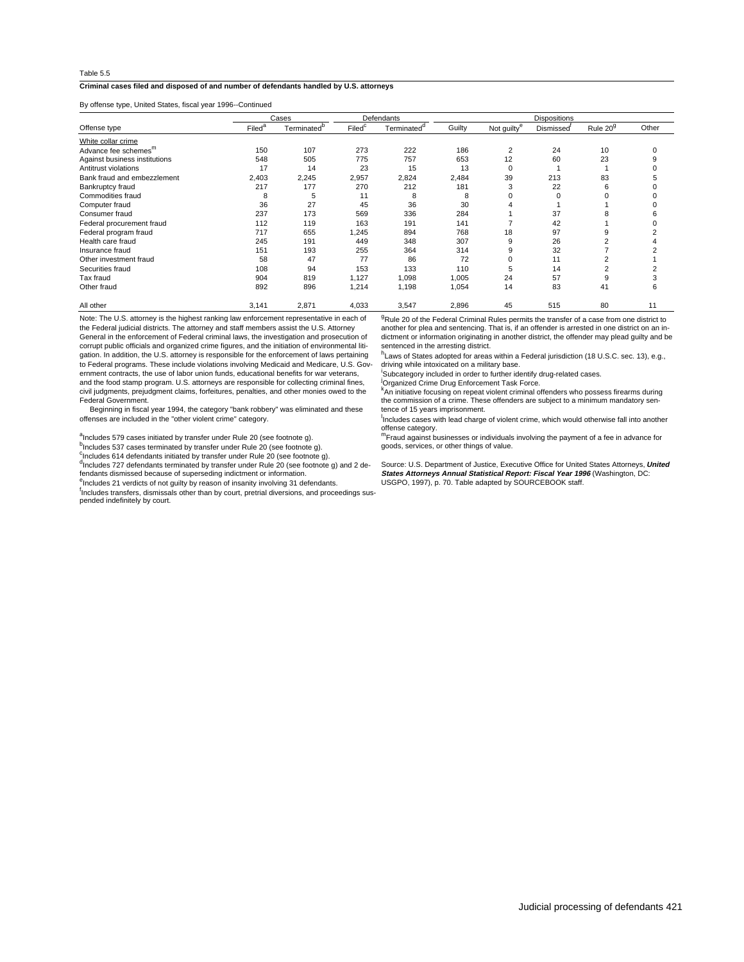#### **Criminal cases filed and disposed of and number of defendants handled by U.S. attorneys**

By offense type, United States, fiscal year 1996--Continued

|                                  |                    | Cases                   |                    | Defendants              |        |                         | <b>Dispositions</b> |                      |       |
|----------------------------------|--------------------|-------------------------|--------------------|-------------------------|--------|-------------------------|---------------------|----------------------|-------|
| Offense type                     | Filed <sup>a</sup> | Terminated <sup>p</sup> | Filed <sup>c</sup> | Terminated <sup>o</sup> | Guilty | Not guilty <sup>e</sup> | <b>Dismissed</b>    | Rule 20 <sup>9</sup> | Other |
| White collar crime               |                    |                         |                    |                         |        |                         |                     |                      |       |
| Advance fee schemes <sup>m</sup> | 150                | 107                     | 273                | 222                     | 186    | 2                       | 24                  | 10                   |       |
| Against business institutions    | 548                | 505                     | 775                | 757                     | 653    | 12                      | 60                  | 23                   | 9     |
| Antitrust violations             | 17                 | 14                      | 23                 | 15                      | 13     | $\mathbf 0$             |                     |                      |       |
| Bank fraud and embezzlement      | 2,403              | 2,245                   | 2,957              | 2,824                   | 2,484  | 39                      | 213                 | 83                   |       |
| Bankruptcy fraud                 | 217                | 177                     | 270                | 212                     | 181    | 3                       | 22                  | 6                    |       |
| Commodities fraud                | 8                  | 5                       | 11                 | 8                       | 8      | 0                       | $\Omega$            | $\Omega$             |       |
| Computer fraud                   | 36                 | 27                      | 45                 | 36                      | 30     |                         |                     |                      |       |
| Consumer fraud                   | 237                | 173                     | 569                | 336                     | 284    |                         | 37                  | 8                    |       |
| Federal procurement fraud        | 112                | 119                     | 163                | 191                     | 141    |                         | 42                  |                      |       |
| Federal program fraud            | 717                | 655                     | 1,245              | 894                     | 768    | 18                      | 97                  | 9                    |       |
| Health care fraud                | 245                | 191                     | 449                | 348                     | 307    | 9                       | 26                  |                      |       |
| Insurance fraud                  | 151                | 193                     | 255                | 364                     | 314    | 9                       | 32                  |                      |       |
| Other investment fraud           | 58                 | 47                      | 77                 | 86                      | 72     | $\mathbf 0$             | 11                  |                      |       |
| Securities fraud                 | 108                | 94                      | 153                | 133                     | 110    | 5                       | 14                  | $\overline{2}$       |       |
| Tax fraud                        | 904                | 819                     | 1,127              | 1,098                   | 1,005  | 24                      | 57                  | 9                    |       |
| Other fraud                      | 892                | 896                     | 1,214              | 1,198                   | 1,054  | 14                      | 83                  | 41                   | 6     |
| All other                        | 3,141              | 2,871                   | 4,033              | 3,547                   | 2,896  | 45                      | 515                 | 80                   | 11    |

Note: The U.S. attorney is the highest ranking law enforcement representative in each of the Federal judicial districts. The attorney and staff members assist the U.S. Attorney

General in the enforcement of Federal criminal laws, the investigation and prosecution of corrupt public officials and organized crime figures, and the initiation of environmental litigation. In addition, the U.S. attorney is responsible for the enforcement of laws pertaining to Federal programs. These include violations involving Medicaid and Medicare, U.S. Government contracts, the use of labor union funds, educational benefits for war veterans, and the food stamp program. U.S. attorneys are responsible for collecting criminal fines,

<sup>g</sup>Rule 20 of the Federal Criminal Rules permits the transfer of a case from one district to another for plea and sentencing. That is, if an offender is arrested in one district on an indictment or information originating in another district, the offender may plead guilty and be sentenced in the arresting district.

h<br>Laws of States adopted for areas within a Federal jurisdiction (18 U.S.C. sec. 13), e.g., driving while intoxicated on a military base.

Subcategory included in order to further identify drug-related cases.

**Organized Crime Drug Enforcement Task Force.** 

k<br>An initiative focusing on repeat violent criminal offenders who possess firearms during<br>the commission of a crime. These offenders are subject to a minimum mandatory sentence of 15 years imprisonment.

<sup>I</sup>Includes cases with lead charge of violent crime, which would otherwise fall into another offense category.

<sup>m</sup>Fraud against businesses or individuals involving the payment of a fee in advance for<br>goods, services, or other things of value.

Source: U.S. Department of Justice, Executive Office for United States Attorneys, **United States Attorneys Annual Statistical Report: Fiscal Year 1996** (Washington, DC: USGPO, 1997), p. 70. Table adapted by SOURCEBOOK staff.

civil judgments, prejudgment claims, forfeitures, penalties, and other monies owed to the Federal Government.

 Beginning in fiscal year 1994, the category "bank robbery" was eliminated and these offenses are included in the "other violent crime" category.

<sup>a</sup>Includes 579 cases initiated by transfer under Rule 20 (see footnote g).

b<br> **Includes 537 cases terminated by transfer under Rule 20 (see footnote g).**<br> **Cincludes 614 defendents initiated by transfer under Rule 20 (see footnote** 

<sup>c</sup>Includes 614 defendants initiated by transfer under Rule 20 (see footnote g).

<sup>d</sup>Includes 727 defendants terminated by transfer under Rule 20 (see footnote g) and 2 defendants dismissed because of superseding indictment or information.

elncludes 21 verdicts of not guilty by reason of insanity involving 31 defendants.

f Includes transfers, dismissals other than by court, pretrial diversions, and proceedings sus-pended indefinitely by court.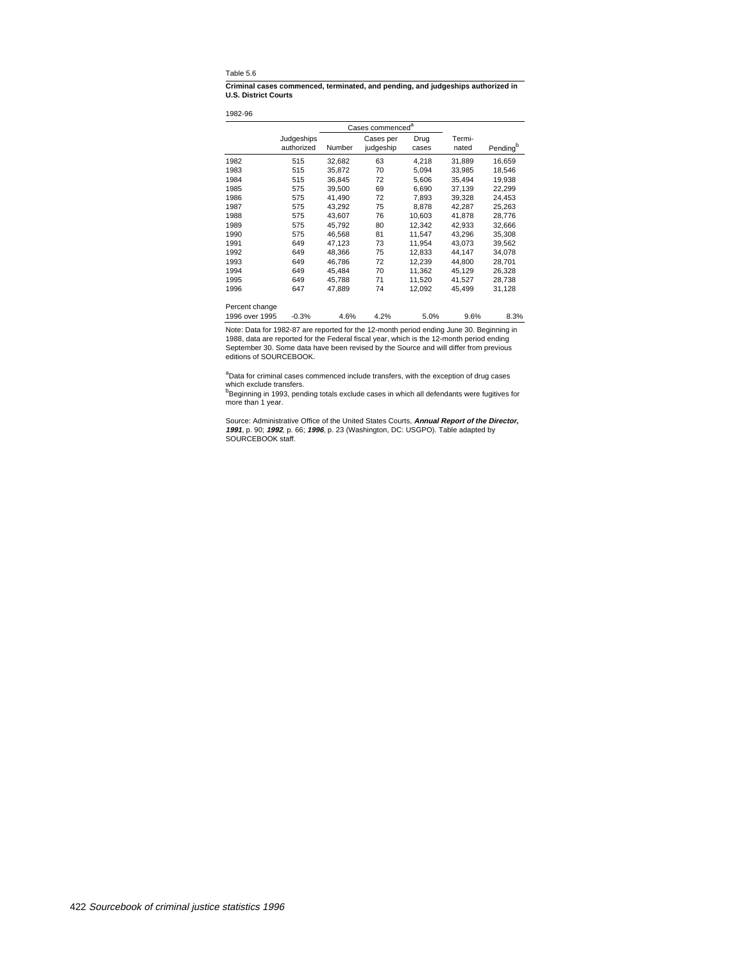**Criminal cases commenced, terminated, and pending, and judgeships authorized in U.S. District Courts**

1982-96

|                |            |        | Cases commenced <sup>a</sup> |        |        |                      |
|----------------|------------|--------|------------------------------|--------|--------|----------------------|
|                | Judgeships |        | Cases per                    | Drug   | Termi- |                      |
|                | authorized | Number | judgeship                    | cases  | nated  | Pending <sup>b</sup> |
| 1982           | 515        | 32,682 | 63                           | 4,218  | 31,889 | 16,659               |
| 1983           | 515        | 35.872 | 70                           | 5,094  | 33.985 | 18,546               |
| 1984           | 515        | 36.845 | 72                           | 5.606  | 35.494 | 19,938               |
| 1985           | 575        | 39,500 | 69                           | 6,690  | 37,139 | 22,299               |
| 1986           | 575        | 41.490 | 72                           | 7.893  | 39.328 | 24,453               |
| 1987           | 575        | 43.292 | 75                           | 8.878  | 42,287 | 25,263               |
| 1988           | 575        | 43.607 | 76                           | 10.603 | 41.878 | 28,776               |
| 1989           | 575        | 45,792 | 80                           | 12,342 | 42,933 | 32,666               |
| 1990           | 575        | 46,568 | 81                           | 11.547 | 43.296 | 35,308               |
| 1991           | 649        | 47.123 | 73                           | 11.954 | 43.073 | 39,562               |
| 1992           | 649        | 48.366 | 75                           | 12.833 | 44.147 | 34.078               |
| 1993           | 649        | 46,786 | 72                           | 12,239 | 44.800 | 28,701               |
| 1994           | 649        | 45,484 | 70                           | 11,362 | 45,129 | 26,328               |
| 1995           | 649        | 45.788 | 71                           | 11.520 | 41.527 | 28,738               |
| 1996           | 647        | 47.889 | 74                           | 12,092 | 45.499 | 31,128               |
| Percent change |            |        |                              |        |        |                      |

1996 over 1995 -0.3% 4.6% 4.2% 5.0% 9.6% 8.3% Note: Data for 1982-87 are reported for the 12-month period ending June 30. Beginning in

1988, data are reported for the Federal fiscal year, which is the 12-month period ending September 30. Some data have been revised by the Source and will differ from previous editions of SOURCEBOOK.

<sup>a</sup>Data for criminal cases commenced include transfers, with the exception of drug cases which exclude transfers.<br><sup>b</sup>Beginning in 1993, pending totals exclude cases in which all defendants were fugitives for

more than 1 year.

Source: Administrative Office of the United States Courts, **Annual Report of the Director, 1991**, p. 90; **1992**, p. 66; **1996**, p. 23 (Washington, DC: USGPO). Table adapted by SOURCEBOOK staff.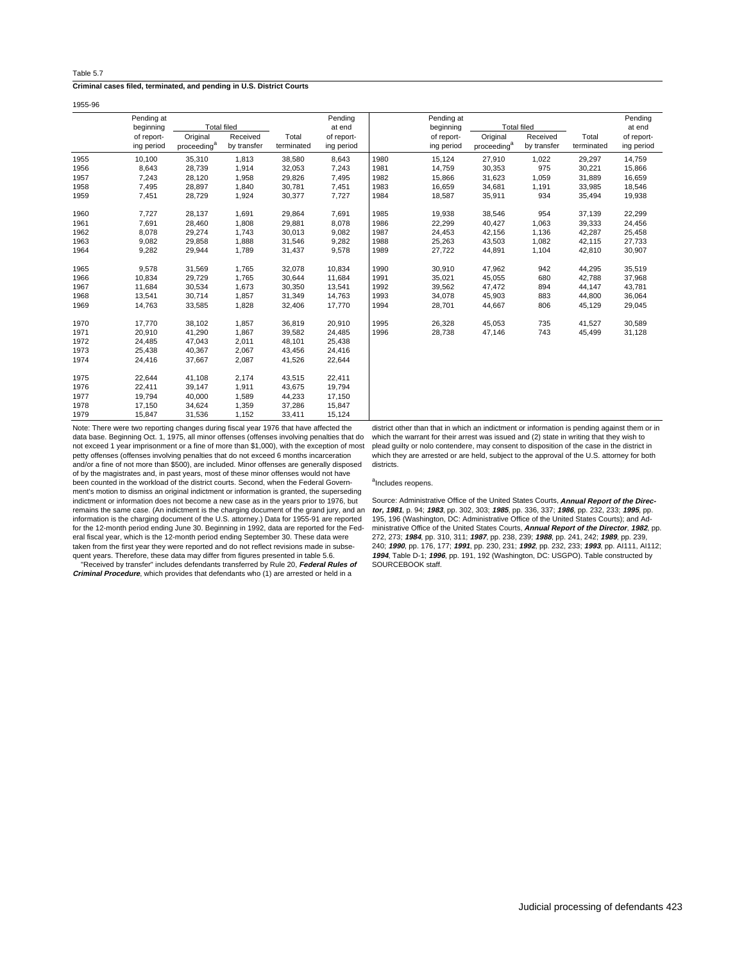#### **Criminal cases filed, terminated, and pending in U.S. District Courts**

1955-96

|      | Pending at |                         |                    |            | Pending    |      | Pending at |                         |             |            | Pending    |
|------|------------|-------------------------|--------------------|------------|------------|------|------------|-------------------------|-------------|------------|------------|
|      | beginning  |                         | <b>Total filed</b> |            | at end     |      | beginning  | <b>Total filed</b>      |             |            | at end     |
|      | of report- | Original                | Received           | Total      | of report- |      | of report- | Original                | Received    | Total      | of report- |
|      | ing period | proceeding <sup>a</sup> | by transfer        | terminated | ing period |      | ing period | proceeding <sup>a</sup> | by transfer | terminated | ing period |
| 1955 | 10,100     | 35,310                  | 1,813              | 38,580     | 8,643      | 1980 | 15,124     | 27,910                  | 1,022       | 29,297     | 14,759     |
| 1956 | 8,643      | 28,739                  | 1,914              | 32,053     | 7,243      | 1981 | 14,759     | 30,353                  | 975         | 30,221     | 15,866     |
| 1957 | 7,243      | 28,120                  | 1,958              | 29,826     | 7,495      | 1982 | 15,866     | 31,623                  | 1,059       | 31,889     | 16,659     |
| 1958 | 7,495      | 28,897                  | 1,840              | 30,781     | 7,451      | 1983 | 16,659     | 34,681                  | 1,191       | 33,985     | 18,546     |
| 1959 | 7,451      | 28,729                  | 1,924              | 30,377     | 7,727      | 1984 | 18,587     | 35,911                  | 934         | 35,494     | 19,938     |
| 1960 | 7,727      | 28,137                  | 1,691              | 29,864     | 7,691      | 1985 | 19,938     | 38,546                  | 954         | 37,139     | 22,299     |
| 1961 | 7,691      | 28,460                  | 1,808              | 29,881     | 8,078      | 1986 | 22,299     | 40,427                  | 1,063       | 39,333     | 24,456     |
| 1962 | 8,078      | 29,274                  | 1,743              | 30,013     | 9,082      | 1987 | 24,453     | 42,156                  | 1,136       | 42,287     | 25,458     |
| 1963 | 9,082      | 29,858                  | 1,888              | 31,546     | 9,282      | 1988 | 25,263     | 43,503                  | 1,082       | 42,115     | 27,733     |
| 1964 | 9,282      | 29,944                  | 1,789              | 31,437     | 9,578      | 1989 | 27,722     | 44,891                  | 1,104       | 42,810     | 30,907     |
| 1965 | 9,578      | 31,569                  | 1,765              | 32,078     | 10,834     | 1990 | 30,910     | 47,962                  | 942         | 44,295     | 35,519     |
| 1966 | 10,834     | 29,729                  | 1,765              | 30,644     | 11,684     | 1991 | 35,021     | 45,055                  | 680         | 42,788     | 37,968     |
| 1967 | 11,684     | 30,534                  | 1,673              | 30,350     | 13,541     | 1992 | 39,562     | 47,472                  | 894         | 44,147     | 43,781     |
| 1968 | 13,541     | 30,714                  | 1,857              | 31,349     | 14,763     | 1993 | 34,078     | 45,903                  | 883         | 44,800     | 36,064     |
| 1969 | 14,763     | 33,585                  | 1,828              | 32,406     | 17,770     | 1994 | 28,701     | 44,667                  | 806         | 45,129     | 29,045     |
| 1970 | 17,770     | 38,102                  | 1,857              | 36,819     | 20,910     | 1995 | 26,328     | 45,053                  | 735         | 41,527     | 30,589     |
| 1971 | 20,910     | 41,290                  | 1,867              | 39,582     | 24,485     | 1996 | 28,738     | 47,146                  | 743         | 45,499     | 31,128     |
| 1972 | 24,485     | 47,043                  | 2,011              | 48,101     | 25,438     |      |            |                         |             |            |            |
| 1973 | 25,438     | 40,367                  | 2,067              | 43,456     | 24,416     |      |            |                         |             |            |            |
| 1974 | 24,416     | 37,667                  | 2,087              | 41,526     | 22,644     |      |            |                         |             |            |            |
| 1975 | 22,644     | 41,108                  | 2,174              | 43,515     | 22,411     |      |            |                         |             |            |            |
| 1976 | 22,411     | 39,147                  | 1,911              | 43,675     | 19,794     |      |            |                         |             |            |            |
| 1977 | 19,794     | 40,000                  | 1,589              | 44,233     | 17,150     |      |            |                         |             |            |            |
| 1978 | 17,150     | 34,624                  | 1,359              | 37,286     | 15,847     |      |            |                         |             |            |            |
| 1979 | 15,847     | 31,536                  | 1,152              | 33.411     | 15.124     |      |            |                         |             |            |            |

<span id="page-6-0"></span>Note: There were two reporting changes during fiscal year 1976 that have affected the data base. Beginning Oct. 1, 1975, all minor offenses (offenses involving penalties that do not exceed 1 year imprisonment or a fine of more than \$1,000), with the exception of most petty offenses (offenses involving penalties that do not exceed 6 months incarceration and/or a fine of not more than \$500), are included. Minor offenses are generally disposed of by the magistrates and, in past years, most of these minor offenses would not have been counted in the workload of the district courts. Second, when the Federal Government's motion to dismiss an original indictment or information is granted, the superseding indictment or information does not become a new case as in the years prior to 1976, but remains the same case. (An indictment is the charging document of the grand jury, and an information is the charging document of the U.S. attorney.) Data for 1955-91 are reported for the 12-month period ending June 30. Beginning in 1992, data are reported for the Federal fiscal year, which is the 12-month period ending September 30. These data were taken from the first year they were reported and do not reflect revisions made in subsequent years. Therefore, these data may differ from figures presented in table 5.6.

 "Received by transfer" includes defendants transferred by Rule 20, **Federal Rules of Criminal Procedure**, which provides that defendants who (1) are arrested or held in a

district other than that in which an indictment or information is pending against them or in which the warrant for their arrest was issued and (2) state in writing that they wish to plead guilty or nolo contendere, may consent to disposition of the case in the district in which they are arrested or are held, subject to the approval of the U.S. attorney for both districts.

#### a<sub>Includes reopens.</sub>

Source: Administrative Office of the United States Courts, **Annual Report of the Director, 1981**, p. 94; **1983**, pp. 302, 303; **1985**, pp. 336, 337; **1986**, pp. 232, 233; **1995**, pp. 195, 196 (Washington, DC: Administrative Office of the United States Courts); and Administrative Office of the United States Courts, **Annual Report of the Director**, **1982**, pp. 272, 273; **1984**, pp. 310, 311; **1987**, pp. 238, 239; **1988**, pp. 241, 242; **1989**, pp. 239, 240; **1990**, pp. 176, 177; **1991**, pp. 230, 231; **1992**, pp. 232, 233; **1993**, pp. AI111, AI112; **1994**, Table D-1; **1996**, pp. 191, 192 (Washington, DC: USGPO). Table constructed by SOURCEBOOK staff.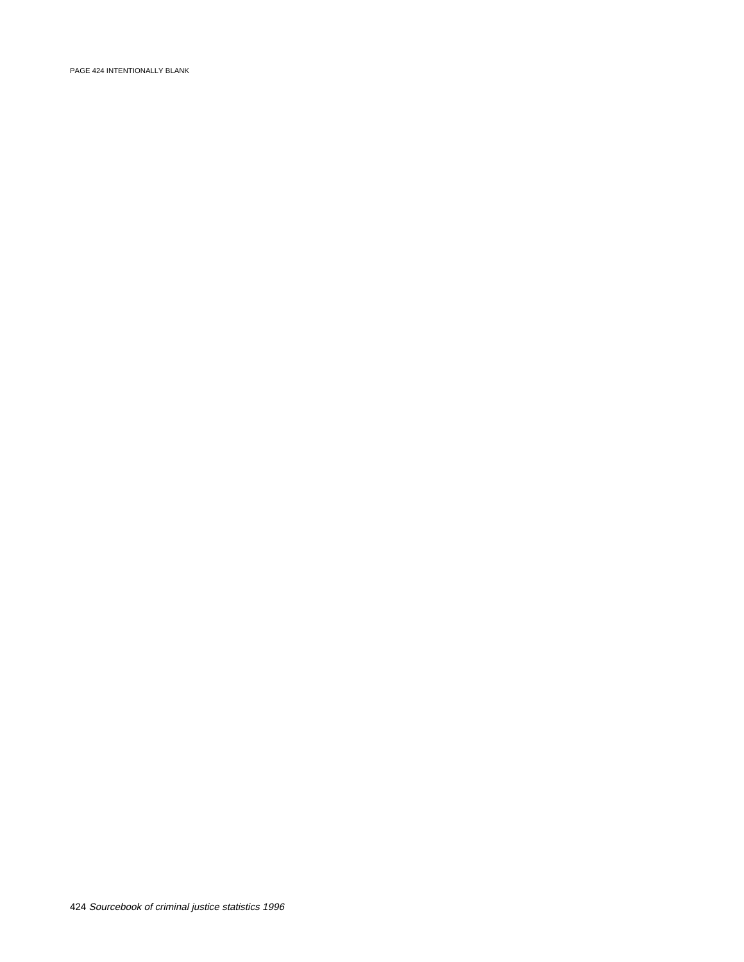PAGE 424 INTENTIONALLY BLANK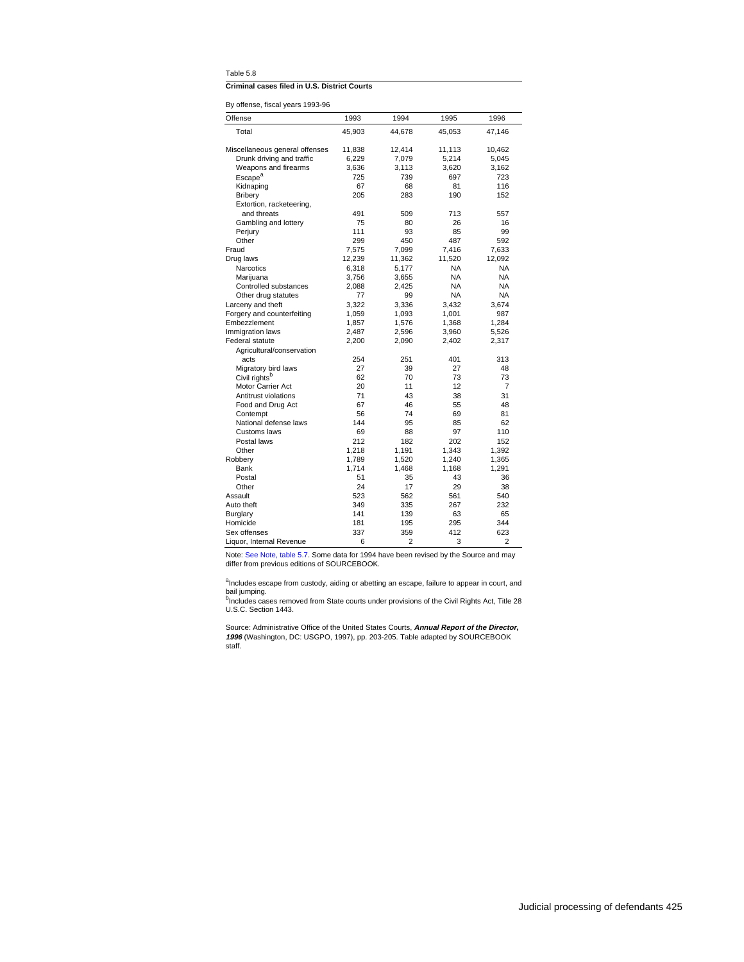| able $5.8$ |  |
|------------|--|
|------------|--|

**Criminal cases filed in U.S. District Courts**

By offense, fiscal years 1993-96

| Offense                        | 1993       | 1994           | 1995       | 1996           |
|--------------------------------|------------|----------------|------------|----------------|
|                                |            |                |            |                |
| Total                          | 45,903     | 44,678         | 45,053     | 47,146         |
| Miscellaneous general offenses | 11,838     | 12,414         | 11,113     | 10,462         |
| Drunk driving and traffic      | 6,229      | 7,079          | 5,214      | 5,045          |
| Weapons and firearms           | 3,636      | 3,113          | 3,620      | 3,162          |
| Escape <sup>a</sup>            | 725        | 739            | 697        | 723            |
| Kidnaping                      | 67         | 68             | 81         | 116            |
| Bribery                        | 205        | 283            | 190        | 152            |
| Extortion, racketeering,       |            |                |            |                |
| and threats                    | 491        | 509            | 713        | 557            |
| Gambling and lottery           | 75         | 80             | 26         | 16             |
| Perjury                        | 111        | 93             | 85         | 99             |
| Other                          | 299        | 450            | 487        | 592            |
| Fraud                          | 7,575      | 7,099          | 7,416      | 7,633          |
| Drug laws                      | 12,239     | 11,362         | 11,520     | 12,092         |
| Narcotics                      | 6,318      | 5,177          | <b>NA</b>  | <b>NA</b>      |
| Marijuana                      | 3,756      | 3,655          | <b>NA</b>  | <b>NA</b>      |
| Controlled substances          | 2,088      | 2,425          | <b>NA</b>  | <b>NA</b>      |
| Other drug statutes            | 77         | 99             | <b>NA</b>  | NA             |
| Larceny and theft              | 3,322      | 3,336          | 3.432      | 3.674          |
| Forgery and counterfeiting     | 1,059      | 1,093          | 1,001      | 987            |
| Embezzlement                   | 1,857      | 1,576          | 1,368      | 1,284          |
| Immigration laws               | 2,487      | 2,596          | 3,960      | 5,526          |
| Federal statute                | 2,200      | 2,090          | 2,402      | 2,317          |
| Agricultural/conservation      |            |                |            |                |
| acts                           | 254        | 251            | 401        | 313            |
| Migratory bird laws            | 27         | 39             | 27         | 48             |
| Civil rights <sup>b</sup>      | 62         | 70             | 73         | 73             |
| Motor Carrier Act              | 20         | 11             | 12         | 7              |
| Antitrust violations           | 71         | 43             | 38         | 31             |
| Food and Drug Act              | 67         | 46             | 55         | 48             |
| Contempt                       | 56         | 74             | 69         | 81             |
| National defense laws          | 144        | 95             | 85         | 62             |
| Customs laws                   | 69         | 88             | 97         | 110            |
| Postal laws                    | 212        | 182            | 202        | 152            |
| Other                          | 1,218      | 1,191          | 1,343      | 1,392          |
| Robbery                        | 1,789      | 1,520          | 1,240      | 1,365          |
| Bank<br>Postal                 | 1,714      | 1,468          | 1,168      | 1,291          |
|                                | 51         | 35             | 43         | 36             |
| Other                          | 24<br>523  | 17             | 29         | 38             |
| Assault                        |            | 562            | 561        | 540            |
| Auto theft                     | 349<br>141 | 335            | 267        | 232<br>65      |
| Burglary<br>Homicide           |            | 139            | 63         |                |
| Sex offenses                   | 181<br>337 | 195<br>359     | 295<br>412 | 344<br>623     |
| Liquor, Internal Revenue       | 6          | $\overline{2}$ | 3          | $\overline{2}$ |
|                                |            |                |            |                |

Note: [See Note, table 5.7.](#page-6-0) Some data for 1994 have been revised by the Source and may differ from previous editions of SOURCEBOOK.

a<br>bail jumping.<br><sup>Di</sup>nediates esses semeired from Clate south under assisting of the Clull Dights Act. This 20

Includes cases removed from State courts under provisions of the Civil Rights Act, Title 28 U.S.C. Section 1443.

Source: Administrative Office of the United States Courts, *Annual Report of the Director,*<br>*1996* (Washington, DC: USGPO, 1997), pp. 203-205. Table adapted by SOURCEBOOK<br>staff.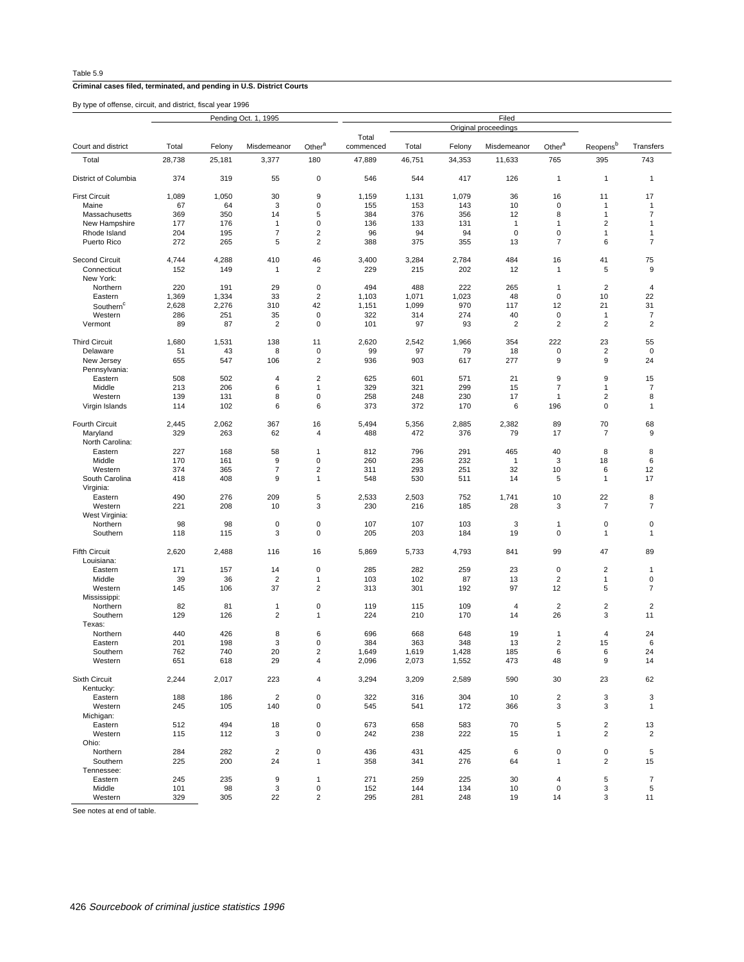# **Criminal cases filed, terminated, and pending in U.S. District Courts**

By type of offense, circuit, and district, fiscal year 1996

|                                    |              |              | Pending Oct. 1, 1995  |                         |              |              |              | Filed                |                           |                                |                   |
|------------------------------------|--------------|--------------|-----------------------|-------------------------|--------------|--------------|--------------|----------------------|---------------------------|--------------------------------|-------------------|
|                                    |              |              |                       |                         | Total        |              |              | Original proceedings |                           |                                |                   |
| Court and district                 | Total        | Felony       | Misdemeanor           | Other <sup>a</sup>      | commenced    | Total        | Felony       | Misdemeanor          | Other <sup>a</sup>        | Reopensb                       | Transfers         |
| Total                              | 28,738       | 25,181       | 3,377                 | 180                     | 47,889       | 46,751       | 34,353       | 11,633               | 765                       | 395                            | 743               |
| District of Columbia               | 374          | 319          | 55                    | $\mathsf 0$             | 546          | 544          | 417          | 126                  | $\mathbf{1}$              | 1                              | $\overline{1}$    |
| <b>First Circuit</b>               | 1,089        | 1,050        | 30                    | 9                       | 1,159        | 1,131        | 1,079        | 36                   | 16                        | 11                             | 17                |
| Maine                              | 67           | 64           | 3                     | 0                       | 155          | 153          | 143          | 10                   | $\mathbf 0$               | 1                              | $\overline{1}$    |
| Massachusetts                      | 369<br>177   | 350<br>176   | 14<br>$\mathbf{1}$    | 5<br>$\mathbf 0$        | 384<br>136   | 376<br>133   | 356<br>131   | 12<br>$\mathbf{1}$   | 8<br>$\mathbf{1}$         | $\mathbf{1}$<br>$\overline{2}$ | 7<br>$\mathbf{1}$ |
| New Hampshire<br>Rhode Island      | 204          | 195          | $\overline{7}$        | $\overline{c}$          | 96           | 94           | 94           | $\mathbf 0$          | $\pmb{0}$                 | $\mathbf{1}$                   | $\mathbf{1}$      |
| Puerto Rico                        | 272          | 265          | 5                     | $\overline{c}$          | 388          | 375          | 355          | 13                   | 7                         | 6                              | $\overline{7}$    |
| Second Circuit<br>Connecticut      | 4,744<br>152 | 4,288<br>149 | 410<br>$\mathbf{1}$   | 46<br>$\overline{c}$    | 3,400<br>229 | 3,284<br>215 | 2,784<br>202 | 484<br>12            | 16<br>$\mathbf{1}$        | 41<br>5                        | 75<br>9           |
| New York:<br>Northern              | 220          | 191          | 29                    | $\mathbf 0$             | 494          | 488          | 222          | 265                  | $\mathbf{1}$              | $\overline{2}$                 | $\overline{4}$    |
| Eastern                            | 1,369        | 1,334        | 33                    | $\overline{\mathbf{c}}$ | 1,103        | 1,071        | 1,023        | 48                   | 0                         | 10                             | 22                |
| Southern <sup>c</sup>              | 2,628        | 2,276        | 310                   | 42                      | 1,151        | 1,099        | 970          | 117                  | 12                        | 21                             | 31                |
| Western                            | 286          | 251          | 35                    | $\mathbf 0$             | 322          | 314          | 274          | 40                   | $\pmb{0}$                 | 1                              | $\overline{7}$    |
| Vermont                            | 89           | 87           | $\overline{2}$        | $\mathbf 0$             | 101          | 97           | 93           | $\overline{2}$       | $\overline{2}$            | $\overline{2}$                 | $\overline{2}$    |
| <b>Third Circuit</b>               | 1,680        | 1,531        | 138                   | 11                      | 2,620        | 2,542        | 1,966        | 354                  | 222                       | 23                             | 55                |
| Delaware                           | 51           | 43           | 8                     | $\mathbf 0$             | 99           | 97           | 79           | 18                   | $\pmb{0}$                 | 2                              | $\mathbf 0$       |
| New Jersey<br>Pennsylvania:        | 655          | 547          | 106                   | $\overline{\mathbf{c}}$ | 936          | 903          | 617          | 277                  | 9                         | 9                              | 24                |
| Eastern                            | 508          | 502          | $\overline{4}$        | $\overline{\mathbf{c}}$ | 625          | 601          | 571          | 21                   | 9                         | 9                              | 15                |
| Middle                             | 213          | 206          | 6                     | 1                       | 329          | 321          | 299          | 15                   | 7                         | $\mathbf{1}$                   | 7                 |
| Western                            | 139          | 131          | 8                     | 0                       | 258          | 248          | 230          | 17                   | $\mathbf{1}$              | 2                              | 8                 |
| Virgin Islands                     | 114          | 102          | 6                     | 6                       | 373          | 372          | 170          | 6                    | 196                       | 0                              | $\mathbf{1}$      |
| Fourth Circuit                     | 2,445        | 2,062        | 367                   | 16                      | 5,494        | 5,356        | 2,885        | 2,382                | 89                        | 70                             | 68                |
| Maryland<br>North Carolina:        | 329          | 263          | 62                    | 4                       | 488          | 472          | 376          | 79                   | 17                        | 7                              | 9                 |
| Eastern                            | 227          | 168          | 58                    | 1                       | 812          | 796          | 291          | 465                  | 40                        | 8                              | 8                 |
| Middle                             | 170          | 161          | 9                     | $\mathbf 0$             | 260          | 236          | 232          | 1                    | 3                         | 18                             | 6                 |
| Western                            | 374          | 365          | 7                     | $\overline{2}$          | 311          | 293          | 251          | 32                   | 10                        | 6                              | 12                |
| South Carolina<br>Virginia:        | 418          | 408          | 9                     | $\mathbf{1}$            | 548          | 530          | 511          | 14                   | 5                         | $\mathbf{1}$                   | 17                |
| Eastern                            | 490          | 276          | 209                   | 5                       | 2,533        | 2,503        | 752          | 1,741                | 10                        | 22                             | 8                 |
| Western                            | 221          | 208          | 10                    | 3                       | 230          | 216          | 185          | 28                   | 3                         | 7                              | $\overline{7}$    |
| West Virginia:                     |              |              |                       |                         |              |              |              |                      |                           |                                |                   |
| Northern                           | 98           | 98           | $\mathbf 0$           | 0                       | 107          | 107          | 103          | 3                    | $\mathbf{1}$              | 0                              | $\mathbf 0$       |
| Southern                           | 118          | 115          | 3                     | 0                       | 205          | 203          | 184          | 19                   | $\pmb{0}$                 | $\mathbf{1}$                   | $\mathbf{1}$      |
| <b>Fifth Circuit</b><br>Louisiana: | 2,620        | 2,488        | 116                   | 16                      | 5,869        | 5,733        | 4,793        | 841                  | 99                        | 47                             | 89                |
| Eastern                            | 171          | 157          | 14                    | $\mathbf 0$             | 285          | 282          | 259          | 23                   | $\mathbf 0$               | $\overline{2}$                 | $\mathbf{1}$      |
| Middle                             | 39           | 36           | $\overline{2}$        | $\mathbf{1}$            | 103          | 102          | 87           | 13                   | $\overline{2}$            | $\mathbf{1}$                   | $\mathbf 0$       |
| Western<br>Mississippi:            | 145          | 106          | 37                    | $\overline{2}$          | 313          | 301          | 192          | 97                   | 12                        | 5                              | 7                 |
| Northern                           | 82           | 81           | $\mathbf{1}$          | 0                       | 119          | 115          | 109          | 4                    | $\overline{\mathbf{c}}$   | 2                              | $\overline{c}$    |
| Southern<br>Texas:                 | 129          | 126          | $\overline{2}$        | 1                       | 224          | 210          | 170          | 14                   | 26                        | 3                              | 11                |
| Northern                           | 440          | 426          | 8                     | 6                       | 696          | 668          | 648          | 19                   | 1                         | 4                              | 24                |
| Eastern                            | 201          | 198          | 3                     | 0                       | 384          | 363          | 348          | 13                   | $\overline{2}$            | 15                             | 6                 |
| Southern                           | 762          | 740          | 20                    | $\overline{2}$          | 1,649        | 1,619        | 1,428        | 185                  | 6                         | 6                              | 24                |
| Western                            | 651          | 618          | 29                    | $\overline{4}$          | 2,096        | 2,073        | 1,552        | 473                  | 48                        | $\boldsymbol{9}$               | 14                |
| Sixth Circuit                      | 2,244        | 2,017        | 223                   | 4                       | 3,294        | 3,209        | 2,589        | 590                  | 30                        | 23                             | 62                |
| Kentucky:                          |              |              |                       |                         |              |              |              |                      |                           |                                |                   |
| Eastern<br>Western                 | 188<br>245   | 186<br>105   | $\overline{2}$<br>140 | $\pmb{0}$<br>0          | 322<br>545   | 316<br>541   | 304<br>172   | 10<br>366            | $\sqrt{2}$<br>3           | 3<br>3                         | 3<br>$\mathbf{1}$ |
| Michigan:                          |              |              |                       |                         |              |              |              |                      |                           |                                |                   |
| Eastern                            | 512          | 494          | 18                    | $\pmb{0}$               | 673          | 658          | 583          | 70                   | 5                         | $\boldsymbol{2}$               | 13                |
| Western                            | 115          | 112          | 3                     | 0                       | 242          | 238          | 222          | 15                   | $\mathbf{1}$              | $\overline{2}$                 | $\overline{2}$    |
| Ohio:                              |              |              |                       |                         |              |              |              |                      |                           |                                |                   |
| Northern<br>Southern               | 284          | 282          | $\overline{2}$        | $\pmb{0}$               | 436          | 431          | 425          | 6                    | $\pmb{0}$<br>$\mathbf{1}$ | $\pmb{0}$<br>$\overline{2}$    | 5                 |
| Tennessee:                         | 225          | 200          | 24                    | $\mathbf{1}$            | 358          | 341          | 276          | 64                   |                           |                                | 15                |
| Eastern                            | 245          | 235          | 9                     | $\mathbf{1}$            | 271          | 259          | 225          | 30                   | $\overline{\mathbf{4}}$   | 5                              | $\overline{7}$    |
| Middle                             | 101          | 98           | 3                     | $\mathsf{O}\xspace$     | 152          | 144          | 134          | 10                   | $\mathsf 0$               | 3                              | 5                 |
| Western                            | 329          | 305          | 22                    | $\overline{2}$          | 295          | 281          | 248          | 19                   | 14                        | 3                              | 11                |

See notes at end of table.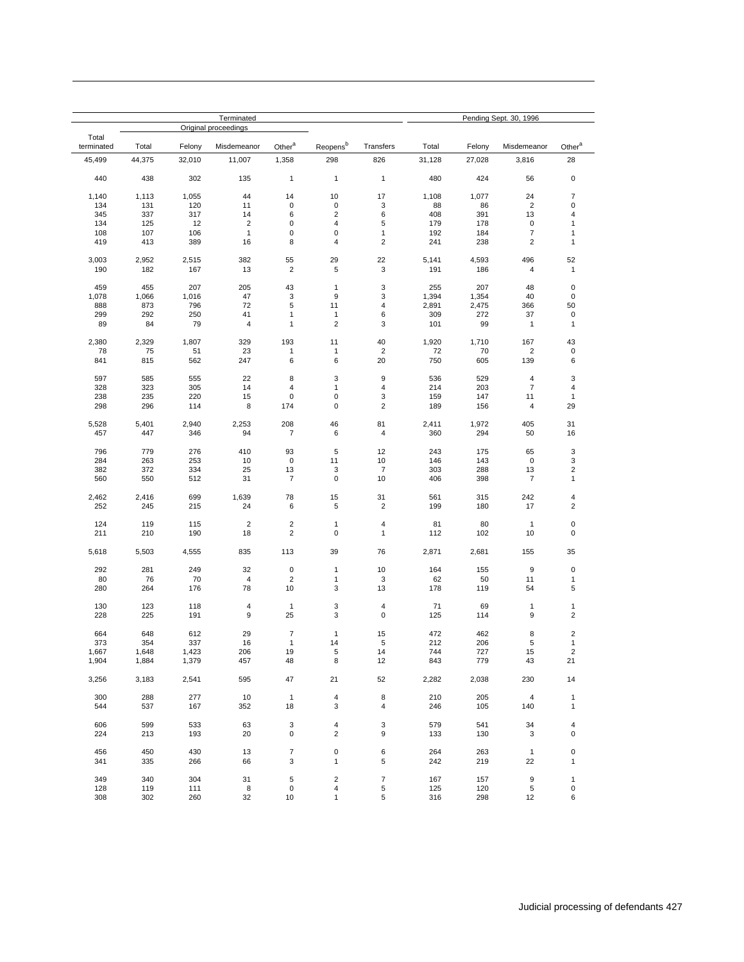|                     |            |            | Terminated           |                      |                          |                               |            |            | Pending Sept. 30, 1996         |                                |
|---------------------|------------|------------|----------------------|----------------------|--------------------------|-------------------------------|------------|------------|--------------------------------|--------------------------------|
|                     |            |            | Original proceedings |                      |                          |                               |            |            |                                |                                |
| Total<br>terminated | Total      | Felony     | Misdemeanor          | Other <sup>a</sup>   | Reopensb                 | Transfers                     | Total      | Felony     | Misdemeanor                    | Other <sup>a</sup>             |
| 45,499              | 44,375     | 32,010     | 11,007               | 1,358                | 298                      | 826                           | 31,128     | 27,028     | 3,816                          | 28                             |
| 440                 | 438        | 302        | 135                  | $\mathbf{1}$         | 1                        | 1                             | 480        | 424        | 56                             | 0                              |
|                     |            |            |                      |                      |                          |                               |            |            |                                |                                |
| 1,140               | 1,113      | 1,055      | 44                   | 14                   | 10                       | 17                            | 1,108      | 1,077      | 24                             | 7                              |
| 134                 | 131        | 120        | 11                   | 0                    | $\pmb{0}$                | 3                             | 88         | 86         | 2                              | 0                              |
| 345                 | 337        | 317        | 14                   | 6                    | $\overline{c}$           | 6                             | 408        | 391        | 13                             | $\overline{4}$                 |
| 134                 | 125        | 12         | $\overline{2}$       | 0                    | $\overline{\mathbf{4}}$  | 5                             | 179        | 178        | 0                              | 1                              |
| 108                 | 107        | 106        | $\mathbf{1}$         | 0                    | $\mathbf 0$              | 1                             | 192        | 184        | $\overline{7}$                 | 1                              |
| 419                 | 413        | 389        | 16                   | 8                    | $\overline{\mathbf{4}}$  | 2                             | 241        | 238        | $\overline{\mathbf{c}}$        | 1                              |
| 3,003               | 2,952      | 2,515      | 382                  | 55                   | 29                       | 22                            | 5,141      | 4,593      | 496                            | 52                             |
| 190                 | 182        | 167        | 13                   | $\overline{c}$       | 5                        | 3                             | 191        | 186        | 4                              | 1                              |
| 459                 | 455        | 207        | 205                  | 43                   | $\mathbf{1}$             | 3                             | 255        | 207        | 48                             | 0                              |
| 1,078               | 1,066      | 1,016      | 47                   | 3                    | $\boldsymbol{9}$         | 3                             | 1,394      | 1,354      | 40                             | $\pmb{0}$                      |
| 888                 | 873        | 796        | 72                   | 5                    | 11                       | 4                             | 2,891      | 2,475      | 366                            | 50                             |
| 299                 | 292        | 250        | 41                   | 1                    | $\mathbf{1}$             | 6                             | 309        | 272        | 37                             | 0                              |
| 89                  | 84         | 79         | 4                    | 1                    | $\overline{2}$           | 3                             | 101        | 99         | $\mathbf{1}$                   | 1                              |
|                     |            |            |                      |                      |                          |                               |            |            |                                |                                |
| 2,380               | 2,329      | 1,807      | 329                  | 193                  | 11                       | 40                            | 1,920      | 1,710      | 167                            | 43                             |
| 78<br>841           | 75<br>815  | 51<br>562  | 23<br>247            | 1<br>6               | $\mathbf{1}$<br>6        | $\overline{\mathbf{c}}$<br>20 | 72<br>750  | 70<br>605  | $\overline{\mathbf{c}}$<br>139 | 0<br>6                         |
|                     |            |            |                      |                      |                          |                               |            |            |                                |                                |
| 597                 | 585        | 555        | 22                   | 8                    | 3                        | 9                             | 536        | 529        | $\overline{4}$                 | 3                              |
| 328                 | 323        | 305        | 14                   | 4                    | $\mathbf{1}$             | 4                             | 214        | 203        | $\overline{7}$                 | 4                              |
| 238<br>298          | 235<br>296 | 220<br>114 | 15<br>8              | 0<br>174             | $\pmb{0}$<br>$\mathbf 0$ | 3<br>2                        | 159<br>189 | 147<br>156 | 11<br>4                        | 1<br>29                        |
|                     |            |            |                      |                      |                          |                               |            |            |                                |                                |
| 5,528               | 5,401      | 2,940      | 2,253                | 208                  | 46                       | 81                            | 2,411      | 1,972      | 405                            | 31                             |
| 457                 | 447        | 346        | 94                   | 7                    | 6                        | $\sqrt{4}$                    | 360        | 294        | 50                             | 16                             |
| 796                 | 779        | 276        | 410                  | 93                   | $\sqrt{5}$               | 12                            | 243        | 175        | 65                             | 3                              |
| 284                 | 263        | 253        | 10                   | $\mathbf 0$          | 11                       | 10                            | 146        | 143        | $\pmb{0}$                      | 3                              |
| 382                 | 372        | 334        | 25                   | 13                   | 3                        | 7                             | 303        | 288        | 13                             | $\overline{\mathbf{c}}$        |
| 560                 | 550        | 512        | 31                   | $\overline{7}$       | $\mathbf 0$              | 10                            | 406        | 398        | 7                              | 1                              |
| 2,462               | 2,416      | 699        | 1,639                | 78                   | 15                       | 31                            | 561        | 315        | 242                            | $\overline{\mathbf{4}}$        |
| 252                 | 245        | 215        | 24                   | 6                    | 5                        | $\overline{c}$                | 199        | 180        | 17                             | $\overline{\mathbf{c}}$        |
| 124                 | 119        | 115        | $\overline{2}$       | $\overline{c}$       | $\mathbf{1}$             | 4                             | 81         | 80         | $\mathbf{1}$                   | 0                              |
| 211                 | 210        | 190        | 18                   | $\overline{c}$       | $\mathbf 0$              | 1                             | 112        | 102        | 10                             | 0                              |
| 5,618               | 5,503      | 4,555      | 835                  | 113                  | 39                       | 76                            | 2,871      | 2,681      | 155                            | 35                             |
|                     |            |            |                      |                      |                          |                               |            |            |                                |                                |
| 292                 | 281        | 249        | 32                   | $\pmb{0}$            | $\mathbf{1}$             | 10                            | 164        | 155        | 9                              | 0                              |
| 80<br>280           | 76<br>264  | 70<br>176  | 4<br>78              | $\overline{c}$<br>10 | $\mathbf{1}$<br>3        | 3<br>13                       | 62<br>178  | 50<br>119  | 11<br>54                       | 1<br>5                         |
|                     |            |            |                      |                      |                          |                               |            |            |                                |                                |
| 130<br>228          | 123<br>225 | 118<br>191 | 4<br>9               | $\mathbf{1}$<br>25   | 3<br>3                   | 4<br>0                        | 71<br>125  | 69<br>114  | 1<br>9                         | $\mathbf{1}$<br>$\overline{2}$ |
|                     |            |            |                      |                      |                          |                               |            |            |                                |                                |
| 664                 | 648        | 612        | 29                   | $\overline{7}$       | 1                        | 15                            | 472        | 462        | 8                              | $\overline{\mathbf{c}}$        |
| 373                 | 354        | 337        | 16                   | 1                    | 14                       | 5                             | 212        | 206        | 5                              | 1                              |
| 1,667               | 1,648      | 1,423      | 206                  | 19                   | $\sqrt{5}$               | 14                            | 744        | 727        | 15                             | $\overline{c}$                 |
| 1,904               | 1,884      | 1,379      | 457                  | 48                   | 8                        | 12                            | 843        | 779        | 43                             | 21                             |
| 3,256               | 3,183      | 2,541      | 595                  | 47                   | 21                       | 52                            | 2,282      | 2,038      | 230                            | 14                             |
|                     |            |            |                      |                      |                          |                               |            |            |                                |                                |
| 300<br>544          | 288<br>537 | 277<br>167 | 10<br>352            | $\mathbf{1}$<br>18   | 4<br>3                   | 8<br>4                        | 210<br>246 | 205<br>105 | $\overline{4}$<br>140          | $\mathbf{1}$<br>$\mathbf{1}$   |
|                     |            |            |                      |                      |                          |                               |            |            |                                |                                |
| 606<br>224          | 599<br>213 | 533<br>193 | 63<br>20             | 3<br>0               | 4<br>$\overline{2}$      | 3                             | 579<br>133 | 541<br>130 | 34                             | 4<br>0                         |
|                     |            |            |                      |                      |                          | 9                             |            |            | 3                              |                                |
| 456                 | 450        | 430        | 13                   | $\overline{7}$       | $\pmb{0}$                | 6                             | 264        | 263        | $\mathbf{1}$                   | 0                              |
| 341                 | 335        | 266        | 66                   | 3                    | $\mathbf{1}$             | 5                             | 242        | 219        | 22                             | $\mathbf{1}$                   |
| 349                 | 340        | 304        | 31                   | 5                    | $\overline{2}$           | $\overline{7}$                | 167        | 157        | 9                              | $\mathbf{1}$                   |
| 128                 | 119        | 111        | 8                    | 0                    | 4                        | 5                             | 125        | 120        | 5                              | 0                              |
| 308                 | 302        | 260        | 32                   | 10                   | $\mathbf{1}$             | 5                             | 316        | 298        | 12                             | 6                              |
|                     |            |            |                      |                      |                          |                               |            |            |                                |                                |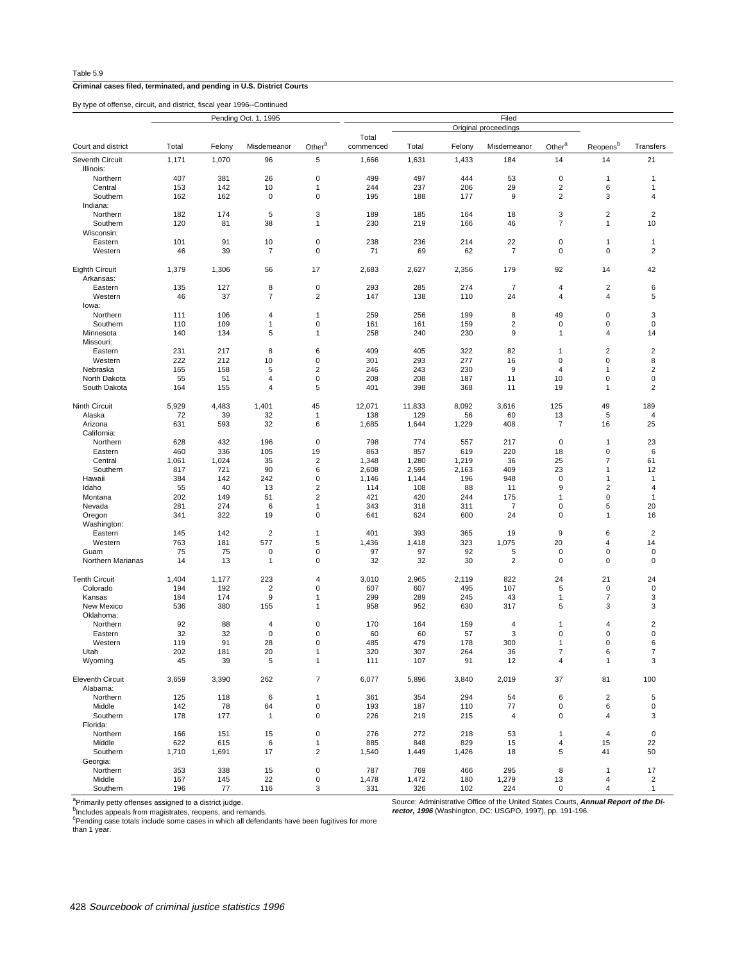## **Criminal cases filed, terminated, and pending in U.S. District Courts**

By type of offense, circuit, and district, fiscal year 1996--Continued

| $\cdots$                            |              |              | Pending Oct. 1, 1995  |                                  |               |               |              | Filed                |                         |                   |                      |
|-------------------------------------|--------------|--------------|-----------------------|----------------------------------|---------------|---------------|--------------|----------------------|-------------------------|-------------------|----------------------|
|                                     |              |              |                       |                                  | Total         |               |              | Original proceedings |                         |                   |                      |
| Court and district                  | Total        | Felony       | Misdemeanor           | Other <sup>a</sup>               | commenced     | Total         | Felony       | Misdemeanor          | Other <sup>a</sup>      | Reopensb          | Transfers            |
| Seventh Circuit<br>Illinois:        | 1,171        | 1,070        | 96                    | 5                                | 1,666         | 1,631         | 1,433        | 184                  | 14                      | 14                | 21                   |
| Northern                            | 407          | 381          | 26                    | $\mathbf 0$                      | 499           | 497           | 444          | 53                   | $\mathbf 0$             | 1                 | -1                   |
| Central                             | 153          | 142          | 10                    | 1                                | 244           | 237           | 206          | 29                   | $\mathbf 2$             | 6                 | $\overline{1}$       |
| Southern                            | 162          | 162          | 0                     | $\pmb{0}$                        | 195           | 188           | 177          | 9                    | $\overline{2}$          | 3                 | $\overline{4}$       |
| Indiana:                            |              |              |                       |                                  |               |               |              |                      |                         |                   |                      |
| Northern                            | 182          | 174          | 5                     | 3                                | 189           | 185           | 164          | 18                   | 3                       | $\overline{2}$    | $\overline{2}$       |
| Southern                            | 120          | 81           | 38                    | $\mathbf{1}$                     | 230           | 219           | 166          | 46                   | $\overline{7}$          | 1                 | 10                   |
| Wisconsin:<br>Eastern               | 101          | 91           | 10                    | $\pmb{0}$                        | 238           | 236           | 214          | 22                   | $\mathbf 0$             | 1                 | $\mathbf{1}$         |
| Western                             | 46           | 39           | $\overline{7}$        | $\mathbf 0$                      | 71            | 69            | 62           | $\overline{7}$       | $\mathbf 0$             | $\pmb{0}$         | $\overline{2}$       |
|                                     |              |              |                       |                                  |               |               |              |                      |                         |                   |                      |
| <b>Eighth Circuit</b>               | 1,379        | 1,306        | 56                    | 17                               | 2,683         | 2,627         | 2,356        | 179                  | 92                      | 14                | 42                   |
| Arkansas:                           |              |              |                       |                                  |               |               |              |                      |                         |                   |                      |
| Eastern                             | 135          | 127          | 8                     | $\mathbf 0$                      | 293           | 285           | 274          | $\overline{7}$       | 4                       | $\sqrt{2}$        | 6                    |
| Western                             | 46           | 37           | $\overline{7}$        | $\overline{2}$                   | 147           | 138           | 110          | 24                   | 4                       | 4                 | 5                    |
| lowa:                               | 111          | 106          | 4                     | 1                                | 259           | 256           | 199          | 8                    | 49                      | 0                 | 3                    |
| Northern<br>Southern                | 110          | 109          | 1                     | $\pmb{0}$                        | 161           | 161           | 159          | $\overline{2}$       | $\mathbf 0$             | $\pmb{0}$         | $\pmb{0}$            |
| Minnesota                           | 140          | 134          | 5                     | 1                                | 258           | 240           | 230          | 9                    | 1                       | 4                 | 14                   |
| Missouri:                           |              |              |                       |                                  |               |               |              |                      |                         |                   |                      |
| Eastern                             | 231          | 217          | 8                     | 6                                | 409           | 405           | 322          | 82                   | 1                       | $\overline{2}$    | $\overline{2}$       |
| Western                             | 222          | 212          | 10                    | 0                                | 301           | 293           | 277          | 16                   | $\mathbf 0$             | $\pmb{0}$         | 8                    |
| Nebraska                            | 165          | 158          | 5                     | $\overline{2}$                   | 246           | 243           | 230          | 9                    | 4                       | 1                 | $\overline{2}$       |
| North Dakota                        | 55           | 51           | 4                     | $\pmb{0}$                        | 208           | 208           | 187          | 11                   | 10                      | 0                 | $\mathbf 0$          |
| South Dakota                        | 164          | 155          | 4                     | 5                                | 401           | 398           | 368          | 11                   | 19                      | 1                 | $\overline{2}$       |
|                                     |              |              |                       |                                  |               |               |              |                      |                         |                   |                      |
| Ninth Circuit<br>Alaska             | 5,929<br>72  | 4,483<br>39  | 1,401<br>32           | 45<br>$\mathbf{1}$               | 12,071<br>138 | 11,833<br>129 | 8,092<br>56  | 3,616<br>60          | 125<br>13               | 49<br>5           | 189<br>4             |
| Arizona                             | 631          | 593          | 32                    | 6                                | 1,685         | 1,644         | 1,229        | 408                  | 7                       | 16                | 25                   |
| California:                         |              |              |                       |                                  |               |               |              |                      |                         |                   |                      |
| Northern                            | 628          | 432          | 196                   | $\mathbf 0$                      | 798           | 774           | 557          | 217                  | $\mathbf 0$             | $\mathbf{1}$      | 23                   |
| Eastern                             | 460          | 336          | 105                   | 19                               | 863           | 857           | 619          | 220                  | 18                      | $\pmb{0}$         | 6                    |
| Central                             | 1,061        | 1,024        | 35                    | $\overline{2}$                   | 1,348         | 1,280         | 1,219        | 36                   | 25                      | $\overline{7}$    | 61                   |
| Southern                            | 817          | 721          | 90                    | 6                                | 2,608         | 2,595         | 2,163        | 409                  | 23                      | 1                 | 12                   |
| Hawaii                              | 384          | 142          | 242                   | 0                                | 1,146         | 1,144         | 196          | 948                  | $\mathbf 0$             | 1                 | $\mathbf{1}$         |
| Idaho                               | 55<br>202    | 40<br>149    | 13<br>51              | $\overline{2}$<br>$\overline{c}$ | 114<br>421    | 108<br>420    | 88<br>244    | 11<br>175            | 9<br>1                  | 2<br>0            | 4<br>$\mathbf{1}$    |
| Montana<br>Nevada                   | 281          | 274          | 6                     | 1                                | 343           | 318           | 311          | 7                    | 0                       | 5                 | 20                   |
| Oregon                              | 341          | 322          | 19                    | 0                                | 641           | 624           | 600          | 24                   | $\mathbf 0$             | 1                 | 16                   |
| Washington:                         |              |              |                       |                                  |               |               |              |                      |                         |                   |                      |
| Eastern                             | 145          | 142          | $\overline{2}$        | 1                                | 401           | 393           | 365          | 19                   | 9                       | 6                 | $\overline{2}$       |
| Western                             | 763          | 181          | 577                   | 5                                | 1,436         | 1,418         | 323          | 1,075                | 20                      | 4                 | 14                   |
| Guam                                | 75           | 75           | 0                     | $\pmb{0}$                        | 97            | 97            | 92           | 5                    | $\mathbf 0$             | 0                 | $\pmb{0}$            |
| Northern Marianas                   | 14           | 13           | 1                     | $\pmb{0}$                        | 32            | 32            | 30           | $\overline{2}$       | $\mathbf 0$             | $\pmb{0}$         | $\pmb{0}$            |
|                                     |              |              |                       |                                  |               |               |              |                      |                         | 21                |                      |
| <b>Tenth Circuit</b><br>Colorado    | 1,404<br>194 | 1,177<br>192 | 223<br>$\overline{2}$ | 4<br>0                           | 3,010<br>607  | 2,965<br>607  | 2,119<br>495 | 822<br>107           | 24<br>5                 | $\mathbf 0$       | 24<br>$\mathbf 0$    |
| Kansas                              | 184          | 174          | 9                     | 1                                | 299           | 289           | 245          | 43                   | 1                       | $\overline{7}$    | 3                    |
| New Mexico                          | 536          | 380          | 155                   | 1                                | 958           | 952           | 630          | 317                  | 5                       | 3                 | 3                    |
| Oklahoma:                           |              |              |                       |                                  |               |               |              |                      |                         |                   |                      |
| Northern                            | 92           | 88           | 4                     | 0                                | 170           | 164           | 159          | $\overline{4}$       | 1                       | 4                 | $\overline{2}$       |
| Eastern                             | 32           | 32           | $\mathbf 0$           | 0                                | 60            | 60            | 57           | 3                    | $\mathbf 0$             | 0                 | $\pmb{0}$            |
| Western                             | 119          | 91           | 28                    | 0                                | 485           | 479           | 178          | 300                  | 1                       | 0                 | 6                    |
| Utah                                | 202          | 181          | 20                    | 1                                | 320           | 307           | 264          | 36                   | 7                       | 6                 | 7                    |
| Wyoming                             | 45           | 39           | 5                     | $\mathbf{1}$                     | 111           | 107           | 91           | 12                   | 4                       | $\mathbf{1}$      | 3                    |
| <b>Eleventh Circuit</b><br>Alabama: | 3,659        | 3,390        | 262                   | $\overline{7}$                   | 6,077         | 5,896         | 3,840        | 2,019                | 37                      | 81                | 100                  |
| Northern                            | 125          | 118          | 6                     | $\mathbf{1}$                     | 361           | 354           | 294          | 54                   | $\,6$                   | $\sqrt{2}$        | 5                    |
| Middle                              | 142          | 78           | 64                    | $\mathsf 0$                      | 193           | 187           | 110          | 77                   | $\pmb{0}$               | 6                 | $\mathbf 0$          |
| Southern                            | 178          | 177          | 1                     | $\pmb{0}$                        | 226           | 219           | 215          | 4                    | $\mathbf 0$             | 4                 | 3                    |
| Florida:                            |              |              |                       |                                  |               |               |              |                      |                         |                   |                      |
| Northern                            | 166          | 151          | 15                    | $\pmb{0}$                        | 276           | 272           | 218          | 53                   | $\mathbf{1}$            | $\overline{4}$    | $\mathbf 0$          |
| Middle                              | 622          | 615          | 6                     | $\mathbf{1}$                     | 885           | 848           | 829          | 15                   | $\overline{\mathbf{4}}$ | 15                | 22                   |
| Southern                            | 1,710        | 1,691        | 17                    | $\overline{2}$                   | 1,540         | 1,449         | 1,426        | 18                   | 5                       | 41                | 50                   |
| Georgia:                            |              |              |                       |                                  |               |               |              |                      |                         |                   |                      |
| Northern<br>Middle                  | 353<br>167   | 338<br>145   | 15<br>22              | $\pmb{0}$<br>$\pmb{0}$           | 787<br>1,478  | 769<br>1,472  | 466<br>180   | 295<br>1,279         | 8<br>13                 | $\mathbf{1}$<br>4 | 17<br>$\overline{2}$ |
| Southern                            | 196          | 77           | 116                   | 3                                | 331           | 326           | 102          | 224                  | $\mathbf 0$             | 4                 | $\mathbf{1}$         |
|                                     |              |              |                       |                                  |               |               |              |                      |                         |                   |                      |

Source: Administrative Office of the United States Courts, **Annual Report of the Di-rector, 1996** (Washington, DC: USGPO, 1997), pp. 191-196.

<sup>a</sup>Primarily petty offenses assigned to a district judge.<br><sup>b</sup>Includes appeals from magistrates, reopens, and remands.<br><sup>c'</sup>Pending case totals include some cases in which all defendants have been fugitives for more<br>than 1 y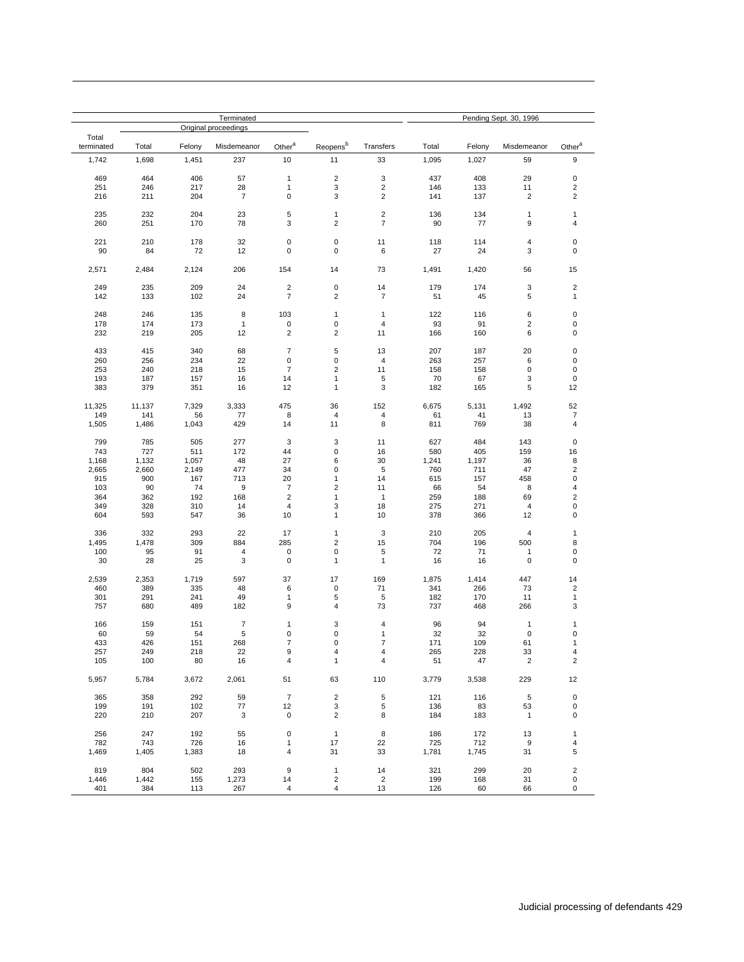|              |              |              |                                    |                         |                             |                      |            |            |                        | Other <sup>a</sup><br>Misdemeanor<br>59<br>9<br>0<br>29<br>$\overline{\mathbf{c}}$<br>11<br>$\overline{2}$<br>2<br>$\mathbf{1}$<br>1<br>9<br>4<br>$\overline{4}$<br>0<br>3<br>0<br>56<br>15<br>3<br>$\overline{\mathbf{c}}$<br>5<br>1<br>6<br>0<br>$\overline{\mathbf{c}}$<br>0<br>6<br>0<br>$\mathbf 0$<br>20<br>0<br>6<br>$\mathbf 0$<br>$\pmb{0}$<br>3<br>$\mathbf 0$<br>5<br>12<br>1,492<br>52<br>13<br>7<br>38<br>4<br>$\pmb{0}$<br>143<br>159<br>16<br>8<br>36<br>$\mathbf 2$<br>47<br>458<br>0<br>4<br>8<br>$\mathbf 2$<br>69<br>0<br>4<br>0<br>12<br>$\overline{4}$<br>1<br>500<br>8<br>1<br>0<br>$\mathbf 0$<br>0<br>447<br>14<br>$\overline{c}$<br>73<br>11<br>1<br>3<br>266<br>1<br>1<br>$\mathbf 0$<br>0<br>61<br>1<br>33<br>4<br>$\overline{2}$<br>$\overline{2}$ |  |  |  |  |  |  |  |
|--------------|--------------|--------------|------------------------------------|-------------------------|-----------------------------|----------------------|------------|------------|------------------------|--------------------------------------------------------------------------------------------------------------------------------------------------------------------------------------------------------------------------------------------------------------------------------------------------------------------------------------------------------------------------------------------------------------------------------------------------------------------------------------------------------------------------------------------------------------------------------------------------------------------------------------------------------------------------------------------------------------------------------------------------------------------------------|--|--|--|--|--|--|--|
|              |              |              | Terminated<br>Original proceedings |                         |                             |                      |            |            | Pending Sept. 30, 1996 |                                                                                                                                                                                                                                                                                                                                                                                                                                                                                                                                                                                                                                                                                                                                                                                |  |  |  |  |  |  |  |
| Total        |              |              |                                    |                         |                             |                      |            |            |                        |                                                                                                                                                                                                                                                                                                                                                                                                                                                                                                                                                                                                                                                                                                                                                                                |  |  |  |  |  |  |  |
| terminated   | Total        | Felony       | Misdemeanor                        | Other <sup>a</sup>      | Reopensb                    | Transfers            | Total      | Felony     |                        |                                                                                                                                                                                                                                                                                                                                                                                                                                                                                                                                                                                                                                                                                                                                                                                |  |  |  |  |  |  |  |
| 1,742        | 1,698        | 1,451        | 237                                | 10                      | 11                          | 33                   | 1,095      | 1,027      |                        |                                                                                                                                                                                                                                                                                                                                                                                                                                                                                                                                                                                                                                                                                                                                                                                |  |  |  |  |  |  |  |
| 469          | 464          | 406          | 57                                 | $\mathbf{1}$            | $\overline{2}$              | 3                    | 437        | 408        |                        |                                                                                                                                                                                                                                                                                                                                                                                                                                                                                                                                                                                                                                                                                                                                                                                |  |  |  |  |  |  |  |
| 251          | 246          | 217          | 28                                 | 1                       | $\ensuremath{\mathsf{3}}$   | $\mathbf 2$          | 146        | 133        |                        |                                                                                                                                                                                                                                                                                                                                                                                                                                                                                                                                                                                                                                                                                                                                                                                |  |  |  |  |  |  |  |
| 216          | 211          | 204          | 7                                  | 0                       | 3                           | $\overline{2}$       | 141        | 137        |                        |                                                                                                                                                                                                                                                                                                                                                                                                                                                                                                                                                                                                                                                                                                                                                                                |  |  |  |  |  |  |  |
| 235          | 232          | 204          | 23                                 | 5                       | $\mathbf{1}$                | $\boldsymbol{2}$     | 136        | 134        |                        |                                                                                                                                                                                                                                                                                                                                                                                                                                                                                                                                                                                                                                                                                                                                                                                |  |  |  |  |  |  |  |
| 260          | 251          | 170          | 78                                 | 3                       | $\overline{2}$              | 7                    | 90         | 77         |                        |                                                                                                                                                                                                                                                                                                                                                                                                                                                                                                                                                                                                                                                                                                                                                                                |  |  |  |  |  |  |  |
| 221          | 210          | 178          | 32                                 | 0                       | $\mathbf 0$                 | 11                   | 118        | 114        |                        |                                                                                                                                                                                                                                                                                                                                                                                                                                                                                                                                                                                                                                                                                                                                                                                |  |  |  |  |  |  |  |
| 90           | 84           | 72           | 12                                 | 0                       | $\mathbf 0$                 | 6                    | 27         | 24         |                        |                                                                                                                                                                                                                                                                                                                                                                                                                                                                                                                                                                                                                                                                                                                                                                                |  |  |  |  |  |  |  |
|              |              |              |                                    |                         |                             |                      |            |            |                        |                                                                                                                                                                                                                                                                                                                                                                                                                                                                                                                                                                                                                                                                                                                                                                                |  |  |  |  |  |  |  |
| 2,571        | 2,484        | 2,124        | 206                                | 154                     | 14                          | 73                   | 1,491      | 1,420      |                        |                                                                                                                                                                                                                                                                                                                                                                                                                                                                                                                                                                                                                                                                                                                                                                                |  |  |  |  |  |  |  |
| 249          | 235          | 209          | 24                                 | $\boldsymbol{2}$        | $\mathbf 0$                 | 14                   | 179        | 174        |                        |                                                                                                                                                                                                                                                                                                                                                                                                                                                                                                                                                                                                                                                                                                                                                                                |  |  |  |  |  |  |  |
| 142          | 133          | 102          | 24                                 | 7                       | $\overline{2}$              | 7                    | 51         | 45         |                        |                                                                                                                                                                                                                                                                                                                                                                                                                                                                                                                                                                                                                                                                                                                                                                                |  |  |  |  |  |  |  |
| 248          | 246          | 135          | 8                                  | 103                     | $\mathbf{1}$                | 1                    | 122        | 116        |                        |                                                                                                                                                                                                                                                                                                                                                                                                                                                                                                                                                                                                                                                                                                                                                                                |  |  |  |  |  |  |  |
| 178          | 174          | 173          | 1                                  | $\pmb{0}$               | $\mathbf 0$                 | $\sqrt{4}$           | 93         | 91         |                        |                                                                                                                                                                                                                                                                                                                                                                                                                                                                                                                                                                                                                                                                                                                                                                                |  |  |  |  |  |  |  |
| 232          | 219          | 205          | 12                                 | $\overline{2}$          | $\overline{2}$              | 11                   | 166        | 160        |                        |                                                                                                                                                                                                                                                                                                                                                                                                                                                                                                                                                                                                                                                                                                                                                                                |  |  |  |  |  |  |  |
| 433          |              | 340          | 68                                 | 7                       | 5                           | 13                   | 207        | 187        |                        |                                                                                                                                                                                                                                                                                                                                                                                                                                                                                                                                                                                                                                                                                                                                                                                |  |  |  |  |  |  |  |
| 260          | 415<br>256   | 234          | 22                                 | 0                       | $\mathbf 0$                 | $\sqrt{4}$           | 263        | 257        |                        |                                                                                                                                                                                                                                                                                                                                                                                                                                                                                                                                                                                                                                                                                                                                                                                |  |  |  |  |  |  |  |
| 253          | 240          | 218          | 15                                 | 7                       | $\overline{2}$              | 11                   | 158        | 158        |                        |                                                                                                                                                                                                                                                                                                                                                                                                                                                                                                                                                                                                                                                                                                                                                                                |  |  |  |  |  |  |  |
| 193          | 187          | 157          | 16                                 | 14                      | $\mathbf{1}$                | 5                    | 70         | 67         |                        |                                                                                                                                                                                                                                                                                                                                                                                                                                                                                                                                                                                                                                                                                                                                                                                |  |  |  |  |  |  |  |
| 383          | 379          | 351          | 16                                 | 12                      | $\mathbf{1}$                | 3                    | 182        | 165        |                        |                                                                                                                                                                                                                                                                                                                                                                                                                                                                                                                                                                                                                                                                                                                                                                                |  |  |  |  |  |  |  |
| 11,325       | 11,137       | 7,329        | 3,333                              | 475                     | 36                          | 152                  | 6,675      | 5,131      |                        |                                                                                                                                                                                                                                                                                                                                                                                                                                                                                                                                                                                                                                                                                                                                                                                |  |  |  |  |  |  |  |
| 149          | 141          | 56           | 77                                 | 8                       | 4                           | 4                    | 61         | 41         |                        |                                                                                                                                                                                                                                                                                                                                                                                                                                                                                                                                                                                                                                                                                                                                                                                |  |  |  |  |  |  |  |
| 1,505        | 1,486        | 1,043        | 429                                | 14                      | 11                          | 8                    | 811        | 769        |                        |                                                                                                                                                                                                                                                                                                                                                                                                                                                                                                                                                                                                                                                                                                                                                                                |  |  |  |  |  |  |  |
| 799          | 785          | 505          | 277                                | 3                       | 3                           | 11                   | 627        | 484        |                        |                                                                                                                                                                                                                                                                                                                                                                                                                                                                                                                                                                                                                                                                                                                                                                                |  |  |  |  |  |  |  |
| 743          | 727          | 511          | 172                                | 44                      | $\mathbf 0$                 | 16                   | 580        | 405        |                        |                                                                                                                                                                                                                                                                                                                                                                                                                                                                                                                                                                                                                                                                                                                                                                                |  |  |  |  |  |  |  |
| 1,168        | 1,132        | 1,057        | 48                                 | 27                      | 6                           | 30                   | 1,241      | 1,197      |                        |                                                                                                                                                                                                                                                                                                                                                                                                                                                                                                                                                                                                                                                                                                                                                                                |  |  |  |  |  |  |  |
| 2,665<br>915 | 2,660<br>900 | 2,149<br>167 | 477<br>713                         | 34<br>20                | $\mathbf 0$<br>$\mathbf{1}$ | $\,$ 5 $\,$<br>14    | 760<br>615 | 711<br>157 |                        |                                                                                                                                                                                                                                                                                                                                                                                                                                                                                                                                                                                                                                                                                                                                                                                |  |  |  |  |  |  |  |
| 103          | 90           | 74           | 9                                  | 7                       | $\overline{2}$              | 11                   | 66         | 54         |                        |                                                                                                                                                                                                                                                                                                                                                                                                                                                                                                                                                                                                                                                                                                                                                                                |  |  |  |  |  |  |  |
| 364          | 362          | 192          | 168                                | $\overline{\mathbf{c}}$ | $\mathbf{1}$                | $\mathbf{1}$         | 259        | 188        |                        |                                                                                                                                                                                                                                                                                                                                                                                                                                                                                                                                                                                                                                                                                                                                                                                |  |  |  |  |  |  |  |
| 349          | 328          | 310          | 14                                 | $\sqrt{4}$              | $\ensuremath{\mathsf{3}}$   | 18                   | 275        | 271        |                        |                                                                                                                                                                                                                                                                                                                                                                                                                                                                                                                                                                                                                                                                                                                                                                                |  |  |  |  |  |  |  |
| 604          | 593          | 547          | 36                                 | 10                      | $\mathbf{1}$                | 10                   | 378        | 366        |                        |                                                                                                                                                                                                                                                                                                                                                                                                                                                                                                                                                                                                                                                                                                                                                                                |  |  |  |  |  |  |  |
| 336          | 332          | 293          | 22                                 | 17                      | $\mathbf{1}$                | 3                    | 210        | 205        |                        |                                                                                                                                                                                                                                                                                                                                                                                                                                                                                                                                                                                                                                                                                                                                                                                |  |  |  |  |  |  |  |
| 1,495        | 1,478        | 309          | 884                                | 285                     | $\overline{c}$              | 15                   | 704        | 196        |                        |                                                                                                                                                                                                                                                                                                                                                                                                                                                                                                                                                                                                                                                                                                                                                                                |  |  |  |  |  |  |  |
| 100          | 95           | 91           | 4                                  | 0                       | $\mathbf 0$                 | 5                    | 72         | 71         |                        |                                                                                                                                                                                                                                                                                                                                                                                                                                                                                                                                                                                                                                                                                                                                                                                |  |  |  |  |  |  |  |
| 30           | 28           | 25           | 3                                  | 0                       | $\mathbf{1}$                | $\mathbf{1}$         | 16         | 16         |                        |                                                                                                                                                                                                                                                                                                                                                                                                                                                                                                                                                                                                                                                                                                                                                                                |  |  |  |  |  |  |  |
| 2,539        | 2,353        | 1,719        | 597                                | 37                      | 17                          | 169                  | 1,875      | 1,414      |                        |                                                                                                                                                                                                                                                                                                                                                                                                                                                                                                                                                                                                                                                                                                                                                                                |  |  |  |  |  |  |  |
| 460          | 389          | 335          | 48                                 | 6                       | $\pmb{0}$                   | 71                   | 341        | 266        |                        |                                                                                                                                                                                                                                                                                                                                                                                                                                                                                                                                                                                                                                                                                                                                                                                |  |  |  |  |  |  |  |
| 301          | 291          | 241          | 49<br>182                          | 1<br>9                  | 5<br>4                      | 5                    | 182        | 170<br>468 |                        |                                                                                                                                                                                                                                                                                                                                                                                                                                                                                                                                                                                                                                                                                                                                                                                |  |  |  |  |  |  |  |
| 757          | 680          | 489          |                                    |                         |                             | 73                   | 737        |            |                        |                                                                                                                                                                                                                                                                                                                                                                                                                                                                                                                                                                                                                                                                                                                                                                                |  |  |  |  |  |  |  |
| 166          | 159          | 151          | 7                                  | 1                       | 3                           | 4                    | 96         | 94         |                        |                                                                                                                                                                                                                                                                                                                                                                                                                                                                                                                                                                                                                                                                                                                                                                                |  |  |  |  |  |  |  |
| 60           | 59           | 54           | 5                                  | 0                       | 0                           | $\mathbf{1}$         | 32         | 32         |                        |                                                                                                                                                                                                                                                                                                                                                                                                                                                                                                                                                                                                                                                                                                                                                                                |  |  |  |  |  |  |  |
| 433          | 426          | 151          | 268                                | 7<br>9                  | $\Omega$<br>$\sqrt{4}$      | $\overline{7}$<br>4  | 171        | 109        |                        |                                                                                                                                                                                                                                                                                                                                                                                                                                                                                                                                                                                                                                                                                                                                                                                |  |  |  |  |  |  |  |
| 257<br>105   | 249<br>100   | 218<br>80    | 22<br>16                           | 4                       | $\mathbf{1}$                | $\overline{4}$       | 265<br>51  | 228<br>47  |                        |                                                                                                                                                                                                                                                                                                                                                                                                                                                                                                                                                                                                                                                                                                                                                                                |  |  |  |  |  |  |  |
|              |              |              |                                    |                         |                             |                      |            |            |                        |                                                                                                                                                                                                                                                                                                                                                                                                                                                                                                                                                                                                                                                                                                                                                                                |  |  |  |  |  |  |  |
| 5,957        | 5,784        | 3,672        | 2,061                              | 51                      | 63                          | 110                  | 3,779      | 3,538      | 229                    | 12                                                                                                                                                                                                                                                                                                                                                                                                                                                                                                                                                                                                                                                                                                                                                                             |  |  |  |  |  |  |  |
| 365          | 358          | 292          | 59                                 | 7                       | $\overline{c}$              | 5                    | 121        | 116        | 5                      | 0                                                                                                                                                                                                                                                                                                                                                                                                                                                                                                                                                                                                                                                                                                                                                                              |  |  |  |  |  |  |  |
| 199          | 191          | 102          | 77                                 | 12                      | 3                           | 5                    | 136        | 83         | 53                     | 0                                                                                                                                                                                                                                                                                                                                                                                                                                                                                                                                                                                                                                                                                                                                                                              |  |  |  |  |  |  |  |
| 220          | 210          | 207          | 3                                  | $\pmb{0}$               | $\overline{c}$              | 8                    | 184        | 183        | $\mathbf{1}$           | 0                                                                                                                                                                                                                                                                                                                                                                                                                                                                                                                                                                                                                                                                                                                                                                              |  |  |  |  |  |  |  |
| 256          | 247          | 192          | 55                                 | 0                       | $\mathbf{1}$                | 8                    | 186        | 172        | 13                     | 1                                                                                                                                                                                                                                                                                                                                                                                                                                                                                                                                                                                                                                                                                                                                                                              |  |  |  |  |  |  |  |
| 782          | 743          | 726          | 16                                 | 1                       | 17                          | 22                   | 725        | 712        | 9                      | 4                                                                                                                                                                                                                                                                                                                                                                                                                                                                                                                                                                                                                                                                                                                                                                              |  |  |  |  |  |  |  |
| 1,469        | 1,405        | 1,383        | 18                                 | 4                       | 31                          | 33                   | 1,781      | 1,745      | 31                     | 5                                                                                                                                                                                                                                                                                                                                                                                                                                                                                                                                                                                                                                                                                                                                                                              |  |  |  |  |  |  |  |
| 819          | 804          | 502          | 293                                | 9                       | $\mathbf{1}$                | 14                   | 321        | 299        | 20                     | $\boldsymbol{2}$                                                                                                                                                                                                                                                                                                                                                                                                                                                                                                                                                                                                                                                                                                                                                               |  |  |  |  |  |  |  |
| 1,446<br>401 | 1,442<br>384 | 155<br>113   | 1,273<br>267                       | 14<br>4                 | $\overline{2}$<br>4         | $\overline{c}$<br>13 | 199<br>126 | 168<br>60  | 31<br>66               | 0<br>0                                                                                                                                                                                                                                                                                                                                                                                                                                                                                                                                                                                                                                                                                                                                                                         |  |  |  |  |  |  |  |
|              |              |              |                                    |                         |                             |                      |            |            |                        |                                                                                                                                                                                                                                                                                                                                                                                                                                                                                                                                                                                                                                                                                                                                                                                |  |  |  |  |  |  |  |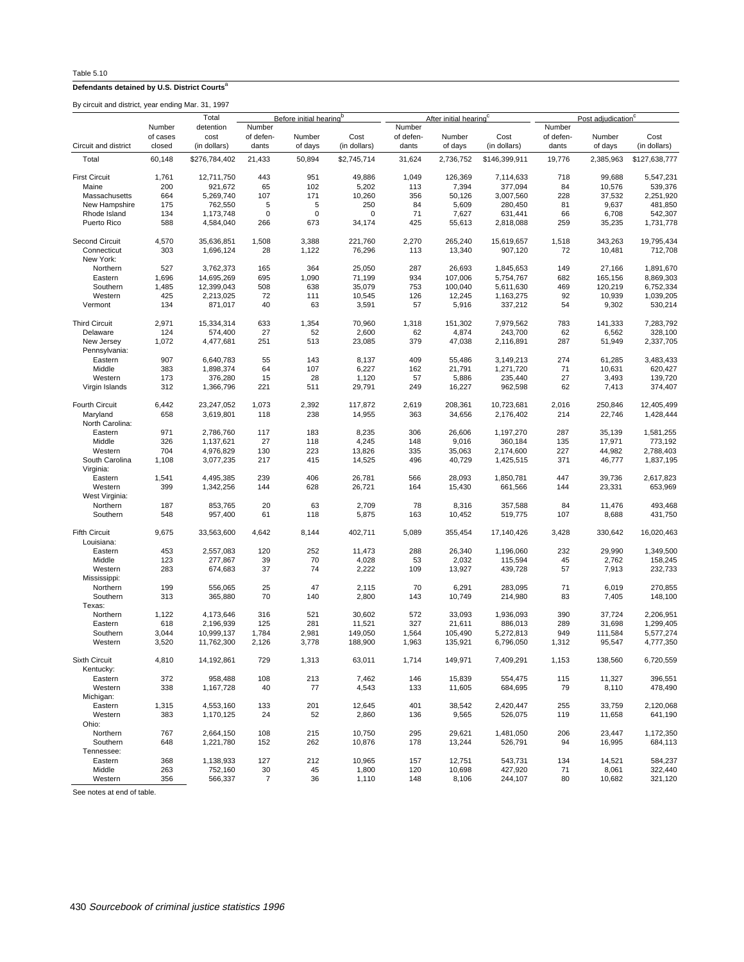# **Defendants detained by U.S. District Courts**<sup>a</sup>

By circuit and district, year ending Mar. 31, 1997

|                             |                    | Total             |                     | Before initial hearing <sup>b</sup> |              |                     | After initial hearing <sup>c</sup> |               |                     | Post adjudication <sup>c</sup> |               |
|-----------------------------|--------------------|-------------------|---------------------|-------------------------------------|--------------|---------------------|------------------------------------|---------------|---------------------|--------------------------------|---------------|
|                             | Number<br>of cases | detention<br>cost | Number<br>of defen- | Number                              | Cost         | Number<br>of defen- | Number                             | Cost          | Number<br>of defen- | Number                         | Cost          |
| Circuit and district        | closed             | (in dollars)      | dants               | of days                             | (in dollars) | dants               | of days                            | (in dollars)  | dants               | of days                        | (in dollars)  |
| Total                       | 60,148             | \$276,784,402     | 21,433              | 50,894                              | \$2,745,714  | 31,624              | 2,736,752                          | \$146,399,911 | 19,776              | 2,385,963                      | \$127,638,777 |
| <b>First Circuit</b>        | 1,761              | 12.711.750        | 443                 | 951                                 | 49,886       | 1,049               | 126,369                            | 7.114.633     | 718                 | 99,688                         | 5,547,231     |
| Maine                       | 200                | 921,672           | 65                  | 102                                 | 5,202        | 113                 | 7,394                              | 377,094       | 84                  | 10,576                         | 539,376       |
| Massachusetts               | 664                | 5,269,740         | 107                 | 171                                 | 10,260       | 356                 | 50,126                             | 3,007,560     | 228                 | 37,532                         | 2,251,920     |
| New Hampshire               | 175                | 762,550           | 5                   | 5                                   | 250          | 84                  | 5,609                              | 280,450       | 81                  | 9,637                          | 481,850       |
| Rhode Island                | 134                | 1,173,748         | $\mathbf 0$         | $\mathbf 0$                         | $\mathbf 0$  | 71                  | 7,627                              | 631,441       | 66                  | 6,708                          | 542,307       |
| Puerto Rico                 | 588                | 4,584,040         | 266                 | 673                                 | 34,174       | 425                 | 55,613                             | 2,818,088     | 259                 | 35,235                         | 1,731,778     |
| <b>Second Circuit</b>       | 4,570              | 35,636,851        | 1,508               | 3,388                               | 221,760      | 2,270               | 265,240                            | 15,619,657    | 1,518               | 343,263                        | 19,795,434    |
| Connecticut<br>New York:    | 303                | 1,696,124         | 28                  | 1,122                               | 76,296       | 113                 | 13,340                             | 907,120       | 72                  | 10,481                         | 712,708       |
| Northern                    | 527                | 3,762,373         | 165                 | 364                                 | 25,050       | 287                 | 26,693                             | 1,845,653     | 149                 | 27,166                         | 1,891,670     |
| Eastern                     | 1,696              | 14,695,269        | 695                 | 1,090                               | 71,199       | 934                 | 107,006                            | 5,754,767     | 682                 | 165,156                        | 8,869,303     |
| Southern                    | 1,485              | 12,399,043        | 508                 | 638                                 | 35,079       | 753                 | 100,040                            | 5,611,630     | 469                 | 120,219                        | 6,752,334     |
| Western                     | 425                | 2,213,025         | 72                  | 111                                 | 10,545       | 126                 | 12,245                             | 1,163,275     | 92                  | 10,939                         | 1,039,205     |
|                             |                    |                   |                     |                                     |              |                     |                                    |               |                     |                                |               |
| Vermont                     | 134                | 871,017           | 40                  | 63                                  | 3,591        | 57                  | 5,916                              | 337,212       | 54                  | 9,302                          | 530,214       |
| <b>Third Circuit</b>        | 2,971              | 15,334,314        | 633                 | 1,354                               | 70,960       | 1,318               | 151,302                            | 7,979,562     | 783                 | 141,333                        | 7,283,792     |
| Delaware                    | 124                | 574,400           | 27                  | 52                                  | 2,600        | 62                  | 4,874                              | 243,700       | 62                  | 6,562                          | 328,100       |
| New Jersey<br>Pennsylvania: | 1,072              | 4,477,681         | 251                 | 513                                 | 23,085       | 379                 | 47,038                             | 2,116,891     | 287                 | 51,949                         | 2,337,705     |
| Eastern                     | 907                | 6,640,783         | 55                  | 143                                 | 8,137        | 409                 | 55,486                             | 3,149,213     | 274                 | 61,285                         | 3,483,433     |
| Middle                      | 383                | 1,898,374         | 64                  | 107                                 | 6,227        | 162                 | 21,791                             | 1,271,720     | 71                  | 10,631                         | 620,427       |
| Western                     | 173                | 376,280           | 15                  | 28                                  | 1,120        | 57                  | 5,886                              | 235,440       | 27                  | 3,493                          | 139,720       |
| Virgin Islands              | 312                | 1,366,796         | 221                 | 511                                 | 29,791       | 249                 | 16,227                             | 962,598       | 62                  | 7,413                          | 374,407       |
| Fourth Circuit              | 6,442              | 23,247,052        | 1,073               | 2,392                               | 117,872      | 2,619               | 208,361                            | 10,723,681    | 2,016               | 250,846                        | 12,405,499    |
| Maryland<br>North Carolina: | 658                | 3,619,801         | 118                 | 238                                 | 14,955       | 363                 | 34,656                             | 2,176,402     | 214                 | 22,746                         | 1,428,444     |
| Eastern                     | 971                |                   | 117                 | 183                                 |              | 306                 |                                    |               | 287                 |                                | 1,581,255     |
|                             | 326                | 2,786,760         |                     |                                     | 8,235        |                     | 26,606                             | 1,197,270     |                     | 35,139                         |               |
| Middle                      |                    | 1,137,621         | 27                  | 118                                 | 4,245        | 148                 | 9,016                              | 360,184       | 135                 | 17,971                         | 773,192       |
| Western                     | 704                | 4,976,829         | 130                 | 223                                 | 13,826       | 335                 | 35,063                             | 2,174,600     | 227                 | 44,982                         | 2,788,403     |
| South Carolina<br>Virginia: | 1,108              | 3,077,235         | 217                 | 415                                 | 14,525       | 496                 | 40,729                             | 1,425,515     | 371                 | 46,777                         | 1,837,195     |
| Eastern                     | 1,541              | 4,495,385         | 239                 | 406                                 | 26,781       | 566                 | 28,093                             | 1,850,781     | 447                 | 39,736                         | 2,617,823     |
| Western<br>West Virginia:   | 399                | 1,342,256         | 144                 | 628                                 | 26,721       | 164                 | 15,430                             | 661,566       | 144                 | 23,331                         | 653,969       |
| Northern                    | 187                | 853,765           | 20                  | 63                                  | 2,709        | 78                  | 8,316                              | 357,588       | 84                  | 11,476                         | 493,468       |
| Southern                    | 548                | 957,400           | 61                  | 118                                 | 5,875        | 163                 | 10,452                             | 519,775       | 107                 | 8,688                          | 431,750       |
| <b>Fifth Circuit</b>        | 9,675              | 33,563,600        | 4,642               | 8,144                               | 402,711      | 5,089               | 355,454                            | 17,140,426    | 3,428               | 330,642                        | 16,020,463    |
| Louisiana:                  |                    |                   |                     |                                     |              |                     |                                    |               |                     |                                |               |
| Eastern                     | 453                | 2,557,083         | 120                 | 252                                 | 11,473       | 288                 | 26,340                             | 1,196,060     | 232                 | 29,990                         | 1,349,500     |
| Middle                      | 123                | 277,867           | 39                  | 70                                  | 4,028        | 53                  | 2,032                              | 115,594       | 45                  | 2,762                          | 158,245       |
| Western<br>Mississippi:     | 283                | 674,683           | 37                  | 74                                  | 2,222        | 109                 | 13,927                             | 439,728       | 57                  | 7,913                          | 232,733       |
| Northern                    | 199                | 556,065           | 25                  | 47                                  | 2,115        | 70                  | 6,291                              | 283,095       | 71                  | 6,019                          | 270,855       |
|                             |                    |                   |                     |                                     |              |                     |                                    |               |                     |                                |               |
| Southern<br>Texas:          | 313                | 365,880           | 70                  | 140                                 | 2,800        | 143                 | 10,749                             | 214,980       | 83                  | 7,405                          | 148,100       |
| Northern                    | 1,122              | 4,173,646         | 316                 | 521                                 | 30,602       | 572                 | 33,093                             | 1,936,093     | 390                 | 37,724                         | 2,206,951     |
| Eastern                     | 618                | 2,196,939         | 125                 | 281                                 | 11,521       | 327                 | 21,611                             | 886,013       | 289                 | 31,698                         | 1,299,405     |
| Southern                    | 3,044              | 10,999,137        | 1,784               | 2,981                               | 149,050      | 1,564               | 105,490                            | 5,272,813     | 949                 | 111,584                        | 5,577,274     |
| Western                     | 3,520              | 11,762,300        | 2,126               | 3,778                               | 188,900      | 1,963               | 135,921                            | 6,796,050     | 1,312               | 95,547                         | 4,777,350     |
| Sixth Circuit               | 4,810              | 14,192,861        | 729                 | 1,313                               | 63,011       | 1,714               | 149,971                            | 7,409,291     | 1,153               | 138,560                        | 6,720,559     |
| Kentucky:                   |                    |                   |                     |                                     |              |                     |                                    |               |                     |                                |               |
| Eastern                     | 372                | 958,488           | 108                 | 213                                 | 7,462        | 146                 | 15,839                             | 554,475       | 115                 | 11,327                         | 396,551       |
| Western<br>Michigan:        | 338                | 1,167,728         | 40                  | 77                                  | 4,543        | 133                 | 11,605                             | 684,695       | 79                  | 8,110                          | 478,490       |
| Eastern                     | 1,315              | 4,553,160         | 133                 | 201                                 | 12,645       | 401                 | 38,542                             | 2,420,447     | 255                 | 33,759                         | 2,120,068     |
| Western                     | 383                | 1,170,125         | 24                  | 52                                  | 2,860        | 136                 | 9,565                              | 526,075       | 119                 | 11,658                         | 641,190       |
| Ohio:                       |                    |                   |                     |                                     |              |                     |                                    |               |                     |                                |               |
| Northern                    | 767                | 2,664,150         | 108                 | 215                                 | 10,750       | 295                 | 29,621                             | 1,481,050     | 206                 | 23,447                         | 1,172,350     |
| Southern<br>Tennessee:      | 648                | 1,221,780         | 152                 | 262                                 | 10,876       | 178                 | 13,244                             | 526,791       | 94                  | 16,995                         | 684,113       |
| Eastern                     | 368                | 1,138,933         | 127                 | 212                                 | 10,965       | 157                 | 12,751                             | 543,731       | 134                 | 14,521                         | 584,237       |
| Middle                      |                    |                   |                     |                                     |              |                     |                                    |               |                     |                                |               |
|                             | 263                | 752,160           | 30                  | 45                                  | 1,800        | 120                 | 10,698                             | 427,920       | 71                  | 8,061                          | 322,440       |
| Western                     | 356                | 566,337           | $\overline{7}$      | 36                                  | 1,110        | 148                 | 8,106                              | 244,107       | 80                  | 10,682                         | 321,120       |

See notes at end of table.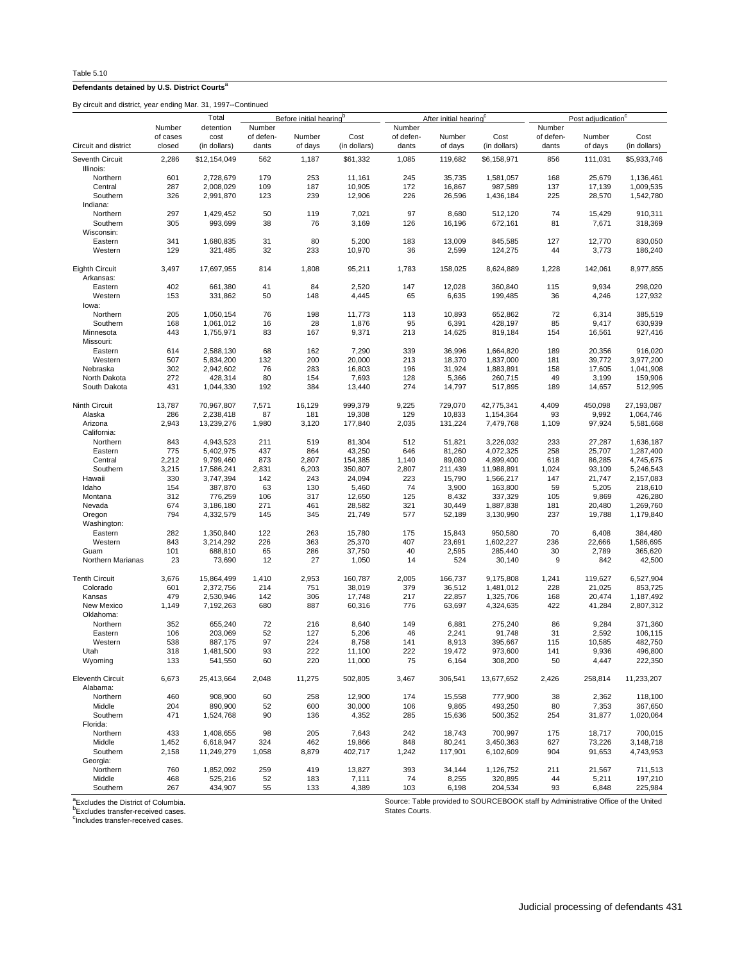# **Defendants detained by U.S. District Courts<sup>a</sup>**

By circuit and district, year ending Mar. 31, 1997--Continued

|                                     | Total<br>Before initial hearing <sup>b</sup> |                         |              |               | After initial hearing <sup>c</sup> |              | Post adjudication <sup>c</sup> |                         |             |                  |                         |
|-------------------------------------|----------------------------------------------|-------------------------|--------------|---------------|------------------------------------|--------------|--------------------------------|-------------------------|-------------|------------------|-------------------------|
|                                     | Number                                       | detention               | Number       |               |                                    | Number       |                                |                         | Number      |                  |                         |
|                                     | of cases                                     | cost                    | of defen-    | Number        | Cost                               | of defen-    | Number                         | Cost                    | of defen-   | Number           | Cost                    |
| Circuit and district                | closed                                       | (in dollars)            | dants        | of days       | (in dollars)                       | dants        | of days                        | (in dollars)            | dants       | of days          | (in dollars)            |
| Seventh Circuit<br>Illinois:        | 2,286                                        | \$12,154,049            | 562          | 1,187         | \$61,332                           | 1,085        | 119,682                        | \$6,158,971             | 856         | 111,031          | \$5,933,746             |
| Northern                            | 601                                          | 2,728,679               | 179          | 253           | 11,161                             | 245          | 35,735                         | 1,581,057               | 168         | 25,679           | 1,136,461               |
| Central                             | 287                                          | 2,008,029               | 109          | 187           | 10,905                             | 172          | 16,867                         | 987,589                 | 137         | 17,139           | 1,009,535               |
| Southern                            | 326                                          | 2,991,870               | 123          | 239           | 12,906                             | 226          | 26,596                         | 1,436,184               | 225         | 28,570           | 1,542,780               |
| Indiana:<br>Northern                | 297                                          | 1,429,452               | 50           | 119           | 7,021                              | 97           | 8,680                          | 512,120                 | 74          | 15,429           | 910,311                 |
| Southern                            | 305                                          | 993,699                 | 38           | 76            | 3,169                              | 126          | 16,196                         | 672,161                 | 81          | 7,671            | 318,369                 |
| Wisconsin:                          |                                              |                         |              |               |                                    |              |                                |                         |             |                  |                         |
| Eastern                             | 341                                          | 1,680,835               | 31           | 80            | 5,200                              | 183          | 13,009                         | 845,585                 | 127         | 12,770           | 830.050                 |
| Western                             | 129                                          | 321,485                 | 32           | 233           | 10,970                             | 36           | 2,599                          | 124,275                 | 44          | 3,773            | 186,240                 |
|                                     |                                              |                         |              |               |                                    |              |                                |                         |             |                  |                         |
| <b>Eighth Circuit</b><br>Arkansas:  | 3,497                                        | 17,697,955              | 814          | 1,808         | 95,211                             | 1,783        | 158,025                        | 8,624,889               | 1,228       | 142,061          | 8,977,855               |
| Eastern                             | 402                                          | 661,380                 | 41           | 84            | 2,520                              | 147          | 12,028                         | 360,840                 | 115         | 9,934            | 298,020                 |
| Western                             | 153                                          | 331,862                 | 50           | 148           | 4,445                              | 65           | 6,635                          | 199,485                 | 36          | 4,246            | 127,932                 |
| lowa:                               |                                              |                         |              |               |                                    |              |                                |                         |             |                  |                         |
| Northern                            | 205<br>168                                   | 1,050,154               | 76           | 198           | 11,773                             | 113          | 10,893                         | 652,862                 | 72          | 6,314            | 385,519                 |
| Southern<br>Minnesota               | 443                                          | 1,061,012<br>1,755,971  | 16<br>83     | 28<br>167     | 1,876<br>9,371                     | 95<br>213    | 6,391<br>14,625                | 428,197<br>819,184      | 85<br>154   | 9,417<br>16,561  | 630,939<br>927,416      |
| Missouri:                           |                                              |                         |              |               |                                    |              |                                |                         |             |                  |                         |
| Eastern                             | 614                                          | 2,588,130               | 68           | 162           | 7,290                              | 339          | 36,996                         | 1,664,820               | 189         | 20,356           | 916,020                 |
| Western                             | 507                                          | 5,834,200               | 132          | 200           | 20,000                             | 213          | 18,370                         | 1,837,000               | 181         | 39,772           | 3,977,200               |
| Nebraska                            | 302                                          | 2,942,602               | 76           | 283           | 16,803                             | 196          | 31,924                         | 1,883,891               | 158         | 17,605           | 1,041,908               |
| North Dakota                        | 272                                          | 428,314                 | 80           | 154           | 7,693                              | 128          | 5,366                          | 260,715                 | 49          | 3,199            | 159,906                 |
| South Dakota                        | 431                                          | 1,044,330               | 192          | 384           | 13,440                             | 274          | 14,797                         | 517,895                 | 189         | 14,657           | 512,995                 |
|                                     |                                              |                         |              |               |                                    |              |                                |                         |             |                  |                         |
| Ninth Circuit<br>Alaska             | 13,787<br>286                                | 70,967,807<br>2,238,418 | 7,571<br>87  | 16,129<br>181 | 999,379<br>19,308                  | 9,225<br>129 | 729,070<br>10,833              | 42,775,341<br>1,154,364 | 4,409<br>93 | 450,098<br>9,992 | 27,193,087<br>1,064,746 |
| Arizona                             | 2,943                                        | 13,239,276              | 1,980        | 3,120         | 177,840                            | 2,035        | 131,224                        | 7,479,768               | 1,109       | 97,924           | 5,581,668               |
| California:                         |                                              |                         |              |               |                                    |              |                                |                         |             |                  |                         |
| Northern                            | 843                                          | 4,943,523               | 211          | 519           | 81,304                             | 512          | 51,821                         | 3,226,032               | 233         | 27,287           | 1,636,187               |
| Eastern                             | 775                                          | 5,402,975               | 437          | 864           | 43,250                             | 646          | 81,260                         | 4,072,325               | 258         | 25,707           | 1,287,400               |
| Central                             | 2,212                                        | 9,799,460               | 873          | 2,807         | 154,385                            | 1,140        | 89,080                         | 4,899,400               | 618         | 86,285           | 4,745,675               |
| Southern                            | 3,215                                        | 17,586,241              | 2,831        | 6,203         | 350,807                            | 2,807        | 211,439                        | 11,988,891              | 1,024       | 93,109           | 5,246,543               |
| Hawaii                              | 330                                          | 3,747,394               | 142          | 243           | 24,094                             | 223          | 15,790                         | 1,566,217               | 147         | 21,747           | 2,157,083               |
| Idaho                               | 154                                          | 387,870                 | 63           | 130           | 5,460                              | 74           | 3,900                          | 163,800                 | 59          | 5,205            | 218,610                 |
| Montana                             | 312<br>674                                   | 776,259<br>3,186,180    | 106<br>271   | 317<br>461    | 12,650<br>28,582                   | 125<br>321   | 8,432<br>30,449                | 337,329<br>1,887,838    | 105<br>181  | 9,869            | 426,280<br>1,269,760    |
| Nevada<br>Oregon                    | 794                                          | 4,332,579               | 145          | 345           | 21,749                             | 577          | 52,189                         | 3,130,990               | 237         | 20,480<br>19,788 | 1,179,840               |
| Washington:                         |                                              |                         |              |               |                                    |              |                                |                         |             |                  |                         |
| Eastern                             | 282                                          | 1,350,840               | 122          | 263           | 15,780                             | 175          | 15,843                         | 950,580                 | 70          | 6,408            | 384,480                 |
| Western                             | 843                                          | 3,214,292               | 226          | 363           | 25,370                             | 407          | 23,691                         | 1,602,227               | 236         | 22,666           | 1,586,695               |
| Guam                                | 101                                          | 688,810                 | 65           | 286           | 37,750                             | 40           | 2,595                          | 285,440                 | 30          | 2,789            | 365,620                 |
| Northern Marianas                   | 23                                           | 73,690                  | 12           | 27            | 1,050                              | 14           | 524                            | 30,140                  | 9           | 842              | 42,500                  |
| <b>Tenth Circuit</b>                | 3,676                                        | 15,864,499              | 1,410        | 2,953         | 160,787                            | 2,005        | 166,737                        | 9,175,808               | 1,241       | 119,627          | 6,527,904               |
| Colorado                            | 601                                          | 2,372,756               | 214          | 751           | 38,019                             | 379          | 36,512                         | 1,481,012               | 228         | 21,025           | 853,725                 |
| Kansas                              | 479                                          | 2,530,946               | 142          | 306           | 17,748                             | 217          | 22,857                         | 1,325,706               | 168         | 20,474           | 1,187,492               |
| New Mexico                          | 1,149                                        | 7,192,263               | 680          | 887           | 60,316                             | 776          | 63,697                         | 4,324,635               | 422         | 41,284           | 2,807,312               |
| Oklahoma:                           |                                              |                         |              |               |                                    |              |                                |                         |             |                  |                         |
| Northern                            | 352                                          | 655,240                 | 72           | 216           | 8,640                              | 149          | 6,881                          | 275,240                 | 86          | 9,284            | 371,360                 |
| Eastern                             | 106                                          | 203,069                 | 52           | 127           | 5,206                              | 46           | 2,241                          | 91,748                  | 31          | 2,592            | 106,115                 |
| Western<br>Utah                     | 538<br>318                                   | 887,175                 | 97<br>93     | 224<br>222    | 8,758<br>11,100                    | 141<br>222   | 8,913<br>19,472                | 395,667                 | 115<br>141  | 10,585<br>9,936  | 482,750<br>496,800      |
| Wyoming                             | 133                                          | 1,481,500<br>541,550    | 60           | 220           | 11,000                             | 75           | 6,164                          | 973,600<br>308,200      | 50          | 4,447            | 222,350                 |
|                                     |                                              |                         |              |               |                                    |              |                                |                         |             |                  |                         |
| <b>Eleventh Circuit</b><br>Alabama: | 6,673                                        | 25,413,664              | 2,048        | 11,275        | 502,805                            | 3,467        | 306,541                        | 13,677,652              | 2,426       | 258,814          | 11,233,207              |
| Northern                            | 460                                          | 908,900                 | 60           | 258           | 12,900                             | 174          | 15,558                         | 777,900                 | 38          | 2,362            | 118,100                 |
| Middle                              | 204                                          | 890,900                 | 52           | 600           | 30,000                             | 106          | 9,865                          | 493,250                 | 80          | 7,353            | 367,650                 |
| Southern                            | 471                                          | 1,524,768               | 90           | 136           | 4,352                              | 285          | 15,636                         | 500,352                 | 254         | 31,877           | 1,020,064               |
| Florida:                            |                                              |                         |              |               |                                    |              |                                |                         |             |                  |                         |
| Northern                            | 433                                          | 1,408,655               | 98           | 205           | 7,643                              | 242          | 18,743                         | 700,997                 | 175         | 18,717           | 700,015                 |
| Middle<br>Southern                  | 1,452<br>2,158                               | 6,618,947<br>11,249,279 | 324<br>1,058 | 462<br>8,879  | 19,866<br>402,717                  | 848<br>1,242 | 80,241<br>117,901              | 3,450,363<br>6,102,609  | 627<br>904  | 73,226<br>91,653 | 3,148,718<br>4,743,953  |
| Georgia:                            |                                              |                         |              |               |                                    |              |                                |                         |             |                  |                         |
| Northern                            | 760                                          | 1,852,092               | 259          | 419           | 13,827                             | 393          | 34,144                         | 1,126,752               | 211         | 21,567           | 711,513                 |
| Middle                              | 468                                          | 525,216                 | 52           | 183           | 7,111                              | 74           | 8,255                          | 320,895                 | 44          | 5,211            | 197,210                 |
| Southern                            | 267                                          | 434,907                 | 55           | 133           | 4,389                              | 103          | 6,198                          | 204,534                 | 93          | 6,848            | 225,984                 |

<sup>a</sup>Excludes the District of Columbia.<br><sup>b</sup>Excludes transfer-received cases.<br><sup>c</sup>Includes transfer-received cases.

Source: Table provided to SOURCEBOOK staff by Administrative Office of the United States Courts.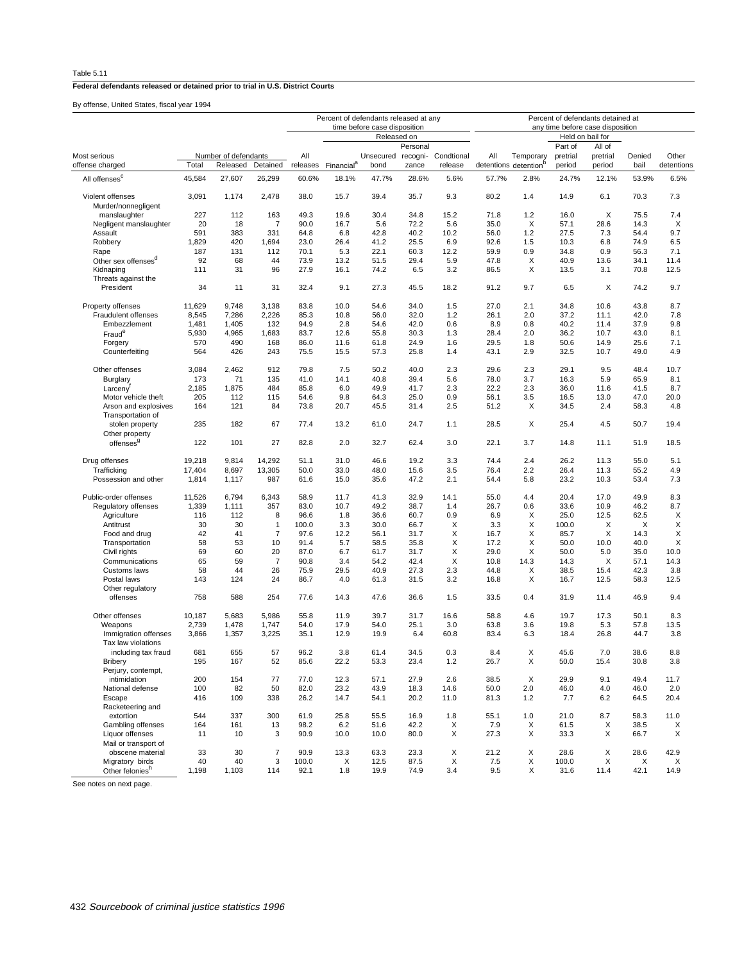# **Federal defendants released or detained prior to trial in U.S. District Courts**

By offense, United States, fiscal year 1994

|                                           |           |                                  |                | Percent of defendants released at any |                        |                              |                   | Percent of defendants detained at |              |                                                |                    |                                  |                |                     |
|-------------------------------------------|-----------|----------------------------------|----------------|---------------------------------------|------------------------|------------------------------|-------------------|-----------------------------------|--------------|------------------------------------------------|--------------------|----------------------------------|----------------|---------------------|
|                                           |           |                                  |                |                                       |                        | time before case disposition |                   |                                   |              |                                                |                    | any time before case disposition |                |                     |
|                                           |           |                                  |                |                                       |                        | Released on                  |                   |                                   |              |                                                | Held on bail for   |                                  |                |                     |
|                                           |           |                                  |                |                                       |                        |                              | Personal          |                                   |              |                                                | Part of            | All of                           |                |                     |
| Most serious<br>offense charged           | Total     | Number of defendants<br>Released | Detained       | All<br>releases                       | Financial <sup>a</sup> | Unsecured<br>bond            | recogni-<br>zance | Condtional<br>release             | All          | Temporary<br>detentions detention <sup>b</sup> | pretrial<br>period | pretrial<br>period               | Denied<br>bail | Other<br>detentions |
| All offenses <sup>c</sup>                 | 45,584    | 27,607                           | 26,299         | 60.6%                                 | 18.1%                  | 47.7%                        | 28.6%             | 5.6%                              | 57.7%        | 2.8%                                           | 24.7%              | 12.1%                            | 53.9%          | 6.5%                |
| Violent offenses                          | 3,091     | 1,174                            | 2,478          | 38.0                                  | 15.7                   | 39.4                         | 35.7              | 9.3                               | 80.2         | 1.4                                            | 14.9               | 6.1                              | 70.3           | 7.3                 |
| Murder/nonnegligent                       |           |                                  |                |                                       |                        |                              |                   |                                   |              |                                                |                    |                                  |                |                     |
| manslaughter                              | 227<br>20 | 112<br>18                        | 163<br>7       | 49.3<br>90.0                          | 19.6<br>16.7           | 30.4<br>5.6                  | 34.8<br>72.2      | 15.2<br>5.6                       | 71.8<br>35.0 | 1.2<br>X                                       | 16.0<br>57.1       | X<br>28.6                        | 75.5<br>14.3   | 7.4<br>X            |
| Negligent manslaughter<br>Assault         | 591       | 383                              | 331            | 64.8                                  | 6.8                    | 42.8                         | 40.2              | 10.2                              | 56.0         | 1.2                                            | 27.5               | 7.3                              | 54.4           | 9.7                 |
| Robbery                                   | 1,829     | 420                              | 1,694          | 23.0                                  | 26.4                   | 41.2                         | 25.5              | 6.9                               | 92.6         | 1.5                                            | 10.3               | 6.8                              | 74.9           | 6.5                 |
| Rape                                      | 187       | 131                              | 112            | 70.1                                  | 5.3                    | 22.1                         | 60.3              | 12.2                              | 59.9         | 0.9                                            | 34.8               | 0.9                              | 56.3           | 7.1                 |
| Other sex offenses <sup>d</sup>           | 92        | 68                               | 44             | 73.9                                  | 13.2                   | 51.5                         | 29.4              | 5.9                               | 47.8         | X                                              | 40.9               | 13.6                             | 34.1           | 11.4                |
| Kidnaping                                 | 111       | 31                               | 96             | 27.9                                  | 16.1                   | 74.2                         | 6.5               | 3.2                               | 86.5         | Х                                              | 13.5               | 3.1                              | 70.8           | 12.5                |
| Threats against the                       |           |                                  |                |                                       |                        |                              |                   |                                   |              |                                                |                    |                                  |                |                     |
| President                                 | 34        | 11                               | 31             | 32.4                                  | 9.1                    | 27.3                         | 45.5              | 18.2                              | 91.2         | 9.7                                            | 6.5                | X                                | 74.2           | 9.7                 |
| Property offenses                         | 11,629    | 9,748                            | 3,138          | 83.8                                  | 10.0                   | 54.6                         | 34.0              | 1.5                               | 27.0         | 2.1                                            | 34.8               | 10.6                             | 43.8           | 8.7                 |
| Fraudulent offenses                       | 8,545     | 7,286                            | 2,226          | 85.3                                  | 10.8                   | 56.0                         | 32.0              | 1.2                               | 26.1         | 2.0                                            | 37.2               | 11.1                             | 42.0           | 7.8                 |
| Embezzlement                              | 1,481     | 1,405                            | 132            | 94.9                                  | 2.8                    | 54.6                         | 42.0              | 0.6                               | 8.9          | 0.8                                            | 40.2               | 11.4                             | 37.9           | 9.8                 |
| Fraude                                    | 5,930     | 4,965                            | 1,683          | 83.7                                  | 12.6                   | 55.8                         | 30.3              | 1.3                               | 28.4         | 2.0                                            | 36.2               | 10.7                             | 43.0           | 8.1                 |
| Forgery                                   | 570       | 490                              | 168            | 86.0                                  | 11.6                   | 61.8                         | 24.9              | 1.6                               | 29.5         | 1.8                                            | 50.6               | 14.9                             | 25.6           | 7.1                 |
| Counterfeiting                            | 564       | 426                              | 243            | 75.5                                  | 15.5                   | 57.3                         | 25.8              | 1.4                               | 43.1         | 2.9                                            | 32.5               | 10.7                             | 49.0           | 4.9                 |
| Other offenses                            | 3,084     | 2,462                            | 912            | 79.8                                  | 7.5                    | 50.2                         | 40.0              | 2.3                               | 29.6         | 2.3                                            | 29.1               | 9.5                              | 48.4           | 10.7                |
| Burglary                                  | 173       | 71                               | 135            | 41.0                                  | 14.1                   | 40.8                         | 39.4              | 5.6                               | 78.0         | 3.7                                            | 16.3               | 5.9                              | 65.9           | 8.1                 |
| Larceny                                   | 2,185     | 1,875                            | 484            | 85.8                                  | 6.0                    | 49.9                         | 41.7              | 2.3                               | 22.2         | 2.3                                            | 36.0               | 11.6                             | 41.5           | 8.7                 |
| Motor vehicle theft                       | 205       | 112                              | 115            | 54.6                                  | 9.8                    | 64.3                         | 25.0              | 0.9                               | 56.1         | 3.5                                            | 16.5               | 13.0                             | 47.0           | 20.0                |
| Arson and explosives<br>Transportation of | 164       | 121                              | 84             | 73.8                                  | 20.7                   | 45.5                         | 31.4              | 2.5                               | 51.2         | Х                                              | 34.5               | 2.4                              | 58.3           | 4.8                 |
| stolen property<br>Other property         | 235       | 182                              | 67             | 77.4                                  | 13.2                   | 61.0                         | 24.7              | 1.1                               | 28.5         | X                                              | 25.4               | 4.5                              | 50.7           | 19.4                |
| offenses <sup>g</sup>                     | 122       | 101                              | 27             | 82.8                                  | 2.0                    | 32.7                         | 62.4              | 3.0                               | 22.1         | 3.7                                            | 14.8               | 11.1                             | 51.9           | 18.5                |
| Drug offenses                             | 19,218    | 9,814                            | 14,292         | 51.1                                  | 31.0                   | 46.6                         | 19.2              | 3.3                               | 74.4         | 2.4                                            | 26.2               | 11.3                             | 55.0           | 5.1                 |
| Trafficking                               | 17,404    | 8,697                            | 13,305         | 50.0                                  | 33.0                   | 48.0                         | 15.6              | 3.5                               | 76.4         | 2.2                                            | 26.4               | 11.3                             | 55.2           | 4.9                 |
| Possession and other                      | 1,814     | 1,117                            | 987            | 61.6                                  | 15.0                   | 35.6                         | 47.2              | 2.1                               | 54.4         | 5.8                                            | 23.2               | 10.3                             | 53.4           | 7.3                 |
| Public-order offenses                     | 11,526    | 6,794                            | 6,343          | 58.9                                  | 11.7                   | 41.3                         | 32.9              | 14.1                              | 55.0         | 4.4                                            | 20.4               | 17.0                             | 49.9           | 8.3                 |
| Regulatory offenses                       | 1,339     | 1,111                            | 357            | 83.0                                  | 10.7                   | 49.2                         | 38.7              | 1.4                               | 26.7         | 0.6                                            | 33.6               | 10.9                             | 46.2           | 8.7                 |
| Agriculture                               | 116       | 112                              | 8              | 96.6                                  | 1.8                    | 36.6                         | 60.7              | 0.9                               | 6.9          | Х                                              | 25.0               | 12.5                             | 62.5           | X                   |
| Antitrust                                 | 30        | 30                               | $\mathbf{1}$   | 100.0                                 | 3.3                    | 30.0                         | 66.7              | Х                                 | 3.3          | X                                              | 100.0              | X                                | Χ              | X                   |
| Food and drug                             | 42        | 41                               | $\overline{7}$ | 97.6                                  | 12.2                   | 56.1                         | 31.7              | X                                 | 16.7         | Х                                              | 85.7               | X                                | 14.3           | X                   |
| Transportation                            | 58        | 53                               | 10             | 91.4                                  | 5.7                    | 58.5                         | 35.8              | X                                 | 17.2         | X                                              | 50.0               | 10.0                             | 40.0           | X                   |
| Civil rights                              | 69        | 60                               | 20             | 87.0                                  | 6.7                    | 61.7                         | 31.7              | X                                 | 29.0         | X                                              | 50.0               | 5.0                              | 35.0           | 10.0                |
| Communications                            | 65        | 59                               | $\overline{7}$ | 90.8                                  | 3.4                    | 54.2                         | 42.4              | X                                 | 10.8         | 14.3                                           | 14.3               | Х                                | 57.1           | 14.3                |
| Customs laws                              | 58        | 44                               | 26             | 75.9                                  | 29.5                   | 40.9                         | 27.3              | 2.3                               | 44.8         | X                                              | 38.5               | 15.4                             | 42.3           | 3.8                 |
| Postal laws                               | 143       | 124                              | 24             | 86.7                                  | 4.0                    | 61.3                         | 31.5              | 3.2                               | 16.8         | X                                              | 16.7               | 12.5                             | 58.3           | 12.5                |
| Other regulatory<br>offenses              | 758       | 588                              | 254            | 77.6                                  | 14.3                   | 47.6                         | 36.6              | 1.5                               | 33.5         | 0.4                                            | 31.9               | 11.4                             | 46.9           | 9.4                 |
| Other offenses                            | 10,187    | 5,683                            | 5,986          | 55.8                                  | 11.9                   | 39.7                         | 31.7              | 16.6                              | 58.8         | 4.6                                            | 19.7               | 17.3                             | 50.1           | 8.3                 |
| Weapons                                   | 2,739     | 1,478                            | 1,747          | 54.0                                  | 17.9                   | 54.0                         | 25.1              | 3.0                               | 63.8         | 3.6                                            | 19.8               | 5.3                              | 57.8           | 13.5                |
| Immigration offenses                      | 3,866     | 1,357                            | 3,225          | 35.1                                  | 12.9                   | 19.9                         | 6.4               | 60.8                              | 83.4         | 6.3                                            | 18.4               | 26.8                             | 44.7           | 3.8                 |
| Tax law violations                        |           |                                  |                |                                       |                        |                              |                   |                                   |              |                                                |                    |                                  |                |                     |
| including tax fraud                       | 681       | 655                              | 57             | 96.2                                  | 3.8                    | 61.4                         | 34.5              | 0.3                               | 8.4          | X                                              | 45.6               | 7.0                              | 38.6           | 8.8                 |
| <b>Bribery</b><br>Perjury, contempt,      | 195       | 167                              | 52             | 85.6                                  | 22.2                   | 53.3                         | 23.4              | 1.2                               | 26.7         | X                                              | 50.0               | 15.4                             | 30.8           | 3.8                 |
| intimidation                              | 200       | 154                              | 77             | 77.0                                  | 12.3                   | 57.1                         | 27.9              | 2.6                               | 38.5         | X                                              | 29.9               | 9.1                              | 49.4           | 11.7                |
| National defense                          | 100       | 82                               | 50             | 82.0                                  | 23.2                   | 43.9                         | 18.3              | 14.6                              | 50.0         | 2.0                                            | 46.0               | 4.0                              | 46.0           | 2.0                 |
| Escape<br>Racketeering and                | 416       | 109                              | 338            | 26.2                                  | 14.7                   | 54.1                         | 20.2              | 11.0                              | 81.3         | 1.2                                            | 7.7                | 6.2                              | 64.5           | 20.4                |
| extortion                                 | 544       | 337                              | 300            | 61.9                                  | 25.8                   | 55.5                         | 16.9              | 1.8                               | 55.1         | 1.0                                            | 21.0               | 8.7                              | 58.3           | 11.0                |
| Gambling offenses                         | 164       | 161                              | 13             | 98.2                                  | 6.2                    | 51.6                         | 42.2              | Х                                 | 7.9          | X                                              | 61.5               | X                                | 38.5           | X                   |
| Liquor offenses                           | 11        | 10                               | 3              | 90.9                                  | 10.0                   | 10.0                         | 80.0              | X                                 | 27.3         | X                                              | 33.3               | X                                | 66.7           | X                   |
| Mail or transport of                      |           |                                  |                |                                       |                        |                              |                   |                                   |              |                                                |                    |                                  |                |                     |
| obscene material                          | 33        | 30                               | $\overline{7}$ | 90.9                                  | 13.3                   | 63.3                         | 23.3              | X                                 | 21.2         | X                                              | 28.6               | X                                | 28.6           | 42.9                |
| Migratory birds                           | 40        | 40                               | 3              | 100.0                                 | Х                      | 12.5                         | 87.5              | X                                 | 7.5          | X                                              | 100.0              | X                                | Х              | X                   |
| Other felonies <sup>h</sup>               | 1,198     | 1,103                            | 114            | 92.1                                  | 1.8                    | 19.9                         | 74.9              | 3.4                               | 9.5          | X                                              | 31.6               | 11.4                             | 42.1           | 14.9                |

See notes on next page.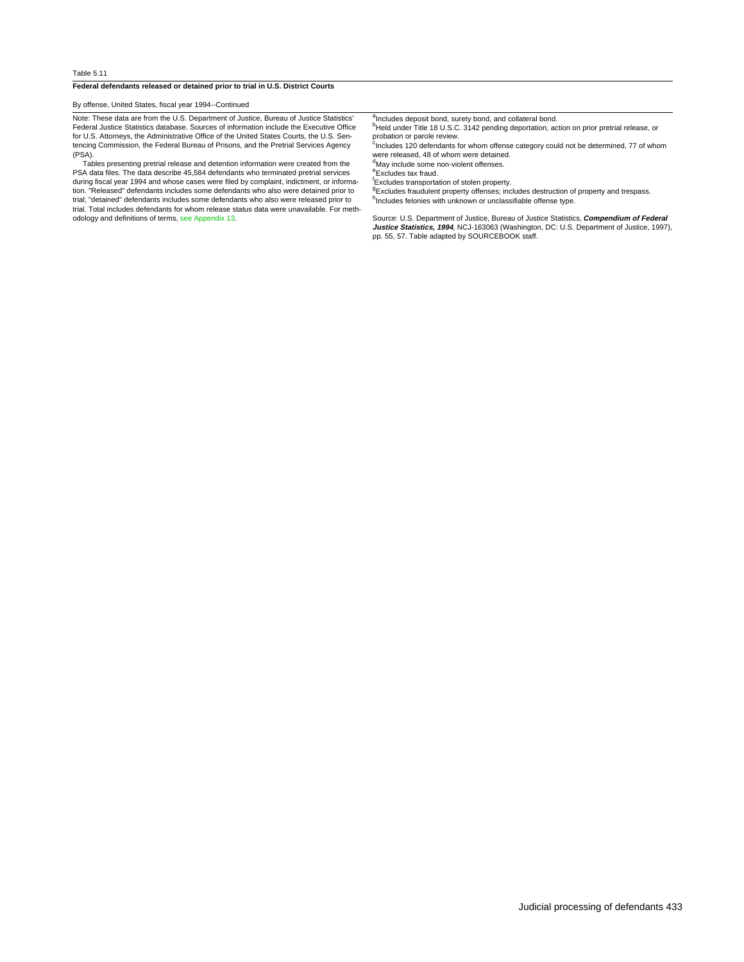#### <span id="page-16-0"></span>**Federal defendants released or detained prior to trial in U.S. District Courts**

#### By offense, United States, fiscal year 1994--Continued

Note: These data are from the U.S. Department of Justice, Bureau of Justice Statistics' Federal Justice Statistics database. Sources of information include the Executive Office for U.S. Attorneys, the Administrative Office of the United States Courts, the U.S. Sentencing Commission, the Federal Bureau of Prisons, and the Pretrial Services Agency (PSA).

 Tables presenting pretrial release and detention information were created from the PSA data files. The data describe 45,584 defendants who terminated pretrial services during fiscal year 1994 and whose cases were filed by complaint, indictment, or information. "Released" defendants includes some defendants who also were detained prior to trial; "detained" defendants includes some defendants who also were released prior to trial. Total includes defendants for whom release status data were unavailable. For methodology and definitions of terms, [see Appendix 13.](#page-83-0)

alncludes deposit bond, surety bond, and collateral bond.

<sup>b</sup>Held under Title 18 U.S.C. 3142 pending deportation, action on prior pretrial release, or probation or parole review.

.<br><sup>C</sup>Includes 120 defendants for whom offense category could not be determined, 77 of whom were released, 48 of whom were detained.

<sup>d</sup>May include some non-violent offenses.

e<br>Excludes tax fraud.

**Excludes transportation of stolen property.** 

<sup>g</sup>Excludes fraudulent property offenses; includes destruction of property and trespass. h Includes felonies with unknown or unclassifiable offense type.

Source: U.S. Department of Justice, Bureau of Justice Statistics, **Compendium of Federal Justice Statistics, 1994**, NCJ-163063 (Washington, DC: U.S. Department of Justice, 1997), pp. 55, 57. Table adapted by SOURCEBOOK staff.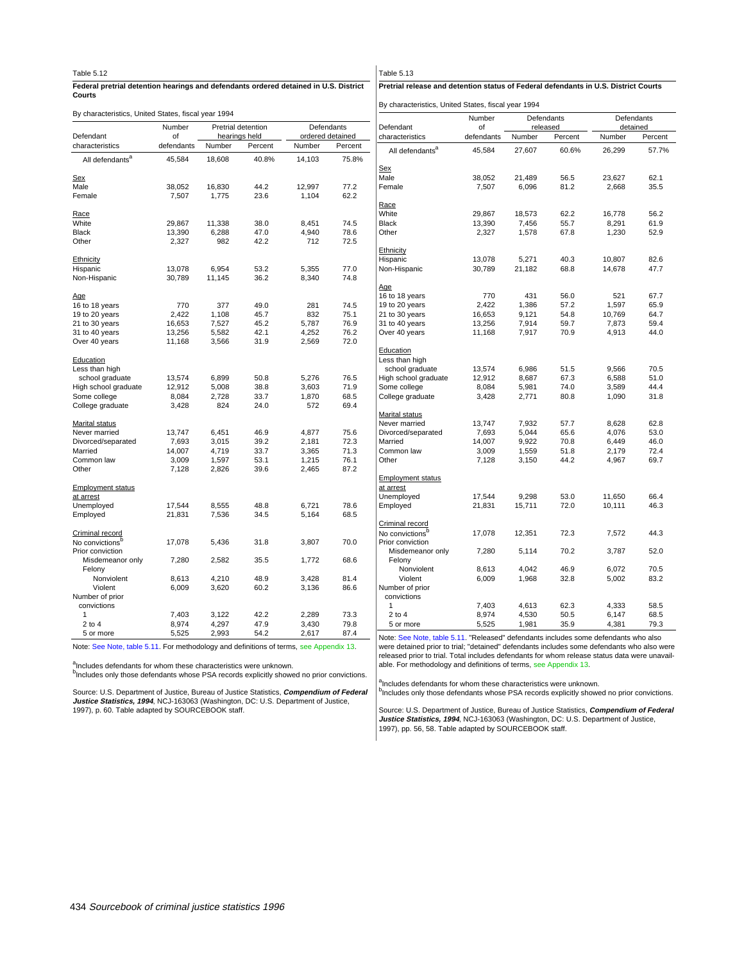| <b>Table 5.12</b>                                                                              | <b>Table 5.13</b>   |
|------------------------------------------------------------------------------------------------|---------------------|
| Federal pretrial detention hearings and defendants ordered detained in U.S. District<br>Courts | <b>Pretrial rel</b> |

characteristics defendants Number Percent Number Percent All defendants<sup>a</sup> 45,584 18,608 40.8% 14,103 75.8%

Pretrial detention hearings held

Defendants ordered detained

**Ethnicity** 

Non-Hispanic

Over 40 years Education Less than high

Some college

Marital status

Employment status at arrest

Employed Criminal record

Prior conviction

Felony

Number of prior convictions

By characteristics, United States, fiscal year 1994

Number of

Defendant

|                                                                               | Pretrial release and detention status of Federal defendants in U.S. District Courts |        |         |        |         |  |  |  |  |  |  |  |
|-------------------------------------------------------------------------------|-------------------------------------------------------------------------------------|--------|---------|--------|---------|--|--|--|--|--|--|--|
| By characteristics, United States, fiscal year 1994                           |                                                                                     |        |         |        |         |  |  |  |  |  |  |  |
| Number<br>Defendants<br>Defendants<br>Defendant<br>detained<br>released<br>of |                                                                                     |        |         |        |         |  |  |  |  |  |  |  |
| characteristics                                                               | defendants                                                                          | Number | Percent | Number | Percent |  |  |  |  |  |  |  |
| All defendants <sup>a</sup>                                                   | 45.584                                                                              | 27.607 | 60.6%   | 26.299 | 57.7%   |  |  |  |  |  |  |  |
| Sex                                                                           |                                                                                     |        |         |        |         |  |  |  |  |  |  |  |
| Male                                                                          | 38.052                                                                              | 21.489 | 56.5    | 23.627 | 62.1    |  |  |  |  |  |  |  |
| Female                                                                        | 7.507                                                                               | 6.096  | 81.2    | 2.668  | 35.5    |  |  |  |  |  |  |  |
| Race                                                                          |                                                                                     |        |         |        |         |  |  |  |  |  |  |  |

White 29,867 18,573 62.2 16,778 56.2 Black 13,390 7,456 55.7 8,291 61.9 Other 2,327 1,578 67.8 1,230 52.9

Hispanic 13,078 5,271 40.3 10,807 82.6

Age 16 to 18 years 770 431 56.0 521 67.7 19 to 20 years 2,422 1,386 57.2 1,597 65.9<br>21 to 30 years 16,653 9,121 54.8 10,769 64.7 21 to 30 years 16,653 9,121 54.8 10,769 64.7<br>31 to 40 years 13,256 7,914 59.7 7,873 59.4 31 to 40 years 13,256 7,914 59.7 7,873 59.4<br>Over 40 years 11,168 7,917 70.9 4,913 44.0

school graduate 13,574 6,986 51.5 9,566 70.5<br>
High school graduate 12,912 8,687 67.3 6,588 51.0 High school graduate 12,912 8,687 67.3 6,588 51.0

College graduate  $3,428$  2,771 80.8 1,090 31.8

Never married 13,747 7,932 57.7 8,628 62.8 Divorced/separated 7,693 5,044 65.6 4,076 53.0<br>Married 14,007 9,922 70.8 6,449 46.0 Married 14,007 9,922 70.8 6,449 46.0 Common law 3,009 1,559 51.8 2,179 72.4 Other 7,128 3,150 44.2 4,967 69.7

Unemployed 17,544 9,298 53.0 11,650 66.4<br>
Employed 21,831 15,711 72.0 10,111 46.3

 $\overline{N_0}$  convictions<sup>b</sup> 17,078 12,351 72.3 7,572 44.3

Misdemeanor only 7,280 5,114 70.2 3,787 52.0

 Nonviolent 8,613 4,042 46.9 6,072 70.5 Violent 6,009 1,968 32.8 5,002 83.2

| Sex                         |        |        |      |        |      |
|-----------------------------|--------|--------|------|--------|------|
| Male                        | 38,052 | 16,830 | 44.2 | 12,997 | 77.2 |
| Female                      | 7,507  | 1,775  | 23.6 | 1,104  | 62.2 |
|                             |        |        |      |        |      |
| Race                        |        |        |      |        |      |
| White                       | 29,867 | 11,338 | 38.0 | 8,451  | 74.5 |
| <b>Black</b>                | 13,390 | 6,288  | 47.0 | 4,940  | 78.6 |
| Other                       | 2,327  | 982    | 42.2 | 712    | 72.5 |
| Ethnicity                   |        |        |      |        |      |
| Hispanic                    | 13,078 | 6,954  | 53.2 | 5,355  | 77.0 |
| Non-Hispanic                | 30,789 | 11,145 | 36.2 | 8,340  | 74.8 |
| <u>Age</u>                  |        |        |      |        |      |
| 16 to 18 years              | 770    | 377    | 49.0 | 281    | 74.5 |
| 19 to 20 years              | 2,422  | 1,108  | 45.7 | 832    | 75.1 |
| 21 to 30 years              | 16,653 | 7,527  | 45.2 | 5,787  | 76.9 |
| 31 to 40 years              | 13,256 | 5,582  | 42.1 | 4,252  | 76.2 |
| Over 40 years               | 11,168 | 3,566  | 31.9 | 2,569  | 72.0 |
| Education                   |        |        |      |        |      |
| Less than high              |        |        |      |        |      |
| school graduate             | 13,574 | 6,899  | 50.8 | 5,276  | 76.5 |
| High school graduate        | 12,912 | 5,008  | 38.8 | 3,603  | 71.9 |
| Some college                | 8,084  | 2,728  | 33.7 | 1,870  | 68.5 |
| College graduate            | 3,428  | 824    | 24.0 | 572    | 69.4 |
| <b>Marital status</b>       |        |        |      |        |      |
| Never married               | 13,747 | 6,451  | 46.9 | 4,877  | 75.6 |
| Divorced/separated          | 7,693  | 3,015  | 39.2 | 2,181  | 72.3 |
| Married                     | 14,007 | 4,719  | 33.7 | 3,365  | 71.3 |
| Common law                  | 3,009  | 1,597  | 53.1 | 1,215  | 76.1 |
| Other                       | 7,128  | 2,826  | 39.6 | 2,465  | 87.2 |
| <b>Employment status</b>    |        |        |      |        |      |
| at arrest                   |        |        |      |        |      |
| Unemployed                  | 17,544 | 8,555  | 48.8 | 6,721  | 78.6 |
| Employed                    | 21,831 | 7,536  | 34.5 | 5,164  | 68.5 |
| Criminal record             |        |        |      |        |      |
| No convictions <sup>b</sup> | 17,078 | 5,436  | 31.8 | 3,807  | 70.0 |
| Prior conviction            |        |        |      |        |      |
| Misdemeanor only            | 7,280  | 2,582  | 35.5 | 1,772  | 68.6 |
| Felony                      |        |        |      |        |      |
| Nonviolent                  | 8,613  | 4,210  | 48.9 | 3,428  | 81.4 |
| Violent                     | 6,009  | 3,620  | 60.2 | 3,136  | 86.6 |
| Number of prior             |        |        |      |        |      |
| convictions                 |        |        |      |        |      |
| 1                           | 7,403  | 3,122  | 42.2 | 2,289  | 73.3 |
| $2$ to 4                    | 8,974  | 4,297  | 47.9 | 3,430  | 79.8 |
| 5 or more                   | 5,525  | 2,993  | 54.2 | 2,617  | 87.4 |
|                             |        |        |      |        |      |

| Note: See Note, table 5.11. For methodology and definitions of terms, see Appendix 13. |
|----------------------------------------------------------------------------------------|

alncludes defendants for whom these characteristics were unknown.

**b**Includes only those defendants whose PSA records explicitly showed no prior convictions.

Source: U.S. Department of Justice, Bureau of Justice Statistics, **Compendium of Federal Justice Statistics, 1994**, NCJ-163063 (Washington, DC: U.S. Department of Justice, 1997), p. 60. Table adapted by SOURCEBOOK staff.

#### Note[: See Note, table 5.11.](#page-16-0) "Released" defendants includes some defendants who also were detained prior to trial; "detained" defendants includes some defendants who also were released prior to trial. Total includes defendants for whom release status data were unavail-able. For methodology and definitions of terms[, see Appendix 13.](#page-83-0) alncludes defendants for whom these characteristics were unknown.

 1 7,403 4,613 62.3 4,333 58.5 2 to 4 8,974 4,530 50.5 6,147 68.5 5 or more 5,525 1,981 35.9 4,381 79.3

**b**Includes only those defendants whose PSA records explicitly showed no prior convictions.

Source: U.S. Department of Justice, Bureau of Justice Statistics, **Compendium of Federal Justice Statistics, 1994**, NCJ-163063 (Washington, DC: U.S. Department of Justice, 1997), pp. 56, 58. Table adapted by SOURCEBOOK staff.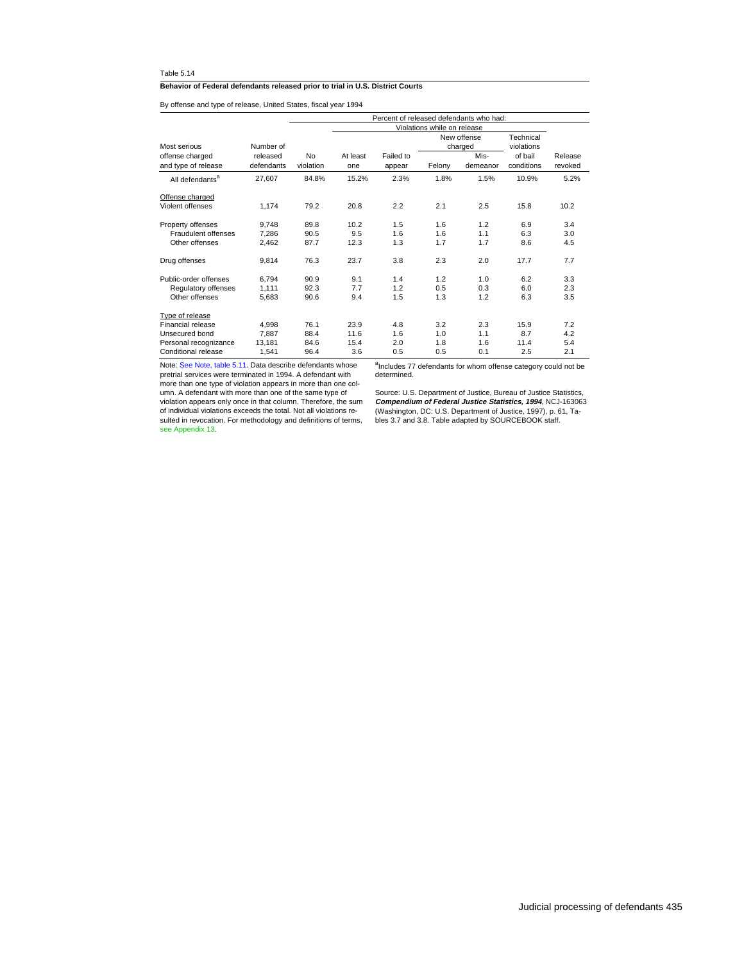#### **Behavior of Federal defendants released prior to trial in U.S. District Courts**

By offense and type of release, United States, fiscal year 1994

|                                        |                        |                 |                 |                     |                             | Percent of released defendants who had: |                         |                    |
|----------------------------------------|------------------------|-----------------|-----------------|---------------------|-----------------------------|-----------------------------------------|-------------------------|--------------------|
|                                        |                        |                 |                 |                     | Violations while on release |                                         |                         |                    |
| Most serious                           | Number of              |                 |                 |                     |                             | New offense<br>charged                  | Technical<br>violations |                    |
| offense charged<br>and type of release | released<br>defendants | No<br>violation | At least<br>one | Failed to<br>appear | Felony                      | Mis-<br>demeanor                        | of bail<br>conditions   | Release<br>revoked |
| All defendants <sup>a</sup>            | 27,607                 | 84.8%           | 15.2%           | 2.3%                | 1.8%                        | 1.5%                                    | 10.9%                   | 5.2%               |
| Offense charged                        |                        |                 |                 |                     |                             |                                         |                         |                    |
| Violent offenses                       | 1,174                  | 79.2            | 20.8            | 2.2                 | 2.1                         | 2.5                                     | 15.8                    | 10.2               |
| Property offenses                      | 9.748                  | 89.8            | 10.2            | 1.5                 | 1.6                         | 1.2                                     | 6.9                     | 3.4                |
| Fraudulent offenses                    | 7,286                  | 90.5            | 9.5             | 1.6                 | 1.6                         | 1.1                                     | 6.3                     | 3.0                |
| Other offenses                         | 2,462                  | 87.7            | 12.3            | 1.3                 | 1.7                         | 1.7                                     | 8.6                     | 4.5                |
| Drug offenses                          | 9.814                  | 76.3            | 23.7            | 3.8                 | 2.3                         | 2.0                                     | 17.7                    | 7.7                |
| Public-order offenses                  | 6.794                  | 90.9            | 9.1             | 1.4                 | 1.2                         | 1.0                                     | 6.2                     | 3.3                |
| Regulatory offenses                    | 1,111                  | 92.3            | 7.7             | 1.2                 | 0.5                         | 0.3                                     | 6.0                     | 2.3                |
| Other offenses                         | 5.683                  | 90.6            | 9.4             | 1.5                 | 1.3                         | 1.2                                     | 6.3                     | 3.5                |
| Type of release                        |                        |                 |                 |                     |                             |                                         |                         |                    |
| <b>Financial release</b>               | 4,998                  | 76.1            | 23.9            | 4.8                 | 3.2                         | 2.3                                     | 15.9                    | 7.2                |
| Unsecured bond                         | 7.887                  | 88.4            | 11.6            | 1.6                 | 1.0                         | 1.1                                     | 8.7                     | 4.2                |
| Personal recognizance                  | 13,181                 | 84.6            | 15.4            | 2.0                 | 1.8                         | 1.6                                     | 11.4                    | 5.4                |
| Conditional release                    | 1,541                  | 96.4            | 3.6             | 0.5                 | 0.5                         | 0.1                                     | 2.5                     | 2.1                |

Note: [See Note, table 5.11.](#page-16-0) Data describe defendants whose pretrial services were terminated in 1994. A defendant with more than one type of violation appears in more than one col-

<sup>a</sup>Includes 77 defendants for whom offense category could not be determined.

umn. A defendant with more than one of the same type of violation appears only once in that column. Therefore, the sum of individual violations exceeds the total. Not all violations resulted in revocation. For methodology and definitions of terms, [see Appendix 13.](#page-83-0)

Source: U.S. Department of Justice, Bureau of Justice Statistics,<br>*Compendium of Federal Justice Statistics, 1994*, NCJ-163063<br>(Washington, DC: U.S. Department of Justice, 1997), p. 61, Tables 3.7 and 3.8. Table adapted by SOURCEBOOK staff.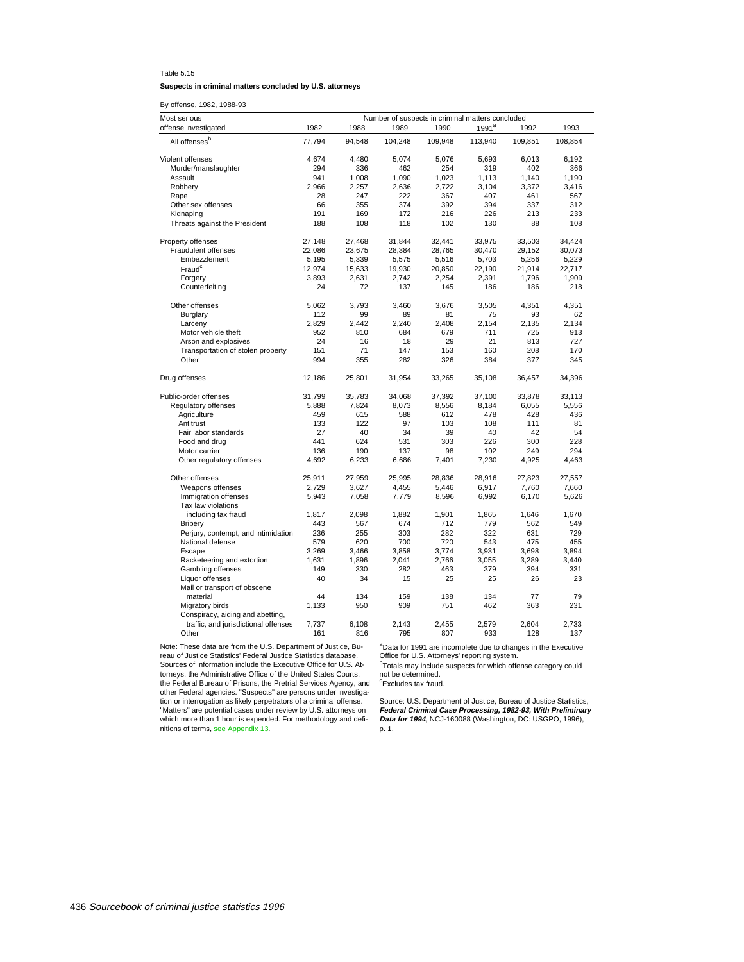#### **Suspects in criminal matters concluded by U.S. attorneys**

By offense, 1982, 1988-93

| 1982<br>1988<br>1989<br>1990<br>1992<br>offense investigated<br>1991 <sup>a</sup><br>All offenses <sup>b</sup><br>77,794<br>94,548<br>104,248<br>109,948<br>113,940<br>109,851<br>Violent offenses<br>5,074<br>5,076<br>4,674<br>4,480<br>5,693<br>6,013<br>Murder/manslaughter<br>294<br>336<br>462<br>254<br>319<br>402<br>941<br>1,090<br>1,023<br>1,140<br>Assault<br>1,008<br>1,113<br>2,966<br>2,257<br>2,636<br>2,722<br>3,104<br>3,372<br>Robbery<br>407<br>Rape<br>28<br>247<br>222<br>367<br>461<br>392<br>Other sex offenses<br>66<br>355<br>374<br>394<br>337<br>191<br>Kidnaping<br>169<br>172<br>216<br>226<br>213<br>Threats against the President<br>188<br>108<br>118<br>102<br>130<br>88<br>27,148<br>27,468<br>33,975<br>Property offenses<br>31,844<br>32,441<br>33,503<br>Fraudulent offenses<br>22,086<br>23,675<br>28,384<br>28,765<br>30,470<br>29,152<br>Embezzlement<br>5,195<br>5,339<br>5,575<br>5,516<br>5,703<br>5,256<br>Fraud <sup>c</sup><br>12,974<br>15,633<br>20,850<br>22,190<br>21,914<br>19,930<br>Forgery<br>3,893<br>2,631<br>2,742<br>2,254<br>2,391<br>1,796<br>Counterfeiting<br>72<br>145<br>186<br>186<br>24<br>137<br>Other offenses<br>5,062<br>3,793<br>3,460<br>3,676<br>3,505<br>4,351<br>112<br>81<br>Burglary<br>99<br>89<br>75<br>93<br>2,829<br>2,408<br>2,154<br>Larceny<br>2,442<br>2,240<br>2,135<br>952<br>810<br>684<br>679<br>711<br>725<br>Motor vehicle theft<br>24<br>29<br>21<br>Arson and explosives<br>16<br>18<br>813<br>151<br>71<br>147<br>153<br>160<br>208<br>Transportation of stolen property<br>994<br>355<br>282<br>326<br>384<br>Other<br>377<br>Drug offenses<br>12,186<br>25,801<br>31,954<br>33,265<br>35,108<br>36,457<br>Public-order offenses<br>31,799<br>37,100<br>35,783<br>34,068<br>37,392<br>33,878<br>Regulatory offenses<br>5,888<br>7,824<br>8,073<br>8,556<br>8,184<br>6,055<br>Agriculture<br>459<br>588<br>478<br>428<br>615<br>612<br>122<br>103<br>Antitrust<br>133<br>97<br>108<br>111<br>27<br>40<br>34<br>39<br>40<br>42<br>Fair labor standards<br>441<br>Food and drug<br>624<br>531<br>303<br>226<br>300<br>136<br>98<br>Motor carrier<br>190<br>137<br>102<br>249<br>Other regulatory offenses<br>4,692<br>6,233<br>6,686<br>7,401<br>7,230<br>4,925<br>Other offenses<br>25,911<br>27,959<br>25,995<br>28,836<br>28,916<br>27,823<br>Weapons offenses<br>2,729<br>3,627<br>4,455<br>5,446<br>6,917<br>7,760<br>Immigration offenses<br>7,058<br>5,943<br>7,779<br>8,596<br>6,992<br>6,170<br>Tax law violations<br>1,901<br>including tax fraud<br>1,817<br>2,098<br>1,882<br>1,865<br>1,646<br>443<br>567<br>674<br>712<br>779<br><b>Bribery</b><br>562<br>236<br>255<br>282<br>322<br>Perjury, contempt, and intimidation<br>303<br>631<br>National defense<br>579<br>620<br>700<br>720<br>543<br>475<br>3,269<br>3,466<br>3,858<br>3,774<br>3,931<br>3,698<br>Escape<br>1,631<br>Racketeering and extortion<br>1,896<br>2,041<br>2,766<br>3,055<br>3,289<br>Gambling offenses<br>149<br>330<br>282<br>463<br>379<br>394<br>40<br>34<br>25<br>25<br>Liquor offenses<br>15<br>26<br>Mail or transport of obscene<br>44<br>138<br>material<br>134<br>159<br>134<br>77<br>462<br>1,133<br>950<br>909<br>751<br>363<br>Migratory birds<br>Conspiracy, aiding and abetting, | Most serious                         |       |       |       | Number of suspects in criminal matters concluded |       |       |         |
|-----------------------------------------------------------------------------------------------------------------------------------------------------------------------------------------------------------------------------------------------------------------------------------------------------------------------------------------------------------------------------------------------------------------------------------------------------------------------------------------------------------------------------------------------------------------------------------------------------------------------------------------------------------------------------------------------------------------------------------------------------------------------------------------------------------------------------------------------------------------------------------------------------------------------------------------------------------------------------------------------------------------------------------------------------------------------------------------------------------------------------------------------------------------------------------------------------------------------------------------------------------------------------------------------------------------------------------------------------------------------------------------------------------------------------------------------------------------------------------------------------------------------------------------------------------------------------------------------------------------------------------------------------------------------------------------------------------------------------------------------------------------------------------------------------------------------------------------------------------------------------------------------------------------------------------------------------------------------------------------------------------------------------------------------------------------------------------------------------------------------------------------------------------------------------------------------------------------------------------------------------------------------------------------------------------------------------------------------------------------------------------------------------------------------------------------------------------------------------------------------------------------------------------------------------------------------------------------------------------------------------------------------------------------------------------------------------------------------------------------------------------------------------------------------------------------------------------------------------------------------------------------------------------------------------------------------------------------------------------------------------------------------------------------------------------------------------------------------------------------------------------------------------------------------------------------------------------------------------------------------------------------------------------|--------------------------------------|-------|-------|-------|--------------------------------------------------|-------|-------|---------|
|                                                                                                                                                                                                                                                                                                                                                                                                                                                                                                                                                                                                                                                                                                                                                                                                                                                                                                                                                                                                                                                                                                                                                                                                                                                                                                                                                                                                                                                                                                                                                                                                                                                                                                                                                                                                                                                                                                                                                                                                                                                                                                                                                                                                                                                                                                                                                                                                                                                                                                                                                                                                                                                                                                                                                                                                                                                                                                                                                                                                                                                                                                                                                                                                                                                                                   |                                      |       |       |       |                                                  |       |       | 1993    |
|                                                                                                                                                                                                                                                                                                                                                                                                                                                                                                                                                                                                                                                                                                                                                                                                                                                                                                                                                                                                                                                                                                                                                                                                                                                                                                                                                                                                                                                                                                                                                                                                                                                                                                                                                                                                                                                                                                                                                                                                                                                                                                                                                                                                                                                                                                                                                                                                                                                                                                                                                                                                                                                                                                                                                                                                                                                                                                                                                                                                                                                                                                                                                                                                                                                                                   |                                      |       |       |       |                                                  |       |       | 108,854 |
|                                                                                                                                                                                                                                                                                                                                                                                                                                                                                                                                                                                                                                                                                                                                                                                                                                                                                                                                                                                                                                                                                                                                                                                                                                                                                                                                                                                                                                                                                                                                                                                                                                                                                                                                                                                                                                                                                                                                                                                                                                                                                                                                                                                                                                                                                                                                                                                                                                                                                                                                                                                                                                                                                                                                                                                                                                                                                                                                                                                                                                                                                                                                                                                                                                                                                   |                                      |       |       |       |                                                  |       |       | 6,192   |
|                                                                                                                                                                                                                                                                                                                                                                                                                                                                                                                                                                                                                                                                                                                                                                                                                                                                                                                                                                                                                                                                                                                                                                                                                                                                                                                                                                                                                                                                                                                                                                                                                                                                                                                                                                                                                                                                                                                                                                                                                                                                                                                                                                                                                                                                                                                                                                                                                                                                                                                                                                                                                                                                                                                                                                                                                                                                                                                                                                                                                                                                                                                                                                                                                                                                                   |                                      |       |       |       |                                                  |       |       | 366     |
|                                                                                                                                                                                                                                                                                                                                                                                                                                                                                                                                                                                                                                                                                                                                                                                                                                                                                                                                                                                                                                                                                                                                                                                                                                                                                                                                                                                                                                                                                                                                                                                                                                                                                                                                                                                                                                                                                                                                                                                                                                                                                                                                                                                                                                                                                                                                                                                                                                                                                                                                                                                                                                                                                                                                                                                                                                                                                                                                                                                                                                                                                                                                                                                                                                                                                   |                                      |       |       |       |                                                  |       |       | 1,190   |
|                                                                                                                                                                                                                                                                                                                                                                                                                                                                                                                                                                                                                                                                                                                                                                                                                                                                                                                                                                                                                                                                                                                                                                                                                                                                                                                                                                                                                                                                                                                                                                                                                                                                                                                                                                                                                                                                                                                                                                                                                                                                                                                                                                                                                                                                                                                                                                                                                                                                                                                                                                                                                                                                                                                                                                                                                                                                                                                                                                                                                                                                                                                                                                                                                                                                                   |                                      |       |       |       |                                                  |       |       | 3,416   |
|                                                                                                                                                                                                                                                                                                                                                                                                                                                                                                                                                                                                                                                                                                                                                                                                                                                                                                                                                                                                                                                                                                                                                                                                                                                                                                                                                                                                                                                                                                                                                                                                                                                                                                                                                                                                                                                                                                                                                                                                                                                                                                                                                                                                                                                                                                                                                                                                                                                                                                                                                                                                                                                                                                                                                                                                                                                                                                                                                                                                                                                                                                                                                                                                                                                                                   |                                      |       |       |       |                                                  |       |       | 567     |
|                                                                                                                                                                                                                                                                                                                                                                                                                                                                                                                                                                                                                                                                                                                                                                                                                                                                                                                                                                                                                                                                                                                                                                                                                                                                                                                                                                                                                                                                                                                                                                                                                                                                                                                                                                                                                                                                                                                                                                                                                                                                                                                                                                                                                                                                                                                                                                                                                                                                                                                                                                                                                                                                                                                                                                                                                                                                                                                                                                                                                                                                                                                                                                                                                                                                                   |                                      |       |       |       |                                                  |       |       | 312     |
|                                                                                                                                                                                                                                                                                                                                                                                                                                                                                                                                                                                                                                                                                                                                                                                                                                                                                                                                                                                                                                                                                                                                                                                                                                                                                                                                                                                                                                                                                                                                                                                                                                                                                                                                                                                                                                                                                                                                                                                                                                                                                                                                                                                                                                                                                                                                                                                                                                                                                                                                                                                                                                                                                                                                                                                                                                                                                                                                                                                                                                                                                                                                                                                                                                                                                   |                                      |       |       |       |                                                  |       |       | 233     |
|                                                                                                                                                                                                                                                                                                                                                                                                                                                                                                                                                                                                                                                                                                                                                                                                                                                                                                                                                                                                                                                                                                                                                                                                                                                                                                                                                                                                                                                                                                                                                                                                                                                                                                                                                                                                                                                                                                                                                                                                                                                                                                                                                                                                                                                                                                                                                                                                                                                                                                                                                                                                                                                                                                                                                                                                                                                                                                                                                                                                                                                                                                                                                                                                                                                                                   |                                      |       |       |       |                                                  |       |       | 108     |
|                                                                                                                                                                                                                                                                                                                                                                                                                                                                                                                                                                                                                                                                                                                                                                                                                                                                                                                                                                                                                                                                                                                                                                                                                                                                                                                                                                                                                                                                                                                                                                                                                                                                                                                                                                                                                                                                                                                                                                                                                                                                                                                                                                                                                                                                                                                                                                                                                                                                                                                                                                                                                                                                                                                                                                                                                                                                                                                                                                                                                                                                                                                                                                                                                                                                                   |                                      |       |       |       |                                                  |       |       | 34,424  |
|                                                                                                                                                                                                                                                                                                                                                                                                                                                                                                                                                                                                                                                                                                                                                                                                                                                                                                                                                                                                                                                                                                                                                                                                                                                                                                                                                                                                                                                                                                                                                                                                                                                                                                                                                                                                                                                                                                                                                                                                                                                                                                                                                                                                                                                                                                                                                                                                                                                                                                                                                                                                                                                                                                                                                                                                                                                                                                                                                                                                                                                                                                                                                                                                                                                                                   |                                      |       |       |       |                                                  |       |       | 30,073  |
|                                                                                                                                                                                                                                                                                                                                                                                                                                                                                                                                                                                                                                                                                                                                                                                                                                                                                                                                                                                                                                                                                                                                                                                                                                                                                                                                                                                                                                                                                                                                                                                                                                                                                                                                                                                                                                                                                                                                                                                                                                                                                                                                                                                                                                                                                                                                                                                                                                                                                                                                                                                                                                                                                                                                                                                                                                                                                                                                                                                                                                                                                                                                                                                                                                                                                   |                                      |       |       |       |                                                  |       |       | 5,229   |
|                                                                                                                                                                                                                                                                                                                                                                                                                                                                                                                                                                                                                                                                                                                                                                                                                                                                                                                                                                                                                                                                                                                                                                                                                                                                                                                                                                                                                                                                                                                                                                                                                                                                                                                                                                                                                                                                                                                                                                                                                                                                                                                                                                                                                                                                                                                                                                                                                                                                                                                                                                                                                                                                                                                                                                                                                                                                                                                                                                                                                                                                                                                                                                                                                                                                                   |                                      |       |       |       |                                                  |       |       | 22,717  |
|                                                                                                                                                                                                                                                                                                                                                                                                                                                                                                                                                                                                                                                                                                                                                                                                                                                                                                                                                                                                                                                                                                                                                                                                                                                                                                                                                                                                                                                                                                                                                                                                                                                                                                                                                                                                                                                                                                                                                                                                                                                                                                                                                                                                                                                                                                                                                                                                                                                                                                                                                                                                                                                                                                                                                                                                                                                                                                                                                                                                                                                                                                                                                                                                                                                                                   |                                      |       |       |       |                                                  |       |       | 1,909   |
|                                                                                                                                                                                                                                                                                                                                                                                                                                                                                                                                                                                                                                                                                                                                                                                                                                                                                                                                                                                                                                                                                                                                                                                                                                                                                                                                                                                                                                                                                                                                                                                                                                                                                                                                                                                                                                                                                                                                                                                                                                                                                                                                                                                                                                                                                                                                                                                                                                                                                                                                                                                                                                                                                                                                                                                                                                                                                                                                                                                                                                                                                                                                                                                                                                                                                   |                                      |       |       |       |                                                  |       |       | 218     |
|                                                                                                                                                                                                                                                                                                                                                                                                                                                                                                                                                                                                                                                                                                                                                                                                                                                                                                                                                                                                                                                                                                                                                                                                                                                                                                                                                                                                                                                                                                                                                                                                                                                                                                                                                                                                                                                                                                                                                                                                                                                                                                                                                                                                                                                                                                                                                                                                                                                                                                                                                                                                                                                                                                                                                                                                                                                                                                                                                                                                                                                                                                                                                                                                                                                                                   |                                      |       |       |       |                                                  |       |       |         |
|                                                                                                                                                                                                                                                                                                                                                                                                                                                                                                                                                                                                                                                                                                                                                                                                                                                                                                                                                                                                                                                                                                                                                                                                                                                                                                                                                                                                                                                                                                                                                                                                                                                                                                                                                                                                                                                                                                                                                                                                                                                                                                                                                                                                                                                                                                                                                                                                                                                                                                                                                                                                                                                                                                                                                                                                                                                                                                                                                                                                                                                                                                                                                                                                                                                                                   |                                      |       |       |       |                                                  |       |       | 4,351   |
|                                                                                                                                                                                                                                                                                                                                                                                                                                                                                                                                                                                                                                                                                                                                                                                                                                                                                                                                                                                                                                                                                                                                                                                                                                                                                                                                                                                                                                                                                                                                                                                                                                                                                                                                                                                                                                                                                                                                                                                                                                                                                                                                                                                                                                                                                                                                                                                                                                                                                                                                                                                                                                                                                                                                                                                                                                                                                                                                                                                                                                                                                                                                                                                                                                                                                   |                                      |       |       |       |                                                  |       |       | 62      |
|                                                                                                                                                                                                                                                                                                                                                                                                                                                                                                                                                                                                                                                                                                                                                                                                                                                                                                                                                                                                                                                                                                                                                                                                                                                                                                                                                                                                                                                                                                                                                                                                                                                                                                                                                                                                                                                                                                                                                                                                                                                                                                                                                                                                                                                                                                                                                                                                                                                                                                                                                                                                                                                                                                                                                                                                                                                                                                                                                                                                                                                                                                                                                                                                                                                                                   |                                      |       |       |       |                                                  |       |       | 2,134   |
|                                                                                                                                                                                                                                                                                                                                                                                                                                                                                                                                                                                                                                                                                                                                                                                                                                                                                                                                                                                                                                                                                                                                                                                                                                                                                                                                                                                                                                                                                                                                                                                                                                                                                                                                                                                                                                                                                                                                                                                                                                                                                                                                                                                                                                                                                                                                                                                                                                                                                                                                                                                                                                                                                                                                                                                                                                                                                                                                                                                                                                                                                                                                                                                                                                                                                   |                                      |       |       |       |                                                  |       |       | 913     |
|                                                                                                                                                                                                                                                                                                                                                                                                                                                                                                                                                                                                                                                                                                                                                                                                                                                                                                                                                                                                                                                                                                                                                                                                                                                                                                                                                                                                                                                                                                                                                                                                                                                                                                                                                                                                                                                                                                                                                                                                                                                                                                                                                                                                                                                                                                                                                                                                                                                                                                                                                                                                                                                                                                                                                                                                                                                                                                                                                                                                                                                                                                                                                                                                                                                                                   |                                      |       |       |       |                                                  |       |       | 727     |
|                                                                                                                                                                                                                                                                                                                                                                                                                                                                                                                                                                                                                                                                                                                                                                                                                                                                                                                                                                                                                                                                                                                                                                                                                                                                                                                                                                                                                                                                                                                                                                                                                                                                                                                                                                                                                                                                                                                                                                                                                                                                                                                                                                                                                                                                                                                                                                                                                                                                                                                                                                                                                                                                                                                                                                                                                                                                                                                                                                                                                                                                                                                                                                                                                                                                                   |                                      |       |       |       |                                                  |       |       | 170     |
|                                                                                                                                                                                                                                                                                                                                                                                                                                                                                                                                                                                                                                                                                                                                                                                                                                                                                                                                                                                                                                                                                                                                                                                                                                                                                                                                                                                                                                                                                                                                                                                                                                                                                                                                                                                                                                                                                                                                                                                                                                                                                                                                                                                                                                                                                                                                                                                                                                                                                                                                                                                                                                                                                                                                                                                                                                                                                                                                                                                                                                                                                                                                                                                                                                                                                   |                                      |       |       |       |                                                  |       |       | 345     |
|                                                                                                                                                                                                                                                                                                                                                                                                                                                                                                                                                                                                                                                                                                                                                                                                                                                                                                                                                                                                                                                                                                                                                                                                                                                                                                                                                                                                                                                                                                                                                                                                                                                                                                                                                                                                                                                                                                                                                                                                                                                                                                                                                                                                                                                                                                                                                                                                                                                                                                                                                                                                                                                                                                                                                                                                                                                                                                                                                                                                                                                                                                                                                                                                                                                                                   |                                      |       |       |       |                                                  |       |       | 34,396  |
|                                                                                                                                                                                                                                                                                                                                                                                                                                                                                                                                                                                                                                                                                                                                                                                                                                                                                                                                                                                                                                                                                                                                                                                                                                                                                                                                                                                                                                                                                                                                                                                                                                                                                                                                                                                                                                                                                                                                                                                                                                                                                                                                                                                                                                                                                                                                                                                                                                                                                                                                                                                                                                                                                                                                                                                                                                                                                                                                                                                                                                                                                                                                                                                                                                                                                   |                                      |       |       |       |                                                  |       |       | 33,113  |
|                                                                                                                                                                                                                                                                                                                                                                                                                                                                                                                                                                                                                                                                                                                                                                                                                                                                                                                                                                                                                                                                                                                                                                                                                                                                                                                                                                                                                                                                                                                                                                                                                                                                                                                                                                                                                                                                                                                                                                                                                                                                                                                                                                                                                                                                                                                                                                                                                                                                                                                                                                                                                                                                                                                                                                                                                                                                                                                                                                                                                                                                                                                                                                                                                                                                                   |                                      |       |       |       |                                                  |       |       | 5,556   |
|                                                                                                                                                                                                                                                                                                                                                                                                                                                                                                                                                                                                                                                                                                                                                                                                                                                                                                                                                                                                                                                                                                                                                                                                                                                                                                                                                                                                                                                                                                                                                                                                                                                                                                                                                                                                                                                                                                                                                                                                                                                                                                                                                                                                                                                                                                                                                                                                                                                                                                                                                                                                                                                                                                                                                                                                                                                                                                                                                                                                                                                                                                                                                                                                                                                                                   |                                      |       |       |       |                                                  |       |       | 436     |
|                                                                                                                                                                                                                                                                                                                                                                                                                                                                                                                                                                                                                                                                                                                                                                                                                                                                                                                                                                                                                                                                                                                                                                                                                                                                                                                                                                                                                                                                                                                                                                                                                                                                                                                                                                                                                                                                                                                                                                                                                                                                                                                                                                                                                                                                                                                                                                                                                                                                                                                                                                                                                                                                                                                                                                                                                                                                                                                                                                                                                                                                                                                                                                                                                                                                                   |                                      |       |       |       |                                                  |       |       | 81      |
|                                                                                                                                                                                                                                                                                                                                                                                                                                                                                                                                                                                                                                                                                                                                                                                                                                                                                                                                                                                                                                                                                                                                                                                                                                                                                                                                                                                                                                                                                                                                                                                                                                                                                                                                                                                                                                                                                                                                                                                                                                                                                                                                                                                                                                                                                                                                                                                                                                                                                                                                                                                                                                                                                                                                                                                                                                                                                                                                                                                                                                                                                                                                                                                                                                                                                   |                                      |       |       |       |                                                  |       |       | 54      |
|                                                                                                                                                                                                                                                                                                                                                                                                                                                                                                                                                                                                                                                                                                                                                                                                                                                                                                                                                                                                                                                                                                                                                                                                                                                                                                                                                                                                                                                                                                                                                                                                                                                                                                                                                                                                                                                                                                                                                                                                                                                                                                                                                                                                                                                                                                                                                                                                                                                                                                                                                                                                                                                                                                                                                                                                                                                                                                                                                                                                                                                                                                                                                                                                                                                                                   |                                      |       |       |       |                                                  |       |       | 228     |
|                                                                                                                                                                                                                                                                                                                                                                                                                                                                                                                                                                                                                                                                                                                                                                                                                                                                                                                                                                                                                                                                                                                                                                                                                                                                                                                                                                                                                                                                                                                                                                                                                                                                                                                                                                                                                                                                                                                                                                                                                                                                                                                                                                                                                                                                                                                                                                                                                                                                                                                                                                                                                                                                                                                                                                                                                                                                                                                                                                                                                                                                                                                                                                                                                                                                                   |                                      |       |       |       |                                                  |       |       | 294     |
|                                                                                                                                                                                                                                                                                                                                                                                                                                                                                                                                                                                                                                                                                                                                                                                                                                                                                                                                                                                                                                                                                                                                                                                                                                                                                                                                                                                                                                                                                                                                                                                                                                                                                                                                                                                                                                                                                                                                                                                                                                                                                                                                                                                                                                                                                                                                                                                                                                                                                                                                                                                                                                                                                                                                                                                                                                                                                                                                                                                                                                                                                                                                                                                                                                                                                   |                                      |       |       |       |                                                  |       |       | 4,463   |
|                                                                                                                                                                                                                                                                                                                                                                                                                                                                                                                                                                                                                                                                                                                                                                                                                                                                                                                                                                                                                                                                                                                                                                                                                                                                                                                                                                                                                                                                                                                                                                                                                                                                                                                                                                                                                                                                                                                                                                                                                                                                                                                                                                                                                                                                                                                                                                                                                                                                                                                                                                                                                                                                                                                                                                                                                                                                                                                                                                                                                                                                                                                                                                                                                                                                                   |                                      |       |       |       |                                                  |       |       | 27,557  |
|                                                                                                                                                                                                                                                                                                                                                                                                                                                                                                                                                                                                                                                                                                                                                                                                                                                                                                                                                                                                                                                                                                                                                                                                                                                                                                                                                                                                                                                                                                                                                                                                                                                                                                                                                                                                                                                                                                                                                                                                                                                                                                                                                                                                                                                                                                                                                                                                                                                                                                                                                                                                                                                                                                                                                                                                                                                                                                                                                                                                                                                                                                                                                                                                                                                                                   |                                      |       |       |       |                                                  |       |       | 7,660   |
|                                                                                                                                                                                                                                                                                                                                                                                                                                                                                                                                                                                                                                                                                                                                                                                                                                                                                                                                                                                                                                                                                                                                                                                                                                                                                                                                                                                                                                                                                                                                                                                                                                                                                                                                                                                                                                                                                                                                                                                                                                                                                                                                                                                                                                                                                                                                                                                                                                                                                                                                                                                                                                                                                                                                                                                                                                                                                                                                                                                                                                                                                                                                                                                                                                                                                   |                                      |       |       |       |                                                  |       |       | 5,626   |
|                                                                                                                                                                                                                                                                                                                                                                                                                                                                                                                                                                                                                                                                                                                                                                                                                                                                                                                                                                                                                                                                                                                                                                                                                                                                                                                                                                                                                                                                                                                                                                                                                                                                                                                                                                                                                                                                                                                                                                                                                                                                                                                                                                                                                                                                                                                                                                                                                                                                                                                                                                                                                                                                                                                                                                                                                                                                                                                                                                                                                                                                                                                                                                                                                                                                                   |                                      |       |       |       |                                                  |       |       |         |
|                                                                                                                                                                                                                                                                                                                                                                                                                                                                                                                                                                                                                                                                                                                                                                                                                                                                                                                                                                                                                                                                                                                                                                                                                                                                                                                                                                                                                                                                                                                                                                                                                                                                                                                                                                                                                                                                                                                                                                                                                                                                                                                                                                                                                                                                                                                                                                                                                                                                                                                                                                                                                                                                                                                                                                                                                                                                                                                                                                                                                                                                                                                                                                                                                                                                                   |                                      |       |       |       |                                                  |       |       | 1,670   |
|                                                                                                                                                                                                                                                                                                                                                                                                                                                                                                                                                                                                                                                                                                                                                                                                                                                                                                                                                                                                                                                                                                                                                                                                                                                                                                                                                                                                                                                                                                                                                                                                                                                                                                                                                                                                                                                                                                                                                                                                                                                                                                                                                                                                                                                                                                                                                                                                                                                                                                                                                                                                                                                                                                                                                                                                                                                                                                                                                                                                                                                                                                                                                                                                                                                                                   |                                      |       |       |       |                                                  |       |       | 549     |
|                                                                                                                                                                                                                                                                                                                                                                                                                                                                                                                                                                                                                                                                                                                                                                                                                                                                                                                                                                                                                                                                                                                                                                                                                                                                                                                                                                                                                                                                                                                                                                                                                                                                                                                                                                                                                                                                                                                                                                                                                                                                                                                                                                                                                                                                                                                                                                                                                                                                                                                                                                                                                                                                                                                                                                                                                                                                                                                                                                                                                                                                                                                                                                                                                                                                                   |                                      |       |       |       |                                                  |       |       | 729     |
|                                                                                                                                                                                                                                                                                                                                                                                                                                                                                                                                                                                                                                                                                                                                                                                                                                                                                                                                                                                                                                                                                                                                                                                                                                                                                                                                                                                                                                                                                                                                                                                                                                                                                                                                                                                                                                                                                                                                                                                                                                                                                                                                                                                                                                                                                                                                                                                                                                                                                                                                                                                                                                                                                                                                                                                                                                                                                                                                                                                                                                                                                                                                                                                                                                                                                   |                                      |       |       |       |                                                  |       |       | 455     |
|                                                                                                                                                                                                                                                                                                                                                                                                                                                                                                                                                                                                                                                                                                                                                                                                                                                                                                                                                                                                                                                                                                                                                                                                                                                                                                                                                                                                                                                                                                                                                                                                                                                                                                                                                                                                                                                                                                                                                                                                                                                                                                                                                                                                                                                                                                                                                                                                                                                                                                                                                                                                                                                                                                                                                                                                                                                                                                                                                                                                                                                                                                                                                                                                                                                                                   |                                      |       |       |       |                                                  |       |       | 3,894   |
|                                                                                                                                                                                                                                                                                                                                                                                                                                                                                                                                                                                                                                                                                                                                                                                                                                                                                                                                                                                                                                                                                                                                                                                                                                                                                                                                                                                                                                                                                                                                                                                                                                                                                                                                                                                                                                                                                                                                                                                                                                                                                                                                                                                                                                                                                                                                                                                                                                                                                                                                                                                                                                                                                                                                                                                                                                                                                                                                                                                                                                                                                                                                                                                                                                                                                   |                                      |       |       |       |                                                  |       |       | 3,440   |
|                                                                                                                                                                                                                                                                                                                                                                                                                                                                                                                                                                                                                                                                                                                                                                                                                                                                                                                                                                                                                                                                                                                                                                                                                                                                                                                                                                                                                                                                                                                                                                                                                                                                                                                                                                                                                                                                                                                                                                                                                                                                                                                                                                                                                                                                                                                                                                                                                                                                                                                                                                                                                                                                                                                                                                                                                                                                                                                                                                                                                                                                                                                                                                                                                                                                                   |                                      |       |       |       |                                                  |       |       | 331     |
|                                                                                                                                                                                                                                                                                                                                                                                                                                                                                                                                                                                                                                                                                                                                                                                                                                                                                                                                                                                                                                                                                                                                                                                                                                                                                                                                                                                                                                                                                                                                                                                                                                                                                                                                                                                                                                                                                                                                                                                                                                                                                                                                                                                                                                                                                                                                                                                                                                                                                                                                                                                                                                                                                                                                                                                                                                                                                                                                                                                                                                                                                                                                                                                                                                                                                   |                                      |       |       |       |                                                  |       |       |         |
|                                                                                                                                                                                                                                                                                                                                                                                                                                                                                                                                                                                                                                                                                                                                                                                                                                                                                                                                                                                                                                                                                                                                                                                                                                                                                                                                                                                                                                                                                                                                                                                                                                                                                                                                                                                                                                                                                                                                                                                                                                                                                                                                                                                                                                                                                                                                                                                                                                                                                                                                                                                                                                                                                                                                                                                                                                                                                                                                                                                                                                                                                                                                                                                                                                                                                   |                                      |       |       |       |                                                  |       |       | 23      |
|                                                                                                                                                                                                                                                                                                                                                                                                                                                                                                                                                                                                                                                                                                                                                                                                                                                                                                                                                                                                                                                                                                                                                                                                                                                                                                                                                                                                                                                                                                                                                                                                                                                                                                                                                                                                                                                                                                                                                                                                                                                                                                                                                                                                                                                                                                                                                                                                                                                                                                                                                                                                                                                                                                                                                                                                                                                                                                                                                                                                                                                                                                                                                                                                                                                                                   |                                      |       |       |       |                                                  |       |       |         |
|                                                                                                                                                                                                                                                                                                                                                                                                                                                                                                                                                                                                                                                                                                                                                                                                                                                                                                                                                                                                                                                                                                                                                                                                                                                                                                                                                                                                                                                                                                                                                                                                                                                                                                                                                                                                                                                                                                                                                                                                                                                                                                                                                                                                                                                                                                                                                                                                                                                                                                                                                                                                                                                                                                                                                                                                                                                                                                                                                                                                                                                                                                                                                                                                                                                                                   |                                      |       |       |       |                                                  |       |       | 79      |
|                                                                                                                                                                                                                                                                                                                                                                                                                                                                                                                                                                                                                                                                                                                                                                                                                                                                                                                                                                                                                                                                                                                                                                                                                                                                                                                                                                                                                                                                                                                                                                                                                                                                                                                                                                                                                                                                                                                                                                                                                                                                                                                                                                                                                                                                                                                                                                                                                                                                                                                                                                                                                                                                                                                                                                                                                                                                                                                                                                                                                                                                                                                                                                                                                                                                                   |                                      |       |       |       |                                                  |       |       | 231     |
|                                                                                                                                                                                                                                                                                                                                                                                                                                                                                                                                                                                                                                                                                                                                                                                                                                                                                                                                                                                                                                                                                                                                                                                                                                                                                                                                                                                                                                                                                                                                                                                                                                                                                                                                                                                                                                                                                                                                                                                                                                                                                                                                                                                                                                                                                                                                                                                                                                                                                                                                                                                                                                                                                                                                                                                                                                                                                                                                                                                                                                                                                                                                                                                                                                                                                   | traffic, and jurisdictional offenses | 7,737 | 6,108 | 2,143 | 2,455                                            | 2,579 | 2,604 | 2,733   |
| 161<br>816<br>795<br>807<br>933<br>128<br>Other                                                                                                                                                                                                                                                                                                                                                                                                                                                                                                                                                                                                                                                                                                                                                                                                                                                                                                                                                                                                                                                                                                                                                                                                                                                                                                                                                                                                                                                                                                                                                                                                                                                                                                                                                                                                                                                                                                                                                                                                                                                                                                                                                                                                                                                                                                                                                                                                                                                                                                                                                                                                                                                                                                                                                                                                                                                                                                                                                                                                                                                                                                                                                                                                                                   |                                      |       |       |       |                                                  |       |       | 137     |

<span id="page-19-0"></span>Note: These data are from the U.S. Department of Justice, Bureau of Justice Statistics' Federal Justice Statistics database. Sources of information include the Executive Office for U.S. Attorneys, the Administrative Office of the United States Courts, the Federal Bureau of Prisons, the Pretrial Services Agency, and other Federal agencies. "Suspects" are persons under investigation or interrogation as likely perpetrators of a criminal offense. "Matters" are potential cases under review by U.S. attorneys on which more than 1 hour is expended. For methodology and defi-<br>nitions of terms, [see Appendix 13.](#page-83-0)

<sup>a</sup>Data for 1991 are incomplete due to changes in the Executive Office for U.S. Attorneys' reporting system.

<sup>b</sup>Totals may include suspects for which offense category could<br>not be determined.

<sup>c</sup>Excludes tax fraud.

Source: U.S. Department of Justice, Bureau of Justice Statistics, **Federal Criminal Case Processing, 1982-93, With Preliminary Data for 1994**, NCJ-160088 (Washington, DC: USGPO, 1996), p. 1.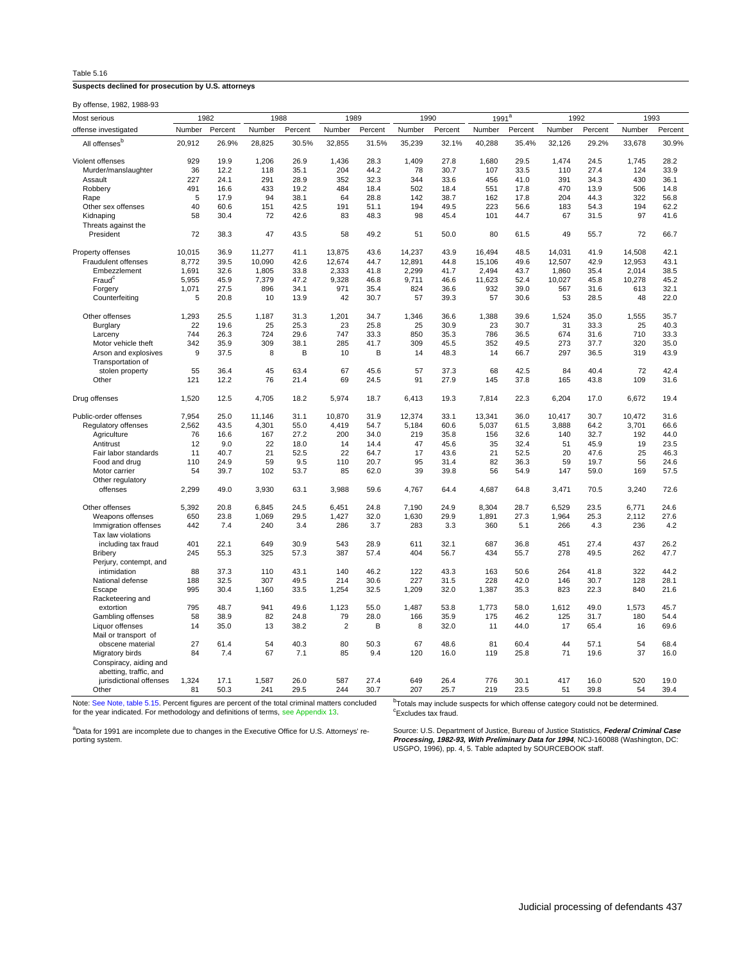Table 5.16

## **Suspects declined for prosecution by U.S. attorneys**

By offense, 1982, 1988-93

| Most serious                                                        |        | 1982    | 1988   |         | 1989           |         |        | 1990    | 1991 <sup>a</sup> |         | 1992   |         | 1993   |         |
|---------------------------------------------------------------------|--------|---------|--------|---------|----------------|---------|--------|---------|-------------------|---------|--------|---------|--------|---------|
| offense investigated                                                | Number | Percent | Number | Percent | Number         | Percent | Number | Percent | Number            | Percent | Number | Percent | Number | Percent |
| All offenses <sup>b</sup>                                           | 20,912 | 26.9%   | 28,825 | 30.5%   | 32,855         | 31.5%   | 35,239 | 32.1%   | 40,288            | 35.4%   | 32,126 | 29.2%   | 33,678 | 30.9%   |
| Violent offenses                                                    | 929    | 19.9    | 1,206  | 26.9    | 1,436          | 28.3    | 1,409  | 27.8    | 1,680             | 29.5    | 1,474  | 24.5    | 1,745  | 28.2    |
| Murder/manslaughter                                                 | 36     | 12.2    | 118    | 35.1    | 204            | 44.2    | 78     | 30.7    | 107               | 33.5    | 110    | 27.4    | 124    | 33.9    |
| Assault                                                             | 227    | 24.1    | 291    | 28.9    | 352            | 32.3    | 344    | 33.6    | 456               | 41.0    | 391    | 34.3    | 430    | 36.1    |
| Robbery                                                             | 491    | 16.6    | 433    | 19.2    | 484            | 18.4    | 502    | 18.4    | 551               | 17.8    | 470    | 13.9    | 506    | 14.8    |
| Rape                                                                | 5      | 17.9    | 94     | 38.1    | 64             | 28.8    | 142    | 38.7    | 162               | 17.8    | 204    | 44.3    | 322    | 56.8    |
| Other sex offenses                                                  | 40     | 60.6    | 151    | 42.5    | 191            | 51.1    | 194    | 49.5    | 223               | 56.6    | 183    | 54.3    | 194    | 62.2    |
| Kidnaping                                                           | 58     | 30.4    | 72     | 42.6    | 83             | 48.3    | 98     | 45.4    | 101               | 44.7    | 67     | 31.5    | 97     | 41.6    |
| Threats against the                                                 |        |         |        |         |                |         |        |         |                   |         |        |         |        |         |
| President                                                           | 72     | 38.3    | 47     | 43.5    | 58             | 49.2    | 51     | 50.0    | 80                | 61.5    | 49     | 55.7    | 72     | 66.7    |
| Property offenses                                                   | 10,015 | 36.9    | 11,277 | 41.1    | 13,875         | 43.6    | 14,237 | 43.9    | 16,494            | 48.5    | 14,031 | 41.9    | 14,508 | 42.1    |
| Fraudulent offenses                                                 | 8.772  | 39.5    | 10,090 | 42.6    | 12.674         | 44.7    | 12,891 | 44.8    | 15.106            | 49.6    | 12.507 | 42.9    | 12.953 | 43.1    |
| Embezzlement                                                        | 1,691  | 32.6    | 1,805  | 33.8    | 2,333          | 41.8    | 2,299  | 41.7    | 2,494             | 43.7    | 1,860  | 35.4    | 2,014  | 38.5    |
| Fraud <sup>c</sup>                                                  | 5,955  | 45.9    | 7,379  | 47.2    | 9,328          | 46.8    | 9,711  | 46.6    | 11,623            | 52.4    | 10,027 | 45.8    | 10,278 | 45.2    |
| Forgery                                                             | 1,071  | 27.5    | 896    | 34.1    | 971            | 35.4    | 824    | 36.6    | 932               | 39.0    | 567    | 31.6    | 613    | 32.1    |
| Counterfeiting                                                      | 5      | 20.8    | 10     | 13.9    | 42             | 30.7    | 57     | 39.3    | 57                | 30.6    | 53     | 28.5    | 48     | 22.0    |
| Other offenses                                                      | 1,293  | 25.5    | 1,187  | 31.3    | 1,201          | 34.7    | 1,346  | 36.6    | 1,388             | 39.6    | 1,524  | 35.0    | 1,555  | 35.7    |
| Burglary                                                            | 22     | 19.6    | 25     | 25.3    | 23             | 25.8    | 25     | 30.9    | 23                | 30.7    | 31     | 33.3    | 25     | 40.3    |
| Larceny                                                             | 744    | 26.3    | 724    | 29.6    | 747            | 33.3    | 850    | 35.3    | 786               | 36.5    | 674    | 31.6    | 710    | 33.3    |
| Motor vehicle theft                                                 | 342    | 35.9    | 309    | 38.1    | 285            | 41.7    | 309    | 45.5    | 352               | 49.5    | 273    | 37.7    | 320    | 35.0    |
| Arson and explosives                                                | 9      | 37.5    | 8      | B       | 10             | B       | 14     | 48.3    | 14                | 66.7    | 297    | 36.5    | 319    | 43.9    |
| Transportation of                                                   |        |         |        |         |                |         |        |         |                   |         |        |         |        |         |
| stolen property                                                     | 55     | 36.4    | 45     | 63.4    | 67             | 45.6    | 57     | 37.3    | 68                | 42.5    | 84     | 40.4    | 72     | 42.4    |
| Other                                                               | 121    | 12.2    | 76     | 21.4    | 69             | 24.5    | 91     | 27.9    | 145               | 37.8    | 165    | 43.8    | 109    | 31.6    |
| Drug offenses                                                       | 1,520  | 12.5    | 4,705  | 18.2    | 5,974          | 18.7    | 6,413  | 19.3    | 7,814             | 22.3    | 6,204  | 17.0    | 6,672  | 19.4    |
| Public-order offenses                                               | 7,954  | 25.0    | 11.146 | 31.1    | 10,870         | 31.9    | 12,374 | 33.1    | 13,341            | 36.0    | 10,417 | 30.7    | 10,472 | 31.6    |
| Regulatory offenses                                                 | 2,562  | 43.5    | 4,301  | 55.0    | 4,419          | 54.7    | 5,184  | 60.6    | 5,037             | 61.5    | 3,888  | 64.2    | 3,701  | 66.6    |
| Agriculture                                                         | 76     | 16.6    | 167    | 27.2    | 200            | 34.0    | 219    | 35.8    | 156               | 32.6    | 140    | 32.7    | 192    | 44.0    |
| Antitrust                                                           | 12     | 9.0     | 22     | 18.0    | 14             | 14.4    | 47     | 45.6    | 35                | 32.4    | 51     | 45.9    | 19     | 23.5    |
| Fair labor standards                                                | 11     | 40.7    | 21     | 52.5    | 22             | 64.7    | 17     | 43.6    | 21                | 52.5    | 20     | 47.6    | 25     | 46.3    |
| Food and drug                                                       | 110    | 24.9    | 59     | 9.5     | 110            | 20.7    | 95     | 31.4    | 82                | 36.3    | 59     | 19.7    | 56     | 24.6    |
| Motor carrier                                                       | 54     | 39.7    | 102    | 53.7    | 85             | 62.0    | 39     | 39.8    | 56                | 54.9    | 147    | 59.0    | 169    | 57.5    |
| Other regulatory<br>offenses                                        | 2,299  | 49.0    | 3,930  | 63.1    | 3,988          | 59.6    | 4,767  | 64.4    | 4,687             | 64.8    | 3,471  | 70.5    | 3,240  | 72.6    |
| Other offenses                                                      | 5,392  | 20.8    | 6,845  | 24.5    | 6,451          | 24.8    | 7,190  | 24.9    | 8,304             | 28.7    | 6,529  | 23.5    | 6,771  | 24.6    |
| Weapons offenses                                                    | 650    | 23.8    | 1,069  | 29.5    | 1,427          | 32.0    | 1,630  | 29.9    | 1,891             | 27.3    | 1,964  | 25.3    | 2,112  | 27.6    |
| Immigration offenses                                                | 442    | 7.4     | 240    | 3.4     | 286            | 3.7     | 283    | 3.3     | 360               | 5.1     | 266    | 4.3     | 236    | 4.2     |
| Tax law violations                                                  |        |         |        |         |                |         |        |         |                   |         |        |         |        |         |
| including tax fraud                                                 | 401    | 22.1    | 649    | 30.9    | 543            | 28.9    | 611    | 32.1    | 687               | 36.8    | 451    | 27.4    | 437    | 26.2    |
| <b>Bribery</b>                                                      | 245    | 55.3    | 325    | 57.3    | 387            | 57.4    | 404    | 56.7    | 434               | 55.7    | 278    | 49.5    | 262    | 47.7    |
| Perjury, contempt, and                                              |        |         |        |         |                |         |        |         |                   |         |        |         |        |         |
| intimidation                                                        | 88     | 37.3    | 110    | 43.1    | 140            | 46.2    | 122    | 43.3    | 163               | 50.6    | 264    | 41.8    | 322    | 44.2    |
| National defense                                                    | 188    | 32.5    | 307    | 49.5    | 214            | 30.6    | 227    | 31.5    | 228               | 42.0    | 146    | 30.7    | 128    | 28.1    |
| Escape                                                              | 995    | 30.4    | 1,160  | 33.5    | 1,254          | 32.5    | 1,209  | 32.0    | 1,387             | 35.3    | 823    | 22.3    | 840    | 21.6    |
| Racketeering and                                                    |        |         |        |         |                |         |        |         |                   |         |        |         |        |         |
| extortion                                                           | 795    | 48.7    | 941    | 49.6    | 1,123          | 55.0    | 1,487  | 53.8    | 1,773             | 58.0    | 1,612  | 49.0    | 1,573  | 45.7    |
| Gambling offenses                                                   | 58     | 38.9    | 82     | 24.8    | 79             | 28.0    | 166    | 35.9    | 175               | 46.2    | 125    | 31.7    | 180    | 54.4    |
| Liquor offenses                                                     | 14     | 35.0    | 13     | 38.2    | $\overline{2}$ | B       | 8      | 32.0    | 11                | 44.0    | 17     | 65.4    | 16     | 69.6    |
| Mail or transport of                                                |        |         |        |         |                |         |        |         |                   |         |        |         |        |         |
| obscene material                                                    | 27     | 61.4    | 54     | 40.3    | 80             | 50.3    | 67     | 48.6    | 81                | 60.4    | 44     | 57.1    | 54     | 68.4    |
| Migratory birds<br>Conspiracy, aiding and<br>abetting, traffic, and | 84     | 7.4     | 67     | 7.1     | 85             | 9.4     | 120    | 16.0    | 119               | 25.8    | 71     | 19.6    | 37     | 16.0    |
| jurisdictional offenses                                             | 1,324  | 17.1    | 1,587  | 26.0    | 587            | 27.4    | 649    | 26.4    | 776               | 30.1    | 417    | 16.0    | 520    | 19.0    |
| Other                                                               | 81     | 50.3    | 241    | 29.5    | 244            | 30.7    | 207    | 25.7    | 219               | 23.5    | 51     | 39.8    | 54     | 39.4    |
| $-1$ $ -$<br>$\sim$<br>$\sim$ $\sim$ $\sim$                         |        |         |        |         |                |         |        |         |                   |         |        |         |        |         |

Note[: See Note, table 5.15.](#page-19-0) Percent figures are percent of the total criminal matters concluded<br>for the year indicated. For methodology and definitions of terms, [see Appendix 13.](#page-83-0)

<sup>b</sup>Totals may include suspects for which offense category could not be determined.<br><sup>c</sup>Excludes tax fraud.

<sup>a</sup>Data for 1991 are incomplete due to changes in the Executive Office for U.S. Attorneys' reporting system.

Source: U.S. Department of Justice, Bureau of Justice Statistics, *Federal Criminal Case*<br>*Processing, 1982-93, With Preliminary Data for 1994*, NCJ-160088 (Washington, DC:<br>USGPO, 1996), pp. 4, 5. Table adapted by SOURCEBO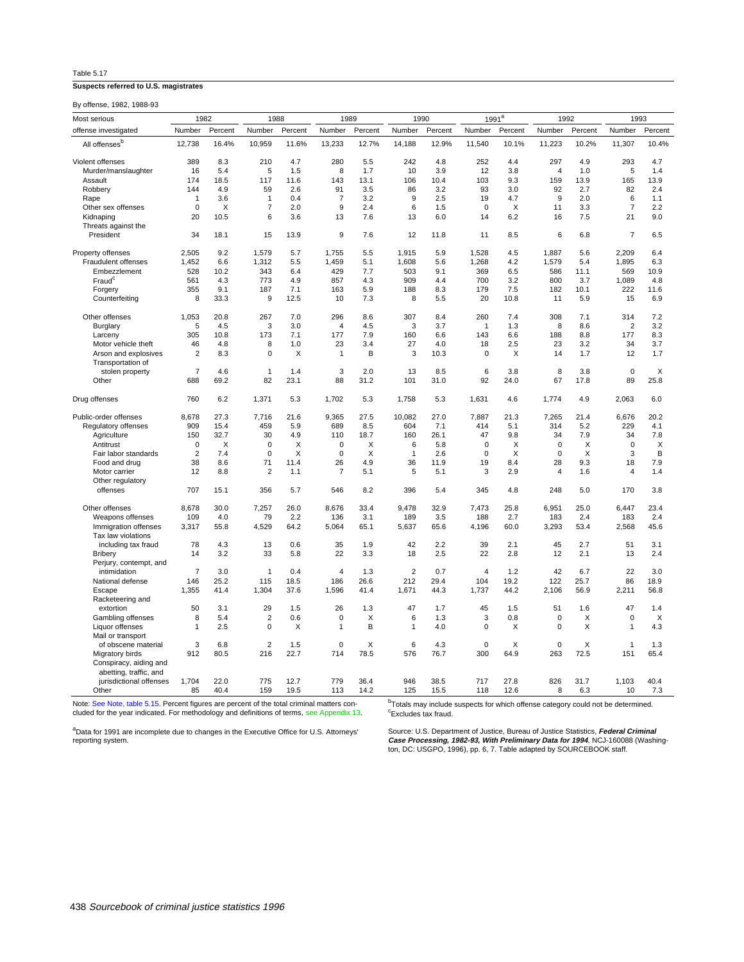| abie<br>∍ |  |
|-----------|--|
|-----------|--|

## **Suspects referred to U.S. magistrates**

By offense, 1982, 1988-93

| Most serious                               | 1982           |         | 1988           |         | 1989                    |         | 1990             |         |                         | $1991^{\circ}$ |                | 1992    |                | 1993    |
|--------------------------------------------|----------------|---------|----------------|---------|-------------------------|---------|------------------|---------|-------------------------|----------------|----------------|---------|----------------|---------|
| offense investigated                       | Number         | Percent | Number         | Percent | Number                  | Percent | Number           | Percent | Number                  | Percent        | Number         | Percent | Number         | Percent |
| All offenses <sup>b</sup>                  | 12,738         | 16.4%   | 10,959         | 11.6%   | 13,233                  | 12.7%   | 14,188           | 12.9%   | 11,540                  | 10.1%          | 11,223         | 10.2%   | 11,307         | 10.4%   |
| Violent offenses                           | 389            | 8.3     | 210            | 4.7     | 280                     | 5.5     | 242              | 4.8     | 252                     | 4.4            | 297            | 4.9     | 293            | 4.7     |
| Murder/manslaughter                        | 16             | 5.4     | 5              | 1.5     | 8                       | 1.7     | 10               | 3.9     | 12                      | 3.8            | $\overline{4}$ | 1.0     | 5              | 1.4     |
| Assault                                    | 174            | 18.5    | 117            | 11.6    | 143                     | 13.1    | 106              | 10.4    | 103                     | 9.3            | 159            | 13.9    | 165            | 13.9    |
| Robbery                                    | 144            | 4.9     | 59             | 2.6     | 91                      | 3.5     | 86               | 3.2     | 93                      | 3.0            | 92             | 2.7     | 82             | 2.4     |
| Rape                                       | $\mathbf{1}$   | 3.6     | 1              | 0.4     | 7                       | 3.2     | $\boldsymbol{9}$ | 2.5     | 19                      | 4.7            | 9              | 2.0     | 6              | 1.1     |
| Other sex offenses                         | $\mathbf 0$    | X       | $\overline{7}$ | 2.0     | 9                       | 2.4     | 6                | 1.5     | $\mathbf 0$             | X              | 11             | 3.3     | $\overline{7}$ | 2.2     |
| Kidnaping                                  | 20             | 10.5    | 6              | 3.6     | 13                      | 7.6     | 13               | 6.0     | 14                      | 6.2            | 16             | 7.5     | 21             | 9.0     |
| Threats against the                        |                |         |                |         |                         |         |                  |         |                         |                |                |         |                |         |
| President                                  | 34             | 18.1    | 15             | 13.9    | 9                       | 7.6     | 12               | 11.8    | 11                      | 8.5            | 6              | 6.8     | $\overline{7}$ | 6.5     |
| Property offenses                          | 2,505          | 9.2     | 1,579          | 5.7     | 1.755                   | 5.5     | 1,915            | 5.9     | 1,528                   | 4.5            | 1,887          | 5.6     | 2,209          | 6.4     |
| Fraudulent offenses                        | 1,452          | 6.6     | 1,312          | 5.5     | 1,459                   | 5.1     | 1,608            | 5.6     | 1,268                   | 4.2            | 1,579          | 5.4     | 1,895          | 6.3     |
| Embezzlement                               | 528            | 10.2    | 343            | 6.4     | 429                     | 7.7     | 503              | 9.1     | 369                     | 6.5            | 586            | 11.1    | 569            | 10.9    |
| Fraud <sup>c</sup>                         | 561            | 4.3     | 773            | 4.9     | 857                     | 4.3     | 909              | 4.4     | 700                     | 3.2            | 800            | 3.7     | 1,089          | 4.8     |
| Forgery                                    | 355            | 9.1     | 187            | 7.1     | 163                     | 5.9     | 188              | 8.3     | 179                     | 7.5            | 182            | 10.1    | 222            | 11.6    |
| Counterfeiting                             | 8              | 33.3    | 9              | 12.5    | 10                      | 7.3     | 8                | 5.5     | 20                      | 10.8           | 11             | 5.9     | 15             | 6.9     |
| Other offenses                             | 1,053          | 20.8    | 267            | 7.0     | 296                     | 8.6     | 307              | 8.4     | 260                     | 7.4            | 308            | 7.1     | 314            | 7.2     |
| Burglary                                   | 5              | 4.5     | 3              | 3.0     | $\overline{\mathbf{4}}$ | 4.5     | 3                | 3.7     | $\mathbf{1}$            | 1.3            | 8              | 8.6     | $\overline{2}$ | 3.2     |
| Larceny                                    | 305            | 10.8    | 173            | 7.1     | 177                     | 7.9     | 160              | 6.6     | 143                     | 6.6            | 188            | 8.8     | 177            | 8.3     |
| Motor vehicle theft                        | 46             | 4.8     | 8              | 1.0     | 23                      | 3.4     | 27               | 4.0     | 18                      | 2.5            | 23             | 3.2     | 34             | 3.7     |
| Arson and explosives                       | $\overline{2}$ | 8.3     | 0              | X       | $\mathbf{1}$            | B       | 3                | 10.3    | $\mathbf 0$             | Х              | 14             | 1.7     | 12             | 1.7     |
| Transportation of                          |                |         |                |         |                         |         |                  |         |                         |                |                |         |                |         |
| stolen property                            | $\overline{7}$ | 4.6     | $\mathbf{1}$   | 1.4     | 3                       | 2.0     | 13               | 8.5     | 6                       | 3.8            | 8              | 3.8     | $\mathbf 0$    | X       |
| Other                                      | 688            | 69.2    | 82             | 23.1    | 88                      | 31.2    | 101              | 31.0    | 92                      | 24.0           | 67             | 17.8    | 89             | 25.8    |
| Drug offenses                              | 760            | 6.2     | 1,371          | 5.3     | 1,702                   | 5.3     | 1,758            | 5.3     | 1,631                   | 4.6            | 1,774          | 4.9     | 2,063          | 6.0     |
| Public-order offenses                      | 8,678          | 27.3    | 7,716          | 21.6    | 9,365                   | 27.5    | 10,082           | 27.0    | 7,887                   | 21.3           | 7,265          | 21.4    | 6,676          | 20.2    |
| Regulatory offenses                        | 909            | 15.4    | 459            | 5.9     | 689                     | 8.5     | 604              | 7.1     | 414                     | 5.1            | 314            | 5.2     | 229            | 4.1     |
| Agriculture                                | 150            | 32.7    | 30             | 4.9     | 110                     | 18.7    | 160              | 26.1    | 47                      | 9.8            | 34             | 7.9     | 34             | 7.8     |
| Antitrust                                  | $\mathbf 0$    | X       | $\mathbf 0$    | X       | $\mathbf 0$             | X       | 6                | 5.8     | $\mathbf 0$             | X              | $\mathbf 0$    | X       | $\mathbf 0$    | X       |
| Fair labor standards                       | $\overline{2}$ | 7.4     | $\mathbf 0$    | X       | $\mathbf 0$             | X       | $\mathbf{1}$     | 2.6     | $\mathbf 0$             | X              | $\mathbf 0$    | X       | 3              | B       |
| Food and drug                              | 38             | 8.6     | 71             | 11.4    | 26                      | 4.9     | 36               | 11.9    | 19                      | 8.4            | 28             | 9.3     | 18             | 7.9     |
| Motor carrier                              | 12             | 8.8     | $\overline{2}$ | 1.1     | $\overline{7}$          | 5.1     | 5                | 5.1     | 3                       | 2.9            | 4              | 1.6     | 4              | 1.4     |
| Other regulatory                           |                |         |                |         |                         |         |                  |         |                         |                |                |         |                |         |
| offenses                                   | 707            | 15.1    | 356            | 5.7     | 546                     | 8.2     | 396              | 5.4     | 345                     | 4.8            | 248            | 5.0     | 170            | 3.8     |
| Other offenses                             | 8,678          | 30.0    | 7,257          | 26.0    | 8,676                   | 33.4    | 9,478            | 32.9    | 7,473                   | 25.8           | 6,951          | 25.0    | 6,447          | 23.4    |
| Weapons offenses                           | 109            | 4.0     | 79             | 2.2     | 136                     | 3.1     | 189              | 3.5     | 188                     | 2.7            | 183            | 2.4     | 183            | 2.4     |
| Immigration offenses<br>Tax law violations | 3,317          | 55.8    | 4,529          | 64.2    | 5,064                   | 65.1    | 5,637            | 65.6    | 4,196                   | 60.0           | 3,293          | 53.4    | 2,568          | 45.6    |
| including tax fraud                        | 78             | 4.3     | 13             | 0.6     | 35                      | 1.9     | 42               | 2.2     | 39                      | 2.1            | 45             | 2.7     | 51             | 3.1     |
| <b>Bribery</b>                             | 14             | 3.2     | 33             | 5.8     | 22                      | 3.3     | 18               | 2.5     | 22                      | 2.8            | 12             | 2.1     | 13             | 2.4     |
| Perjury, contempt, and                     |                |         |                |         |                         |         |                  |         |                         |                |                |         |                |         |
| intimidation                               | $\overline{7}$ | 3.0     | 1              | 0.4     | $\overline{4}$          | 1.3     | $\overline{2}$   | 0.7     | $\overline{\mathbf{4}}$ | 1.2            | 42             | 6.7     | 22             | 3.0     |
| National defense                           | 146            | 25.2    | 115            | 18.5    | 186                     | 26.6    | 212              | 29.4    | 104                     | 19.2           | 122            | 25.7    | 86             | 18.9    |
| Escape                                     | 1,355          | 41.4    | 1,304          | 37.6    | 1,596                   | 41.4    | 1,671            | 44.3    | 1,737                   | 44.2           | 2,106          | 56.9    | 2,211          | 56.8    |
| Racketeering and                           |                |         |                |         |                         |         |                  |         |                         |                |                |         |                |         |
| extortion                                  | 50             | 3.1     | 29             | 1.5     | 26                      | 1.3     | 47               | 1.7     | 45                      | 1.5            | 51             | 1.6     | 47             | 1.4     |
| Gambling offenses                          | 8              | 5.4     | $\overline{2}$ | 0.6     | 0                       | Х       | 6                | 1.3     | 3                       | 0.8            | 0              | Х       | 0              | Х       |
| Liquor offenses                            | 1              | 2.5     | 0              | X       | $\mathbf{1}$            | B       | $\mathbf{1}$     | 4.0     | $\mathbf 0$             | X              | $\mathbf 0$    | X       | $\mathbf{1}$   | 4.3     |
| Mail or transport                          |                |         |                |         |                         |         |                  |         |                         |                |                |         |                |         |
| of obscene material                        | 3              | 6.8     | $\overline{2}$ | 1.5     | $\pmb{0}$               | X       | 6                | 4.3     | $\mathbf 0$             | X              | $\mathbf 0$    | X       | $\mathbf{1}$   | 1.3     |
| Migratory birds                            | 912            | 80.5    | 216            | 22.7    | 714                     | 78.5    | 576              | 76.7    | 300                     | 64.9           | 263            | 72.5    | 151            | 65.4    |
| Conspiracy, aiding and                     |                |         |                |         |                         |         |                  |         |                         |                |                |         |                |         |
| abetting, traffic, and                     |                |         |                |         |                         |         |                  |         |                         |                |                |         |                |         |
| jurisdictional offenses                    | 1,704          | 22.0    | 775            | 12.7    | 779                     | 36.4    | 946              | 38.5    | 717                     | 27.8           | 826            | 31.7    | 1.103          | 40.4    |
| Other                                      | 85             | 40.4    | 159            | 19.5    | 113                     | 14.2    | 125              | 15.5    | 118                     | 12.6           | 8              | 6.3     | 10             | 7.3     |
|                                            |                |         |                |         |                         |         |                  |         |                         |                |                |         |                |         |

Note: [See Note, table 5.15.](#page-19-0) Percent figures are percent of the total criminal matters con-<br>cluded for the year indicated. For methodology and definitions of terms[, see Appendix 13.](#page-83-0)

<sup>b</sup>Totals may include suspects for which offense category could not be determined.<br><sup>c</sup>Excludes tax fraud.

<sup>a</sup>Data for 1991 are incomplete due to changes in the Executive Office for U.S. Attorneys' reporting system.

Source: U.S. Department of Justice, Bureau of Justice Statistics, **Federal Criminal Case Processing, 1982-93, With Preliminary Data for 1994**, NCJ-160088 (Washing-ton, DC: USGPO, 1996), pp. 6, 7. Table adapted by SOURCEBOOK staff.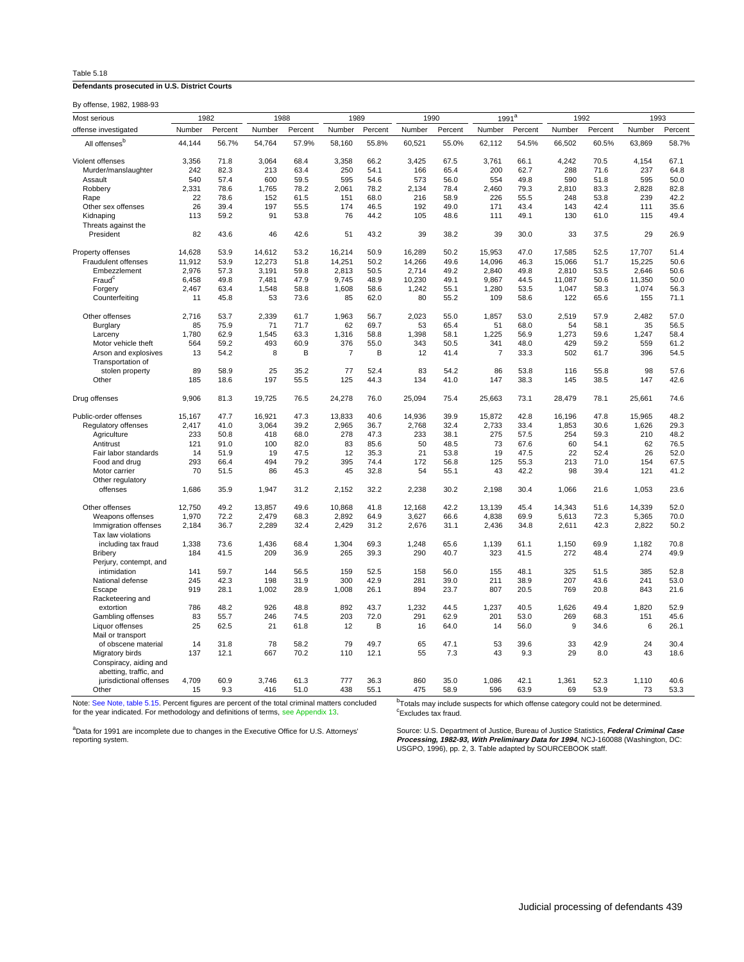| Table 5.18 |  |  |  |  |
|------------|--|--|--|--|
|------------|--|--|--|--|

## **Defendants prosecuted in U.S. District Courts**

By offense, 1982, 1988-93

| Most serious                                     |        | 1982    | 1988   |         | 1989           |         |        | 1990    |                | $1991^{\overline{a}}$ | 1992   |         | 1993   |         |
|--------------------------------------------------|--------|---------|--------|---------|----------------|---------|--------|---------|----------------|-----------------------|--------|---------|--------|---------|
| offense investigated                             | Number | Percent | Number | Percent | Number         | Percent | Number | Percent | Number         | Percent               | Number | Percent | Number | Percent |
| All offenses <sup>b</sup>                        | 44,144 | 56.7%   | 54,764 | 57.9%   | 58,160         | 55.8%   | 60,521 | 55.0%   | 62,112         | 54.5%                 | 66,502 | 60.5%   | 63,869 | 58.7%   |
| Violent offenses                                 | 3,356  | 71.8    | 3,064  | 68.4    | 3,358          | 66.2    | 3,425  | 67.5    | 3,761          | 66.1                  | 4,242  | 70.5    | 4,154  | 67.1    |
| Murder/manslaughter                              | 242    | 82.3    | 213    | 63.4    | 250            | 54.1    | 166    | 65.4    | 200            | 62.7                  | 288    | 71.6    | 237    | 64.8    |
| Assault                                          | 540    | 57.4    | 600    | 59.5    | 595            | 54.6    | 573    | 56.0    | 554            | 49.8                  | 590    | 51.8    | 595    | 50.0    |
| Robbery                                          | 2,331  | 78.6    | 1,765  | 78.2    | 2,061          | 78.2    | 2,134  | 78.4    | 2,460          | 79.3                  | 2,810  | 83.3    | 2,828  | 82.8    |
| Rape                                             | 22     | 78.6    | 152    | 61.5    | 151            | 68.0    | 216    | 58.9    | 226            | 55.5                  | 248    | 53.8    | 239    | 42.2    |
| Other sex offenses                               | 26     | 39.4    | 197    | 55.5    | 174            | 46.5    | 192    | 49.0    | 171            | 43.4                  | 143    | 42.4    | 111    | 35.6    |
|                                                  | 113    | 59.2    | 91     | 53.8    | 76             | 44.2    | 105    | 48.6    | 111            | 49.1                  | 130    | 61.0    | 115    | 49.4    |
| Kidnaping                                        |        |         |        |         |                |         |        |         |                |                       |        |         |        |         |
| Threats against the<br>President                 | 82     | 43.6    | 46     | 42.6    | 51             | 43.2    | 39     | 38.2    | 39             | 30.0                  | 33     | 37.5    | 29     | 26.9    |
| Property offenses                                | 14,628 | 53.9    | 14,612 | 53.2    | 16,214         | 50.9    | 16,289 | 50.2    | 15.953         | 47.0                  | 17,585 | 52.5    | 17.707 | 51.4    |
| Fraudulent offenses                              | 11,912 | 53.9    | 12,273 | 51.8    | 14,251         | 50.2    | 14,266 | 49.6    | 14,096         | 46.3                  | 15,066 | 51.7    | 15,225 | 50.6    |
| Embezzlement                                     | 2,976  | 57.3    | 3.191  | 59.8    | 2,813          | 50.5    | 2,714  | 49.2    | 2,840          | 49.8                  | 2,810  | 53.5    | 2,646  | 50.6    |
|                                                  |        |         |        |         |                |         |        |         |                |                       |        |         |        |         |
| Fraud <sup>c</sup>                               | 6,458  | 49.8    | 7,481  | 47.9    | 9,745          | 48.9    | 10,230 | 49.1    | 9,867          | 44.5                  | 11,087 | 50.6    | 11,350 | 50.0    |
| Forgery                                          | 2,467  | 63.4    | 1,548  | 58.8    | 1,608          | 58.6    | 1,242  | 55.1    | 1,280          | 53.5                  | 1,047  | 58.3    | 1,074  | 56.3    |
| Counterfeiting                                   | 11     | 45.8    | 53     | 73.6    | 85             | 62.0    | 80     | 55.2    | 109            | 58.6                  | 122    | 65.6    | 155    | 71.1    |
| Other offenses                                   | 2,716  | 53.7    | 2,339  | 61.7    | 1,963          | 56.7    | 2,023  | 55.0    | 1,857          | 53.0                  | 2,519  | 57.9    | 2,482  | 57.0    |
| Burglary                                         | 85     | 75.9    | 71     | 71.7    | 62             | 69.7    | 53     | 65.4    | 51             | 68.0                  | 54     | 58.1    | 35     | 56.5    |
| Larceny                                          | 1,780  | 62.9    | 1,545  | 63.3    | 1,316          | 58.8    | 1,398  | 58.1    | 1,225          | 56.9                  | 1,273  | 59.6    | 1,247  | 58.4    |
| Motor vehicle theft                              | 564    | 59.2    | 493    | 60.9    | 376            | 55.0    | 343    | 50.5    | 341            | 48.0                  | 429    | 59.2    | 559    | 61.2    |
| Arson and explosives                             | 13     | 54.2    | 8      | B       | $\overline{7}$ | B       | 12     | 41.4    | $\overline{7}$ | 33.3                  | 502    | 61.7    | 396    | 54.5    |
| Transportation of                                |        |         |        |         |                |         |        |         |                |                       |        |         |        |         |
|                                                  | 89     | 58.9    | 25     | 35.2    | 77             | 52.4    | 83     | 54.2    | 86             | 53.8                  | 116    | 55.8    | 98     | 57.6    |
| stolen property                                  |        |         |        |         |                |         |        |         |                |                       |        |         |        |         |
| Other                                            | 185    | 18.6    | 197    | 55.5    | 125            | 44.3    | 134    | 41.0    | 147            | 38.3                  | 145    | 38.5    | 147    | 42.6    |
| Drug offenses                                    | 9,906  | 81.3    | 19,725 | 76.5    | 24,278         | 76.0    | 25,094 | 75.4    | 25,663         | 73.1                  | 28,479 | 78.1    | 25,661 | 74.6    |
| Public-order offenses                            | 15.167 | 47.7    | 16.921 | 47.3    | 13.833         | 40.6    | 14,936 | 39.9    | 15,872         | 42.8                  | 16,196 | 47.8    | 15.965 | 48.2    |
| Regulatory offenses                              | 2,417  | 41.0    | 3,064  | 39.2    | 2,965          | 36.7    | 2,768  | 32.4    | 2,733          | 33.4                  | 1,853  | 30.6    | 1,626  | 29.3    |
| Agriculture                                      | 233    | 50.8    | 418    | 68.0    | 278            | 47.3    | 233    | 38.1    | 275            | 57.5                  | 254    | 59.3    | 210    | 48.2    |
| Antitrust                                        | 121    | 91.0    | 100    | 82.0    | 83             | 85.6    | 50     | 48.5    | 73             | 67.6                  | 60     | 54.1    | 62     | 76.5    |
| Fair labor standards                             | 14     | 51.9    | 19     | 47.5    | 12             | 35.3    | 21     | 53.8    | 19             | 47.5                  | 22     | 52.4    | 26     | 52.0    |
| Food and drug                                    | 293    | 66.4    | 494    | 79.2    | 395            | 74.4    | 172    | 56.8    | 125            | 55.3                  | 213    | 71.0    | 154    | 67.5    |
|                                                  |        |         |        |         |                |         |        |         |                |                       |        |         |        |         |
| Motor carrier<br>Other regulatory                | 70     | 51.5    | 86     | 45.3    | 45             | 32.8    | 54     | 55.1    | 43             | 42.2                  | 98     | 39.4    | 121    | 41.2    |
| offenses                                         | 1,686  | 35.9    | 1,947  | 31.2    | 2,152          | 32.2    | 2,238  | 30.2    | 2,198          | 30.4                  | 1,066  | 21.6    | 1,053  | 23.6    |
| Other offenses                                   | 12,750 | 49.2    | 13,857 | 49.6    | 10,868         | 41.8    | 12,168 | 42.2    | 13,139         | 45.4                  | 14,343 | 51.6    | 14,339 | 52.0    |
| Weapons offenses                                 | 1,970  | 72.2    | 2,479  | 68.3    | 2,892          | 64.9    | 3,627  | 66.6    | 4,838          | 69.9                  | 5,613  | 72.3    | 5,365  | 70.0    |
| Immigration offenses                             | 2,184  | 36.7    | 2,289  | 32.4    | 2,429          | 31.2    | 2,676  | 31.1    | 2,436          | 34.8                  | 2,611  | 42.3    | 2,822  | 50.2    |
| Tax law violations                               |        |         |        |         |                |         |        |         |                |                       |        |         |        |         |
| including tax fraud                              | 1,338  | 73.6    | 1,436  | 68.4    | 1,304          | 69.3    | 1,248  | 65.6    | 1,139          | 61.1                  | 1,150  | 69.9    | 1,182  | 70.8    |
| <b>Bribery</b>                                   | 184    | 41.5    | 209    | 36.9    | 265            | 39.3    | 290    | 40.7    | 323            | 41.5                  | 272    | 48.4    | 274    | 49.9    |
| Perjury, contempt, and                           |        |         |        |         |                |         |        |         |                |                       |        |         |        |         |
| intimidation                                     | 141    | 59.7    | 144    | 56.5    | 159            | 52.5    | 158    | 56.0    | 155            | 48.1                  | 325    | 51.5    | 385    | 52.8    |
| National defense                                 | 245    | 42.3    | 198    | 31.9    | 300            | 42.9    | 281    | 39.0    | 211            | 38.9                  | 207    | 43.6    | 241    | 53.0    |
|                                                  |        |         |        |         |                |         |        |         |                |                       |        |         |        |         |
| Escape                                           | 919    | 28.1    | 1,002  | 28.9    | 1,008          | 26.1    | 894    | 23.7    | 807            | 20.5                  | 769    | 20.8    | 843    | 21.6    |
| Racketeering and                                 |        |         |        |         |                |         |        |         |                |                       |        |         |        |         |
| extortion                                        | 786    | 48.2    | 926    | 48.8    | 892            | 43.7    | 1,232  | 44.5    | 1,237          | 40.5                  | 1,626  | 49.4    | 1,820  | 52.9    |
| Gambling offenses                                | 83     | 55.7    | 246    | 74.5    | 203            | 72.0    | 291    | 62.9    | 201            | 53.0                  | 269    | 68.3    | 151    | 45.6    |
| Liquor offenses                                  | 25     | 62.5    | 21     | 61.8    | 12             | B       | 16     | 64.0    | 14             | 56.0                  | 9      | 34.6    | 6      | 26.1    |
| Mail or transport                                |        |         |        |         |                |         |        |         |                |                       |        |         |        |         |
| of obscene material                              | 14     | 31.8    | 78     | 58.2    | 79             | 49.7    | 65     | 47.1    | 53             | 39.6                  | 33     | 42.9    | 24     | 30.4    |
| Migratory birds                                  | 137    | 12.1    | 667    | 70.2    | 110            | 12.1    | 55     | 7.3     | 43             | 9.3                   | 29     | 8.0     | 43     | 18.6    |
| Conspiracy, aiding and<br>abetting, traffic, and |        |         |        |         |                |         |        |         |                |                       |        |         |        |         |
| jurisdictional offenses                          | 4,709  | 60.9    | 3,746  | 61.3    | 777            | 36.3    | 860    | 35.0    | 1,086          | 42.1                  | 1,361  | 52.3    | 1,110  | 40.6    |
| Other                                            | 15     | 9.3     | 416    | 51.0    | 438            | 55.1    | 475    | 58.9    | 596            | 63.9                  | 69     | 53.9    | 73     | 53.3    |
| $1.11 - 1.1$<br>$\overline{\phantom{0}}$         |        |         |        |         |                |         | $h -$  |         |                |                       |        |         |        |         |

Note[: See Note, table 5.15.](#page-19-0) Percent figures are percent of the total criminal matters concluded<br>for the year indicated. For methodology and definitions of terms[, see Appendix 13.](#page-83-0)

<sup>b</sup>Totals may include suspects for which offense category could not be determined. <sup>c</sup>Excludes tax fraud.

<sup>a</sup>Data for 1991 are incomplete due to changes in the Executive Office for U.S. Attorneys' reporting system.

Source: U.S. Department of Justice, Bureau of Justice Statistics, *Federal Criminal Case*<br>*Processing, 1982-93, With Preliminary Data for 1994*, NCJ-160088 (Washington, DC:<br>USGPO, 1996), pp. 2, 3. Table adapted by SOURCEBO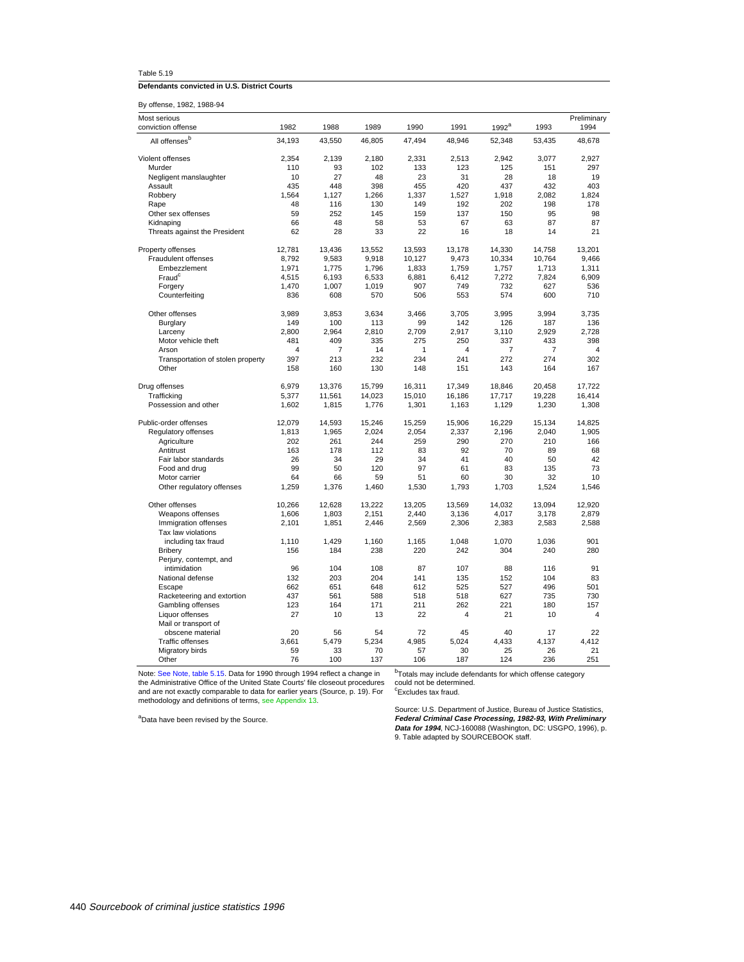#### **Defendants convicted in U.S. District Courts**

| By offense, 1982, 1988-94 |  |  |
|---------------------------|--|--|

| Most serious                      |                |                |        |        |                |                   |                | Preliminary |
|-----------------------------------|----------------|----------------|--------|--------|----------------|-------------------|----------------|-------------|
| conviction offense                | 1982           | 1988           | 1989   | 1990   | 1991           | 1992 <sup>a</sup> | 1993           | 1994        |
| All offenses <sup>b</sup>         | 34,193         | 43,550         | 46,805 | 47,494 | 48,946         | 52,348            | 53,435         | 48,678      |
| Violent offenses                  | 2,354          | 2.139          | 2,180  | 2,331  | 2,513          | 2,942             | 3,077          | 2,927       |
| Murder                            | 110            | 93             | 102    | 133    | 123            | 125               | 151            | 297         |
| Negligent manslaughter            | 10             | 27             | 48     | 23     | 31             | 28                | 18             | 19          |
| Assault                           | 435            | 448            | 398    | 455    | 420            | 437               | 432            | 403         |
| Robbery                           | 1,564          | 1,127          | 1,266  | 1,337  | 1,527          | 1,918             | 2.082          | 1.824       |
| Rape                              | 48             | 116            | 130    | 149    | 192            | 202               | 198            | 178         |
| Other sex offenses                | 59             | 252            | 145    | 159    | 137            | 150               | 95             | 98          |
| Kidnaping                         | 66             | 48             | 58     | 53     | 67             | 63                | 87             | 87          |
| Threats against the President     | 62             | 28             | 33     | 22     | 16             | 18                | 14             | 21          |
| Property offenses                 | 12,781         | 13,436         | 13,552 | 13,593 | 13,178         | 14,330            | 14,758         | 13,201      |
| Fraudulent offenses               | 8,792          | 9,583          | 9,918  | 10,127 | 9,473          | 10,334            | 10,764         | 9,466       |
| Embezzlement                      | 1,971          | 1,775          | 1,796  | 1,833  | 1,759          | 1,757             | 1,713          | 1,311       |
| Fraud <sup>c</sup>                | 4,515          | 6,193          | 6,533  | 6,881  | 6,412          | 7,272             | 7,824          | 6,909       |
| Forgery                           | 1,470          | 1,007          | 1,019  | 907    | 749            | 732               | 627            | 536         |
| Counterfeiting                    | 836            | 608            | 570    | 506    | 553            | 574               | 600            | 710         |
|                                   |                |                |        |        |                |                   |                |             |
| Other offenses                    | 3,989          | 3,853          | 3,634  | 3,466  | 3,705          | 3,995             | 3,994          | 3,735       |
| Burglary                          | 149            | 100            | 113    | 99     | 142            | 126               | 187            | 136         |
| Larceny                           | 2,800          | 2,964          | 2,810  | 2,709  | 2,917          | 3,110             | 2,929          | 2,728       |
| Motor vehicle theft               | 481            | 409            | 335    | 275    | 250            | 337               | 433            | 398         |
| Arson                             | $\overline{4}$ | $\overline{7}$ | 14     | 1      | $\overline{4}$ | 7                 | $\overline{7}$ | 4           |
| Transportation of stolen property | 397            | 213            | 232    | 234    | 241            | 272               | 274            | 302         |
| Other                             | 158            | 160            | 130    | 148    | 151            | 143               | 164            | 167         |
| Drug offenses                     | 6.979          | 13.376         | 15.799 | 16.311 | 17,349         | 18.846            | 20.458         | 17.722      |
| Trafficking                       | 5,377          | 11,561         | 14,023 | 15,010 | 16,186         | 17,717            | 19,228         | 16,414      |
| Possession and other              | 1,602          | 1,815          | 1,776  | 1,301  | 1,163          | 1,129             | 1,230          | 1,308       |
| Public-order offenses             | 12,079         | 14,593         | 15,246 | 15,259 | 15,906         | 16,229            | 15,134         | 14,825      |
| Regulatory offenses               | 1,813          | 1,965          | 2.024  | 2,054  | 2,337          | 2,196             | 2,040          | 1.905       |
| Agriculture                       | 202            | 261            | 244    | 259    | 290            | 270               | 210            | 166         |
| Antitrust                         | 163            | 178            | 112    | 83     | 92             | 70                | 89             | 68          |
| Fair labor standards              | 26             | 34             | 29     | 34     | 41             | 40                | 50             | 42          |
| Food and drug                     | 99             | 50             | 120    | 97     | 61             | 83                | 135            | 73          |
| Motor carrier                     | 64             | 66             | 59     | 51     | 60             | 30                | 32             | 10          |
| Other regulatory offenses         | 1,259          | 1,376          | 1,460  | 1,530  | 1,793          | 1,703             | 1,524          | 1,546       |
| Other offenses                    | 10,266         | 12,628         | 13,222 | 13,205 | 13,569         | 14,032            | 13,094         | 12,920      |
| Weapons offenses                  | 1,606          | 1,803          | 2,151  | 2,440  | 3,136          | 4,017             | 3,178          | 2,879       |
| Immigration offenses              | 2,101          | 1,851          | 2,446  | 2,569  | 2,306          | 2,383             | 2,583          | 2,588       |
| Tax law violations                |                |                |        |        |                |                   |                |             |
| including tax fraud               | 1,110          | 1,429          | 1,160  | 1,165  | 1,048          | 1,070             | 1.036          | 901         |
| Bribery                           | 156            | 184            | 238    | 220    | 242            | 304               | 240            | 280         |
| Perjury, contempt, and            |                |                |        |        |                |                   |                |             |
| intimidation                      | 96             | 104            | 108    | 87     | 107            | 88                | 116            | 91          |
| National defense                  | 132            | 203            | 204    | 141    | 135            | 152               | 104            | 83          |
| Escape                            | 662            | 651            | 648    | 612    | 525            | 527               | 496            | 501         |
| Racketeering and extortion        | 437            | 561            | 588    | 518    | 518            | 627               | 735            | 730         |
| Gambling offenses                 | 123            | 164            | 171    | 211    | 262            | 221               | 180            | 157         |
| Liquor offenses                   | 27             | 10             | 13     | 22     | 4              | 21                | 10             | 4           |
| Mail or transport of              |                |                |        |        |                |                   |                |             |
| obscene material                  | 20             | 56             | 54     | 72     | 45             | 40                | 17             | 22          |
| <b>Traffic offenses</b>           | 3,661          | 5,479          | 5,234  | 4,985  | 5,024          | 4,433             | 4,137          | 4,412       |
| Migratory birds                   | 59             | 33             | 70     | 57     | 30             | 25                | 26             | 21          |
| Other                             | 76             | 100            | 137    | 106    | 187            | 124               | 236            | 251         |

Note: [See Note, table 5.15.](#page-19-0) Data for 1990 through 1994 reflect a change in<br>the Administrative Office of the United State Courts' file closeout procedures and are not exactly comparable to data for earlier years (Source, p. 19). For<br>methodology and definitions of terms, [see Appendix 13.](#page-83-0)

<sup>a</sup>Data have been revised by the Source.

<sup>b</sup>Totals may include defendants for which offense category<br>could not be determined. <sup>c</sup>Excludes tax fraud.

Source: U.S. Department of Justice, Bureau of Justice Statistics,<br>*Federal Criminal Case Processing, 1982-93, With Preliminary<br>Data for 1994, NCJ-160088 (Washington, DC: USGPO, 1996), p.<br>9. Table adapted by SOURCEBOOK staf*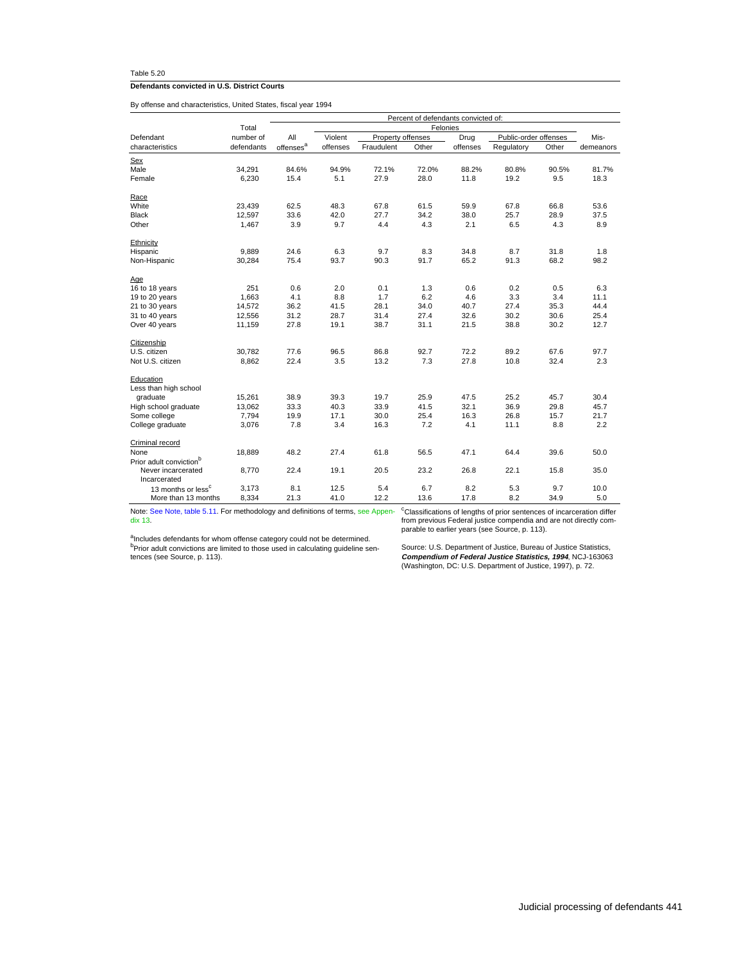## **Defendants convicted in U.S. District Courts**

By offense and characteristics, United States, fiscal year 1994

|                                     | Percent of defendants convicted of: |                        |          |                   |       |          |                       |       |           |
|-------------------------------------|-------------------------------------|------------------------|----------|-------------------|-------|----------|-----------------------|-------|-----------|
|                                     | Total                               | Felonies               |          |                   |       |          |                       |       |           |
| Defendant                           | number of                           | All                    | Violent  | Property offenses |       | Drug     | Public-order offenses |       | Mis-      |
| characteristics                     | defendants                          | of fenses <sup>a</sup> | offenses | Fraudulent        | Other | offenses | Regulatory            | Other | demeanors |
| Sex                                 |                                     |                        |          |                   |       |          |                       |       |           |
| Male                                | 34.291                              | 84.6%                  | 94.9%    | 72.1%             | 72.0% | 88.2%    | 80.8%                 | 90.5% | 81.7%     |
| Female                              | 6,230                               | 15.4                   | 5.1      | 27.9              | 28.0  | 11.8     | 19.2                  | 9.5   | 18.3      |
| Race                                |                                     |                        |          |                   |       |          |                       |       |           |
| White                               | 23,439                              | 62.5                   | 48.3     | 67.8              | 61.5  | 59.9     | 67.8                  | 66.8  | 53.6      |
| <b>Black</b>                        | 12,597                              | 33.6                   | 42.0     | 27.7              | 34.2  | 38.0     | 25.7                  | 28.9  | 37.5      |
| Other                               | 1,467                               | 3.9                    | 9.7      | 4.4               | 4.3   | 2.1      | 6.5                   | 4.3   | 8.9       |
| Ethnicity                           |                                     |                        |          |                   |       |          |                       |       |           |
| Hispanic                            | 9.889                               | 24.6                   | 6.3      | 9.7               | 8.3   | 34.8     | 8.7                   | 31.8  | 1.8       |
| Non-Hispanic                        | 30,284                              | 75.4                   | 93.7     | 90.3              | 91.7  | 65.2     | 91.3                  | 68.2  | 98.2      |
| Age                                 |                                     |                        |          |                   |       |          |                       |       |           |
| 16 to 18 years                      | 251                                 | 0.6                    | 2.0      | 0.1               | 1.3   | 0.6      | 0.2                   | 0.5   | 6.3       |
| 19 to 20 years                      | 1.663                               | 4.1                    | 8.8      | 1.7               | 6.2   | 4.6      | 3.3                   | 3.4   | 11.1      |
| 21 to 30 years                      | 14,572                              | 36.2                   | 41.5     | 28.1              | 34.0  | 40.7     | 27.4                  | 35.3  | 44.4      |
| 31 to 40 years                      | 12,556                              | 31.2                   | 28.7     | 31.4              | 27.4  | 32.6     | 30.2                  | 30.6  | 25.4      |
| Over 40 years                       | 11,159                              | 27.8                   | 19.1     | 38.7              | 31.1  | 21.5     | 38.8                  | 30.2  | 12.7      |
| Citizenship                         |                                     |                        |          |                   |       |          |                       |       |           |
| U.S. citizen                        | 30.782                              | 77.6                   | 96.5     | 86.8              | 92.7  | 72.2     | 89.2                  | 67.6  | 97.7      |
| Not U.S. citizen                    | 8,862                               | 22.4                   | 3.5      | 13.2              | 7.3   | 27.8     | 10.8                  | 32.4  | 2.3       |
| Education                           |                                     |                        |          |                   |       |          |                       |       |           |
| Less than high school               |                                     |                        |          |                   |       |          |                       |       |           |
| graduate                            | 15,261                              | 38.9                   | 39.3     | 19.7              | 25.9  | 47.5     | 25.2                  | 45.7  | 30.4      |
| High school graduate                | 13,062                              | 33.3                   | 40.3     | 33.9              | 41.5  | 32.1     | 36.9                  | 29.8  | 45.7      |
| Some college                        | 7,794                               | 19.9                   | 17.1     | 30.0              | 25.4  | 16.3     | 26.8                  | 15.7  | 21.7      |
| College graduate                    | 3,076                               | 7.8                    | 3.4      | 16.3              | 7.2   | 4.1      | 11.1                  | 8.8   | 2.2       |
| Criminal record                     |                                     |                        |          |                   |       |          |                       |       |           |
| None                                | 18,889                              | 48.2                   | 27.4     | 61.8              | 56.5  | 47.1     | 64.4                  | 39.6  | 50.0      |
| Prior adult conviction <sup>b</sup> |                                     |                        |          |                   |       |          |                       |       |           |
| Never incarcerated                  | 8,770                               | 22.4                   | 19.1     | 20.5              | 23.2  | 26.8     | 22.1                  | 15.8  | 35.0      |
| Incarcerated                        |                                     |                        |          |                   |       |          |                       |       |           |
| 13 months or less <sup>c</sup>      | 3,173                               | 8.1                    | 12.5     | 5.4               | 6.7   | 8.2      | 5.3                   | 9.7   | 10.0      |
| More than 13 months                 | 8,334                               | 21.3                   | 41.0     | 12.2              | 13.6  | 17.8     | 8.2                   | 34.9  | 5.0       |

Note: [See Note, table 5.11.](#page-16-0) For methodology and definitions of terms, see Appen-<br><mark>dix</mark> 13.

<sup>c</sup>Classifications of lengths of prior sentences of incarceration differ<br>from previous Federal justice compendia and are not directly comparable to earlier years (see Source, p. 113).

a<br><sup>b</sup>Prior adult convictions are limited to those used in calculating guideline sen-<br>tences (see Source, p. 113).

Source: U.S. Department of Justice, Bureau of Justice Statistics,<br>*Compendium of Federal Justice Statistics, 1994*, NCJ-163063<br>(Washington, DC: U.S. Department of Justice, 1997), p. 72.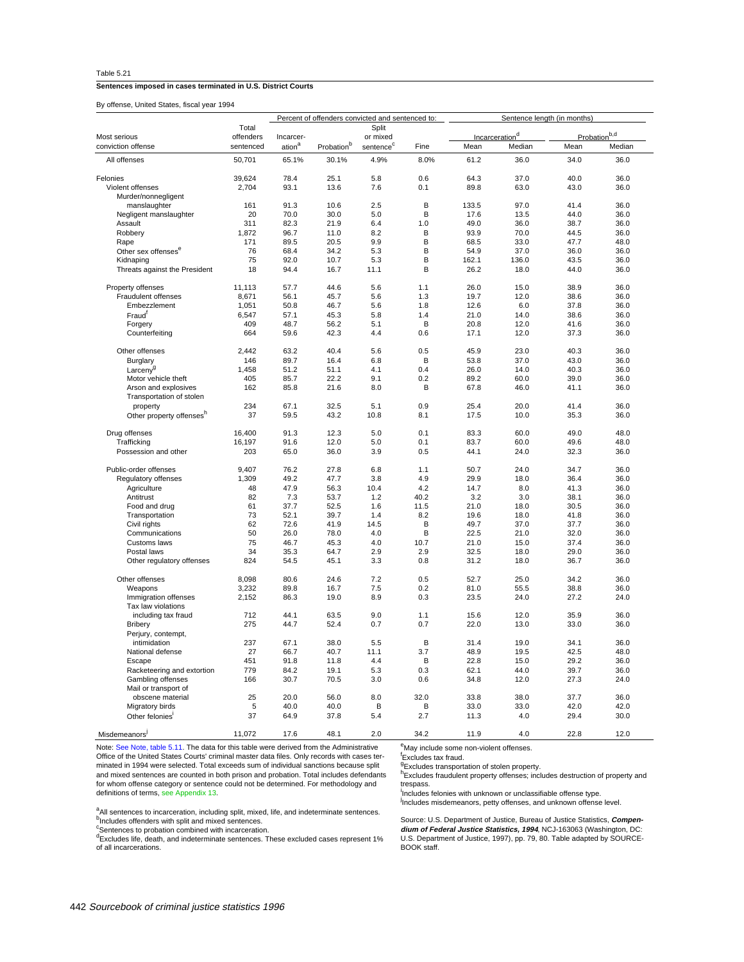#### **Sentences imposed in cases terminated in U.S. District Courts**

By offense, United States, fiscal year 1994

|                                            |           |                    | Percent of offenders convicted and sentenced to: |                       |              | Sentence length (in months) |                            |              |                          |  |
|--------------------------------------------|-----------|--------------------|--------------------------------------------------|-----------------------|--------------|-----------------------------|----------------------------|--------------|--------------------------|--|
|                                            | Total     |                    |                                                  | Split                 |              |                             |                            |              |                          |  |
| Most serious                               | offenders | Incarcer-          |                                                  | or mixed              |              |                             | Incarceration <sup>d</sup> |              | Probation <sup>b,d</sup> |  |
| conviction offense                         | sentenced | ation <sup>a</sup> | Probationb                                       | sentence <sup>c</sup> | Fine         | Mean                        | Median                     | Mean         | Median                   |  |
| All offenses                               | 50,701    | 65.1%              | 30.1%                                            | 4.9%                  | 8.0%         | 61.2                        | 36.0                       | 34.0         | 36.0                     |  |
| Felonies                                   | 39,624    | 78.4               | 25.1                                             | 5.8                   | 0.6          | 64.3                        | 37.0                       | 40.0         | 36.0                     |  |
| Violent offenses                           | 2,704     | 93.1               | 13.6                                             | 7.6                   | 0.1          | 89.8                        | 63.0                       | 43.0         | 36.0                     |  |
| Murder/nonnegligent                        |           |                    |                                                  |                       |              |                             |                            |              |                          |  |
| manslaughter                               | 161       | 91.3               | 10.6                                             | 2.5                   | B            | 133.5                       | 97.0                       | 41.4         | 36.0                     |  |
| Negligent manslaughter                     | 20        | 70.0               | 30.0                                             | 5.0                   | B            | 17.6                        | 13.5                       | 44.0         | 36.0                     |  |
| Assault                                    | 311       | 82.3               | 21.9                                             | 6.4                   | 1.0          | 49.0                        | 36.0                       | 38.7         | 36.0                     |  |
| Robbery                                    | 1,872     | 96.7               | 11.0                                             | 8.2                   | B            | 93.9                        | 70.0                       | 44.5         | 36.0                     |  |
| Rape                                       | 171       | 89.5               | 20.5                                             | 9.9                   | B            | 68.5                        | 33.0                       | 47.7         | 48.0                     |  |
| Other sex offenses <sup>e</sup>            | 76        | 68.4               | 34.2                                             | 5.3                   | B            | 54.9                        | 37.0                       | 36.0         | 36.0                     |  |
| Kidnaping                                  | 75        | 92.0               | 10.7                                             | 5.3                   | B            | 162.1                       | 136.0                      | 43.5         | 36.0                     |  |
| Threats against the President              | 18        | 94.4               | 16.7                                             | 11.1                  | B            | 26.2                        | 18.0                       | 44.0         | 36.0                     |  |
| Property offenses                          | 11,113    | 57.7               | 44.6                                             | 5.6                   | 1.1          | 26.0                        | 15.0                       | 38.9         | 36.0                     |  |
| Fraudulent offenses                        | 8,671     | 56.1               | 45.7                                             | 5.6                   | 1.3          | 19.7                        | 12.0                       | 38.6         | 36.0                     |  |
| Embezzlement                               | 1,051     | 50.8               | 46.7                                             | 5.6                   | 1.8          | 12.6                        | 6.0                        | 37.8         | 36.0                     |  |
| Fraud                                      | 6,547     | 57.1               | 45.3                                             | 5.8                   | 1.4          | 21.0                        | 14.0                       | 38.6         | 36.0                     |  |
| Forgery                                    | 409       | 48.7               | 56.2                                             | 5.1                   | B            | 20.8                        | 12.0                       | 41.6         | 36.0                     |  |
| Counterfeiting                             | 664       | 59.6               | 42.3                                             | 4.4                   | 0.6          | 17.1                        | 12.0                       | 37.3         | 36.0                     |  |
|                                            |           |                    |                                                  |                       |              |                             |                            |              |                          |  |
| Other offenses                             | 2.442     | 63.2               | 40.4                                             | 5.6                   | 0.5          | 45.9                        | 23.0                       | 40.3         | 36.0                     |  |
| <b>Burglary</b>                            | 146       | 89.7               | 16.4                                             | 6.8                   | B            | 53.8                        | 37.0                       | 43.0         | 36.0                     |  |
| Larceny <sup>9</sup>                       | 1,458     | 51.2               | 51.1                                             | 4.1                   | 0.4          | 26.0                        | 14.0                       | 40.3         | 36.0                     |  |
| Motor vehicle theft                        | 405       | 85.7               | 22.2                                             | 9.1                   | 0.2          | 89.2                        | 60.0                       | 39.0         | 36.0                     |  |
| Arson and explosives                       | 162       | 85.8               | 21.6                                             | 8.0                   | B            | 67.8                        | 46.0                       | 41.1         | 36.0                     |  |
| Transportation of stolen                   |           |                    |                                                  |                       |              |                             |                            |              |                          |  |
| property                                   | 234       | 67.1               | 32.5                                             | 5.1                   | 0.9          | 25.4                        | 20.0                       | 41.4         | 36.0                     |  |
| Other property offenses <sup>h</sup>       | 37        | 59.5               | 43.2                                             | 10.8                  | 8.1          | 17.5                        | 10.0                       | 35.3         | 36.0                     |  |
| Drug offenses                              | 16,400    | 91.3               | 12.3                                             | 5.0                   | 0.1          | 83.3                        | 60.0                       | 49.0         | 48.0                     |  |
| Trafficking                                | 16,197    | 91.6               | 12.0                                             | 5.0                   | 0.1          | 83.7                        | 60.0                       | 49.6         | 48.0                     |  |
| Possession and other                       | 203       | 65.0               | 36.0                                             | 3.9                   | 0.5          | 44.1                        | 24.0                       | 32.3         | 36.0                     |  |
|                                            |           |                    |                                                  |                       |              |                             |                            |              |                          |  |
| Public-order offenses                      | 9,407     | 76.2               | 27.8                                             | 6.8                   | 1.1          | 50.7                        | 24.0                       | 34.7         | 36.0                     |  |
| Regulatory offenses                        | 1,309     | 49.2               | 47.7                                             | 3.8                   | 4.9          | 29.9                        | 18.0                       | 36.4         | 36.0                     |  |
| Agriculture                                | 48        | 47.9               | 56.3                                             | 10.4                  | 4.2          | 14.7                        | 8.0                        | 41.3         | 36.0                     |  |
| Antitrust<br>Food and drug                 | 82<br>61  | 7.3<br>37.7        | 53.7<br>52.5                                     | 1.2<br>1.6            | 40.2<br>11.5 | 3.2<br>21.0                 | 3.0<br>18.0                | 38.1<br>30.5 | 36.0<br>36.0             |  |
|                                            | 73        | 52.1               | 39.7                                             | 1.4                   | 8.2          | 19.6                        | 18.0                       | 41.8         | 36.0                     |  |
| Transportation<br>Civil rights             | 62        | 72.6               | 41.9                                             | 14.5                  | B            | 49.7                        | 37.0                       | 37.7         | 36.0                     |  |
| Communications                             | 50        | 26.0               | 78.0                                             | 4.0                   | B            | 22.5                        | 21.0                       | 32.0         | 36.0                     |  |
| Customs laws                               | 75        | 46.7               | 45.3                                             | 4.0                   | 10.7         | 21.0                        | 15.0                       | 37.4         | 36.0                     |  |
| Postal laws                                | 34        | 35.3               | 64.7                                             | 2.9                   | 2.9          | 32.5                        | 18.0                       | 29.0         | 36.0                     |  |
| Other regulatory offenses                  | 824       | 54.5               | 45.1                                             | 3.3                   | 0.8          | 31.2                        | 18.0                       | 36.7         | 36.0                     |  |
|                                            |           |                    |                                                  |                       |              |                             |                            |              |                          |  |
| Other offenses                             | 8,098     | 80.6               | 24.6                                             | 7.2                   | 0.5          | 52.7                        | 25.0                       | 34.2         | 36.0                     |  |
| Weapons                                    | 3,232     | 89.8               | 16.7                                             | 7.5                   | 0.2          | 81.0                        | 55.5                       | 38.8         | 36.0                     |  |
| Immigration offenses<br>Tax law violations | 2,152     | 86.3               | 19.0                                             | 8.9                   | 0.3          | 23.5                        | 24.0                       | 27.2         | 24.0                     |  |
| including tax fraud                        | 712       | 44.1               | 63.5                                             | 9.0                   | 1.1          | 15.6                        | 12.0                       | 35.9         | 36.0                     |  |
| <b>Bribery</b>                             | 275       | 44.7               | 52.4                                             | 0.7                   | 0.7          | 22.0                        | 13.0                       | 33.0         | 36.0                     |  |
| Perjury, contempt,                         |           |                    |                                                  |                       |              |                             |                            |              |                          |  |
| intimidation                               | 237       | 67.1               | 38.0                                             | 5.5                   | B            | 31.4                        | 19.0                       | 34.1         | 36.0                     |  |
| National defense                           | 27        | 66.7               | 40.7                                             | 11.1                  | 3.7          | 48.9                        | 19.5                       | 42.5         | 48.0                     |  |
| Escape                                     | 451       | 91.8               | 11.8                                             | 4.4                   | B            | 22.8                        | 15.0                       | 29.2         | 36.0                     |  |
| Racketeering and extortion                 | 779       | 84.2               | 19.1                                             | 5.3                   | 0.3          | 62.1                        | 44.0                       | 39.7         | 36.0                     |  |
| Gambling offenses                          | 166       | 30.7               | 70.5                                             | 3.0                   | 0.6          | 34.8                        | 12.0                       | 27.3         | 24.0                     |  |
| Mail or transport of                       |           |                    |                                                  |                       |              |                             |                            |              |                          |  |
| obscene material                           | 25        | 20.0               | 56.0                                             | 8.0                   | 32.0         | 33.8                        | 38.0                       | 37.7         | 36.0                     |  |
| Migratory birds                            | 5         | 40.0               | 40.0                                             | B                     | B            | 33.0                        | 33.0                       | 42.0         | 42.0                     |  |
| Other felonies                             | 37        | 64.9               | 37.8                                             | 5.4                   | 2.7          | 11.3                        | 4.0                        | 29.4         | 30.0                     |  |
|                                            |           |                    |                                                  |                       |              |                             |                            |              |                          |  |
| Misdemeanors                               | 11,072    | 17.6               | 48.1                                             | 2.0                   | 34.2         | 11.9                        | 4.0                        | 22.8         | 12.0                     |  |

Note[: See Note, table 5.11. T](#page-16-0)he data for this table were derived from the Administrative Office of the United States Courts' criminal master data files. Only records with cases terminated in 1994 were selected. Total exceeds sum of individual sanctions because split and mixed sentences are counted in both prison and probation. Total includes defendants for whom offense category or sentence could not be determined. For methodology and definitions of terms[, see Appendix 13.](#page-83-0)

e<br>May include some non-violent offenses.

f Excludes tax fraud. <sup>g</sup>Excludes transportation of stolen property.

h<br>Excludes fraudulent property offenses; includes destruction of property and trespass.

<sup>i</sup>Includes felonies with unknown or unclassifiable offense type.

Includes misdemeanors, petty offenses, and unknown offense level.

<sup>a</sup>All sentences to incarceration, including split, mixed, life, and indeterminate sentences. b<br>Includes offenders with split and mixed sentences.

<sup>c</sup>Sentences to probation combined with incarceration.

<sup>d</sup>Excludes life, death, and indeterminate sentences. These excluded cases represent 1%<br>of all incarcerations.

Source: U.S. Department of Justice, Bureau of Justice Statistics, **Compendium of Federal Justice Statistics, 1994**, NCJ-163063 (Washington, DC: U.S. Department of Justice, 1997), pp. 79, 80. Table adapted by SOURCE-BOOK staff.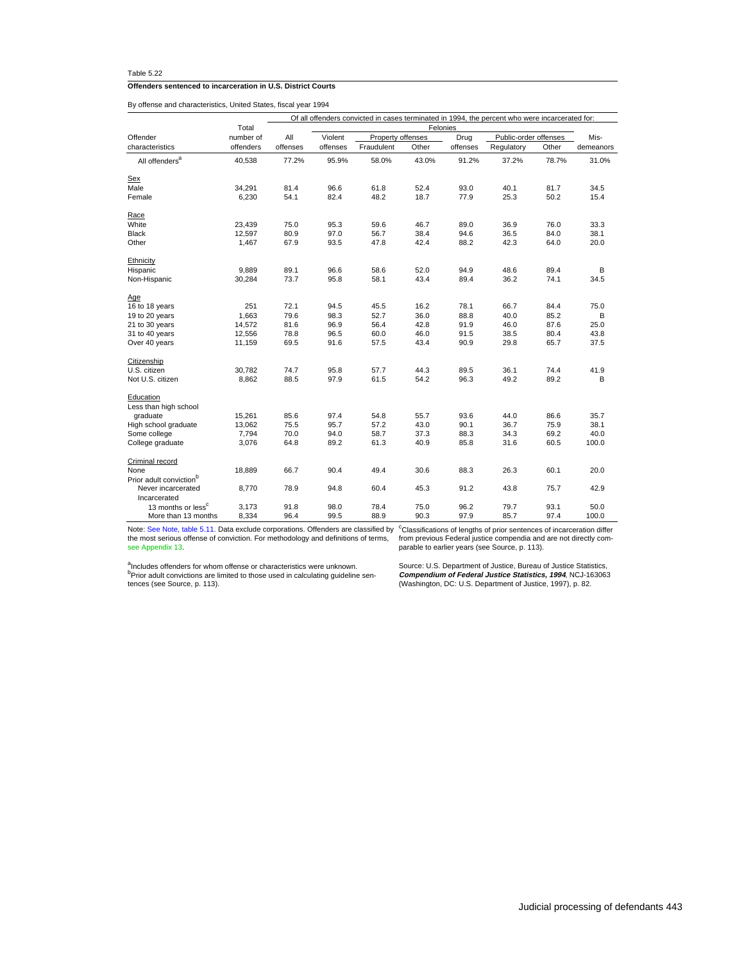## **Offenders sentenced to incarceration in U.S. District Courts**

By offense and characteristics, United States, fiscal year 1994

|                                     |           |          |          | Of all offenders convicted in cases terminated in 1994, the percent who were incarcerated for: |       |          |                       |       |           |
|-------------------------------------|-----------|----------|----------|------------------------------------------------------------------------------------------------|-------|----------|-----------------------|-------|-----------|
|                                     | Total     |          |          |                                                                                                |       | Felonies |                       |       |           |
| Offender                            | number of | All      | Violent  | Property offenses                                                                              |       | Drug     | Public-order offenses |       | Mis-      |
| characteristics                     | offenders | offenses | offenses | Fraudulent                                                                                     | Other | offenses | Regulatory            | Other | demeanors |
| All offenders <sup>a</sup>          | 40,538    | 77.2%    | 95.9%    | 58.0%                                                                                          | 43.0% | 91.2%    | 37.2%                 | 78.7% | 31.0%     |
| Sex                                 |           |          |          |                                                                                                |       |          |                       |       |           |
| Male                                | 34,291    | 81.4     | 96.6     | 61.8                                                                                           | 52.4  | 93.0     | 40.1                  | 81.7  | 34.5      |
| Female                              | 6,230     | 54.1     | 82.4     | 48.2                                                                                           | 18.7  | 77.9     | 25.3                  | 50.2  | 15.4      |
| Race                                |           |          |          |                                                                                                |       |          |                       |       |           |
| White                               | 23,439    | 75.0     | 95.3     | 59.6                                                                                           | 46.7  | 89.0     | 36.9                  | 76.0  | 33.3      |
| <b>Black</b>                        | 12,597    | 80.9     | 97.0     | 56.7                                                                                           | 38.4  | 94.6     | 36.5                  | 84.0  | 38.1      |
| Other                               | 1,467     | 67.9     | 93.5     | 47.8                                                                                           | 42.4  | 88.2     | 42.3                  | 64.0  | 20.0      |
| Ethnicity                           |           |          |          |                                                                                                |       |          |                       |       |           |
| Hispanic                            | 9,889     | 89.1     | 96.6     | 58.6                                                                                           | 52.0  | 94.9     | 48.6                  | 89.4  | B         |
| Non-Hispanic                        | 30,284    | 73.7     | 95.8     | 58.1                                                                                           | 43.4  | 89.4     | 36.2                  | 74.1  | 34.5      |
| Age                                 |           |          |          |                                                                                                |       |          |                       |       |           |
| 16 to 18 years                      | 251       | 72.1     | 94.5     | 45.5                                                                                           | 16.2  | 78.1     | 66.7                  | 84.4  | 75.0      |
| 19 to 20 years                      | 1,663     | 79.6     | 98.3     | 52.7                                                                                           | 36.0  | 88.8     | 40.0                  | 85.2  | B         |
| 21 to 30 years                      | 14,572    | 81.6     | 96.9     | 56.4                                                                                           | 42.8  | 91.9     | 46.0                  | 87.6  | 25.0      |
| 31 to 40 years                      | 12,556    | 78.8     | 96.5     | 60.0                                                                                           | 46.0  | 91.5     | 38.5                  | 80.4  | 43.8      |
| Over 40 years                       | 11,159    | 69.5     | 91.6     | 57.5                                                                                           | 43.4  | 90.9     | 29.8                  | 65.7  | 37.5      |
| Citizenship                         |           |          |          |                                                                                                |       |          |                       |       |           |
| U.S. citizen                        | 30,782    | 74.7     | 95.8     | 57.7                                                                                           | 44.3  | 89.5     | 36.1                  | 74.4  | 41.9      |
| Not U.S. citizen                    | 8,862     | 88.5     | 97.9     | 61.5                                                                                           | 54.2  | 96.3     | 49.2                  | 89.2  | B         |
| Education                           |           |          |          |                                                                                                |       |          |                       |       |           |
| Less than high school               |           |          |          |                                                                                                |       |          |                       |       |           |
| graduate                            | 15,261    | 85.6     | 97.4     | 54.8                                                                                           | 55.7  | 93.6     | 44.0                  | 86.6  | 35.7      |
| High school graduate                | 13,062    | 75.5     | 95.7     | 57.2                                                                                           | 43.0  | 90.1     | 36.7                  | 75.9  | 38.1      |
| Some college                        | 7,794     | 70.0     | 94.0     | 58.7                                                                                           | 37.3  | 88.3     | 34.3                  | 69.2  | 40.0      |
| College graduate                    | 3,076     | 64.8     | 89.2     | 61.3                                                                                           | 40.9  | 85.8     | 31.6                  | 60.5  | 100.0     |
| Criminal record                     |           |          |          |                                                                                                |       |          |                       |       |           |
| None                                | 18,889    | 66.7     | 90.4     | 49.4                                                                                           | 30.6  | 88.3     | 26.3                  | 60.1  | 20.0      |
| Prior adult conviction <sup>b</sup> |           |          |          |                                                                                                |       |          |                       |       |           |
| Never incarcerated                  | 8,770     | 78.9     | 94.8     | 60.4                                                                                           | 45.3  | 91.2     | 43.8                  | 75.7  | 42.9      |
| Incarcerated                        |           |          |          |                                                                                                |       |          |                       |       |           |
| 13 months or less <sup>c</sup>      | 3,173     | 91.8     | 98.0     | 78.4                                                                                           | 75.0  | 96.2     | 79.7                  | 93.1  | 50.0      |
| More than 13 months                 | 8,334     | 96.4     | 99.5     | 88.9                                                                                           | 90.3  | 97.9     | 85.7                  | 97.4  | 100.0     |

Note[: See Note, table 5.11.](#page-16-0) Data exclude corporations. Offenders are classified by<br>the most serious offense of conviction. For methodology and definitions of terms,<br>see Appendix 13. <sup>c</sup>Classifications of lengths of prior sentences of incarceration differ<br>from previous Federal justice compendia and are not directly com-<br>parable to earlier years (see Source, p. 113).

<sup>a</sup>lncludes offenders for whom offense or characteristics were unknown.<br><sup>b</sup>Prior adult convictions are limited to those used in calculating guideline sen-<br>tences (see Source, p. 113).

Source: U.S. Department of Justice, Bureau of Justice Statistics, **Compendium of Federal Justice Statistics, 1994**, NCJ-163063 (Washington, DC: U.S. Department of Justice, 1997), p. 82.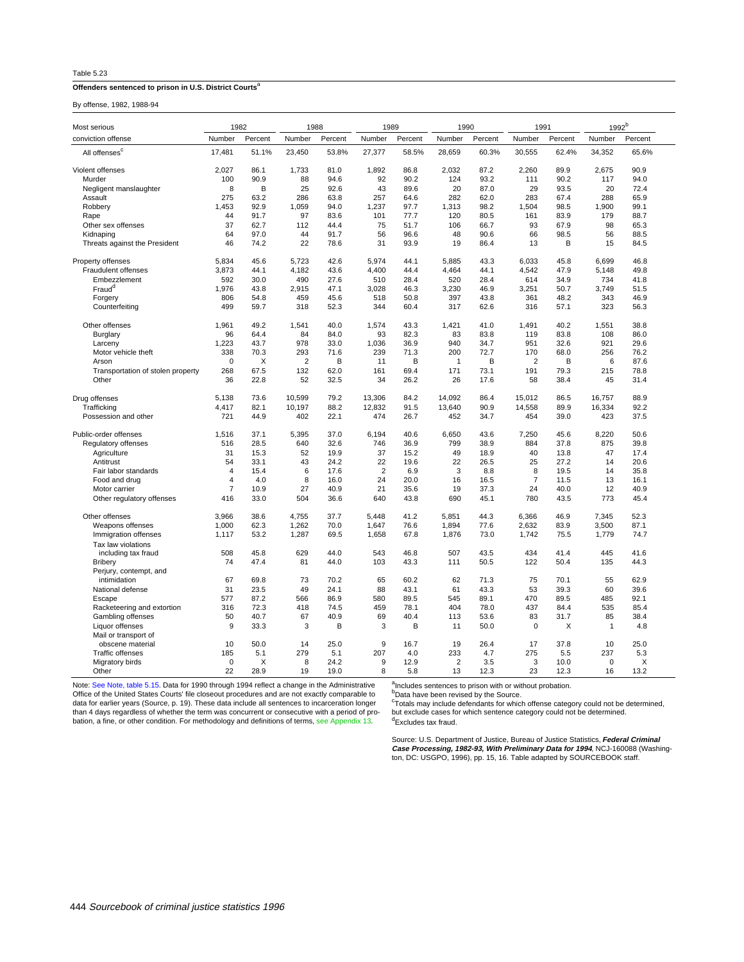## **Offenders sentenced to prison in U.S. District Courts<sup>a</sup>**

By offense, 1982, 1988-94

| Most serious                               |                                  | 1982         | 1988           |              |                | 1989         | 1990           |              |                | 1991         | $1992^{b}$     |              |
|--------------------------------------------|----------------------------------|--------------|----------------|--------------|----------------|--------------|----------------|--------------|----------------|--------------|----------------|--------------|
| conviction offense                         | Number                           | Percent      | Number         | Percent      | Number         | Percent      | Number         | Percent      | Number         | Percent      | Number         | Percent      |
| All offenses <sup>c</sup>                  | 17,481                           | 51.1%        | 23.450         | 53.8%        | 27,377         | 58.5%        | 28.659         | 60.3%        | 30.555         | 62.4%        | 34,352         | 65.6%        |
| Violent offenses                           | 2,027                            | 86.1         | 1,733          | 81.0         | 1,892          | 86.8         | 2,032          | 87.2         | 2,260          | 89.9         | 2,675          | 90.9         |
| Murder                                     | 100                              | 90.9         | 88             | 94.6         | 92             | 90.2         | 124            | 93.2         | 111            | 90.2         | 117            | 94.0         |
| Negligent manslaughter                     | 8                                | B            | 25             | 92.6         | 43             | 89.6         | 20             | 87.0         | 29             | 93.5         | 20             | 72.4         |
| Assault                                    | 275                              | 63.2         | 286            | 63.8         | 257            | 64.6         | 282            | 62.0         | 283            | 67.4         | 288            | 65.9         |
| Robbery                                    | 1,453                            | 92.9         | 1,059          | 94.0         | 1,237          | 97.7         | 1,313          | 98.2         | 1,504          | 98.5         | 1,900          | 99.1         |
| Rape                                       | 44                               | 91.7         | 97             | 83.6         | 101            | 77.7         | 120            | 80.5         | 161            | 83.9         | 179            | 88.7         |
| Other sex offenses                         | 37                               | 62.7         | 112            | 44.4         | 75             | 51.7         | 106            | 66.7         | 93             | 67.9         | 98             | 65.3         |
| Kidnaping                                  | 64                               | 97.0         | 44             | 91.7         | 56             | 96.6         | 48             | 90.6         | 66             | 98.5         | 56             | 88.5         |
| Threats against the President              | 46                               | 74.2         | 22             | 78.6         | 31             | 93.9         | 19             | 86.4         | 13             | B            | 15             | 84.5         |
| Property offenses                          | 5.834                            | 45.6         | 5,723          | 42.6         | 5.974          | 44.1         | 5,885          | 43.3         | 6.033          | 45.8         | 6,699          | 46.8         |
| Fraudulent offenses                        | 3,873                            | 44.1         | 4,182          | 43.6         | 4,400          | 44.4         | 4,464          | 44.1         | 4,542          | 47.9         | 5,148          | 49.8         |
| Embezzlement                               | 592                              | 30.0         | 490            | 27.6         | 510            | 28.4         | 520            | 28.4         | 614            | 34.9         | 734            | 41.8         |
| Fraud <sup>d</sup>                         | 1,976                            | 43.8         | 2,915          | 47.1         | 3,028          | 46.3         | 3,230          | 46.9         | 3,251          | 50.7         | 3,749          | 51.5         |
| Forgery                                    | 806                              | 54.8         | 459            | 45.6         | 518            | 50.8         | 397            | 43.8         | 361            | 48.2         | 343            | 46.9         |
| Counterfeiting                             | 499                              | 59.7         | 318            | 52.3         | 344            | 60.4         | 317            | 62.6         | 316            | 57.1         | 323            | 56.3         |
| Other offenses                             | 1.961                            | 49.2         | 1.541          | 40.0         | 1.574          | 43.3         | 1.421          | 41.0         | 1.491          | 40.2         | 1.551          | 38.8         |
| Burglary                                   | 96                               | 64.4         | 84             | 84.0         | 93             | 82.3         | 83             | 83.8         | 119            | 83.8         | 108            | 86.0         |
| Larceny                                    | 1,223                            | 43.7         | 978            | 33.0         | 1,036          | 36.9         | 940            | 34.7         | 951            | 32.6         | 921            | 29.6         |
| Motor vehicle theft                        | 338                              | 70.3         | 293            | 71.6         | 239            | 71.3         | 200            | 72.7         | 170            | 68.0         | 256            | 76.2         |
| Arson                                      | $\mathbf 0$                      | X            | $\overline{2}$ | B            | 11             | B            | $\overline{1}$ | B            | $\overline{2}$ | B            | 6              | 87.6         |
| Transportation of stolen property          | 268                              | 67.5         | 132            | 62.0         | 161            | 69.4         | 171            | 73.1         | 191            | 79.3         | 215            | 78.8         |
| Other                                      | 36                               | 22.8         | 52             | 32.5         | 34             | 26.2         | 26             | 17.6         | 58             | 38.4         | 45             | 31.4         |
| Drug offenses                              | 5.138                            | 73.6         | 10.599         | 79.2         | 13,306         | 84.2         | 14.092         | 86.4         | 15.012         | 86.5         | 16,757         | 88.9         |
| Trafficking                                | 4,417                            | 82.1         | 10,197         | 88.2         | 12,832         | 91.5         | 13,640         | 90.9         | 14,558         | 89.9         | 16,334         | 92.2         |
| Possession and other                       | 721                              | 44.9         | 402            | 22.1         | 474            | 26.7         | 452            | 34.7         | 454            | 39.0         | 423            | 37.5         |
| Public-order offenses                      | 1.516                            | 37.1         | 5,395          | 37.0         | 6.194          | 40.6         | 6,650          | 43.6         | 7.250          | 45.6         | 8.220          | 50.6         |
| Regulatory offenses                        | 516                              | 28.5         | 640            | 32.6         | 746            | 36.9         | 799            | 38.9         | 884            | 37.8         | 875            | 39.8         |
| Agriculture                                | 31                               | 15.3         | 52             | 19.9         | 37             | 15.2         | 49             | 18.9         | 40             | 13.8         | 47             | 17.4         |
| Antitrust                                  | 54                               | 33.1         | 43             | 24.2         | 22             | 19.6         | 22             | 26.5         | 25             | 27.2         | 14             | 20.6         |
| Fair labor standards                       | $\overline{4}$                   | 15.4         | 6              | 17.6         | $\overline{2}$ | 6.9          | 3              | 8.8          | 8              | 19.5         | 14             | 35.8         |
| Food and drug                              | $\overline{4}$<br>$\overline{7}$ | 4.0          | 8              | 16.0         | 24             | 20.0         | 16             | 16.5         | $\overline{7}$ | 11.5         | 13             | 16.1         |
| Motor carrier<br>Other regulatory offenses | 416                              | 10.9<br>33.0 | 27<br>504      | 40.9<br>36.6 | 21<br>640      | 35.6<br>43.8 | 19<br>690      | 37.3<br>45.1 | 24<br>780      | 40.0<br>43.5 | 12<br>773      | 40.9<br>45.4 |
| Other offenses                             | 3,966                            | 38.6         | 4,755          | 37.7         | 5,448          | 41.2         | 5,851          | 44.3         | 6,366          | 46.9         | 7,345          | 52.3         |
| Weapons offenses                           | 1,000                            | 62.3         | 1,262          | 70.0         | 1,647          | 76.6         | 1,894          | 77.6         | 2,632          | 83.9         | 3,500          | 87.1         |
| Immigration offenses                       | 1,117                            | 53.2         | 1,287          | 69.5         | 1,658          | 67.8         | 1,876          | 73.0         | 1,742          | 75.5         | 1,779          | 74.7         |
| Tax law violations                         |                                  |              |                |              |                |              |                |              |                |              |                |              |
| including tax fraud                        | 508                              | 45.8         | 629            | 44.0         | 543            | 46.8         | 507            | 43.5         | 434            | 41.4         | 445            | 41.6         |
| Bribery                                    | 74                               | 47.4         | 81             | 44.0         | 103            | 43.3         | 111            | 50.5         | 122            | 50.4         | 135            | 44.3         |
| Perjury, contempt, and                     |                                  |              |                |              |                |              |                |              |                |              |                |              |
| intimidation                               | 67                               | 69.8         | 73             | 70.2         | 65             | 60.2         | 62             | 71.3         | 75             | 70.1         | 55             | 62.9         |
| National defense                           | 31                               | 23.5         | 49             | 24.1         | 88             | 43.1         | 61             | 43.3         | 53             | 39.3         | 60             | 39.6         |
| Escape                                     | 577                              | 87.2         | 566            | 86.9         | 580            | 89.5         | 545            | 89.1         | 470            | 89.5         | 485            | 92.1         |
| Racketeering and extortion                 | 316                              | 72.3         | 418            | 74.5         | 459            | 78.1         | 404            | 78.0         | 437            | 84.4         | 535            | 85.4         |
| Gambling offenses                          | 50                               | 40.7         | 67             | 40.9         | 69             | 40.4         | 113            | 53.6         | 83             | 31.7         | 85             | 38.4         |
| Liquor offenses                            | 9                                | 33.3         | 3              | B            | 3              | B            | 11             | 50.0         | 0              | Х            | $\overline{1}$ | 4.8          |
| Mail or transport of                       |                                  |              |                |              |                |              |                |              |                |              |                |              |
| obscene material                           | 10                               | 50.0         | 14             | 25.0         | 9              | 16.7         | 19             | 26.4         | 17             | 37.8         | 10             | 25.0         |
| <b>Traffic offenses</b>                    | 185                              | 5.1          | 279            | 5.1          | 207            | 4.0          | 233            | 4.7          | 275            | 5.5          | 237            | 5.3          |
| Migratory birds                            | $\mathbf 0$                      | X            | 8              | 24.2         | 9              | 12.9         | $\overline{2}$ | 3.5          | 3              | 10.0         | $\mathbf 0$    | X            |
| Other                                      | 22                               | 28.9         | 19             | 19.0         | 8              | 5.8          | 13             | 12.3         | 23             | 12.3         | 16             | 13.2         |

Note: [See Note, table 5.15.](#page-19-0) Data for 1990 through 1994 reflect a change in the Administrative Office of the United States Courts' file closeout procedures and are not exactly comparable to<br>data for earlier years (Source, p. 19). These data include all sentences to incarceration longer<br>than 4 days regardless of whet bation, a fine, or other condition. For methodology and definitions of terms, [see Appendix 13.](#page-83-0)

<sup>a</sup>lncludes sentences to prison with or without probation.<br><sup>b</sup>Data have been revised by the Source.<br><sup>C</sup>Totals may include defendants for which offense category could not be determined,<br>but exclude cases for which sentence

Source: U.S. Department of Justice, Bureau of Justice Statistics, **Federal Criminal Case Processing, 1982-93, With Preliminary Data for 1994**, NCJ-160088 (Washing-ton, DC: USGPO, 1996), pp. 15, 16. Table adapted by SOURCEBOOK staff.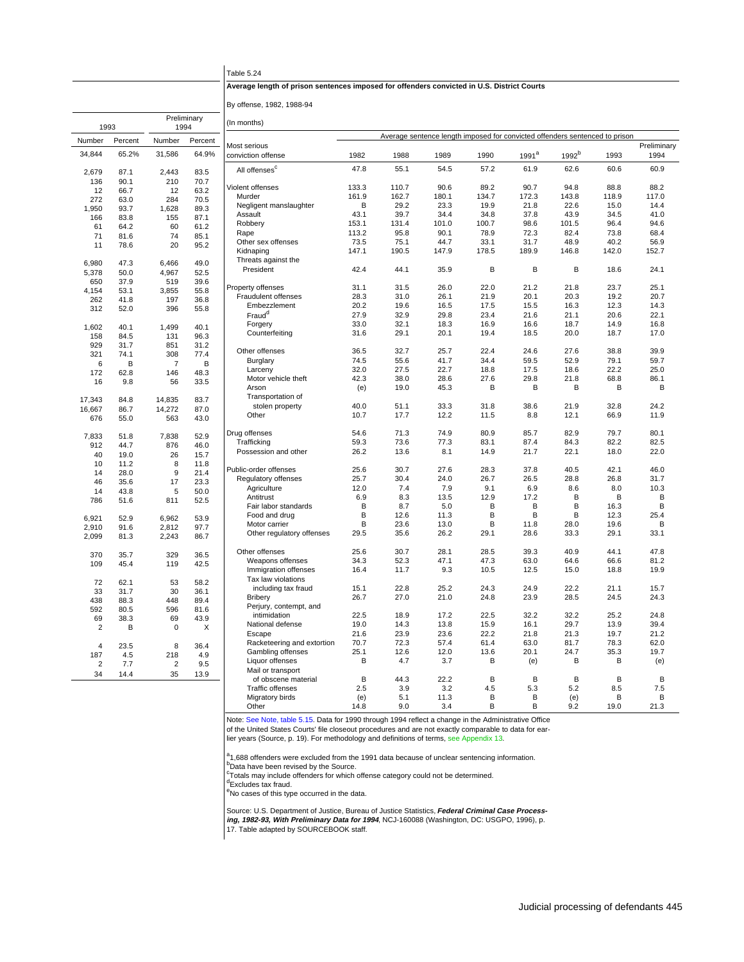Preliminary

#### **Average length of prison sentences imposed for offenders convicted in U.S. District Courts**

By offense, 1982, 1988-94

| $\left $ (In montho) |  |
|----------------------|--|
|                      |  |

| 1993           |              | 1994           |              | (In months)                          |              |              |              |                                                                             |                   |                   |              |                     |
|----------------|--------------|----------------|--------------|--------------------------------------|--------------|--------------|--------------|-----------------------------------------------------------------------------|-------------------|-------------------|--------------|---------------------|
| Number         | Percent      | Number         | Percent      |                                      |              |              |              | Average sentence length imposed for convicted offenders sentenced to prison |                   |                   |              |                     |
| 34,844         | 65.2%        | 31,586         | 64.9%        | Most serious<br>conviction offense   | 1982         | 1988         | 1989         | 1990                                                                        | 1991 <sup>a</sup> | 1992 <sup>b</sup> | 1993         | Preliminary<br>1994 |
|                |              |                |              |                                      | 47.8         | 55.1         | 54.5         | 57.2                                                                        | 61.9              | 62.6              | 60.6         | 60.9                |
| 2,679          | 87.1         | 2,443          | 83.5         | All offenses <sup>c</sup>            |              |              |              |                                                                             |                   |                   |              |                     |
| 136            | 90.1         | 210            | 70.7         | Violent offenses                     | 133.3        | 110.7        | 90.6         | 89.2                                                                        | 90.7              | 94.8              | 88.8         | 88.2                |
| 12             | 66.7         | 12             | 63.2         | Murder                               | 161.9        | 162.7        | 180.1        | 134.7                                                                       | 172.3             | 143.8             | 118.9        | 117.0               |
| 272            | 63.0         | 284            | 70.5         | Negligent manslaughter               | B            | 29.2         | 23.3         | 19.9                                                                        | 21.8              | 22.6              | 15.0         | 14.4                |
| 1.950          | 93.7         | 1,628          | 89.3         | Assault                              | 43.1         | 39.7         | 34.4         | 34.8                                                                        | 37.8              | 43.9              | 34.5         | 41.0                |
| 166<br>61      | 83.8         | 155            | 87.1         | Robbery                              | 153.1        | 131.4        | 101.0        | 100.7                                                                       | 98.6              | 101.5             | 96.4         | 94.6                |
| 71             | 64.2<br>81.6 | 60<br>74       | 61.2<br>85.1 | Rape                                 | 113.2        | 95.8         | 90.1         | 78.9                                                                        | 72.3              | 82.4              | 73.8         | 68.4                |
| 11             | 78.6         | 20             | 95.2         | Other sex offenses                   | 73.5         | 75.1         | 44.7         | 33.1                                                                        | 31.7              | 48.9              | 40.2         | 56.9                |
|                |              |                |              | Kidnaping                            | 147.1        | 190.5        | 147.9        | 178.5                                                                       | 189.9             | 146.8             | 142.0        | 152.7               |
| 6,980          | 47.3         | 6,466          | 49.0         | Threats against the                  |              |              |              |                                                                             |                   |                   |              |                     |
| 5,378          | 50.0         | 4,967          | 52.5         | President                            | 42.4         | 44.1         | 35.9         | B                                                                           | В                 | B                 | 18.6         | 24.1                |
| 650            | 37.9         | 519            | 39.6         |                                      |              |              |              |                                                                             |                   |                   |              |                     |
| 4,154          | 53.1         | 3,855          | 55.8         | Property offenses                    | 31.1         | 31.5         | 26.0         | 22.0                                                                        | 21.2              | 21.8              | 23.7         | 25.1                |
| 262            | 41.8         | 197            | 36.8         | Fraudulent offenses                  | 28.3         | 31.0         | 26.1         | 21.9                                                                        | 20.1              | 20.3              | 19.2         | 20.7                |
| 312            | 52.0         | 396            | 55.8         | Embezzlement                         | 20.2         | 19.6         | 16.5         | 17.5                                                                        | 15.5              | 16.3              | 12.3         | 14.3                |
|                |              |                |              | Fraud <sup>a</sup>                   | 27.9         | 32.9         | 29.8         | 23.4                                                                        | 21.6              | 21.1              | 20.6         | 22.1                |
| 1,602          | 40.1         | 1,499          | 40.1         | Forgery                              | 33.0         | 32.1         | 18.3         | 16.9                                                                        | 16.6              | 18.7              | 14.9         | 16.8                |
| 158            | 84.5         | 131            | 96.3         | Counterfeiting                       | 31.6         | 29.1         | 20.1         | 19.4                                                                        | 18.5              | 20.0              | 18.7         | 17.0                |
| 929            | 31.7         | 851            | 31.2         |                                      |              |              |              |                                                                             |                   |                   |              |                     |
| 321            | 74.1         | 308            | 77.4         | Other offenses                       | 36.5         | 32.7         | 25.7         | 22.4                                                                        | 24.6              | 27.6              | 38.8         | 39.9                |
| 6              | B            | $\overline{7}$ | B            | Burglary                             | 74.5         | 55.6         | 41.7         | 34.4                                                                        | 59.5              | 52.9              | 79.1         | 59.7                |
| 172            | 62.8         | 146            | 48.3         | Larceny                              | 32.0         | 27.5         | 22.7         | 18.8                                                                        | 17.5              | 18.6              | 22.2         | 25.0                |
| 16             | 9.8          | 56             | 33.5         | Motor vehicle theft                  | 42.3         | 38.0         | 28.6         | 27.6                                                                        | 29.8              | 21.8              | 68.8         | 86.1                |
|                |              |                |              | Arson                                | (e)          | 19.0         | 45.3         | B                                                                           | B                 | B                 | B            | B                   |
| 17,343         | 84.8         | 14,835         | 83.7         | Transportation of                    |              |              |              |                                                                             |                   |                   |              |                     |
| 16,667         | 86.7         | 14,272         | 87.0         | stolen property<br>Other             | 40.0<br>10.7 | 51.1<br>17.7 | 33.3<br>12.2 | 31.8<br>11.5                                                                | 38.6<br>8.8       | 21.9<br>12.1      | 32.8<br>66.9 | 24.2<br>11.9        |
| 676            | 55.0         | 563            | 43.0         |                                      |              |              |              |                                                                             |                   |                   |              |                     |
|                |              |                |              | Drug offenses                        | 54.6         | 71.3         | 74.9         | 80.9                                                                        | 85.7              | 82.9              | 79.7         | 80.1                |
| 7,833          | 51.8         | 7,838          | 52.9         | Trafficking                          | 59.3         | 73.6         | 77.3         | 83.1                                                                        | 87.4              | 84.3              | 82.2         | 82.5                |
| 912            | 44.7         | 876            | 46.0         | Possession and other                 | 26.2         | 13.6         | 8.1          | 14.9                                                                        | 21.7              | 22.1              | 18.0         | 22.0                |
| 40             | 19.0         | 26             | 15.7         |                                      |              |              |              |                                                                             |                   |                   |              |                     |
| 10             | 11.2         | 8              | 11.8         | Public-order offenses                | 25.6         | 30.7         | 27.6         | 28.3                                                                        | 37.8              | 40.5              | 42.1         | 46.0                |
| 14             | 28.0         | 9              | 21.4         | Regulatory offenses                  | 25.7         | 30.4         | 24.0         | 26.7                                                                        | 26.5              | 28.8              | 26.8         | 31.7                |
| 46<br>14       | 35.6<br>43.8 | 17<br>5        | 23.3<br>50.0 | Agriculture                          | 12.0         | 7.4          | 7.9          | 9.1                                                                         | 6.9               | 8.6               | 8.0          | 10.3                |
| 786            | 51.6         | 811            | 52.5         | Antitrust                            | 6.9          | 8.3          | 13.5         | 12.9                                                                        | 17.2              | B                 | B            | B                   |
|                |              |                |              | Fair labor standards                 | B            | 8.7          | 5.0          | B                                                                           | B                 | B                 | 16.3         | B                   |
| 6,921          | 52.9         | 6,962          | 53.9         | Food and drug                        | B            | 12.6         | 11.3         | B                                                                           | B                 | B                 | 12.3         | 25.4                |
| 2,910          | 91.6         | 2,812          | 97.7         | Motor carrier                        | B            | 23.6         | 13.0         | B                                                                           | 11.8              | 28.0              | 19.6         | B                   |
| 2,099          | 81.3         | 2,243          | 86.7         | Other regulatory offenses            | 29.5         | 35.6         | 26.2         | 29.1                                                                        | 28.6              | 33.3              | 29.1         | 33.1                |
|                |              |                |              |                                      |              |              |              |                                                                             |                   |                   |              |                     |
| 370            | 35.7         | 329            | 36.5         | Other offenses                       | 25.6         | 30.7         | 28.1         | 28.5                                                                        | 39.3              | 40.9              | 44.1         | 47.8                |
| 109            | 45.4         | 119            | 42.5         | Weapons offenses                     | 34.3         | 52.3         | 47.1         | 47.3                                                                        | 63.0              | 64.6              | 66.6         | 81.2                |
|                |              |                |              | Immigration offenses                 | 16.4         | 11.7         | 9.3          | 10.5                                                                        | 12.5              | 15.0              | 18.8         | 19.9                |
| 72             | 62.1         | 53             | 58.2         | Tax law violations                   |              |              |              |                                                                             |                   |                   |              |                     |
| 33             | 31.7         | 30             | 36.1         | including tax fraud                  | 15.1         | 22.8         | 25.2         | 24.3                                                                        | 24.9              | 22.2              | 21.1         | 15.7                |
| 438            | 88.3         | 448            | 89.4         | <b>Bribery</b>                       | 26.7         | 27.0         | 21.0         | 24.8                                                                        | 23.9              | 28.5              | 24.5         | 24.3                |
| 592            | 80.5         | 596            | 81.6         | Perjury, contempt, and               |              |              |              |                                                                             |                   |                   |              |                     |
| 69             | 38.3         | 69             | 43.9         | intimidation                         | 22.5         | 18.9         | 17.2         | 22.5                                                                        | 32.2              | 32.2              | 25.2         | 24.8                |
| $\overline{2}$ | B            | $\mathbf 0$    | X            | National defense                     | 19.0         | 14.3         | 13.8         | 15.9                                                                        | 16.1              | 29.7              | 13.9         | 39.4                |
|                |              |                |              | Escape                               | 21.6         | 23.9         | 23.6         | 22.2                                                                        | 21.8              | 21.3              | 19.7         | 21.2                |
| $\overline{4}$ | 23.5         | 8              | 36.4         | Racketeering and extortion           | 70.7         | 72.3         | 57.4         | 61.4                                                                        | 63.0              | 81.7              | 78.3         | 62.0                |
| 187            | 4.5          | 218            | 4.9          | Gambling offenses                    | 25.1<br>B    | 12.6         | 12.0         | 13.6<br>В                                                                   | 20.1              | 24.7<br>B         | 35.3<br>B    | 19.7                |
| $\overline{2}$ | 7.7          | $\overline{2}$ | 9.5          | Liquor offenses<br>Mail or transport |              | 4.7          | 3.7          |                                                                             | (e)               |                   |              | (e)                 |
| 34             | 14.4         | 35             | 13.9         | of obscene material                  | B            | 44.3         | 22.2         | B                                                                           | B                 | B                 | B            | В                   |
|                |              |                |              | <b>Traffic offenses</b>              | 2.5          | 3.9          | 3.2          | 4.5                                                                         | 5.3               | 5.2               | 8.5          | 7.5                 |
|                |              |                |              | Migratory birds                      | (e)          | 5.1          | 11.3         | B                                                                           | B                 | (e)               | B            | B                   |
|                |              |                |              | Other                                | 14.8         | 9.0          | 3.4          | B                                                                           | B                 | 9.2               | 19.0         | 21.3                |
|                |              |                |              |                                      |              |              |              |                                                                             |                   |                   |              |                     |

Note: [See Note, table 5.15.](#page-19-0) Data for 1990 through 1994 reflect a change in the Administrative Office<br>of the United States Courts' file closeout procedures and are not exactly comparable to data for ear-<br>lier years (Source,

<sup>a</sup>1,688 offenders were excluded from the 1991 data because of unclear sentencing information.

**b** Data have been revised by the Source.

<sup>c</sup>Totals may include offenders for which offense category could not be determined.

d Excludes tax fraud.

eNo cases of this type occurred in the data.

Source: U.S. Department of Justice, Bureau of Justice Statistics, *Federal Criminal Case Process-*<br>*ing, 1982-93, With Preliminary Data for 1994*, NCJ-160088 (Washington, DC: USGPO, 1996), p.<br>17. Table adapted by SOURCEBOO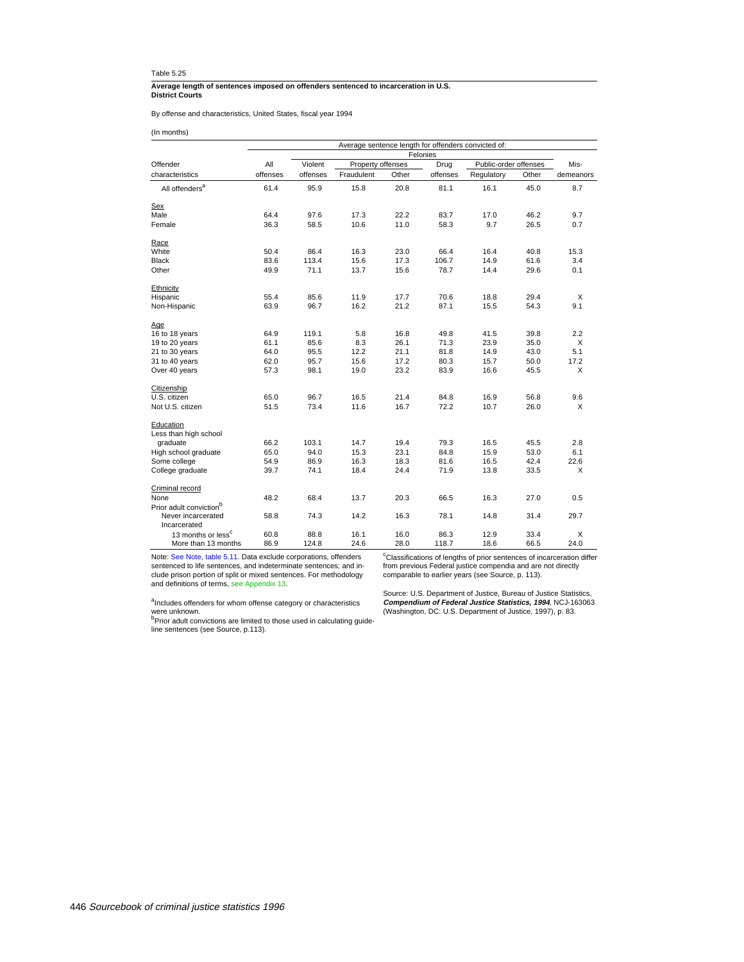#### **Average length of sentences imposed on offenders sentenced to incarceration in U.S. District Courts**

By offense and characteristics, United States, fiscal year 1994

(In months)

|                                     |              |               | Average sentence length for offenders convicted of: |              |              |                       |              |            |  |  |
|-------------------------------------|--------------|---------------|-----------------------------------------------------|--------------|--------------|-----------------------|--------------|------------|--|--|
|                                     |              | Felonies      |                                                     |              |              |                       |              |            |  |  |
| Offender                            | All          | Violent       | Property offenses                                   |              | Drug         | Public-order offenses |              | Mis-       |  |  |
| characteristics                     | offenses     | offenses      | Fraudulent                                          | Other        | offenses     | Regulatory            | Other        | demeanors  |  |  |
| All offenders <sup>a</sup>          | 61.4         | 95.9          | 15.8                                                | 20.8         | 81.1         | 16.1                  | 45.0         | 8.7        |  |  |
| Sex                                 |              |               |                                                     |              |              |                       |              |            |  |  |
| Male                                | 64.4         | 97.6          | 17.3                                                | 22.2         | 83.7         | 17.0                  | 46.2         | 9.7        |  |  |
| Female                              | 36.3         | 58.5          | 10.6                                                | 11.0         | 58.3         | 9.7                   | 26.5         | 0.7        |  |  |
| Race                                |              |               |                                                     |              |              |                       |              |            |  |  |
| White                               | 50.4         | 86.4          | 16.3                                                | 23.0         | 66.4         | 16.4                  | 40.8         | 15.3       |  |  |
| <b>Black</b>                        | 83.6         | 113.4         | 15.6                                                | 17.3         | 106.7        | 14.9                  | 61.6         | 3.4        |  |  |
| Other                               | 49.9         | 71.1          | 13.7                                                | 15.6         | 78.7         | 14.4                  | 29.6         | 0.1        |  |  |
| Ethnicity                           |              |               |                                                     |              |              |                       |              |            |  |  |
| Hispanic                            | 55.4         | 85.6          | 11.9                                                | 17.7         | 70.6         | 18.8                  | 29.4         | X          |  |  |
| Non-Hispanic                        | 63.9         | 96.7          | 16.2                                                | 21.2         | 87.1         | 15.5                  | 54.3         | 9.1        |  |  |
| Age                                 |              |               |                                                     |              |              |                       |              |            |  |  |
| 16 to 18 years                      | 64.9         | 119.1         | 5.8                                                 | 16.8         | 49.8         | 41.5                  | 39.8         | 2.2        |  |  |
| 19 to 20 years                      | 61.1         | 85.6          | 8.3                                                 | 26.1         | 71.3         | 23.9                  | 35.0         | X          |  |  |
| 21 to 30 years                      | 64.0         | 95.5          | 12.2                                                | 21.1         | 81.8         | 14.9                  | 43.0         | 5.1        |  |  |
| 31 to 40 years                      | 62.0         | 95.7          | 15.6                                                | 17.2         | 80.3         | 15.7                  | 50.0         | 17.2       |  |  |
| Over 40 years                       | 57.3         | 98.1          | 19.0                                                | 23.2         | 83.9         | 16.6                  | 45.5         | X          |  |  |
| Citizenship                         |              |               |                                                     |              |              |                       |              |            |  |  |
| U.S. citizen                        | 65.0         | 96.7          | 16.5                                                | 21.4         | 84.8         | 16.9                  | 56.8         | 9.6        |  |  |
| Not U.S. citizen                    | 51.5         | 73.4          | 11.6                                                | 16.7         | 72.2         | 10.7                  | 26.0         | X          |  |  |
| Education                           |              |               |                                                     |              |              |                       |              |            |  |  |
| Less than high school               |              |               |                                                     |              |              |                       |              |            |  |  |
| graduate<br>High school graduate    | 66.2<br>65.0 | 103.1<br>94.0 | 14.7<br>15.3                                        | 19.4<br>23.1 | 79.3<br>84.8 | 16.5<br>15.9          | 45.5<br>53.0 | 2.8<br>6.1 |  |  |
| Some college                        | 54.9         | 86.9          | 16.3                                                | 18.3         | 81.6         |                       | 42.4         | 22.6       |  |  |
| College graduate                    | 39.7         | 74.1          | 18.4                                                | 24.4         | 71.9         | 16.5<br>13.8          | 33.5         | X          |  |  |
|                                     |              |               |                                                     |              |              |                       |              |            |  |  |
| Criminal record                     |              |               |                                                     |              |              |                       |              |            |  |  |
| None                                | 48.2         | 68.4          | 13.7                                                | 20.3         | 66.5         | 16.3                  | 27.0         | 0.5        |  |  |
| Prior adult conviction <sup>b</sup> |              |               |                                                     |              |              |                       |              |            |  |  |
| Never incarcerated<br>Incarcerated  | 58.8         | 74.3          | 14.2                                                | 16.3         | 78.1         | 14.8                  | 31.4         | 29.7       |  |  |
| 13 months or less <sup>c</sup>      | 60.8         | 88.8          | 16.1                                                | 16.0         | 86.3         | 12.9                  | 33.4         | X          |  |  |
| More than 13 months                 | 86.9         | 124.8         | 24.6                                                | 28.0         | 118.7        | 18.6                  | 66.5         | 24.0       |  |  |

Note: [See Note, table 5.11.](#page-16-0) Data exclude corporations, offenders sentenced to life sentences, and indeterminate sentences; and include prison portion of split or mixed sentences. For methodology and definitions of terms, [see Appendix 13.](#page-83-0) 

<sup>c</sup>Classifications of lengths of prior sentences of incarceration differ<br>from previous Federal justice compendia and are not directly<br>comparable to earlier years (see Source, p. 113).

Source: U.S. Department of Justice, Bureau of Justice Statistics, **Compendium of Federal Justice Statistics, 1994**, NCJ-163063 (Washington, DC: U.S. Department of Justice, 1997), p. 83.

alncludes offenders for whom offense category or characteristics

were unknown.<br><sup>b</sup>Prior adult convictions are limited to those used in calculating guide-<br>line sentences (see Source, p.113).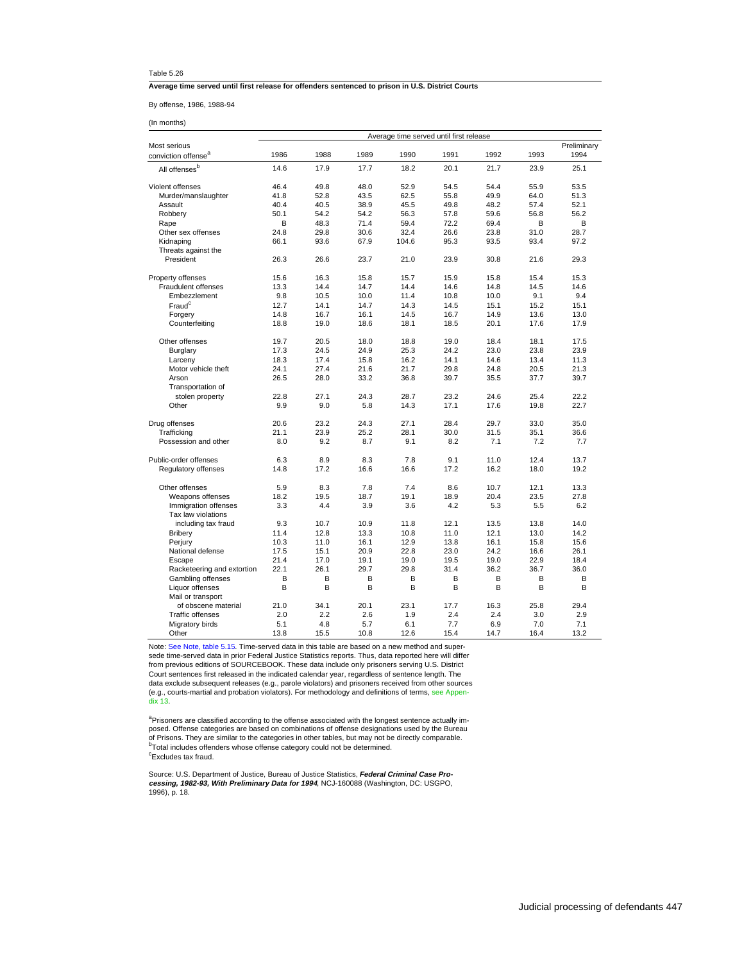**Average time served until first release for offenders sentenced to prison in U.S. District Courts**

By offense, 1986, 1988-94

(In months)

|                                 | Average time served until first release |      |      |       |      |      |      |             |  |  |  |  |
|---------------------------------|-----------------------------------------|------|------|-------|------|------|------|-------------|--|--|--|--|
| Most serious                    |                                         |      |      |       |      |      |      | Preliminary |  |  |  |  |
| conviction offense <sup>a</sup> | 1986                                    | 1988 | 1989 | 1990  | 1991 | 1992 | 1993 | 1994        |  |  |  |  |
| All offenses <sup>b</sup>       | 14.6                                    | 17.9 | 17.7 | 18.2  | 20.1 | 21.7 | 23.9 | 25.1        |  |  |  |  |
| Violent offenses                | 46.4                                    | 49.8 | 48.0 | 52.9  | 54.5 | 54.4 | 55.9 | 53.5        |  |  |  |  |
| Murder/manslaughter             | 41.8                                    | 52.8 | 43.5 | 62.5  | 55.8 | 49.9 | 64.0 | 51.3        |  |  |  |  |
| Assault                         | 40.4                                    | 40.5 | 38.9 | 45.5  | 49.8 | 48.2 | 57.4 | 52.1        |  |  |  |  |
| Robbery                         | 50.1                                    | 54.2 | 54.2 | 56.3  | 57.8 | 59.6 | 56.8 | 56.2        |  |  |  |  |
| Rape                            | B                                       | 48.3 | 71.4 | 59.4  | 72.2 | 69.4 | B    | В           |  |  |  |  |
| Other sex offenses              | 24.8                                    | 29.8 | 30.6 | 32.4  | 26.6 | 23.8 | 31.0 | 28.7        |  |  |  |  |
| Kidnaping                       | 66.1                                    | 93.6 | 67.9 | 104.6 | 95.3 | 93.5 | 93.4 | 97.2        |  |  |  |  |
| Threats against the             |                                         |      |      |       |      |      |      |             |  |  |  |  |
| President                       | 26.3                                    | 26.6 | 23.7 | 21.0  | 23.9 | 30.8 | 21.6 | 29.3        |  |  |  |  |
| Property offenses               | 15.6                                    | 16.3 | 15.8 | 15.7  | 15.9 | 15.8 | 15.4 | 15.3        |  |  |  |  |
| Fraudulent offenses             | 13.3                                    | 14.4 | 14.7 | 14.4  | 14.6 | 14.8 | 14.5 | 14.6        |  |  |  |  |
| Embezzlement                    | 9.8                                     | 10.5 | 10.0 | 11.4  | 10.8 | 10.0 | 9.1  | 9.4         |  |  |  |  |
| Fraud <sup>c</sup>              | 12.7                                    |      |      |       |      | 15.1 |      | 15.1        |  |  |  |  |
|                                 |                                         | 14.1 | 14.7 | 14.3  | 14.5 |      | 15.2 |             |  |  |  |  |
| Forgery                         | 14.8                                    | 16.7 | 16.1 | 14.5  | 16.7 | 14.9 | 13.6 | 13.0        |  |  |  |  |
| Counterfeiting                  | 18.8                                    | 19.0 | 18.6 | 18.1  | 18.5 | 20.1 | 17.6 | 17.9        |  |  |  |  |
| Other offenses                  | 19.7                                    | 20.5 | 18.0 | 18.8  | 19.0 | 18.4 | 18.1 | 17.5        |  |  |  |  |
| Burglary                        | 17.3                                    | 24.5 | 24.9 | 25.3  | 24.2 | 23.0 | 23.8 | 23.9        |  |  |  |  |
| Larceny                         | 18.3                                    | 17.4 | 15.8 | 16.2  | 14.1 | 14.6 | 13.4 | 11.3        |  |  |  |  |
| Motor vehicle theft             | 24.1                                    | 27.4 | 21.6 | 21.7  | 29.8 | 24.8 | 20.5 | 21.3        |  |  |  |  |
| Arson                           | 26.5                                    | 28.0 | 33.2 | 36.8  | 39.7 | 35.5 | 37.7 | 39.7        |  |  |  |  |
| Transportation of               |                                         |      |      |       |      |      |      |             |  |  |  |  |
| stolen property                 | 22.8                                    | 27.1 | 24.3 | 28.7  | 23.2 | 24.6 | 25.4 | 22.2        |  |  |  |  |
| Other                           | 9.9                                     | 9.0  | 5.8  | 14.3  | 17.1 | 17.6 | 19.8 | 22.7        |  |  |  |  |
|                                 |                                         |      |      |       |      |      |      |             |  |  |  |  |
| Drug offenses                   | 20.6                                    | 23.2 | 24.3 | 27.1  | 28.4 | 29.7 | 33.0 | 35.0        |  |  |  |  |
| Trafficking                     | 21.1                                    | 23.9 | 25.2 | 28.1  | 30.0 | 31.5 | 35.1 | 36.6        |  |  |  |  |
| Possession and other            | 8.0                                     | 9.2  | 8.7  | 9.1   | 8.2  | 7.1  | 7.2  | 7.7         |  |  |  |  |
| Public-order offenses           | 6.3                                     | 8.9  | 8.3  | 7.8   | 9.1  | 11.0 | 12.4 | 13.7        |  |  |  |  |
| Regulatory offenses             | 14.8                                    | 17.2 | 16.6 | 16.6  | 17.2 | 16.2 | 18.0 | 19.2        |  |  |  |  |
|                                 |                                         |      |      |       |      |      |      |             |  |  |  |  |
| Other offenses                  | 5.9                                     | 8.3  | 7.8  | 7.4   | 8.6  | 10.7 | 12.1 | 13.3        |  |  |  |  |
| Weapons offenses                | 18.2                                    | 19.5 | 18.7 | 19.1  | 18.9 | 20.4 | 23.5 | 27.8        |  |  |  |  |
| Immigration offenses            | 3.3                                     | 4.4  | 3.9  | 3.6   | 4.2  | 5.3  | 5.5  | 6.2         |  |  |  |  |
| Tax law violations              |                                         |      |      |       |      |      |      |             |  |  |  |  |
| including tax fraud             | 9.3                                     | 10.7 | 10.9 | 11.8  | 12.1 | 13.5 | 13.8 | 14.0        |  |  |  |  |
| <b>Bribery</b>                  | 11.4                                    | 12.8 | 13.3 | 10.8  | 11.0 | 12.1 | 13.0 | 14.2        |  |  |  |  |
| Perjury                         | 10.3                                    | 11.0 | 16.1 | 12.9  | 13.8 | 16.1 | 15.8 | 15.6        |  |  |  |  |
| National defense                | 17.5                                    | 15.1 | 20.9 | 22.8  | 23.0 | 24.2 | 16.6 | 26.1        |  |  |  |  |
| Escape                          | 21.4                                    | 17.0 | 19.1 | 19.0  | 19.5 | 19.0 | 22.9 | 18.4        |  |  |  |  |
| Racketeering and extortion      | 22.1                                    | 26.1 | 29.7 | 29.8  | 31.4 | 36.2 | 36.7 | 36.0        |  |  |  |  |
| Gambling offenses               | B                                       | B    | B    | в     | B    | в    | B    | в           |  |  |  |  |
| Liquor offenses                 | B                                       | B    | B    | B     | B    | B    | B    | B           |  |  |  |  |
| Mail or transport               |                                         |      |      |       |      |      |      |             |  |  |  |  |
| of obscene material             | 21.0                                    | 34.1 | 20.1 | 23.1  | 17.7 | 16.3 | 25.8 | 29.4        |  |  |  |  |
| <b>Traffic offenses</b>         | 2.0                                     | 2.2  | 2.6  | 1.9   | 2.4  | 2.4  | 3.0  | 2.9         |  |  |  |  |
| Migratory birds                 | 5.1                                     | 4.8  | 5.7  | 6.1   | 7.7  | 6.9  | 7.0  | 7.1         |  |  |  |  |
| Other                           | 13.8                                    | 15.5 | 10.8 | 12.6  | 15.4 | 14.7 | 16.4 | 13.2        |  |  |  |  |

Note: [See Note, table 5.15.](#page-19-0) Time-served data in this table are based on a new method and supersede time-served data in prior Federal Justice Statistics reports. Thus, data reported here will differ<br>from previous editions of SOURCEBOOK. These data include only prisoners serving U.S. District<br>Court sentences first re data exclude subsequent releases (e.g., parole violators) and prisoners received from other sources (e.g., courts-martial and probation violators). For methodology and definitions of terms[, see Appen](#page-83-0)[dix 13.](#page-83-0)

<sup>a</sup>Prisoners are classified according to the offense associated with the longest sentence actually im-<br>posed. Offense categories are based on combinations of offense designations used by the Bureau of Prisons. They are similar to the categories in other tables, but may not be directly comparable.<br><sup>b</sup>Total includes offenders whose offense category could not be determined. <sup>c</sup>Excludes tax fraud.

Source: U.S. Department of Justice, Bureau of Justice Statistics, *Federal Criminal Case Pro*-<br>*cessing, 1982-93, With Preliminary Data for 1994*, NCJ-160088 (Washington, DC: USGPO,<br>1996), p. 18.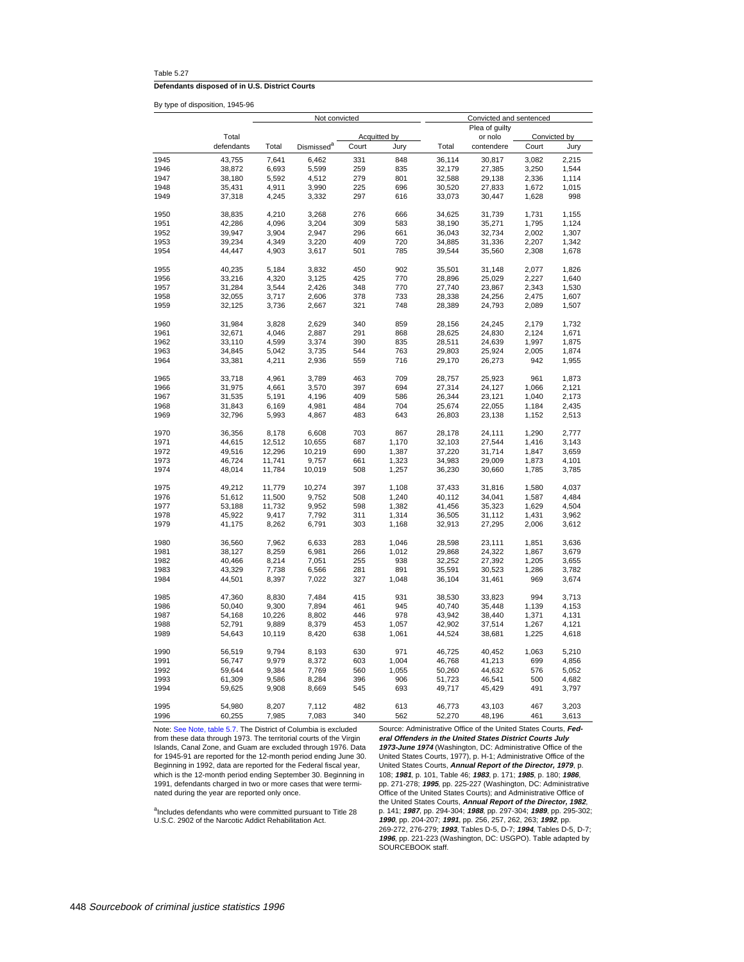## **Defendants disposed of in U.S. District Courts**

By type of disposition, 1945-96

|              |                  |                | Not convicted          |            | Convicted and sentenced |                  |                  |                |                |  |
|--------------|------------------|----------------|------------------------|------------|-------------------------|------------------|------------------|----------------|----------------|--|
|              |                  |                |                        |            |                         |                  | Plea of guilty   |                |                |  |
|              | Total            |                |                        |            | Acquitted by            |                  | or nolo          |                | Convicted by   |  |
|              | defendants       | Total          | Dismissed <sup>a</sup> | Court      | Jury                    | Total            | contendere       | Court          | Jury           |  |
| 1945         | 43,755           | 7,641          | 6,462                  | 331        | 848                     | 36,114           | 30,817           | 3,082          | 2,215          |  |
| 1946         | 38,872           | 6,693          | 5,599                  | 259        | 835                     | 32,179           | 27,385           | 3,250          | 1,544          |  |
| 1947         | 38,180           | 5,592          | 4,512                  | 279        | 801                     | 32,588           | 29,138           | 2,336          | 1,114          |  |
| 1948         | 35,431           | 4,911          | 3,990                  | 225        | 696                     | 30,520           | 27,833           | 1,672          | 1,015          |  |
| 1949         | 37,318           | 4,245          | 3,332                  | 297        | 616                     | 33,073           | 30,447           | 1,628          | 998            |  |
| 1950         | 38,835           | 4,210          | 3,268                  | 276        | 666                     | 34,625           | 31,739           | 1,731          | 1,155          |  |
| 1951         | 42.286           | 4.096          | 3.204                  | 309        | 583                     | 38,190           | 35,271           | 1.795          | 1.124          |  |
| 1952         | 39,947           | 3,904          | 2,947                  | 296        | 661                     | 36,043           | 32,734           | 2,002          | 1,307          |  |
| 1953         | 39,234           | 4,349          | 3,220                  | 409        | 720                     | 34,885           | 31,336           | 2,207          | 1,342          |  |
| 1954         | 44,447           | 4,903          | 3,617                  | 501        | 785                     | 39,544           | 35,560           | 2,308          | 1,678          |  |
|              |                  |                |                        |            |                         |                  |                  |                |                |  |
| 1955         | 40,235           | 5,184          | 3,832                  | 450        | 902                     | 35,501           | 31,148           | 2,077          | 1,826          |  |
| 1956         | 33,216           | 4,320          | 3,125                  | 425        | 770                     | 28,896           | 25,029           | 2,227          | 1,640          |  |
| 1957         | 31,284           | 3,544          | 2,426                  | 348        | 770                     | 27,740           | 23,867           | 2,343          | 1,530          |  |
| 1958         | 32,055           | 3,717          | 2,606                  | 378        | 733                     | 28,338           | 24,256           | 2,475          | 1,607          |  |
| 1959         | 32,125           | 3,736          | 2,667                  | 321        | 748                     | 28,389           | 24,793           | 2,089          | 1,507          |  |
| 1960         | 31,984           | 3,828          | 2,629                  | 340        | 859                     | 28,156           | 24,245           | 2,179          | 1,732          |  |
| 1961         | 32,671           | 4,046          | 2,887                  | 291        | 868                     | 28,625           | 24,830           | 2,124          | 1,671          |  |
| 1962         | 33,110           | 4,599          | 3,374                  | 390        | 835                     | 28,511           | 24,639           | 1,997          | 1,875          |  |
| 1963         | 34,845           | 5,042          | 3,735                  | 544        | 763                     | 29,803           | 25,924           | 2,005          | 1,874          |  |
| 1964         | 33,381           | 4,211          | 2,936                  | 559        | 716                     | 29,170           | 26,273           | 942            | 1,955          |  |
|              |                  |                |                        |            |                         |                  |                  |                |                |  |
| 1965         | 33,718           | 4,961          | 3,789                  | 463        | 709                     | 28,757           | 25,923           | 961            | 1,873          |  |
| 1966         | 31,975           | 4,661          | 3,570                  | 397        | 694                     | 27,314           | 24,127           | 1,066          | 2,121          |  |
| 1967<br>1968 | 31,535<br>31.843 | 5,191<br>6.169 | 4,196                  | 409<br>484 | 586<br>704              | 26,344<br>25.674 | 23,121           | 1,040<br>1.184 | 2,173<br>2.435 |  |
| 1969         | 32,796           | 5,993          | 4,981<br>4,867         | 483        | 643                     | 26,803           | 22,055<br>23,138 | 1,152          | 2,513          |  |
|              |                  |                |                        |            |                         |                  |                  |                |                |  |
| 1970         | 36,356           | 8,178          | 6,608                  | 703        | 867                     | 28,178           | 24,111           | 1,290          | 2,777          |  |
| 1971         | 44,615           | 12,512         | 10,655                 | 687        | 1,170                   | 32,103           | 27,544           | 1,416          | 3,143          |  |
| 1972         | 49,516           | 12,296         | 10,219                 | 690        | 1,387                   | 37,220           | 31,714           | 1,847          | 3,659          |  |
| 1973         | 46,724           | 11,741         | 9,757                  | 661        | 1,323                   | 34,983           | 29,009           | 1,873          | 4,101          |  |
| 1974         | 48,014           | 11,784         | 10,019                 | 508        | 1,257                   | 36,230           | 30,660           | 1,785          | 3,785          |  |
| 1975         | 49,212           | 11,779         | 10,274                 | 397        | 1,108                   | 37,433           | 31,816           | 1,580          | 4,037          |  |
| 1976         | 51,612           | 11,500         | 9,752                  | 508        | 1,240                   | 40,112           | 34,041           | 1,587          | 4,484          |  |
| 1977         | 53,188           | 11.732         | 9,952                  | 598        | 1,382                   | 41,456           | 35,323           | 1,629          | 4.504          |  |
| 1978         | 45,922           | 9,417          | 7,792                  | 311        | 1,314                   | 36,505           | 31,112           | 1,431          | 3,962          |  |
| 1979         | 41,175           | 8,262          | 6,791                  | 303        | 1,168                   | 32,913           | 27,295           | 2,006          | 3,612          |  |
|              |                  | 7,962          |                        | 283        | 1,046                   | 28,598           |                  | 1,851          |                |  |
| 1980<br>1981 | 36,560<br>38,127 | 8,259          | 6,633<br>6,981         | 266        | 1,012                   | 29,868           | 23,111<br>24,322 | 1,867          | 3,636<br>3,679 |  |
| 1982         | 40,466           | 8,214          | 7,051                  | 255        | 938                     | 32,252           | 27,392           | 1,205          | 3,655          |  |
| 1983         | 43,329           | 7,738          | 6,566                  | 281        | 891                     | 35,591           | 30,523           | 1,286          | 3,782          |  |
| 1984         | 44,501           | 8,397          | 7,022                  | 327        | 1,048                   | 36,104           | 31,461           | 969            | 3,674          |  |
|              |                  |                |                        |            |                         |                  |                  |                |                |  |
| 1985         | 47,360           | 8,830          | 7,484                  | 415        | 931                     | 38,530           | 33,823           | 994            | 3,713          |  |
| 1986         | 50,040           | 9,300          | 7,894                  | 461        | 945                     | 40,740           | 35,448           | 1,139          | 4,153          |  |
| 1987         | 54,168           | 10,226         | 8,802                  | 446        | 978                     | 43,942           | 38,440           | 1,371          | 4,131          |  |
| 1988         | 52,791           | 9,889          | 8,379                  | 453        | 1,057                   | 42,902           | 37,514           | 1,267          | 4,121          |  |
| 1989         | 54,643           | 10,119         | 8,420                  | 638        | 1,061                   | 44,524           | 38,681           | 1,225          | 4,618          |  |
| 1990         | 56,519           | 9,794          | 8,193                  | 630        | 971                     | 46,725           | 40,452           | 1,063          | 5,210          |  |
| 1991         | 56,747           | 9,979          | 8,372                  | 603        | 1,004                   | 46,768           | 41,213           | 699            | 4,856          |  |
| 1992         | 59,644           | 9,384          | 7,769                  | 560        | 1,055                   | 50,260           | 44,632           | 576            | 5,052          |  |
| 1993         | 61,309           | 9,586          | 8,284                  | 396        | 906                     | 51,723           | 46,541           | 500            | 4,682          |  |
| 1994         | 59,625           | 9,908          | 8,669                  | 545        | 693                     | 49,717           | 45,429           | 491            | 3,797          |  |
| 1995         | 54,980           | 8,207          | 7,112                  | 482        | 613                     | 46,773           | 43,103           | 467            | 3,203          |  |
| 1996         | 60,255           | 7,985          | 7,083                  | 340        | 562                     | 52,270           | 48,196           | 461            | 3,613          |  |
|              |                  |                |                        |            |                         |                  |                  |                |                |  |

<span id="page-31-0"></span>Note[: See Note, table 5.7.](#page-6-0) The District of Columbia is excluded from these data through 1973. The territorial courts of the Virgin Islands, Canal Zone, and Guam are excluded through 1976. Data for 1945-91 are reported for the 12-month period ending June 30. Beginning in 1992, data are reported for the Federal fiscal year, which is the 12-month period ending September 30. Beginning in 1991, defendants charged in two or more cases that were termi-nated during the year are reported only once.

<sup>a</sup>Includes defendants who were committed pursuant to Title 28 U.S.C. 2902 of the Narcotic Addict Rehabilitation Act.

Source: Administrative Office of the United States Courts, **Federal Offenders in the United States District Courts July 1973-June 1974** (Washington, DC: Administrative Office of the United States Courts, 1977), p. H-1; Administrative Office of the United States Courts, **Annual Report of the Director, 1979**, p. 108; **1981**, p. 101, Table 46; **1983**, p. 171; **1985**, p. 180; **1986**, pp. 271-278; **1995**, pp. 225-227 (Washington, DC: Administrative Office of the United States Courts); and Administrative Office of the United States Courts, **Annual Report of the Director, 1982**, p. 141; **1987**, pp. 294-304; **1988**, pp. 297-304; **1989**, pp. 295-302; **1990**, pp. 204-207; **1991**, pp. 256, 257, 262, 263; **1992**, pp. 269-272, 276-279; **1993**, Tables D-5, D-7; **1994**, Tables D-5, D-7; **1996**, pp. 221-223 (Washington, DC: USGPO). Table adapted by SOURCEBOOK staff.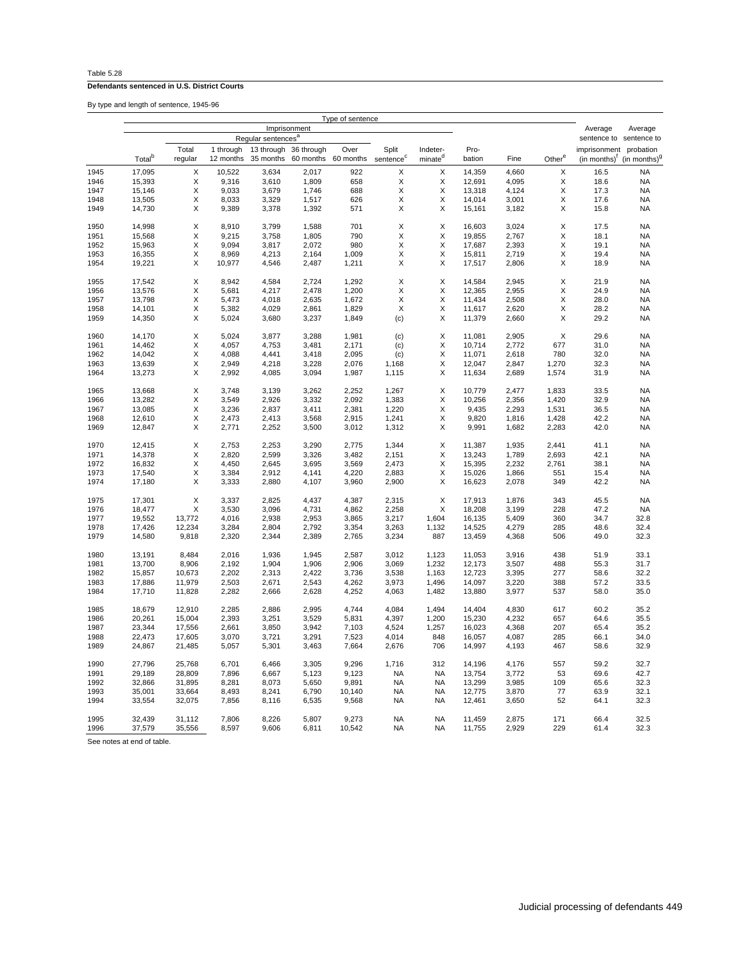# **Defendants sentenced in U.S. District Courts**

By type and length of sentence, 1945-96

|              |                    |                  |                |                                |                | Type of sentence |                       |                        |                  |                |                    |                                                                       |                        |
|--------------|--------------------|------------------|----------------|--------------------------------|----------------|------------------|-----------------------|------------------------|------------------|----------------|--------------------|-----------------------------------------------------------------------|------------------------|
|              |                    |                  |                |                                | Imprisonment   |                  |                       |                        |                  |                |                    | Average                                                               | Average                |
|              |                    |                  |                | Regular sentences <sup>a</sup> |                |                  |                       |                        |                  |                |                    | sentence to sentence to                                               |                        |
|              |                    | Total            | 1 through      | 13 through                     | 36 through     | Over             | Split                 | Indeter-               | Pro-             |                |                    | imprisonment probation                                                |                        |
|              | Total <sup>b</sup> | regular          | 12 months      | 35 months                      | 60 months      | 60 months        | sentence <sup>c</sup> | minate <sup>d</sup>    | bation           | Fine           | Other <sup>e</sup> | (in months) <sup><math>\text{t}</math></sup> (in months) <sup>9</sup> |                        |
| 1945         | 17,095             | X                | 10,522         | 3,634                          | 2,017          | 922              | X                     | X                      | 14,359           | 4,660          | X                  | 16.5                                                                  | <b>NA</b>              |
| 1946         | 15,393             | X                | 9,316          | 3,610                          | 1,809          | 658              | X                     | Χ                      | 12,691           | 4,095          | Χ                  | 18.6                                                                  | <b>NA</b>              |
| 1947         | 15,146             | Χ                | 9,033          | 3,679                          | 1,746          | 688              | Χ                     | Χ                      | 13,318           | 4,124          | Χ                  | 17.3                                                                  | <b>NA</b>              |
| 1948         | 13,505             | X                | 8,033          | 3,329                          | 1,517          | 626              | X                     | X                      | 14,014           | 3,001          | X                  | 17.6                                                                  | <b>NA</b>              |
| 1949         | 14,730             | X                | 9,389          | 3,378                          | 1,392          | 571              | X                     | X                      | 15,161           | 3,182          | X                  | 15.8                                                                  | <b>NA</b>              |
|              |                    |                  |                |                                |                |                  |                       |                        |                  |                |                    |                                                                       |                        |
| 1950         | 14,998             | X                | 8,910          | 3,799                          | 1,588          | 701              | X                     | X                      | 16.603           | 3,024          | X                  | 17.5                                                                  | <b>NA</b>              |
| 1951         | 15,568             | X                | 9,215          | 3,758                          | 1,805          | 790              | Χ                     | X                      | 19,855           | 2,767          | X                  | 18.1                                                                  | <b>NA</b>              |
| 1952         | 15,963             | X                | 9,094          | 3,817                          | 2,072          | 980              | X                     | X                      | 17,687           | 2,393          | X                  | 19.1                                                                  | <b>NA</b>              |
| 1953         | 16,355             | X<br>X           | 8,969          | 4,213                          | 2,164          | 1,009            | X<br>Χ                | X<br>X                 | 15,811           | 2,719          | X<br>X             | 19.4                                                                  | <b>NA</b>              |
| 1954         | 19,221             |                  | 10,977         | 4,546                          | 2,487          | 1,211            |                       |                        | 17,517           | 2,806          |                    | 18.9                                                                  | <b>NA</b>              |
| 1955         | 17,542             | X                | 8,942          | 4,584                          | 2,724          | 1,292            | X                     | X                      | 14,584           | 2,945          | X                  | 21.9                                                                  | <b>NA</b>              |
| 1956         | 13,576             | X                | 5,681          | 4,217                          | 2,478          | 1,200            | X                     | X                      | 12,365           | 2,955          | X                  | 24.9                                                                  | <b>NA</b>              |
| 1957         | 13,798             | X                | 5,473          | 4,018                          | 2,635          | 1,672            | X                     | X                      | 11,434           | 2,508          | X                  | 28.0                                                                  | <b>NA</b>              |
| 1958         | 14,101             | X                | 5,382          | 4,029                          | 2,861          | 1,829            | X                     | X                      | 11,617           | 2,620          | $\times$           | 28.2                                                                  | <b>NA</b>              |
| 1959         | 14,350             | X                | 5,024          | 3,680                          | 3,237          | 1,849            | (c)                   | X                      | 11,379           | 2,660          | X                  | 29.2                                                                  | <b>NA</b>              |
| 1960         |                    | X                | 5,024          | 3,877                          | 3,288          | 1,981            |                       | X                      | 11,081           | 2,905          | X                  | 29.6                                                                  | <b>NA</b>              |
| 1961         | 14,170<br>14,462   | X                | 4,057          | 4,753                          | 3,481          | 2,171            | (c)                   | Χ                      | 10,714           |                | 677                | 31.0                                                                  | <b>NA</b>              |
| 1962         | 14,042             | X                | 4.088          | 4.441                          | 3,418          | 2,095            | (c)                   | X                      | 11,071           | 2,772<br>2,618 | 780                | 32.0                                                                  | <b>NA</b>              |
| 1963         | 13,639             | X                | 2,949          | 4,218                          | 3,228          | 2,076            | (c)<br>1,168          | X                      | 12,047           | 2,847          | 1,270              | 32.3                                                                  | <b>NA</b>              |
| 1964         | 13,273             | X                | 2,992          | 4,085                          | 3,094          | 1,987            | 1,115                 | Χ                      | 11,634           | 2,689          | 1,574              | 31.9                                                                  | <b>NA</b>              |
|              |                    |                  |                |                                |                |                  |                       |                        |                  |                |                    |                                                                       |                        |
| 1965         | 13,668             | X                | 3,748          | 3,139                          | 3,262          | 2,252            | 1,267                 | Χ                      | 10,779           | 2,477          | 1,833              | 33.5                                                                  | <b>NA</b>              |
| 1966         | 13,282             | X                | 3,549          | 2,926                          | 3,332          | 2,092            | 1,383                 | X                      | 10,256           | 2,356          | 1,420              | 32.9                                                                  | <b>NA</b>              |
| 1967         | 13,085             | X                | 3,236          | 2,837                          | 3,411          | 2,381            | 1,220                 | X                      | 9,435            | 2,293          | 1,531              | 36.5                                                                  | <b>NA</b>              |
| 1968         | 12,610             | X                | 2,473          | 2,413                          | 3,568          | 2,915            | 1,241                 | X                      | 9,820            | 1,816          | 1,428              | 42.2                                                                  | <b>NA</b>              |
| 1969         | 12,847             | X                | 2,771          | 2,252                          | 3,500          | 3,012            | 1,312                 | X                      | 9,991            | 1,682          | 2,283              | 42.0                                                                  | <b>NA</b>              |
| 1970         | 12,415             | X                | 2,753          | 2,253                          | 3,290          | 2,775            | 1,344                 | X                      | 11,387           | 1,935          | 2,441              | 41.1                                                                  | <b>NA</b>              |
| 1971         | 14,378             | X                | 2,820          | 2,599                          | 3,326          | 3,482            | 2,151                 | X                      | 13,243           | 1,789          | 2,693              | 42.1                                                                  | <b>NA</b>              |
| 1972         | 16,832             | X                | 4,450          | 2,645                          | 3,695          | 3,569            | 2,473                 | X                      | 15,395           | 2,232          | 2,761              | 38.1                                                                  | <b>NA</b>              |
| 1973         | 17,540             | X                | 3,384          | 2,912                          | 4,141          | 4,220            | 2,883                 | X                      | 15,026           | 1,866          | 551                | 15.4                                                                  | <b>NA</b>              |
| 1974         | 17,180             | X                | 3,333          | 2,880                          | 4,107          | 3,960            | 2,900                 | X                      | 16,623           | 2,078          | 349                | 42.2                                                                  | <b>NA</b>              |
|              |                    |                  |                |                                |                |                  |                       |                        |                  |                |                    |                                                                       |                        |
| 1975<br>1976 | 17,301<br>18,477   | Χ<br>X           | 3,337<br>3,530 | 2,825<br>3,096                 | 4,437<br>4,731 | 4,387<br>4,862   | 2,315<br>2,258        | Χ<br>X                 | 17,913<br>18,208 | 1,876<br>3.199 | 343<br>228         | 45.5<br>47.2                                                          | <b>NA</b><br><b>NA</b> |
|              | 19,552             | 13,772           | 4,016          | 2,938                          | 2,953          | 3,865            | 3,217                 | 1,604                  | 16,135           | 5,409          | 360                | 34.7                                                                  | 32.8                   |
| 1977<br>1978 | 17,426             | 12,234           | 3,284          | 2,804                          | 2,792          | 3,354            | 3,263                 | 1,132                  | 14,525           | 4,279          | 285                | 48.6                                                                  | 32.4                   |
| 1979         | 14,580             | 9,818            | 2,320          | 2,344                          | 2,389          | 2,765            | 3,234                 | 887                    | 13,459           | 4,368          | 506                | 49.0                                                                  | 32.3                   |
|              |                    |                  |                |                                |                |                  |                       |                        |                  |                |                    |                                                                       |                        |
| 1980         | 13,191             | 8,484            | 2,016          | 1,936                          | 1,945          | 2,587            | 3,012                 | 1,123                  | 11,053           | 3,916          | 438                | 51.9                                                                  | 33.1                   |
| 1981         | 13,700             | 8,906            | 2,192          | 1,904                          | 1,906          | 2,906            | 3,069                 | 1,232                  | 12,173           | 3,507          | 488                | 55.3                                                                  | 31.7                   |
| 1982         | 15,857             | 10,673           | 2,202          | 2,313                          | 2,422          | 3,736            | 3,538                 | 1,163                  | 12,723           | 3,395          | 277                | 58.6                                                                  | 32.2                   |
| 1983         | 17,886             | 11,979           | 2,503          | 2,671                          | 2,543          | 4,262            | 3,973                 | 1,496                  | 14,097           | 3,220          | 388                | 57.2                                                                  | 33.5                   |
| 1984         | 17,710             | 11,828           | 2,282          | 2,666                          | 2,628          | 4,252            | 4,063                 | 1,482                  | 13,880           | 3,977          | 537                | 58.0                                                                  | 35.0                   |
| 1985         | 18,679             | 12,910           | 2,285          | 2,886                          | 2,995          | 4,744            | 4,084                 | 1,494                  | 14,404           | 4,830          | 617                | 60.2                                                                  | 35.2                   |
| 1986         | 20,261             | 15,004           | 2,393          | 3,251                          | 3,529          | 5,831            | 4,397                 | 1,200                  | 15,230           | 4,232          | 657                | 64.6                                                                  | 35.5                   |
| 1987         | 23,344             | 17,556           | 2,661          | 3,850                          | 3,942          | 7,103            | 4,524                 | 1,257                  | 16,023           | 4,368          | 207                | 65.4                                                                  | 35.2                   |
| 1988         | 22,473             | 17,605           | 3,070          | 3,721                          | 3,291          | 7,523            | 4,014                 | 848                    | 16.057           | 4,087          | 285                | 66.1                                                                  | 34.0                   |
| 1989         | 24,867             | 21,485           | 5,057          | 5,301                          | 3,463          | 7,664            | 2,676                 | 706                    | 14,997           | 4,193          | 467                | 58.6                                                                  | 32.9                   |
| 1990         |                    |                  |                |                                |                |                  |                       | 312                    |                  |                |                    | 59.2                                                                  | 32.7                   |
|              | 27,796             | 25,768           | 6,701          | 6,466                          | 3,305          | 9,296            | 1,716                 |                        | 14,196           | 4,176          | 557                |                                                                       |                        |
| 1991<br>1992 | 29,189<br>32,866   | 28,809<br>31,895 | 7,896<br>8,281 | 6,667<br>8,073                 | 5,123<br>5,650 | 9,123<br>9,891   | <b>NA</b><br>NA       | <b>NA</b><br><b>NA</b> | 13,754<br>13,299 | 3,772<br>3,985 | 53<br>109          | 69.6<br>65.6                                                          | 42.7<br>32.3           |
| 1993         | 35,001             | 33,664           | 8,493          | 8,241                          | 6,790          | 10,140           | <b>NA</b>             | <b>NA</b>              | 12,775           | 3,870          | 77                 | 63.9                                                                  | 32.1                   |
| 1994         | 33,554             | 32,075           | 7,856          | 8,116                          | 6,535          | 9,568            | <b>NA</b>             | <b>NA</b>              | 12,461           | 3,650          | 52                 | 64.1                                                                  | 32.3                   |
|              |                    |                  |                |                                |                |                  |                       |                        |                  |                |                    |                                                                       |                        |
| 1995         | 32,439             | 31,112           | 7,806          | 8,226                          | 5,807          | 9,273            | <b>NA</b>             | <b>NA</b>              | 11,459           | 2,875          | 171                | 66.4                                                                  | 32.5                   |
| 1996         | 37,579             | 35,556           | 8,597          | 9,606                          | 6,811          | 10,542           | <b>NA</b>             | <b>NA</b>              | 11,755           | 2,929          | 229                | 61.4                                                                  | 32.3                   |
|              |                    |                  |                |                                |                |                  |                       |                        |                  |                |                    |                                                                       |                        |

See notes at end of table.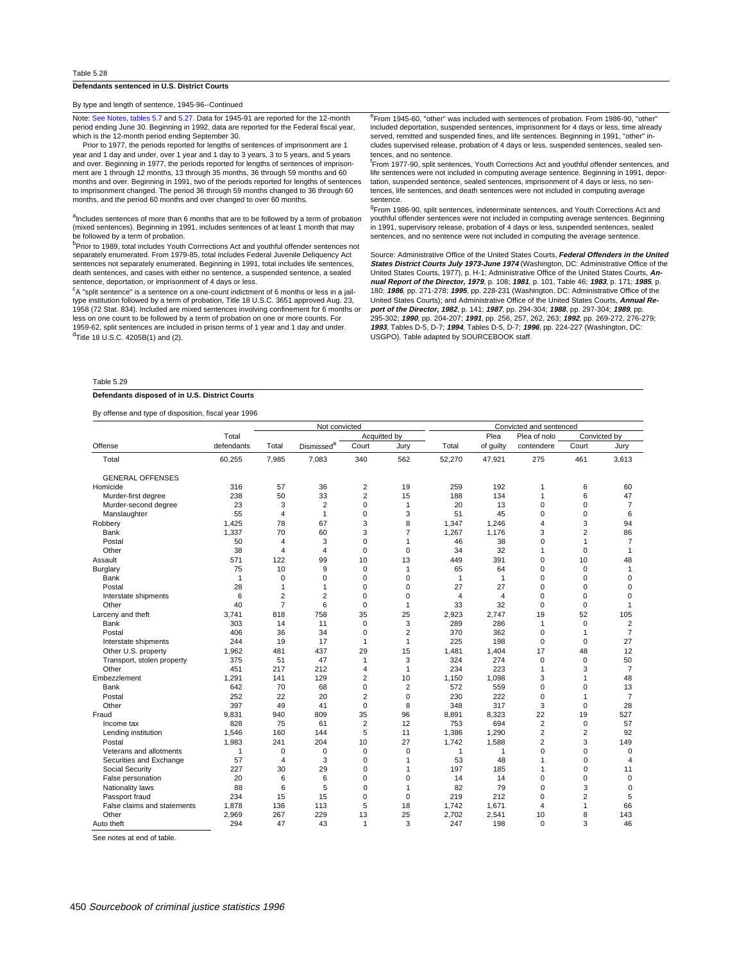# **Defendants sentenced in U.S. District Courts**

#### By type and length of sentence, 1945-96--Continued

Note[: See Notes, tables 5.7](#page-6-0) an[d 5.27.](#page-31-0) Data for 1945-91 are reported for the 12-month period ending June 30. Beginning in 1992, data are reported for the Federal fiscal year, which is the 12-month period ending September 30.

 Prior to 1977, the periods reported for lengths of sentences of imprisonment are 1 year and 1 day and under, over 1 year and 1 day to 3 years, 3 to 5 years, and 5 years and over. Beginning in 1977, the periods reported for lengths of sentences of imprisonment are 1 through 12 months, 13 through 35 months, 36 through 59 months and 60 months and over. Beginning in 1991, two of the periods reported for lengths of sentences to imprisonment changed. The period 36 through 59 months changed to 36 through 60 months, and the period 60 months and over changed to over 60 months.

<sup>a</sup>Includes sentences of more than 6 months that are to be followed by a term of probation (mixed sentences). Beginning in 1991, includes sentences of at least 1 month that may be followed by a term of probation.

<sup>b</sup>Prior to 1989, total includes Youth Corrrections Act and youthful offender sentences not<br>separately enumerated. From 1979-85, total includes Federal Juvenile Deliquency Act sentences not separately enumerated. Beginning in 1991, total includes life sentences, death sentences, and cases with either no sentence, a suspended sentence, a sealed sentence, deportation, or imprisonment of 4 days or less.

<sup>c</sup>A "split sentence" is a sentence on a one-count indictment of 6 months or less in a jailtype institution followed by a term of probation, Title 18 U.S.C. 3651 approved Aug. 23, 1958 (72 Stat. 834). Included are mixed sentences involving confinement for 6 months or less on one count to be followed by a term of probation on one or more counts. For 1959-62, split sentences are included in prison terms of 1 year and 1 day and under.  $^{\text{d}}$ Title 18 U.S.C. 4205B(1) and (2).

<sup>e</sup>From 1945-60, "other" was included with sentences of probation. From 1986-90, "other" included deportation, suspended sentences, imprisonment for 4 days or less, time already served, remitted and suspended fines, and life sentences. Beginning in 1991, "other" includes supervised release, probation of 4 days or less, suspended sentences, sealed sentences, and no sentence.

f From 1977-90, split sentences, Youth Corrections Act and youthful offender sentences, and life sentences were not included in computing average sentence. Beginning in 1991, deportation, suspended sentence, sealed sentences, imprisonment of 4 days or less, no sentences, life sentences, and death sentences were not included in computing average sentence.

<sup>g</sup>From 1986-90, split sentences, indeterminate sentences, and Youth Corrections Act and youthful offender sentences were not included in computing average sentences. Beginning in 1991, supervisory release, probation of 4 days or less, suspended sentences, sealed sentences, and no sentence were not included in computing the average sentence.

Source: Administrative Office of the United States Courts, **Federal Offenders in the United States District Courts July 1973-June 1974** (Washington, DC: Administrative Office of the United States Courts, 1977), p. H-1; Administrative Office of the United States Courts, **Annual Report of the Director, 1979**, p. 108; **1981**, p. 101, Table 46; **1983**, p. 171; **1985**, p. 180; **1986**, pp. 271-278; **1995**, pp. 228-231 (Washington, DC: Administrative Office of the United States Courts); and Administrative Office of the United States Courts, **Annual Report of the Director, 1982**, p. 141; **1987**, pp. 294-304; **1988**, pp. 297-304; **1989**, pp. 295-302; **1990**, pp. 204-207; **1991**, pp. 256, 257, 262, 263; **1992**, pp. 269-272, 276-279; **1993**, Tables D-5, D-7; **1994**, Tables D-5, D-7; **1996**, pp. 224-227 (Washington, DC: USGPO). Table adapted by SOURCEBOOK staff.

#### Table 5.29

#### **Defendants disposed of in U.S. District Courts**

By offense and type of disposition, fiscal year 1996

|                             |              |                | Not convicted          |                |                | Convicted and sentenced |              |                |                |                |  |
|-----------------------------|--------------|----------------|------------------------|----------------|----------------|-------------------------|--------------|----------------|----------------|----------------|--|
|                             | Total        |                |                        | Acquitted by   |                |                         | Plea         | Plea of nolo   |                | Convicted by   |  |
| Offense                     | defendants   | Total          | Dismissed <sup>a</sup> | Court          | Jury           | Total                   | of quilty    | contendere     | Court          | Jury           |  |
| Total                       | 60,255       | 7,985          | 7,083                  | 340            | 562            | 52,270                  | 47,921       | 275            | 461            | 3,613          |  |
| <b>GENERAL OFFENSES</b>     |              |                |                        |                |                |                         |              |                |                |                |  |
| Homicide                    | 316          | 57             | 36                     | $\overline{2}$ | 19             | 259                     | 192          | $\mathbf{1}$   | 6              | 60             |  |
| Murder-first degree         | 238          | 50             | 33                     | $\overline{2}$ | 15             | 188                     | 134          | $\mathbf{1}$   | 6              | 47             |  |
| Murder-second degree        | 23           | 3              | $\overline{2}$         | $\mathbf 0$    | 1              | 20                      | 13           | 0              | 0              | $\overline{7}$ |  |
| Manslaughter                | 55           | 4              | $\mathbf{1}$           | $\mathbf 0$    | 3              | 51                      | 45           | $\Omega$       | 0              | 6              |  |
| Robbery                     | 1,425        | 78             | 67                     | 3              | 8              | 1,347                   | 1,246        | 4              | 3              | 94             |  |
| Bank                        | 1,337        | 70             | 60                     | 3              | $\overline{7}$ | 1,267                   | 1,176        | 3              | $\overline{2}$ | 86             |  |
| Postal                      | 50           | 4              | 3                      | $\Omega$       | 1              | 46                      | 38           | $\Omega$       | 1              | $\overline{7}$ |  |
| Other                       | 38           | 4              | $\overline{4}$         | $\mathbf 0$    | $\mathbf 0$    | 34                      | 32           | 1              | 0              | 1              |  |
| Assault                     | 571          | 122            | 99                     | 10             | 13             | 449                     | 391          | 0              | 10             | 48             |  |
| <b>Burglary</b>             | 75           | 10             | 9                      | $\mathbf 0$    | 1              | 65                      | 64           | $\Omega$       | $\Omega$       | $\mathbf{1}$   |  |
| Bank                        | $\mathbf{1}$ | 0              | 0                      | $\mathbf 0$    | 0              | 1                       | $\mathbf{1}$ | 0              | 0              | $\mathbf 0$    |  |
| Postal                      | 28           | 1              | $\mathbf{1}$           | $\mathbf 0$    | 0              | 27                      | 27           | 0              | 0              | $\mathbf 0$    |  |
| Interstate shipments        | 6            | $\overline{2}$ | $\overline{2}$         | $\Omega$       | $\Omega$       | $\overline{4}$          | 4            | $\Omega$       | $\Omega$       | $\Omega$       |  |
| Other                       | 40           | $\overline{7}$ | 6                      | $\mathbf 0$    | $\mathbf{1}$   | 33                      | 32           | $\mathbf 0$    | 0              | 1              |  |
| Larceny and theft           | 3,741        | 818            | 758                    | 35             | 25             | 2,923                   | 2,747        | 19             | 52             | 105            |  |
| Bank                        | 303          | 14             | 11                     | $\mathbf 0$    | 3              | 289                     | 286          | $\mathbf{1}$   | 0              | $\overline{2}$ |  |
| Postal                      | 406          | 36             | 34                     | $\mathbf 0$    | $\overline{c}$ | 370                     | 362          | 0              | 1              | $\overline{7}$ |  |
| Interstate shipments        | 244          | 19             | 17                     | $\mathbf{1}$   | 1              | 225                     | 198          | $\mathbf 0$    | 0              | 27             |  |
| Other U.S. property         | 1,962        | 481            | 437                    | 29             | 15             | 1,481                   | 1,404        | 17             | 48             | 12             |  |
| Transport, stolen property  | 375          | 51             | 47                     | $\mathbf{1}$   | 3              | 324                     | 274          | $\mathbf 0$    | 0              | 50             |  |
| Other                       | 451          | 217            | 212                    | $\overline{4}$ | 1              | 234                     | 223          | $\mathbf{1}$   | 3              | $\overline{7}$ |  |
| Embezzlement                | 1.291        | 141            | 129                    | $\overline{2}$ | 10             | 1,150                   | 1,098        | 3              | 1              | 48             |  |
| Bank                        | 642          | 70             | 68                     | $\mathbf 0$    | $\overline{2}$ | 572                     | 559          | $\mathbf 0$    | 0              | 13             |  |
| Postal                      | 252          | 22             | 20                     | $\overline{2}$ | 0              | 230                     | 222          | $\Omega$       | 1              | $\overline{7}$ |  |
| Other                       | 397          | 49             | 41                     | $\mathbf 0$    | 8              | 348                     | 317          | 3              | 0              | 28             |  |
| Fraud                       | 9,831        | 940            | 809                    | 35             | 96             | 8,891                   | 8,323        | 22             | 19             | 527            |  |
| Income tax                  | 828          | 75             | 61                     | $\overline{2}$ | 12             | 753                     | 694          | $\overline{2}$ | 0              | 57             |  |
| Lending institution         | 1,546        | 160            | 144                    | 5              | 11             | 1,386                   | 1,290        | $\overline{2}$ | $\overline{2}$ | 92             |  |
| Postal                      | 1,983        | 241            | 204                    | 10             | 27             | 1,742                   | 1,588        | $\overline{2}$ | 3              | 149            |  |
| Veterans and allotments     | 1            | 0              | $\mathbf 0$            | $\mathbf 0$    | 0              | $\mathbf{1}$            | 1            | 0              | 0              | $\mathbf 0$    |  |
| Securities and Exchange     | 57           | $\overline{4}$ | 3                      | 0              | 1              | 53                      | 48           | 1              | $\mathbf 0$    | 4              |  |
| Social Security             | 227          | 30             | 29                     | 0              | $\mathbf{1}$   | 197                     | 185          | 1              | 0              | 11             |  |
| False personation           | 20           | 6              | 6                      | $\mathbf 0$    | 0              | 14                      | 14           | 0              | 0              | 0              |  |
| Nationality laws            | 88           | 6              | 5                      | $\Omega$       | 1              | 82                      | 79           | $\Omega$       | 3              | $\mathbf 0$    |  |
| Passport fraud              | 234          | 15             | 15                     | $\mathbf 0$    | $\mathbf 0$    | 219                     | 212          | 0              | $\overline{2}$ | 5              |  |
| False claims and statements | 1,878        | 136            | 113                    | 5              | 18             | 1,742                   | 1,671        | 4              | 1              | 66             |  |
| Other                       | 2,969        | 267            | 229                    | 13             | 25             | 2,702                   | 2,541        | 10             | 8              | 143            |  |
| Auto theft                  | 294          | 47             | 43                     | $\mathbf{1}$   | 3              | 247                     | 198          | $\Omega$       | 3              | 46             |  |

See notes at end of table.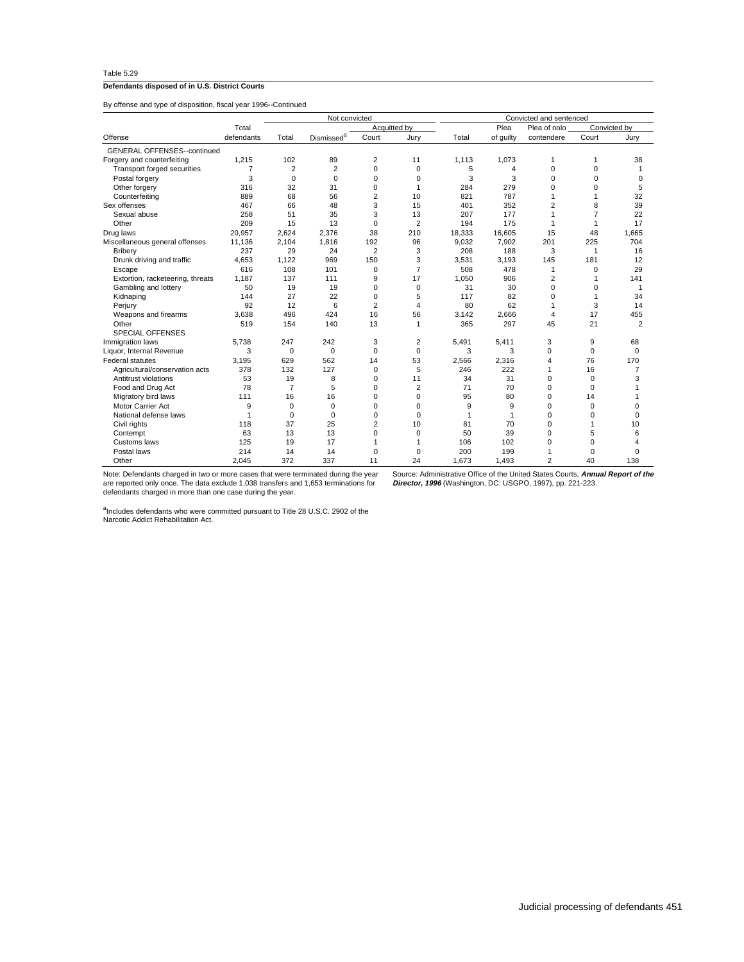Table 5.29

#### **Defendants disposed of in U.S. District Courts**

By offense and type of disposition, fiscal year 1996--Continued

|                                    |                |                | Not convicted          |                |                |              | Convicted and sentenced |                |                |                |  |
|------------------------------------|----------------|----------------|------------------------|----------------|----------------|--------------|-------------------------|----------------|----------------|----------------|--|
|                                    | Total          |                |                        | Acquitted by   |                |              | Plea                    | Plea of nolo   |                | Convicted by   |  |
| Offense                            | defendants     | Total          | Dismissed <sup>a</sup> | Court          | Jury           | Total        | of quilty               | contendere     | Court          | Jury           |  |
| <b>GENERAL OFFENSES--continued</b> |                |                |                        |                |                |              |                         |                |                |                |  |
| Forgery and counterfeiting         | 1,215          | 102            | 89                     | 2              | 11             | 1,113        | 1,073                   | 1              | 1              | 38             |  |
| Transport forged securities        | $\overline{7}$ | $\overline{2}$ | $\overline{2}$         | $\mathbf 0$    | $\mathbf 0$    | 5            | 4                       | $\mathbf 0$    | 0              | 1              |  |
| Postal forgery                     | 3              | 0              | $\mathbf 0$            | $\mathbf 0$    | 0              | 3            | 3                       | $\mathbf 0$    | 0              | 0              |  |
| Other forgery                      | 316            | 32             | 31                     | $\mathbf 0$    | 1              | 284          | 279                     | $\mathbf 0$    | 0              | 5              |  |
| Counterfeiting                     | 889            | 68             | 56                     | $\overline{2}$ | 10             | 821          | 787                     | $\mathbf{1}$   |                | 32             |  |
| Sex offenses                       | 467            | 66             | 48                     | 3              | 15             | 401          | 352                     | $\overline{2}$ | 8              | 39             |  |
| Sexual abuse                       | 258            | 51             | 35                     | 3              | 13             | 207          | 177                     | $\mathbf{1}$   | $\overline{7}$ | 22             |  |
| Other                              | 209            | 15             | 13                     | $\Omega$       | $\overline{2}$ | 194          | 175                     | $\mathbf{1}$   | 1              | 17             |  |
| Drug laws                          | 20,957         | 2,624          | 2,376                  | 38             | 210            | 18,333       | 16,605                  | 15             | 48             | 1,665          |  |
| Miscellaneous general offenses     | 11,136         | 2,104          | 1,816                  | 192            | 96             | 9,032        | 7,902                   | 201            | 225            | 704            |  |
| <b>Bribery</b>                     | 237            | 29             | 24                     | $\overline{2}$ | 3              | 208          | 188                     | 3              |                | 16             |  |
| Drunk driving and traffic          | 4.653          | 1,122          | 969                    | 150            | 3              | 3,531        | 3,193                   | 145            | 181            | 12             |  |
| Escape                             | 616            | 108            | 101                    | $\mathbf 0$    | 7              | 508          | 478                     | 1              | $\Omega$       | 29             |  |
| Extortion, racketeering, threats   | 1.187          | 137            | 111                    | 9              | 17             | 1.050        | 906                     | $\overline{2}$ |                | 141            |  |
| Gambling and lottery               | 50             | 19             | 19                     | $\mathbf 0$    | 0              | 31           | 30                      | $\Omega$       | $\Omega$       | 1              |  |
| Kidnaping                          | 144            | 27             | 22                     | $\mathbf 0$    | 5              | 117          | 82                      | 0              | 1              | 34             |  |
| Perjury                            | 92             | 12             | 6                      | $\overline{2}$ | 4              | 80           | 62                      | $\mathbf{1}$   | 3              | 14             |  |
| Weapons and firearms               | 3.638          | 496            | 424                    | 16             | 56             | 3,142        | 2,666                   | $\overline{4}$ | 17             | 455            |  |
| Other                              | 519            | 154            | 140                    | 13             | 1              | 365          | 297                     | 45             | 21             | $\overline{2}$ |  |
| <b>SPECIAL OFFENSES</b>            |                |                |                        |                |                |              |                         |                |                |                |  |
| Immigration laws                   | 5.738          | 247            | 242                    | 3              | 2              | 5,491        | 5,411                   | 3              | 9              | 68             |  |
| Liquor, Internal Revenue           | 3              | $\mathbf 0$    | $\mathbf 0$            | $\mathbf 0$    | 0              | 3            | 3                       | $\mathbf 0$    | $\mathbf 0$    | $\mathbf 0$    |  |
| <b>Federal statutes</b>            | 3,195          | 629            | 562                    | 14             | 53             | 2,566        | 2,316                   | 4              | 76             | 170            |  |
| Agricultural/conservation acts     | 378            | 132            | 127                    | $\Omega$       | 5              | 246          | 222                     | 1              | 16             | 7              |  |
| Antitrust violations               | 53             | 19             | 8                      | $\Omega$       | 11             | 34           | 31                      | $\Omega$       | 0              | 3              |  |
| Food and Drug Act                  | 78             | $\overline{7}$ | 5                      | $\Omega$       | $\overline{2}$ | 71           | 70                      | $\Omega$       | $\Omega$       |                |  |
| Migratory bird laws                | 111            | 16             | 16                     | $\Omega$       | $\Omega$       | 95           | 80                      | $\Omega$       | 14             |                |  |
| <b>Motor Carrier Act</b>           | 9              | 0              | $\Omega$               | $\mathbf 0$    | 0              | 9            | 9                       | $\Omega$       | $\mathbf 0$    | 0              |  |
| National defense laws              | $\mathbf 1$    | $\mathbf 0$    | $\mathbf 0$            | $\mathbf 0$    | 0              | $\mathbf{1}$ | $\mathbf{1}$            | $\mathbf 0$    | 0              | 0              |  |
| Civil rights                       | 118            | 37             | 25                     | $\overline{2}$ | 10             | 81           | 70                      | $\mathbf 0$    | 1              | 10             |  |
| Contempt                           | 63             | 13             | 13                     | $\mathbf 0$    | 0              | 50           | 39                      | 0              | 5              | 6              |  |
| Customs laws                       | 125            | 19             | 17                     |                |                | 106          | 102                     | $\mathbf 0$    | 0              | 4              |  |
| Postal laws                        | 214            | 14             | 14                     | $\mathbf 0$    | 0              | 200          | 199                     |                | 0              | 0              |  |
| Other                              | 2,045          | 372            | 337                    | 11             | 24             | 1,673        | 1.493                   | $\overline{2}$ | 40             | 138            |  |

Note: Defendants charged in two or more cases that were terminated during the year are reported only once. The data exclude 1,038 transfers and 1,653 terminations for defendants charged in more than one case during the year.

Source: Administrative Office of the United States Courts, **Annual Report of the Director, 1996** (Washington, DC: USGPO, 1997), pp. 221-223.

<sup>a</sup>lncludes defendants who were committed pursuant to Title 28 U.S.C. 2902 of the<br>Narcotic Addict Rehabilitation Act.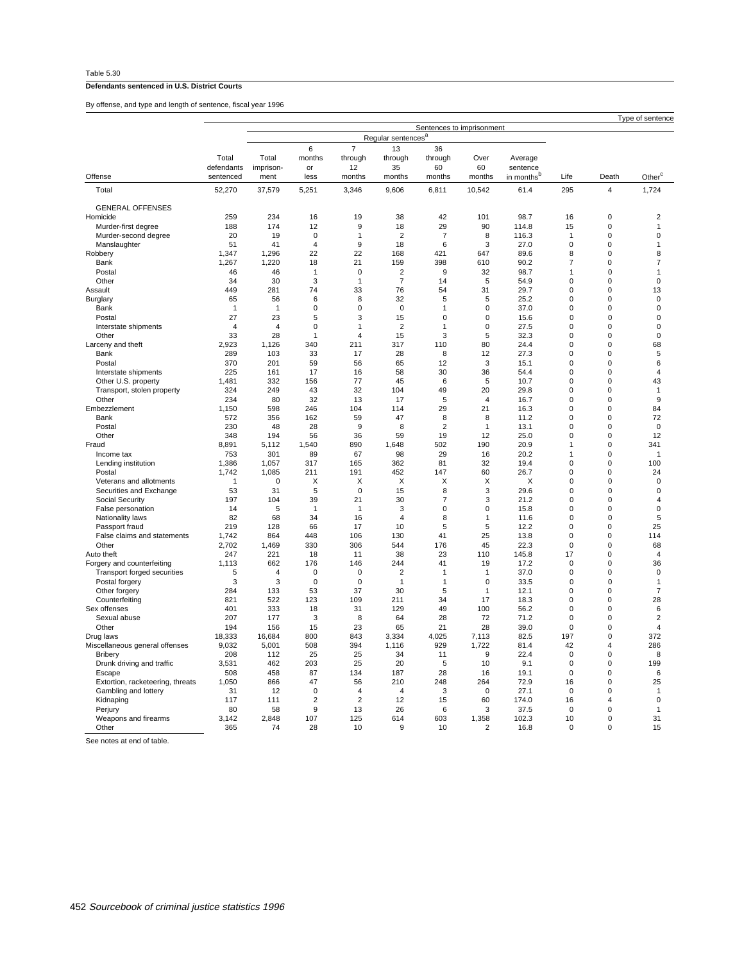# **Defendants sentenced in U.S. District Courts**

By offense, and type and length of sentence, fiscal year 1996

|                                                           |                                  |                                |                           |                                           |                                |                               |                      |                                               |                               |                            | Type of sentence   |
|-----------------------------------------------------------|----------------------------------|--------------------------------|---------------------------|-------------------------------------------|--------------------------------|-------------------------------|----------------------|-----------------------------------------------|-------------------------------|----------------------------|--------------------|
|                                                           |                                  |                                |                           |                                           | Regular sentences <sup>a</sup> | Sentences to imprisonment     |                      |                                               |                               |                            |                    |
| Offense                                                   | Total<br>defendants<br>sentenced | Total<br>imprison-<br>ment     | 6<br>months<br>or<br>less | $\overline{7}$<br>through<br>12<br>months | 13<br>through<br>35<br>months  | 36<br>through<br>60<br>months | Over<br>60<br>months | Average<br>sentence<br>in months <sup>b</sup> | Life                          | Death                      | Other <sup>c</sup> |
| Total                                                     | 52,270                           | 37,579                         | 5,251                     | 3,346                                     | 9,606                          | 6,811                         | 10,542               | 61.4                                          | 295                           | $\overline{4}$             | 1,724              |
| <b>GENERAL OFFENSES</b>                                   |                                  |                                |                           |                                           |                                |                               |                      |                                               |                               |                            |                    |
| Homicide                                                  | 259                              | 234                            | 16                        | 19                                        | 38                             | 42                            | 101                  | 98.7                                          | 16                            | $\mathbf 0$                | $\overline{2}$     |
| Murder-first degree                                       | 188                              | 174                            | 12                        | 9                                         | 18                             | 29                            | 90                   | 114.8                                         | 15                            | $\mathbf 0$                | $\mathbf{1}$       |
| Murder-second degree                                      | 20                               | 19                             | $\mathbf 0$               | 1                                         | $\overline{2}$                 | $\overline{7}$                | 8                    | 116.3                                         | $\mathbf{1}$                  | $\mathbf 0$                | $\mathbf 0$        |
| Manslaughter                                              | 51                               | 41                             | $\overline{4}$            | 9                                         | 18                             | 6                             | 3                    | 27.0                                          | $\mathbf 0$                   | $\mathbf 0$                | 1                  |
| Robbery                                                   | 1,347                            | 1,296                          | 22                        | 22                                        | 168                            | 421                           | 647                  | 89.6                                          | 8                             | $\mathbf 0$                | 8                  |
| Bank                                                      | 1,267                            | 1,220                          | 18                        | 21                                        | 159                            | 398                           | 610                  | 90.2                                          | $\overline{7}$                | $\mathbf 0$                | 7                  |
| Postal                                                    | 46                               | 46                             | $\mathbf{1}$              | $\mathbf 0$                               | $\overline{2}$                 | 9                             | 32                   | 98.7                                          | 1                             | $\Omega$                   | $\mathbf{1}$       |
| Other                                                     | 34                               | 30                             | 3                         | $\mathbf{1}$                              | $\overline{7}$                 | 14                            | 5                    | 54.9                                          | 0                             | $\pmb{0}$                  | $\mathbf 0$        |
| Assault                                                   | 449                              | 281                            | 74                        | 33                                        | 76                             | 54                            | 31                   | 29.7                                          | $\mathbf 0$                   | $\mathbf 0$                | 13                 |
| Burglary                                                  | 65                               | 56                             | 6                         | 8                                         | 32                             | 5                             | 5                    | 25.2                                          | $\mathbf 0$                   | $\mathbf 0$                | 0                  |
| Bank                                                      | $\mathbf{1}$                     | $\mathbf{1}$                   | $\mathbf 0$               | $\mathbf 0$                               | $\mathbf 0$                    | $\mathbf{1}$<br>$\mathbf 0$   | 0                    | 37.0                                          | $\mathbf 0$<br>$\overline{0}$ | $\mathbf 0$<br>$\mathbf 0$ | $\mathbf 0$        |
| Postal                                                    | 27<br>$\overline{4}$             | 23<br>$\overline{4}$           | 5<br>$\mathbf 0$          | 3<br>$\mathbf{1}$                         | 15<br>$\overline{2}$           | $\mathbf{1}$                  | 0                    | 15.6                                          | 0                             | $\mathbf 0$                | $\mathbf 0$        |
| Interstate shipments<br>Other                             | 33                               | 28                             | 1                         | $\overline{4}$                            | 15                             | 3                             | 0<br>5               | 27.5<br>32.3                                  | $\mathbf 0$                   | $\Omega$                   | 0<br>$\mathbf 0$   |
| Larceny and theft                                         | 2,923                            | 1,126                          | 340                       | 211                                       | 317                            | 110                           | 80                   | 24.4                                          | $\mathbf{0}$                  | $\mathbf 0$                | 68                 |
| Bank                                                      | 289                              | 103                            | 33                        | 17                                        | 28                             | 8                             | 12                   | 27.3                                          | $\mathbf 0$                   | $\mathbf 0$                | 5                  |
| Postal                                                    | 370                              | 201                            | 59                        | 56                                        | 65                             | 12                            | 3                    | 15.1                                          | $\overline{0}$                | $\mathbf 0$                | 6                  |
| Interstate shipments                                      | 225                              | 161                            | 17                        | 16                                        | 58                             | 30                            | 36                   | 54.4                                          | 0                             | $\mathbf 0$                | 4                  |
| Other U.S. property                                       | 1,481                            | 332                            | 156                       | 77                                        | 45                             | 6                             | 5                    | 10.7                                          | $\overline{0}$                | $\mathbf{0}$               | 43                 |
| Transport, stolen property                                | 324                              | 249                            | 43                        | 32                                        | 104                            | 49                            | 20                   | 29.8                                          | 0                             | $\mathbf 0$                | 1                  |
| Other                                                     | 234                              | 80                             | 32                        | 13                                        | 17                             | 5                             | $\overline{4}$       | 16.7                                          | $\mathbf 0$                   | $\mathbf 0$                | 9                  |
| Embezzlement                                              | 1,150                            | 598                            | 246                       | 104                                       | 114                            | 29                            | 21                   | 16.3                                          | $\mathbf 0$                   | $\mathbf 0$                | 84                 |
| Bank                                                      | 572                              | 356                            | 162                       | 59                                        | 47                             | 8                             | 8                    | 11.2                                          | $\mathbf 0$                   | $\mathbf 0$                | 72                 |
| Postal                                                    | 230                              | 48                             | 28                        | 9                                         | 8                              | $\overline{2}$                | $\mathbf{1}$         | 13.1                                          | $\mathbf{0}$                  | $\mathbf 0$                | $\mathbf 0$        |
| Other                                                     | 348                              | 194                            | 56                        | 36                                        | 59                             | 19                            | 12                   | 25.0                                          | 0                             | $\pmb{0}$                  | 12                 |
| Fraud                                                     | 8,891                            | 5,112                          | 1,540                     | 890                                       | 1,648                          | 502                           | 190                  | 20.9                                          | 1                             | $\mathbf 0$                | 341                |
| Income tax                                                | 753                              | 301                            | 89                        | 67                                        | 98                             | 29                            | 16                   | 20.2                                          | $\mathbf{1}$                  | $\mathbf 0$                | $\mathbf{1}$       |
| Lending institution                                       | 1,386                            | 1,057                          | 317                       | 165                                       | 362                            | 81                            | 32                   | 19.4                                          | $\mathbf 0$                   | $\mathbf 0$                | 100                |
| Postal                                                    | 1,742                            | 1,085                          | 211                       | 191                                       | 452                            | 147                           | 60                   | 26.7                                          | 0                             | $\mathbf 0$                | 24                 |
| Veterans and allotments                                   | $\mathbf{1}$                     | 0                              | X                         | X                                         | X                              | X                             | X                    | X                                             | $\mathbf 0$                   | $\mathbf 0$                | $\mathbf 0$        |
| Securities and Exchange                                   | 53                               | 31                             | 5                         | $\mathbf 0$                               | 15                             | 8                             | 3                    | 29.6                                          | $\overline{0}$                | $\mathbf 0$                | $\mathbf 0$        |
| Social Security                                           | 197                              | 104                            | 39                        | 21                                        | 30                             | 7                             | 3                    | 21.2                                          | 0                             | $\mathbf 0$                | $\overline{4}$     |
| False personation                                         | 14                               | 5                              | $\overline{1}$            | $\mathbf{1}$                              | 3                              | $\mathbf 0$                   | $\mathbf 0$          | 15.8                                          | $\mathbf 0$                   | $\mathbf 0$                | $\mathbf 0$        |
| Nationality laws                                          | 82                               | 68                             | 34                        | 16                                        | 4                              | 8                             | 1                    | 11.6                                          | 0                             | $\mathbf 0$                | 5                  |
| Passport fraud                                            | 219                              | 128                            | 66                        | 17                                        | 10                             | 5                             | 5                    | 12.2                                          | $\mathbf 0$                   | $\mathbf{0}$               | 25                 |
| False claims and statements                               | 1,742                            | 864                            | 448                       | 106                                       | 130                            | 41                            | 25                   | 13.8                                          | $\mathbf 0$                   | $\mathbf 0$                | 114                |
| Other                                                     | 2,702                            | 1,469                          | 330                       | 306                                       | 544                            | 176                           | 45                   | 22.3                                          | 0                             | $\mathbf 0$                | 68                 |
| Auto theft                                                | 247                              | 221                            | 18                        | 11                                        | 38<br>244                      | 23<br>41                      | 110                  | 145.8                                         | 17<br>0                       | $\mathbf{0}$<br>0          | $\overline{4}$     |
| Forgery and counterfeiting<br>Transport forged securities | 1,113<br>5                       | 662<br>$\overline{\mathbf{4}}$ | 176<br>$\Omega$           | 146<br>$\Omega$                           | $\overline{2}$                 | 1                             | 19<br>1              | 17.2<br>37.0                                  | $\Omega$                      | $\Omega$                   | 36<br>$\Omega$     |
| Postal forgery                                            | 3                                | 3                              | 0                         | $\mathbf 0$                               | $\mathbf{1}$                   | 1                             | 0                    | 33.5                                          | 0                             | $\mathbf 0$                | $\mathbf{1}$       |
| Other forgery                                             | 284                              | 133                            | 53                        | 37                                        | 30                             | 5                             | $\mathbf{1}$         | 12.1                                          | $\mathbf 0$                   | $\mathbf 0$                | $\overline{7}$     |
| Counterfeiting                                            | 821                              | 522                            | 123                       | 109                                       | 211                            | 34                            | 17                   | 18.3                                          | $\mathbf 0$                   | $\mathbf 0$                | 28                 |
| Sex offenses                                              | 401                              | 333                            | 18                        | 31                                        | 129                            | 49                            | 100                  | 56.2                                          | $\mathbf 0$                   | $\pmb{0}$                  | 6                  |
| Sexual abuse                                              | 207                              | 177                            | 3                         | 8                                         | 64                             | 28                            | 72                   | 71.2                                          | $\mathbf 0$                   | $\mathbf 0$                | $\overline{2}$     |
| Other                                                     | 194                              | 156                            | 15                        | 23                                        | 65                             | 21                            | 28                   | 39.0                                          | $\mathbf 0$                   | $\mathbf 0$                | $\overline{4}$     |
| Drug laws                                                 | 18,333                           | 16,684                         | 800                       | 843                                       | 3,334                          | 4,025                         | 7,113                | 82.5                                          | 197                           | $\mathbf 0$                | 372                |
| Miscellaneous general offenses                            | 9,032                            | 5,001                          | 508                       | 394                                       | 1,116                          | 929                           | 1,722                | 81.4                                          | 42                            | $\overline{4}$             | 286                |
| <b>Bribery</b>                                            | 208                              | 112                            | 25                        | 25                                        | 34                             | 11                            | 9                    | 22.4                                          | $\mathbf 0$                   | $\mathbf 0$                | 8                  |
| Drunk driving and traffic                                 | 3,531                            | 462                            | 203                       | 25                                        | 20                             | 5                             | 10                   | 9.1                                           | $\mathbf 0$                   | $\mathbf 0$                | 199                |
| Escape                                                    | 508                              | 458                            | 87                        | 134                                       | 187                            | 28                            | 16                   | 19.1                                          | $\mathbf 0$                   | $\mathbf 0$                | 6                  |
| Extortion, racketeering, threats                          | 1,050                            | 866                            | 47                        | 56                                        | 210                            | 248                           | 264                  | 72.9                                          | 16                            | $\mathbf 0$                | 25                 |
| Gambling and lottery                                      | 31                               | 12                             | 0                         | 4                                         | $\overline{4}$                 | 3                             | 0                    | 27.1                                          | $\mathbf 0$                   | $\pmb{0}$                  | $\mathbf{1}$       |
| Kidnaping                                                 | 117                              | 111                            | $\overline{2}$            | $\overline{2}$                            | 12                             | 15                            | 60                   | 174.0                                         | 16                            | 4                          | $\mathbf 0$        |
| Perjury                                                   | 80                               | 58                             | 9                         | 13                                        | 26                             | 6                             | 3                    | 37.5                                          | $\mathbf 0$                   | $\pmb{0}$                  | 1                  |
| Weapons and firearms                                      | 3,142                            | 2,848                          | 107                       | 125                                       | 614                            | 603                           | 1,358                | 102.3                                         | 10                            | $\Omega$                   | 31                 |
| Other                                                     | 365                              | 74                             | 28                        | 10                                        | 9                              | 10                            | $\overline{2}$       | 16.8                                          | $\Omega$                      | $\Omega$                   | 15                 |

See notes at end of table.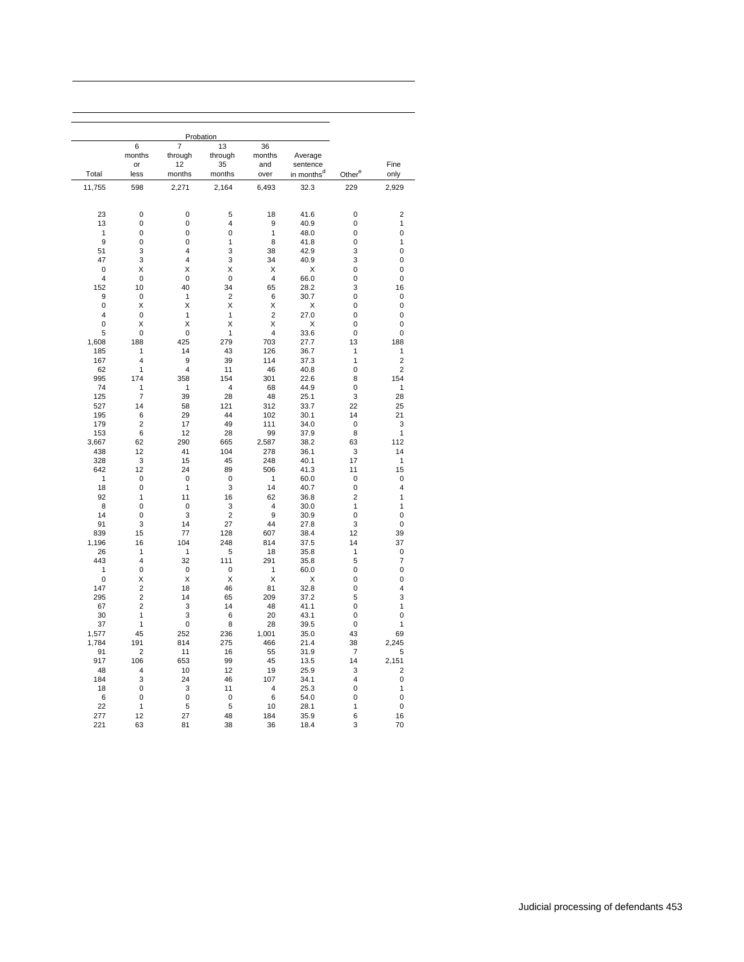|                  |                                |                           | Probation                     |                              |                        |                            |                     |
|------------------|--------------------------------|---------------------------|-------------------------------|------------------------------|------------------------|----------------------------|---------------------|
|                  | 6<br>months                    | $\overline{7}$<br>through | 13<br>through                 | 36<br>months                 | Average                |                            |                     |
|                  | or                             | 12                        | 35                            | and                          | sentence               |                            | Fine                |
| Total            | less                           | months                    | months                        | over                         | in months <sup>d</sup> | Other <sup>e</sup>         | only                |
| 11,755           | 598                            | 2,271                     | 2,164                         | 6,493                        | 32.3                   | 229                        | 2,929               |
|                  |                                |                           |                               |                              |                        |                            |                     |
| 23               | 0                              | 0                         | 5<br>4                        | 18                           | 41.6                   | 0                          | 2                   |
| 13<br>1          | $\mathbf 0$<br>0               | $\mathbf 0$<br>0          | 0                             | 9<br>1                       | 40.9<br>48.0           | $\mathbf 0$<br>0           | 1<br>0              |
| 9                | 0                              | 0                         | 1                             | 8                            | 41.8                   | $\mathbf 0$                | 1                   |
| 51<br>47         | 3<br>3                         | 4<br>4                    | 3<br>3                        | 38<br>34                     | 42.9<br>40.9           | 3<br>3                     | 0<br>0              |
| $\mathbf 0$      | X                              | X                         | Χ                             | Χ                            | Χ                      | 0                          | 0                   |
| 4                | $\mathbf 0$                    | 0                         | 0                             | 4                            | 66.0                   | 0                          | 0                   |
| 152<br>9         | 10<br>$\mathbf 0$              | 40<br>$\mathbf{1}$        | 34<br>$\overline{\mathbf{c}}$ | 65<br>6                      | 28.2<br>30.7           | 3<br>0                     | 16<br>$\mathbf 0$   |
| 0                | X                              | X                         | X                             | Χ                            | X                      | $\mathbf 0$                | 0                   |
| 4<br>0           | 0<br>Χ                         | 1<br>Χ                    | 1<br>Χ                        | $\overline{\mathbf{c}}$<br>X | 27.0<br>Χ              | 0<br>0                     | 0<br>0              |
| 5                | $\mathbf 0$                    | $\mathbf 0$               | 1                             | $\overline{4}$               | 33.6                   | $\mathbf 0$                | 0                   |
| 1,608            | 188                            | 425                       | 279                           | 703                          | 27.7                   | 13                         | 188                 |
| 185<br>167       | 1<br>4                         | 14<br>9                   | 43<br>39                      | 126<br>114                   | 36.7<br>37.3           | 1<br>1                     | 1<br>$\overline{2}$ |
| 62               | 1                              | 4                         | 11                            | 46                           | 40.8                   | 0                          | $\overline{c}$      |
| 995<br>74        | 174<br>1                       | 358<br>1                  | 154<br>4                      | 301<br>68                    | 22.6<br>44.9           | 8<br>0                     | 154<br>1            |
| 125              | $\overline{7}$                 | 39                        | 28                            | 48                           | 25.1                   | 3                          | 28                  |
| 527              | 14                             | 58                        | 121                           | 312                          | 33.7                   | 22                         | 25                  |
| 195<br>179       | 6<br>$\overline{2}$            | 29<br>17                  | 44<br>49                      | 102<br>111                   | 30.1<br>34.0           | 14<br>0                    | 21<br>3             |
| 153              | 6                              | 12                        | 28                            | 99                           | 37.9                   | 8                          | 1                   |
| 3,667<br>438     | 62<br>12                       | 290<br>41                 | 665<br>104                    | 2,587<br>278                 | 38.2<br>36.1           | 63<br>3                    | 112<br>14           |
| 328              | 3                              | 15                        | 45                            | 248                          | 40.1                   | 17                         | 1                   |
| 642              | 12                             | 24                        | 89                            | 506                          | 41.3                   | 11                         | 15                  |
| 1<br>18          | 0<br>$\mathbf 0$               | 0<br>1                    | 0<br>3                        | 1<br>14                      | 60.0<br>40.7           | $\mathbf 0$<br>$\mathbf 0$ | 0<br>4              |
| 92               | 1                              | 11                        | 16                            | 62                           | 36.8                   | $\overline{\mathbf{c}}$    | 1                   |
| 8<br>14          | 0<br>0                         | 0<br>3                    | 3<br>$\overline{2}$           | $\overline{4}$<br>9          | 30.0                   | 1<br>$\mathbf 0$           | 1<br>0              |
| 91               | 3                              | 14                        | 27                            | 44                           | 30.9<br>27.8           | 3                          | 0                   |
| 839              | 15                             | 77                        | 128                           | 607                          | 38.4                   | 12                         | 39                  |
| 1,196<br>26      | 16<br>1                        | 104<br>1                  | 248<br>5                      | 814<br>18                    | 37.5<br>35.8           | 14<br>1                    | 37<br>0             |
| 443              | 4                              | 32                        | 111                           | 291                          | 35.8                   | 5                          | 7                   |
| 1<br>$\mathbf 0$ | 0<br>X                         | $\mathbf 0$<br>X          | $\mathbf 0$<br>X              | 1<br>Χ                       | 60.0<br>Χ              | 0<br>0                     | 0<br>0              |
| 147              | $\overline{2}$                 | 18                        | 46                            | 81                           | 32.8                   | 0                          | 4                   |
| 295              | $\overline{2}$                 | 14                        | 65                            | 209                          | 37.2                   | 5                          | 3                   |
| 67<br>30         | $\overline{2}$<br>1            | 3<br>3                    | 14<br>6                       | 48<br>20                     | 41.1<br>43.1           | 0<br>$\mathbf 0$           | 1<br>0              |
| 37               | 1                              | 0                         | 8                             | 28                           | 39.5                   | 0                          | 1                   |
| 1,577            | 45                             | 252                       | 236                           | 1,001                        | 35.0                   | 43                         | 69                  |
| 1,784<br>91      | 191<br>$\overline{\mathbf{c}}$ | 814<br>11                 | 275<br>16                     | 466<br>55                    | 21.4<br>31.9           | 38<br>7                    | 2,245<br>5          |
| 917              | 106                            | 653                       | 99                            | 45                           | 13.5                   | 14                         | 2,151               |
| 48<br>184        | 4<br>3                         | 10<br>24                  | 12<br>46                      | 19<br>107                    | 25.9<br>34.1           | 3<br>4                     | 2<br>0              |
| 18               | 0                              | 3                         | 11                            | $\overline{4}$               | 25.3                   | 0                          | 1                   |
| 6                | 0                              | 0                         | 0                             | 6                            | 54.0                   | 0                          | 0                   |
| 22<br>277        | 1<br>12                        | 5<br>27                   | 5<br>48                       | 10<br>184                    | 28.1<br>35.9           | 1<br>6                     | 0<br>16             |
| 221              | 63                             | 81                        | 38                            | 36                           | 18.4                   | 3                          | 70                  |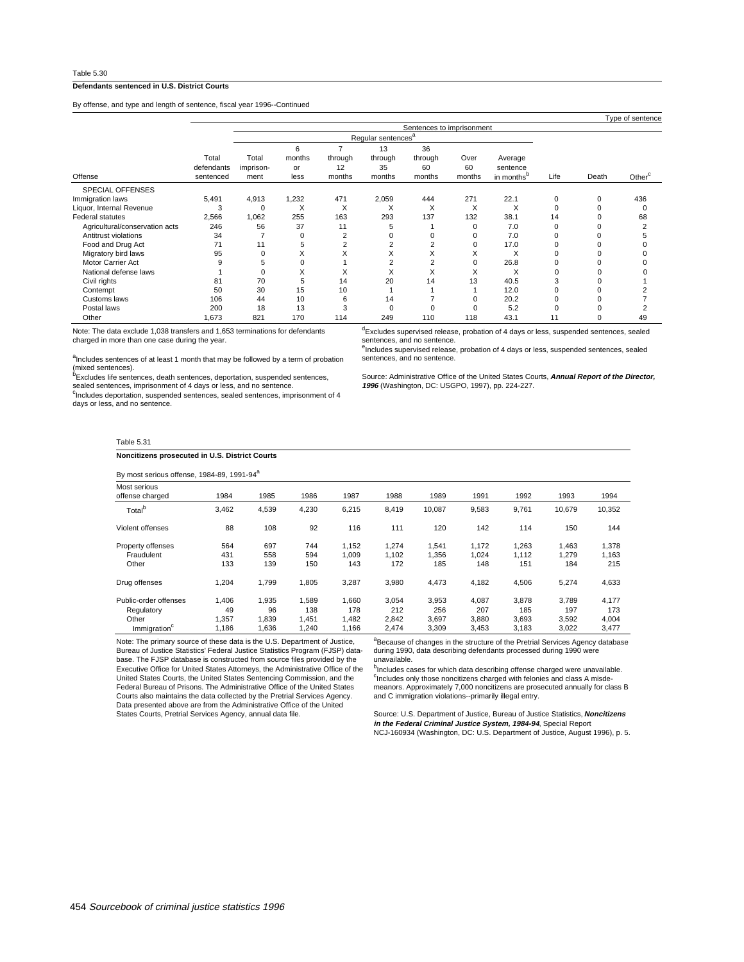### **Defendants sentenced in U.S. District Courts**

By offense, and type and length of sentence, fiscal year 1996--Continued

|                                |                                  |                            |                           |                         |                                |                               |                      |                                               |      |          | Type of sentence |
|--------------------------------|----------------------------------|----------------------------|---------------------------|-------------------------|--------------------------------|-------------------------------|----------------------|-----------------------------------------------|------|----------|------------------|
|                                |                                  |                            |                           |                         |                                | Sentences to imprisonment     |                      |                                               |      |          |                  |
|                                |                                  |                            |                           |                         | Regular sentences <sup>a</sup> |                               |                      |                                               |      |          |                  |
| Offense                        | Total<br>defendants<br>sentenced | Total<br>imprison-<br>ment | 6<br>months<br>or<br>less | through<br>12<br>months | 13<br>through<br>35<br>months  | 36<br>through<br>60<br>months | Over<br>60<br>months | Average<br>sentence<br>in months <sup>b</sup> | Life | Death    | Other            |
| SPECIAL OFFENSES               |                                  |                            |                           |                         |                                |                               |                      |                                               |      |          |                  |
| Immigration laws               | 5,491                            | 4,913                      | 1,232                     | 471                     | 2,059                          | 444                           | 271                  | 22.1                                          | 0    | $\Omega$ | 436              |
| Liquor, Internal Revenue       | 3                                | 0                          | X                         | Х                       | X                              | X                             | X                    | X                                             | 0    |          | 0                |
| <b>Federal statutes</b>        | 2,566                            | 1,062                      | 255                       | 163                     | 293                            | 137                           | 132                  | 38.1                                          | 14   |          | 68               |
| Agricultural/conservation acts | 246                              | 56                         | 37                        | 11                      | 5                              |                               | 0                    | 7.0                                           | ŋ    |          | 2                |
| Antitrust violations           | 34                               |                            | $\Omega$                  | 2                       | 0                              |                               | $\Omega$             | 7.0                                           |      |          |                  |
| Food and Drug Act              | 71                               | 11                         | 5                         | 2                       | $\overline{c}$                 |                               | $\Omega$             | 17.0                                          |      |          |                  |
| Migratory bird laws            | 95                               | 0                          | л                         | X                       | ⋏                              | л                             | ㅅ                    | X                                             |      |          |                  |
| Motor Carrier Act              |                                  | 5                          | $\Omega$                  |                         | $\overline{c}$                 | $\overline{2}$                | O                    | 26.8                                          |      |          |                  |
| National defense laws          |                                  | $\Omega$                   | л                         | X                       | X                              | л                             | X                    | X                                             |      |          |                  |
| Civil rights                   | 81                               | 70                         | 5                         | 14                      | 20                             | 14                            | 13                   | 40.5                                          |      |          |                  |
| Contempt                       | 50                               | 30                         | 15                        | 10                      |                                |                               |                      | 12.0                                          |      |          |                  |
| Customs laws                   | 106                              | 44                         | 10                        | 6                       | 14                             |                               | $\Omega$             | 20.2                                          |      |          |                  |
| Postal laws                    | 200                              | 18                         | 13                        | э                       | $\Omega$                       |                               |                      | 5.2                                           |      |          |                  |
| Other                          | 1,673                            | 821                        | 170                       | 114                     | 249                            | 110                           | 118                  | 43.1                                          | 11   |          | 49               |

Note: The data exclude 1,038 transfers and 1,653 terminations for defendants charged in more than one case during the year.

<sup>d</sup>Excludes supervised release, probation of 4 days or less, suspended sentences, sealed sentences, and no sentence.

e<br>Includes supervised release, probation of 4 days or less, suspended sentences, sealed sentences, and no sentence.

<sup>a</sup>Includes sentences of at least 1 month that may be followed by a term of probation (mixed sentences).

<sup>b</sup>Excludes life sentences, death sentences, deportation, suspended sentences,<br>sealed sentences, imprisonment of 4 days or less, and no sentence.

<sup>c</sup>Includes deportation, suspended sentences, sealed sentences, imprisonment of 4 days or less, and no sentence.

Source: Administrative Office of the United States Courts, **Annual Report of the Director, 1996** (Washington, DC: USGPO, 1997), pp. 224-227.

### Table 5.31

### **Noncitizens prosecuted in U.S. District Courts**

| Most serious             |       |       |       |       |       |        |       |       |        |        |
|--------------------------|-------|-------|-------|-------|-------|--------|-------|-------|--------|--------|
| offense charged          | 1984  | 1985  | 1986  | 1987  | 1988  | 1989   | 1991  | 1992  | 1993   | 1994   |
| Total <sup>b</sup>       | 3,462 | 4,539 | 4,230 | 6,215 | 8,419 | 10.087 | 9,583 | 9,761 | 10.679 | 10,352 |
| Violent offenses         | 88    | 108   | 92    | 116   | 111   | 120    | 142   | 114   | 150    | 144    |
| Property offenses        | 564   | 697   | 744   | 1,152 | 1,274 | 1,541  | 1,172 | 1,263 | 1.463  | 1,378  |
| Fraudulent               | 431   | 558   | 594   | 1.009 | 1.102 | 1,356  | 1.024 | 1.112 | 1.279  | 1.163  |
| Other                    | 133   | 139   | 150   | 143   | 172   | 185    | 148   | 151   | 184    | 215    |
| Drug offenses            | 1.204 | 1.799 | 1.805 | 3,287 | 3,980 | 4,473  | 4,182 | 4,506 | 5,274  | 4,633  |
| Public-order offenses    | 1,406 | 1,935 | 1,589 | 1,660 | 3,054 | 3,953  | 4,087 | 3,878 | 3.789  | 4,177  |
| Regulatory               | 49    | 96    | 138   | 178   | 212   | 256    | 207   | 185   | 197    | 173    |
| Other                    | 1,357 | 1.839 | 1.451 | 1.482 | 2,842 | 3,697  | 3,880 | 3,693 | 3,592  | 4,004  |
| Immigration <sup>c</sup> | 1.186 | 1,636 | 1.240 | 1.166 | 2.474 | 3,309  | 3,453 | 3,183 | 3,022  | 3,477  |

<span id="page-37-0"></span>Note: The primary source of these data is the U.S. Department of Justice, Bureau of Justice Statistics' Federal Justice Statistics Program (FJSP) database. The FJSP database is constructed from source files provided by the Executive Office for United States Attorneys, the Administrative Office of the United States Courts, the United States Sentencing Commission, and the Federal Bureau of Prisons. The Administrative Office of the United States Courts also maintains the data collected by the Pretrial Services Agency. Data presented above are from the Administrative Office of the United States Courts, Pretrial Services Agency, annual data file.

<sup>a</sup>Because of changes in the structure of the Pretrial Services Agency database during 1990, data describing defendants processed during 1990 were unavailable.

<sup>b</sup>Includes cases for which data describing offense charged were unavailable. <sup>c</sup>Includes only those noncitizens charged with felonies and class A misde-<br>meanors. Approximately 7,000 noncitizens are prosecuted annually for class B and C immigration violations--primarily illegal entry.

Source: U.S. Department of Justice, Bureau of Justice Statistics, **Noncitizens in the Federal Criminal Justice System, 1984-94**, Special Report NCJ-160934 (Washington, DC: U.S. Department of Justice, August 1996), p. 5.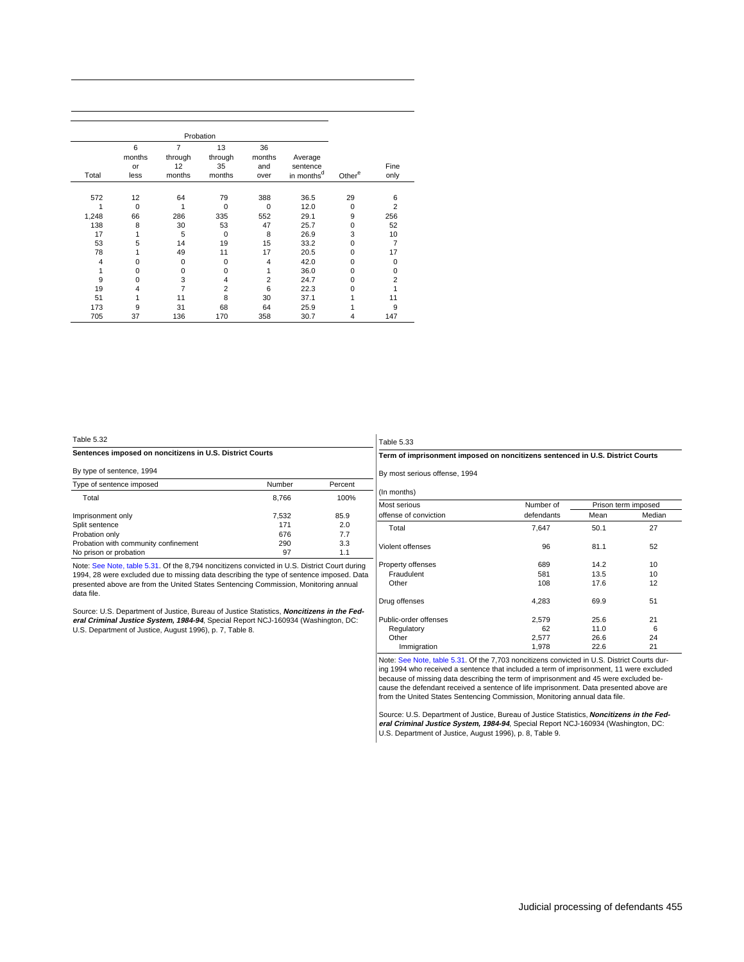|       |                           |                                           | Probation                     |                             |                                               |                    |                |
|-------|---------------------------|-------------------------------------------|-------------------------------|-----------------------------|-----------------------------------------------|--------------------|----------------|
| Total | 6<br>months<br>or<br>less | $\overline{7}$<br>through<br>12<br>months | 13<br>through<br>35<br>months | 36<br>months<br>and<br>over | Average<br>sentence<br>in months <sup>d</sup> | Other <sup>e</sup> | Fine<br>only   |
|       |                           |                                           |                               |                             |                                               |                    |                |
| 572   | 12                        | 64                                        | 79                            | 388                         | 36.5                                          | 29                 | 6              |
| 1     | 0                         | 1                                         | $\Omega$                      | 0                           | 12.0                                          | 0                  | $\overline{2}$ |
| 1,248 | 66                        | 286                                       | 335                           | 552                         | 29.1                                          | 9                  | 256            |
| 138   | 8                         | 30                                        | 53                            | 47                          | 25.7                                          | $\Omega$           | 52             |
| 17    | 1                         | 5                                         | $\Omega$                      | 8                           | 26.9                                          | 3                  | 10             |
| 53    | 5                         | 14                                        | 19                            | 15                          | 33.2                                          | $\Omega$           | $\overline{7}$ |
| 78    | 1                         | 49                                        | 11                            | 17                          | 20.5                                          | $\Omega$           | 17             |
| 4     | $\Omega$                  | $\mathbf 0$                               | $\mathbf 0$                   | 4                           | 42.0                                          | $\Omega$           | $\Omega$       |
| 1     | $\Omega$                  | 0                                         | $\Omega$                      | 1                           | 36.0                                          | $\Omega$           | $\Omega$       |
| 9     | 0                         | 3                                         | 4                             | $\overline{2}$              | 24.7                                          | $\Omega$           | $\overline{2}$ |
| 19    | 4                         | 7                                         | $\overline{2}$                | 6                           | 22.3                                          | 0                  |                |
| 51    | 1                         | 11                                        | 8                             | 30                          | 37.1                                          |                    | 11             |
| 173   | 9                         | 31                                        | 68                            | 64                          | 25.9                                          |                    | 9              |
| 705   | 37                        | 136                                       | 170                           | 358                         | 30.7                                          | 4                  | 147            |

| 14000032                             |                                                          |         |  |  |  |  |  |  |  |  |  |  |
|--------------------------------------|----------------------------------------------------------|---------|--|--|--|--|--|--|--|--|--|--|
|                                      | Sentences imposed on noncitizens in U.S. District Courts |         |  |  |  |  |  |  |  |  |  |  |
| By type of sentence, 1994            |                                                          |         |  |  |  |  |  |  |  |  |  |  |
| Type of sentence imposed             | Number                                                   | Percent |  |  |  |  |  |  |  |  |  |  |
| Total                                | 8,766                                                    | 100%    |  |  |  |  |  |  |  |  |  |  |
| Imprisonment only                    | 7.532                                                    | 85.9    |  |  |  |  |  |  |  |  |  |  |
| Split sentence                       | 171                                                      | 2.0     |  |  |  |  |  |  |  |  |  |  |
| Probation only                       | 676                                                      | 7.7     |  |  |  |  |  |  |  |  |  |  |
| Probation with community confinement | 290                                                      | 3.3     |  |  |  |  |  |  |  |  |  |  |
| No prison or probation               | 97                                                       | 1.1     |  |  |  |  |  |  |  |  |  |  |

Note: [See Note, table 5.31.](#page-37-0) Of the 8,794 noncitizens convicted in U.S. District Court during 1994, 28 were excluded due to missing data describing the type of sentence imposed. Data presented above are from the United States Sentencing Commission, Monitoring annual data file.

Source: U.S. Department of Justice, Bureau of Justice Statistics, *Noncitizens in the Fed-*<br>*eral Criminal Justice System, 1984-9*4, Special Report NCJ-160934 (Washington, DC:<br>U.S. Department of Justice, August 1996), p. 7

# Table 5.33

### **Term of imprisonment imposed on noncitizens sentenced in U.S. District Courts**

By most serious offense, 1994

#### $\left|$  (In months)

| Most serious          | Number of  | Prison term imposed |        |  |  |  |  |
|-----------------------|------------|---------------------|--------|--|--|--|--|
| offense of conviction | defendants | Mean                | Median |  |  |  |  |
| Total                 | 7,647      | 50.1                | 27     |  |  |  |  |
| Violent offenses      | 96         | 81.1                | 52     |  |  |  |  |
| Property offenses     | 689        | 14.2                | 10     |  |  |  |  |
| Fraudulent            | 581        | 13.5                | 10     |  |  |  |  |
| Other                 | 108        | 17.6                | 12     |  |  |  |  |
| Drug offenses         | 4.283      | 69.9                | 51     |  |  |  |  |
| Public-order offenses | 2.579      | 25.6                | 21     |  |  |  |  |
| Regulatory            | 62         | 11.0                | 6      |  |  |  |  |
| Other                 | 2,577      | 26.6                | 24     |  |  |  |  |
| Immigration           | 1,978      | 22.6                | 21     |  |  |  |  |

Note: [See Note, table 5.31.](#page-37-0) Of the 7,703 noncitizens convicted in U.S. District Courts during 1994 who received a sentence that included a term of imprisonment, 11 were excluded because of missing data describing the term of imprisonment and 45 were excluded because the defendant received a sentence of life imprisonment. Data presented above are from the United States Sentencing Commission, Monitoring annual data file.

Source: U.S. Department of Justice, Bureau of Justice Statistics, **Noncitizens in the Federal Criminal Justice System, 1984-94**, Special Report NCJ-160934 (Washington, DC: U.S. Department of Justice, August 1996), p. 8, Table 9.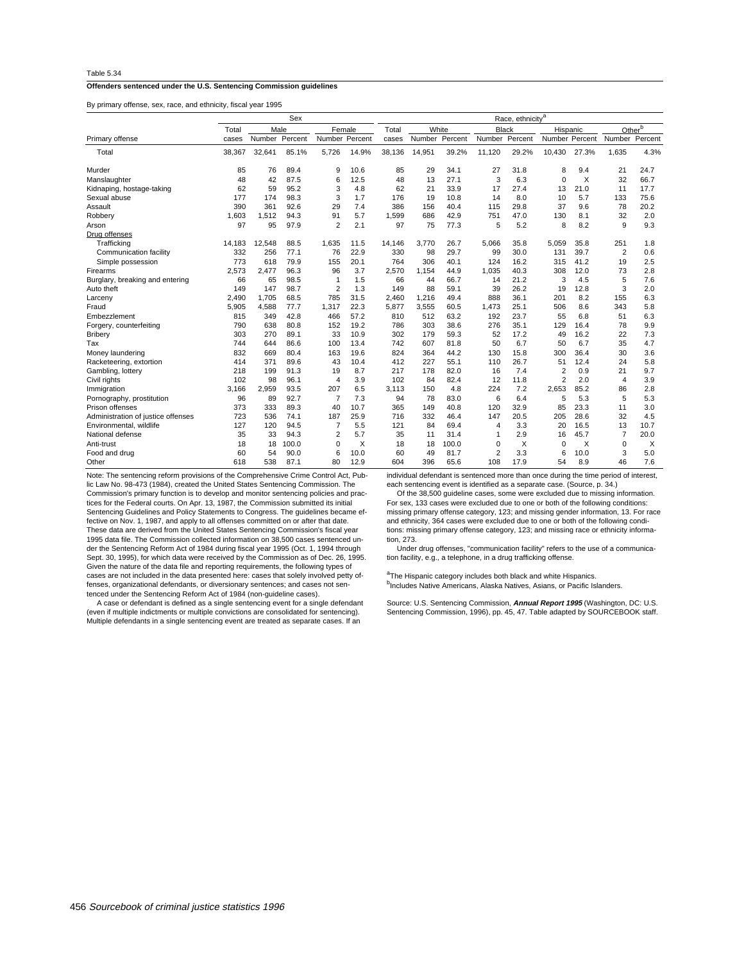## **Offenders sentenced under the U.S. Sentencing Commission guidelines**

By primary offense, sex, race, and ethnicity, fiscal year 1995

|                                    |        |                | Sex   |                | Race, ethnicity <sup>a</sup> |        |                |         |                |       |                |       |                |                    |
|------------------------------------|--------|----------------|-------|----------------|------------------------------|--------|----------------|---------|----------------|-------|----------------|-------|----------------|--------------------|
|                                    | Total  | Male           |       | Female         |                              | Total  | White<br>Black |         |                |       | Hispanic       |       |                | Other <sup>b</sup> |
| Primary offense                    | cases  | Number Percent |       | Number Percent |                              | cases  | Number         | Percent | Number Percent |       | Number Percent |       |                | Number Percent     |
| Total                              | 38,367 | 32,641         | 85.1% | 5,726          | 14.9%                        | 38,136 | 14,951         | 39.2%   | 11,120         | 29.2% | 10,430         | 27.3% | 1,635          | 4.3%               |
| Murder                             | 85     | 76             | 89.4  | 9              | 10.6                         | 85     | 29             | 34.1    | 27             | 31.8  | 8              | 9.4   | 21             | 24.7               |
| Manslaughter                       | 48     | 42             | 87.5  | 6              | 12.5                         | 48     | 13             | 27.1    | 3              | 6.3   | 0              | X     | 32             | 66.7               |
| Kidnaping, hostage-taking          | 62     | 59             | 95.2  | 3              | 4.8                          | 62     | 21             | 33.9    | 17             | 27.4  | 13             | 21.0  | 11             | 17.7               |
| Sexual abuse                       | 177    | 174            | 98.3  | 3              | 1.7                          | 176    | 19             | 10.8    | 14             | 8.0   | 10             | 5.7   | 133            | 75.6               |
| Assault                            | 390    | 361            | 92.6  | 29             | 7.4                          | 386    | 156            | 40.4    | 115            | 29.8  | 37             | 9.6   | 78             | 20.2               |
| Robbery                            | 1.603  | 1.512          | 94.3  | 91             | 5.7                          | 1.599  | 686            | 42.9    | 751            | 47.0  | 130            | 8.1   | 32             | 2.0                |
| Arson                              | 97     | 95             | 97.9  | 2              | 2.1                          | 97     | 75             | 77.3    | 5              | 5.2   | 8              | 8.2   | 9              | 9.3                |
| Drug offenses                      |        |                |       |                |                              |        |                |         |                |       |                |       |                |                    |
| Trafficking                        | 14,183 | 12,548         | 88.5  | 1,635          | 11.5                         | 14.146 | 3.770          | 26.7    | 5,066          | 35.8  | 5,059          | 35.8  | 251            | 1.8                |
| Communication facility             | 332    | 256            | 77.1  | 76             | 22.9                         | 330    | 98             | 29.7    | 99             | 30.0  | 131            | 39.7  | $\overline{2}$ | 0.6                |
| Simple possession                  | 773    | 618            | 79.9  | 155            | 20.1                         | 764    | 306            | 40.1    | 124            | 16.2  | 315            | 41.2  | 19             | 2.5                |
| Firearms                           | 2,573  | 2,477          | 96.3  | 96             | 3.7                          | 2,570  | 1,154          | 44.9    | 1,035          | 40.3  | 308            | 12.0  | 73             | 2.8                |
| Burglary, breaking and entering    | 66     | 65             | 98.5  | $\overline{1}$ | 1.5                          | 66     | 44             | 66.7    | 14             | 21.2  | 3              | 4.5   | 5              | 7.6                |
| Auto theft                         | 149    | 147            | 98.7  | $\overline{2}$ | 1.3                          | 149    | 88             | 59.1    | 39             | 26.2  | 19             | 12.8  | 3              | 2.0                |
| Larceny                            | 2.490  | 1.705          | 68.5  | 785            | 31.5                         | 2.460  | 1,216          | 49.4    | 888            | 36.1  | 201            | 8.2   | 155            | 6.3                |
| Fraud                              | 5,905  | 4,588          | 77.7  | 1,317          | 22.3                         | 5,877  | 3,555          | 60.5    | 1,473          | 25.1  | 506            | 8.6   | 343            | 5.8                |
| Embezzlement                       | 815    | 349            | 42.8  | 466            | 57.2                         | 810    | 512            | 63.2    | 192            | 23.7  | 55             | 6.8   | 51             | 6.3                |
| Forgery, counterfeiting            | 790    | 638            | 80.8  | 152            | 19.2                         | 786    | 303            | 38.6    | 276            | 35.1  | 129            | 16.4  | 78             | 9.9                |
| Bribery                            | 303    | 270            | 89.1  | 33             | 10.9                         | 302    | 179            | 59.3    | 52             | 17.2  | 49             | 16.2  | 22             | 7.3                |
| Tax                                | 744    | 644            | 86.6  | 100            | 13.4                         | 742    | 607            | 81.8    | 50             | 6.7   | 50             | 6.7   | 35             | 4.7                |
| Money laundering                   | 832    | 669            | 80.4  | 163            | 19.6                         | 824    | 364            | 44.2    | 130            | 15.8  | 300            | 36.4  | 30             | 3.6                |
| Racketeering, extortion            | 414    | 371            | 89.6  | 43             | 10.4                         | 412    | 227            | 55.1    | 110            | 26.7  | 51             | 12.4  | 24             | 5.8                |
| Gambling, lottery                  | 218    | 199            | 91.3  | 19             | 8.7                          | 217    | 178            | 82.0    | 16             | 7.4   | 2              | 0.9   | 21             | 9.7                |
| Civil rights                       | 102    | 98             | 96.1  | 4              | 3.9                          | 102    | 84             | 82.4    | 12             | 11.8  | $\overline{2}$ | 2.0   | 4              | 3.9                |
| Immigration                        | 3.166  | 2,959          | 93.5  | 207            | 6.5                          | 3.113  | 150            | 4.8     | 224            | 7.2   | 2,653          | 85.2  | 86             | 2.8                |
| Pornography, prostitution          | 96     | 89             | 92.7  | $\overline{7}$ | 7.3                          | 94     | 78             | 83.0    | 6              | 6.4   | 5              | 5.3   | 5              | 5.3                |
| Prison offenses                    | 373    | 333            | 89.3  | 40             | 10.7                         | 365    | 149            | 40.8    | 120            | 32.9  | 85             | 23.3  | 11             | 3.0                |
| Administration of justice offenses | 723    | 536            | 74.1  | 187            | 25.9                         | 716    | 332            | 46.4    | 147            | 20.5  | 205            | 28.6  | 32             | 4.5                |
| Environmental, wildlife            | 127    | 120            | 94.5  | 7              | 5.5                          | 121    | 84             | 69.4    | 4              | 3.3   | 20             | 16.5  | 13             | 10.7               |
| National defense                   | 35     | 33             | 94.3  | $\overline{2}$ | 5.7                          | 35     | 11             | 31.4    | 1              | 2.9   | 16             | 45.7  | $\overline{7}$ | 20.0               |
| Anti-trust                         | 18     | 18             | 100.0 | $\mathbf 0$    | X                            | 18     | 18             | 100.0   | 0              | X     | $\Omega$       | X     | $\mathbf 0$    | Х                  |
| Food and drug                      | 60     | 54             | 90.0  | 6              | 10.0                         | 60     | 49             | 81.7    | $\overline{2}$ | 3.3   | 6              | 10.0  | 3              | 5.0                |
| Other                              | 618    | 538            | 87.1  | 80             | 12.9                         | 604    | 396            | 65.6    | 108            | 17.9  | 54             | 8.9   | 46             | 7.6                |

<span id="page-39-0"></span>Note: The sentencing reform provisions of the Comprehensive Crime Control Act, Public Law No. 98-473 (1984), created the United States Sentencing Commission. The Commission's primary function is to develop and monitor sentencing policies and practices for the Federal courts. On Apr. 13, 1987, the Commission submitted its initial Sentencing Guidelines and Policy Statements to Congress. The guidelines became effective on Nov. 1, 1987, and apply to all offenses committed on or after that date. These data are derived from the United States Sentencing Commission's fiscal year 1995 data file. The Commission collected information on 38,500 cases sentenced under the Sentencing Reform Act of 1984 during fiscal year 1995 (Oct. 1, 1994 through Sept. 30, 1995), for which data were received by the Commission as of Dec. 26, 1995. Given the nature of the data file and reporting requirements, the following types of cases are not included in the data presented here: cases that solely involved petty offenses, organizational defendants, or diversionary sentences; and cases not sentenced under the Sentencing Reform Act of 1984 (non-guideline cases).

 A case or defendant is defined as a single sentencing event for a single defendant (even if multiple indictments or multiple convictions are consolidated for sentencing). Multiple defendants in a single sentencing event are treated as separate cases. If an

individual defendant is sentenced more than once during the time period of interest, each sentencing event is identified as a separate case. (Source, p. 34.)

 Of the 38,500 guideline cases, some were excluded due to missing information. For sex, 133 cases were excluded due to one or both of the following conditions: missing primary offense category, 123; and missing gender information, 13. For race and ethnicity, 364 cases were excluded due to one or both of the following conditions: missing primary offense category, 123; and missing race or ethnicity information, 273.

 Under drug offenses, "communication facility" refers to the use of a communication facility, e.g., a telephone, in a drug trafficking offense.

<sup>a</sup>The Hispanic category includes both black and white Hispanics. **b**<br>Includes Native Americans, Alaska Natives, Asians, or Pacific Islanders.

Source: U.S. Sentencing Commission, **Annual Report 1995** (Washington, DC: U.S. Sentencing Commission, 1996), pp. 45, 47. Table adapted by SOURCEBOOK staff.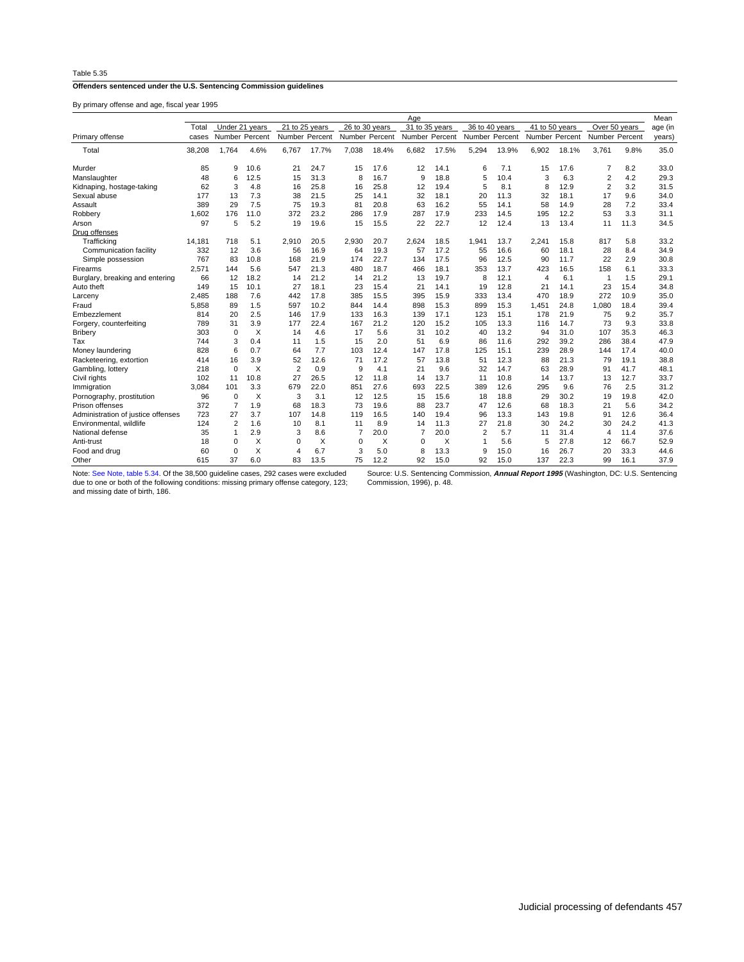## **Offenders sentenced under the U.S. Sentencing Commission guidelines**

By primary offense and age, fiscal year 1995

|                                    |        |                |                |                |                |             |                | Age            |       |                |       |                |       |                |      | Mean    |
|------------------------------------|--------|----------------|----------------|----------------|----------------|-------------|----------------|----------------|-------|----------------|-------|----------------|-------|----------------|------|---------|
|                                    | Total  |                | Under 21 years | 21 to 25 years |                |             | 26 to 30 years | 31 to 35 years |       | 36 to 40 years |       | 41 to 50 years |       | Over 50 years  |      | age (in |
| Primary offense                    | cases  |                | Number Percent |                | Number Percent |             | Number Percent | Number Percent |       | Number Percent |       | Number Percent |       | Number Percent |      | years)  |
| Total                              | 38,208 | 1.764          | 4.6%           | 6.767          | 17.7%          | 7,038       | 18.4%          | 6,682          | 17.5% | 5,294          | 13.9% | 6,902          | 18.1% | 3.761          | 9.8% | 35.0    |
| Murder                             | 85     | 9              | 10.6           | 21             | 24.7           | 15          | 17.6           | 12             | 14.1  | 6              | 7.1   | 15             | 17.6  | $\overline{7}$ | 8.2  | 33.0    |
| Manslaughter                       | 48     | 6              | 12.5           | 15             | 31.3           | 8           | 16.7           | 9              | 18.8  | 5              | 10.4  | 3              | 6.3   | $\overline{2}$ | 4.2  | 29.3    |
| Kidnaping, hostage-taking          | 62     | 3              | 4.8            | 16             | 25.8           | 16          | 25.8           | 12             | 19.4  | 5              | 8.1   | 8              | 12.9  | $\overline{2}$ | 3.2  | 31.5    |
| Sexual abuse                       | 177    | 13             | 7.3            | 38             | 21.5           | 25          | 14.1           | 32             | 18.1  | 20             | 11.3  | 32             | 18.1  | 17             | 9.6  | 34.0    |
| Assault                            | 389    | 29             | 7.5            | 75             | 19.3           | 81          | 20.8           | 63             | 16.2  | 55             | 14.1  | 58             | 14.9  | 28             | 7.2  | 33.4    |
| Robbery                            | 1,602  | 176            | 11.0           | 372            | 23.2           | 286         | 17.9           | 287            | 17.9  | 233            | 14.5  | 195            | 12.2  | 53             | 3.3  | 31.1    |
| Arson                              | 97     | 5              | 5.2            | 19             | 19.6           | 15          | 15.5           | 22             | 22.7  | 12             | 12.4  | 13             | 13.4  | 11             | 11.3 | 34.5    |
| Drug offenses                      |        |                |                |                |                |             |                |                |       |                |       |                |       |                |      |         |
| Trafficking                        | 14,181 | 718            | 5.1            | 2,910          | 20.5           | 2,930       | 20.7           | 2.624          | 18.5  | 1,941          | 13.7  | 2.241          | 15.8  | 817            | 5.8  | 33.2    |
| Communication facility             | 332    | 12             | 3.6            | 56             | 16.9           | 64          | 19.3           | 57             | 17.2  | 55             | 16.6  | 60             | 18.1  | 28             | 8.4  | 34.9    |
| Simple possession                  | 767    | 83             | 10.8           | 168            | 21.9           | 174         | 22.7           | 134            | 17.5  | 96             | 12.5  | 90             | 11.7  | 22             | 2.9  | 30.8    |
| Firearms                           | 2.571  | 144            | 5.6            | 547            | 21.3           | 480         | 18.7           | 466            | 18.1  | 353            | 13.7  | 423            | 16.5  | 158            | 6.1  | 33.3    |
| Burglary, breaking and entering    | 66     | 12             | 18.2           | 14             | 21.2           | 14          | 21.2           | 13             | 19.7  | 8              | 12.1  | $\overline{4}$ | 6.1   | 1              | 1.5  | 29.1    |
| Auto theft                         | 149    | 15             | 10.1           | 27             | 18.1           | 23          | 15.4           | 21             | 14.1  | 19             | 12.8  | 21             | 14.1  | 23             | 15.4 | 34.8    |
| Larceny                            | 2,485  | 188            | 7.6            | 442            | 17.8           | 385         | 15.5           | 395            | 15.9  | 333            | 13.4  | 470            | 18.9  | 272            | 10.9 | 35.0    |
| Fraud                              | 5,858  | 89             | 1.5            | 597            | 10.2           | 844         | 14.4           | 898            | 15.3  | 899            | 15.3  | 1,451          | 24.8  | 1,080          | 18.4 | 39.4    |
| Embezzlement                       | 814    | 20             | 2.5            | 146            | 17.9           | 133         | 16.3           | 139            | 17.1  | 123            | 15.1  | 178            | 21.9  | 75             | 9.2  | 35.7    |
| Forgery, counterfeiting            | 789    | 31             | 3.9            | 177            | 22.4           | 167         | 21.2           | 120            | 15.2  | 105            | 13.3  | 116            | 14.7  | 73             | 9.3  | 33.8    |
| Bribery                            | 303    | $\Omega$       | X              | 14             | 4.6            | 17          | 5.6            | 31             | 10.2  | 40             | 13.2  | 94             | 31.0  | 107            | 35.3 | 46.3    |
| Tax                                | 744    | 3              | 0.4            | 11             | 1.5            | 15          | 2.0            | 51             | 6.9   | 86             | 11.6  | 292            | 39.2  | 286            | 38.4 | 47.9    |
| Money laundering                   | 828    | 6              | 0.7            | 64             | 7.7            | 103         | 12.4           | 147            | 17.8  | 125            | 15.1  | 239            | 28.9  | 144            | 17.4 | 40.0    |
| Racketeering, extortion            | 414    | 16             | 3.9            | 52             | 12.6           | 71          | 17.2           | 57             | 13.8  | 51             | 12.3  | 88             | 21.3  | 79             | 19.1 | 38.8    |
| Gambling, lottery                  | 218    | $\mathbf 0$    | X              | $\overline{2}$ | 0.9            | 9           | 4.1            | 21             | 9.6   | 32             | 14.7  | 63             | 28.9  | 91             | 41.7 | 48.1    |
| Civil rights                       | 102    | 11             | 10.8           | 27             | 26.5           | 12          | 11.8           | 14             | 13.7  | 11             | 10.8  | 14             | 13.7  | 13             | 12.7 | 33.7    |
| Immigration                        | 3,084  | 101            | 3.3            | 679            | 22.0           | 851         | 27.6           | 693            | 22.5  | 389            | 12.6  | 295            | 9.6   | 76             | 2.5  | 31.2    |
| Pornography, prostitution          | 96     | 0              | X              | 3              | 3.1            | 12          | 12.5           | 15             | 15.6  | 18             | 18.8  | 29             | 30.2  | 19             | 19.8 | 42.0    |
| Prison offenses                    | 372    | 7              | 1.9            | 68             | 18.3           | 73          | 19.6           | 88             | 23.7  | 47             | 12.6  | 68             | 18.3  | 21             | 5.6  | 34.2    |
| Administration of justice offenses | 723    | 27             | 3.7            | 107            | 14.8           | 119         | 16.5           | 140            | 19.4  | 96             | 13.3  | 143            | 19.8  | 91             | 12.6 | 36.4    |
| Environmental, wildlife            | 124    | $\overline{2}$ | 1.6            | 10             | 8.1            | 11          | 8.9            | 14             | 11.3  | 27             | 21.8  | 30             | 24.2  | 30             | 24.2 | 41.3    |
| National defense                   | 35     | $\overline{1}$ | 2.9            | 3              | 8.6            | 7           | 20.0           |                | 20.0  | 2              | 5.7   | 11             | 31.4  | 4              | 11.4 | 37.6    |
| Anti-trust                         | 18     | $\mathbf 0$    | х              | 0              | Х              | $\mathbf 0$ | Х              | $\Omega$       | X     | 1              | 5.6   | 5              | 27.8  | 12             | 66.7 | 52.9    |
| Food and drug                      | 60     | $\mathbf 0$    | X              | 4              | 6.7            | 3           | 5.0            | 8              | 13.3  | 9              | 15.0  | 16             | 26.7  | 20             | 33.3 | 44.6    |
| Other                              | 615    | 37             | 6.0            | 83             | 13.5           | 75          | 12.2           | 92             | 15.0  | 92             | 15.0  | 137            | 22.3  | 99             | 16.1 | 37.9    |

Note: [See Note, table 5.34.](#page-39-0) Of the 38,500 guideline cases, 292 cases were excluded due to one or both of the following conditions: missing primary offense category, 123; and missing date of birth, 186.

Source: U.S. Sentencing Commission, **Annual Report 1995** (Washington, DC: U.S. Sentencing Commission, 1996), p. 48.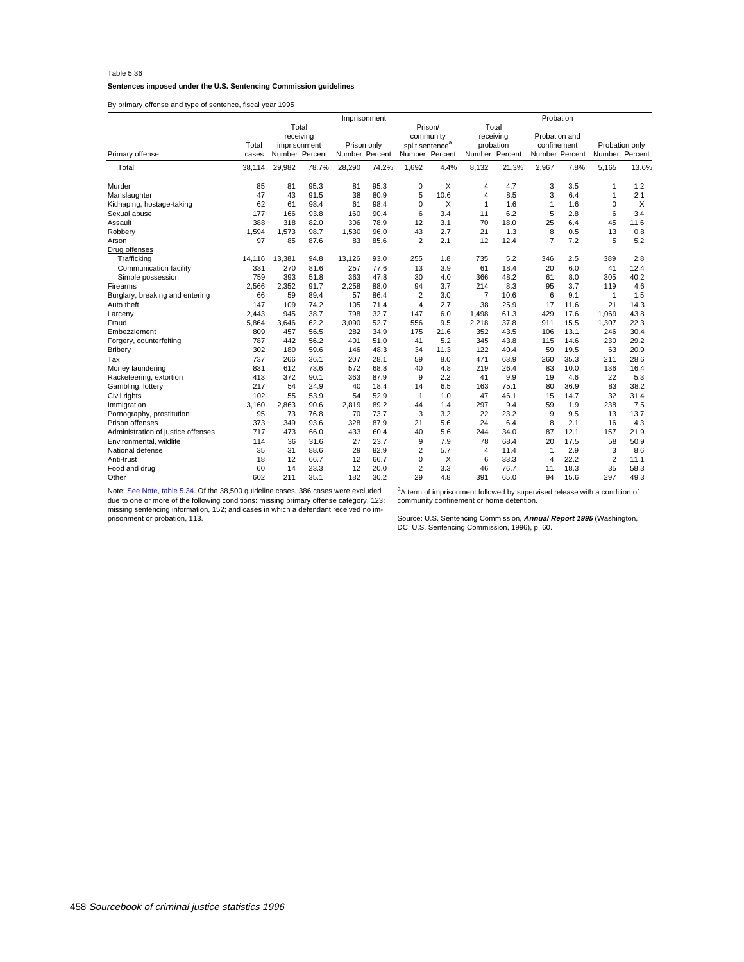## **Sentences imposed under the U.S. Sentencing Commission guidelines**

By primary offense and type of sentence, fiscal year 1995

|                                    |        |                | Imprisonment |                |       |                |                             |                | Probation      |                |      |                |                |  |
|------------------------------------|--------|----------------|--------------|----------------|-------|----------------|-----------------------------|----------------|----------------|----------------|------|----------------|----------------|--|
|                                    |        | Total          |              |                |       |                | Prison/                     |                | Total          |                |      |                |                |  |
|                                    |        | receiving      |              |                |       | community      |                             |                | receiving      | Probation and  |      |                |                |  |
|                                    | Total  | imprisonment   |              | Prison only    |       |                | split sentence <sup>a</sup> |                | probation      | confinement    |      |                | Probation only |  |
| Primary offense                    | cases  | Number Percent |              | Number Percent |       | Number Percent |                             |                | Number Percent | Number Percent |      | Number Percent |                |  |
| Total                              | 38,114 | 29,982         | 78.7%        | 28,290         | 74.2% | 1,692          | 4.4%                        | 8,132          | 21.3%          | 2,967          | 7.8% | 5,165          | 13.6%          |  |
| Murder                             | 85     | 81             | 95.3         | 81             | 95.3  | 0              | X                           | 4              | 4.7            | 3              | 3.5  | 1              | 1.2            |  |
| Manslaughter                       | 47     | 43             | 91.5         | 38             | 80.9  | 5              | 10.6                        | 4              | 8.5            | 3              | 6.4  | 1              | 2.1            |  |
| Kidnaping, hostage-taking          | 62     | 61             | 98.4         | 61             | 98.4  | 0              | X                           | 1              | 1.6            | 1              | 1.6  | $\Omega$       | X              |  |
| Sexual abuse                       | 177    | 166            | 93.8         | 160            | 90.4  | 6              | 3.4                         | 11             | 6.2            | 5              | 2.8  | 6              | 3.4            |  |
| Assault                            | 388    | 318            | 82.0         | 306            | 78.9  | 12             | 3.1                         | 70             | 18.0           | 25             | 6.4  | 45             | 11.6           |  |
| Robbery                            | 1,594  | 1,573          | 98.7         | 1,530          | 96.0  | 43             | 2.7                         | 21             | 1.3            | 8              | 0.5  | 13             | 0.8            |  |
| Arson                              | 97     | 85             | 87.6         | 83             | 85.6  | $\overline{2}$ | 2.1                         | 12             | 12.4           | $\overline{7}$ | 7.2  | 5              | 5.2            |  |
| Drug offenses                      |        |                |              |                |       |                |                             |                |                |                |      |                |                |  |
| Trafficking                        | 14.116 | 13,381         | 94.8         | 13.126         | 93.0  | 255            | 1.8                         | 735            | 5.2            | 346            | 2.5  | 389            | 2.8            |  |
| Communication facility             | 331    | 270            | 81.6         | 257            | 77.6  | 13             | 3.9                         | 61             | 18.4           | 20             | 6.0  | 41             | 12.4           |  |
| Simple possession                  | 759    | 393            | 51.8         | 363            | 47.8  | 30             | 4.0                         | 366            | 48.2           | 61             | 8.0  | 305            | 40.2           |  |
| Firearms                           | 2,566  | 2.352          | 91.7         | 2.258          | 88.0  | 94             | 3.7                         | 214            | 8.3            | 95             | 3.7  | 119            | 4.6            |  |
| Burglary, breaking and entering    | 66     | 59             | 89.4         | 57             | 86.4  | $\overline{2}$ | 3.0                         | $\overline{7}$ | 10.6           | 6              | 9.1  | $\mathbf{1}$   | 1.5            |  |
| Auto theft                         | 147    | 109            | 74.2         | 105            | 71.4  | $\overline{4}$ | 2.7                         | 38             | 25.9           | 17             | 11.6 | 21             | 14.3           |  |
| Larceny                            | 2.443  | 945            | 38.7         | 798            | 32.7  | 147            | 6.0                         | 1,498          | 61.3           | 429            | 17.6 | 1.069          | 43.8           |  |
| Fraud                              | 5.864  | 3.646          | 62.2         | 3.090          | 52.7  | 556            | 9.5                         | 2,218          | 37.8           | 911            | 15.5 | 1,307          | 22.3           |  |
| Embezzlement                       | 809    | 457            | 56.5         | 282            | 34.9  | 175            | 21.6                        | 352            | 43.5           | 106            | 13.1 | 246            | 30.4           |  |
| Forgery, counterfeiting            | 787    | 442            | 56.2         | 401            | 51.0  | 41             | 5.2                         | 345            | 43.8           | 115            | 14.6 | 230            | 29.2           |  |
| <b>Bribery</b>                     | 302    | 180            | 59.6         | 146            | 48.3  | 34             | 11.3                        | 122            | 40.4           | 59             | 19.5 | 63             | 20.9           |  |
| Tax                                | 737    | 266            | 36.1         | 207            | 28.1  | 59             | 8.0                         | 471            | 63.9           | 260            | 35.3 | 211            | 28.6           |  |
| Money laundering                   | 831    | 612            | 73.6         | 572            | 68.8  | 40             | 4.8                         | 219            | 26.4           | 83             | 10.0 | 136            | 16.4           |  |
| Racketeering, extortion            | 413    | 372            | 90.1         | 363            | 87.9  | 9              | 2.2                         | 41             | 9.9            | 19             | 4.6  | 22             | 5.3            |  |
| Gambling, lottery                  | 217    | 54             | 24.9         | 40             | 18.4  | 14             | 6.5                         | 163            | 75.1           | 80             | 36.9 | 83             | 38.2           |  |
| Civil rights                       | 102    | 55             | 53.9         | 54             | 52.9  | 1              | 1.0                         | 47             | 46.1           | 15             | 14.7 | 32             | 31.4           |  |
| Immigration                        | 3,160  | 2,863          | 90.6         | 2,819          | 89.2  | 44             | 1.4                         | 297            | 9.4            | 59             | 1.9  | 238            | 7.5            |  |
| Pornography, prostitution          | 95     | 73             | 76.8         | 70             | 73.7  | 3              | 3.2                         | 22             | 23.2           | 9              | 9.5  | 13             | 13.7           |  |
| Prison offenses                    | 373    | 349            | 93.6         | 328            | 87.9  | 21             | 5.6                         | 24             | 6.4            | 8              | 2.1  | 16             | 4.3            |  |
| Administration of justice offenses | 717    | 473            | 66.0         | 433            | 60.4  | 40             | 5.6                         | 244            | 34.0           | 87             | 12.1 | 157            | 21.9           |  |
| Environmental, wildlife            | 114    | 36             | 31.6         | 27             | 23.7  | 9              | 7.9                         | 78             | 68.4           | 20             | 17.5 | 58             | 50.9           |  |
| National defense                   | 35     | 31             | 88.6         | 29             | 82.9  | $\overline{2}$ | 5.7                         | 4              | 11.4           | 1              | 2.9  | 3              | 8.6            |  |
| Anti-trust                         | 18     | 12             | 66.7         | 12             | 66.7  | 0              | X                           | 6              | 33.3           | 4              | 22.2 | $\overline{2}$ | 11.1           |  |
| Food and drug                      | 60     | 14             | 23.3         | 12             | 20.0  | $\overline{2}$ | 3.3                         | 46             | 76.7           | 11             | 18.3 | 35             | 58.3           |  |
| Other                              | 602    | 211            | 35.1         | 182            | 30.2  | 29             | 4.8                         | 391            | 65.0           | 94             | 15.6 | 297            | 49.3           |  |

Note: [See Note, table 5.34.](#page-39-0) Of the 38,500 guideline cases, 386 cases were excluded due to one or more of the following conditions: missing primary offense category, 123; missing sentencing information, 152; and cases in which a defendant received no imprisonment or probation, 113.

<sup>a</sup>A term of imprisonment followed by supervised release with a condition of<br>community confinement or home detention.

Source: U.S. Sentencing Commission, **Annual Report 1995** (Washington, DC: U.S. Sentencing Commission, 1996), p. 60.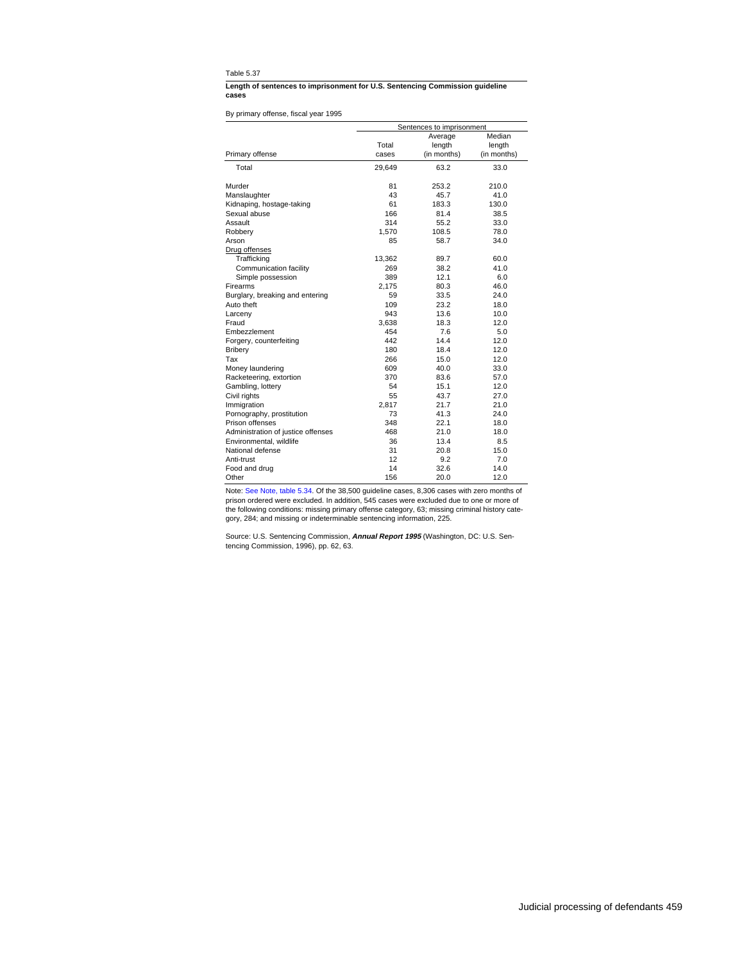**Length of sentences to imprisonment for U.S. Sentencing Commission guideline cases**

By primary offense, fiscal year 1995

|                                    | Sentences to imprisonment |             |             |  |  |  |  |  |  |
|------------------------------------|---------------------------|-------------|-------------|--|--|--|--|--|--|
|                                    |                           | Average     | Median      |  |  |  |  |  |  |
|                                    | Total                     | length      | length      |  |  |  |  |  |  |
| Primary offense                    | cases                     | (in months) | (in months) |  |  |  |  |  |  |
| Total                              | 29,649                    | 63.2        | 33.0        |  |  |  |  |  |  |
|                                    |                           |             |             |  |  |  |  |  |  |
| Murder                             | 81                        | 253.2       | 210.0       |  |  |  |  |  |  |
| Manslaughter                       | 43                        | 45.7        | 41.0        |  |  |  |  |  |  |
| Kidnaping, hostage-taking          | 61                        | 183.3       | 130.0       |  |  |  |  |  |  |
| Sexual abuse                       | 166                       | 81.4        | 38.5        |  |  |  |  |  |  |
| Assault                            | 314                       | 55.2        | 33.0        |  |  |  |  |  |  |
| Robbery                            | 1,570                     | 108.5       | 78.0        |  |  |  |  |  |  |
| Arson                              | 85                        | 58.7        | 34.0        |  |  |  |  |  |  |
| Drug offenses                      |                           |             |             |  |  |  |  |  |  |
| Trafficking                        | 13,362                    | 89.7        | 60.0        |  |  |  |  |  |  |
| Communication facility             | 269                       | 38.2        | 41.0        |  |  |  |  |  |  |
| Simple possession                  | 389                       | 12.1        | 6.0         |  |  |  |  |  |  |
| Firearms                           | 2,175                     | 80.3        | 46.0        |  |  |  |  |  |  |
| Burglary, breaking and entering    | 59                        | 33.5        | 24.0        |  |  |  |  |  |  |
| Auto theft                         | 109                       | 23.2        | 18.0        |  |  |  |  |  |  |
| Larceny                            | 943                       | 13.6        | 10.0        |  |  |  |  |  |  |
| Fraud                              | 3,638                     | 18.3        | 12.0        |  |  |  |  |  |  |
| Embezzlement                       | 454                       | 7.6         | 5.0         |  |  |  |  |  |  |
| Forgery, counterfeiting            | 442                       | 14.4        | 12.0        |  |  |  |  |  |  |
| <b>Bribery</b>                     | 180                       | 18.4        | 12.0        |  |  |  |  |  |  |
| Tax                                | 266                       | 15.0        | 12.0        |  |  |  |  |  |  |
| Money laundering                   | 609                       | 40.0        | 33.0        |  |  |  |  |  |  |
| Racketeering, extortion            | 370                       | 83.6        | 57.0        |  |  |  |  |  |  |
| Gambling, lottery                  | 54                        | 15.1        | 12.0        |  |  |  |  |  |  |
| Civil rights                       | 55                        | 43.7        | 27.0        |  |  |  |  |  |  |
| Immigration                        | 2,817                     | 21.7        | 21.0        |  |  |  |  |  |  |
| Pornography, prostitution          | 73                        | 41.3        | 24.0        |  |  |  |  |  |  |
| Prison offenses                    | 348                       | 22.1        | 18.0        |  |  |  |  |  |  |
| Administration of justice offenses | 468                       | 21.0        | 18.0        |  |  |  |  |  |  |
| Environmental, wildlife            | 36                        | 13.4        | 8.5         |  |  |  |  |  |  |
| National defense                   | 31                        | 20.8        | 15.0        |  |  |  |  |  |  |
| Anti-trust                         | 12                        | 9.2         | 7.0         |  |  |  |  |  |  |
| Food and drug                      | 14                        | 32.6        | 14.0        |  |  |  |  |  |  |
| Other                              | 156                       | 20.0        | 12.0        |  |  |  |  |  |  |

Note[: See Note, table 5.34.](#page-39-0) Of the 38,500 guideline cases, 8,306 cases with zero months of prison ordered were excluded. In addition, 545 cases were excluded due to one or more of the following conditions: missing primary offense category, 63; missing criminal history cate-gory, 284; and missing or indeterminable sentencing information, 225.

Source: U.S. Sentencing Commission, **Annual Report 1995** (Washington, DC: U.S. Sen-tencing Commission, 1996), pp. 62, 63.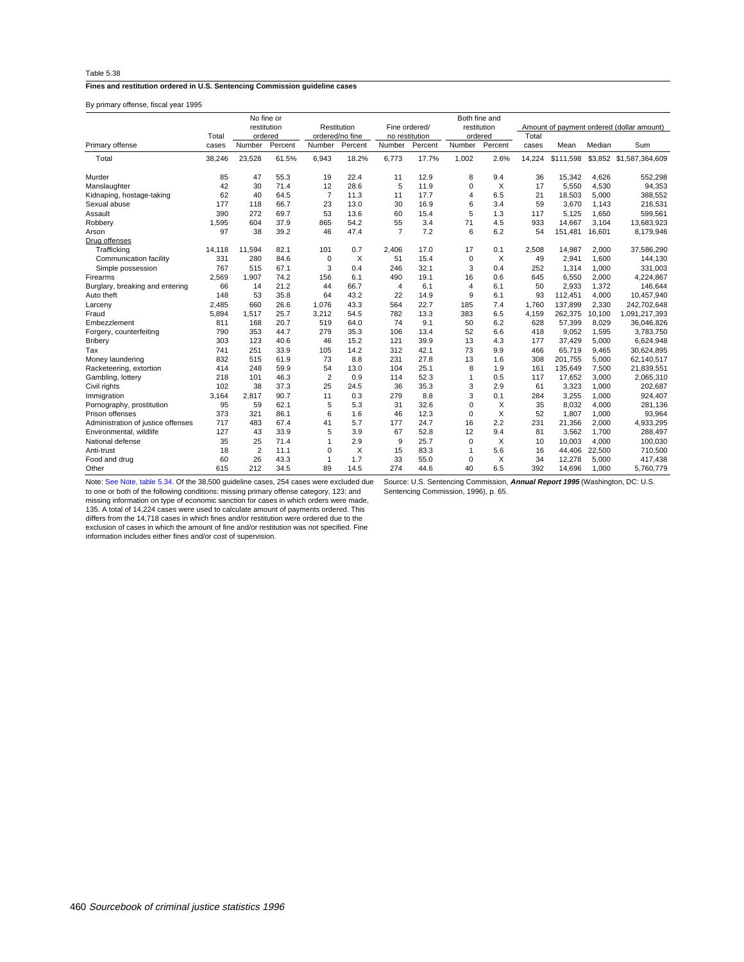### **Fines and restitution ordered in U.S. Sentencing Commission guideline cases**

By primary offense, fiscal year 1995

|                                    |             |                | No fine or |                                             |                 |                |         |                | Both fine and |        |           |                                           |                         |
|------------------------------------|-------------|----------------|------------|---------------------------------------------|-----------------|----------------|---------|----------------|---------------|--------|-----------|-------------------------------------------|-------------------------|
|                                    | restitution |                |            | Restitution<br>Fine ordered/<br>restitution |                 |                |         |                |               |        |           | Amount of payment ordered (dollar amount) |                         |
|                                    | Total       |                | ordered    |                                             | ordered/no fine | no restitution |         |                | ordered       | Total  |           |                                           |                         |
| Primary offense                    | cases       | Number         | Percent    | Number                                      | Percent         | Number         | Percent | Number         | Percent       | cases  | Mean      | Median                                    | Sum                     |
| Total                              | 38,246      | 23,528         | 61.5%      | 6,943                                       | 18.2%           | 6,773          | 17.7%   | 1,002          | 2.6%          | 14.224 | \$111,598 |                                           | \$3,852 \$1,587,364,609 |
| Murder                             | 85          | 47             | 55.3       | 19                                          | 22.4            | 11             | 12.9    | 8              | 9.4           | 36     | 15,342    | 4,626                                     | 552,298                 |
| Manslaughter                       | 42          | 30             | 71.4       | 12                                          | 28.6            | 5              | 11.9    | 0              | X             | 17     | 5,550     | 4,530                                     | 94,353                  |
| Kidnaping, hostage-taking          | 62          | 40             | 64.5       | $\overline{7}$                              | 11.3            | 11             | 17.7    | $\overline{4}$ | 6.5           | 21     | 18,503    | 5,000                                     | 388,552                 |
| Sexual abuse                       | 177         | 118            | 66.7       | 23                                          | 13.0            | 30             | 16.9    | 6              | 3.4           | 59     | 3,670     | 1,143                                     | 216,531                 |
| Assault                            | 390         | 272            | 69.7       | 53                                          | 13.6            | 60             | 15.4    | 5              | 1.3           | 117    | 5.125     | 1,650                                     | 599,561                 |
| Robbery                            | 1,595       | 604            | 37.9       | 865                                         | 54.2            | 55             | 3.4     | 71             | 4.5           | 933    | 14,667    | 3,104                                     | 13,683,923              |
| Arson                              | 97          | 38             | 39.2       | 46                                          | 47.4            | $\overline{7}$ | 7.2     | 6              | 6.2           | 54     | 151,481   | 16,601                                    | 8,179,946               |
| Drug offenses                      |             |                |            |                                             |                 |                |         |                |               |        |           |                                           |                         |
| Trafficking                        | 14,118      | 11,594         | 82.1       | 101                                         | 0.7             | 2,406          | 17.0    | 17             | 0.1           | 2,508  | 14,987    | 2,000                                     | 37,586,290              |
| Communication facility             | 331         | 280            | 84.6       | 0                                           | X               | 51             | 15.4    | 0              | X             | 49     | 2,941     | 1,600                                     | 144,130                 |
| Simple possession                  | 767         | 515            | 67.1       | 3                                           | 0.4             | 246            | 32.1    | 3              | 0.4           | 252    | 1,314     | 1,000                                     | 331,003                 |
| Firearms                           | 2,569       | 1,907          | 74.2       | 156                                         | 6.1             | 490            | 19.1    | 16             | 0.6           | 645    | 6,550     | 2,000                                     | 4,224,867               |
| Burglary, breaking and entering    | 66          | 14             | 21.2       | 44                                          | 66.7            | 4              | 6.1     | $\overline{4}$ | 6.1           | 50     | 2,933     | 1,372                                     | 146,644                 |
| Auto theft                         | 148         | 53             | 35.8       | 64                                          | 43.2            | 22             | 14.9    | 9              | 6.1           | 93     | 112,451   | 4,000                                     | 10,457,940              |
| Larceny                            | 2,485       | 660            | 26.6       | 1,076                                       | 43.3            | 564            | 22.7    | 185            | 7.4           | 1.760  | 137,899   | 2,330                                     | 242,702,648             |
| Fraud                              | 5,894       | 1,517          | 25.7       | 3,212                                       | 54.5            | 782            | 13.3    | 383            | 6.5           | 4.159  | 262,375   | 10,100                                    | 1,091,217,393           |
| Embezzlement                       | 811         | 168            | 20.7       | 519                                         | 64.0            | 74             | 9.1     | 50             | 6.2           | 628    | 57.399    | 8.029                                     | 36,046,826              |
| Forgery, counterfeiting            | 790         | 353            | 44.7       | 279                                         | 35.3            | 106            | 13.4    | 52             | 6.6           | 418    | 9,052     | 1,595                                     | 3,783,750               |
| <b>Bribery</b>                     | 303         | 123            | 40.6       | 46                                          | 15.2            | 121            | 39.9    | 13             | 4.3           | 177    | 37,429    | 5,000                                     | 6,624,948               |
| Tax                                | 741         | 251            | 33.9       | 105                                         | 14.2            | 312            | 42.1    | 73             | 9.9           | 466    | 65,719    | 9,465                                     | 30,624,895              |
| Money laundering                   | 832         | 515            | 61.9       | 73                                          | 8.8             | 231            | 27.8    | 13             | 1.6           | 308    | 201,755   | 5,000                                     | 62,140,517              |
| Racketeering, extortion            | 414         | 248            | 59.9       | 54                                          | 13.0            | 104            | 25.1    | 8              | 1.9           | 161    | 135,649   | 7,500                                     | 21,839,551              |
| Gambling, lottery                  | 218         | 101            | 46.3       | $\overline{2}$                              | 0.9             | 114            | 52.3    | $\mathbf{1}$   | 0.5           | 117    | 17,652    | 3,000                                     | 2,065,310               |
| Civil rights                       | 102         | 38             | 37.3       | 25                                          | 24.5            | 36             | 35.3    | 3              | 2.9           | 61     | 3,323     | 1,000                                     | 202,687                 |
| Immigration                        | 3.164       | 2.817          | 90.7       | 11                                          | 0.3             | 279            | 8.8     | 3              | 0.1           | 284    | 3,255     | 1,000                                     | 924,407                 |
| Pornography, prostitution          | 95          | 59             | 62.1       | 5                                           | 5.3             | 31             | 32.6    | $\Omega$       | X             | 35     | 8,032     | 4,000                                     | 281,136                 |
| Prison offenses                    | 373         | 321            | 86.1       | 6                                           | 1.6             | 46             | 12.3    | $\Omega$       | X             | 52     | 1,807     | 1,000                                     | 93,964                  |
| Administration of justice offenses | 717         | 483            | 67.4       | 41                                          | 5.7             | 177            | 24.7    | 16             | 2.2           | 231    | 21,356    | 2,000                                     | 4,933,295               |
| Environmental, wildlife            | 127         | 43             | 33.9       | 5                                           | 3.9             | 67             | 52.8    | 12             | 9.4           | 81     | 3,562     | 1,700                                     | 288,497                 |
| National defense                   | 35          | 25             | 71.4       | 1                                           | 2.9             | 9              | 25.7    | 0              | X             | 10     | 10,003    | 4,000                                     | 100,030                 |
| Anti-trust                         | 18          | $\overline{2}$ | 11.1       | 0                                           | X               | 15             | 83.3    | $\mathbf{1}$   | 5.6           | 16     | 44.406    | 22,500                                    | 710,500                 |
| Food and drug                      | 60          | 26             | 43.3       | $\mathbf{1}$                                | 1.7             | 33             | 55.0    | $\Omega$       | X             | 34     | 12,278    | 5,000                                     | 417,438                 |
| Other                              | 615         | 212            | 34.5       | 89                                          | 14.5            | 274            | 44.6    | 40             | 6.5           | 392    | 14,696    | 1,000                                     | 5,760,779               |

Note: [See Note, table 5.34. O](#page-39-0)f the 38,500 guideline cases, 254 cases were excluded due to one or both of the following conditions: missing primary offense category, 123; and missing information on type of economic sanction for cases in which orders were made,

Source: U.S. Sentencing Commission, **Annual Report 1995** (Washington, DC: U.S. Sentencing Commission, 1996), p. 65.

135. A total of 14,224 cases were used to calculate amount of payments ordered. This differs from the 14,718 cases in which fines and/or restitution were ordered due to the exclusion of cases in which the amount of fine and/or restitution was not specified. Fine information includes either fines and/or cost of supervision.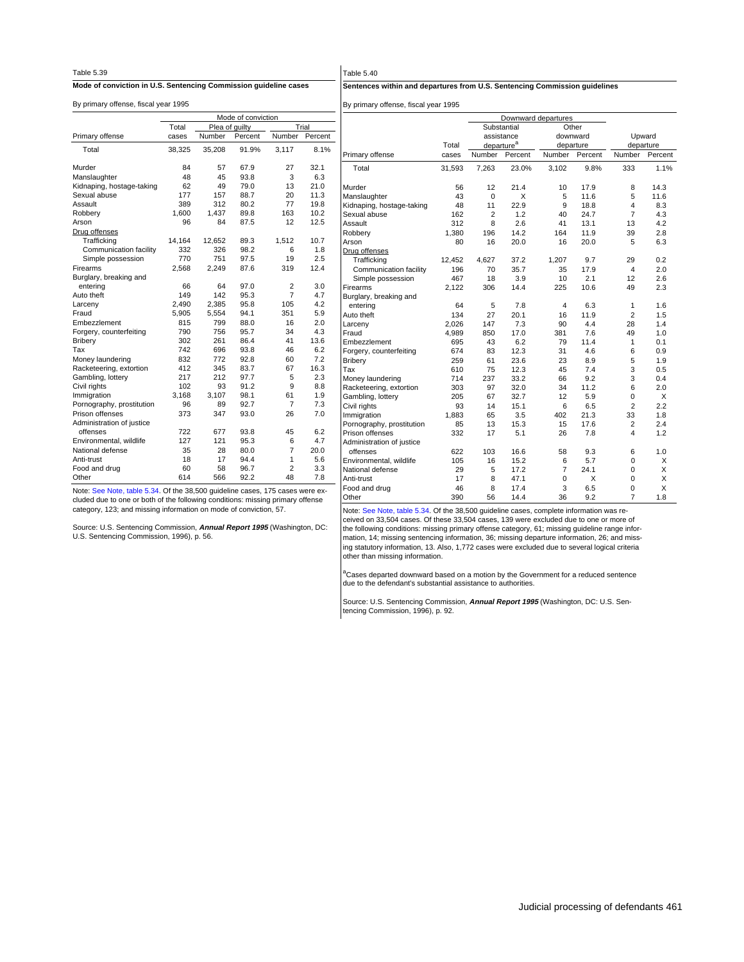# Table 5.39 **Mode of conviction in U.S. Sentencing Commission guideline cases**

By primary offense, fiscal year 1995

|                           | Mode of conviction |        |                |                |         |  |  |
|---------------------------|--------------------|--------|----------------|----------------|---------|--|--|
|                           | Total              |        | Plea of guilty |                | Trial   |  |  |
| Primary offense           | cases              | Number | Percent        | Number         | Percent |  |  |
| Total                     | 38,325             | 35,208 | 91.9%          | 3,117          | 8.1%    |  |  |
| Murder                    | 84                 | 57     | 67.9           | 27             | 32.1    |  |  |
| Manslaughter              | 48                 | 45     | 93.8           | 3              | 6.3     |  |  |
| Kidnaping, hostage-taking | 62                 | 49     | 79.0           | 13             | 21.0    |  |  |
| Sexual abuse              | 177                | 157    | 88.7           | 20             | 11.3    |  |  |
| Assault                   | 389                | 312    | 80.2           | 77             | 19.8    |  |  |
| Robbery                   | 1.600              | 1,437  | 89.8           | 163            | 10.2    |  |  |
| Arson                     | 96                 | 84     | 87.5           | 12             | 12.5    |  |  |
| Drug offenses             |                    |        |                |                |         |  |  |
| Trafficking               | 14,164             | 12,652 | 89.3           | 1,512          | 10.7    |  |  |
| Communication facility    | 332                | 326    | 98.2           | 6              | 1.8     |  |  |
| Simple possession         | 770                | 751    | 97.5           | 19             | 2.5     |  |  |
| Firearms                  | 2,568              | 2,249  | 87.6           | 319            | 12.4    |  |  |
| Burglary, breaking and    |                    |        |                |                |         |  |  |
| entering                  | 66                 | 64     | 97.0           | 2              | 3.0     |  |  |
| Auto theft                | 149                | 142    | 95.3           | $\overline{7}$ | 4.7     |  |  |
| Larceny                   | 2,490              | 2,385  | 95.8           | 105            | 4.2     |  |  |
| Fraud                     | 5,905              | 5,554  | 94.1           | 351            | 5.9     |  |  |
| Embezzlement              | 815                | 799    | 88.0           | 16             | 2.0     |  |  |
| Forgery, counterfeiting   | 790                | 756    | 95.7           | 34             | 4.3     |  |  |
| Bribery                   | 302                | 261    | 86.4           | 41             | 13.6    |  |  |
| Tax                       | 742                | 696    | 93.8           | 46             | 6.2     |  |  |
| Money laundering          | 832                | 772    | 92.8           | 60             | 7.2     |  |  |
| Racketeering, extortion   | 412                | 345    | 83.7           | 67             | 16.3    |  |  |
| Gambling, lottery         | 217                | 212    | 97.7           | 5              | 2.3     |  |  |
| Civil rights              | 102                | 93     | 91.2           | 9              | 8.8     |  |  |
| Immigration               | 3,168              | 3,107  | 98.1           | 61             | 1.9     |  |  |
| Pornography, prostitution | 96                 | 89     | 92.7           | 7              | 7.3     |  |  |
| Prison offenses           | 373                | 347    | 93.0           | 26             | 7.0     |  |  |
| Administration of justice |                    |        |                |                |         |  |  |
| offenses                  | 722                | 677    | 93.8           | 45             | 6.2     |  |  |
| Environmental, wildlife   | 127                | 121    | 95.3           | 6              | 4.7     |  |  |
| National defense          | 35                 | 28     | 80.0           | 7              | 20.0    |  |  |
| Anti-trust                | 18                 | 17     | 94.4           | 1              | 5.6     |  |  |
| Food and drug             | 60                 | 58     | 96.7           | $\overline{2}$ | 3.3     |  |  |
| Other                     | 614                | 566    | 92.2           | 48             | 7.8     |  |  |

cluded due to one or both of the following conditions: missing primary offense category, 123; and missing information on mode of conviction, 57. Source: U.S. Sentencing Commission, **Annual Report 1995** (Washington, DC: U.S. Sentencing Commission, 1996), p. 56.

Note[: See Note, table 5.34.](#page-39-0) Of the 38,500 guideline cases, 175 cases were ex-

Table 5.40

**Sentences within and departures from U.S. Sentencing Commission guidelines**

By primary offense, fiscal year 1995

|                           |        |                        | Downward departures |                |         |                |           |
|---------------------------|--------|------------------------|---------------------|----------------|---------|----------------|-----------|
|                           |        | Substantial            |                     | Other          |         |                |           |
|                           |        | assistance             |                     | downward       |         |                | Upward    |
| Total                     |        | departure <sup>a</sup> |                     | departure      |         |                | departure |
| Primary offense<br>cases  |        | Number                 | Percent             | Number         | Percent | Number         | Percent   |
| Total                     | 31,593 | 7.263                  | 23.0%               | 3.102          | 9.8%    | 333            | 1.1%      |
| Murder                    | 56     | 12                     | 21.4                | 10             | 17.9    | 8              | 14.3      |
| Manslaughter              | 43     | 0                      | х                   | 5              | 11.6    | 5              | 11.6      |
| Kidnaping, hostage-taking | 48     | 11                     | 22.9                | 9              | 18.8    | 4              | 8.3       |
| Sexual abuse              | 162    | $\overline{2}$         | 1.2                 | 40             | 24.7    | $\overline{7}$ | 4.3       |
| Assault                   | 312    | 8                      | 2.6                 | 41             | 13.1    | 13             | 4.2       |
| Robbery                   | 1.380  | 196                    | 14.2                | 164            | 11.9    | 39             | 2.8       |
| Arson                     | 80     | 16                     | 20.0                | 16             | 20.0    | 5              | 6.3       |
| Drug offenses             |        |                        |                     |                |         |                |           |
| Trafficking               | 12,452 | 4,627                  | 37.2                | 1,207          | 9.7     | 29             | 0.2       |
| Communication facility    | 196    | 70                     | 35.7                | 35             | 17.9    | 4              | 2.0       |
| Simple possession         | 467    | 18                     | 3.9                 | 10             | 2.1     | 12             | 2.6       |
| Firearms                  | 2.122  | 306                    | 14.4                | 225            | 10.6    | 49             | 2.3       |
| Burglary, breaking and    |        |                        |                     |                |         |                |           |
| entering                  | 64     | 5                      | 7.8                 | 4              | 6.3     | 1              | 1.6       |
| Auto theft                | 134    | 27                     | 20.1                | 16             | 11.9    | $\overline{a}$ | 1.5       |
| Larceny                   | 2.026  | 147                    | 7.3                 | 90             | 4.4     | 28             | 1.4       |
| Fraud                     | 4.989  | 850                    | 17.0                | 381            | 7.6     | 49             | 1.0       |
| Embezzlement              | 695    | 43                     | 6.2                 | 79             | 11.4    | 1              | 0.1       |
| Forgery, counterfeiting   | 674    | 83                     | 12.3                | 31             | 4.6     | 6              | 0.9       |
| Bribery                   | 259    | 61                     | 23.6                | 23             | 8.9     | 5              | 1.9       |
| Tax                       | 610    | 75                     | 12.3                | 45             | 7.4     | 3              | 0.5       |
| Money laundering          | 714    | 237                    | 33.2                | 66             | 9.2     | 3              | 0.4       |
| Racketeering, extortion   | 303    | 97                     | 32.0                | 34             | 11.2    | 6              | 2.0       |
| Gambling, lottery         | 205    | 67                     | 32.7                | 12             | 5.9     | $\mathbf 0$    | X         |
| Civil rights              | 93     | 14                     | 15.1                | 6              | 6.5     | $\overline{2}$ | 2.2       |
| Immigration               | 1.883  | 65                     | 3.5                 | 402            | 21.3    | 33             | 1.8       |
| Pornography, prostitution | 85     | 13                     | 15.3                | 15             | 17.6    | $\overline{2}$ | 2.4       |
| Prison offenses           | 332    | 17                     | 5.1                 | 26             | 7.8     | 4              | 1.2       |
| Administration of justice |        |                        |                     |                |         |                |           |
| offenses                  | 622    | 103                    | 16.6                | 58             | 9.3     | 6              | 1.0       |
| Environmental, wildlife   | 105    | 16                     | 15.2                | 6              | 5.7     | 0              | X         |
| National defense          | 29     | 5                      | 17.2                | $\overline{7}$ | 24.1    | 0              | X         |
| Anti-trust                | 17     | 8                      | 47.1                | 0              | X       | $\Omega$       | X         |
| Food and drug             | 46     | 8                      | 17.4                | 3              | 6.5     | $\Omega$       | X         |
| Other                     | 390    | 56                     | 14.4                | 36             | 9.2     | $\overline{7}$ | 1.8       |

Note: [See Note, table 5.34.](#page-39-0) Of the 38,500 guideline cases, complete information was received on 33,504 cases. Of these 33,504 cases, 139 were excluded due to one or more of the following conditions: missing primary offense category, 61; missing guideline range information, 14; missing sentencing information, 36; missing departure information, 26; and missing statutory information, 13. Also, 1,772 cases were excluded due to several logical criteria other than missing information.

a<br>due to the defendant's substantial assistance to authorities.<br>due to the defendant's substantial assistance to authorities.

Source: U.S. Sentencing Commission, **Annual Report 1995** (Washington, DC: U.S. Sen-tencing Commission, 1996), p. 92.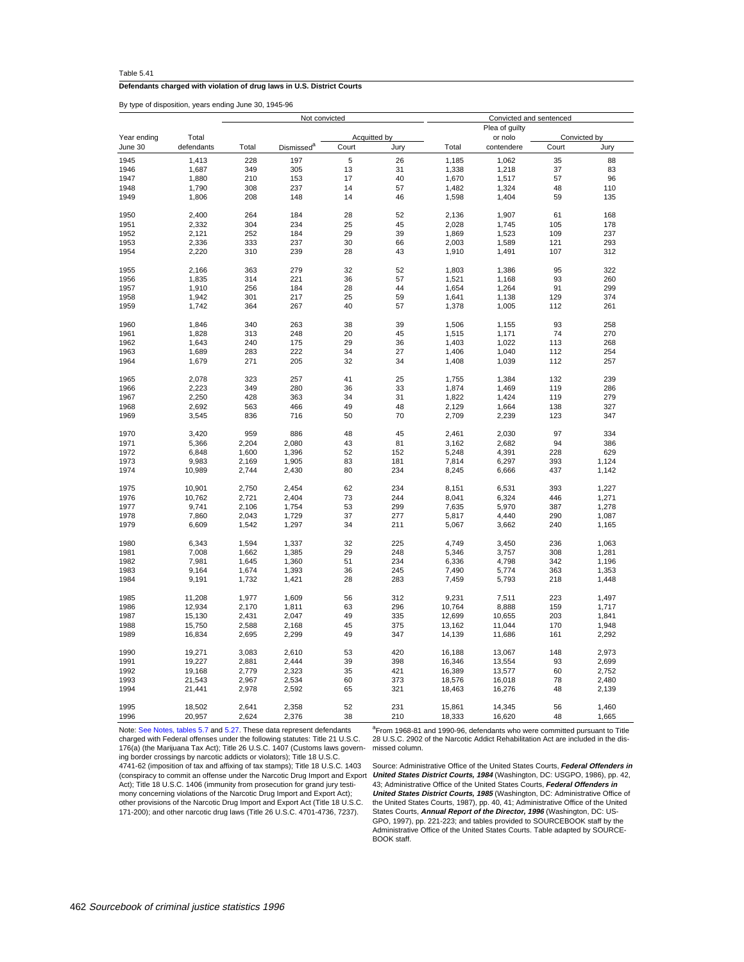### **Defendants charged with violation of drug laws in U.S. District Courts**

By type of disposition, years ending June 30, 1945-96

|              |                |                | Not convicted          |          |              | Convicted and sentenced |                |            |                |  |
|--------------|----------------|----------------|------------------------|----------|--------------|-------------------------|----------------|------------|----------------|--|
|              |                |                |                        |          |              |                         | Plea of guilty |            |                |  |
| Year ending  | Total          |                |                        |          | Acquitted by |                         | or nolo        |            | Convicted by   |  |
| June 30      | defendants     | Total          | Dismissed <sup>a</sup> | Court    | Jury         | Total                   | contendere     | Court      | Jury           |  |
| 1945         | 1.413          | 228            | 197                    | 5        | 26           | 1,185                   | 1,062          | 35         | 88             |  |
| 1946         | 1,687          | 349            | 305                    | 13       | 31           | 1,338                   | 1,218          | 37         | 83             |  |
| 1947         | 1,880          | 210            | 153                    | 17       | 40           | 1,670                   | 1,517          | 57         | 96             |  |
| 1948         | 1,790          | 308            | 237                    | 14       | 57           | 1,482                   | 1,324          | 48         | 110            |  |
| 1949         | 1,806          | 208            | 148                    | 14       | 46           | 1,598                   | 1,404          | 59         | 135            |  |
| 1950         | 2,400          | 264            | 184                    | 28       | 52           | 2,136                   | 1,907          | 61         | 168            |  |
| 1951         | 2,332          | 304            | 234                    | 25       | 45           | 2,028                   | 1,745          | 105        | 178            |  |
| 1952         | 2,121          | 252            | 184                    | 29       | 39           | 1,869                   | 1,523          | 109        | 237            |  |
|              |                |                | 237                    | 30       | 66           | 2,003                   |                | 121        | 293            |  |
| 1953<br>1954 | 2,336<br>2,220 | 333<br>310     | 239                    | 28       | 43           | 1,910                   | 1,589<br>1,491 | 107        | 312            |  |
|              |                |                |                        |          |              |                         |                |            |                |  |
| 1955         | 2,166          | 363            | 279                    | 32       | 52           | 1,803                   | 1,386          | 95         | 322            |  |
| 1956         | 1,835          | 314            | 221                    | 36       | 57           | 1,521                   | 1,168          | 93         | 260            |  |
| 1957         | 1,910          | 256            | 184                    | 28       | 44           | 1,654                   | 1,264          | 91         | 299            |  |
| 1958         | 1,942          | 301            | 217                    | 25       | 59           | 1,641                   | 1,138          | 129        | 374            |  |
| 1959         | 1,742          | 364            | 267                    | 40       | 57           | 1,378                   | 1,005          | 112        | 261            |  |
| 1960         | 1,846          | 340            | 263                    | 38       | 39           | 1,506                   | 1,155          | 93         | 258            |  |
|              |                |                |                        |          |              |                         |                |            |                |  |
| 1961         | 1,828          | 313<br>240     | 248<br>175             | 20<br>29 | 45<br>36     | 1,515                   | 1,171<br>1,022 | 74<br>113  | 270<br>268     |  |
| 1962         | 1,643          |                |                        |          |              | 1,403                   |                |            |                |  |
| 1963         | 1,689          | 283            | 222                    | 34       | 27           | 1,406                   | 1,040          | 112        | 254            |  |
| 1964         | 1,679          | 271            | 205                    | 32       | 34           | 1,408                   | 1,039          | 112        | 257            |  |
| 1965         | 2,078          | 323            | 257                    | 41       | 25           | 1,755                   | 1,384          | 132        | 239            |  |
| 1966         | 2,223          | 349            | 280                    | 36       | 33           | 1,874                   | 1,469          | 119        | 286            |  |
| 1967         | 2,250          | 428            | 363                    | 34       | 31           | 1,822                   | 1,424          | 119        | 279            |  |
| 1968         | 2,692          | 563            | 466                    | 49       | 48           | 2,129                   | 1,664          | 138        | 327            |  |
| 1969         | 3,545          | 836            | 716                    | 50       | 70           | 2,709                   | 2,239          | 123        | 347            |  |
| 1970         | 3,420          | 959            | 886                    | 48       | 45           | 2,461                   | 2,030          | 97         | 334            |  |
| 1971         | 5,366          | 2,204          | 2,080                  | 43       | 81           | 3,162                   | 2,682          | 94         | 386            |  |
| 1972         | 6,848          | 1,600          | 1,396                  | 52       | 152          | 5,248                   | 4,391          | 228        | 629            |  |
| 1973         | 9.983          | 2,169          | 1.905                  | 83       | 181          | 7,814                   | 6,297          | 393        | 1,124          |  |
| 1974         | 10,989         | 2,744          | 2,430                  | 80       | 234          | 8,245                   | 6,666          | 437        | 1,142          |  |
| 1975         | 10,901         | 2,750          | 2,454                  | 62       | 234          | 8,151                   | 6,531          | 393        | 1,227          |  |
| 1976         | 10,762         | 2,721          | 2,404                  | 73       | 244          | 8,041                   | 6,324          | 446        | 1,271          |  |
| 1977         | 9,741          | 2,106          | 1,754                  | 53       | 299          | 7,635                   | 5,970          | 387        | 1,278          |  |
| 1978         | 7,860          | 2,043          | 1,729                  | 37       | 277          | 5,817                   | 4,440          | 290        | 1,087          |  |
| 1979         | 6,609          | 1,542          | 1,297                  | 34       | 211          | 5,067                   | 3,662          | 240        | 1,165          |  |
| 1980         | 6,343          | 1,594          | 1,337                  | 32       | 225          | 4,749                   | 3,450          | 236        | 1,063          |  |
|              |                |                |                        | 29       | 248          |                         |                |            |                |  |
| 1981         | 7,008          | 1,662          | 1,385                  | 51       | 234          | 5,346                   | 3,757          | 308<br>342 | 1,281          |  |
| 1982         | 7,981          | 1,645          | 1,360                  |          |              | 6,336                   | 4,798          |            | 1,196          |  |
| 1983<br>1984 | 9,164<br>9,191 | 1,674<br>1,732 | 1,393<br>1,421         | 36<br>28 | 245<br>283   | 7,490<br>7,459          | 5,774<br>5,793 | 363<br>218 | 1,353<br>1,448 |  |
|              |                |                |                        |          |              |                         |                |            |                |  |
| 1985         | 11,208         | 1,977          | 1,609                  | 56       | 312          | 9,231                   | 7,511          | 223        | 1,497          |  |
| 1986         | 12,934         | 2,170          | 1,811                  | 63       | 296          | 10,764                  | 8,888          | 159        | 1,717          |  |
| 1987         | 15,130         | 2,431          | 2,047                  | 49       | 335          | 12,699                  | 10,655         | 203        | 1,841          |  |
| 1988         | 15,750         | 2,588          | 2,168                  | 45       | 375          | 13,162                  | 11,044         | 170        | 1,948          |  |
| 1989         | 16,834         | 2,695          | 2,299                  | 49       | 347          | 14,139                  | 11,686         | 161        | 2,292          |  |
| 1990         | 19,271         | 3,083          | 2,610                  | 53       | 420          | 16,188                  | 13,067         | 148        | 2,973          |  |
| 1991         | 19,227         | 2,881          | 2,444                  | 39       | 398          | 16,346                  | 13,554         | 93         | 2,699          |  |
| 1992         | 19,168         | 2,779          | 2,323                  | 35       | 421          | 16,389                  | 13,577         | 60         | 2,752          |  |
| 1993         | 21,543         | 2,967          | 2,534                  | 60       | 373          | 18,576                  | 16,018         | 78         | 2,480          |  |
| 1994         | 21,441         | 2,978          | 2,592                  | 65       | 321          | 18,463                  | 16,276         | 48         | 2,139          |  |
| 1995         | 18,502         | 2,641          | 2,358                  | 52       | 231          | 15,861                  | 14,345         | 56         | 1,460          |  |
| 1996         | 20,957         | 2,624          | 2,376                  | 38       | 210          | 18,333                  | 16,620         | 48         | 1,665          |  |
|              |                |                |                        |          |              |                         |                |            |                |  |

<span id="page-45-0"></span>Note: [See Notes, tables 5.7](#page-6-0) an[d 5.27.](#page-31-0) These data represent defendants charged with Federal offenses under the following statutes: Title 21 U.S.C. 176(a) (the Marijuana Tax Act); Title 26 U.S.C. 1407 (Customs laws governing border crossings by narcotic addicts or violators); Title 18 U.S.C.

<sup>a</sup> From 1968-81 and 1990-96, defendants who were committed pursuant to Title 28 U.S.C. 2902 of the Narcotic Addict Rehabilitation Act are included in the dismissed column.

4741-62 (imposition of tax and affixing of tax stamps); Title 18 U.S.C. 1403 (conspiracy to commit an offense under the Narcotic Drug Import and Export Act); Title 18 U.S.C. 1406 (immunity from prosecution for grand jury testimony concerning violations of the Narcotic Drug Import and Export Act);<br>other provisions of the Narcotic Drug Import and Export Act (Title 18 U.S.C.<br>171-200); and other narcotic drug laws (Title 26 U.S.C. 4701-4736, 7237).

Source: Administrative Office of the United States Courts, **Federal Offenders in United States District Courts, 1984** (Washington, DC: USGPO, 1986), pp. 42, 43; Administrative Office of the United States Courts, *Federal Offenders in*<br>
United States District Courts, 1985 (Washington, DC: Administrative Office of<br>
the United States Courts, 1987), pp. 40, 41; Administrative Offi GPO, 1997), pp. 221-223; and tables provided to SOURCEBOOK staff by the Administrative Office of the United States Courts. Table adapted by SOURCE-BOOK staff.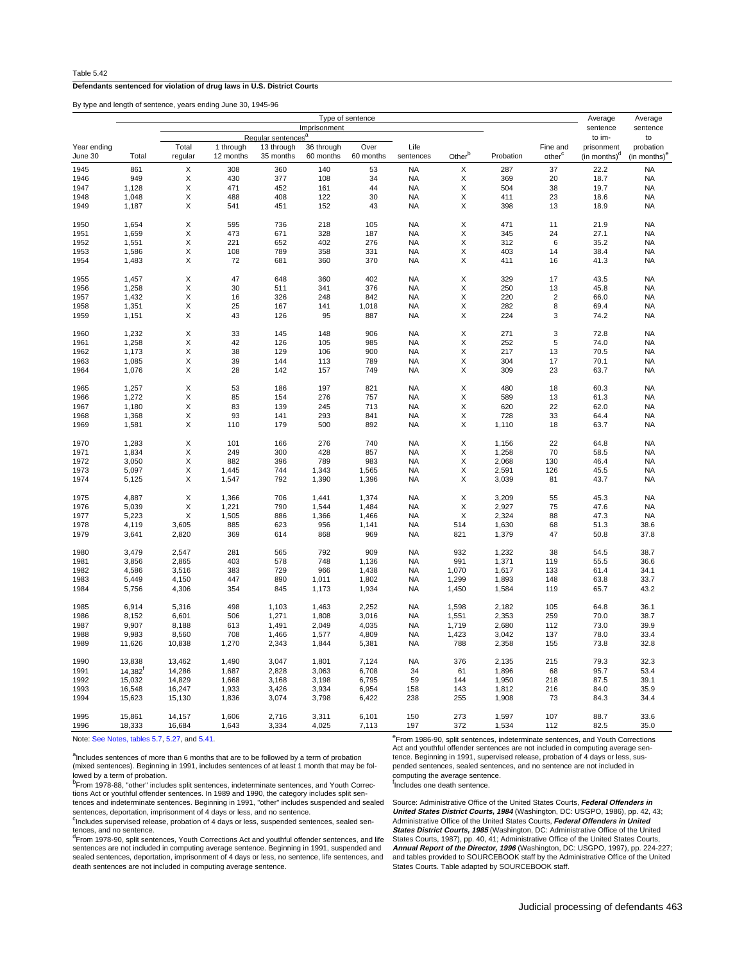### **Defendants sentenced for violation of drug laws in U.S. District Courts**

By type and length of sentence, years ending June 30, 1945-96

|                        |                |                  |                        |                                |                         | Type of sentence  |                        |                           |                |                                | Average                                | Average                        |
|------------------------|----------------|------------------|------------------------|--------------------------------|-------------------------|-------------------|------------------------|---------------------------|----------------|--------------------------------|----------------------------------------|--------------------------------|
|                        |                |                  |                        |                                | Imprisonment            |                   |                        |                           |                |                                | sentence                               | sentence                       |
|                        |                |                  |                        | Regular sentences <sup>a</sup> |                         |                   |                        |                           |                |                                | to im-                                 | to                             |
| Year ending<br>June 30 | Total          | Total<br>regular | 1 through<br>12 months | 13 through<br>35 months        | 36 through<br>60 months | Over<br>60 months | Life<br>sentences      | Other $^{\rm b}$          | Probation      | Fine and<br>other <sup>c</sup> | prisonment<br>(in months) <sup>d</sup> | probation<br>$(in$ months) $e$ |
| 1945                   | 861            | X                | 308                    | 360                            | 140                     | 53                | <b>NA</b>              | X                         | 287            | 37                             | 22.2                                   | <b>NA</b>                      |
| 1946                   | 949            | X                | 430                    | 377                            | 108                     | 34                | <b>NA</b>              | X                         | 369            | 20                             | 18.7                                   | <b>NA</b>                      |
| 1947                   | 1,128          | X                | 471                    | 452                            | 161                     | 44                | <b>NA</b>              | $\boldsymbol{\mathsf{X}}$ | 504            | 38                             | 19.7                                   | <b>NA</b>                      |
| 1948                   | 1,048          | X                | 488                    | 408                            | 122                     | 30                | <b>NA</b>              | X                         | 411            | 23                             | 18.6                                   | <b>NA</b>                      |
| 1949                   | 1,187          | X                | 541                    | 451                            | 152                     | 43                | <b>NA</b>              | X                         | 398            | 13                             | 18.9                                   | <b>NA</b>                      |
| 1950                   | 1,654          | X                | 595                    | 736                            | 218                     | 105               | <b>NA</b>              | X                         | 471            | 11                             | 21.9                                   | <b>NA</b>                      |
| 1951                   | 1,659          | X                | 473                    | 671                            | 328                     | 187               | <b>NA</b>              | X                         | 345            | 24                             | 27.1                                   | NA                             |
| 1952                   | 1,551          | X                | 221                    | 652                            | 402                     | 276               | <b>NA</b>              | $\boldsymbol{\mathsf{X}}$ | 312            | 6                              | 35.2                                   | <b>NA</b>                      |
| 1953                   | 1,586          | X                | 108                    | 789                            | 358                     | 331               | <b>NA</b>              | X                         | 403            | 14                             | 38.4                                   | <b>NA</b>                      |
| 1954                   | 1,483          | X                | 72                     | 681                            | 360                     | 370               | <b>NA</b>              | X                         | 411            | 16                             | 41.3                                   | <b>NA</b>                      |
| 1955                   | 1,457          | Χ                | 47                     | 648                            | 360                     | 402               | <b>NA</b>              | X                         | 329            | 17                             | 43.5                                   | <b>NA</b>                      |
| 1956                   | 1,258          | X                | 30                     | 511                            | 341                     | 376               | <b>NA</b>              | X                         | 250            | 13                             | 45.8                                   | <b>NA</b>                      |
| 1957                   | 1,432          | X                | 16                     | 326                            | 248                     | 842               | <b>NA</b>              | X                         | 220            | $\sqrt{2}$                     | 66.0                                   | <b>NA</b>                      |
| 1958                   | 1,351          | X                | 25                     | 167                            | 141                     | 1,018             | <b>NA</b>              | X                         | 282            | 8                              | 69.4                                   | <b>NA</b>                      |
| 1959                   | 1,151          | Χ                | 43                     | 126                            | 95                      | 887               | <b>NA</b>              | X                         | 224            | 3                              | 74.2                                   | <b>NA</b>                      |
| 1960                   | 1,232          | X                | 33                     | 145                            | 148                     | 906               | <b>NA</b>              | X                         | 271            | 3                              | 72.8                                   | <b>NA</b>                      |
| 1961                   | 1,258          | X                | 42                     | 126                            | 105                     | 985               | <b>NA</b>              | X                         | 252            | 5                              | 74.0                                   | <b>NA</b>                      |
| 1962                   | 1,173          | X                | 38                     | 129                            | 106                     | 900               | <b>NA</b>              | $\boldsymbol{\mathsf{X}}$ | 217            | 13                             | 70.5                                   | <b>NA</b>                      |
| 1963                   | 1,085          | X                | 39                     | 144                            | 113                     | 789               | <b>NA</b>              | X                         | 304            | 17                             | 70.1                                   | <b>NA</b>                      |
| 1964                   | 1,076          | X                | 28                     | 142                            | 157                     | 749               | <b>NA</b>              | X                         | 309            | 23                             | 63.7                                   | <b>NA</b>                      |
| 1965                   | 1,257          | Χ                | 53                     | 186                            | 197                     | 821               | <b>NA</b>              | X                         | 480            | 18                             | 60.3                                   | <b>NA</b>                      |
| 1966                   | 1,272          | X                | 85                     | 154                            | 276                     | 757               | <b>NA</b>              | X                         | 589            | 13                             | 61.3                                   | <b>NA</b>                      |
| 1967                   | 1,180          | X                | 83                     | 139                            | 245                     | 713               | <b>NA</b>              | X                         | 620            | 22                             | 62.0                                   | <b>NA</b>                      |
| 1968                   | 1,368          | Χ                | 93                     | 141                            | 293                     | 841               | <b>NA</b>              | X                         | 728            | 33                             | 64.4                                   | <b>NA</b>                      |
| 1969                   | 1,581          | X                | 110                    | 179                            | 500                     | 892               | <b>NA</b>              | $\mathsf X$               | 1,110          | 18                             | 63.7                                   | <b>NA</b>                      |
| 1970                   | 1,283          | Χ                | 101                    | 166                            | 276                     | 740               | <b>NA</b>              | X                         | 1,156          | 22                             | 64.8                                   | <b>NA</b>                      |
| 1971                   | 1,834          | X                | 249                    | 300                            | 428                     | 857               | <b>NA</b>              | X                         | 1,258          | 70                             | 58.5                                   | <b>NA</b>                      |
| 1972                   | 3,050          | X                | 882                    | 396                            | 789                     | 983               | <b>NA</b>              | X                         | 2,068          | 130                            | 46.4                                   | <b>NA</b>                      |
| 1973                   | 5,097          | X                | 1,445                  | 744                            | 1,343                   | 1,565             | <b>NA</b>              | X                         | 2,591          | 126                            | 45.5                                   | <b>NA</b>                      |
| 1974                   | 5,125          | X                | 1,547                  | 792                            | 1,390                   | 1,396             | <b>NA</b>              | X                         | 3,039          | 81                             | 43.7                                   | <b>NA</b>                      |
| 1975                   | 4,887          | X                | 1,366                  | 706                            | 1,441                   | 1,374             | <b>NA</b>              | X                         | 3,209          | 55                             | 45.3                                   | <b>NA</b>                      |
| 1976                   | 5,039          | X                | 1,221                  | 790                            | 1,544                   | 1,484             | <b>NA</b>              | X                         | 2,927          | 75                             | 47.6                                   | <b>NA</b>                      |
| 1977                   | 5,223          | X                | 1,505                  | 886                            | 1,366                   | 1,466             | <b>NA</b>              | X                         | 2,324          | 88                             | 47.3                                   | <b>NA</b>                      |
| 1978                   | 4,119          | 3,605            | 885                    | 623                            | 956                     | 1,141             | <b>NA</b>              | 514                       | 1,630          | 68                             | 51.3                                   | 38.6                           |
| 1979                   | 3,641          | 2,820            | 369                    | 614                            | 868                     | 969               | <b>NA</b>              | 821                       | 1,379          | 47                             | 50.8                                   | 37.8                           |
| 1980                   | 3,479          | 2,547            | 281                    | 565                            | 792                     | 909               | <b>NA</b>              | 932                       | 1,232          | 38                             | 54.5                                   | 38.7                           |
| 1981                   | 3,856          | 2,865            | 403                    | 578                            | 748                     | 1,136             | <b>NA</b>              | 991                       | 1,371          | 119                            | 55.5                                   | 36.6                           |
| 1982                   | 4,586          | 3,516            | 383                    | 729                            | 966                     | 1,438             | <b>NA</b>              | 1,070                     | 1,617          | 133                            | 61.4                                   | 34.1                           |
| 1983<br>1984           | 5,449<br>5,756 | 4,150<br>4,306   | 447<br>354             | 890<br>845                     | 1,011<br>1,173          | 1,802<br>1,934    | <b>NA</b><br><b>NA</b> | 1,299<br>1,450            | 1,893<br>1,584 | 148<br>119                     | 63.8<br>65.7                           | 33.7<br>43.2                   |
|                        |                |                  |                        |                                |                         |                   |                        |                           |                |                                |                                        |                                |
| 1985                   | 6,914          | 5,316            | 498                    | 1,103                          | 1,463                   | 2,252             | <b>NA</b>              | 1,598                     | 2,182          | 105                            | 64.8                                   | 36.1                           |
| 1986                   | 8,152          | 6,601            | 506                    | 1,271                          | 1,808                   | 3,016             | <b>NA</b>              | 1,551                     | 2,353          | 259                            | 70.0                                   | 38.7                           |
| 1987                   | 9,907          | 8,188            | 613                    | 1,491                          | 2,049                   | 4,035             | <b>NA</b>              | 1,719                     | 2,680          | 112                            | 73.0                                   | 39.9                           |
| 1988                   | 9,983          | 8,560            | 708                    | 1,466                          | 1,577                   | 4,809             | <b>NA</b>              | 1,423                     | 3,042          | 137                            | 78.0                                   | 33.4                           |
| 1989                   | 11,626         | 10,838           | 1,270                  | 2,343                          | 1,844                   | 5,381             | <b>NA</b>              | 788                       | 2,358          | 155                            | 73.8                                   | 32.8                           |
| 1990                   | 13,838         | 13,462           | 1,490                  | 3,047                          | 1,801                   | 7,124             | <b>NA</b>              | 376                       | 2,135          | 215                            | 79.3                                   | 32.3                           |
| 1991                   | 14,382         | 14,286           | 1,687                  | 2,828                          | 3,063                   | 6,708             | 34                     | 61                        | 1,896          | 68                             | 95.7                                   | 53.4                           |
| 1992                   | 15,032         | 14,829           | 1,668                  | 3,168                          | 3,198                   | 6,795             | 59                     | 144                       | 1,950          | 218                            | 87.5                                   | 39.1                           |
| 1993                   | 16,548         | 16,247           | 1,933                  | 3,426                          | 3,934                   | 6,954             | 158                    | 143                       | 1,812          | 216                            | 84.0                                   | 35.9                           |
| 1994                   | 15,623         | 15,130           | 1,836                  | 3,074                          | 3,798                   | 6,422             | 238                    | 255                       | 1,908          | 73                             | 84.3                                   | 34.4                           |
| 1995                   | 15,861         | 14,157           | 1,606                  | 2,716                          | 3,311                   | 6,101             | 150                    | 273                       | 1,597          | 107                            | 88.7                                   | 33.6                           |
| 1996                   | 18,333         | 16,684           | 1,643                  | 3,334                          | 4,025                   | 7,113             | 197                    | 372                       | 1,534          | 112                            | 82.5                                   | 35.0                           |

Note[: See Notes, tables 5.7,](#page-6-0) [5.27,](#page-31-0) an[d 5.41.](#page-45-0)

<sup>a</sup>Includes sentences of more than 6 months that are to be followed by a term of probation (mixed sentences). Beginning in 1991, includes sentences of at least 1 month that may be followed by a term of probation.

<sup>b</sup> From 1978-88, "other" includes split sentences, indeterminate sentences, and Youth Corrections Act or youthful offender sentences. In 1989 and 1990, the category includes split sen-tences and indeterminate sentences. Beginning in 1991, "other" includes suspended and sealed sentences, deportation, imprisonment of 4 days or less, and no sentence.

<sup>c</sup>Includes supervised release, probation of 4 days or less, suspended sentences, sealed sentences, and no sentence.

<sup>d</sup> From 1978-90, split sentences, Youth Corrections Act and youthful offender sentences, and life sentences are not included in computing average sentence. Beginning in 1991, suspended and sealed sentences, deportation, imprisonment of 4 days or less, no sentence, life sentences, and death sentences are not included in computing average sentence.

<sup>e</sup> From 1986-90, split sentences, indeterminate sentences, and Youth Corrections Act and youthful offender sentences are not included in computing average sentence. Beginning in 1991, supervised release, probation of 4 days or less, suspended sentences, sealed sentences, and no sentence are not included in computing the average sentence.

fIncludes one death sentence.

Source: Administrative Office of the United States Courts, **Federal Offenders in United States District Courts, 1984** (Washington, DC: USGPO, 1986), pp. 42, 43; Administrative Office of the United States Courts, **Federal Offenders in United States District Courts, 1985** (Washington, DC: Administrative Office of the United States Courts, 1987), pp. 40, 41; Administrative Office of the United States Courts,<br>Annual Report of the Director, 1996 (Washington, DC: USGPO, 1997), pp. 224-227;<br>and tables provided to SOURCEBOOK staff by the Administra States Courts. Table adapted by SOURCEBOOK staff.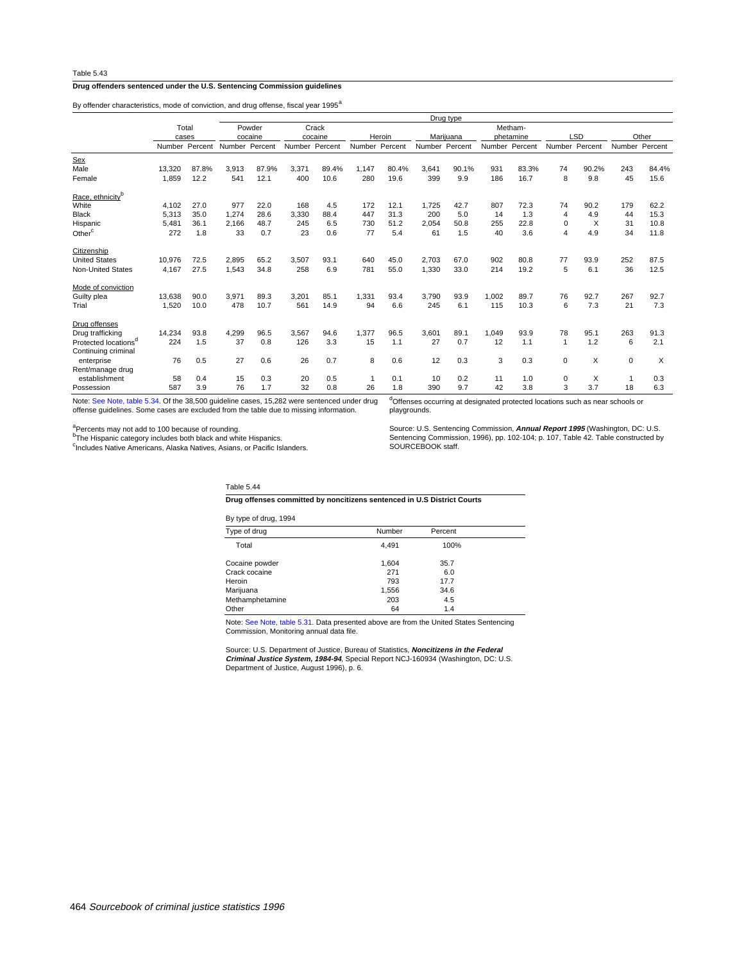### **Drug offenders sentenced under the U.S. Sentencing Commission guidelines**

By offender characteristics, mode of conviction, and drug offense, fiscal year 1995<sup>a</sup>

|                                  |        |                |                |         |       |                |       |                |       | Drug type      |                |           |                |         |             |                |
|----------------------------------|--------|----------------|----------------|---------|-------|----------------|-------|----------------|-------|----------------|----------------|-----------|----------------|---------|-------------|----------------|
|                                  |        | Total          |                | Powder  |       | Crack          |       |                |       |                |                | Metham-   |                |         |             |                |
|                                  | cases  |                |                | cocaine |       | cocaine        |       | Heroin         |       | Mariiuana      |                | phetamine |                | LSD     |             | Other          |
|                                  |        | Number Percent | Number Percent |         |       | Number Percent |       | Number Percent |       | Number Percent | Number Percent |           | Number         | Percent |             | Number Percent |
| <u>Sex</u>                       |        |                |                |         |       |                |       |                |       |                |                |           |                |         |             |                |
| Male                             | 13.320 | 87.8%          | 3,913          | 87.9%   | 3.371 | 89.4%          | 1.147 | 80.4%          | 3.641 | 90.1%          | 931            | 83.3%     | 74             | 90.2%   | 243         | 84.4%          |
| Female                           | 1,859  | 12.2           | 541            | 12.1    | 400   | 10.6           | 280   | 19.6           | 399   | 9.9            | 186            | 16.7      | 8              | 9.8     | 45          | 15.6           |
| Race, ethnicity <sup>b</sup>     |        |                |                |         |       |                |       |                |       |                |                |           |                |         |             |                |
| White                            | 4,102  | 27.0           | 977            | 22.0    | 168   | 4.5            | 172   | 12.1           | 1,725 | 42.7           | 807            | 72.3      | 74             | 90.2    | 179         | 62.2           |
| <b>Black</b>                     | 5,313  | 35.0           | 1.274          | 28.6    | 3.330 | 88.4           | 447   | 31.3           | 200   | 5.0            | 14             | 1.3       | $\overline{4}$ | 4.9     | 44          | 15.3           |
| Hispanic                         | 5.481  | 36.1           | 2.166          | 48.7    | 245   | 6.5            | 730   | 51.2           | 2.054 | 50.8           | 255            | 22.8      | 0              | X       | 31          | 10.8           |
| Other <sup>c</sup>               | 272    | 1.8            | 33             | 0.7     | 23    | 0.6            | 77    | 5.4            | 61    | 1.5            | 40             | 3.6       | 4              | 4.9     | 34          | 11.8           |
| Citizenship                      |        |                |                |         |       |                |       |                |       |                |                |           |                |         |             |                |
| <b>United States</b>             | 10.976 | 72.5           | 2,895          | 65.2    | 3.507 | 93.1           | 640   | 45.0           | 2.703 | 67.0           | 902            | 80.8      | 77             | 93.9    | 252         | 87.5           |
| <b>Non-United States</b>         | 4,167  | 27.5           | 1,543          | 34.8    | 258   | 6.9            | 781   | 55.0           | 1,330 | 33.0           | 214            | 19.2      | 5              | 6.1     | 36          | 12.5           |
| Mode of conviction               |        |                |                |         |       |                |       |                |       |                |                |           |                |         |             |                |
| Guilty plea                      | 13,638 | 90.0           | 3,971          | 89.3    | 3.201 | 85.1           | 1.331 | 93.4           | 3.790 | 93.9           | 1.002          | 89.7      | 76             | 92.7    | 267         | 92.7           |
| Trial                            | 1,520  | 10.0           | 478            | 10.7    | 561   | 14.9           | 94    | 6.6            | 245   | 6.1            | 115            | 10.3      | 6              | 7.3     | 21          | 7.3            |
| Drug offenses                    |        |                |                |         |       |                |       |                |       |                |                |           |                |         |             |                |
| Drug trafficking                 | 14,234 | 93.8           | 4.299          | 96.5    | 3.567 | 94.6           | 1,377 | 96.5           | 3.601 | 89.1           | 1.049          | 93.9      | 78             | 95.1    | 263         | 91.3           |
| Protected locations <sup>d</sup> | 224    | 1.5            | 37             | 0.8     | 126   | 3.3            | 15    | 1.1            | 27    | 0.7            | 12             | 1.1       | $\mathbf{1}$   | 1.2     | 6           | 2.1            |
| Continuing criminal              |        |                |                |         |       |                |       |                |       |                |                |           |                |         |             |                |
| enterprise                       | 76     | 0.5            | 27             | 0.6     | 26    | 0.7            | 8     | 0.6            | 12    | 0.3            | 3              | 0.3       | 0              | X       | $\mathbf 0$ | X              |
| Rent/manage drug                 |        |                |                |         |       |                |       |                |       |                |                |           |                |         |             |                |
| establishment                    | 58     | 0.4            | 15             | 0.3     | 20    | 0.5            | 1     | 0.1            | 10    | 0.2            | 11             | 1.0       | 0              | X       | 1           | 0.3            |
| Possession                       | 587    | 3.9            | 76             | 1.7     | 32    | 0.8            | 26    | 1.8            | 390   | 9.7            | 42             | 3.8       | 3              | 3.7     | 18          | 6.3            |
|                                  |        |                |                |         |       |                |       |                |       |                |                |           |                |         |             |                |

Note: [See Note, table 5.34.](#page-39-0) Of the 38,500 guideline cases, 15,282 were sentenced under drug offense guidelines. Some cases are excluded from the table due to missing information.

<sup>a</sup>Percents may not add to 100 because of rounding.<br><sup>b</sup>The Hispanic category includes both black and white Hispanics.

<sup>c</sup>Includes Native Americans, Alaska Natives, Asians, or Pacific Islanders.

<sup>d</sup>Offenses occurring at designated protected locations such as near schools or playgrounds.

Source: U.S. Sentencing Commission, *Annual Report 1995* (Washington, DC: U.S.<br>Sentencing Commission, 1996), pp. 102-104; p. 107, Table 42. Table constructed by<br>SOURCEBOOK staff.

| <b>Table 5.44</b>                                                       |        |         |  |
|-------------------------------------------------------------------------|--------|---------|--|
| Drug offenses committed by noncitizens sentenced in U.S District Courts |        |         |  |
| By type of drug, 1994                                                   |        |         |  |
| Type of drug                                                            | Number | Percent |  |
| Total                                                                   | 4.491  | 100%    |  |
| Cocaine powder                                                          | 1.604  | 35.7    |  |
| Crack cocaine                                                           | 271    | 6.0     |  |
| Heroin                                                                  | 793    | 17.7    |  |
| Marijuana                                                               | 1,556  | 34.6    |  |
| Methamphetamine                                                         | 203    | 4.5     |  |

Note[: See Note, table 5.31.](#page-37-0) Data presented above are from the United States Sentencing Commission, Monitoring annual data file.

Other 64 1.4

Source: U.S. Department of Justice, Bureau of Statistics, *Noncitizens in the Federal*<br>*Criminal Justice System, 1984-9*4, Special Report NCJ-160934 (Washington, DC: U.S.<br>Department of Justice, August 1996), p. 6.

464 Sourcebook of criminal justice statistics 1996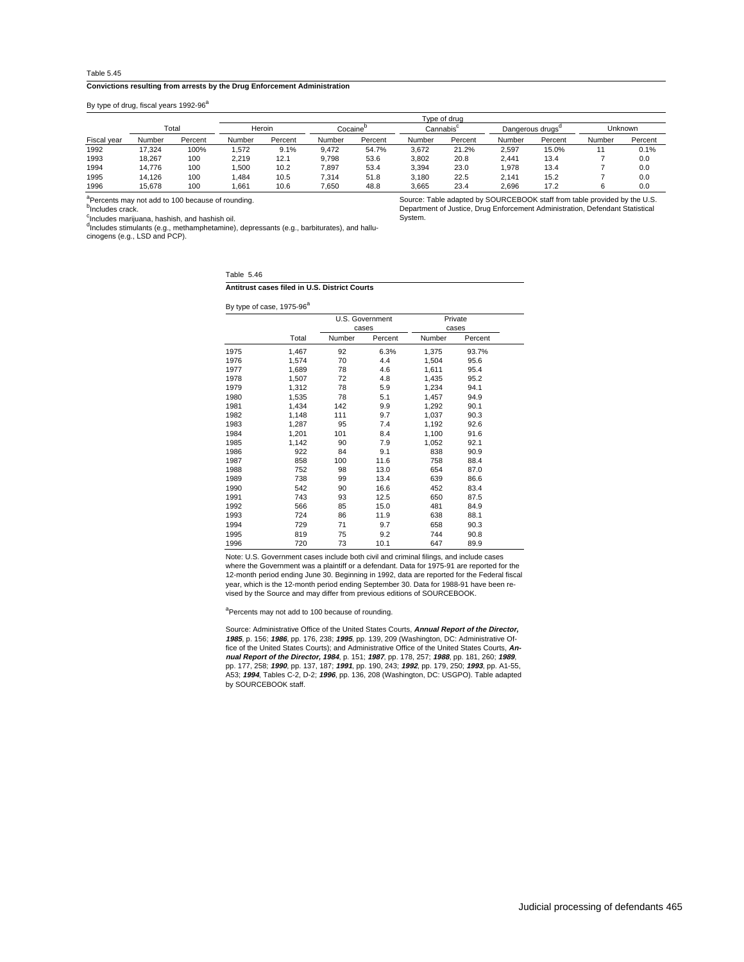### **Convictions resulting from arrests by the Drug Enforcement Administration**

By type of drug, fiscal years 1992-96<sup>a</sup>

|             |        |         |        |         |        |                      |        | Tvpe of drua          |                 |         |         |         |
|-------------|--------|---------|--------|---------|--------|----------------------|--------|-----------------------|-----------------|---------|---------|---------|
|             |        | Total   |        | Heroin  |        | Cocaine <sup>L</sup> |        | Cannabis <sup>c</sup> | Dangerous drugs |         | Unknown |         |
| Fiscal year | Number | Percent | Number | Percent | Number | Percent              | Number | Percent               | Number          | Percent | Number  | Percent |
| 1992        | 17.324 | 100%    | .572   | 9.1%    | 9,472  | 54.7%                | 3.672  | 21.2%                 | 2,597           | 15.0%   | 11      | 0.1%    |
| 1993        | 18,267 | 100     | 2.219  | 12.1    | 9,798  | 53.6                 | 3,802  | 20.8                  | 2.441           | 13.4    |         | 0.0     |
| 1994        | 14.776 | 100     | ,500   | 10.2    | 7,897  | 53.4                 | 3,394  | 23.0                  | 1.978           | 13.4    |         | 0.0     |
| 1995        | 14.126 | 100     | .484   | 10.5    | 7.314  | 51.8                 | 3.180  | 22.5                  | 2.141           | 15.2    |         | 0.0     |
| 1996        | 15.678 | 100     | .661   | 10.6    | 7.650  | 48.8                 | 3.665  | 23.4                  | 2.696           | 17.2    |         | 0.0     |

<sup>a</sup>Percents may not add to 100 because of rounding.

**b**<br>Includes crack.

<sup>c</sup>Includes marijuana, hashish, and hashish oil.

<sup>d</sup>Includes stimulants (e.g., methamphetamine), depressants (e.g., barbiturates), and hallu-<br>cinogens (e.g., LSD and PCP).

Source: Table adapted by SOURCEBOOK staff from table provided by the U.S. Department of Justice, Drug Enforcement Administration, Defendant Statistical System.

Table 5.46

#### **Antitrust cases filed in U.S. District Courts**

|      | By type of case, 1975-96 <sup>a</sup> |        |                          |        |                  |  |
|------|---------------------------------------|--------|--------------------------|--------|------------------|--|
|      |                                       |        | U.S. Government<br>cases |        | Private<br>cases |  |
|      | Total                                 | Number | Percent                  | Number | Percent          |  |
| 1975 | 1,467                                 | 92     | 6.3%                     | 1,375  | 93.7%            |  |
| 1976 | 1,574                                 | 70     | 4.4                      | 1,504  | 95.6             |  |
| 1977 | 1,689                                 | 78     | 4.6                      | 1,611  | 95.4             |  |
| 1978 | 1,507                                 | 72     | 4.8                      | 1,435  | 95.2             |  |
| 1979 | 1,312                                 | 78     | 5.9                      | 1,234  | 94.1             |  |
| 1980 | 1,535                                 | 78     | 5.1                      | 1,457  | 94.9             |  |
| 1981 | 1.434                                 | 142    | 9.9                      | 1,292  | 90.1             |  |
| 1982 | 1,148                                 | 111    | 9.7                      | 1,037  | 90.3             |  |
| 1983 | 1,287                                 | 95     | 7.4                      | 1,192  | 92.6             |  |
| 1984 | 1,201                                 | 101    | 8.4                      | 1,100  | 91.6             |  |
| 1985 | 1,142                                 | 90     | 7.9                      | 1,052  | 92.1             |  |
| 1986 | 922                                   | 84     | 9.1                      | 838    | 90.9             |  |
| 1987 | 858                                   | 100    | 11.6                     | 758    | 88.4             |  |
| 1988 | 752                                   | 98     | 13.0                     | 654    | 87.0             |  |
| 1989 | 738                                   | 99     | 13.4                     | 639    | 86.6             |  |
| 1990 | 542                                   | 90     | 16.6                     | 452    | 83.4             |  |
| 1991 | 743                                   | 93     | 12.5                     | 650    | 87.5             |  |
| 1992 | 566                                   | 85     | 15.0                     | 481    | 84.9             |  |
| 1993 | 724                                   | 86     | 11.9                     | 638    | 88.1             |  |
| 1994 | 729                                   | 71     | 9.7                      | 658    | 90.3             |  |
| 1995 | 819                                   | 75     | 9.2                      | 744    | 90.8             |  |
| 1996 | 720                                   | 73     | 10.1                     | 647    | 89.9             |  |

Note: U.S. Government cases include both civil and criminal filings, and include cases where the Government was a plaintiff or a defendant. Data for 1975-91 are reported for the 12-month period ending June 30. Beginning in 1992, data are reported for the Federal fiscal year, which is the 12-month period ending September 30. Data for 1988-91 have been revised by the Source and may differ from previous editions of SOURCEBOOK.

<sup>a</sup>Percents may not add to 100 because of rounding.

Source: Administrative Office of the United States Courts, **Annual Report of the Director, 1985**, p. 156; **1986**, pp. 176, 238; **1995**, pp. 139, 209 (Washington, DC: Administrative Office of the United States Courts); and Administrative Office of the United States Courts, An**nual Report of the Director, 1984**, p. 151; **1987**, pp. 178, 257; **1988**, pp. 181, 260; **1989**, pp. 177, 258; **1990**, pp. 137, 187; **1991**, pp. 190, 243; **1992**, pp. 179, 250; **1993**, pp. A1-55, A53; **1994**, Tables C-2, D-2; **1996**, pp. 136, 208 (Washington, DC: USGPO). Table adapted by SOURCEBOOK staff.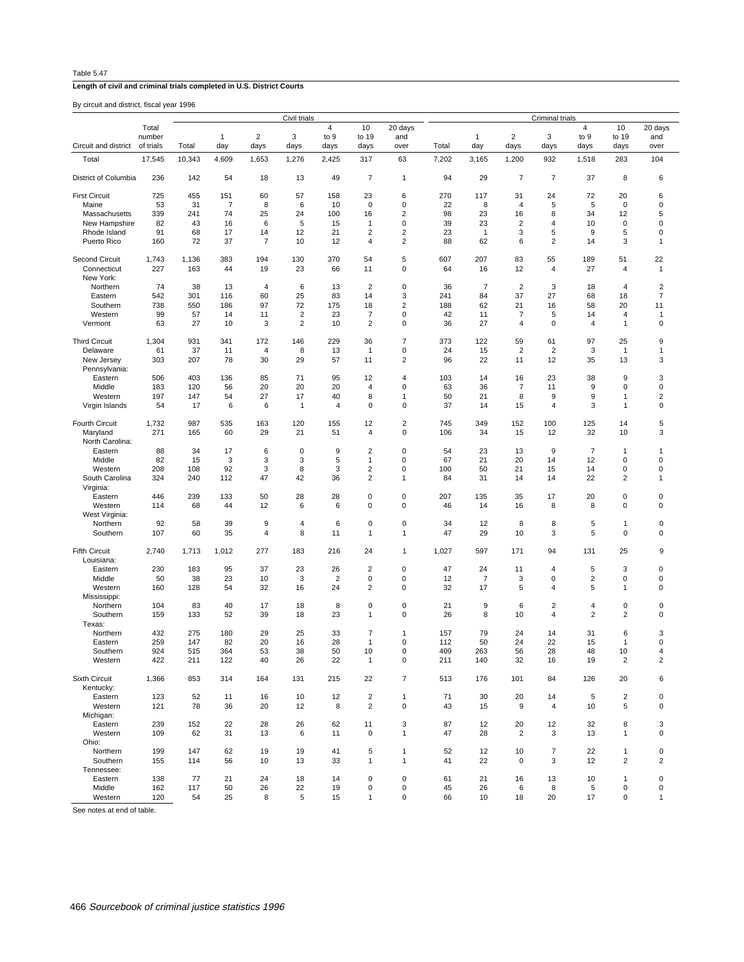| Table 5. | ▵ |  |
|----------|---|--|
|          |   |  |

# **Length of civil and criminal trials completed in U.S. District Courts**

By circuit and district, fiscal year 1996

|                                            |                     |              |                     |                        | Civil trials   |                |                |                |           |                |                        | Criminal trials      |                |                |                         |
|--------------------------------------------|---------------------|--------------|---------------------|------------------------|----------------|----------------|----------------|----------------|-----------|----------------|------------------------|----------------------|----------------|----------------|-------------------------|
|                                            | Total               |              |                     |                        |                | $\overline{4}$ | 10             | 20 days        |           |                |                        |                      | $\sqrt{4}$     | 10             | 20 days                 |
| Circuit and district                       | number<br>of trials | Total        | $\mathbf{1}$<br>day | $\overline{2}$<br>days | 3<br>days      | to 9<br>days   | to 19<br>days  | and<br>over    | Total     | 1<br>day       | $\overline{c}$<br>days | 3<br>days            | to 9<br>days   | to 19<br>days  | and<br>over             |
| Total                                      | 17,545              | 10,343       | 4,609               | 1,653                  | 1,276          | 2,425          | 317            | 63             | 7,202     | 3,165          | 1,200                  | 932                  | 1,518          | 283            | 104                     |
| District of Columbia                       | 236                 | 142          | 54                  | 18                     | 13             | 49             | $\overline{7}$ | 1              | 94        | 29             | $\overline{7}$         | $\overline{7}$       | 37             | 8              | 6                       |
|                                            |                     |              |                     |                        |                |                |                |                |           |                |                        |                      |                |                |                         |
| <b>First Circuit</b>                       | 725                 | 455          | 151                 | 60                     | 57             | 158            | 23             | 6              | 270       | 117            | 31                     | 24                   | 72             | 20             | 6                       |
| Maine                                      | 53                  | 31           | $\overline{7}$      | 8                      | 6              | 10             | 0              | 0              | 22        | 8              | 4                      | 5                    | 5              | $\pmb{0}$      | $\mathbf 0$             |
| Massachusetts                              | 339                 | 241          | 74                  | 25                     | 24             | 100            | 16             | $\overline{2}$ | 98        | 23             | 16                     | 8                    | 34             | 12             | 5                       |
| New Hampshire                              | 82                  | 43           | 16                  | 6                      | 5              | 15             | $\mathbf{1}$   | $\pmb{0}$      | 39        | 23             | $\overline{2}$         | $\overline{4}$       | 10             | 0              | $\mathbf 0$             |
| Rhode Island                               | 91                  | 68           | 17                  | 14                     | 12             | 21             | $\overline{2}$ | $\overline{2}$ | 23        | $\mathbf{1}$   | 3                      | 5                    | 9              | 5              | $\mathbf 0$             |
| Puerto Rico                                | 160                 | 72           | 37                  | 7                      | 10             | 12             | 4              | $\overline{2}$ | 88        | 62             | 6                      | $\overline{2}$       | 14             | 3              | $\mathbf{1}$            |
| Second Circuit<br>Connecticut<br>New York: | 1,743<br>227        | 1,136<br>163 | 383<br>44           | 194<br>19              | 130<br>23      | 370<br>66      | 54<br>11       | 5<br>0         | 607<br>64 | 207<br>16      | 83<br>12               | 55<br>4              | 189<br>27      | 51<br>4        | 22<br>1                 |
| Northern                                   | 74                  | 38           | 13                  | 4                      | 6              | 13             | $\overline{2}$ | 0              | 36        | $\overline{7}$ | $\overline{2}$         | 3                    | 18             | 4              | $\overline{\mathbf{c}}$ |
| Eastern                                    | 542                 | 301          | 116                 | 60                     | 25             | 83             | 14             | 3              | 241       | 84             | 37                     | 27                   | 68             | 18             | $\overline{7}$          |
| Southern                                   | 738                 | 550          | 186                 | 97                     | 72             | 175            | 18             | $\overline{2}$ | 188       | 62             | 21                     | 16                   | 58             | 20             | 11                      |
| Western                                    | 99                  | 57           | 14                  | 11                     | $\overline{2}$ | 23             | $\overline{7}$ | 0              | 42        | 11             | 7                      | 5                    | 14             | 4              | 1                       |
| Vermont                                    | 63                  | 27           | 10                  | 3                      | $\overline{2}$ | 10             | $\overline{2}$ | 0              | 36        | 27             | $\overline{4}$         | $\mathbf 0$          | $\overline{4}$ | $\mathbf{1}$   | $\pmb{0}$               |
| <b>Third Circuit</b>                       | 1,304               | 931          | 341                 | 172                    | 146            | 229            | 36             | $\overline{7}$ | 373       | 122            | 59                     | 61                   | 97             | 25             | 9                       |
| Delaware                                   | 61                  | 37           | 11                  | 4                      | 8              | 13             | $\mathbf 1$    | $\pmb{0}$      | 24        | 15             | $\overline{2}$         | $\overline{2}$       | 3              | $\overline{1}$ | $\mathbf{1}$            |
| New Jersey<br>Pennsylvania:                | 303                 | 207          | 78                  | 30                     | 29             | 57             | 11             | $\overline{2}$ | 96        | 22             | 11                     | 12                   | 35             | 13             | 3                       |
| Eastern                                    | 506                 | 403          | 136                 | 85                     | 71             | 95             | 12             | 4              | 103       | 14             | 16                     | 23                   | 38             | 9              | 3                       |
| Middle                                     | 183                 | 120          | 56                  | 20                     | 20             | 20             | 4              | 0              | 63        | 36             | 7                      | 11                   | 9              | 0              | $\pmb{0}$               |
| Western                                    | 197                 | 147          | 54                  | 27                     | 17             | 40             | 8              | 1              | 50        | 21             | 8                      | 9                    | 9              | 1              | $\sqrt{2}$              |
| Virgin Islands                             | 54                  | 17           | 6                   | 6                      | 1              | 4              | $\mathbf 0$    | 0              | 37        | 14             | 15                     | 4                    | 3              | 1              | $\pmb{0}$               |
| Fourth Circuit                             | 1,732               | 987          | 535                 | 163                    | 120            | 155            | 12             | $\overline{2}$ | 745       | 349            | 152                    | 100                  | 125            | 14             | 5                       |
| Maryland                                   | 271                 | 165          | 60                  | 29                     | 21             | 51             | 4              | $\pmb{0}$      | 106       | 34             | 15                     | 12                   | 32             | 10             | 3                       |
| North Carolina:                            |                     |              |                     |                        |                |                |                |                |           |                |                        |                      |                |                |                         |
| Eastern                                    | 88                  | 34           | 17                  | 6                      | $\pmb{0}$      | 9              | $\overline{2}$ | $\pmb{0}$      | 54        | 23             | 13                     | 9                    | $\overline{7}$ | 1              | 1                       |
| Middle                                     | 82                  | 15           | 3                   | 3                      | 3              | 5              | 1              | 0              | 67        | 21             | 20                     | 14                   | 12             | $\mathbf 0$    | 0                       |
| Western                                    | 208                 | 108          | 92                  | 3                      | 8              | 3              | $\overline{2}$ | 0              | 100       | 50             | 21                     | 15                   | 14             | $\mathbf 0$    | 0                       |
| South Carolina<br>Virginia:                | 324                 | 240          | 112                 | 47                     | 42             | 36             | $\overline{c}$ | 1              | 84        | 31             | 14                     | 14                   | 22             | $\overline{2}$ | 1                       |
| Eastern                                    | 446                 | 239          | 133                 | 50                     | 28             | 28             | 0              | 0              | 207       | 135            | 35                     | 17                   | 20             | $\mathbf 0$    | 0                       |
| Western                                    | 114                 | 68           | 44                  | 12                     | 6              | 6              | 0              | 0              | 46        | 14             | 16                     | 8                    | 8              | 0              | 0                       |
| West Virginia:                             |                     |              |                     |                        |                |                |                |                |           |                |                        |                      |                |                |                         |
| Northern                                   | 92                  | 58           | 39                  | 9                      | 4              | 6              | $\mathbf 0$    | $\pmb{0}$      | 34        | 12             | 8                      | 8                    | 5              | 1              | $\mathbf 0$             |
| Southern                                   | 107                 | 60           | 35                  | $\overline{4}$         | 8              | 11             | $\mathbf{1}$   | 1              | 47        | 29             | 10                     | 3                    | 5              | 0              | $\mathbf 0$             |
|                                            |                     |              |                     |                        |                |                |                |                |           |                |                        |                      |                |                |                         |
| <b>Fifth Circuit</b><br>Louisiana:         | 2,740               | 1,713        | 1,012               | 277                    | 183            | 216            | 24             | 1              | 1,027     | 597            | 171                    | 94                   | 131            | 25             | 9                       |
| Eastern                                    | 230                 | 183          | 95                  | 37                     | 23             | 26             | $\overline{2}$ | 0              | 47        | 24             | 11                     | 4                    | 5              | 3              | 0                       |
| Middle                                     | 50                  | 38           | 23                  | 10                     | 3              | $\overline{c}$ | 0              | 0              | 12        | $\overline{7}$ | 3                      | $\mathbf 0$          | $\overline{2}$ | $\mathbf 0$    | 0                       |
| Western<br>Mississippi:                    | 160                 | 128          | 54                  | 32                     | 16             | 24             | $\overline{c}$ | 0              | 32        | 17             | 5                      | 4                    | 5              | $\mathbf{1}$   | 0                       |
| Northern                                   | 104                 | 83           | 40                  | 17                     | 18             | 8              | 0              | 0              | 21        | 9              | 6                      | $\overline{2}$       | 4              | 0              | $\bf 0$                 |
| Southern                                   | 159                 | 133          | 52                  | 39                     | 18             | 23             | $\mathbf{1}$   | 0              | 26        | 8              | 10                     | 4                    | $\overline{2}$ | $\overline{2}$ | $\pmb{0}$               |
| Texas:                                     |                     |              |                     |                        |                |                |                |                |           |                |                        |                      |                |                |                         |
| Northern                                   | 432                 | 275          | 180                 | 29                     | 25             | 33             | 7              | $\mathbf{1}$   | 157       | 79             | 24                     | 14                   | 31             | 6              | 3                       |
| Eastern                                    | 259                 | 147          | 82                  | 20                     | 16             | 28             | $\mathbf{1}$   | $\pmb{0}$      | 112       | 50             | 24                     | 22                   | 15             | $\mathbf{1}$   | $\mathbf 0$             |
| Southern                                   | 924                 | 515          | 364                 | 53                     | 38             | 50             | 10             | $\mathbf 0$    | 409       | 263            | 56                     | 28                   | 48             | 10             | $\overline{4}$          |
| Western                                    | 422                 | 211          | 122                 | 40                     | 26             | 22             | $\mathbf{1}$   | $\mathbf 0$    | 211       | 140            | 32                     | 16                   | 19             | $\overline{2}$ | $\overline{2}$          |
| Sixth Circuit                              | 1,366               | 853          | 314                 | 164                    | 131            | 215            | 22             | $\overline{7}$ | 513       | 176            | 101                    | 84                   | 126            | 20             | 6                       |
| Kentucky:<br>Eastern                       |                     | 52           |                     |                        | 10             |                | $\overline{2}$ |                |           |                |                        |                      | 5              | $\overline{2}$ | $\mathsf 0$             |
| Western                                    | 123<br>121          | 78           | 11<br>36            | 16<br>20               | 12             | 12<br>8        | $\overline{2}$ | 1<br>0         | 71<br>43  | 30<br>15       | 20<br>9                | 14<br>$\overline{4}$ | 10             | 5              | $\mathsf 0$             |
| Michigan:                                  |                     |              |                     |                        |                |                |                |                |           |                |                        |                      |                |                |                         |
| Eastern                                    | 239                 | 152          | 22                  | 28                     | 26             | 62             | 11             | 3              | 87        | 12             | 20                     | 12                   | 32             | 8              | 3                       |
| Western                                    | 109                 | 62           | 31                  | 13                     | 6              | 11             | $\mathbf 0$    | $\mathbf{1}$   | 47        | 28             | $\overline{2}$         | 3                    | 13             | $\mathbf{1}$   | $\pmb{0}$               |
| Ohio:                                      |                     |              |                     |                        |                |                |                |                |           |                |                        |                      |                |                |                         |
| Northern                                   | 199                 | 147          | 62                  | 19                     | 19             | 41             | 5              | $\mathbf{1}$   | 52        | 12             | 10                     | $\overline{7}$       | 22             | $\mathbf{1}$   | $\mathsf 0$             |
| Southern                                   | 155                 | 114          | 56                  | 10                     | 13             | 33             | $\mathbf{1}$   | $\mathbf{1}$   | 41        | 22             | $\mathbf 0$            | 3                    | 12             | $\overline{2}$ | $\overline{2}$          |
| Tennessee:                                 |                     |              |                     |                        |                |                |                |                |           |                |                        |                      |                |                |                         |
| Eastern                                    | 138                 | 77           | 21                  | 24                     | 18             | 14             | $\mathbf 0$    | $\pmb{0}$      | 61        | 21             | 16                     | 13                   | 10             | $\mathbf{1}$   | $\pmb{0}$               |
| Middle                                     | 162                 | 117          | 50                  | 26                     | 22             | 19             | $\mathbf 0$    | 0              | 45        | 26             | 6                      | 8                    | 5              | $\mathsf 0$    | $\pmb{0}$               |
| Western                                    | 120                 | 54           | 25                  | 8                      | 5              | 15             | $\mathbf{1}$   | 0              | 66        | 10             | 18                     | 20                   | 17             | $\mathsf 0$    | 1                       |
|                                            |                     |              |                     |                        |                |                |                |                |           |                |                        |                      |                |                |                         |

See notes at end of table.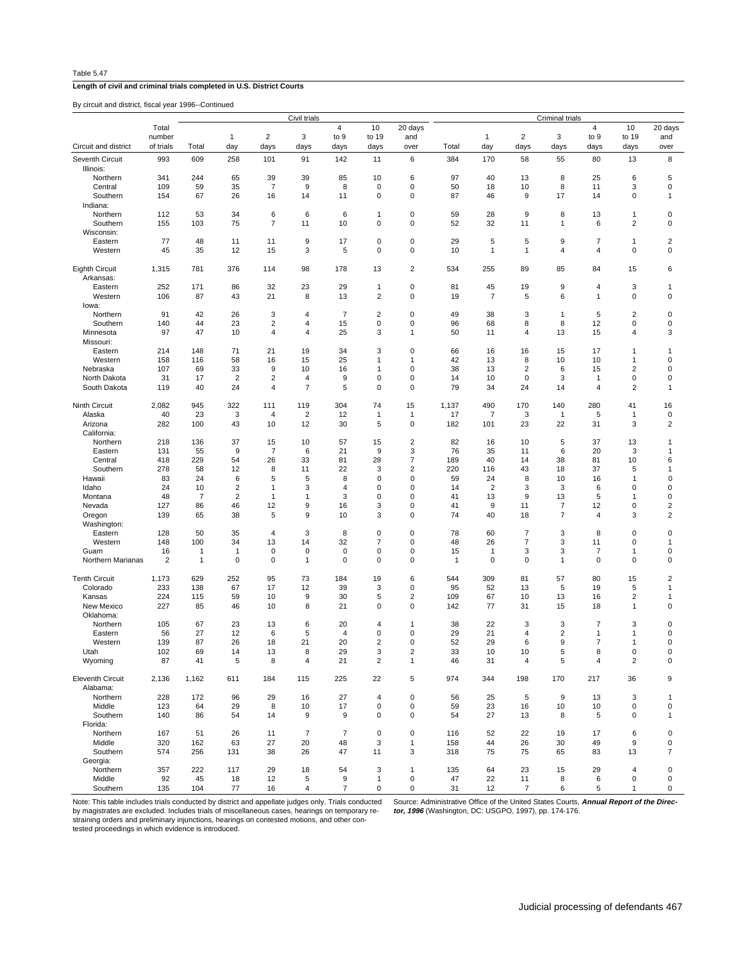### **Length of civil and criminal trials completed in U.S. District Courts**

By circuit and district, fiscal year 1996--Continued

|                              |                |              |                |                         | Civil trials   |                |                         |                              |          |                         |                         | Criminal trials         |                |                              |                             |
|------------------------------|----------------|--------------|----------------|-------------------------|----------------|----------------|-------------------------|------------------------------|----------|-------------------------|-------------------------|-------------------------|----------------|------------------------------|-----------------------------|
|                              | Total          |              |                |                         |                | $\overline{4}$ | 10                      | 20 days                      |          |                         |                         |                         | $\overline{4}$ | 10                           | 20 days                     |
|                              | number         |              | $\mathbf{1}$   | $\sqrt{2}$              | 3              | to 9           | to 19                   | and                          |          | 1                       | $\sqrt{2}$              | 3                       | to 9           | to 19                        | and                         |
| Circuit and district         | of trials      | Total        | day            | days                    | days           | days           | days                    | over                         | Total    | day                     | days                    | days                    | days           | days                         | over                        |
| Seventh Circuit<br>Illinois: | 993            | 609          | 258            | 101                     | 91             | 142            | 11                      | 6                            | 384      | 170                     | 58                      | 55                      | 80             | 13                           | 8                           |
| Northern                     | 341            | 244          | 65             | 39                      | 39             | 85             | 10                      | 6                            | 97       | 40                      | 13                      | 8                       | 25             | 6                            | 5                           |
| Central                      | 109            | 59           | 35             | 7                       | 9              | 8              | 0                       | 0                            | 50       | 18                      | 10                      | 8                       | 11             | 3                            | $\pmb{0}$                   |
| Southern                     | 154            | 67           | 26             | 16                      | 14             | 11             | 0                       | 0                            | 87       | 46                      | 9                       | 17                      | 14             | $\mathbf 0$                  | 1                           |
| Indiana:                     |                |              |                |                         |                |                |                         |                              |          |                         |                         |                         |                |                              |                             |
| Northern<br>Southern         | 112<br>155     | 53<br>103    | 34<br>75       | 6<br>7                  | 6<br>11        | 6<br>10        | 1<br>0                  | 0<br>0                       | 59<br>52 | 28<br>32                | 9<br>11                 | 8<br>1                  | 13<br>6        | 1<br>$\overline{\mathbf{c}}$ | $\pmb{0}$<br>$\mathbf 0$    |
| Wisconsin:                   |                |              |                |                         |                |                |                         |                              |          |                         |                         |                         |                |                              |                             |
| Eastern                      | 77             | 48           | 11             | 11                      | 9              | 17             | 0                       | 0                            | 29       | 5                       | 5                       | 9                       | 7              | 1                            | $\overline{2}$              |
| Western                      | 45             | 35           | 12             | 15                      | 3              | 5              | 0                       | 0                            | 10       | 1                       | $\mathbf{1}$            | 4                       | $\overline{4}$ | $\mathbf 0$                  | $\mathbf 0$                 |
| <b>Eighth Circuit</b>        | 1,315          | 781          | 376            | 114                     | 98             | 178            | 13                      | $\overline{\mathbf{c}}$      | 534      | 255                     | 89                      | 85                      | 84             | 15                           | 6                           |
| Arkansas:                    |                |              |                |                         |                |                |                         |                              |          |                         |                         |                         |                |                              |                             |
| Eastern<br>Western           | 252<br>106     | 171<br>87    | 86<br>43       | 32<br>21                | 23<br>8        | 29<br>13       | 1<br>$\overline{2}$     | 0<br>0                       | 81<br>19 | 45<br>7                 | 19<br>5                 | 9<br>6                  | 4<br>1         | 3<br>$\mathbf 0$             | $\mathbf{1}$<br>$\mathbf 0$ |
| lowa:                        |                |              |                |                         |                |                |                         |                              |          |                         |                         |                         |                |                              |                             |
| Northern                     | 91             | 42           | 26             | 3                       | 4              | 7              | $\overline{\mathbf{c}}$ | $\mathbf 0$                  | 49       | 38                      | 3                       | 1                       | 5              | 2                            | $\pmb{0}$                   |
| Southern                     | 140            | 44           | 23             | $\overline{\mathbf{c}}$ | 4              | 15             | 0                       | 0                            | 96       | 68                      | 8                       | 8                       | 12             | 0                            | $\pmb{0}$                   |
| Minnesota                    | 97             | 47           | 10             | $\overline{4}$          | 4              | 25             | 3                       | 1                            | 50       | 11                      | 4                       | 13                      | 15             | 4                            | 3                           |
| Missouri:                    |                |              |                |                         |                |                |                         |                              |          |                         |                         |                         |                |                              |                             |
| Eastern                      | 214            | 148          | 71             | 21                      | 19             | 34             | 3                       | $\mathbf 0$                  | 66       | 16                      | 16                      | 15                      | 17             | $\mathbf{1}$                 | 1                           |
| Western                      | 158            | 116          | 58             | 16                      | 15             | 25             | 1                       | 1                            | 42       | 13                      | 8                       | 10                      | 10             | 1                            | $\mathbf 0$                 |
| Nebraska                     | 107            | 69           | 33             | 9                       | 10             | 16             | 1                       | 0                            | 38       | 13                      | $\overline{\mathbf{c}}$ | 6                       | 15             | 2                            | $\mathbf 0$                 |
| North Dakota                 | 31             | 17           | $\overline{2}$ | $\overline{2}$          | 4              | 9              | 0                       | 0                            | 14       | 10                      | $\mathbf 0$             | 3                       | 1              | $\mathbf 0$                  | $\mathbf 0$                 |
| South Dakota                 | 119            | 40           | 24             | $\overline{4}$          | 7              | 5              | $\mathbf 0$             | $\mathbf 0$                  | 79       | 34                      | 24                      | 14                      | 4              | $\overline{\mathbf{c}}$      | 1                           |
| <b>Ninth Circuit</b>         | 2,082          | 945          | 322            | 111                     | 119            | 304            | 74                      | 15                           | 1,137    | 490                     | 170                     | 140                     | 280            | 41                           | 16                          |
| Alaska                       | 40             | 23           | 3              | 4                       | 2              | 12             | 1                       | 1                            | 17       | 7                       | 3                       | $\mathbf{1}$            | 5              | $\mathbf{1}$                 | $\pmb{0}$                   |
| Arizona                      | 282            | 100          | 43             | 10                      | 12             | 30             | 5                       | 0                            | 182      | 101                     | 23                      | 22                      | 31             | 3                            | $\overline{\mathbf{c}}$     |
| California:                  |                |              |                |                         |                |                |                         |                              |          |                         |                         |                         |                |                              |                             |
| Northern                     | 218<br>131     | 136<br>55    | 37<br>9        | 15<br>$\overline{7}$    | 10<br>6        | 57<br>21       | 15<br>9                 | $\overline{\mathbf{c}}$<br>3 | 82<br>76 | 16<br>35                | 10<br>11                | 5<br>6                  | 37<br>20       | 13<br>3                      | 1<br>$\mathbf{1}$           |
| Eastern<br>Central           | 418            | 229          | 54             | 26                      | 33             | 81             | 28                      | 7                            | 189      | 40                      | 14                      | 38                      | 81             | 10                           | 6                           |
| Southern                     | 278            | 58           | 12             | 8                       | 11             | 22             | 3                       | $\overline{\mathbf{c}}$      | 220      | 116                     | 43                      | 18                      | 37             | 5                            | 1                           |
| Hawaii                       | 83             | 24           | 6              | 5                       | 5              | 8              | 0                       | $\mathbf 0$                  | 59       | 24                      | 8                       | 10                      | 16             | $\mathbf{1}$                 | $\mathbf 0$                 |
| Idaho                        | 24             | 10           | 2              | $\mathbf{1}$            | 3              | $\overline{4}$ | 0                       | $\mathbf 0$                  | 14       | $\overline{\mathbf{c}}$ | 3                       | 3                       | 6              | 0                            | $\mathbf 0$                 |
| Montana                      | 48             | 7            | $\overline{2}$ | $\mathbf{1}$            | 1              | 3              | $\pmb{0}$               | 0                            | 41       | 13                      | 9                       | 13                      | 5              | 1                            | $\pmb{0}$                   |
| Nevada                       | 127            | 86           | 46             | 12                      | 9              | 16             | 3                       | 0                            | 41       | 9                       | 11                      | 7                       | 12             | $\mathbf 0$                  | $\overline{\mathbf{c}}$     |
| Oregon                       | 139            | 65           | 38             | 5                       | 9              | 10             | 3                       | 0                            | 74       | 40                      | 18                      | 7                       | 4              | 3                            | $\overline{2}$              |
| Washington:                  |                |              |                |                         |                |                |                         |                              |          |                         |                         |                         |                |                              |                             |
| Eastern                      | 128            | 50           | 35             | 4                       | 3              | 8              | 0                       | 0                            | 78       | 60                      | 7                       | 3                       | 8              | $\mathbf 0$                  | $\boldsymbol{0}$            |
| Western                      | 148            | 100          | 34             | 13                      | 14             | 32             | 7                       | 0                            | 48       | 26                      | $\overline{7}$          | 3                       | 11             | 0                            | 1                           |
| Guam                         | 16             | 1            | $\mathbf{1}$   | 0                       | 0              | 0              | $\pmb{0}$               | $\pmb{0}$                    | 15       | $\mathbf{1}$            | 3                       | 3                       | 7              | 1                            | $\boldsymbol{0}$            |
| Northern Marianas            | $\overline{2}$ | $\mathbf{1}$ | $\mathbf 0$    | $\mathbf 0$             | 1              | $\mathbf 0$    | 0                       | 0                            | 1        | $\mathbf 0$             | $\mathbf 0$             | 1                       | $\pmb{0}$      | $\mathbf 0$                  | $\mathbf 0$                 |
| <b>Tenth Circuit</b>         | 1,173          | 629          | 252            | 95                      | 73             | 184            | 19                      | 6                            | 544      | 309                     | 81                      | 57                      | 80             | 15                           | $\overline{2}$              |
| Colorado                     | 233            | 138          | 67             | 17                      | 12             | 39             | 3                       | 0                            | 95       | 52                      | 13                      | 5                       | 19             | 5                            | 1                           |
| Kansas                       | 224            | 115          | 59             | 10                      | 9              | 30             | 5                       | $\overline{\mathbf{c}}$      | 109      | 67                      | 10                      | 13                      | 16             | 2                            | 1                           |
| New Mexico<br>Oklahoma:      | 227            | 85           | 46             | 10                      | 8              | 21             | $\mathbf 0$             | $\mathbf 0$                  | 142      | 77                      | 31                      | 15                      | 18             | 1                            | $\mathbf 0$                 |
| Northern                     | 105            | 67           | 23             | 13                      | 6              | 20             | 4                       | 1                            | 38       | 22                      | 3                       | 3                       | 7              | 3                            | $\boldsymbol{0}$            |
| Eastern                      | 56             | 27           | 12             | 6                       | 5              | $\overline{4}$ | 0                       | 0                            | 29       | 21                      | $\overline{4}$          | $\overline{\mathbf{c}}$ | 1              | 1                            | $\mathbf 0$                 |
| Western                      | 139            | 87           | 26             | 18                      | 21             | 20             | $\overline{\mathbf{c}}$ | 0                            | 52       | 29                      | 6                       | 9                       | 7              | 1                            | $\pmb{0}$                   |
| Utah                         | 102            | 69           | 14             | 13                      | 8              | 29             | 3                       | $\overline{2}$               | 33       | 10                      | 10                      | 5                       | 8              | $\mathbf 0$                  | $\mathbf 0$                 |
| Wyoming                      | 87             | 41           | 5              | 8                       |                | 21             | $\overline{\mathbf{c}}$ | 1                            | 46       | 31                      | 4                       | 5                       | 4              | 2                            | $\mathbf 0$                 |
| Eleventh Circuit<br>Alabama: | 2,136          | 1,162        | 611            | 184                     | 115            | 225            | 22                      | 5                            | 974      | 344                     | 198                     | 170                     | 217            | 36                           | 9                           |
| Northern                     | 228            | 172          | 96             | 29                      | 16             | 27             | $\overline{4}$          | 0                            | 56       | 25                      | 5                       | $\boldsymbol{9}$        | 13             | 3                            | $\mathbf{1}$                |
| Middle                       | 123            | 64           | 29             | 8                       | 10             | 17             | 0                       | 0                            | 59       | 23                      | 16                      | 10                      | 10             | 0                            | $\pmb{0}$                   |
| Southern                     | 140            | 86           | 54             | 14                      | 9              | 9              | 0                       | 0                            | 54       | 27                      | 13                      | 8                       | 5              | $\mathbf 0$                  | $\mathbf{1}$                |
| Florida:                     |                |              |                |                         |                |                |                         |                              |          |                         |                         |                         |                |                              |                             |
| Northern                     | 167            | 51           | 26             | 11                      | $\overline{7}$ | $\overline{7}$ | $\mathbf 0$             | $\mathbf 0$                  | 116      | 52                      | 22                      | 19                      | 17             | 6                            | $\pmb{0}$                   |
| Middle                       | 320            | 162          | 63             | 27                      | 20             | 48             | 3                       | 1                            | 158      | 44                      | 26                      | 30                      | 49             | 9                            | $\mathsf 0$                 |
| Southern<br>Georgia:         | 574            | 256          | 131            | 38                      | 26             | 47             | 11                      | 3                            | 318      | 75                      | 75                      | 65                      | 83             | 13                           | $\overline{7}$              |
| Northern                     | 357            | 222          | 117            | 29                      | 18             | 54             | 3                       | $\mathbf{1}$                 | 135      | 64                      | 23                      | 15                      | 29             | 4                            | $\mathbf 0$                 |
| Middle                       | 92             | 45           | 18             | 12                      | 5              | 9              | 1                       | 0                            | 47       | 22                      | 11                      | 8                       | 6              | 0                            | $\mathbf 0$                 |
| Southern                     | 135            | 104          | 77             | 16                      | 4              | $\overline{7}$ | 0                       | $\pmb{0}$                    | 31       | 12                      | $\overline{7}$          | 6                       | 5              | $\mathbf{1}$                 | 0                           |

Note: This table includes trials conducted by district and appellate judges only. Trials conducted by magistrates are excluded. Includes trials of miscellaneous cases, hearings on temporary restraining orders and preliminary injunctions, hearings on contested motions, and other con-tested proceedings in which evidence is introduced.

Source: Administrative Office of the United States Courts, **Annual Report of the Direc-tor, 1996** (Washington, DC: USGPO, 1997), pp. 174-176.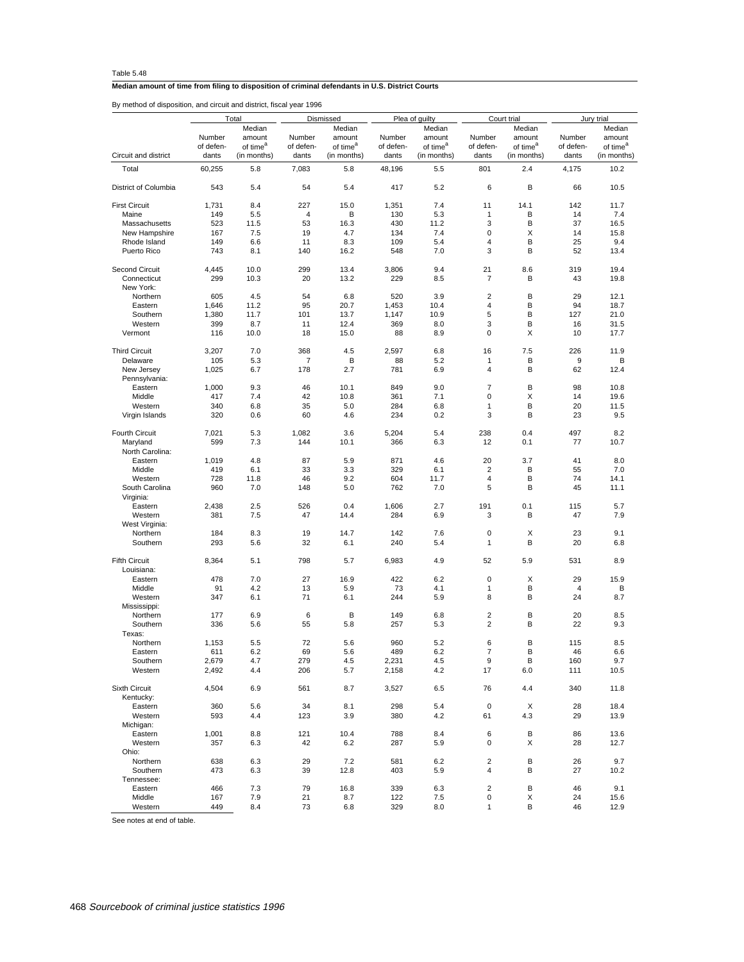**Median amount of time from filing to disposition of criminal defendants in U.S. District Courts**

By method of disposition, and circuit and district, fiscal year 1996

|                             |           | Dy monioù or disposition, and circuit and district, nacar year |           |                                     |           |                      |                         |                                     |           |                                     |
|-----------------------------|-----------|----------------------------------------------------------------|-----------|-------------------------------------|-----------|----------------------|-------------------------|-------------------------------------|-----------|-------------------------------------|
|                             |           | Total                                                          |           | Dismissed                           |           | Plea of quilty       |                         | Court trial                         |           | Jury trial                          |
|                             |           | Median                                                         |           | Median                              |           | Median               |                         | Median                              |           | Median                              |
|                             | Number    | amount                                                         | Number    | amount                              | Number    | amount               | Number                  | amount                              | Number    | amount                              |
|                             | of defen- |                                                                | of defen- |                                     | of defen- |                      | of defen-               |                                     | of defen- |                                     |
| Circuit and district        | dants     | of time <sup>a</sup><br>(in months)                            | dants     | of time <sup>a</sup><br>(in months) | dants     | of time <sup>a</sup> | dants                   | of time <sup>a</sup><br>(in months) | dants     | of time <sup>a</sup><br>(in months) |
|                             |           |                                                                |           |                                     |           | (in months)          |                         | 2.4                                 |           |                                     |
| Total                       | 60,255    | 5.8                                                            | 7,083     | 5.8                                 | 48,196    | 5.5                  | 801                     |                                     | 4,175     | 10.2                                |
| District of Columbia        | 543       | 5.4                                                            | 54        | 5.4                                 | 417       | 5.2                  | 6                       | B                                   | 66        | 10.5                                |
| <b>First Circuit</b>        | 1,731     | 8.4                                                            | 227       | 15.0                                | 1,351     | 7.4                  | 11                      | 14.1                                | 142       | 11.7                                |
| Maine                       | 149       | 5.5                                                            | 4         | B                                   | 130       | 5.3                  | 1                       | B                                   | 14        | 7.4                                 |
| Massachusetts               | 523       | 11.5                                                           | 53        | 16.3                                | 430       | 11.2                 | 3                       | B                                   | 37        | 16.5                                |
| New Hampshire               | 167       | 7.5                                                            | 19        | 4.7                                 | 134       | 7.4                  | 0                       | X                                   | 14        | 15.8                                |
| Rhode Island                | 149       | 6.6                                                            | 11        | 8.3                                 | 109       | 5.4                  | $\overline{\mathbf{4}}$ | B                                   | 25        | 9.4                                 |
| Puerto Rico                 | 743       | 8.1                                                            | 140       | 16.2                                | 548       | 7.0                  | 3                       | B                                   | 52        | 13.4                                |
| <b>Second Circuit</b>       | 4,445     | 10.0                                                           | 299       | 13.4                                | 3,806     | 9.4                  | 21                      | 8.6                                 | 319       | 19.4                                |
| Connecticut                 | 299       | 10.3                                                           | 20        | 13.2                                | 229       | 8.5                  | $\overline{7}$          | B                                   | 43        | 19.8                                |
| New York:                   |           |                                                                |           |                                     |           |                      |                         |                                     |           |                                     |
| Northern                    | 605       | 4.5                                                            | 54        | 6.8                                 | 520       | 3.9                  | $\overline{2}$          | B                                   | 29        | 12.1                                |
| Eastern                     | 1,646     | 11.2                                                           | 95        | 20.7                                | 1,453     | 10.4                 | 4                       | B                                   | 94        | 18.7                                |
| Southern                    | 1,380     | 11.7                                                           | 101       | 13.7                                | 1,147     | 10.9                 | 5                       | В                                   | 127       | 21.0                                |
|                             |           | 8.7                                                            |           |                                     |           |                      | 3                       | B                                   |           |                                     |
| Western                     | 399       |                                                                | 11        | 12.4                                | 369       | 8.0                  |                         |                                     | 16        | 31.5                                |
| Vermont                     | 116       | 10.0                                                           | 18        | 15.0                                | 88        | 8.9                  | 0                       | X                                   | 10        | 17.7                                |
| <b>Third Circuit</b>        | 3,207     | 7.0                                                            | 368       | 4.5                                 | 2,597     | 6.8                  | 16                      | 7.5                                 | 226       | 11.9                                |
| Delaware                    | 105       | 5.3                                                            | 7         | B                                   | 88        | 5.2                  | $\mathbf{1}$            | B                                   | 9         | B                                   |
| New Jersey<br>Pennsylvania: | 1,025     | 6.7                                                            | 178       | 2.7                                 | 781       | 6.9                  | $\overline{\mathbf{4}}$ | B                                   | 62        | 12.4                                |
| Eastern                     | 1,000     | 9.3                                                            | 46        | 10.1                                | 849       | 9.0                  | $\overline{7}$          | B                                   | 98        | 10.8                                |
| Middle                      | 417       | 7.4                                                            | 42        | 10.8                                | 361       | 7.1                  | 0                       | X                                   | 14        | 19.6                                |
| Western                     | 340       | 6.8                                                            | 35        | 5.0                                 | 284       | 6.8                  | $\mathbf{1}$            | B                                   | 20        | 11.5                                |
|                             |           |                                                                |           |                                     |           |                      |                         |                                     |           |                                     |
| Virgin Islands              | 320       | 0.6                                                            | 60        | 4.6                                 | 234       | 0.2                  | 3                       | B                                   | 23        | 9.5                                 |
| Fourth Circuit              | 7,021     | 5.3                                                            | 1,082     | 3.6                                 | 5,204     | 5.4                  | 238                     | 0.4                                 | 497       | 8.2                                 |
| Maryland                    | 599       | 7.3                                                            | 144       | 10.1                                | 366       | 6.3                  | 12                      | 0.1                                 | 77        | 10.7                                |
| North Carolina:             |           |                                                                |           |                                     |           |                      |                         |                                     |           |                                     |
| Eastern                     | 1,019     | 4.8                                                            | 87        | 5.9                                 | 871       | 4.6                  | 20                      | 3.7                                 | 41        | 8.0                                 |
| Middle                      | 419       | 6.1                                                            | 33        | 3.3                                 | 329       | 6.1                  | $\overline{2}$          | B                                   | 55        | 7.0                                 |
| Western                     | 728       | 11.8                                                           | 46        | 9.2                                 | 604       | 11.7                 | $\overline{\mathbf{4}}$ | B                                   | 74        | 14.1                                |
| South Carolina              | 960       | 7.0                                                            | 148       | 5.0                                 | 762       | 7.0                  | 5                       | B                                   | 45        | 11.1                                |
| Virginia:                   |           |                                                                |           |                                     |           |                      |                         |                                     |           |                                     |
| Eastern                     | 2,438     | 2.5                                                            | 526       | 0.4                                 | 1,606     | 2.7                  | 191                     | 0.1                                 | 115       | 5.7                                 |
| Western                     | 381       | 7.5                                                            | 47        | 14.4                                | 284       | 6.9                  | 3                       | B                                   | 47        | 7.9                                 |
| West Virginia:              |           |                                                                |           |                                     |           |                      |                         |                                     |           |                                     |
| Northern                    | 184       | 8.3                                                            | 19        | 14.7                                | 142       | 7.6                  | $\mathbf 0$             | X                                   | 23        | 9.1                                 |
| Southern                    | 293       | 5.6                                                            | 32        | 6.1                                 | 240       | 5.4                  | 1                       | B                                   | 20        | 6.8                                 |
| <b>Fifth Circuit</b>        | 8,364     | 5.1                                                            | 798       | 5.7                                 | 6,983     | 4.9                  | 52                      | 5.9                                 | 531       | 8.9                                 |
| Louisiana:                  |           |                                                                |           |                                     |           |                      |                         |                                     |           |                                     |
| Eastern                     | 478       | 7.0                                                            | 27        | 16.9                                | 422       | 6.2                  | $\mathbf 0$             | X                                   | 29        | 15.9                                |
| Middle                      | 91        | 4.2                                                            | 13        | 5.9                                 | 73        | 4.1                  | 1                       | B                                   | 4         | в                                   |
| Western                     | 347       | 6.1                                                            | 71        | 6.1                                 | 244       | 5.9                  | 8                       | B                                   | 24        | 8.7                                 |
| Mississippi:                |           |                                                                |           |                                     |           |                      |                         |                                     |           |                                     |
| Northern                    | 177       | 6.9                                                            | 6         | B                                   | 149       | 6.8                  | $\overline{2}$          | B                                   | 20        | 8.5                                 |
| Southern                    | 336       | 5.6                                                            | 55        | 5.8                                 | 257       | 5.3                  | $\overline{2}$          | B                                   | 22        | 9.3                                 |
| Texas:                      |           |                                                                |           |                                     |           |                      |                         |                                     |           |                                     |
| Northern                    | 1,153     | 5.5                                                            | 72        | 5.6                                 | 960       | 5.2                  | 6                       | B                                   | 115       | 8.5                                 |
| Eastern                     | 611       | 6.2                                                            | 69        | 5.6                                 | 489       | 6.2                  | 7                       | в                                   | 46        | 6.6                                 |
| Southern                    | 2,679     | 4.7                                                            | 279       | 4.5                                 | 2,231     | 4.5                  | $\boldsymbol{9}$        | B                                   | 160       | 9.7                                 |
| Western                     | 2,492     | 4.4                                                            | 206       | 5.7                                 | 2,158     | 4.2                  | 17                      | 6.0                                 | 111       | 10.5                                |
|                             |           |                                                                |           |                                     |           |                      |                         |                                     |           |                                     |
| Sixth Circuit               | 4,504     | 6.9                                                            | 561       | 8.7                                 | 3,527     | 6.5                  | 76                      | 4.4                                 | 340       | 11.8                                |
| Kentucky:                   |           |                                                                |           |                                     |           |                      |                         |                                     |           |                                     |
| Eastern                     | 360       | 5.6                                                            | 34        | 8.1                                 | 298       | 5.4                  | 0                       | X                                   | 28        | 18.4                                |
| Western                     | 593       | 4.4                                                            | 123       | 3.9                                 | 380       | 4.2                  | 61                      | 4.3                                 | 29        | 13.9                                |
| Michigan:                   |           |                                                                |           |                                     |           |                      |                         |                                     |           |                                     |
| Eastern                     | 1,001     | 8.8                                                            | 121       | 10.4                                | 788       | 8.4                  | 6                       | В                                   | 86        | 13.6                                |
| Western                     | 357       | 6.3                                                            | 42        | 6.2                                 | 287       | 5.9                  | 0                       | X                                   | 28        | 12.7                                |
| Ohio:                       |           |                                                                |           |                                     |           |                      |                         | В                                   |           |                                     |
| Northern                    | 638       | 6.3                                                            | 29        | 7.2                                 | 581       | 6.2                  | $\sqrt{2}$              |                                     | 26        | 9.7                                 |
| Southern                    | 473       | 6.3                                                            | 39        | 12.8                                | 403       | 5.9                  | 4                       | В                                   | 27        | 10.2                                |
| Tennessee:                  |           |                                                                |           |                                     |           |                      |                         |                                     |           |                                     |
| Eastern                     | 466       | 7.3                                                            | 79        | 16.8                                | 339       | 6.3                  | $\overline{c}$          | в                                   | 46        | 9.1                                 |
| Middle                      | 167       | 7.9                                                            | 21        | 8.7                                 | 122       | 7.5                  | 0                       | X                                   | 24        | 15.6                                |
| Western                     | 449       | 8.4                                                            | 73        | 6.8                                 | 329       | 8.0                  | $\mathbf{1}$            | В                                   | 46        | 12.9                                |

See notes at end of table.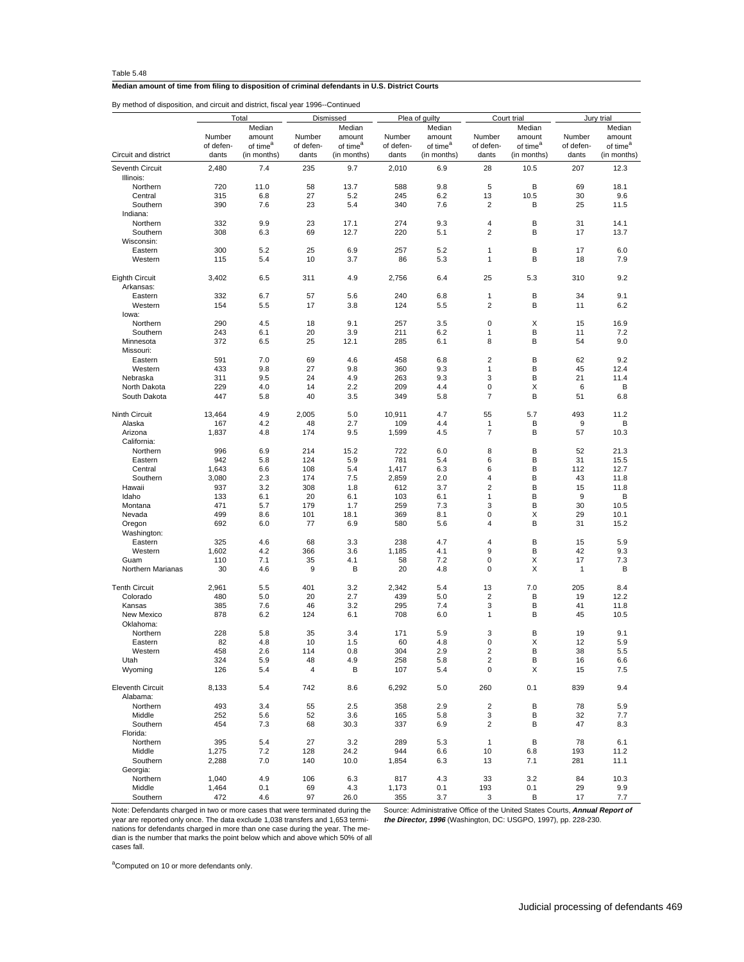Table 5.48

**Median amount of time from filing to disposition of criminal defendants in U.S. District Courts**

By method of disposition, and circuit and district, fiscal year 1996--Continued

|                       |           | Total                |                | Dismissed            |           | Plea of quilty       |                         | Court trial          |           | Jury trial           |
|-----------------------|-----------|----------------------|----------------|----------------------|-----------|----------------------|-------------------------|----------------------|-----------|----------------------|
|                       |           |                      |                |                      |           |                      |                         |                      |           |                      |
|                       |           | Median               |                | Median               |           | Median               |                         | Median               |           | Median               |
|                       | Number    | amount               | Number         | amount               | Number    | amount               | Number                  | amount               | Number    | amount               |
|                       | of defen- | of time <sup>a</sup> | of defen-      | of time <sup>a</sup> | of defen- | of time <sup>a</sup> | of defen-               | of time <sup>a</sup> | of defen- | of time <sup>a</sup> |
| Circuit and district  | dants     | (in months)          | dants          | (in months)          | dants     | (in months)          | dants                   | (in months)          | dants     | (in months)          |
|                       |           |                      |                |                      |           |                      |                         |                      |           |                      |
| Seventh Circuit       | 2,480     | 7.4                  | 235            | 9.7                  | 2,010     | 6.9                  | 28                      | 10.5                 | 207       | 12.3                 |
| Illinois:             |           |                      |                |                      |           |                      |                         |                      |           |                      |
| Northern              | 720       | 11.0                 | 58             | 13.7                 | 588       | 9.8                  | 5                       | B                    | 69        | 18.1                 |
| Central               | 315       | 6.8                  | 27             | 5.2                  | 245       | 6.2                  | 13                      | 10.5                 | 30        | 9.6                  |
| Southern              | 390       | 7.6                  | 23             | 5.4                  | 340       | 7.6                  | $\overline{2}$          | B                    | 25        | 11.5                 |
| Indiana:              |           |                      |                |                      |           |                      |                         |                      |           |                      |
| Northern              | 332       | 9.9                  | 23             | 17.1                 | 274       | 9.3                  | $\overline{\mathbf{4}}$ | B                    | 31        | 14.1                 |
| Southern              | 308       |                      | 69             | 12.7                 | 220       | 5.1                  | $\overline{2}$          | B                    | 17        | 13.7                 |
|                       |           | 6.3                  |                |                      |           |                      |                         |                      |           |                      |
| Wisconsin:            |           |                      |                |                      |           |                      |                         |                      |           |                      |
| Eastern               | 300       | 5.2                  | 25             | 6.9                  | 257       | 5.2                  | $\mathbf{1}$            | B                    | 17        | 6.0                  |
| Western               | 115       | 5.4                  | 10             | 3.7                  | 86        | 5.3                  | $\mathbf{1}$            | B                    | 18        | 7.9                  |
|                       |           |                      |                |                      |           |                      |                         |                      |           |                      |
| <b>Eighth Circuit</b> | 3,402     | 6.5                  | 311            | 4.9                  | 2,756     | 6.4                  | 25                      | 5.3                  | 310       | 9.2                  |
| Arkansas:             |           |                      |                |                      |           |                      |                         |                      |           |                      |
| Eastern               | 332       | 6.7                  | 57             | 5.6                  | 240       | 6.8                  | 1                       | B                    | 34        | 9.1                  |
|                       |           |                      |                |                      |           |                      |                         |                      |           |                      |
| Western               | 154       | 5.5                  | 17             | 3.8                  | 124       | 5.5                  | $\overline{2}$          | B                    | 11        | 6.2                  |
| lowa:                 |           |                      |                |                      |           |                      |                         |                      |           |                      |
| Northern              | 290       | 4.5                  | 18             | 9.1                  | 257       | 3.5                  | $\pmb{0}$               | X                    | 15        | 16.9                 |
| Southern              | 243       | 6.1                  | 20             | 3.9                  | 211       | 6.2                  | $\mathbf{1}$            | B                    | 11        | 7.2                  |
| Minnesota             | 372       | 6.5                  | 25             | 12.1                 | 285       | 6.1                  | 8                       | B                    | 54        | 9.0                  |
| Missouri:             |           |                      |                |                      |           |                      |                         |                      |           |                      |
|                       |           |                      |                |                      |           |                      |                         |                      |           |                      |
| Eastern               | 591       | 7.0                  | 69             | 4.6                  | 458       | 6.8                  | $\overline{2}$          | B                    | 62        | 9.2                  |
| Western               | 433       | 9.8                  | 27             | 9.8                  | 360       | 9.3                  | $\mathbf{1}$            | B                    | 45        | 12.4                 |
| Nebraska              | 311       | 9.5                  | 24             | 4.9                  | 263       | 9.3                  | 3                       | B                    | 21        | 11.4                 |
| North Dakota          | 229       | 4.0                  | 14             | 2.2                  | 209       | 4.4                  | $\mathsf 0$             | X                    | 6         | В                    |
| South Dakota          | 447       | 5.8                  | 40             | 3.5                  | 349       | 5.8                  | 7                       | B                    | 51        | 6.8                  |
|                       |           |                      |                |                      |           |                      |                         |                      |           |                      |
| <b>Ninth Circuit</b>  |           | 4.9                  | 2,005          | 5.0                  |           | 4.7                  |                         | 5.7                  | 493       | 11.2                 |
|                       | 13,464    |                      |                |                      | 10,911    |                      | 55                      |                      |           |                      |
| Alaska                | 167       | 4.2                  | 48             | 2.7                  | 109       | 4.4                  | $\mathbf{1}$            | B                    | 9         | В                    |
| Arizona               | 1,837     | 4.8                  | 174            | 9.5                  | 1,599     | 4.5                  | 7                       | B                    | 57        | 10.3                 |
| California:           |           |                      |                |                      |           |                      |                         |                      |           |                      |
| Northern              | 996       | 6.9                  | 214            | 15.2                 | 722       | 6.0                  | 8                       | B                    | 52        | 21.3                 |
| Eastern               | 942       | 5.8                  | 124            | 5.9                  | 781       | 5.4                  | 6                       | B                    | 31        | 15.5                 |
| Central               | 1,643     | 6.6                  | 108            | 5.4                  | 1,417     | 6.3                  | 6                       | B                    | 112       | 12.7                 |
| Southern              | 3,080     | 2.3                  | 174            | 7.5                  |           | 2.0                  | 4                       | B                    | 43        | 11.8                 |
|                       |           |                      |                |                      | 2,859     |                      |                         |                      |           |                      |
| Hawaii                | 937       | 3.2                  | 308            | 1.8                  | 612       | 3.7                  | $\overline{2}$          | B                    | 15        | 11.8                 |
| Idaho                 | 133       | 6.1                  | 20             | 6.1                  | 103       | 6.1                  | $\mathbf{1}$            | B                    | 9         | В                    |
| Montana               | 471       | 5.7                  | 179            | 1.7                  | 259       | 7.3                  | 3                       | B                    | 30        | 10.5                 |
| Nevada                | 499       | 8.6                  | 101            | 18.1                 | 369       | 8.1                  | $\pmb{0}$               | Х                    | 29        | 10.1                 |
| Oregon                | 692       | 6.0                  | 77             | 6.9                  | 580       | 5.6                  | 4                       | B                    | 31        | 15.2                 |
| Washington:           |           |                      |                |                      |           |                      |                         |                      |           |                      |
|                       | 325       | 4.6                  |                |                      | 238       | 4.7                  | $\overline{4}$          | B                    |           |                      |
| Eastern               |           |                      | 68             | 3.3                  |           |                      |                         |                      | 15        | 5.9                  |
| Western               | 1,602     | 4.2                  | 366            | 3.6                  | 1,185     | 4.1                  | 9                       | B                    | 42        | 9.3                  |
| Guam                  | 110       | 7.1                  | 35             | 4.1                  | 58        | 7.2                  | $\pmb{0}$               | X                    | 17        | 7.3                  |
| Northern Marianas     | 30        | 4.6                  | 9              | B                    | 20        | 4.8                  | 0                       | X                    | 1         | B                    |
|                       |           |                      |                |                      |           |                      |                         |                      |           |                      |
| <b>Tenth Circuit</b>  | 2,961     | 5.5                  | 401            | 3.2                  | 2,342     | 5.4                  | 13                      | 7.0                  | 205       | 8.4                  |
| Colorado              | 480       | 5.0                  | 20             | 2.7                  | 439       | 5.0                  | $\overline{2}$          | B                    | 19        | 12.2                 |
| Kansas                | 385       | 7.6                  | 46             | 3.2                  | 295       | 7.4                  | 3                       | B                    | 41        | 11.8                 |
|                       |           |                      |                |                      |           |                      |                         |                      |           |                      |
| New Mexico            | 878       | 6.2                  | 124            | 6.1                  | 708       | 6.0                  | $\mathbf{1}$            | B                    | 45        | 10.5                 |
| Oklahoma:             |           |                      |                |                      |           |                      |                         |                      |           |                      |
| Northern              | 228       | 5.8                  | 35             | 3.4                  | 171       | 5.9                  | 3                       | B                    | 19        | 9.1                  |
| Eastern               | 82        | 4.8                  | 10             | 1.5                  | 60        | 4.8                  | $\mathsf 0$             | X                    | 12        | 5.9                  |
| Western               | 458       | 2.6                  | 114            | 0.8                  | 304       | 2.9                  | $\overline{2}$          | B                    | 38        | 5.5                  |
| Utah                  | 324       | 5.9                  | 48             | 4.9                  | 258       | 5.8                  | $\overline{\mathbf{c}}$ | В                    | 16        | 6.6                  |
| Wyoming               | 126       | 5.4                  | $\overline{4}$ | B                    | 107       | 5.4                  | $\mathsf 0$             | X                    | 15        | 7.5                  |
|                       |           |                      |                |                      |           |                      |                         |                      |           |                      |
|                       |           |                      |                |                      |           |                      |                         |                      |           |                      |
| Eleventh Circuit      | 8,133     | 5.4                  | 742            | 8.6                  | 6,292     | 5.0                  | 260                     | 0.1                  | 839       | 9.4                  |
| Alabama:              |           |                      |                |                      |           |                      |                         |                      |           |                      |
| Northern              | 493       | 3.4                  | 55             | 2.5                  | 358       | 2.9                  | $\overline{2}$          | B                    | 78        | 5.9                  |
| Middle                | 252       | 5.6                  | 52             | 3.6                  | 165       | 5.8                  | 3                       | В                    | 32        | 7.7                  |
| Southern              | 454       | 7.3                  | 68             | 30.3                 | 337       | 6.9                  | $\overline{2}$          | В                    | 47        | 8.3                  |
| Florida:              |           |                      |                |                      |           |                      |                         |                      |           |                      |
|                       |           |                      |                |                      |           |                      |                         |                      |           |                      |
| Northern              | 395       | 5.4                  | 27             | 3.2                  | 289       | 5.3                  | $\mathbf{1}$            | B                    | 78        | 6.1                  |
| Middle                | 1,275     | 7.2                  | 128            | 24.2                 | 944       | 6.6                  | 10                      | 6.8                  | 193       | 11.2                 |
| Southern              | 2,288     | 7.0                  | 140            | 10.0                 | 1,854     | 6.3                  | 13                      | 7.1                  | 281       | 11.1                 |
| Georgia:              |           |                      |                |                      |           |                      |                         |                      |           |                      |
| Northern              | 1,040     | 4.9                  | 106            | 6.3                  | 817       | 4.3                  | 33                      | 3.2                  | 84        | 10.3                 |
| Middle                | 1,464     | 0.1                  | 69             | 4.3                  | 1,173     | 0.1                  | 193                     | 0.1                  | 29        | 9.9                  |
| Southern              | 472       | 4.6                  | 97             |                      |           |                      | 3                       | В                    | 17        |                      |
|                       |           |                      |                | 26.0                 | 355       | 3.7                  |                         |                      |           | 7.7                  |

Note: Defendants charged in two or more cases that were terminated during the year are reported only once. The data exclude 1,038 transfers and 1,653 terminations for defendants charged in more than one case during the year. The me-dian is the number that marks the point below which and above which 50% of all cases fall.

Source: Administrative Office of the United States Courts, **Annual Report of the Director, 1996** (Washington, DC: USGPO, 1997), pp. 228-230.

<sup>a</sup>Computed on 10 or more defendants only.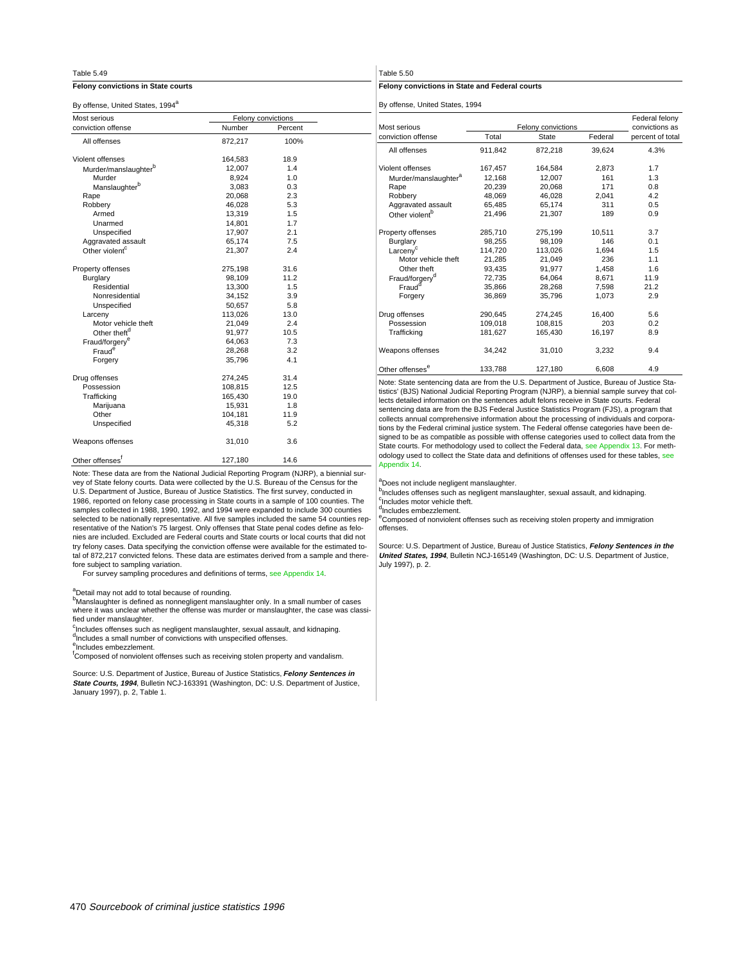| Table 5.49 |  |
|------------|--|
|------------|--|

**Felony convictions in State courts**

By offense, United States, 1994<sup>a</sup>

| Most serious                     |         | Felony convictions |  |
|----------------------------------|---------|--------------------|--|
| conviction offense               | Number  | Percent            |  |
| All offenses                     | 872,217 | 100%               |  |
| Violent offenses                 | 164,583 | 18.9               |  |
| Murder/manslaughter <sup>b</sup> | 12,007  | 1.4                |  |
| Murder                           | 8,924   | 1.0                |  |
| Manslaughter <sup>b</sup>        | 3,083   | 0.3                |  |
| Rape                             | 20,068  | 2.3                |  |
| Robbery                          | 46,028  | 5.3                |  |
| Armed                            | 13,319  | 1.5                |  |
| Unarmed                          | 14,801  | 1.7                |  |
| Unspecified                      | 17,907  | 2.1                |  |
| Aggravated assault               | 65,174  | 7.5                |  |
| Other violent <sup>c</sup>       | 21,307  | 2.4                |  |
| Property offenses                | 275,198 | 31.6               |  |
| Burglary                         | 98,109  | 11.2               |  |
| Residential                      | 13,300  | 1.5                |  |
| Nonresidential                   | 34,152  | 3.9                |  |
| Unspecified                      | 50,657  | 5.8                |  |
| Larceny                          | 113,026 | 13.0               |  |
| Motor vehicle theft              | 21,049  | 2.4                |  |
| Other theft <sup>d</sup>         | 91,977  | 10.5               |  |
| Fraud/forgery <sup>e</sup>       | 64,063  | 7.3                |  |
| Fraude                           | 28,268  | 3.2                |  |
| Forgery                          | 35,796  | 4.1                |  |
| Drug offenses                    | 274,245 | 31.4               |  |
| Possession                       | 108,815 | 12.5               |  |
| Trafficking                      | 165,430 | 19.0               |  |
| Marijuana                        | 15,931  | 1.8                |  |
| Other                            | 104,181 | 11.9               |  |
| Unspecified                      | 45,318  | 5.2                |  |
| Weapons offenses                 | 31,010  | 3.6                |  |
| Other offenses <sup>f</sup>      | 127,180 | 14.6               |  |

<span id="page-53-0"></span>Note: These data are from the National Judicial Reporting Program (NJRP), a biennial survey of State felony courts. Data were collected by the U.S. Bureau of the Census for the U.S. Department of Justice, Bureau of Justice Statistics. The first survey, conducted in 1986, reported on felony case processing in State courts in a sample of 100 counties. The samples collected in 1988, 1990, 1992, and 1994 were expanded to include 300 counties selected to be nationally representative. All five samples included the same 54 counties representative of the Nation's 75 largest. Only offenses that State penal codes define as felonies are included. Excluded are Federal courts and State courts or local courts that did not try felony cases. Data specifying the conviction offense were available for the estimated to-tal of 872,217 convicted felons. These data are estimates derived from a sample and therefore subject to sampling variation.

For survey sampling procedures and definitions of terms, [see Appendix 14.](#page-87-0)

<sup>a</sup>Detail may not add to total because of rounding.

<sup>b</sup>Manslaughter is defined as nonnegligent manslaughter only. In a small number of cases<br>where it was unclear whether the offense was murder or manslaughter, the case was classified under manslaughter.

<sup>c</sup>Includes offenses such as negligent manslaughter, sexual assault, and kidnaping. d<sub>Includes</sub> a small number of convictions with unspecified offenses.

e<br>Includes embezzlement.

<sup>f</sup>Composed of nonviolent offenses such as receiving stolen property and vandalism.

Source: U.S. Department of Justice, Bureau of Justice Statistics, **Felony Sentences in State Courts, 1994**, Bulletin NCJ-163391 (Washington, DC: U.S. Department of Justice, January 1997), p. 2, Table 1.

#### Table 5.50

**Felony convictions in State and Federal courts**

By offense, United States, 1994

|                                  |         |                    |         | Federal felony   |
|----------------------------------|---------|--------------------|---------|------------------|
| Most serious                     |         | Felony convictions |         | convictions as   |
| conviction offense               | Total   | State              | Federal | percent of total |
| All offenses                     | 911.842 | 872,218            | 39,624  | 4.3%             |
| Violent offenses                 | 167,457 | 164,584            | 2,873   | 1.7              |
| Murder/manslaughter <sup>a</sup> | 12,168  | 12,007             | 161     | 1.3              |
| Rape                             | 20,239  | 20,068             | 171     | 0.8              |
| Robbery                          | 48.069  | 46,028             | 2.041   | 4.2              |
| Aggravated assault               | 65,485  | 65,174             | 311     | 0.5              |
| Other violent <sup>b</sup>       | 21,496  | 21,307             | 189     | 0.9              |
| Property offenses                | 285,710 | 275,199            | 10,511  | 3.7              |
| Burglary                         | 98,255  | 98,109             | 146     | 0.1              |
| Larceny <sup>c</sup>             | 114.720 | 113.026            | 1.694   | 1.5              |
| Motor vehicle theft              | 21,285  | 21,049             | 236     | 1.1              |
| Other theft                      | 93,435  | 91,977             | 1,458   | 1.6              |
| Fraud/forgery <sup>d</sup>       | 72,735  | 64,064             | 8,671   | 11.9             |
| Fraud <sup>a</sup>               | 35.866  | 28,268             | 7.598   | 21.2             |
| Forgery                          | 36.869  | 35,796             | 1.073   | 2.9              |
| Drug offenses                    | 290,645 | 274,245            | 16,400  | 5.6              |
| Possession                       | 109,018 | 108,815            | 203     | 0.2              |
| Trafficking                      | 181,627 | 165,430            | 16,197  | 8.9              |
| Weapons offenses                 | 34.242  | 31.010             | 3,232   | 9.4              |
| Other offenses <sup>e</sup>      | 133,788 | 127,180            | 6,608   | 4.9              |

<span id="page-53-1"></span>Note: State sentencing data are from the U.S. Department of Justice, Bureau of Justice Statistics' (BJS) National Judicial Reporting Program (NJRP), a biennial sample survey that collects detailed information on the sentences adult felons receive in State courts. Federal sentencing data are from the BJS Federal Justice Statistics Program (FJS), a program that collects annual comprehensive information about the processing of individuals and corporations by the Federal criminal justice system. The Federal offense categories have been designed to be as compatible as possible with offense categories used to collect data from the State courts. For methodology used to collect the Federal data, [see Appendix 13.](#page-83-0) For meth-odology used to collect the State data and definitions of offenses used for these tables[, see](#page-87-0) [Appendix 14.](#page-87-0)

<sup>a</sup>Does not include negligent manslaughter.

b<br>Includes offenses such as negligent manslaughter, sexual assault, and kidnaping. <sup>c</sup>Includes motor vehicle theft.

<sup>d</sup>Includes embezzlement.

e<br>Composed of nonviolent offenses such as receiving stolen property and immigration offenses.

Source: U.S. Department of Justice, Bureau of Justice Statistics, **Felony Sentences in the United States, 1994**, Bulletin NCJ-165149 (Washington, DC: U.S. Department of Justice, July 1997), p. 2.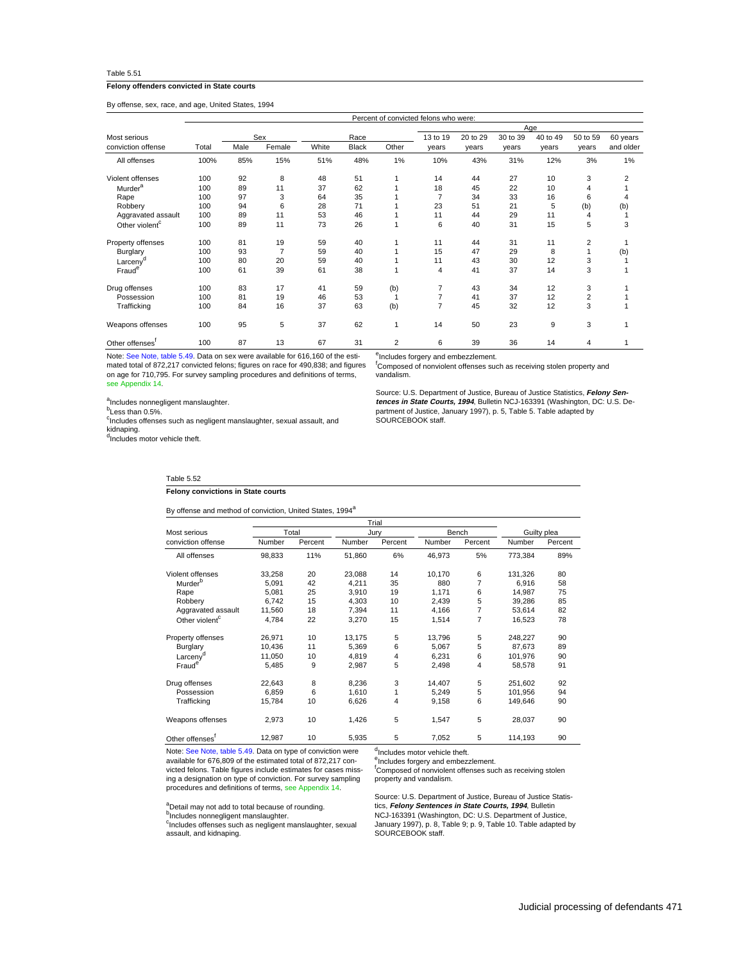### **Felony offenders convicted in State courts**

By offense, sex, race, and age, United States, 1994

|                            | Percent of convicted felons who were: |      |                |       |              |                |                |          |          |          |                |           |  |
|----------------------------|---------------------------------------|------|----------------|-------|--------------|----------------|----------------|----------|----------|----------|----------------|-----------|--|
|                            |                                       |      |                |       |              |                |                | Age      |          |          |                |           |  |
| Most serious               |                                       | Sex  |                |       | Race         |                |                | 20 to 29 | 30 to 39 | 40 to 49 | 50 to 59       | 60 years  |  |
| conviction offense         | Total                                 | Male | Female         | White | <b>Black</b> | Other          | years          | years    | years    | years    | years          | and older |  |
| All offenses               | 100%                                  | 85%  | 15%            | 51%   | 48%          | 1%             | 10%            | 43%      | 31%      | 12%      | 3%             | 1%        |  |
| Violent offenses           | 100                                   | 92   | 8              | 48    | 51           | 1              | 14             | 44       | 27       | 10       | 3              | 2         |  |
| Murder <sup>a</sup>        | 100                                   | 89   | 11             | 37    | 62           |                | 18             | 45       | 22       | 10       | $\overline{4}$ |           |  |
| Rape                       | 100                                   | 97   | 3              | 64    | 35           |                | $\overline{7}$ | 34       | 33       | 16       | 6              | 4         |  |
| Robbery                    | 100                                   | 94   | 6              | 28    | 71           |                | 23             | 51       | 21       | 5        | (b)            | (b)       |  |
| Aggravated assault         | 100                                   | 89   | 11             | 53    | 46           |                | 11             | 44       | 29       | 11       | $\overline{4}$ |           |  |
| Other violent <sup>c</sup> | 100                                   | 89   | 11             | 73    | 26           | 1              | 6              | 40       | 31       | 15       | 5              | 3         |  |
| Property offenses          | 100                                   | 81   | 19             | 59    | 40           | $\mathbf{1}$   | 11             | 44       | 31       | 11       | $\overline{2}$ |           |  |
| Burglary                   | 100                                   | 93   | $\overline{7}$ | 59    | 40           |                | 15             | 47       | 29       | 8        |                | (b)       |  |
| Larceny <sup>d</sup>       | 100                                   | 80   | 20             | 59    | 40           |                | 11             | 43       | 30       | 12       | 3              |           |  |
| Fraude                     | 100                                   | 61   | 39             | 61    | 38           | 1              | $\overline{4}$ | 41       | 37       | 14       | 3              |           |  |
| Drug offenses              | 100                                   | 83   | 17             | 41    | 59           | (b)            | $\overline{7}$ | 43       | 34       | 12       | 3              |           |  |
| Possession                 | 100                                   | 81   | 19             | 46    | 53           |                | 7              | 41       | 37       | 12       | $\overline{2}$ |           |  |
| Trafficking                | 100                                   | 84   | 16             | 37    | 63           | (b)            | 7              | 45       | 32       | 12       | 3              |           |  |
| Weapons offenses           | 100                                   | 95   | 5              | 37    | 62           | 1              | 14             | 50       | 23       | 9        | 3              |           |  |
| Other offenses             | 100                                   | 87   | 13             | 67    | 31           | $\overline{2}$ | 6              | 39       | 36       | 14       | 4              | 1         |  |

Note: [See Note, table 5.49.](#page-53-0) Data on sex were available for 616,160 of the estimated total of 872,217 convicted felons; figures on race for 490,838; and figures on age for 710,795. For survey sampling procedures and definitions of terms, [see Appendix 14.](#page-87-0)

<sup>e</sup>Includes forgery and embezzlement.

fcomposed of nonviolent offenses such as receiving stolen property and vandalism.

<sup>a</sup>Includes nonnegligent manslaughter.

<sup>b</sup>Less than 0.5%.

<sup>c</sup>Includes offenses such as negligent manslaughter, sexual assault, and kidnaping.

<sup>d</sup>Includes motor vehicle theft.

#### Table 5.52

**Felony convictions in State courts**

By offense and method of conviction, United States, 1994<sup>a</sup>

|                            |        |         |        | Trial        |        |         |         |             |
|----------------------------|--------|---------|--------|--------------|--------|---------|---------|-------------|
| Most serious               | Total  |         |        | Jury         |        | Bench   |         | Guilty plea |
| conviction offense         | Number | Percent | Number | Percent      | Number | Percent | Number  | Percent     |
| All offenses               | 98,833 | 11%     | 51,860 | 6%           | 46,973 | 5%      | 773,384 | 89%         |
| Violent offenses           | 33,258 | 20      | 23,088 | 14           | 10,170 | 6       | 131,326 | 80          |
| Murderb                    | 5,091  | 42      | 4,211  | 35           | 880    | 7       | 6,916   | 58          |
| Rape                       | 5,081  | 25      | 3,910  | 19           | 1,171  | 6       | 14,987  | 75          |
| Robbery                    | 6,742  | 15      | 4,303  | 10           | 2,439  | 5       | 39,286  | 85          |
| Aggravated assault         | 11,560 | 18      | 7,394  | 11           | 4,166  | 7       | 53,614  | 82          |
| Other violent <sup>c</sup> | 4,784  | 22      | 3,270  | 15           | 1,514  | 7       | 16,523  | 78          |
| Property offenses          | 26,971 | 10      | 13,175 | 5            | 13,796 | 5       | 248,227 | 90          |
| Burglary                   | 10,436 | 11      | 5,369  | 6            | 5,067  | 5       | 87.673  | 89          |
| Larceny <sup>d</sup>       | 11,050 | 10      | 4,819  | 4            | 6,231  | 6       | 101,976 | 90          |
| Fraude                     | 5,485  | 9       | 2,987  | 5            | 2,498  | 4       | 58,578  | 91          |
| Drug offenses              | 22,643 | 8       | 8,236  | 3            | 14,407 | 5       | 251,602 | 92          |
| Possession                 | 6,859  | 6       | 1,610  | $\mathbf{1}$ | 5,249  | 5       | 101,956 | 94          |
| Trafficking                | 15,784 | 10      | 6,626  | 4            | 9,158  | 6       | 149,646 | 90          |
| Weapons offenses           | 2,973  | 10      | 1,426  | 5            | 1,547  | 5       | 28,037  | 90          |
| Other offenses             | 12,987 | 10      | 5,935  | 5            | 7,052  | 5       | 114,193 | 90          |

Note[: See Note, table 5.49.](#page-53-0) Data on type of conviction were

available for 676,809 of the estimated total of 872,217 convicted felons. Table figures include estimates for cases missing a designation on type of conviction. For survey sampling procedures and definitions of terms[, see Appendix 14.](#page-87-0)

<sup>a</sup>Detail may not add to total because of rounding.

**b**Includes nonnegligent manslaughter.

c Includes offenses such as negligent manslaughter, sexual assault, and kidnaping.

<sup>d</sup>Includes motor vehicle theft.

e<br>Includes forgery and embezzlement.

f Composed of nonviolent offenses such as receiving stolen property and vandalism.

Source: U.S. Department of Justice, Bureau of Justice Statistics, **Felony Sentences in State Courts, 1994**, Bulletin NCJ-163391 (Washington, DC: U.S. Department of Justice, January 1997), p. 8, Table 9; p. 9, Table 10. Table adapted by SOURCEBOOK staff.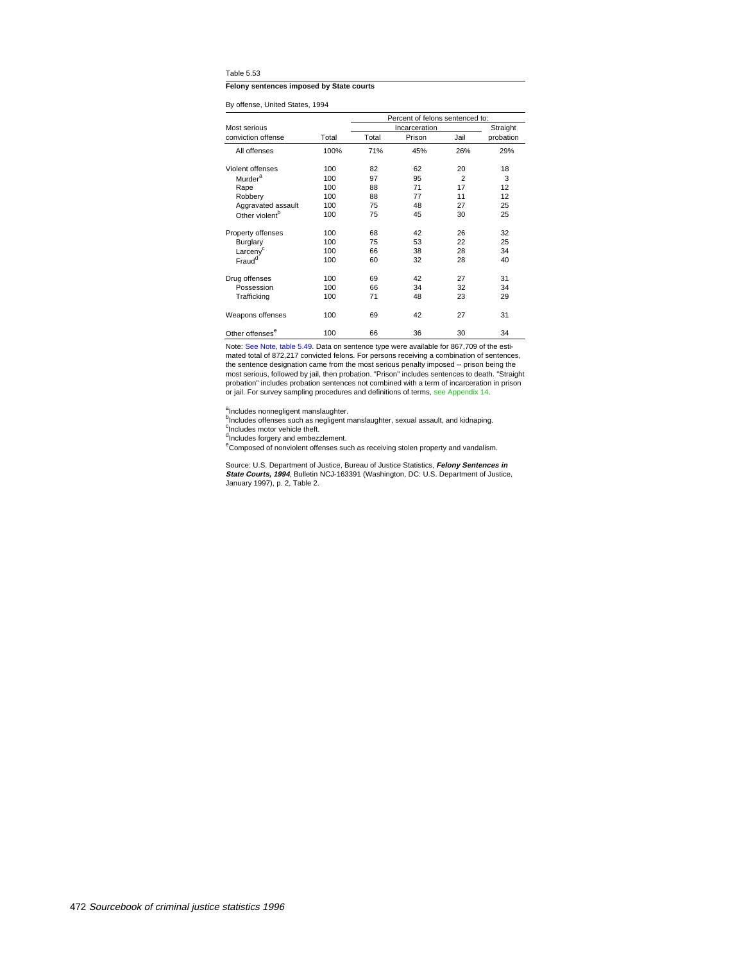### **Felony sentences imposed by State courts**

By offense, United States, 1994

|                             |       | Percent of felons sentenced to: |               |      |           |  |  |  |  |
|-----------------------------|-------|---------------------------------|---------------|------|-----------|--|--|--|--|
| Most serious                |       |                                 | Incarceration |      | Straight  |  |  |  |  |
| conviction offense          | Total | Total                           | Prison        | Jail | probation |  |  |  |  |
| All offenses                | 100%  | 71%                             | 45%           | 26%  | 29%       |  |  |  |  |
| Violent offenses            | 100   | 82                              | 62            | 20   | 18        |  |  |  |  |
| Murder <sup>a</sup>         | 100   | 97                              | 95            | 2    | 3         |  |  |  |  |
| Rape                        | 100   | 88                              | 71            | 17   | 12        |  |  |  |  |
| Robbery                     | 100   | 88                              | 77            | 11   | 12        |  |  |  |  |
| Aggravated assault          | 100   | 75                              | 48            | 27   | 25        |  |  |  |  |
| Other violent <sup>b</sup>  | 100   | 75                              | 45            | 30   | 25        |  |  |  |  |
| Property offenses           | 100   | 68                              | 42            | 26   | 32        |  |  |  |  |
| Burglary                    | 100   | 75                              | 53            | 22   | 25        |  |  |  |  |
| Larceny <sup>c</sup>        | 100   | 66                              | 38            | 28   | 34        |  |  |  |  |
| Fraud <sup>d</sup>          | 100   | 60                              | 32            | 28   | 40        |  |  |  |  |
| Drug offenses               | 100   | 69                              | 42            | 27   | 31        |  |  |  |  |
| Possession                  | 100   | 66                              | 34            | 32   | 34        |  |  |  |  |
| Trafficking                 | 100   | 71                              | 48            | 23   | 29        |  |  |  |  |
| Weapons offenses            | 100   | 69                              | 42            | 27   | 31        |  |  |  |  |
| Other offenses <sup>e</sup> | 100   | 66                              | 36            | 30   | 34        |  |  |  |  |

<span id="page-55-0"></span>Note: [See Note, table 5.49. D](#page-53-0)ata on sentence type were available for 867,709 of the estimated total of 872,217 convicted felons. For persons receiving a combination of sentences, the sentence designation came from the most serious penalty imposed -- prison being the<br>most serious, followed by jail, then probation. "Prison" includes sentences to death. "Straight<br>probation" includes probation sentence or jail. For survey sampling procedures and definitions of terms, [see Appendix 14.](#page-87-0)

a<br>Includes nonnegligent manslaughter.

b<br>Includes offenses such as negligent manslaughter, sexual assault, and kidnaping.

<sup>c</sup>Includes motor vehicle theft.<br><sup>d</sup>Includes forgery and embezzlement.

eComposed of nonviolent offenses such as receiving stolen property and vandalism.

Source: U.S. Department of Justice, Bureau of Justice Statistics, **Felony Sentences in State Courts, 1994**, Bulletin NCJ-163391 (Washington, DC: U.S. Department of Justice, January 1997), p. 2, Table 2.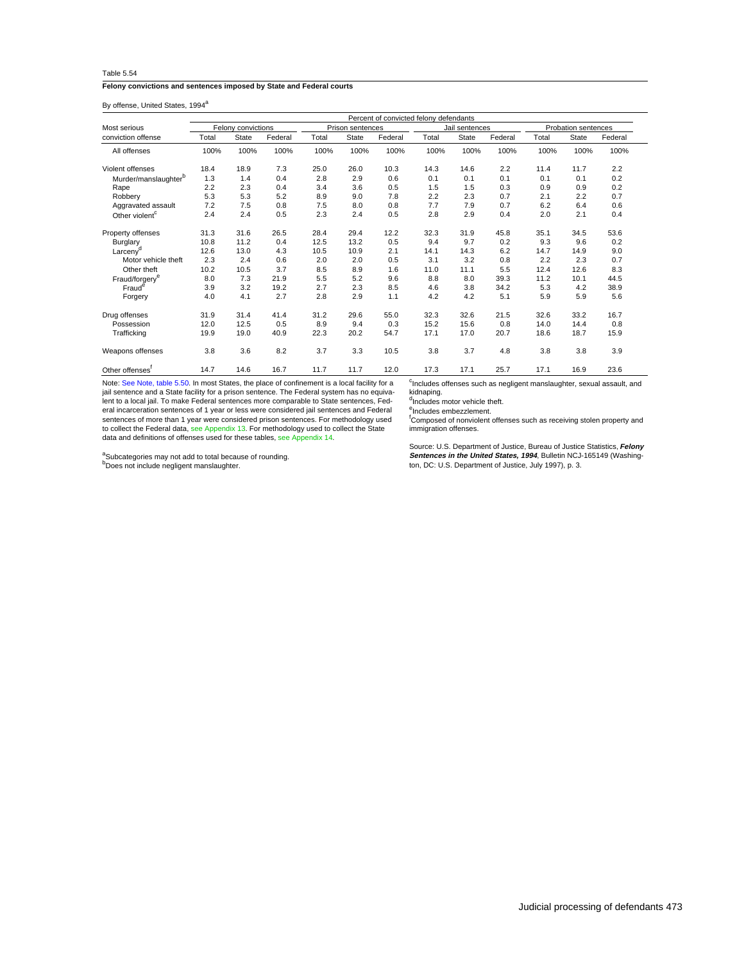### **Felony convictions and sentences imposed by State and Federal courts**

By offense, United States, 1994<sup>a</sup>

|                                  | Percent of convicted felony defendants |                    |         |       |                  |         |       |                |         |       |                     |         |
|----------------------------------|----------------------------------------|--------------------|---------|-------|------------------|---------|-------|----------------|---------|-------|---------------------|---------|
| Most serious                     |                                        | Felony convictions |         |       | Prison sentences |         |       | Jail sentences |         |       | Probation sentences |         |
| conviction offense               | Total                                  | <b>State</b>       | Federal | Total | State            | Federal | Total | State          | Federal | Total | State               | Federal |
| All offenses                     | 100%                                   | 100%               | 100%    | 100%  | 100%             | 100%    | 100%  | 100%           | 100%    | 100%  | 100%                | 100%    |
| Violent offenses                 | 18.4                                   | 18.9               | 7.3     | 25.0  | 26.0             | 10.3    | 14.3  | 14.6           | 2.2     | 11.4  | 11.7                | 2.2     |
| Murder/manslaughter <sup>b</sup> | 1.3                                    | 1.4                | 0.4     | 2.8   | 2.9              | 0.6     | 0.1   | 0.1            | 0.1     | 0.1   | 0.1                 | 0.2     |
| Rape                             | 2.2                                    | 2.3                | 0.4     | 3.4   | 3.6              | 0.5     | 1.5   | 1.5            | 0.3     | 0.9   | 0.9                 | 0.2     |
| Robbery                          | 5.3                                    | 5.3                | 5.2     | 8.9   | 9.0              | 7.8     | 2.2   | 2.3            | 0.7     | 2.1   | 2.2                 | 0.7     |
| Aggravated assault               | 7.2                                    | 7.5                | 0.8     | 7.5   | 8.0              | 0.8     | 7.7   | 7.9            | 0.7     | 6.2   | 6.4                 | 0.6     |
| Other violent <sup>c</sup>       | 2.4                                    | 2.4                | 0.5     | 2.3   | 2.4              | 0.5     | 2.8   | 2.9            | 0.4     | 2.0   | 2.1                 | 0.4     |
| Property offenses                | 31.3                                   | 31.6               | 26.5    | 28.4  | 29.4             | 12.2    | 32.3  | 31.9           | 45.8    | 35.1  | 34.5                | 53.6    |
| Burglary                         | 10.8                                   | 11.2               | 0.4     | 12.5  | 13.2             | 0.5     | 9.4   | 9.7            | 0.2     | 9.3   | 9.6                 | 0.2     |
| Larceny <sup>d</sup>             | 12.6                                   | 13.0               | 4.3     | 10.5  | 10.9             | 2.1     | 14.1  | 14.3           | 6.2     | 14.7  | 14.9                | 9.0     |
| Motor vehicle theft              | 2.3                                    | 2.4                | 0.6     | 2.0   | 2.0              | 0.5     | 3.1   | 3.2            | 0.8     | 2.2   | 2.3                 | 0.7     |
| Other theft                      | 10.2                                   | 10.5               | 3.7     | 8.5   | 8.9              | 1.6     | 11.0  | 11.1           | 5.5     | 12.4  | 12.6                | 8.3     |
| Fraud/forgery <sup>e</sup>       | 8.0                                    | 7.3                | 21.9    | 5.5   | 5.2              | 9.6     | 8.8   | 8.0            | 39.3    | 11.2  | 10.1                | 44.5    |
| Fraud <sup>®</sup>               | 3.9                                    | 3.2                | 19.2    | 2.7   | 2.3              | 8.5     | 4.6   | 3.8            | 34.2    | 5.3   | 4.2                 | 38.9    |
| Forgery                          | 4.0                                    | 4.1                | 2.7     | 2.8   | 2.9              | 1.1     | 4.2   | 4.2            | 5.1     | 5.9   | 5.9                 | 5.6     |
| Drug offenses                    | 31.9                                   | 31.4               | 41.4    | 31.2  | 29.6             | 55.0    | 32.3  | 32.6           | 21.5    | 32.6  | 33.2                | 16.7    |
| Possession                       | 12.0                                   | 12.5               | 0.5     | 8.9   | 9.4              | 0.3     | 15.2  | 15.6           | 0.8     | 14.0  | 14.4                | 0.8     |
| Trafficking                      | 19.9                                   | 19.0               | 40.9    | 22.3  | 20.2             | 54.7    | 17.1  | 17.0           | 20.7    | 18.6  | 18.7                | 15.9    |
| Weapons offenses                 | 3.8                                    | 3.6                | 8.2     | 3.7   | 3.3              | 10.5    | 3.8   | 3.7            | 4.8     | 3.8   | 3.8                 | 3.9     |
| Other offenses                   | 14.7                                   | 14.6               | 16.7    | 11.7  | 11.7             | 12.0    | 17.3  | 17.1           | 25.7    | 17.1  | 16.9                | 23.6    |

<span id="page-56-0"></span>Note: [See Note, table 5.50. I](#page-53-1)n most States, the place of confinement is a local facility for a jail sentence and a State facility for a prison sentence. The Federal system has no equivalent to a local jail. To make Federal sentences more comparable to State sentences, Federal incarceration sentences of 1 year or less were considered jail sentences and Federal sentences of more than 1 year were considered prison sentences. For methodology used to collect the Federal data[, see Appendix 13.](#page-83-0) For methodology used to collect the State<br>data and definitions of offenses used for these tables[, see Appendix 14.](#page-87-0)

<sup>c</sup>Includes offenses such as negligent manslaughter, sexual assault, and<br>kidnaping.

d<sub>Includes</sub> motor vehicle theft.

e<br>Includes embezzlement.

<sup>f</sup>Composed of nonviolent offenses such as receiving stolen property and immigration offenses.

<sup>a</sup>Subcategories may not add to total because of rounding.<br><sup>b</sup>Does not include negligent manslaughter.

Source: U.S. Department of Justice, Bureau of Justice Statistics, **Felony Sentences in the United States, 1994**, Bulletin NCJ-165149 (Washington, DC: U.S. Department of Justice, July 1997), p. 3.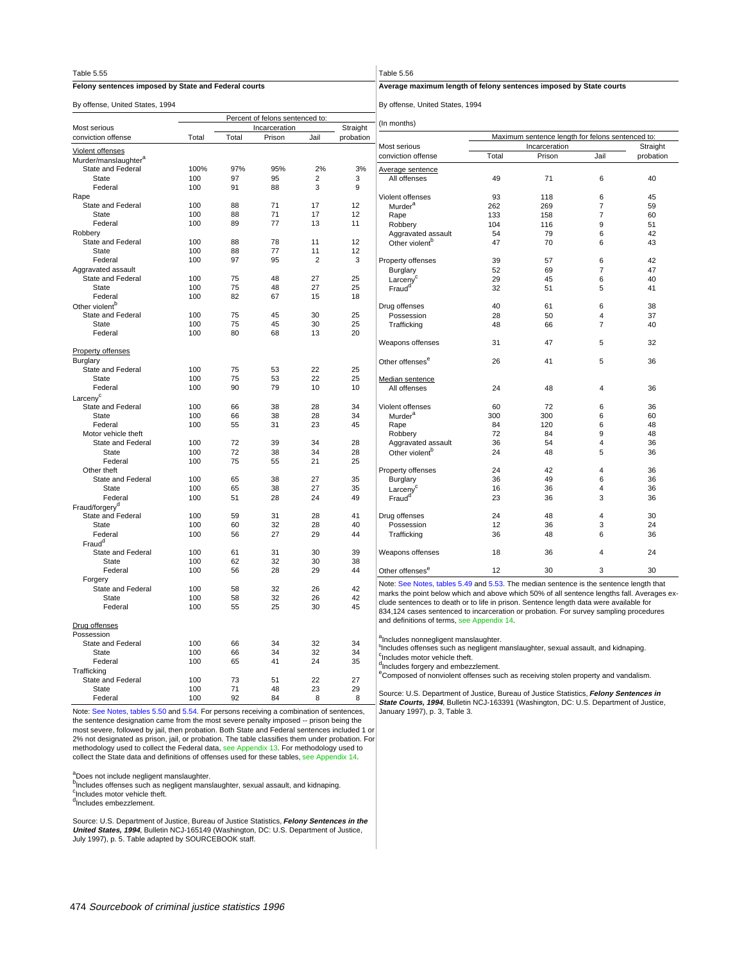| Table 5.55                                           |            |          | Table 5.56                      |                |           |                                                                                                                          |            |                                         |                                  |  |  |
|------------------------------------------------------|------------|----------|---------------------------------|----------------|-----------|--------------------------------------------------------------------------------------------------------------------------|------------|-----------------------------------------|----------------------------------|--|--|
| Felony sentences imposed by State and Federal courts |            |          |                                 |                |           | Average maximum length of felony sentences imposed by State courts<br>By offense, United States, 1994                    |            |                                         |                                  |  |  |
| By offense, United States, 1994                      |            |          |                                 |                |           |                                                                                                                          |            |                                         |                                  |  |  |
|                                                      |            |          | Percent of felons sentenced to: |                |           | (In months)                                                                                                              |            |                                         |                                  |  |  |
| Most serious                                         |            |          | Incarceration                   |                | Straight  |                                                                                                                          |            |                                         |                                  |  |  |
| conviction offense                                   | Total      | Total    | Prison                          | Jail           | probation |                                                                                                                          |            | Maximum sentence length for felons sent |                                  |  |  |
| <b>Violent offenses</b>                              |            |          |                                 |                |           | Most serious<br>conviction offense                                                                                       | Total      | Incarceration<br>Prison                 | Jail                             |  |  |
| Murder/manslaughter <sup>a</sup>                     |            |          |                                 |                |           |                                                                                                                          |            |                                         |                                  |  |  |
| State and Federal                                    | 100%       | 97%      | 95%                             | 2%             | 3%        | Average sentence                                                                                                         |            |                                         |                                  |  |  |
| <b>State</b>                                         | 100        | 97       | 95                              | $\overline{2}$ | 3         | All offenses                                                                                                             | 49         | 71                                      | 6                                |  |  |
| Federal                                              | 100        | 91       | 88                              | 3              | 9         |                                                                                                                          |            |                                         |                                  |  |  |
| Rape<br><b>State and Federal</b>                     |            |          |                                 |                |           | Violent offenses                                                                                                         | 93         | 118                                     | 6                                |  |  |
| <b>State</b>                                         | 100<br>100 | 88<br>88 | 71<br>71                        | 17<br>17       | 12<br>12  | Murder <sup>a</sup>                                                                                                      | 262<br>133 | 269<br>158                              | $\overline{7}$<br>$\overline{7}$ |  |  |
| Federal                                              | 100        | 89       | 77                              | 13             | 11        | Rape                                                                                                                     | 104        | 116                                     | 9                                |  |  |
| Robbery                                              |            |          |                                 |                |           | Robbery<br>Aggravated assault                                                                                            | 54         | 79                                      | 6                                |  |  |
| State and Federal                                    | 100        | 88       | 78                              | 11             | 12        | Other violent <sup>b</sup>                                                                                               | 47         | 70                                      | 6                                |  |  |
| State                                                | 100        | 88       | 77                              | 11             | 12        |                                                                                                                          |            |                                         |                                  |  |  |
| Federal                                              | 100        | 97       | 95                              | $\overline{2}$ | 3         | Property offenses                                                                                                        | 39         | 57                                      | 6                                |  |  |
| Aggravated assault                                   |            |          |                                 |                |           | Burglary                                                                                                                 | 52         | 69                                      | $\overline{7}$                   |  |  |
| State and Federal                                    | 100        | 75       | 48                              | 27             | 25        | Larceny <sup>c</sup>                                                                                                     | 29         | 45                                      | 6                                |  |  |
| <b>State</b>                                         | 100        | 75       | 48                              | 27             | 25        | Fraud <sup>a</sup>                                                                                                       | 32         | 51                                      | 5                                |  |  |
| Federal                                              | 100        | 82       | 67                              | 15             | 18        |                                                                                                                          |            |                                         |                                  |  |  |
| Other violent <sup>b</sup>                           |            |          |                                 |                |           | Drug offenses                                                                                                            | 40         | 61                                      | 6                                |  |  |
| <b>State and Federal</b>                             | 100        | 75       | 45                              | 30             | 25        | Possession                                                                                                               | 28         | 50                                      | 4                                |  |  |
| State                                                | 100        | 75       | 45                              | 30             | 25        | Trafficking                                                                                                              | 48         | 66                                      | 7                                |  |  |
| Federal                                              | 100        | 80       | 68                              | 13             | 20        | Weapons offenses                                                                                                         | 31         | 47                                      | 5                                |  |  |
| Property offenses                                    |            |          |                                 |                |           |                                                                                                                          |            |                                         |                                  |  |  |
| Burglary                                             |            |          |                                 |                |           | Other offenses <sup>e</sup>                                                                                              | 26         | 41                                      | 5                                |  |  |
| State and Federal                                    | 100        | 75       | 53                              | 22             | 25        |                                                                                                                          |            |                                         |                                  |  |  |
| State                                                | 100        | 75       | 53                              | 22             | 25        | Median sentence                                                                                                          |            |                                         |                                  |  |  |
| Federal                                              | 100        | 90       | 79                              | 10             | 10        | All offenses                                                                                                             | 24         | 48                                      | 4                                |  |  |
| Larceny <sup>c</sup>                                 |            |          |                                 |                |           |                                                                                                                          |            |                                         |                                  |  |  |
| State and Federal                                    | 100        | 66       | 38                              | 28             | 34        | Violent offenses                                                                                                         | 60         | 72                                      | 6                                |  |  |
| State                                                | 100        | 66       | 38                              | 28             | 34        | Murder <sup>a</sup>                                                                                                      | 300        | 300                                     | 6<br>6                           |  |  |
| Federal<br>Motor vehicle theft                       | 100        | 55       | 31                              | 23             | 45        | Rape<br>Robbery                                                                                                          | 84<br>72   | 120<br>84                               | 9                                |  |  |
| State and Federal                                    | 100        | 72       | 39                              | 34             | 28        | Aggravated assault                                                                                                       | 36         | 54                                      | 4                                |  |  |
| <b>State</b>                                         | 100        | 72       | 38                              | 34             | 28        | Other violent <sup>b</sup>                                                                                               | 24         | 48                                      | 5                                |  |  |
| Federal                                              | 100        | 75       | 55                              | 21             | 25        |                                                                                                                          |            |                                         |                                  |  |  |
| Other theft                                          |            |          |                                 |                |           | Property offenses                                                                                                        | 24         | 42                                      | 4                                |  |  |
| State and Federal                                    | 100        | 65       | 38                              | 27             | 35        | Burglary                                                                                                                 | 36         | 49                                      | 6                                |  |  |
| State                                                | 100        | 65       | 38                              | 27             | 35        | Larceny <sup>c</sup>                                                                                                     | 16         | 36                                      | 4                                |  |  |
| Federal                                              | 100        | 51       | 28                              | 24             | 49        | Fraud <sup>d</sup>                                                                                                       | 23         | 36                                      | 3                                |  |  |
| Fraud/forgery <sup>d</sup>                           |            |          |                                 |                |           |                                                                                                                          |            |                                         |                                  |  |  |
| State and Federal                                    | 100        | 59       | 31                              | 28             | 41        | Drug offenses                                                                                                            | 24         | 48                                      | 4                                |  |  |
| State                                                | 100        | 60       | 32                              | 28             | 40        | Possession                                                                                                               | 12         | 36                                      | 3                                |  |  |
| Federal                                              | 100        | 56       | 27                              | 29             | 44        | Trafficking                                                                                                              | 36         | 48                                      | 6                                |  |  |
| Fraud <sup>d</sup>                                   |            |          |                                 |                |           |                                                                                                                          |            |                                         |                                  |  |  |
| State and Federal                                    | 100        | 61       | 31                              | 30             | 39        | Weapons offenses                                                                                                         | 18         | 36                                      | $\overline{4}$                   |  |  |
| <b>State</b>                                         | 100        | 62       | 32                              | 30             | 38        |                                                                                                                          |            |                                         |                                  |  |  |
| Federal<br>Forgery                                   | 100        | 56       | 28                              | 29             | 44        | Other offenses <sup>e</sup>                                                                                              | 12         | 30                                      | 3                                |  |  |
| State and Federal                                    | 100        | 58       | 32                              | 26             | 42        | Note: See Notes, tables 5.49 and 5.53. The median sentence is the sentence                                               |            |                                         |                                  |  |  |
| State                                                | 100        | 58       | 32                              | 26             | 42        | marks the point below which and above which 50% of all sentence lengths fa                                               |            |                                         |                                  |  |  |
| Federal                                              | 100        | 55       | 25                              | 30             | 45        | clude sentences to death or to life in prison. Sentence length data were avail                                           |            |                                         |                                  |  |  |
| Drug offenses                                        |            |          |                                 |                |           | 834,124 cases sentenced to incarceration or probation. For survey sampling<br>and definitions of terms, see Appendix 14. |            |                                         |                                  |  |  |
| Possession<br>State and Federal                      | 100        | 66       | 34                              | 32             | 34        | <sup>a</sup> Includes nonnegligent manslaughter.                                                                         |            |                                         |                                  |  |  |
| State                                                | 100        | 66       | 34                              | 32             | 34        | bIncludes offenses such as negligent manslaughter, sexual assault, and kidn                                              |            |                                         |                                  |  |  |
| Federal                                              | 100        | 65       | 41                              | 24             | 35        | <sup>c</sup> Includes motor vehicle theft.                                                                               |            |                                         |                                  |  |  |
| Trafficking                                          |            |          |                                 |                |           | <sup>d</sup> Includes forgery and embezzlement.                                                                          |            |                                         |                                  |  |  |
| State and Federal                                    | 100        | 73       | 51                              | 22             | 27        | <sup>e</sup> Composed of nonviolent offenses such as receiving stolen property and var                                   |            |                                         |                                  |  |  |
|                                                      |            | 71       | 48                              | 23             | 29        |                                                                                                                          |            |                                         |                                  |  |  |
| <b>State</b>                                         | 100        |          |                                 |                |           | Source: U.S. Department of Justice, Bureau of Justice Statistics, Felony Sel                                             |            |                                         |                                  |  |  |

| (In months)                 |       |                                                  |                |           |
|-----------------------------|-------|--------------------------------------------------|----------------|-----------|
|                             |       | Maximum sentence length for felons sentenced to: |                |           |
| Most serious                |       | Incarceration                                    |                | Straight  |
| conviction offense          | Total | Prison                                           | Jail           | probation |
| Average sentence            |       |                                                  |                |           |
| All offenses                | 49    | 71                                               | 6              | 40        |
| Violent offenses            | 93    | 118                                              | 6              | 45        |
| Murder <sup>a</sup>         | 262   | 269                                              | 7              | 59        |
| Rape                        | 133   | 158                                              | 7              | 60        |
| Robbery                     | 104   | 116                                              | 9              | 51        |
| Aggravated assault          | 54    | 79                                               | 6              | 42        |
| Other violent <sup>b</sup>  | 47    | 70                                               | 6              | 43        |
| Property offenses           | 39    | 57                                               | 6              | 42        |
| <b>Burglary</b>             | 52    | 69                                               | 7              | 47        |
| Larceny <sup>c</sup>        | 29    | 45                                               | 6              | 40        |
| Fraud <sup>d</sup>          | 32    | 51                                               | 5              | 41        |
| Drug offenses               | 40    | 61                                               | 6              | 38        |
| Possession                  | 28    | 50                                               | 4              | 37        |
| Trafficking                 | 48    | 66                                               | 7              | 40        |
| Weapons offenses            | 31    | 47                                               | 5              | 32        |
| Other offenses <sup>e</sup> | 26    | 41                                               | 5              | 36        |
| Median sentence             |       |                                                  |                |           |
| All offenses                | 24    | 48                                               | $\overline{4}$ | 36        |
| Violent offenses            | 60    | 72                                               | 6              | 36        |
| Murder <sup>a</sup>         | 300   | 300                                              | 6              | 60        |
| Rape                        | 84    | 120                                              | 6              | 48        |
| Robbery                     | 72    | 84                                               | 9              | 48        |
| Aggravated assault          | 36    | 54                                               | 4              | 36        |
| Other violent <sup>b</sup>  | 24    | 48                                               | 5              | 36        |
| Property offenses           | 24    | 42                                               | 4              | 36        |
| Burglary                    | 36    | 49                                               | 6              | 36        |
| Larceny <sup>c</sup>        | 16    | 36                                               | 4              | 36        |
| Fraud <sup>d</sup>          | 23    | 36                                               | 3              | 36        |
| Drug offenses               | 24    | 48                                               | 4              | 30        |
| Possession                  | 12    | 36                                               | 3              | 24        |
| Trafficking                 | 36    | 48                                               | 6              | 36        |
| Weapons offenses            | 18    | 36                                               | 4              | 24        |
| Other offenses <sup>e</sup> | 12    | 30                                               | 3              | 30        |

Notes, tables 5.49 an[d 5.53.](#page-55-0) The median sentence is the sentence length that boint below which and above which 50% of all sentence lengths fall. Averages exences to death or to life in prison. Sentence length data were available for ses sentenced to incarceration or probation. For survey sampling procedures ions of terms[, see Appendix 14.](#page-87-0)

Includes nonnegligent manslaughter. Includes offenses such as negligent manslaughter, sexual assault, and kidnaping. notor vehicle theft.

d of nonviolent offenses such as receiving stolen property and vandalism.

S. Department of Justice, Bureau of Justice Statistics, Felony Sentences in **State Courts, 1994**, Bulletin NCJ-163391 (Washington, DC: U.S. Department of Justice, January 1997), p. 3, Table 3.

<span id="page-57-0"></span>Note[: See Notes, tables 5.50](#page-53-1) and [5.54.](#page-56-0) For persons receiving a combination of sentences, the sentence designation came from the most severe penalty imposed -- prison being the most severe, followed by jail, then probation. Both State and Federal sentences included 1 or 2% not designated as prison, jail, or probation. The table classifies them under probation. For<br>methodology used to collect the Federal data, <mark>see Appendix 13.</mark> For methodology used to collect the State data and definitions of offenses used for these tables[, see Appendix 14.](#page-87-0) 

<sup>a</sup>Does not include negligent manslaughter.

b<br>Includes offenses such as negligent manslaughter, sexual assault, and kidnaping. <sup>c</sup>Includes motor vehicle theft.

<sup>d</sup>Includes embezzlement.

Source: U.S. Department of Justice, Bureau of Justice Statistics, **Felony Sentences in the United States, 1994**, Bulletin NCJ-165149 (Washington, DC: U.S. Department of Justice, July 1997), p. 5. Table adapted by SOURCEBOOK staff.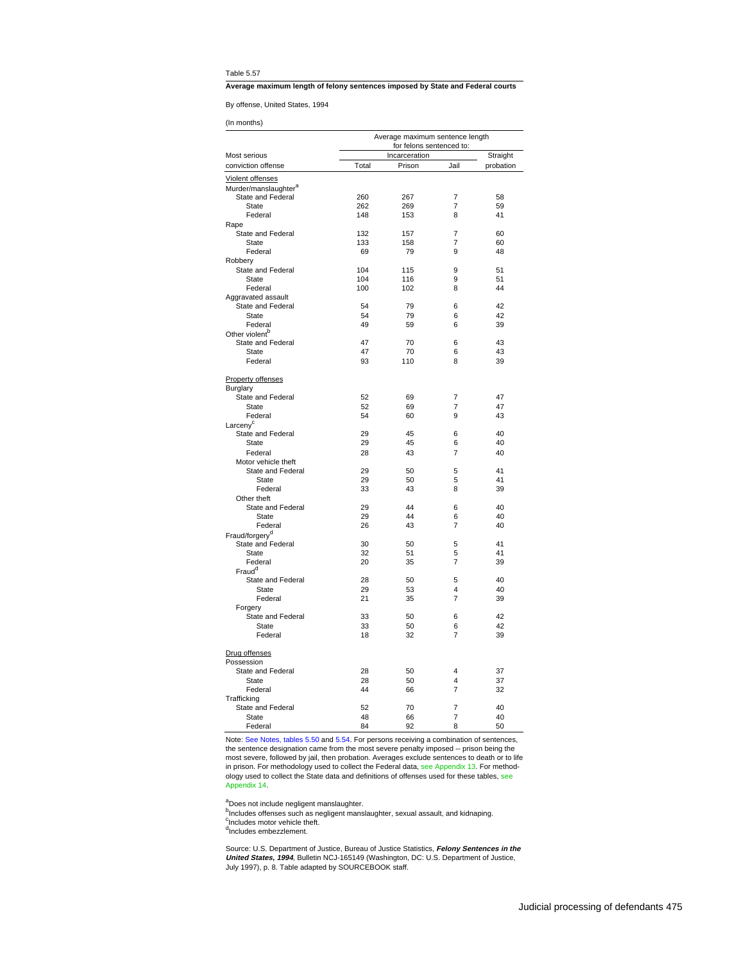### **Average maximum length of felony sentences imposed by State and Federal courts**

By offense, United States, 1994

(In months)

|                                  | Average maximum sentence length<br>for felons sentenced to: |               |                |           |  |  |  |  |
|----------------------------------|-------------------------------------------------------------|---------------|----------------|-----------|--|--|--|--|
| Most serious                     |                                                             | Incarceration |                | Straight  |  |  |  |  |
| conviction offense               | Total                                                       | Prison        | Jail           | probation |  |  |  |  |
| Violent offenses                 |                                                             |               |                |           |  |  |  |  |
| Murder/manslaughter <sup>a</sup> |                                                             |               |                |           |  |  |  |  |
| State and Federal                | 260                                                         | 267           | $\overline{7}$ | 58        |  |  |  |  |
| <b>State</b>                     | 262                                                         | 269           | 7              | 59        |  |  |  |  |
| Federal                          | 148                                                         | 153           | 8              | 41        |  |  |  |  |
| Rape                             |                                                             |               |                |           |  |  |  |  |
| State and Federal                | 132                                                         | 157           | $\overline{7}$ | 60        |  |  |  |  |
| <b>State</b>                     | 133                                                         | 158           | 7              | 60        |  |  |  |  |
| Federal                          | 69                                                          | 79            | 9              | 48        |  |  |  |  |
| Robbery                          |                                                             |               |                |           |  |  |  |  |
| State and Federal                | 104                                                         | 115           | 9              | 51        |  |  |  |  |
| State                            | 104                                                         | 116           | 9              | 51        |  |  |  |  |
| Federal                          | 100                                                         | 102           | 8              | 44        |  |  |  |  |
| Aggravated assault               |                                                             |               |                |           |  |  |  |  |
| State and Federal                | 54                                                          | 79            | 6              | 42        |  |  |  |  |
| <b>State</b>                     | 54                                                          | 79            | 6              | 42        |  |  |  |  |
| Federal                          | 49                                                          | 59            | 6              | 39        |  |  |  |  |
| Other violent <sup>b</sup>       |                                                             |               |                |           |  |  |  |  |
| State and Federal                | 47                                                          | 70            | 6              | 43        |  |  |  |  |
| <b>State</b>                     | 47                                                          | 70            | 6              | 43        |  |  |  |  |
| Federal                          | 93                                                          | 110           | 8              | 39        |  |  |  |  |
|                                  |                                                             |               |                |           |  |  |  |  |
| Property offenses                |                                                             |               |                |           |  |  |  |  |
| Burglary                         |                                                             |               |                |           |  |  |  |  |
| State and Federal                | 52                                                          | 69            | 7              | 47        |  |  |  |  |
| <b>State</b>                     | 52                                                          | 69            | $\overline{7}$ | 47        |  |  |  |  |
| Federal                          | 54                                                          | 60            | 9              | 43        |  |  |  |  |
| Larceny <sup>c</sup>             |                                                             |               |                |           |  |  |  |  |
| State and Federal                | 29                                                          | 45            | 6              | 40        |  |  |  |  |
| <b>State</b>                     | 29                                                          | 45            | 6              | 40        |  |  |  |  |
| Federal                          | 28                                                          | 43            | 7              | 40        |  |  |  |  |
| Motor vehicle theft              |                                                             |               |                |           |  |  |  |  |
| State and Federal                | 29                                                          | 50            | 5              | 41        |  |  |  |  |
| <b>State</b>                     | 29                                                          | 50            | 5              | 41        |  |  |  |  |
| Federal                          | 33                                                          | 43            | 8              | 39        |  |  |  |  |
| Other theft                      |                                                             |               |                |           |  |  |  |  |
| State and Federal                | 29                                                          | 44            | 6              | 40        |  |  |  |  |
| <b>State</b>                     | 29                                                          | 44            | 6              | 40        |  |  |  |  |
| Federal                          | 26                                                          | 43            | 7              | 40        |  |  |  |  |
| Fraud/forgery <sup>d</sup>       |                                                             |               |                |           |  |  |  |  |
| State and Federal                | 30                                                          | 50            | 5              | 41        |  |  |  |  |
| <b>State</b>                     | 32                                                          | 51            | 5              | 41        |  |  |  |  |
| Federal                          | 20                                                          | 35            | 7              | 39        |  |  |  |  |
| Fraud <sup>d</sup>               |                                                             |               |                |           |  |  |  |  |
| State and Federal                | 28                                                          | 50            | 5              | 40        |  |  |  |  |
| <b>State</b>                     | 29                                                          | 53            | 4              | 40        |  |  |  |  |
| Federal                          | 21                                                          | 35            | $\overline{7}$ | 39        |  |  |  |  |
| Forgery                          |                                                             |               |                |           |  |  |  |  |
| State and Federal                | 33                                                          | 50            | 6              | 42        |  |  |  |  |
| <b>State</b>                     | 33                                                          | 50            | 6              | 42        |  |  |  |  |
| Federal                          | 18                                                          | 32            | 7              | 39        |  |  |  |  |
|                                  |                                                             |               |                |           |  |  |  |  |
| Drug offenses                    |                                                             |               |                |           |  |  |  |  |
| Possession                       |                                                             |               |                |           |  |  |  |  |
| State and Federal                | 28                                                          | 50            | 4              | 37        |  |  |  |  |
| <b>State</b>                     | 28                                                          | 50            | 4              | 37        |  |  |  |  |
| Federal                          | 44                                                          | 66            | 7              | 32        |  |  |  |  |
| Trafficking                      |                                                             |               |                |           |  |  |  |  |
| State and Federal                | 52                                                          | 70            | 7              | 40        |  |  |  |  |
| <b>State</b>                     | 48                                                          | 66            | $\overline{7}$ | 40        |  |  |  |  |
| Federal                          | 84                                                          | 92            | 8              | 50        |  |  |  |  |

Note: [See Notes, tables 5.50](#page-53-1) and [5.54.](#page-56-0) For persons receiving a combination of sentences, the sentence designation came from the most severe penalty imposed -- prison being the<br>most severe, followed by jail, then probation. Averages exclude sentences to death or to life<br>in prison. For methodology used to collec [Appendix 14.](#page-87-0)

<sup>a</sup>Does not include negligent manslaughter.<br><sup>b</sup>Includes offenses such as negligent manslaughter, sexual assault, and kidnaping. <sup>c</sup>Includes motor vehicle theft.<br><sup>d</sup>Includes embezzlement.

Source: U.S. Department of Justice, Bureau of Justice Statistics, *Felony Sentences in the*<br>*United States, 1994*, Bulletin NCJ-165149 (Washington, DC: U.S. Department of Justice,<br>July 1997), p. 8. Table adapted by SOURCEB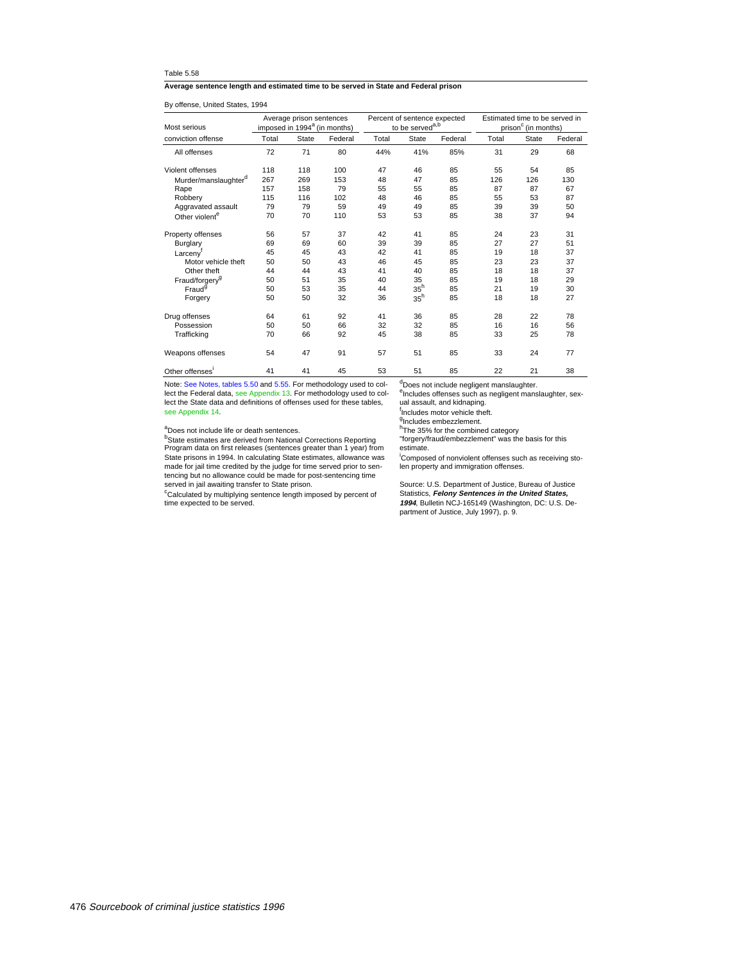### **Average sentence length and estimated time to be served in State and Federal prison**

By offense, United States, 1994

| Most serious                     | Average prison sentences<br>imposed in 1994 <sup>a</sup> (in months) |       |         |       | Percent of sentence expected<br>to be served <sup>a,b</sup> |         | Estimated time to be served in<br>prison <sup>c</sup> (in months) |              |         |
|----------------------------------|----------------------------------------------------------------------|-------|---------|-------|-------------------------------------------------------------|---------|-------------------------------------------------------------------|--------------|---------|
| conviction offense               | Total                                                                | State | Federal | Total | <b>State</b>                                                | Federal | Total                                                             | <b>State</b> | Federal |
| All offenses                     | 72                                                                   | 71    | 80      | 44%   | 41%                                                         | 85%     | 31                                                                | 29           | 68      |
| Violent offenses                 | 118                                                                  | 118   | 100     | 47    | 46                                                          | 85      | 55                                                                | 54           | 85      |
| Murder/manslaughter <sup>d</sup> | 267                                                                  | 269   | 153     | 48    | 47                                                          | 85      | 126                                                               | 126          | 130     |
| Rape                             | 157                                                                  | 158   | 79      | 55    | 55                                                          | 85      | 87                                                                | 87           | 67      |
| Robberv                          | 115                                                                  | 116   | 102     | 48    | 46                                                          | 85      | 55                                                                | 53           | 87      |
| Aggravated assault               | 79                                                                   | 79    | 59      | 49    | 49                                                          | 85      | 39                                                                | 39           | 50      |
| Other violent <sup>e</sup>       | 70                                                                   | 70    | 110     | 53    | 53                                                          | 85      | 38                                                                | 37           | 94      |
| Property offenses                | 56                                                                   | 57    | 37      | 42    | 41                                                          | 85      | 24                                                                | 23           | 31      |
| Burglary                         | 69                                                                   | 69    | 60      | 39    | 39                                                          | 85      | 27                                                                | 27           | 51      |
| Larceny <sup>'</sup>             | 45                                                                   | 45    | 43      | 42    | 41                                                          | 85      | 19                                                                | 18           | 37      |
| Motor vehicle theft              | 50                                                                   | 50    | 43      | 46    | 45                                                          | 85      | 23                                                                | 23           | 37      |
| Other theft                      | 44                                                                   | 44    | 43      | 41    | 40                                                          | 85      | 18                                                                | 18           | 37      |
| Fraud/forgery <sup>9</sup>       | 50                                                                   | 51    | 35      | 40    | 35                                                          | 85      | 19                                                                | 18           | 29      |
| Fraud <sup>9</sup>               | 50                                                                   | 53    | 35      | 44    | $35^h$                                                      | 85      | 21                                                                | 19           | 30      |
| Forgery                          | 50                                                                   | 50    | 32      | 36    | $35^h$                                                      | 85      | 18                                                                | 18           | 27      |
| Drug offenses                    | 64                                                                   | 61    | 92      | 41    | 36                                                          | 85      | 28                                                                | 22           | 78      |
| Possession                       | 50                                                                   | 50    | 66      | 32    | 32                                                          | 85      | 16                                                                | 16           | 56      |
| Trafficking                      | 70                                                                   | 66    | 92      | 45    | 38                                                          | 85      | 33                                                                | 25           | 78      |
| Weapons offenses                 | 54                                                                   | 47    | 91      | 57    | 51                                                          | 85      | 33                                                                | 24           | 77      |
| Other offenses                   | 41                                                                   | 41    | 45      | 53    | 51                                                          | 85      | 22                                                                | 21           | 38      |

Note: [See Notes, tables 5.50](#page-53-1) an[d 5.55. F](#page-57-0)or methodology used to collect the Federal data[, see Appendix 13.](#page-83-0) For methodology used to collect the State data and definitions of offenses used for these tables, [see Appendix 14.](#page-87-0)

<sup>d</sup>Does not include negligent manslaughter.<br><sup>e</sup>Includes offenses such as negligent manslaughter, sex-

ual assault, and kidnaping.<br><sup>f</sup>Includes motor vehicle theft.

<sup>g</sup>Includes embezzlement.

<sup>h</sup>The 35% for the combined category<br>"forgery/fraud/embezzlement" was the basis for this

estimate.

<sup>i</sup>Composed of nonviolent offenses such as receiving stolen property and immigration offenses.

Source: U.S. Department of Justice, Bureau of Justice Statistics, **Felony Sentences in the United States, 1994**, Bulletin NCJ-165149 (Washington, DC: U.S. Department of Justice, July 1997), p. 9.

<sup>a</sup>Does not include life or death sentences.

<sup>b</sup>State estimates are derived from National Corrections Reporting Program data on first releases (sentences greater than 1 year) from State prisons in 1994. In calculating State estimates, allowance was made for jail time credited by the judge for time served prior to sen-tencing but no allowance could be made for post-sentencing time served in jail awaiting transfer to State prison.

<sup>c</sup>Calculated by multiplying sentence length imposed by percent of<br>time expected to be served.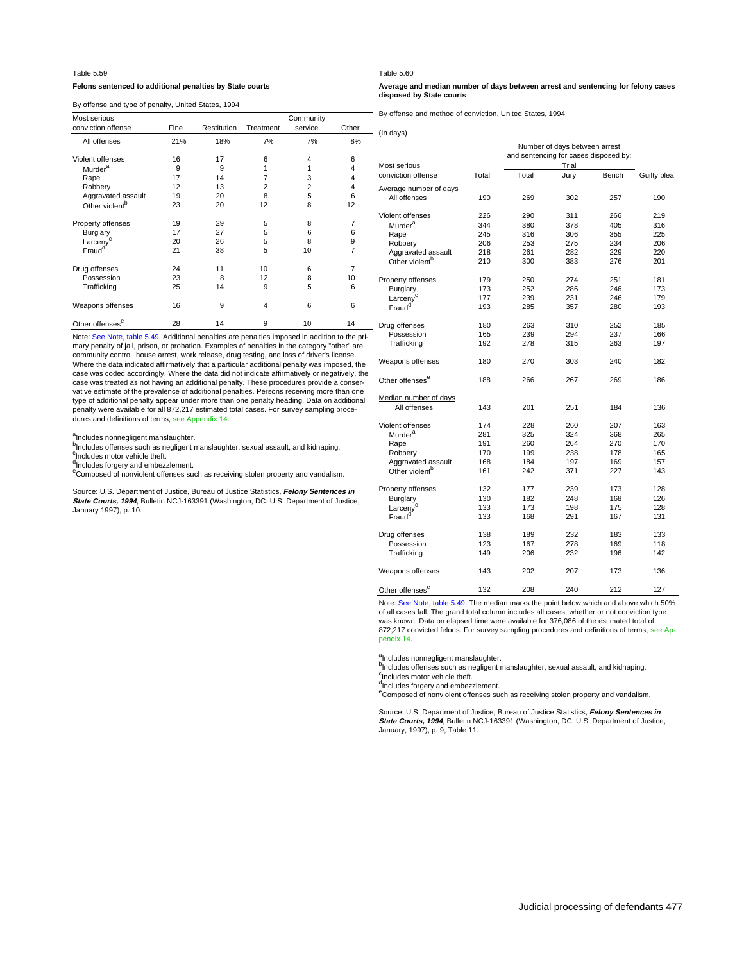### **Felons sentenced to additional penalties by State courts**

By offense and type of penalty, United States, 1994

| Most serious                |      |             |                | Community      |                |
|-----------------------------|------|-------------|----------------|----------------|----------------|
| conviction offense          | Fine | Restitution | Treatment      | service        | Other          |
| All offenses                | 21%  | 18%         | 7%             | 7%             | 8%             |
| Violent offenses            | 16   | 17          | 6              | 4              | 6              |
| Murder <sup>a</sup>         | 9    | 9           | 1              | 1              | 4              |
| Rape                        | 17   | 14          | 7              | 3              | 4              |
| Robbery                     | 12   | 13          | $\overline{2}$ | $\overline{2}$ | 4              |
| Aggravated assault          | 19   | 20          | 8              | 5              | 6              |
| Other violent <sup>b</sup>  | 23   | 20          | 12             | 8              | 12             |
| Property offenses           | 19   | 29          | 5              | 8              | 7              |
| Burglary                    | 17   | 27          | 5              | 6              | 6              |
| Larceny <sup>c</sup>        | 20   | 26          | 5              | 8              | 9              |
| Fraud <sup>d</sup>          | 21   | 38          | 5              | 10             | $\overline{7}$ |
| Drug offenses               | 24   | 11          | 10             | 6              | $\overline{7}$ |
| Possession                  | 23   | 8           | 12             | 8              | 10             |
| Trafficking                 | 25   | 14          | 9              | 5              | 6              |
| Weapons offenses            | 16   | 9           | 4              | 6              | 6              |
| Other offenses <sup>e</sup> | 28   | 14          | 9              | 10             | 14             |

Note: [See Note, table 5.49.](#page-53-0) Additional penalties are penalties imposed in addition to the primary penalty of jail, prison, or probation. Examples of penalties in the category "other" are community control, house arrest, work release, drug testing, and loss of driver's license. Where the data indicated affirmatively that a particular additional penalty was imposed, the case was coded accordingly. Where the data did not indicate affirmatively or negatively, the case was treated as not having an additional penalty. These procedures provide a conservative estimate of the prevalence of additional penalties. Persons receiving more than one type of additional penalty appear under more than one penalty heading. Data on additional penalty were available for all 872,217 estimated total cases. For survey sampling procedures and definitions of terms, [see Appendix 14.](#page-87-0)

a<br>Includes nonnegligent manslaughter.

b<br>Cincludes offenses such as negligent manslaughter, sexual assault, and kidnaping.<br>Cincludes moter vebiels theft

<sup>c</sup>Includes motor vehicle theft.

<sup>d</sup>Includes forgery and embezzlement.

eComposed of nonviolent offenses such as receiving stolen property and vandalism.

Source: U.S. Department of Justice, Bureau of Justice Statistics, **Felony Sentences in State Courts, 1994**, Bulletin NCJ-163391 (Washington, DC: U.S. Department of Justice, January 1997), p. 10.

#### Table 5.60

(In days)

#### **Average and median number of days between arrest and sentencing for felony cases disposed by State courts**

By offense and method of conviction, United States, 1994

|                                            |       |       | Number of days between arrest         |       |             |
|--------------------------------------------|-------|-------|---------------------------------------|-------|-------------|
|                                            |       |       | and sentencing for cases disposed by: |       |             |
| Most serious                               |       |       | Trial                                 |       |             |
| conviction offense                         | Total | Total | Jury                                  | Bench | Guilty plea |
|                                            |       |       |                                       |       |             |
| Average number of days                     |       |       |                                       |       |             |
| All offenses                               | 190   | 269   | 302                                   | 257   | 190         |
| Violent offenses                           | 226   | 290   | 311                                   | 266   | 219         |
| Murder <sup>a</sup>                        | 344   | 380   | 378                                   | 405   | 316         |
| Rape                                       | 245   | 316   | 306                                   | 355   | 225         |
| Robbery                                    | 206   | 253   | 275                                   | 234   | 206         |
| Aggravated assault                         | 218   | 261   | 282                                   | 229   | 220         |
| Other violent <sup>b</sup>                 | 210   | 300   | 383                                   | 276   | 201         |
|                                            |       |       |                                       |       |             |
| Property offenses                          | 179   | 250   | 274                                   | 251   | 181         |
| Burglary                                   | 173   | 252   | 286                                   | 246   | 173         |
| Larceny <sup>c</sup>                       | 177   | 239   | 231                                   | 246   | 179         |
| Fraud <sup>d</sup>                         | 193   | 285   | 357                                   | 280   | 193         |
|                                            |       |       |                                       |       |             |
| Drug offenses                              | 180   | 263   | 310                                   | 252   | 185         |
| Possession                                 | 165   | 239   | 294                                   | 237   | 166         |
| Trafficking                                | 192   | 278   | 315                                   | 263   | 197         |
| Weapons offenses                           | 180   | 270   | 303                                   | 240   | 182         |
|                                            |       |       |                                       |       |             |
| Other offenses <sup>e</sup>                | 188   | 266   | 267                                   | 269   | 186         |
| Median number of days                      |       |       |                                       |       |             |
| All offenses                               | 143   | 201   | 251                                   | 184   | 136         |
|                                            |       |       |                                       |       |             |
| Violent offenses                           | 174   | 228   | 260                                   | 207   | 163         |
| Murder <sup>a</sup>                        | 281   | 325   | 324                                   | 368   | 265         |
| Rape                                       | 191   | 260   | 264                                   | 270   | 170         |
| Robbery                                    | 170   | 199   | 238                                   | 178   | 165         |
| Aggravated assault                         | 168   | 184   | 197                                   | 169   | 157         |
| Other violent <sup>b</sup>                 | 161   | 242   | 371                                   | 227   | 143         |
| Property offenses                          | 132   | 177   | 239                                   | 173   | 128         |
| Burglary                                   | 130   | 182   | 248                                   | 168   | 126         |
|                                            | 133   | 173   | 198                                   | 175   | 128         |
| Larceny <sup>c</sup><br>Fraud <sup>a</sup> | 133   | 168   | 291                                   | 167   | 131         |
|                                            |       |       |                                       |       |             |
| Drug offenses                              | 138   | 189   | 232                                   | 183   | 133         |
| Possession                                 | 123   | 167   | 278                                   | 169   | 118         |
| Trafficking                                | 149   | 206   | 232                                   | 196   | 142         |
|                                            |       |       |                                       |       |             |
| Weapons offenses                           | 143   | 202   | 207                                   | 173   | 136         |
| Other offenses <sup>e</sup>                | 132   | 208   | 240                                   | 212   | 127         |

Note[: See Note, table 5.49. T](#page-53-0)he median marks the point below which and above which 50% of all cases fall. The grand total column includes all cases, whether or not conviction type was known. Data on elapsed time were available for 376,086 of the estimated total of 872,217 convicted felons. For survey sampling procedures and definitions of terms[, see Ap](#page-87-0)[pendix 14.](#page-87-0)

<sup>a</sup>Includes nonnegligent manslaughter.

b<br>Includes offenses such as negligent manslaughter, sexual assault, and kidnaping. <sup>c</sup>Includes motor vehicle theft.

<sup>d</sup>Includes forgery and embezzlement.

eComposed of nonviolent offenses such as receiving stolen property and vandalism.

Source: U.S. Department of Justice, Bureau of Justice Statistics, **Felony Sentences in State Courts, 1994**, Bulletin NCJ-163391 (Washington, DC: U.S. Department of Justice, January, 1997), p. 9, Table 11.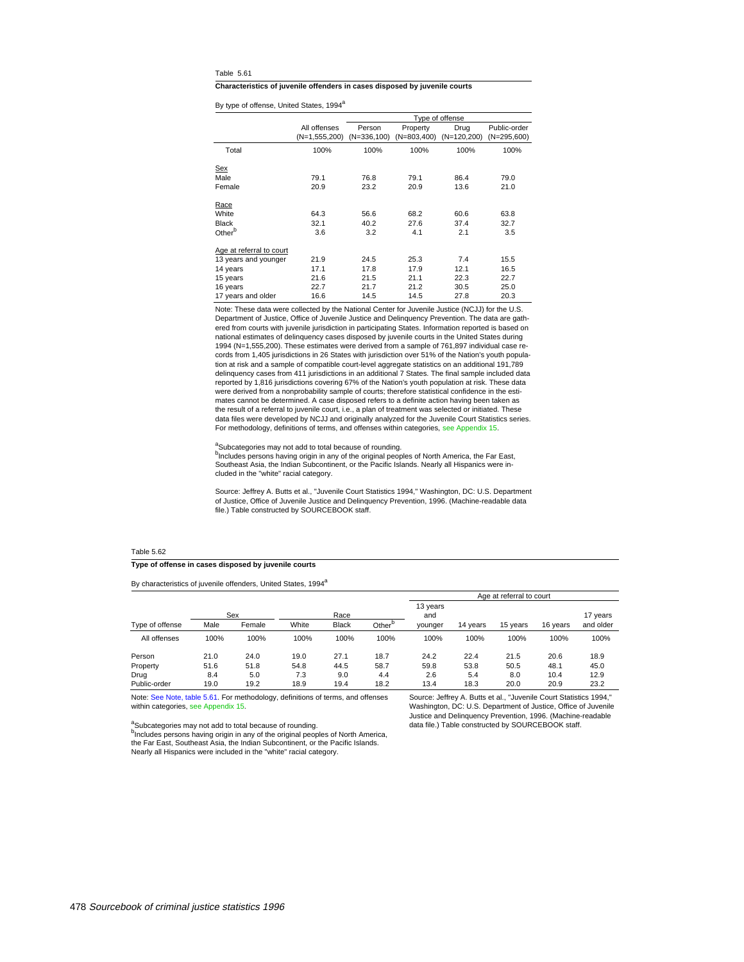### **Characteristics of juvenile offenders in cases disposed by juvenile courts**

By type of offense, United States, 1994<sup>a</sup>

|                          |                                   |                         |                           | Type of offense       |                               |
|--------------------------|-----------------------------------|-------------------------|---------------------------|-----------------------|-------------------------------|
|                          | All offenses<br>$(N=1, 555, 200)$ | Person<br>$(N=336,100)$ | Property<br>$(N=803.400)$ | Drug<br>$(N=120,200)$ | Public-order<br>$(N=295,600)$ |
| Total                    | 100%                              | 100%                    | 100%                      | 100%                  | 100%                          |
| <b>Sex</b>               |                                   |                         |                           |                       |                               |
| Male                     | 79.1                              | 76.8                    | 79.1                      | 86.4                  | 79.0                          |
| Female                   | 20.9                              | 23.2                    | 20.9                      | 13.6                  | 21.0                          |
| Race                     |                                   |                         |                           |                       |                               |
| White                    | 64.3                              | 56.6                    | 68.2                      | 60.6                  | 63.8                          |
| <b>Black</b>             | 32.1                              | 40.2                    | 27.6                      | 37.4                  | 32.7                          |
| Other <sup>b</sup>       | 3.6                               | 3.2                     | 4.1                       | 2.1                   | 3.5                           |
| Age at referral to court |                                   |                         |                           |                       |                               |
| 13 years and younger     | 21.9                              | 24.5                    | 25.3                      | 7.4                   | 15.5                          |
| 14 years                 | 17.1                              | 17.8                    | 17.9                      | 12.1                  | 16.5                          |
| 15 years                 | 21.6                              | 21.5                    | 21.1                      | 22.3                  | 22.7                          |
| 16 years                 | 22.7                              | 21.7                    | 21.2                      | 30.5                  | 25.0                          |
| 17 years and older       | 16.6                              | 14.5                    | 14.5                      | 27.8                  | 20.3                          |

<span id="page-61-0"></span>Note: These data were collected by the National Center for Juvenile Justice (NCJJ) for the U.S. Department of Justice, Office of Juvenile Justice and Delinquency Prevention. The data are gathered from courts with juvenile jurisdiction in participating States. Information reported is based on national estimates of delinquency cases disposed by juvenile courts in the United States during 1994 (N=1,555,200). These estimates were derived from a sample of 761,897 individual case records from 1,405 jurisdictions in 26 States with jurisdiction over 51% of the Nation's youth population at risk and a sample of compatible court-level aggregate statistics on an additional 191,789 delinquency cases from 411 jurisdictions in an additional 7 States. The final sample included data reported by 1,816 jurisdictions covering 67% of the Nation's youth population at risk. These data were derived from a nonprobability sample of courts; therefore statistical confidence in the estimates cannot be determined. A case disposed refers to a definite action having been taken as the result of a referral to juvenile court, i.e., a plan of treatment was selected or initiated. These data files were developed by NCJJ and originally analyzed for the Juvenile Court Statistics series. For methodology, definitions of terms, and offenses within categories, [see Appendix 15.](#page-89-0)

<sup>a</sup>Subcategories may not add to total because of rounding.

<sup>b</sup>Includes persons having origin in any of the original peoples of North America, the Far East,<br>Southeast Asia, the Indian Subcontinent, or the Pacific Islands. Nearly all Hispanics were included in the "white" racial category.

Source: Jeffrey A. Butts et al., "Juvenile Court Statistics 1994," Washington, DC: U.S. Department of Justice, Office of Juvenile Justice and Delinquency Prevention, 1996. (Machine-readable data file.) Table constructed by SOURCEBOOK staff.

#### Table 5.62

**Type of offense in cases disposed by juvenile courts**

By characteristics of juvenile offenders, United States, 1994<sup>a</sup>

|                 |      |        |       |       |                    |                 |          | Age at referral to court |          |           |
|-----------------|------|--------|-------|-------|--------------------|-----------------|----------|--------------------------|----------|-----------|
|                 |      | Sex    |       | Race  |                    | 13 years<br>and |          |                          |          | 17 years  |
| Type of offense | Male | Female | White | Black | Other <sup>t</sup> | vounger         | 14 years | 15 years                 | 16 years | and older |
| All offenses    | 100% | 100%   | 100%  | 100%  | 100%               | 100%            | 100%     | 100%                     | 100%     | 100%      |
| Person          | 21.0 | 24.0   | 19.0  | 27.1  | 18.7               | 24.2            | 22.4     | 21.5                     | 20.6     | 18.9      |
| Property        | 51.6 | 51.8   | 54.8  | 44.5  | 58.7               | 59.8            | 53.8     | 50.5                     | 48.1     | 45.0      |
| Drug            | 8.4  | 5.0    | 7.3   | 9.0   | 4.4                | 2.6             | 5.4      | 8.0                      | 10.4     | 12.9      |
| Public-order    | 19.0 | 19.2   | 18.9  | 19.4  | 18.2               | 13.4            | 18.3     | 20.0                     | 20.9     | 23.2      |

Note: [See Note, table 5.61. F](#page-61-0)or methodology, definitions of terms, and offenses within categories, [see Appendix 15.](#page-89-0)

Source: Jeffrey A. Butts et al., "Juvenile Court Statistics 1994," Washington, DC: U.S. Department of Justice, Office of Juvenile Justice and Delinquency Prevention, 1996. (Machine-readable data file.) Table constructed by SOURCEBOOK staff.

<sup>a</sup>Subcategories may not add to total because of rounding. b<br>Includes persons having origin in any of the original peoples of North America, the Far East, Southeast Asia, the Indian Subcontinent, or the Pacific Islands.

Nearly all Hispanics were included in the "white" racial category.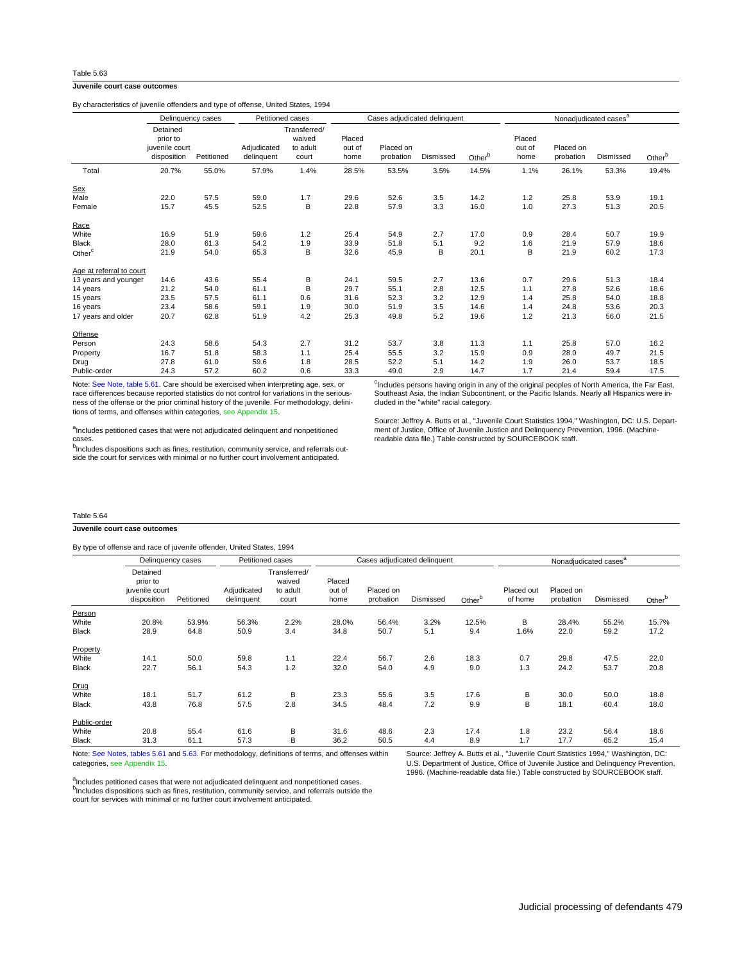### **Juvenile court case outcomes**

By characteristics of juvenile offenders and type of offense, United States, 1994

|                          | Delinquency cases                                     |            | Petitioned cases          |                                             |                          |                        | Cases adjudicated delinquent |                    |                          | Nonadjudicated cases <sup>a</sup> |           |                    |  |  |
|--------------------------|-------------------------------------------------------|------------|---------------------------|---------------------------------------------|--------------------------|------------------------|------------------------------|--------------------|--------------------------|-----------------------------------|-----------|--------------------|--|--|
|                          | Detained<br>prior to<br>iuvenile court<br>disposition | Petitioned | Adjudicated<br>delinquent | Transferred/<br>waived<br>to adult<br>court | Placed<br>out of<br>home | Placed on<br>probation | Dismissed                    | Other <sup>b</sup> | Placed<br>out of<br>home | Placed on<br>probation            | Dismissed | Other <sup>b</sup> |  |  |
| Total                    | 20.7%                                                 | 55.0%      | 57.9%                     | 1.4%                                        | 28.5%                    | 53.5%                  | 3.5%                         | 14.5%              | 1.1%                     | 26.1%                             | 53.3%     | 19.4%              |  |  |
| <b>Sex</b>               |                                                       |            |                           |                                             |                          |                        |                              |                    |                          |                                   |           |                    |  |  |
| Male                     | 22.0                                                  | 57.5       | 59.0                      | 1.7                                         | 29.6                     | 52.6                   | 3.5                          | 14.2               | 1.2                      | 25.8                              | 53.9      | 19.1               |  |  |
| Female                   | 15.7                                                  | 45.5       | 52.5                      | B                                           | 22.8                     | 57.9                   | 3.3                          | 16.0               | 1.0                      | 27.3                              | 51.3      | 20.5               |  |  |
| Race                     |                                                       |            |                           |                                             |                          |                        |                              |                    |                          |                                   |           |                    |  |  |
| White                    | 16.9                                                  | 51.9       | 59.6                      | 1.2                                         | 25.4                     | 54.9                   | 2.7                          | 17.0               | 0.9                      | 28.4                              | 50.7      | 19.9               |  |  |
| <b>Black</b>             | 28.0                                                  | 61.3       | 54.2                      | 1.9                                         | 33.9                     | 51.8                   | 5.1                          | 9.2                | 1.6                      | 21.9                              | 57.9      | 18.6               |  |  |
| Other <sup>c</sup>       | 21.9                                                  | 54.0       | 65.3                      | B                                           | 32.6                     | 45.9                   | B                            | 20.1               | В                        | 21.9                              | 60.2      | 17.3               |  |  |
| Age at referral to court |                                                       |            |                           |                                             |                          |                        |                              |                    |                          |                                   |           |                    |  |  |
| 13 years and younger     | 14.6                                                  | 43.6       | 55.4                      | В                                           | 24.1                     | 59.5                   | 2.7                          | 13.6               | 0.7                      | 29.6                              | 51.3      | 18.4               |  |  |
| 14 years                 | 21.2                                                  | 54.0       | 61.1                      | B                                           | 29.7                     | 55.1                   | 2.8                          | 12.5               | 1.1                      | 27.8                              | 52.6      | 18.6               |  |  |
| 15 years                 | 23.5                                                  | 57.5       | 61.1                      | 0.6                                         | 31.6                     | 52.3                   | 3.2                          | 12.9               | 1.4                      | 25.8                              | 54.0      | 18.8               |  |  |
| 16 years                 | 23.4                                                  | 58.6       | 59.1                      | 1.9                                         | 30.0                     | 51.9                   | 3.5                          | 14.6               | 1.4                      | 24.8                              | 53.6      | 20.3               |  |  |
| 17 years and older       | 20.7                                                  | 62.8       | 51.9                      | 4.2                                         | 25.3                     | 49.8                   | 5.2                          | 19.6               | 1.2                      | 21.3                              | 56.0      | 21.5               |  |  |
| Offense                  |                                                       |            |                           |                                             |                          |                        |                              |                    |                          |                                   |           |                    |  |  |
| Person                   | 24.3                                                  | 58.6       | 54.3                      | 2.7                                         | 31.2                     | 53.7                   | 3.8                          | 11.3               | 1.1                      | 25.8                              | 57.0      | 16.2               |  |  |
| Property                 | 16.7                                                  | 51.8       | 58.3                      | 1.1                                         | 25.4                     | 55.5                   | 3.2                          | 15.9               | 0.9                      | 28.0                              | 49.7      | 21.5               |  |  |
| Drug                     | 27.8                                                  | 61.0       | 59.6                      | 1.8                                         | 28.5                     | 52.2                   | 5.1                          | 14.2               | 1.9                      | 26.0                              | 53.7      | 18.5               |  |  |
| Public-order             | 24.3                                                  | 57.2       | 60.2                      | 0.6                                         | 33.3                     | 49.0                   | 2.9                          | 14.7               | 1.7                      | 21.4                              | 59.4      | 17.5               |  |  |

<span id="page-62-0"></span>Note[: See Note, table 5.61.](#page-61-0) Care should be exercised when interpreting age, sex, or race differences because reported statistics do not control for variations in the seriousness of the offense or the prior criminal history of the juvenile. For methodology, definitions of terms, and offenses within categories[, see Appendix 15.](#page-89-0)

<sup>a</sup>Includes petitioned cases that were not adjudicated delinquent and nonpetitioned cases.<br><sup>b</sup>Includes dispositions such as fines, restitution, community service, and referrals out-

side the court for services with minimal or no further court involvement anticipated.

<sup>c</sup>Includes persons having origin in any of the original peoples of North America, the Far East, Southeast Asia, the Indian Subcontinent, or the Pacific Islands. Nearly all Hispanics were included in the "white" racial category.

Source: Jeffrey A. Butts et al., "Juvenile Court Statistics 1994," Washington, DC: U.S. Depart-ment of Justice, Office of Juvenile Justice and Delinquency Prevention, 1996. (Machinereadable data file.) Table constructed by SOURCEBOOK staff.

#### Table 5.64

### **Juvenile court case outcomes**

By type of offense and race of juvenile offender, United States, 1994

|              | Delinquency cases                                     |            | Petitioned cases          |                                             |                          |                        | Cases adjudicated delinquent |                    |                       |                        | Nonadjudicated cases <sup>a</sup> |                    |
|--------------|-------------------------------------------------------|------------|---------------------------|---------------------------------------------|--------------------------|------------------------|------------------------------|--------------------|-----------------------|------------------------|-----------------------------------|--------------------|
|              | Detained<br>prior to<br>juvenile court<br>disposition | Petitioned | Adjudicated<br>delinquent | Transferred/<br>waived<br>to adult<br>court | Placed<br>out of<br>home | Placed on<br>probation | Dismissed                    | Other <sup>b</sup> | Placed out<br>of home | Placed on<br>probation | Dismissed                         | Other <sup>b</sup> |
| Person       |                                                       |            |                           |                                             |                          |                        |                              |                    |                       |                        |                                   |                    |
| White        | 20.8%                                                 | 53.9%      | 56.3%                     | 2.2%                                        | 28.0%                    | 56.4%                  | 3.2%                         | 12.5%              | B                     | 28.4%                  | 55.2%                             | 15.7%              |
| <b>Black</b> | 28.9                                                  | 64.8       | 50.9                      | 3.4                                         | 34.8                     | 50.7                   | 5.1                          | 9.4                | 1.6%                  | 22.0                   | 59.2                              | 17.2               |
| Property     |                                                       |            |                           |                                             |                          |                        |                              |                    |                       |                        |                                   |                    |
| White        | 14.1                                                  | 50.0       | 59.8                      | 1.1                                         | 22.4                     | 56.7                   | 2.6                          | 18.3               | 0.7                   | 29.8                   | 47.5                              | 22.0               |
| <b>Black</b> | 22.7                                                  | 56.1       | 54.3                      | 1.2                                         | 32.0                     | 54.0                   | 4.9                          | 9.0                | 1.3                   | 24.2                   | 53.7                              | 20.8               |
| Drug         |                                                       |            |                           |                                             |                          |                        |                              |                    |                       |                        |                                   |                    |
| White        | 18.1                                                  | 51.7       | 61.2                      | B                                           | 23.3                     | 55.6                   | 3.5                          | 17.6               | В                     | 30.0                   | 50.0                              | 18.8               |
| <b>Black</b> | 43.8                                                  | 76.8       | 57.5                      | 2.8                                         | 34.5                     | 48.4                   | 7.2                          | 9.9                | B                     | 18.1                   | 60.4                              | 18.0               |
| Public-order |                                                       |            |                           |                                             |                          |                        |                              |                    |                       |                        |                                   |                    |
| White        | 20.8                                                  | 55.4       | 61.6                      | В                                           | 31.6                     | 48.6                   | 2.3                          | 17.4               | 1.8                   | 23.2                   | 56.4                              | 18.6               |
| <b>Black</b> | 31.3                                                  | 61.1       | 57.3                      | B                                           | 36.2                     | 50.5                   | 4.4                          | 8.9                | 1.7                   | 17.7                   | 65.2                              | 15.4               |

Note: [See Notes, tables 5.61 a](#page-61-0)nd [5.63.](#page-62-0) For methodology, definitions of terms, and offenses within categories[, see Appendix 15.](#page-89-0)

Source: Jeffrey A. Butts et al., "Juvenile Court Statistics 1994," Washington, DC: U.S. Department of Justice, Office of Juvenile Justice and Delinquency Prevention, 1996. (Machine-readable data file.) Table constructed by SOURCEBOOK staff.

a<br>Includes petitioned cases that were not adjudicated delinquent and nonpetitioned cases. b<br>Includes dispositions such as fines, restitution, community service, and referrals outside the court for services with minimal or no further court involvement anticipated.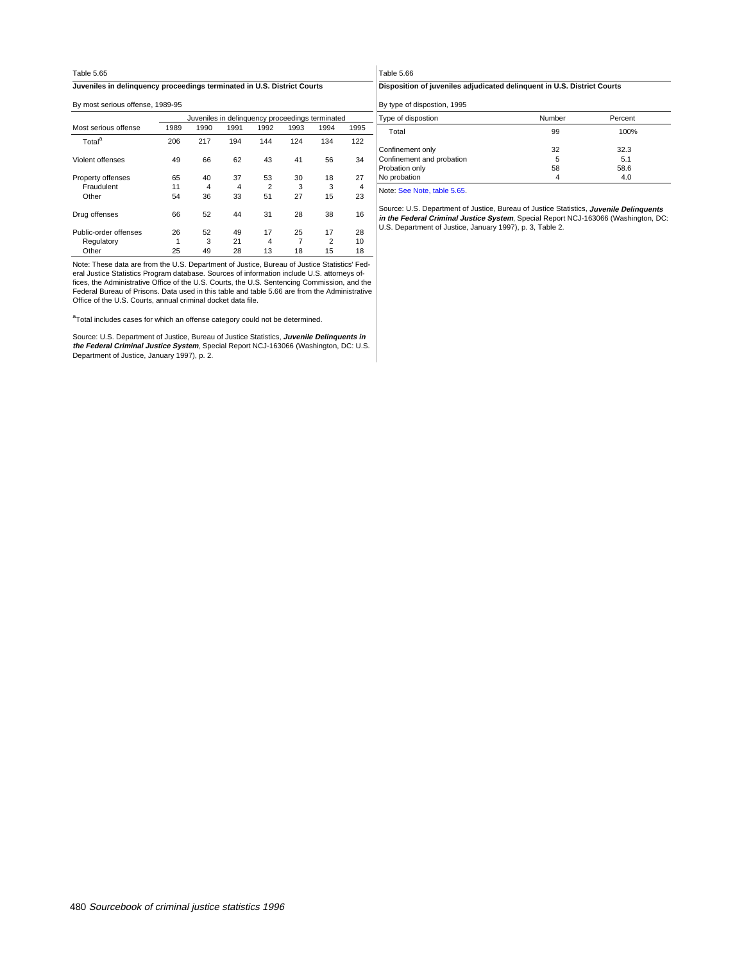| Table 5.65                                      |                                                                         |      |      |                |      |      |      |  |  |  |  |  |  |
|-------------------------------------------------|-------------------------------------------------------------------------|------|------|----------------|------|------|------|--|--|--|--|--|--|
|                                                 | Juveniles in delinguency proceedings terminated in U.S. District Courts |      |      |                |      |      |      |  |  |  |  |  |  |
| By most serious offense, 1989-95                |                                                                         |      |      |                |      |      |      |  |  |  |  |  |  |
| Juveniles in delinguency proceedings terminated |                                                                         |      |      |                |      |      |      |  |  |  |  |  |  |
| Most serious offense                            | 1989                                                                    | 1990 | 1991 | 1992           | 1993 | 1994 | 1995 |  |  |  |  |  |  |
| Total <sup>a</sup>                              | 206                                                                     | 217  | 194  | 144            | 124  | 134  | 122  |  |  |  |  |  |  |
| Violent offenses                                | 49                                                                      | 66   | 62   | 43             | 41   | 56   | 34   |  |  |  |  |  |  |
| Property offenses                               | 65                                                                      | 40   | 37   | 53             | 30   | 18   | 27   |  |  |  |  |  |  |
| Fraudulent                                      | 11                                                                      | 4    | 4    | $\overline{2}$ | 3    | 3    | 4    |  |  |  |  |  |  |
| Other                                           | 54                                                                      | 36   | 33   | 51             | 27   | 15   | 23   |  |  |  |  |  |  |
| Drug offenses                                   | 66                                                                      | 52   | 44   | 31             | 28   | 38   | 16   |  |  |  |  |  |  |
| Public-order offenses                           | 26                                                                      | 52   | 49   | 17             | 25   | 17   | 28   |  |  |  |  |  |  |
| Regulatory                                      | 1                                                                       | 3    | 21   | 4              | 7    | 2    | 10   |  |  |  |  |  |  |
| Other                                           | 25                                                                      | 49   | 28   | 13             | 18   | 15   | 18   |  |  |  |  |  |  |

<span id="page-63-0"></span>Note: These data are from the U.S. Department of Justice, Bureau of Justice Statistics' Fed-eral Justice Statistics Program database. Sources of information include U.S. attorneys offices, the Administrative Office of the U.S. Courts, the U.S. Sentencing Commission, and the Federal Bureau of Prisons. Data used in this table and table 5.66 are from the Administrative Office of the U.S. Courts, annual criminal docket data file.

<sup>a</sup>Total includes cases for which an offense category could not be determined.

Source: U.S. Department of Justice, Bureau of Justice Statistics, **Juvenile Delinquents in the Federal Criminal Justice System**, Special Report NCJ-163066 (Washington, DC: U.S. Department of Justice, January 1997), p. 2.

### Table 5.66

# **Disposition of juveniles adjudicated delinquent in U.S. District Courts**

By type of dispostion, 1995

| Type of dispostion        | Number | Percent |
|---------------------------|--------|---------|
| Total                     | 99     | 100%    |
| Confinement only          | 32     | 32.3    |
| Confinement and probation | 5      | 5.1     |
| Probation only            | 58     | 58.6    |
| No probation              | 4      | 4.0     |

Note: [See Note, table 5.65.](#page-63-0)

Source: U.S. Department of Justice, Bureau of Justice Statistics, **Juvenile Delinquents in the Federal Criminal Justice System**, Special Report NCJ-163066 (Washington, DC: U.S. Department of Justice, January 1997), p. 3, Table 2.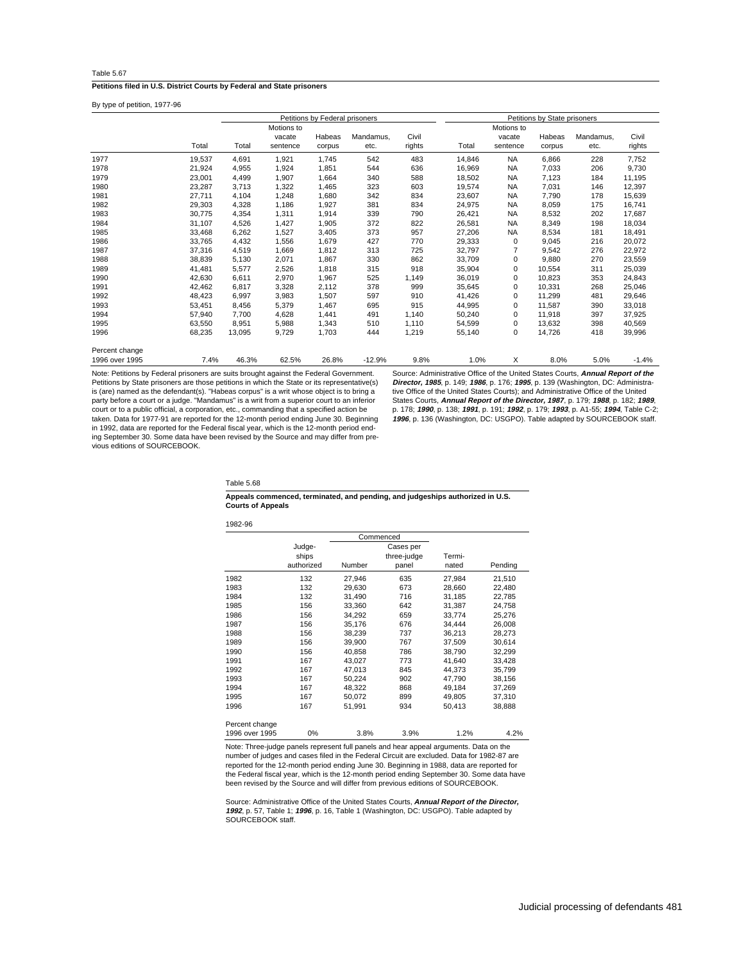Table 5.67

## **Petitions filed in U.S. District Courts by Federal and State prisoners**

By type of petition, 1977-96

|                                                                                        |        |        |                                  | Petitions by Federal prisoners |                   |                                                                                 | Petitions by State prisoners |                                  |                  |                   |                 |  |  |  |
|----------------------------------------------------------------------------------------|--------|--------|----------------------------------|--------------------------------|-------------------|---------------------------------------------------------------------------------|------------------------------|----------------------------------|------------------|-------------------|-----------------|--|--|--|
|                                                                                        | Total  | Total  | Motions to<br>vacate<br>sentence | Habeas<br>corpus               | Mandamus,<br>etc. | Civil<br>rights                                                                 | Total                        | Motions to<br>vacate<br>sentence | Habeas<br>corpus | Mandamus.<br>etc. | Civil<br>rights |  |  |  |
| 1977                                                                                   | 19,537 | 4,691  | 1,921                            | 1,745                          | 542               | 483                                                                             | 14,846                       | <b>NA</b>                        | 6,866            | 228               | 7,752           |  |  |  |
| 1978                                                                                   | 21,924 | 4,955  | 1,924                            | 1,851                          | 544               | 636                                                                             | 16,969                       | <b>NA</b>                        | 7,033            | 206               | 9,730           |  |  |  |
| 1979                                                                                   | 23,001 | 4,499  | 1,907                            | 1,664                          | 340               | 588                                                                             | 18,502                       | <b>NA</b>                        | 7,123            | 184               | 11,195          |  |  |  |
| 1980                                                                                   | 23,287 | 3,713  | 1,322                            | 1,465                          | 323               | 603                                                                             | 19,574                       | <b>NA</b>                        | 7,031            | 146               | 12,397          |  |  |  |
| 1981                                                                                   | 27,711 | 4,104  | 1,248                            | 1,680                          | 342               | 834                                                                             | 23,607                       | <b>NA</b>                        | 7,790            | 178               | 15,639          |  |  |  |
| 1982                                                                                   | 29,303 | 4,328  | 1,186                            | 1,927                          | 381               | 834                                                                             | 24,975                       | <b>NA</b>                        | 8,059            | 175               | 16,741          |  |  |  |
| 1983                                                                                   | 30,775 | 4,354  | 1,311                            | 1,914                          | 339               | 790                                                                             | 26,421                       | <b>NA</b>                        | 8,532            | 202               | 17,687          |  |  |  |
| 1984                                                                                   | 31.107 | 4.526  | 1.427                            | 1,905                          | 372               | 822                                                                             | 26,581                       | <b>NA</b>                        | 8,349            | 198               | 18,034          |  |  |  |
| 1985                                                                                   | 33,468 | 6,262  | 1.527                            | 3,405                          | 373               | 957                                                                             | 27,206                       | <b>NA</b>                        | 8,534            | 181               | 18,491          |  |  |  |
| 1986                                                                                   | 33,765 | 4,432  | 1.556                            | 1,679                          | 427               | 770                                                                             | 29,333                       | 0                                | 9,045            | 216               | 20,072          |  |  |  |
| 1987                                                                                   | 37,316 | 4,519  | 1,669                            | 1,812                          | 313               | 725                                                                             | 32,797                       |                                  | 9,542            | 276               | 22,972          |  |  |  |
| 1988                                                                                   | 38,839 | 5,130  | 2,071                            | 1,867                          | 330               | 862                                                                             | 33,709                       | 0                                | 9.880            | 270               | 23,559          |  |  |  |
| 1989                                                                                   | 41,481 | 5.577  | 2,526                            | 1,818                          | 315               | 918                                                                             | 35,904                       | $\Omega$                         | 10.554           | 311               | 25,039          |  |  |  |
| 1990                                                                                   | 42,630 | 6.611  | 2,970                            | 1,967                          | 525               | 1,149                                                                           | 36,019                       | 0                                | 10,823           | 353               | 24,843          |  |  |  |
| 1991                                                                                   | 42.462 | 6.817  | 3,328                            | 2,112                          | 378               | 999                                                                             | 35,645                       | 0                                | 10.331           | 268               | 25,046          |  |  |  |
| 1992                                                                                   | 48,423 | 6.997  | 3,983                            | 1,507                          | 597               | 910                                                                             | 41,426                       | 0                                | 11.299           | 481               | 29,646          |  |  |  |
| 1993                                                                                   | 53,451 | 8,456  | 5,379                            | 1,467                          | 695               | 915                                                                             | 44,995                       | 0                                | 11.587           | 390               | 33,018          |  |  |  |
| 1994                                                                                   | 57,940 | 7.700  | 4,628                            | 1,441                          | 491               | 1.140                                                                           | 50,240                       | 0                                | 11.918           | 397               | 37,925          |  |  |  |
| 1995                                                                                   | 63,550 | 8.951  | 5,988                            | 1,343                          | 510               | 1,110                                                                           | 54,599                       | 0                                | 13.632           | 398               | 40,569          |  |  |  |
| 1996                                                                                   | 68,235 | 13,095 | 9,729                            | 1,703                          | 444               | 1,219                                                                           | 55,140                       | 0                                | 14.726           | 418               | 39,996          |  |  |  |
| Percent change<br>1996 over 1995                                                       | 7.4%   | 46.3%  | 62.5%                            | 26.8%                          | $-12.9%$          | 9.8%                                                                            | 1.0%                         | X                                | 8.0%             | 5.0%              | $-1.4%$         |  |  |  |
| Note: Petitions by Federal prisoners are suits brought against the Federal Government. |        |        |                                  |                                |                   | Source: Administrative Office of the United States Courts, Annual Report of the |                              |                                  |                  |                   |                 |  |  |  |

<span id="page-64-0"></span>Petitions by State prisoners are those petitions in which the State or its representative(s) is (are) named as the defendant(s). "Habeas corpus" is a writ whose object is to bring a party before a court or a judge. "Mandamus" is a writ from a superior court to an inferior court or to a public official, a corporation, etc., commanding that a specified action be taken. Data for 1977-91 are reported for the 12-month period ending June 30. Beginning in 1992, data are reported for the Federal fiscal year, which is the 12-month period ending September 30. Some data have been revised by the Source and may differ from previous editions of SOURCEBOOK.

Source: Administrative Office of the United States Courts, **Annual Report of the Director, 1985**, p. 149; **1986**, p. 176; **1995**, p. 139 (Washington, DC: Administrative Office of the United States Courts); and Administrative Office of the United States Courts, **Annual Report of the Director, 1987**, p. 179; **1988**, p. 182; **1989**, p. 178; **1990**, p. 138; **1991**, p. 191; **1992**, p. 179; **1993**, p. A1-55; **1994**, Table C-2; **1996**, p. 136 (Washington, DC: USGPO). Table adapted by SOURCEBOOK staff.

Table 5.68

#### **Appeals commenced, terminated, and pending, and judgeships authorized in U.S. Courts of Appeals**

1982-96

| 1902-90        |                               |        |                                   |                 |         |
|----------------|-------------------------------|--------|-----------------------------------|-----------------|---------|
|                |                               |        | Commenced                         |                 |         |
|                | Judge-<br>ships<br>authorized | Number | Cases per<br>three-judge<br>panel | Termi-<br>nated | Pending |
| 1982           | 132                           | 27,946 | 635                               | 27.984          | 21,510  |
| 1983           | 132                           | 29,630 | 673                               | 28,660          | 22,480  |
| 1984           | 132                           | 31,490 | 716                               | 31,185          | 22,785  |
| 1985           | 156                           | 33,360 | 642                               | 31,387          | 24,758  |
| 1986           | 156                           | 34,292 | 659                               | 33,774          | 25,276  |
| 1987           | 156                           | 35,176 | 676                               | 34,444          | 26,008  |
| 1988           | 156                           | 38,239 | 737                               | 36,213          | 28,273  |
| 1989           | 156                           | 39,900 | 767                               | 37,509          | 30,614  |
| 1990           | 156                           | 40,858 | 786                               | 38,790          | 32,299  |
| 1991           | 167                           | 43,027 | 773                               | 41,640          | 33,428  |
| 1992           | 167                           | 47,013 | 845                               | 44,373          | 35,799  |
| 1993           | 167                           | 50,224 | 902                               | 47,790          | 38,156  |
| 1994           | 167                           | 48,322 | 868                               | 49,184          | 37,269  |
| 1995           | 167                           | 50,072 | 899                               | 49,805          | 37,310  |
| 1996           | 167                           | 51.991 | 934                               | 50,413          | 38,888  |
| Percent change |                               |        |                                   |                 |         |
| 1996 over 1995 | 0%                            | 3.8%   | 3.9%                              | 1.2%            | 4.2%    |

Note: Three-judge panels represent full panels and hear appeal arguments. Data on the number of judges and cases filed in the Federal Circuit are excluded. Data for 1982-87 are reported for the 12-month period ending June 30. Beginning in 1988, data are reported for the Federal fiscal year, which is the 12-month period ending September 30. Some data have been revised by the Source and will differ from previous editions of SOURCEBOOK.

Source: Administrative Office of the United States Courts, **Annual Report of the Director, 1992**, p. 57, Table 1; **1996**, p. 16, Table 1 (Washington, DC: USGPO). Table adapted by SOURCEBOOK staff.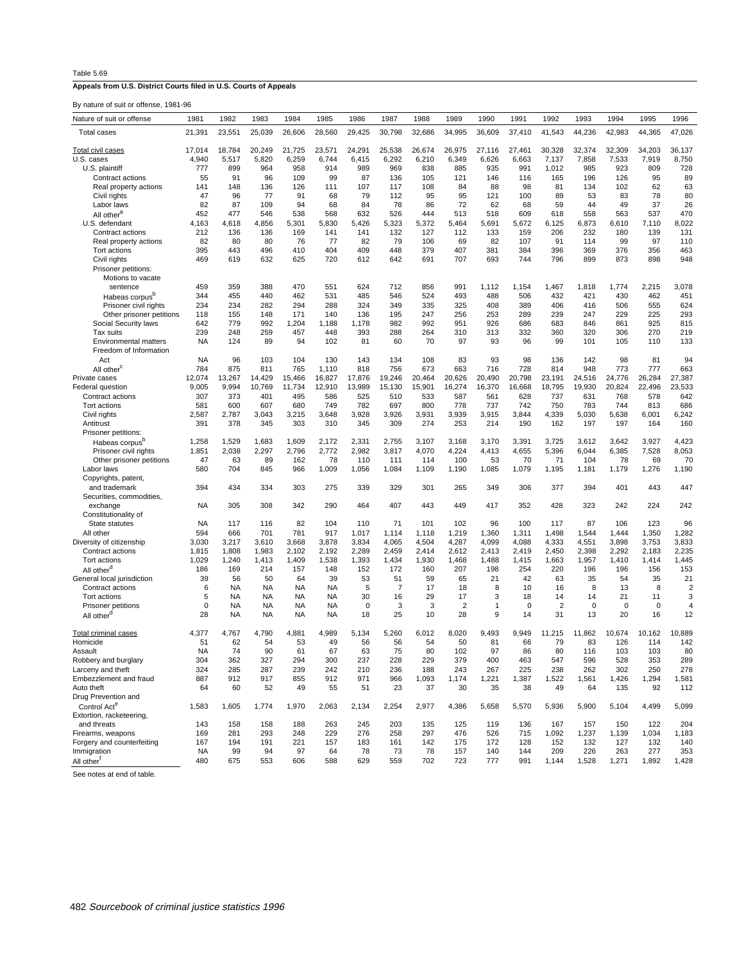| Table 5.69 |
|------------|
|------------|

# **Appeals from U.S. District Courts filed in U.S. Courts of Appeals**

By nature of suit or offense, 1981-96

| by nature or suit or onerise; 1901-90       |              |                        |               |                        |                        |               |                |               |                |               |               |                      |               |               |               |                     |
|---------------------------------------------|--------------|------------------------|---------------|------------------------|------------------------|---------------|----------------|---------------|----------------|---------------|---------------|----------------------|---------------|---------------|---------------|---------------------|
| Nature of suit or offense                   | 1981         | 1982                   | 1983          | 1984                   | 1985                   | 1986          | 1987           | 1988          | 1989           | 1990          | 1991          | 1992                 | 1993          | 1994          | 1995          | 1996                |
| Total cases                                 | 21,391       | 23,551                 | 25,039        | 26,606                 | 28,560                 | 29,425        | 30,798         | 32,686        | 34,995         | 36,609        | 37,410        | 41,543               | 44,236        | 42,983        | 44,365        | 47,026              |
| <b>Total civil cases</b>                    | 17,014       | 18,784                 | 20,249        | 21,725                 | 23,571                 | 24,291        | 25,538         | 26,674        | 26,975         | 27,116        | 27,461        | 30,328               | 32,374        | 32,309        | 34,203        | 36,137              |
| U.S. cases                                  | 4,940<br>777 | 5,517<br>899           | 5,820<br>964  | 6,259<br>958           | 6,744<br>914           | 6,415<br>989  | 6,292<br>969   | 6,210<br>838  | 6,349<br>885   | 6,626<br>935  | 6,663<br>991  | 7,137<br>1,012       | 7,858<br>985  | 7,533<br>923  | 7,919<br>809  | 8,750<br>728        |
| U.S. plaintiff<br>Contract actions          | 55           | 91                     | 96            | 109                    | 99                     | 87            | 136            | 105           | 121            | 146           | 116           | 165                  | 196           | 126           | 95            | 89                  |
| Real property actions                       | 141          | 148                    | 136           | 126                    | 111                    | 107           | 117            | 108           | 84             | 88            | 98            | 81                   | 134           | 102           | 62            | 63                  |
| Civil rights                                | 47           | 96                     | 77            | 91                     | 68                     | 79            | 112            | 95            | 95             | 121           | 100           | 89                   | 53            | 83            | 78            | 80                  |
| Labor laws                                  | 82           | 87                     | 109           | 94                     | 68                     | 84            | 78             | 86            | 72             | 62            | 68            | 59                   | 44            | 49            | 37            | 26                  |
| All other <sup>a</sup>                      | 452          | 477                    | 546           | 538                    | 568                    | 632           | 526            | 444           | 513            | 518           | 609           | 618                  | 558           | 563           | 537           | 470                 |
| U.S. defendant                              | 4,163        | 4,618                  | 4,856         | 5,301                  | 5,830                  | 5,426         | 5,323          | 5,372         | 5,464          | 5,691         | 5,672         | 6,125                | 6,873         | 6,610         | 7,110         | 8,022               |
| Contract actions                            | 212          | 136                    | 136           | 169                    | 141                    | 141           | 132            | 127           | 112            | 133           | 159           | 206                  | 232           | 180           | 139           | 131                 |
| Real property actions                       | 82           | 80                     | 80            | 76                     | 77                     | 82            | 79             | 106           | 69             | 82            | 107           | 91                   | 114           | 99            | 97            | 110                 |
| Tort actions                                | 395          | 443                    | 496           | 410                    | 404                    | 409           | 448            | 379           | 407            | 381           | 384           | 396                  | 369           | 376           | 356           | 463                 |
| Civil rights                                | 469          | 619                    | 632           | 625                    | 720                    | 612           | 642            | 691           | 707            | 693           | 744           | 796                  | 899           | 873           | 898           | 948                 |
| Prisoner petitions:                         |              |                        |               |                        |                        |               |                |               |                |               |               |                      |               |               |               |                     |
| Motions to vacate<br>sentence               | 459          | 359                    | 388           | 470                    | 551                    | 624           | 712            | 856           | 991            | 1,112         | 1,154         | 1,467                | 1,818         | 1,774         | 2,215         | 3,078               |
| Habeas corpus <sup>b</sup>                  | 344          | 455                    | 440           | 462                    | 531                    | 485           | 546            | 524           | 493            | 488           | 506           | 432                  | 421           | 430           | 462           | 451                 |
| Prisoner civil rights                       | 234          | 234                    | 282           | 294                    | 288                    | 324           | 349            | 335           | 325            | 408           | 389           | 406                  | 416           | 506           | 555           | 624                 |
| Other prisoner petitions                    | 118          | 155                    | 148           | 171                    | 140                    | 136           | 195            | 247           | 256            | 253           | 289           | 239                  | 247           | 229           | 225           | 293                 |
| Social Security laws                        | 642          | 779                    | 992           | 1,204                  | 1,188                  | 1,178         | 982            | 992           | 951            | 926           | 686           | 683                  | 846           | 861           | 925           | 815                 |
| Tax suits                                   | 239          | 248                    | 259           | 457                    | 448                    | 393           | 288            | 264           | 310            | 313           | 332           | 360                  | 320           | 306           | 270           | 219                 |
| <b>Environmental matters</b>                | <b>NA</b>    | 124                    | 89            | 94                     | 102                    | 81            | 60             | 70            | 97             | 93            | 96            | 99                   | 101           | 105           | 110           | 133                 |
| Freedom of Information                      |              |                        |               |                        |                        |               |                |               |                |               |               |                      |               |               |               |                     |
| Act                                         | <b>NA</b>    | 96                     | 103           | 104                    | 130                    | 143           | 134            | 108           | 83             | 93            | 98            | 136                  | 142           | 98            | 81            | 94                  |
| All other <sup>c</sup>                      | 784          | 875                    | 811           | 765                    | 1,110                  | 818           | 756            | 673           | 663            | 716           | 728           | 814                  | 948           | 773           | 777           | 663                 |
| Private cases                               | 12,074       | 13,267                 | 14,429        | 15,466                 | 16,827                 | 17,876        | 19,246         | 20,464        | 20,626         | 20,490        | 20,798        | 23,191               | 24,516        | 24,776        | 26,284        | 27,387              |
| Federal question                            | 9,005<br>307 | 9,994<br>373           | 10,769<br>401 | 11,734<br>495          | 12,910                 | 13,989<br>525 | 15,130<br>510  | 15,901<br>533 | 16,274         | 16,370<br>561 | 16,668<br>628 | 18,795<br>737        | 19,930<br>631 | 20,824<br>768 | 22,496<br>578 | 23,533<br>642       |
| Contract actions<br>Tort actions            | 581          | 600                    | 607           | 680                    | 586<br>749             | 782           | 697            | 800           | 587<br>778     | 737           | 742           | 750                  | 783           | 744           | 813           | 686                 |
| Civil rights                                | 2,587        | 2,787                  | 3,043         | 3,215                  | 3,648                  | 3,928         | 3,926          | 3,931         | 3,939          | 3,915         | 3,844         | 4,339                | 5,030         | 5,638         | 6,001         | 6,242               |
| Antitrust                                   | 391          | 378                    | 345           | 303                    | 310                    | 345           | 309            | 274           | 253            | 214           | 190           | 162                  | 197           | 197           | 164           | 160                 |
| Prisoner petitions:                         |              |                        |               |                        |                        |               |                |               |                |               |               |                      |               |               |               |                     |
| Habeas corpus <sup>t</sup>                  | 1,258        | 1,529                  | 1,683         | 1,609                  | 2,172                  | 2,331         | 2,755          | 3,107         | 3,168          | 3,170         | 3,391         | 3,725                | 3,612         | 3,642         | 3,927         | 4,423               |
| Prisoner civil rights                       | 1,851        | 2,038                  | 2,297         | 2,796                  | 2,772                  | 2,982         | 3,817          | 4,070         | 4,224          | 4,413         | 4,655         | 5,396                | 6,044         | 6,385         | 7,528         | 8,053               |
| Other prisoner petitions                    | 47           | 63                     | 89            | 162                    | 78                     | 110           | 111            | 114           | 100            | 53            | 70            | 71                   | 104           | 78            | 69            | 70                  |
| Labor laws                                  | 580          | 704                    | 845           | 966                    | 1,009                  | 1,056         | 1,084          | 1,109         | 1,190          | 1,085         | 1,079         | 1,195                | 1,181         | 1,179         | 1,276         | 1,190               |
| Copyrights, patent,                         |              |                        |               |                        |                        |               |                |               |                |               |               |                      |               |               |               |                     |
| and trademark                               | 394          | 434                    | 334           | 303                    | 275                    | 339           | 329            | 301           | 265            | 349           | 306           | 377                  | 394           | 401           | 443           | 447                 |
| Securities, commodities,<br>exchange        | NA           | 305                    | 308           | 342                    | 290                    | 464           | 407            | 443           | 449            | 417           | 352           | 428                  | 323           | 242           | 224           | 242                 |
| Constitutionality of                        |              |                        |               |                        |                        |               |                |               |                |               |               |                      |               |               |               |                     |
| State statutes                              | <b>NA</b>    | 117                    | 116           | 82                     | 104                    | 110           | 71             | 101           | 102            | 96            | 100           | 117                  | 87            | 106           | 123           | 96                  |
| All other                                   | 594          | 666                    | 701           | 781                    | 917                    | 1,017         | 1,114          | 1,118         | 1,219          | 1,360         | 1,311         | 1,498                | 1,544         | 1,444         | 1,350         | 1,282               |
| Diversity of citizenship                    | 3,030        | 3,217                  | 3,610         | 3,668                  | 3,878                  | 3,834         | 4,065          | 4,504         | 4,287          | 4,099         | 4,088         | 4,333                | 4,551         | 3,898         | 3,753         | 3,833               |
| Contract actions                            | 1,815        | 1,808                  | 1,983         | 2,102                  | 2,192                  | 2,289         | 2,459          | 2,414         | 2,612          | 2,413         | 2,419         | 2,450                | 2,398         | 2,292         | 2,183         | 2,235               |
| Tort actions                                | 1,029        | 1,240                  | 1,413         | 1,409                  | 1,538                  | 1,393         | 1,434          | 1,930         | 1,468          | 1,488         | 1,415         | 1,663                | 1,957         | 1,410         | 1,414         | 1,445               |
| All other <sup>d</sup>                      | 186          | 169                    | 214           | 157                    | 148                    | 152           | 172            | 160           | 207            | 198           | 254           | 220                  | 196           | 196           | 156           | 153                 |
| General local jurisdiction                  | 39           | 56                     | 50            | 64                     | 39                     | 53            | 51             | 59            | 65             | 21            | 42            | 63                   | 35            | 54            | 35            | 21                  |
| Contract actions                            | 6<br>5       | <b>NA</b>              | <b>NA</b>     | <b>NA</b>              | <b>NA</b>              | 5<br>30       | $\overline{7}$ | 17<br>29      | 18<br>17       | 8<br>3        | 10<br>18      | 16                   | 8<br>14       | 13<br>21      | 8<br>11       | $\overline{2}$      |
| <b>Tort actions</b><br>Prisoner petitions   | 0            | <b>NA</b><br><b>NA</b> | NA<br>NA      | <b>NA</b><br><b>NA</b> | <b>NA</b><br><b>NA</b> | $\mathbf 0$   | 16<br>3        | 3             | $\overline{2}$ | $\mathbf{1}$  | $\mathbf 0$   | 14<br>$\overline{2}$ | $\mathbf 0$   | $\mathbf 0$   | $\mathbf 0$   | 3<br>$\overline{4}$ |
| All other <sup>d</sup>                      | 28           | <b>NA</b>              | NA            | <b>NA</b>              | <b>NA</b>              | 18            | 25             | 10            | 28             | 9             | 14            | 31                   | 13            | 20            | 16            | 12                  |
| <b>Total criminal cases</b>                 | 4,377        | 4,767                  | 4,790         | 4,881                  | 4,989                  | 5,134         | 5,260          | 6,012         | 8,020          | 9,493         | 9,949         | 11,215               | 11,862        | 10,674        | 10,162        | 10,889              |
| Homicide                                    | 51           | 62                     | 54            | 53                     | 49                     | 56            | 56             | 54            | 50             | 81            | 66            | 79                   | 83            | 126           | 114           | 142                 |
| Assault                                     | <b>NA</b>    | 74                     | 90            | 61                     | 67                     | 63            | 75             | 80            | 102            | 97            | 86            | 80                   | 116           | 103           | 103           | 80                  |
| Robbery and burglary                        | 304          | 362                    | 327           | 294                    | 300                    | 237           | 228            | 229           | 379            | 400           | 463           | 547                  | 596           | 528           | 353           | 289                 |
| Larceny and theft<br>Embezzlement and fraud | 324<br>887   | 285<br>912             | 287<br>917    | 239<br>855             | 242<br>912             | 210<br>971    | 236<br>966     | 188<br>1,093  | 243<br>1,174   | 267<br>1,221  | 225<br>1,387  | 238<br>1,522         | 262<br>1,561  | 302<br>1,426  | 250<br>1,294  | 278<br>1,581        |
| Auto theft                                  | 64           | 60                     | 52            | 49                     | 55                     | 51            | 23             | 37            | 30             | 35            | 38            | 49                   | 64            | 135           | 92            | 112                 |
| Drug Prevention and                         |              |                        |               |                        |                        |               |                |               |                |               |               |                      |               |               |               |                     |
| Control Act <sup>e</sup>                    | 1,583        | 1,605                  | 1,774         | 1,970                  | 2,063                  | 2,134         | 2,254          | 2,977         | 4,386          | 5,658         | 5,570         | 5,936                | 5,900         | 5,104         | 4,499         | 5,099               |
| Extortion, racketeering,                    |              |                        |               |                        |                        |               |                |               |                |               |               |                      |               |               |               |                     |
| and threats                                 | 143          | 158                    | 158           | 188                    | 263                    | 245           | 203            | 135           | 125            | 119           | 136           | 167                  | 157           | 150           | 122           | 204                 |
| Firearms, weapons                           | 169          | 281                    | 293           | 248                    | 229                    | 276           | 258            | 297           | 476            | 526           | 715           | 1,092                | 1,237         | 1,139         | 1,034         | 1,183               |
| Forgery and counterfeiting                  | 167          | 194                    | 191           | 221                    | 157                    | 183           | 161            | 142           | 175            | 172           | 128           | 152                  | 132           | 127           | 132           | 140                 |
| Immigration                                 | <b>NA</b>    | 99                     | 94            | 97                     | 64                     | 78            | 73             | 78            | 157            | 140           | 144           | 209                  | 226           | 263           | 277           | 353                 |
| All other <sup>1</sup>                      | 480          | 675                    | 553           | 606                    | 588                    | 629           | 559            | 702           | 723            | 777           | 991           | 1,144                | 1,528         | 1,271         | 1,892         | 1,428               |

See notes at end of table.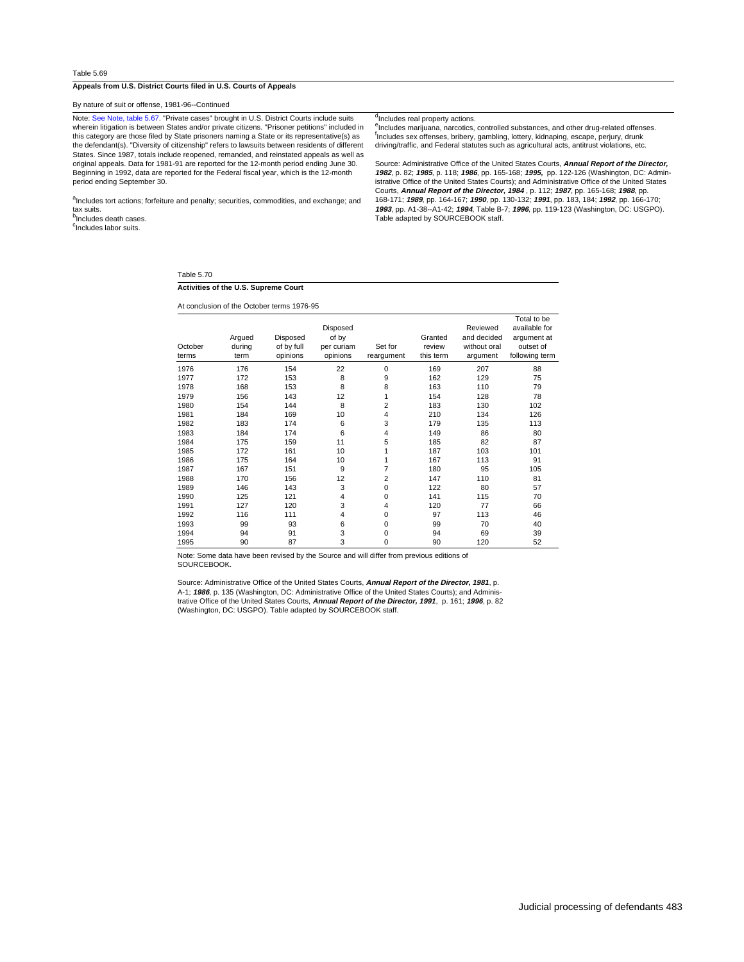### **Appeals from U.S. District Courts filed in U.S. Courts of Appeals**

By nature of suit or offense, 1981-96--Continued

Note[: See Note, table 5.67.](#page-64-0) "Private cases" brought in U.S. District Courts include suits wherein litigation is between States and/or private citizens. "Prisoner petitions" included in this category are those filed by State prisoners naming a State or its representative(s) as the defendant(s). "Diversity of citizenship" refers to lawsuits between residents of different States. Since 1987, totals include reopened, remanded, and reinstated appeals as well as original appeals. Data for 1981-91 are reported for the 12-month period ending June 30. Beginning in 1992, data are reported for the Federal fiscal year, which is the 12-month period ending September 30.

a<br>Includes tort actions; forfeiture and penalty; securities, commodities, and exchange; and tax suits.

<sup>b</sup>Includes death cases.

<sup>c</sup>Includes labor suits.

<sup>d</sup>Includes real property actions.

encludes marijuana, narcotics, controlled substances, and other drug-related offenses. ,<br>driving/traffic, and Federal statutes such as agricultural acts, antitrust violations, etc.<br>driving/traffic, and Federal statutes such as agricultural acts, antitrust violations, etc.

Source: Administrative Office of the United States Courts, **Annual Report of the Director, 1982**, p. 82; **1985**, p. 118; **1986**, pp. 165-168; **1995,** pp. 122-126 (Washington, DC: Administrative Office of the United States Courts); and Administrative Office of the United States<br>Courts, **A***nnual Report of the Director, 1984***,** p. 112; 1987, pp. 165-168; 1988, pp.<br>168-171; **1989**, pp. 164-167; 1990, pp. 13 **1993**, pp. A1-38--A1-42; **1994**, Table B-7; **1996**, pp. 119-123 (Washington, DC: USGPO). Table adapted by SOURCEBOOK staff.

### Table 5.70

**Activities of the U.S. Supreme Court**

At conclusion of the October terms 1976-95

| October<br>terms | Argued<br>during<br>term | Disposed<br>of by full<br>opinions | Disposed<br>of by<br>per curiam<br>opinions | Set for<br>reargument | Granted<br>review<br>this term | Reviewed<br>and decided<br>without oral<br>argument | Total to be<br>available for<br>argument at<br>outset of<br>following term |
|------------------|--------------------------|------------------------------------|---------------------------------------------|-----------------------|--------------------------------|-----------------------------------------------------|----------------------------------------------------------------------------|
| 1976             | 176                      | 154                                | 22                                          | 0                     | 169                            | 207                                                 | 88                                                                         |
| 1977             | 172                      | 153                                | 8                                           | 9                     | 162                            | 129                                                 | 75                                                                         |
| 1978             | 168                      | 153                                | 8                                           | 8                     | 163                            | 110                                                 | 79                                                                         |
| 1979             | 156                      | 143                                | 12                                          | 1                     | 154                            | 128                                                 | 78                                                                         |
| 1980             | 154                      | 144                                | 8                                           | 2                     | 183                            | 130                                                 | 102                                                                        |
| 1981             | 184                      | 169                                | 10                                          | 4                     | 210                            | 134                                                 | 126                                                                        |
| 1982             | 183                      | 174                                | 6                                           | 3                     | 179                            | 135                                                 | 113                                                                        |
| 1983             | 184                      | 174                                | 6                                           | 4                     | 149                            | 86                                                  | 80                                                                         |
| 1984             | 175                      | 159                                | 11                                          | 5                     | 185                            | 82                                                  | 87                                                                         |
| 1985             | 172                      | 161                                | 10                                          | 1                     | 187                            | 103                                                 | 101                                                                        |
| 1986             | 175                      | 164                                | 10                                          | 1                     | 167                            | 113                                                 | 91                                                                         |
| 1987             | 167                      | 151                                | 9                                           | 7                     | 180                            | 95                                                  | 105                                                                        |
| 1988             | 170                      | 156                                | 12                                          | $\overline{2}$        | 147                            | 110                                                 | 81                                                                         |
| 1989             | 146                      | 143                                | 3                                           | 0                     | 122                            | 80                                                  | 57                                                                         |
| 1990             | 125                      | 121                                | 4                                           | 0                     | 141                            | 115                                                 | 70                                                                         |
| 1991             | 127                      | 120                                | 3                                           | 4                     | 120                            | 77                                                  | 66                                                                         |
| 1992             | 116                      | 111                                | 4                                           | 0                     | 97                             | 113                                                 | 46                                                                         |
| 1993             | 99                       | 93                                 | 6                                           | 0                     | 99                             | 70                                                  | 40                                                                         |
| 1994             | 94                       | 91                                 | 3                                           | 0                     | 94                             | 69                                                  | 39                                                                         |
| 1995             | 90                       | 87                                 | 3                                           | 0                     | 90                             | 120                                                 | 52                                                                         |

Note: Some data have been revised by the Source and will differ from previous editions of SOURCEBOOK.

Source: Administrative Office of the United States Courts, **Annual Report of the Director, 1981**, p. A-1; **1986**, p. 135 (Washington, DC: Administrative Office of the United States Courts); and Administrative Office of the United States Courts, **Annual Report of the Director, 1991**, p. 161; **1996**, p. 82 (Washington, DC: USGPO). Table adapted by SOURCEBOOK staff.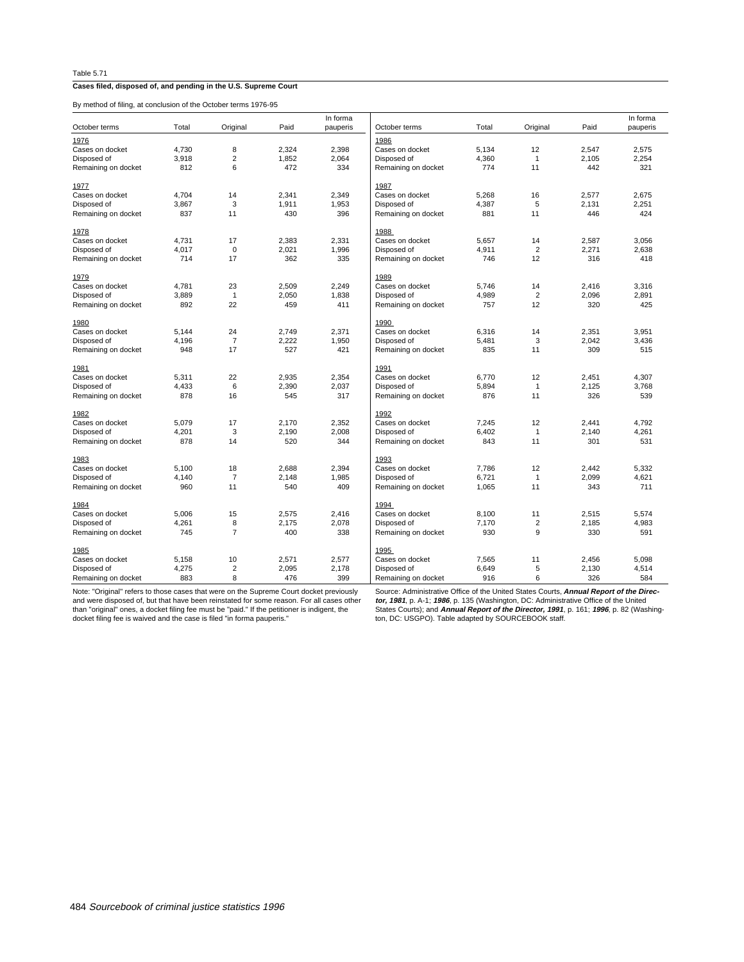# **Cases filed, disposed of, and pending in the U.S. Supreme Court**

By method of filing, at conclusion of the October terms 1976-95

|                     |       |                |       | In forma |                     |       |                |       | In forma |
|---------------------|-------|----------------|-------|----------|---------------------|-------|----------------|-------|----------|
| October terms       | Total | Original       | Paid  | pauperis | October terms       | Total | Original       | Paid  | pauperis |
| 1976                |       |                |       |          | 1986                |       |                |       |          |
| Cases on docket     | 4,730 | 8              | 2,324 | 2,398    | Cases on docket     | 5,134 | 12             | 2,547 | 2,575    |
| Disposed of         | 3,918 | $\overline{2}$ | 1,852 | 2,064    | Disposed of         | 4,360 | $\mathbf{1}$   | 2,105 | 2,254    |
| Remaining on docket | 812   | 6              | 472   | 334      | Remaining on docket | 774   | 11             | 442   | 321      |
| 1977                |       |                |       |          | 1987                |       |                |       |          |
| Cases on docket     | 4,704 | 14             | 2,341 | 2,349    | Cases on docket     | 5,268 | 16             | 2,577 | 2,675    |
| Disposed of         | 3,867 | 3              | 1,911 | 1,953    | Disposed of         | 4,387 | 5              | 2,131 | 2,251    |
| Remaining on docket | 837   | 11             | 430   | 396      | Remaining on docket | 881   | 11             | 446   | 424      |
| 1978                |       |                |       |          | 1988                |       |                |       |          |
| Cases on docket     | 4,731 | 17             | 2,383 | 2,331    | Cases on docket     | 5,657 | 14             | 2,587 | 3,056    |
| Disposed of         | 4,017 | $\mathbf 0$    | 2,021 | 1,996    | Disposed of         | 4,911 | $\overline{2}$ | 2,271 | 2,638    |
| Remaining on docket | 714   | 17             | 362   | 335      | Remaining on docket | 746   | 12             | 316   | 418      |
| 1979                |       |                |       |          | 1989                |       |                |       |          |
| Cases on docket     | 4.781 | 23             | 2,509 | 2.249    | Cases on docket     | 5.746 | 14             | 2.416 | 3.316    |
| Disposed of         | 3,889 | $\mathbf{1}$   | 2,050 | 1,838    | Disposed of         | 4,989 | $\overline{2}$ | 2,096 | 2,891    |
| Remaining on docket | 892   | 22             | 459   | 411      | Remaining on docket | 757   | 12             | 320   | 425      |
| 1980                |       |                |       |          | 1990                |       |                |       |          |
| Cases on docket     | 5,144 | 24             | 2,749 | 2,371    | Cases on docket     | 6,316 | 14             | 2,351 | 3,951    |
| Disposed of         | 4,196 | $\overline{7}$ | 2,222 | 1,950    | Disposed of         | 5,481 | 3              | 2,042 | 3.436    |
| Remaining on docket | 948   | 17             | 527   | 421      | Remaining on docket | 835   | 11             | 309   | 515      |
| 1981                |       |                |       |          | 1991                |       |                |       |          |
| Cases on docket     | 5,311 | 22             | 2,935 | 2,354    | Cases on docket     | 6.770 | 12             | 2,451 | 4,307    |
| Disposed of         | 4,433 | 6              | 2,390 | 2,037    | Disposed of         | 5,894 | 1              | 2,125 | 3,768    |
| Remaining on docket | 878   | 16             | 545   | 317      | Remaining on docket | 876   | 11             | 326   | 539      |
| 1982                |       |                |       |          | 1992                |       |                |       |          |
| Cases on docket     | 5,079 | 17             | 2,170 | 2,352    | Cases on docket     | 7,245 | 12             | 2,441 | 4,792    |
| Disposed of         | 4,201 | 3              | 2,190 | 2,008    | Disposed of         | 6,402 | $\mathbf{1}$   | 2,140 | 4,261    |
| Remaining on docket | 878   | 14             | 520   | 344      | Remaining on docket | 843   | 11             | 301   | 531      |
| 1983                |       |                |       |          | 1993                |       |                |       |          |
| Cases on docket     | 5,100 | 18             | 2,688 | 2,394    | Cases on docket     | 7,786 | 12             | 2,442 | 5,332    |
| Disposed of         | 4,140 | $\overline{7}$ | 2,148 | 1,985    | Disposed of         | 6,721 | $\mathbf{1}$   | 2,099 | 4,621    |
| Remaining on docket | 960   | 11             | 540   | 409      | Remaining on docket | 1.065 | 11             | 343   | 711      |
| 1984                |       |                |       |          | 1994                |       |                |       |          |
| Cases on docket     | 5,006 | 15             | 2,575 | 2,416    | Cases on docket     | 8,100 | 11             | 2,515 | 5,574    |
| Disposed of         | 4.261 | 8              | 2.175 | 2.078    | Disposed of         | 7.170 | $\overline{2}$ | 2.185 | 4.983    |
| Remaining on docket | 745   | $\overline{7}$ | 400   | 338      | Remaining on docket | 930   | 9              | 330   | 591      |
| 1985                |       |                |       |          | 1995                |       |                |       |          |
| Cases on docket     | 5,158 | 10             | 2,571 | 2,577    | Cases on docket     | 7,565 | 11             | 2,456 | 5,098    |
| Disposed of         | 4,275 | $\overline{2}$ | 2,095 | 2,178    | Disposed of         | 6,649 | 5              | 2,130 | 4,514    |
| Remaining on docket | 883   | 8              | 476   | 399      | Remaining on docket | 916   | 6              | 326   | 584      |

Note: "Original" refers to those cases that were on the Supreme Court docket previously and were disposed of, but that have been reinstated for some reason. For all cases other than "original" ones, a docket filing fee must be "paid." If the petitioner is indigent, the docket filing fee is waived and the case is filed "in forma pauperis."

Source: Administrative Office of the United States Courts, *Annual Report of the Director, 1981*, p. A-1; *1986*, p. 135 (Washington, DC: Administrative Office of the United States Courts); and *Annual Report of the Direct*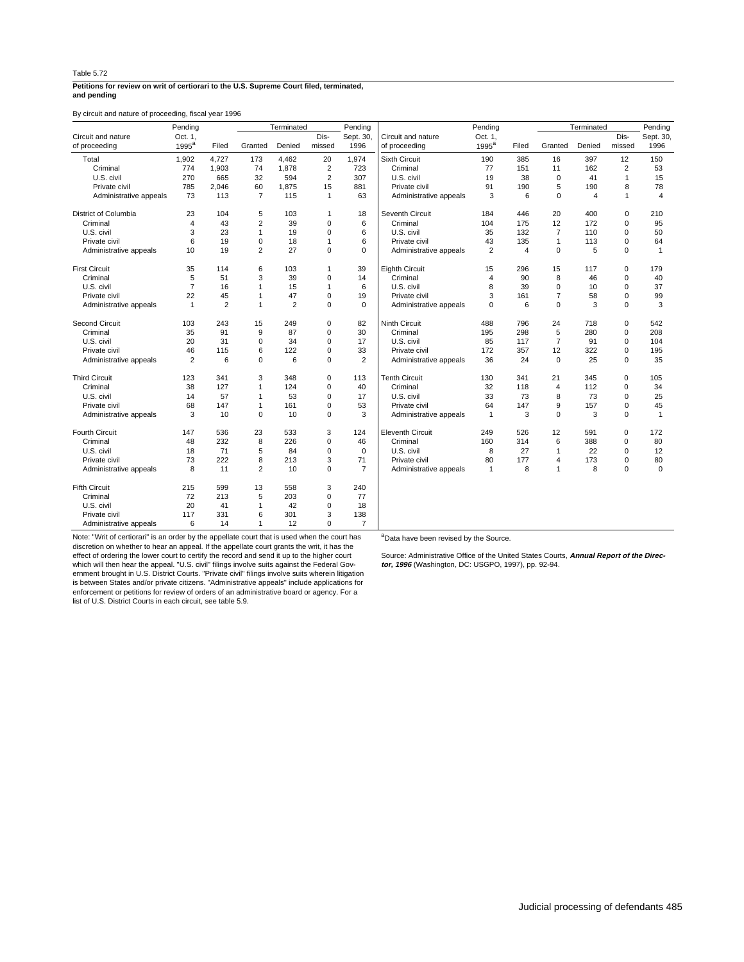**Petitions for review on writ of certiorari to the U.S. Supreme Court filed, terminated, and pending**

By circuit and nature of proceeding, fiscal year 1996

| Pending                |                |                | Terminated     |                |                | Pending        |                         | Pending        |       | Terminated     |        |                | Pending      |
|------------------------|----------------|----------------|----------------|----------------|----------------|----------------|-------------------------|----------------|-------|----------------|--------|----------------|--------------|
| Circuit and nature     | Oct. 1,        |                |                |                | Dis-           | Sept. 30,      | Circuit and nature      | Oct. 1,        |       |                |        | Dis-           | Sept. 30,    |
| of proceeding          | $1995^a$       | Filed          | Granted        | Denied         | missed         | 1996           | of proceeding           | $1995^a$       | Filed | Granted        | Denied | missed         | 1996         |
| Total                  | 1,902          | 4,727          | 173            | 4,462          | 20             | 1,974          | <b>Sixth Circuit</b>    | 190            | 385   | 16             | 397    | 12             | 150          |
| Criminal               | 774            | 1,903          | 74             | 1.878          | $\overline{2}$ | 723            | Criminal                | 77             | 151   | 11             | 162    | $\overline{2}$ | 53           |
| U.S. civil             | 270            | 665            | 32             | 594            | $\overline{2}$ | 307            | U.S. civil              | 19             | 38    | $\mathsf 0$    | 41     | 1              | 15           |
| Private civil          | 785            | 2,046          | 60             | 1,875          | 15             | 881            | Private civil           | 91             | 190   | 5              | 190    | 8              | 78           |
| Administrative appeals | 73             | 113            | $\overline{7}$ | 115            | $\mathbf{1}$   | 63             | Administrative appeals  | 3              | 6     | 0              | 4      | 1              | 4            |
| District of Columbia   | 23             | 104            | 5              | 103            | $\mathbf{1}$   | 18             | Seventh Circuit         | 184            | 446   | 20             | 400    | $\mathbf 0$    | 210          |
| Criminal               | $\overline{4}$ | 43             | $\overline{2}$ | 39             | $\mathbf 0$    | 6              | Criminal                | 104            | 175   | 12             | 172    | $\Omega$       | 95           |
| U.S. civil             | 3              | 23             | 1              | 19             | $\mathbf 0$    | 6              | U.S. civil              | 35             | 132   | $\overline{7}$ | 110    | 0              | 50           |
| Private civil          | 6              | 19             | $\overline{0}$ | 18             | $\mathbf{1}$   | 6              | Private civil           | 43             | 135   | $\mathbf{1}$   | 113    | $\Omega$       | 64           |
| Administrative appeals | 10             | 19             | $\overline{2}$ | 27             | 0              | 0              | Administrative appeals  | $\overline{2}$ | 4     | $\mathbf 0$    | 5      | $\mathbf 0$    | 1            |
| <b>First Circuit</b>   | 35             | 114            | 6              | 103            | 1              | 39             | <b>Eighth Circuit</b>   | 15             | 296   | 15             | 117    | $\Omega$       | 179          |
| Criminal               | 5              | 51             | 3              | 39             | 0              | 14             | Criminal                | $\overline{4}$ | 90    | 8              | 46     | $\mathbf 0$    | 40           |
| U.S. civil             | $\overline{7}$ | 16             | $\mathbf{1}$   | 15             | $\mathbf{1}$   | 6              | U.S. civil              | 8              | 39    | $\mathbf 0$    | 10     | $\Omega$       | 37           |
| Private civil          | 22             | 45             | 1              | 47             | 0              | 19             | Private civil           | 3              | 161   | $\overline{7}$ | 58     | 0              | 99           |
| Administrative appeals | $\mathbf{1}$   | $\overline{2}$ | $\mathbf{1}$   | $\overline{2}$ | 0              | $\mathbf 0$    | Administrative appeals  | $\Omega$       | 6     | 0              | 3      | $\Omega$       | 3            |
| Second Circuit         | 103            | 243            | 15             | 249            | $\mathbf 0$    | 82             | <b>Ninth Circuit</b>    | 488            | 796   | 24             | 718    | $\mathbf 0$    | 542          |
| Criminal               | 35             | 91             | 9              | 87             | $\mathbf 0$    | 30             | Criminal                | 195            | 298   | 5              | 280    | $\mathbf 0$    | 208          |
| U.S. civil             | 20             | 31             | 0              | 34             | $\mathbf 0$    | 17             | U.S. civil              | 85             | 117   | $\overline{7}$ | 91     | $\mathbf 0$    | 104          |
| Private civil          | 46             | 115            | 6              | 122            | 0              | 33             | Private civil           | 172            | 357   | 12             | 322    | 0              | 195          |
| Administrative appeals | $\overline{2}$ | 6              | $\Omega$       | 6              | $\Omega$       | $\overline{2}$ | Administrative appeals  | 36             | 24    | $\mathbf 0$    | 25     | $\Omega$       | 35           |
| <b>Third Circuit</b>   | 123            | 341            | 3              | 348            | 0              | 113            | <b>Tenth Circuit</b>    | 130            | 341   | 21             | 345    | 0              | 105          |
| Criminal               | 38             | 127            | 1              | 124            | $\Omega$       | 40             | Criminal                | 32             | 118   | $\overline{4}$ | 112    | $\Omega$       | 34           |
| U.S. civil             | 14             | 57             | 1              | 53             | $\mathbf 0$    | 17             | U.S. civil              | 33             | 73    | 8              | 73     | 0              | 25           |
| Private civil          | 68             | 147            | $\mathbf{1}$   | 161            | $\mathbf 0$    | 53             | Private civil           | 64             | 147   | 9              | 157    | 0              | 45           |
| Administrative appeals | 3              | 10             | $\Omega$       | 10             | $\mathbf 0$    | 3              | Administrative appeals  | $\mathbf{1}$   | 3     | $\mathbf 0$    | 3      | $\Omega$       | $\mathbf{1}$ |
| <b>Fourth Circuit</b>  | 147            | 536            | 23             | 533            | 3              | 124            | <b>Eleventh Circuit</b> | 249            | 526   | 12             | 591    | 0              | 172          |
| Criminal               | 48             | 232            | 8              | 226            | $\mathbf 0$    | 46             | Criminal                | 160            | 314   | 6              | 388    | $\Omega$       | 80           |
| U.S. civil             | 18             | 71             | 5              | 84             | $\mathbf 0$    | $\mathbf 0$    | U.S. civil              | 8              | 27    | $\mathbf{1}$   | 22     | $\Omega$       | 12           |
| Private civil          | 73             | 222            | 8              | 213            | 3              | 71             | Private civil           | 80             | 177   | 4              | 173    | 0              | 80           |
| Administrative appeals | 8              | 11             | $\overline{2}$ | 10             | $\Omega$       | $\overline{7}$ | Administrative appeals  | $\mathbf{1}$   | 8     | $\mathbf{1}$   | 8      | $\Omega$       | $\Omega$     |
| <b>Fifth Circuit</b>   | 215            | 599            | 13             | 558            | 3              | 240            |                         |                |       |                |        |                |              |
| Criminal               | 72             | 213            | 5              | 203            | $\mathbf 0$    | 77             |                         |                |       |                |        |                |              |
| U.S. civil             | 20             | 41             | $\mathbf{1}$   | 42             | $\mathbf 0$    | 18             |                         |                |       |                |        |                |              |
| Private civil          | 117            | 331            | 6              | 301            | 3              | 138            |                         |                |       |                |        |                |              |
| Administrative appeals | 6              | 14             | 1              | 12             | $\mathbf 0$    | $\overline{7}$ |                         |                |       |                |        |                |              |

Note: "Writ of certiorari" is an order by the appellate court that is used when the court has discretion on whether to hear an appeal. If the appellate court grants the writ, it has the<br>effect of ordering the lower court to certify the record and send it up to the higher court<br>which will then hear the appeal. "U.S. ernment brought in U.S. District Courts. "Private civil" filings involve suits wherein litigation is between States and/or private citizens. "Administrative appeals" include applications for enforcement or petitions for review of orders of an administrative board or agency. For a list of U.S. District Courts in each circuit, see table 5.9.

<sup>a</sup>Data have been revised by the Source.

Source: Administrative Office of the United States Courts, **Annual Report of the Direc-tor, 1996** (Washington, DC: USGPO, 1997), pp. 92-94.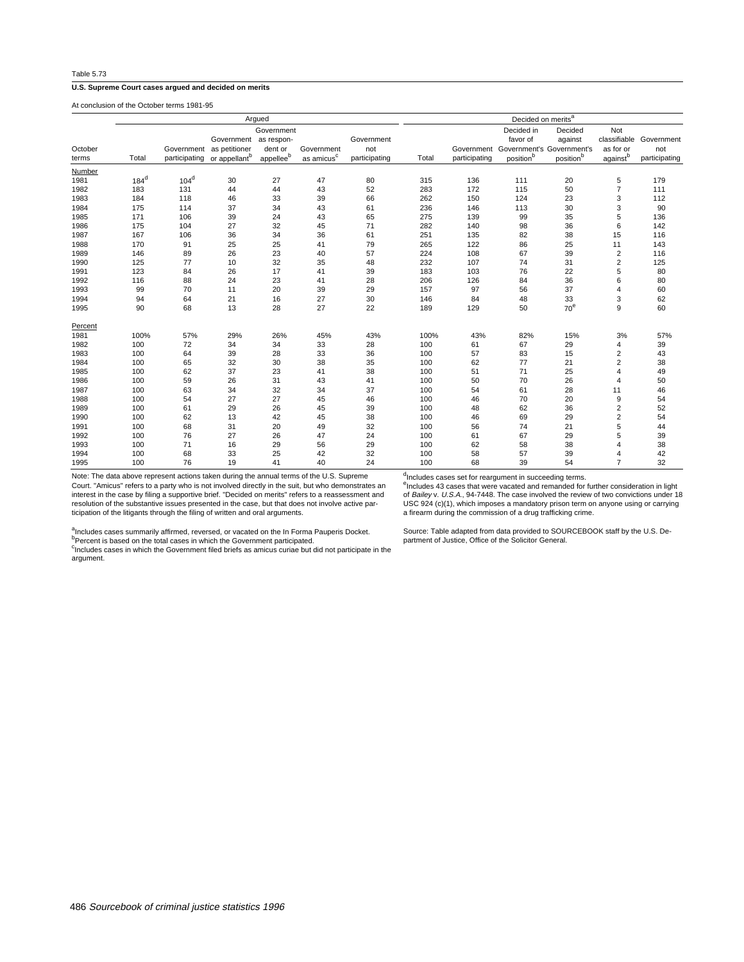### **U.S. Supreme Court cases argued and decided on merits**

At conclusion of the October terms 1981-95

|         | Argued  |                  |                                         |                       |                        |               | Decided on merits <sup>a</sup> |               |            |                                      |                         |               |
|---------|---------|------------------|-----------------------------------------|-----------------------|------------------------|---------------|--------------------------------|---------------|------------|--------------------------------------|-------------------------|---------------|
|         |         |                  |                                         | Government            |                        |               |                                |               | Decided in | Decided                              | Not                     |               |
|         |         |                  | Government as respon-                   |                       |                        | Government    |                                |               | favor of   | against                              | classifiable            | Government    |
| October |         |                  | Government as petitioner                | dent or               | Government             | not           |                                |               |            | Government Government's Government's | as for or               | not           |
| terms   | Total   |                  | participating or appellant <sup>b</sup> | appellee <sup>b</sup> | as amicus <sup>c</sup> | participating | Total                          | participating | positionb  | positionb                            | against <sup>b</sup>    | participating |
| Number  |         |                  |                                         |                       |                        |               |                                |               |            |                                      |                         |               |
| 1981    | $184^d$ | 104 <sup>d</sup> | 30                                      | 27                    | 47                     | 80            | 315                            | 136           | 111        | 20                                   | 5                       | 179           |
| 1982    | 183     | 131              | 44                                      | 44                    | 43                     | 52            | 283                            | 172           | 115        | 50                                   | $\overline{7}$          | 111           |
| 1983    | 184     | 118              | 46                                      | 33                    | 39                     | 66            | 262                            | 150           | 124        | 23                                   | 3                       | 112           |
| 1984    | 175     | 114              | 37                                      | 34                    | 43                     | 61            | 236                            | 146           | 113        | 30                                   | 3                       | 90            |
| 1985    | 171     | 106              | 39                                      | 24                    | 43                     | 65            | 275                            | 139           | 99         | 35                                   | 5                       | 136           |
| 1986    | 175     | 104              | 27                                      | 32                    | 45                     | 71            | 282                            | 140           | 98         | 36                                   | 6                       | 142           |
| 1987    | 167     | 106              | 36                                      | 34                    | 36                     | 61            | 251                            | 135           | 82         | 38                                   | 15                      | 116           |
| 1988    | 170     | 91               | 25                                      | 25                    | 41                     | 79            | 265                            | 122           | 86         | 25                                   | 11                      | 143           |
| 1989    | 146     | 89               | 26                                      | 23                    | 40                     | 57            | 224                            | 108           | 67         | 39                                   | $\overline{2}$          | 116           |
| 1990    | 125     | 77               | 10                                      | 32                    | 35                     | 48            | 232                            | 107           | 74         | 31                                   | $\overline{2}$          | 125           |
| 1991    | 123     | 84               | 26                                      | 17                    | 41                     | 39            | 183                            | 103           | 76         | 22                                   | 5                       | 80            |
| 1992    | 116     | 88               | 24                                      | 23                    | 41                     | 28            | 206                            | 126           | 84         | 36                                   | 6                       | 80            |
| 1993    | 99      | 70               | 11                                      | 20                    | 39                     | 29            | 157                            | 97            | 56         | 37                                   | $\overline{4}$          | 60            |
| 1994    | 94      | 64               | 21                                      | 16                    | 27                     | 30            | 146                            | 84            | 48         | 33                                   | 3                       | 62            |
| 1995    | 90      | 68               | 13                                      | 28                    | 27                     | 22            | 189                            | 129           | 50         | 70 <sup>e</sup>                      | 9                       | 60            |
| Percent |         |                  |                                         |                       |                        |               |                                |               |            |                                      |                         |               |
| 1981    | 100%    | 57%              | 29%                                     | 26%                   | 45%                    | 43%           | 100%                           | 43%           | 82%        | 15%                                  | 3%                      | 57%           |
| 1982    | 100     | 72               | 34                                      | 34                    | 33                     | 28            | 100                            | 61            | 67         | 29                                   | 4                       | 39            |
| 1983    | 100     | 64               | 39                                      | 28                    | 33                     | 36            | 100                            | 57            | 83         | 15                                   | $\overline{2}$          | 43            |
| 1984    | 100     | 65               | 32                                      | 30                    | 38                     | 35            | 100                            | 62            | 77         | 21                                   | $\overline{2}$          | 38            |
| 1985    | 100     | 62               | 37                                      | 23                    | 41                     | 38            | 100                            | 51            | 71         | 25                                   | $\overline{4}$          | 49            |
| 1986    | 100     | 59               | 26                                      | 31                    | 43                     | 41            | 100                            | 50            | 70         | 26                                   | 4                       | 50            |
| 1987    | 100     | 63               | 34                                      | 32                    | 34                     | 37            | 100                            | 54            | 61         | 28                                   | 11                      | 46            |
| 1988    | 100     | 54               | 27                                      | 27                    | 45                     | 46            | 100                            | 46            | 70         | 20                                   | 9                       | 54            |
| 1989    | 100     | 61               | 29                                      | 26                    | 45                     | 39            | 100                            | 48            | 62         | 36                                   | $\overline{\mathbf{c}}$ | 52            |
| 1990    | 100     | 62               | 13                                      | 42                    | 45                     | 38            | 100                            | 46            | 69         | 29                                   | $\overline{2}$          | 54            |
| 1991    | 100     | 68               | 31                                      | 20                    | 49                     | 32            | 100                            | 56            | 74         | 21                                   | 5                       | 44            |
| 1992    | 100     | 76               | 27                                      | 26                    | 47                     | 24            | 100                            | 61            | 67         | 29                                   | 5                       | 39            |
| 1993    | 100     | 71               | 16                                      | 29                    | 56                     | 29            | 100                            | 62            | 58         | 38                                   | $\overline{4}$          | 38            |
| 1994    | 100     | 68               | 33                                      | 25                    | 42                     | 32            | 100                            | 58            | 57         | 39                                   | 4                       | 42            |
| 1995    | 100     | 76               | 19                                      | 41                    | 40                     | 24            | 100                            | 68            | 39         | 54                                   | $\overline{7}$          | 32            |

Note: The data above represent actions taken during the annual terms of the U.S. Supreme Court. "Amicus" refers to a party who is not involved directly in the suit, but who demonstrates an<br>interest in the case by filing a supportive brief. "Decided on merits" refers to a reassessment and<br>resolution of the subs ticipation of the litigants through the filing of written and oral arguments.

<sup>d</sup>Includes cases set for reargument in succeeding terms.

e<br>of Bailey v. U.S.A., 94-7448. The case involved the review of two convictions under 18<br>of Bailey v. U.S.A., 94-7448. The case involved the review of two convictions under 18 USC 924 (c)(1), which imposes a mandatory prison term on anyone using or carrying a firearm during the commission of a drug trafficking crime.

<sup>a</sup>lncludes cases summarily affirmed, reversed, or vacated on the In Forma Pauperis Docket.<br><sup>b</sup>Percent is based on the total cases in which the Government participated.<br><sup>c</sup>Includes cases in which the Government filed brief

argument.

Source: Table adapted from data provided to SOURCEBOOK staff by the U.S. De-partment of Justice, Office of the Solicitor General.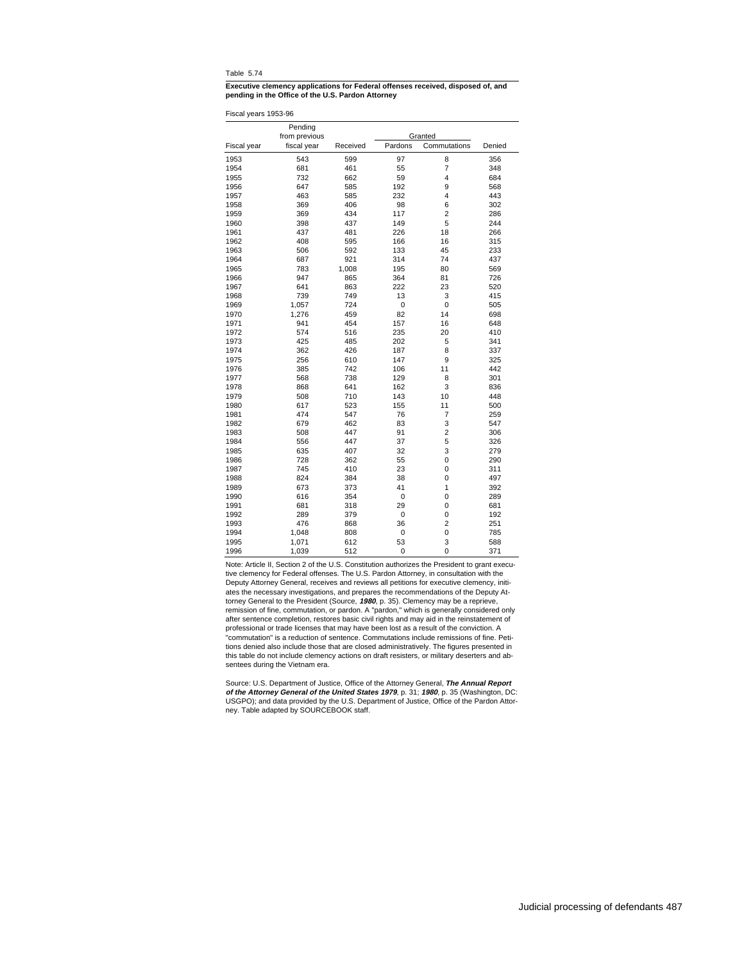**Executive clemency applications for Federal offenses received, disposed of, and pending in the Office of the U.S. Pardon Attorney**

Fiscal years 1953-96

|             | Pending<br>from previous |          |         | Granted        |        |
|-------------|--------------------------|----------|---------|----------------|--------|
| Fiscal year | fiscal year              | Received | Pardons | Commutations   | Denied |
| 1953        | 543                      | 599      | 97      | 8              | 356    |
| 1954        | 681                      | 461      | 55      | $\overline{7}$ | 348    |
| 1955        | 732                      | 662      | 59      | 4              | 684    |
| 1956        | 647                      | 585      | 192     | 9              | 568    |
| 1957        | 463                      | 585      | 232     | 4              | 443    |
| 1958        | 369                      | 406      | 98      | 6              | 302    |
| 1959        | 369                      | 434      | 117     | $\overline{2}$ | 286    |
| 1960        | 398                      | 437      | 149     | 5              | 244    |
| 1961        | 437                      | 481      | 226     | 18             | 266    |
| 1962        | 408                      | 595      | 166     | 16             | 315    |
| 1963        | 506                      | 592      | 133     | 45             | 233    |
| 1964        | 687                      | 921      | 314     | 74             | 437    |
| 1965        | 783                      | 1,008    | 195     | 80             | 569    |
| 1966        | 947                      | 865      | 364     | 81             | 726    |
| 1967        | 641                      | 863      | 222     | 23             | 520    |
| 1968        | 739                      | 749      | 13      | 3              | 415    |
| 1969        | 1,057                    | 724      | 0       | 0              | 505    |
| 1970        | 1,276                    | 459      | 82      | 14             | 698    |
| 1971        | 941                      | 454      | 157     | 16             | 648    |
| 1972        | 574                      | 516      | 235     | 20             | 410    |
| 1973        | 425                      | 485      | 202     | 5              | 341    |
| 1974        | 362                      | 426      | 187     | 8              | 337    |
| 1975        | 256                      | 610      | 147     | 9              | 325    |
| 1976        | 385                      | 742      | 106     | 11             | 442    |
| 1977        | 568                      | 738      | 129     | 8              | 301    |
| 1978        | 868                      | 641      | 162     | 3              | 836    |
| 1979        | 508                      | 710      | 143     | 10             | 448    |
| 1980        | 617                      | 523      | 155     | 11             | 500    |
| 1981        | 474                      | 547      | 76      | 7              | 259    |
| 1982        | 679                      | 462      | 83      | 3              | 547    |
| 1983        | 508                      | 447      | 91      | $\overline{c}$ | 306    |
| 1984        | 556                      | 447      | 37      | 5              | 326    |
| 1985        | 635                      | 407      | 32      | 3              | 279    |
| 1986        | 728                      | 362      | 55      | $\mathbf 0$    | 290    |
| 1987        | 745                      | 410      | 23      | $\mathbf 0$    | 311    |
| 1988        | 824                      | 384      | 38      | 0              | 497    |
| 1989        | 673                      | 373      | 41      | $\mathbf{1}$   | 392    |
| 1990        | 616                      | 354      | 0       | $\mathbf 0$    | 289    |
| 1991        | 681                      | 318      | 29      | 0              | 681    |
| 1992        | 289                      | 379      | 0       | $\mathbf 0$    | 192    |
| 1993        | 476                      | 868      | 36      | $\overline{2}$ | 251    |
| 1994        | 1,048                    | 808      | 0       | $\mathbf 0$    | 785    |
| 1995        | 1,071                    | 612      | 53      | 3              | 588    |
| 1996        | 1,039                    | 512      | 0       | 0              | 371    |

Note: Article II, Section 2 of the U.S. Constitution authorizes the President to grant executive clemency for Federal offenses. The U.S. Pardon Attorney, in consultation with the Deputy Attorney General, receives and reviews all petitions for executive clemency, initiates the necessary investigations, and prepares the recommendations of the Deputy Attorney General to the President (Source, **1980**, p. 35). Clemency may be a reprieve, remission of fine, commutation, or pardon. A "pardon," which is generally considered only after sentence completion, restores basic civil rights and may aid in the reinstatement of professional or trade licenses that may have been lost as a result of the conviction. A "commutation" is a reduction of sentence. Commutations include remissions of fine. Petitions denied also include those that are closed administratively. The figures presented in this table do not include clemency actions on draft resisters, or military deserters and absentees during the Vietnam era.

Source: U.S. Department of Justice, Office of the Attorney General, **The Annual Report of the Attorney General of the United States 1979**, p. 31; **1980**, p. 35 (Washington, DC: USGPO); and data provided by the U.S. Department of Justice, Office of the Pardon Attorney. Table adapted by SOURCEBOOK staff.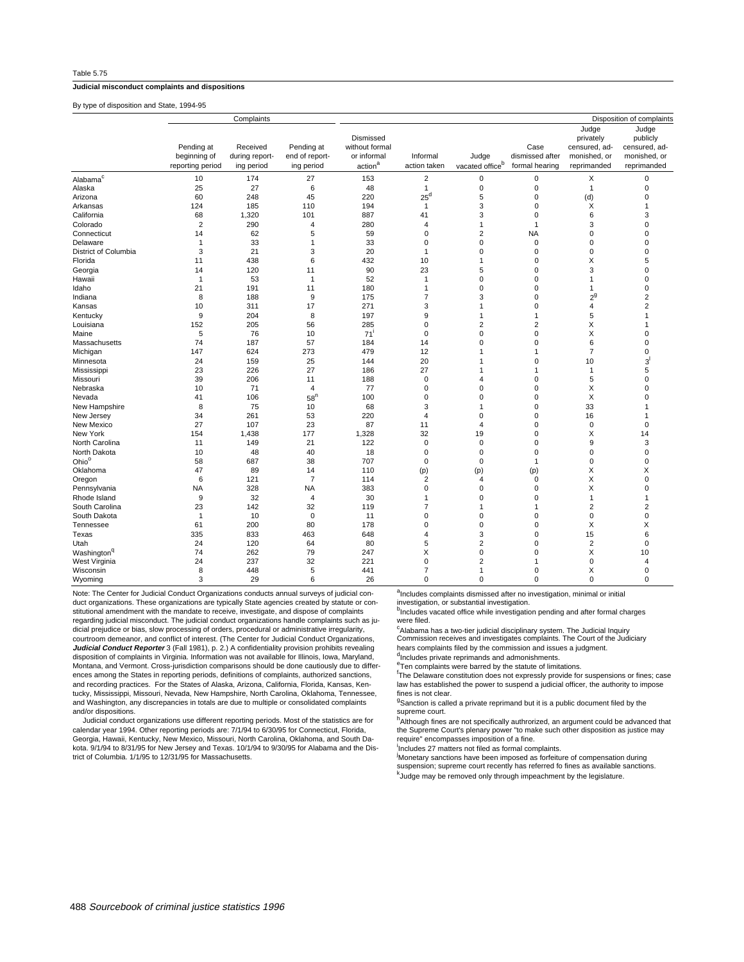### **Judicial misconduct complaints and dispositions**

By type of disposition and State, 1994-95

|                         |                                                | Complaints                               |                                            |                                                                   |                          |                                      |                                           |                                                                    | Disposition of complaints                                         |
|-------------------------|------------------------------------------------|------------------------------------------|--------------------------------------------|-------------------------------------------------------------------|--------------------------|--------------------------------------|-------------------------------------------|--------------------------------------------------------------------|-------------------------------------------------------------------|
|                         | Pending at<br>beginning of<br>reporting period | Received<br>during report-<br>ing period | Pending at<br>end of report-<br>ing period | Dismissed<br>without formal<br>or informal<br>action <sup>a</sup> | Informal<br>action taken | Judge<br>vacated office <sup>b</sup> | Case<br>dismissed after<br>formal hearing | Judge<br>privately<br>censured, ad-<br>monished, or<br>reprimanded | Judge<br>publicly<br>censured, ad-<br>monished, or<br>reprimanded |
| Alabama <sup>c</sup>    | 10                                             | 174                                      | 27                                         | 153                                                               | $\overline{\mathbf{c}}$  | 0                                    | 0                                         | X                                                                  | 0                                                                 |
| Alaska                  | 25                                             | 27                                       | 6                                          | 48                                                                | $\mathbf{1}$             | $\mathbf 0$                          | $\mathbf 0$                               | $\mathbf{1}$                                                       | 0                                                                 |
| Arizona                 | 60                                             | 248                                      | 45                                         | 220                                                               | $25^d$                   | 5                                    | 0                                         | (d)                                                                | 0                                                                 |
| Arkansas                | 124                                            | 185                                      | 110                                        | 194                                                               | $\mathbf{1}$             | 3                                    | $\mathbf 0$                               | X                                                                  | 1                                                                 |
| California              | 68                                             | 1,320                                    | 101                                        | 887                                                               | 41                       | 3                                    | 0                                         | 6                                                                  | 3                                                                 |
| Colorado                | $\overline{2}$                                 | 290                                      | 4                                          | 280                                                               | $\overline{4}$           | 1                                    | 1                                         | 3                                                                  | 0                                                                 |
| Connecticut             | 14                                             | 62                                       | 5                                          | 59                                                                | 0                        | $\overline{2}$                       | NA                                        | $\mathbf 0$                                                        | 0                                                                 |
| Delaware                | 1                                              | 33                                       | 1                                          | 33                                                                | $\mathbf 0$              | 0                                    | 0                                         | 0                                                                  | 0                                                                 |
| District of Columbia    | 3                                              | 21                                       | 3                                          | 20                                                                | $\mathbf{1}$             | 0                                    | $\mathbf 0$                               | $\mathbf 0$                                                        | 0                                                                 |
| Florida                 | 11                                             | 438                                      | 6                                          | 432                                                               | 10                       | 1                                    | $\mathbf 0$                               | Χ                                                                  | 5                                                                 |
| Georgia                 | 14                                             | 120                                      | 11                                         | 90                                                                | 23                       | 5                                    | $\mathbf 0$                               | 3                                                                  | 0                                                                 |
| Hawaii                  | $\mathbf{1}$                                   | 53                                       | $\overline{1}$                             | 52                                                                | 1                        | $\mathbf 0$                          | $\mathbf 0$                               | $\mathbf{1}$                                                       | 0                                                                 |
| Idaho                   | 21                                             | 191                                      | 11                                         | 180                                                               | $\mathbf{1}$             | 0                                    | 0                                         | 1                                                                  | 0                                                                 |
| Indiana                 | 8                                              | 188                                      | 9                                          | 175                                                               | $\overline{7}$           | 3                                    | $\mathbf 0$                               | $2^9$                                                              | $\overline{2}$                                                    |
| Kansas                  | 10                                             | 311                                      | 17                                         | 271                                                               | 3                        | 1                                    | $\mathbf 0$                               | 4                                                                  | 2                                                                 |
| Kentucky                | 9                                              | 204                                      | 8                                          | 197                                                               | 9                        | $\mathbf{1}$                         | 1                                         | 5                                                                  | 1                                                                 |
| Louisiana               | 152                                            | 205                                      | 56                                         | 285                                                               | $\mathbf 0$              | $\overline{2}$                       | $\overline{2}$                            | Χ                                                                  | 1                                                                 |
| Maine                   | 5                                              | 76                                       | 10                                         | 71'                                                               | $\mathbf 0$              | 0                                    | $\mathbf 0$                               | Χ                                                                  | 0                                                                 |
| Massachusetts           | 74                                             | 187                                      | 57                                         | 184                                                               | 14                       | 0                                    | $\Omega$                                  | 6                                                                  | 0                                                                 |
| Michigan                | 147                                            | 624                                      | 273                                        | 479                                                               | 12                       | 1<br>1                               | 1<br>$\mathbf 0$                          | $\overline{7}$                                                     | 0                                                                 |
| Minnesota               | 24                                             | 159                                      | 25                                         | 144                                                               | 20                       | 1                                    |                                           | 10                                                                 | 3 <sup>1</sup><br>5                                               |
| Mississippi<br>Missouri | 23<br>39                                       | 226<br>206                               | 27<br>11                                   | 186<br>188                                                        | 27<br>$\mathbf 0$        | 4                                    | 1<br>$\mathbf 0$                          | $\mathbf{1}$<br>5                                                  | 0                                                                 |
| Nebraska                | 10                                             | 71                                       | 4                                          | 77                                                                | $\mathbf 0$              | $\mathbf 0$                          | $\mathbf 0$                               | Χ                                                                  | 0                                                                 |
| Nevada                  | 41                                             | 106                                      | 58 <sup>n</sup>                            | 100                                                               | $\mathbf 0$              | 0                                    | 0                                         | X                                                                  | 0                                                                 |
| New Hampshire           | 8                                              | 75                                       | 10                                         | 68                                                                | 3                        | 1                                    | $\mathbf 0$                               | 33                                                                 | 1                                                                 |
| New Jersey              | 34                                             | 261                                      | 53                                         | 220                                                               | $\overline{4}$           | $\mathbf 0$                          | $\overline{0}$                            | 16                                                                 | $\mathbf{1}$                                                      |
| New Mexico              | 27                                             | 107                                      | 23                                         | 87                                                                | 11                       | $\overline{4}$                       | $\Omega$                                  | $\mathbf 0$                                                        | $\Omega$                                                          |
| New York                | 154                                            | 1,438                                    | 177                                        | 1,328                                                             | 32                       | 19                                   | 0                                         | Χ                                                                  | 14                                                                |
| North Carolina          | 11                                             | 149                                      | 21                                         | 122                                                               | $\mathbf 0$              | $\mathbf 0$                          | 0                                         | 9                                                                  | 3                                                                 |
| North Dakota            | 10                                             | 48                                       | 40                                         | 18                                                                | $\mathbf 0$              | 0                                    | $\mathbf 0$                               | 0                                                                  | 0                                                                 |
| Ohio <sup>o</sup>       | 58                                             | 687                                      | 38                                         | 707                                                               | $\mathbf 0$              | $\mathbf 0$                          | $\overline{1}$                            | $\mathbf 0$                                                        | 0                                                                 |
| Oklahoma                | 47                                             | 89                                       | 14                                         | 110                                                               | (p)                      | (p)                                  | (p)                                       | Х                                                                  | Х                                                                 |
| Oregon                  | 6                                              | 121                                      | $\overline{7}$                             | 114                                                               | $\overline{2}$           | 4                                    | $\mathbf 0$                               | Χ                                                                  | 0                                                                 |
| Pennsylvania            | NA                                             | 328                                      | <b>NA</b>                                  | 383                                                               | $\mathbf 0$              | $\mathbf 0$                          | $\mathbf 0$                               | X                                                                  | 0                                                                 |
| Rhode Island            | 9                                              | 32                                       | $\overline{4}$                             | 30                                                                | $\mathbf{1}$             | 0                                    | $\mathbf 0$                               | $\mathbf{1}$                                                       | $\mathbf{1}$                                                      |
| South Carolina          | 23                                             | 142                                      | 32                                         | 119                                                               | $\overline{7}$           | 1                                    | $\overline{1}$                            | $\overline{2}$                                                     | $\overline{2}$                                                    |
| South Dakota            | $\mathbf{1}$                                   | 10                                       | $\mathbf 0$                                | 11                                                                | $\mathbf 0$              | 0                                    | 0                                         | $\mathbf 0$                                                        | 0                                                                 |
| Tennessee               | 61                                             | 200                                      | 80                                         | 178                                                               | $\mathbf 0$              | 0                                    | $\mathbf 0$                               | X                                                                  | X                                                                 |
| Texas                   | 335                                            | 833                                      | 463                                        | 648                                                               | $\overline{4}$           | 3                                    | $\mathbf 0$                               | 15                                                                 | 6                                                                 |
| Utah                    | 24                                             | 120                                      | 64                                         | 80                                                                | 5                        | $\overline{2}$                       | 0                                         | $\overline{c}$                                                     | 0                                                                 |
| Washington <sup>q</sup> | 74                                             | 262                                      | 79                                         | 247                                                               | X                        | 0                                    | 0                                         | Χ                                                                  | 10                                                                |
| West Virginia           | 24                                             | 237                                      | 32                                         | 221                                                               | $\mathbf 0$              | $\overline{2}$                       | 1                                         | $\mathbf 0$                                                        | $\overline{4}$                                                    |
| Wisconsin               | 8                                              | 448                                      | 5                                          | 441                                                               | $\overline{7}$           | 1                                    | $\mathbf 0$                               | Χ                                                                  | 0                                                                 |
| Wyoming                 | 3                                              | 29                                       | 6                                          | 26                                                                | $\mathbf 0$              | 0                                    | 0                                         | $\mathbf 0$                                                        | 0                                                                 |

Note: The Center for Judicial Conduct Organizations conducts annual surveys of judicial conduct organizations. These organizations are typically State agencies created by statute or constitutional amendment with the mandate to receive, investigate, and dispose of complaints regarding judicial misconduct. The judicial conduct organizations handle complaints such as judicial prejudice or bias, slow processing of orders, procedural or administrative irregularity, courtroom demeanor, and conflict of interest. (The Center for Judicial Conduct Organizations, **Judicial Conduct Reporter** 3 (Fall 1981), p. 2.) A confidentiality provision prohibits revealing disposition of complaints in Virginia. Information was not available for Illinois, Iowa, Maryland, Montana, and Vermont. Cross-jurisdiction comparisons should be done cautiously due to differences among the States in reporting periods, definitions of complaints, authorized sanctions,

and recording practices. For the States of Alaska, Arizona, California, Florida, Kansas, Kentucky, Mississippi, Missouri, Nevada, New Hampshire, North Carolina, Oklahoma, Tennessee, and Washington, any discrepancies in totals are due to multiple or consolidated complaints and/or dispositions.

 Judicial conduct organizations use different reporting periods. Most of the statistics are for calendar year 1994. Other reporting periods are: 7/1/94 to 6/30/95 for Connecticut, Florida, Georgia, Hawaii, Kentucky, New Mexico, Missouri, North Carolina, Oklahoma, and South Dakota. 9/1/94 to 8/31/95 for New Jersey and Texas. 10/1/94 to 9/30/95 for Alabama and the District of Columbia. 1/1/95 to 12/31/95 for Massachusetts.

a<br>Includes complaints dismissed after no investigation, minimal or initial investigation, or substantial investigation.

<sup>b</sup>Includes vacated office while investigation pending and after formal charges were filed.

<sup>c</sup>Alabama has a two-tier judicial disciplinary system. The Judicial Inquiry<br>Commission receives and investigates complaints. The Court of the Judiciary

hears complaints filed by the commission and issues a judgment. <sup>d</sup>Includes private reprimands and admonishments.

eTen complaints were barred by the statute of limitations.

f The Delaware constitution does not expressly provide for suspensions or fines; case law has established the power to suspend a judicial officer, the authority to impose fines is not clear.

<sup>g</sup>Sanction is called a private reprimand but it is a public document filed by the supreme court.

h<br>Although fines are not specifically authrorized, an argument could be advanced that the Supreme Court's plenary power "to make such other disposition as justice may require" encompasses imposition of a fine.

<sup>i</sup>Includes 27 matters not filed as formal complaints.

**Monetary sanctions have been imposed as forfeiture of compensation during** suspension; supreme court recently has referred fo fines as available sanctions. <sup>k</sup> Judge may be removed only through impeachment by the legislature.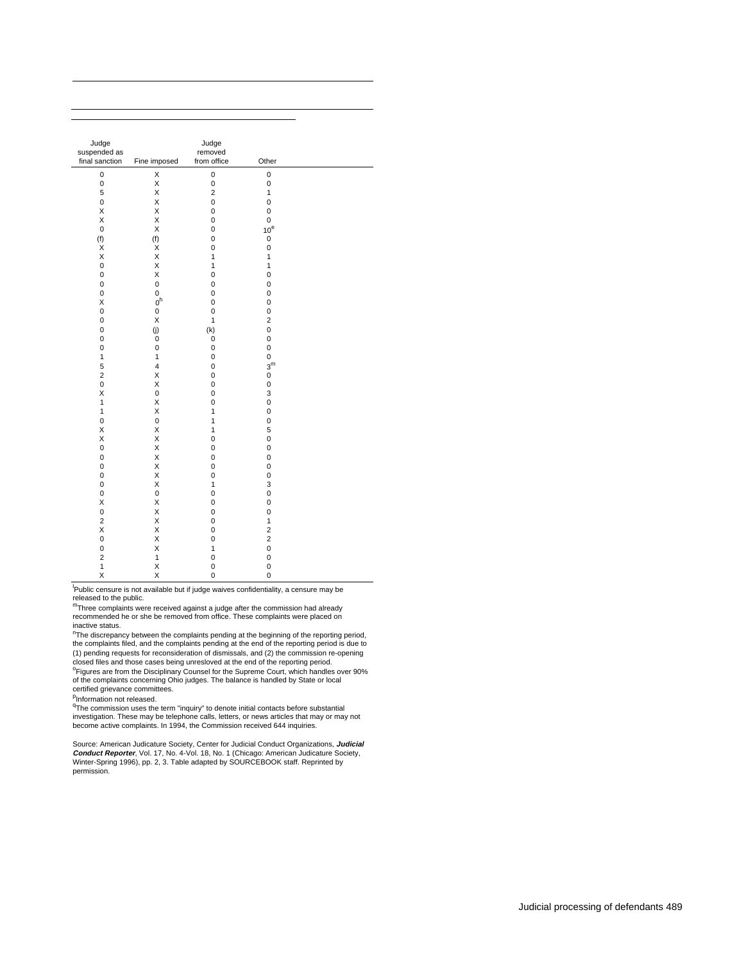| Judge                   |                | Judge                            |                                           |  |
|-------------------------|----------------|----------------------------------|-------------------------------------------|--|
| suspended as            |                | removed                          |                                           |  |
| final sanction          | Fine imposed   | from office                      | Other                                     |  |
| $\pmb{0}$               | X              | $\mathsf 0$                      | $\pmb{0}$                                 |  |
| $\mathbf 0$             | X              | 0                                | $\mathbf 0$                               |  |
| 5                       | X              | $\overline{c}$                   | $\mathbf{1}$                              |  |
| $\pmb{0}$               | X              | 0                                | $\mathbf 0$                               |  |
| X                       | X              | $\overline{0}$                   | $\mathbf 0$                               |  |
| X<br>$\mathbf 0$        | X<br>X         | 0                                | $\mathbf 0$                               |  |
|                         |                | 0                                | 10 <sup>e</sup>                           |  |
| (f)<br>X                | (f)<br>X       | 0<br>$\overline{0}$              | $\pmb{0}$<br>$\mathbf 0$                  |  |
| X                       | X              | $\mathbf{1}$                     | $\mathbf{1}$                              |  |
| $\mathbf 0$             | X              | $\mathbf{1}$                     | $\mathbf{1}$                              |  |
| $\pmb{0}$               | X              | $\overline{0}$                   | $\mathbf 0$                               |  |
| $\mathbf 0$             | 0              | $\overline{0}$                   | $\mathbf 0$                               |  |
| $\pmb{0}$               | 0              | $\overline{0}$                   | $\mathbf 0$                               |  |
| X                       | 0 <sup>h</sup> | $\overline{0}$                   | $\mathbf 0$                               |  |
| $\mathbf 0$             | 0              | $\overline{0}$                   | $\pmb{0}$                                 |  |
| $\mathbf 0$             | X              | $\mathbf{1}$                     | $\overline{c}$                            |  |
| $\mathbf 0$             | (j)            | (k)                              | $\mathbf 0$                               |  |
| $\mathbf 0$             | 0              | $\ddot{\mathbf{0}}$              | $\mathbf 0$                               |  |
| $\mathbf 0$             | $\mathbf 0$    | $\overline{0}$                   | $\mathbf 0$                               |  |
| 1                       | $\mathbf{1}$   | $\overline{0}$                   | $\mathbf 0$                               |  |
| 5                       | 4              | 0                                | 3 <sup>m</sup>                            |  |
| $\overline{c}$          | X              | 0                                | $\mathbf 0$                               |  |
| $\mathbf 0$<br>X        | X<br>0         | $\overline{0}$<br>$\overline{0}$ | $\mathbf 0$<br>3                          |  |
| $\mathbf{1}$            | X              | $\overline{0}$                   | $\mathbf 0$                               |  |
| 1                       | X              | 1                                | $\mathbf 0$                               |  |
| $\mathbf 0$             | $\mathbf 0$    | $\mathbf{1}$                     | $\mathbf 0$                               |  |
| X                       | X              | $\mathbf{1}$                     | 5                                         |  |
| X                       | X              | $\overline{0}$                   | $\mathbf 0$                               |  |
| $\pmb{0}$               | X              | 0                                | $\pmb{0}$                                 |  |
| 0                       | X              | $\overline{0}$                   | $\mathbf 0$                               |  |
| $\pmb{0}$               | X              | 0                                | $\mathbf 0$                               |  |
| 0                       | X              | 0                                | $\mathbf 0$                               |  |
| $\pmb{0}$               | X              | $\mathbf{1}$                     | 3                                         |  |
| $\mathbf 0$             | $\mathbf 0$    | $\overline{0}$                   | $\mathbf 0$                               |  |
| X                       | X              | 0                                | $\mathbf 0$                               |  |
| $\mathbf 0$             | X              | 0                                | $\mathbf 0$                               |  |
| $\overline{\mathbf{c}}$ | X              | 0                                | $\mathbf{1}$                              |  |
| X<br>$\pmb{0}$          | X<br>X         | 0<br>0                           | $\overline{\mathbf{c}}$<br>$\overline{c}$ |  |
| $\pmb{0}$               | X              | 1                                | $\mathbf 0$                               |  |
| $\overline{c}$          | $\mathbf{1}$   | 0                                | $\mathbf 0$                               |  |
| $\mathbf{1}$            | X              | 0                                | $\mathbf 0$                               |  |
| X                       | X              | $\overline{0}$                   | $\mathbf 0$                               |  |
|                         |                |                                  |                                           |  |

<sup>l</sup>Public censure is not available but if judge waives confidentiality, a censure may be

released to the public.<br><sup>m</sup>Three complaints were received against a judge after the commission had already<br>recommended he or she be removed from office. These complaints were placed on inactive status.

<sup>n</sup>The discrepancy between the complaints pending at the beginning of the reporting period, the complaints filed, and the complaints pending at the end of the reporting period is due to (1) pending requests for reconsideration of dismissals, and (2) the commission re-opening closed files and those cases being unresloved at the end of the reporting period.<br><sup>o</sup>Figures are from the Disciplinary Counsel for the Supreme Court, which handles over 90% of the complaints concerning Ohio judges. The balance is handled by State or local certified grievance committees.

## <sup>p</sup>Information not released.

<sup>q</sup>The commission uses the term "inquiry" to denote initial contacts before substantial investigation. These may be telephone calls, letters, or news articles that may or may not become active complaints. In 1994, the Commission received 644 inquiries.

Source: American Judicature Society, Center for Judicial Conduct Organizations, **Judicial Conduct Reporter**, Vol. 17, No. 4-Vol. 18, No. 1 (Chicago: American Judicature Society, Winter-Spring 1996), pp. 2, 3. Table adapted by SOURCEBOOK staff. Reprinted by permission.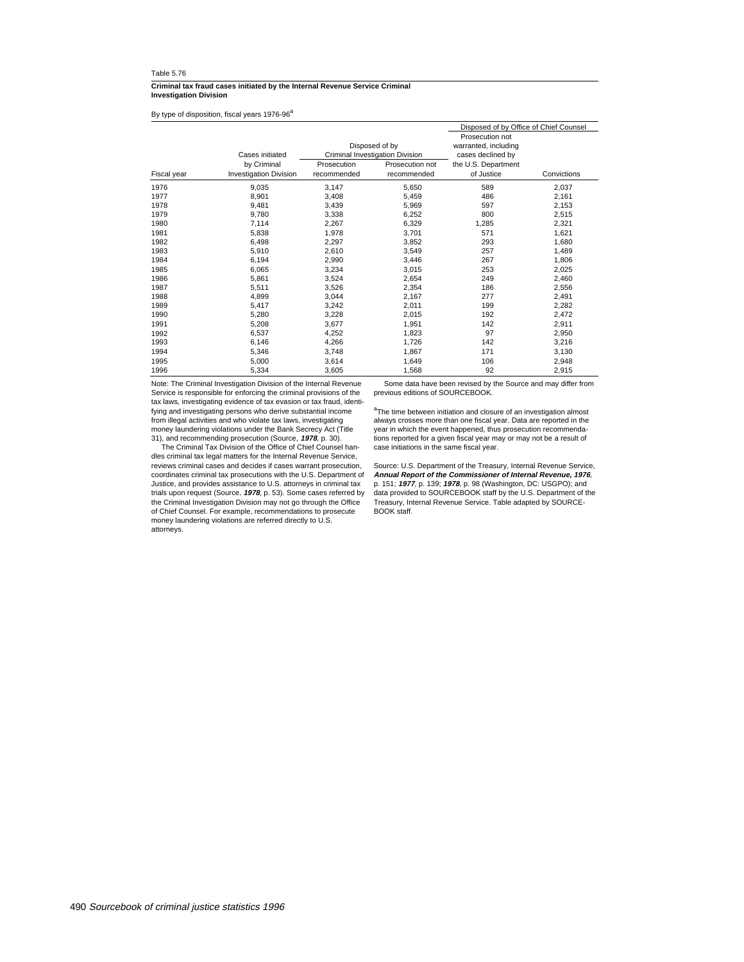#### **Criminal tax fraud cases initiated by the Internal Revenue Service Criminal Investigation Division**

By type of disposition, fiscal years 1976-96<sup>a</sup>

|             |                               | Disposed of by Office of Chief Counsel |                   |                                         |             |
|-------------|-------------------------------|----------------------------------------|-------------------|-----------------------------------------|-------------|
|             |                               |                                        | Disposed of by    | Prosecution not<br>warranted, including |             |
|             | Cases initiated               | Criminal Investigation Division        | cases declined by |                                         |             |
|             | by Criminal                   | Prosecution                            | Prosecution not   | the U.S. Department                     |             |
| Fiscal year | <b>Investigation Division</b> | recommended                            | recommended       | of Justice                              | Convictions |
| 1976        | 9,035                         | 3,147                                  | 5,650             | 589                                     | 2,037       |
| 1977        | 8,901                         | 3,408                                  | 5,459             | 486                                     | 2,161       |
| 1978        | 9,481                         | 3,439                                  | 5,969             | 597                                     | 2,153       |
| 1979        | 9,780                         | 3,338                                  | 6,252             | 800                                     | 2,515       |
| 1980        | 7,114                         | 2,267                                  | 6,329             | 1,285                                   | 2,321       |
| 1981        | 5,838                         | 1,978                                  | 3,701             | 571                                     | 1,621       |
| 1982        | 6,498                         | 2,297                                  | 3,852             | 293                                     | 1,680       |
| 1983        | 5,910                         | 2,610                                  | 3,549             | 257                                     | 1,489       |
| 1984        | 6,194                         | 2,990                                  | 3,446             | 267                                     | 1,806       |
| 1985        | 6,065                         | 3,234                                  | 3,015             | 253                                     | 2,025       |
| 1986        | 5,861                         | 3,524                                  | 2,654             | 249                                     | 2,460       |
| 1987        | 5,511                         | 3,526                                  | 2,354             | 186                                     | 2,556       |
| 1988        | 4,899                         | 3,044                                  | 2,167             | 277                                     | 2,491       |
| 1989        | 5,417                         | 3,242                                  | 2,011             | 199                                     | 2,282       |
| 1990        | 5,280                         | 3,228                                  | 2,015             | 192                                     | 2,472       |
| 1991        | 5,208                         | 3,677                                  | 1,951             | 142                                     | 2,911       |
| 1992        | 6,537                         | 4,252                                  | 1,823             | 97                                      | 2,950       |
| 1993        | 6,146                         | 4,266                                  | 1,726             | 142                                     | 3,216       |
| 1994        | 5,346                         | 3,748                                  | 1.867             | 171                                     | 3,130       |
| 1995        | 5,000                         | 3,614                                  | 1,649             | 106                                     | 2,948       |
| 1996        | 5,334                         | 3,605                                  | 1,568             | 92                                      | 2,915       |

<span id="page-73-0"></span>Note: The Criminal Investigation Division of the Internal Revenue Service is responsible for enforcing the criminal provisions of the tax laws, investigating evidence of tax evasion or tax fraud, identifying and investigating persons who derive substantial income from illegal activities and who violate tax laws, investigating money laundering violations under the Bank Secrecy Act (Title 31), and recommending prosecution (Source, **1978**, p. 30).

 The Criminal Tax Division of the Office of Chief Counsel handles criminal tax legal matters for the Internal Revenue Service, reviews criminal cases and decides if cases warrant prosecution, coordinates criminal tax prosecutions with the U.S. Department of Justice, and provides assistance to U.S. attorneys in criminal tax trials upon request (Source, **1978**, p. 53). Some cases referred by the Criminal Investigation Division may not go through the Office of Chief Counsel. For example, recommendations to prosecute money laundering violations are referred directly to U.S. attorneys.

 Some data have been revised by the Source and may differ from previous editions of SOURCEBOOK.

<sup>a</sup>The time between initiation and closure of an investigation almost always crosses more than one fiscal year. Data are reported in the year in which the event happened, thus prosecution recommendations reported for a given fiscal year may or may not be a result of case initiations in the same fiscal year.

Source: U.S. Department of the Treasury, Internal Revenue Service, **Annual Report of the Commissioner of Internal Revenue, 1976**, p. 151; **1977**, p. 139; **1978**, p. 98 (Washington, DC: USGPO); and data provided to SOURCEBOOK staff by the U.S. Department of the Treasury, Internal Revenue Service. Table adapted by SOURCE-BOOK staff.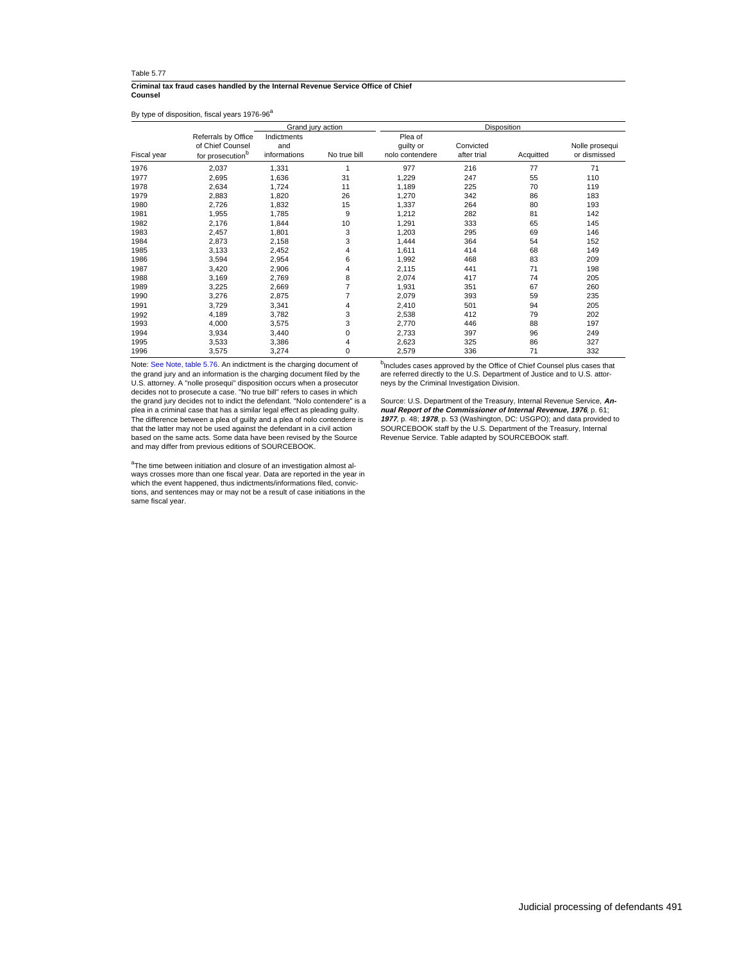**Criminal tax fraud cases handled by the Internal Revenue Service Office of Chief Counsel**

By type of disposition, fiscal years 1976-96<sup>a</sup>

|             |                                                                         | Grand jury action                  |              |                                         |                          | Disposition |                                |
|-------------|-------------------------------------------------------------------------|------------------------------------|--------------|-----------------------------------------|--------------------------|-------------|--------------------------------|
| Fiscal year | Referrals by Office<br>of Chief Counsel<br>for prosecution <sup>b</sup> | Indictments<br>and<br>informations | No true bill | Plea of<br>guilty or<br>nolo contendere | Convicted<br>after trial | Acquitted   | Nolle prosequi<br>or dismissed |
| 1976        | 2,037                                                                   | 1,331                              | 1            | 977                                     | 216                      | 77          | 71                             |
| 1977        | 2,695                                                                   | 1,636                              | 31           | 1,229                                   | 247                      | 55          | 110                            |
| 1978        | 2,634                                                                   | 1,724                              | 11           | 1,189                                   | 225                      | 70          | 119                            |
| 1979        | 2,883                                                                   | 1,820                              | 26           | 1,270                                   | 342                      | 86          | 183                            |
| 1980        | 2,726                                                                   | 1,832                              | 15           | 1,337                                   | 264                      | 80          | 193                            |
| 1981        | 1,955                                                                   | 1,785                              | 9            | 1,212                                   | 282                      | 81          | 142                            |
| 1982        | 2,176                                                                   | 1,844                              | 10           | 1,291                                   | 333                      | 65          | 145                            |
| 1983        | 2,457                                                                   | 1,801                              | 3            | 1,203                                   | 295                      | 69          | 146                            |
| 1984        | 2,873                                                                   | 2,158                              | 3            | 1,444                                   | 364                      | 54          | 152                            |
| 1985        | 3,133                                                                   | 2,452                              | 4            | 1,611                                   | 414                      | 68          | 149                            |
| 1986        | 3,594                                                                   | 2,954                              | 6            | 1,992                                   | 468                      | 83          | 209                            |
| 1987        | 3,420                                                                   | 2,906                              | 4            | 2,115                                   | 441                      | 71          | 198                            |
| 1988        | 3,169                                                                   | 2,769                              | 8            | 2,074                                   | 417                      | 74          | 205                            |
| 1989        | 3,225                                                                   | 2,669                              | 7            | 1,931                                   | 351                      | 67          | 260                            |
| 1990        | 3,276                                                                   | 2,875                              |              | 2,079                                   | 393                      | 59          | 235                            |
| 1991        | 3,729                                                                   | 3,341                              | 4            | 2,410                                   | 501                      | 94          | 205                            |
| 1992        | 4,189                                                                   | 3,782                              | 3            | 2,538                                   | 412                      | 79          | 202                            |
| 1993        | 4,000                                                                   | 3,575                              | 3            | 2,770                                   | 446                      | 88          | 197                            |
| 1994        | 3,934                                                                   | 3,440                              | $\mathbf 0$  | 2,733                                   | 397                      | 96          | 249                            |
| 1995        | 3,533                                                                   | 3,386                              | 4            | 2,623                                   | 325                      | 86          | 327                            |
| 1996        | 3,575                                                                   | 3,274                              | 0            | 2,579                                   | 336                      | 71          | 332                            |

Note: [See Note, table 5.76. A](#page-73-0)n indictment is the charging document of the grand jury and an information is the charging document filed by the U.S. attorney. A "nolle prosequi" disposition occurs when a prosecutor decides not to prosecute a case. "No true bill" refers to cases in which the grand jury decides not to indict the defendant. "Nolo contendere" is a plea in a criminal case that has a similar legal effect as pleading guilty. The difference between a plea of guilty and a plea of nolo contendere is that the latter may not be used against the defendant in a civil action based on the same acts. Some data have been revised by the Source and may differ from previous editions of SOURCEBOOK.

<sup>a</sup>The time between initiation and closure of an investigation almost always crosses more than one fiscal year. Data are reported in the year in which the event happened, thus indictments/informations filed, convictions, and sentences may or may not be a result of case initiations in the same fiscal year.

b<br>are referred directly to the U.S. Department of Justice and to U.S. attor-<br>neys by the Criminal Investigation Division.

Source: U.S. Department of the Treasury, Internal Revenue Service, **Annual Report of the Commissioner of Internal Revenue, 1976**, p. 61; **1977**, p. 48; **1978**, p. 53 (Washington, DC: USGPO); and data provided to SOURCEBOOK staff by the U.S. Department of the Treasury, Internal Revenue Service. Table adapted by SOURCEBOOK staff.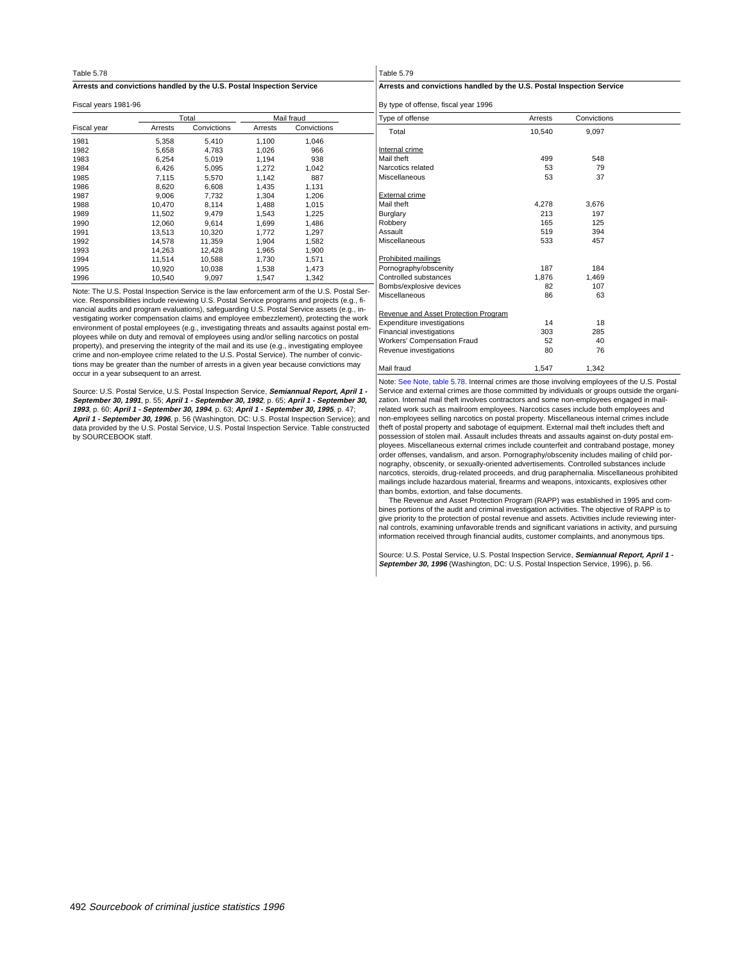| Table 5.78 |  |  |
|------------|--|--|
|------------|--|--|

| Arrests and convictions handled by the U.S. Postal Inspection Service |  |  |  |
|-----------------------------------------------------------------------|--|--|--|
|                                                                       |  |  |  |

Fiscal years 1981-96

|             |         | Total       |         | Mail fraud  |  |
|-------------|---------|-------------|---------|-------------|--|
| Fiscal year | Arrests | Convictions | Arrests | Convictions |  |
| 1981        | 5,358   | 5,410       | 1,100   | 1,046       |  |
| 1982        | 5,658   | 4,783       | 1,026   | 966         |  |
| 1983        | 6,254   | 5,019       | 1.194   | 938         |  |
| 1984        | 6,426   | 5,095       | 1,272   | 1,042       |  |
| 1985        | 7,115   | 5,570       | 1,142   | 887         |  |
| 1986        | 8,620   | 6,608       | 1,435   | 1,131       |  |
| 1987        | 9,006   | 7,732       | 1,304   | 1,206       |  |
| 1988        | 10.470  | 8,114       | 1,488   | 1,015       |  |
| 1989        | 11.502  | 9.479       | 1.543   | 1.225       |  |
| 1990        | 12.060  | 9,614       | 1,699   | 1,486       |  |
| 1991        | 13.513  | 10,320      | 1.772   | 1,297       |  |
| 1992        | 14.578  | 11,359      | 1,904   | 1,582       |  |
| 1993        | 14,263  | 12,428      | 1,965   | 1,900       |  |
| 1994        | 11,514  | 10,588      | 1,730   | 1,571       |  |
| 1995        | 10.920  | 10,038      | 1,538   | 1,473       |  |
| 1996        | 10,540  | 9,097       | 1,547   | 1,342       |  |

<span id="page-75-0"></span>Note: The U.S. Postal Inspection Service is the law enforcement arm of the U.S. Postal Service. Responsibilities include reviewing U.S. Postal Service programs and projects (e.g., financial audits and program evaluations), safeguarding U.S. Postal Service assets (e.g., investigating worker compensation claims and employee embezzlement), protecting the work environment of postal employees (e.g., investigating threats and assaults against postal employees while on duty and removal of employees using and/or selling narcotics on postal property), and preserving the integrity of the mail and its use (e.g., investigating employee crime and non-employee crime related to the U.S. Postal Service). The number of convictions may be greater than the number of arrests in a given year because convictions may occur in a year subsequent to an arrest.

Source: U.S. Postal Service, U.S. Postal Inspection Service, **Semiannual Report, April 1 - September 30, 1991**, p. 55; **April 1 - September 30, 1992**, p. 65; **April 1 - September 30, 1993**, p. 60; **April 1 - September 30, 1994**, p. 63; **April 1 - September 30, 1995**, p. 47; **April 1 - September 30, 1996**, p. 56 (Washington, DC: U.S. Postal Inspection Service); and data provided by the U.S. Postal Service, U.S. Postal Inspection Service. Table constructed by SOURCEBOOK staff.

| Arrests and convictions handled by the U.S. Postal Inspection Service |         |             |  |  |  |  |  |  |  |  |  |
|-----------------------------------------------------------------------|---------|-------------|--|--|--|--|--|--|--|--|--|
| By type of offense, fiscal year 1996                                  |         |             |  |  |  |  |  |  |  |  |  |
| Type of offense                                                       | Arrests | Convictions |  |  |  |  |  |  |  |  |  |
| Total                                                                 | 10.540  | 9.097       |  |  |  |  |  |  |  |  |  |
| Internal crime                                                        |         |             |  |  |  |  |  |  |  |  |  |
| Mail theft                                                            | 499     | 548         |  |  |  |  |  |  |  |  |  |
| Narcotics related                                                     | 53      | 79          |  |  |  |  |  |  |  |  |  |
| Miscellaneous                                                         | 53      | 37          |  |  |  |  |  |  |  |  |  |
| <b>External crime</b>                                                 |         |             |  |  |  |  |  |  |  |  |  |
| Mail theft                                                            | 4,278   | 3,676       |  |  |  |  |  |  |  |  |  |
| Burglary                                                              | 213     | 197         |  |  |  |  |  |  |  |  |  |
| Robbery                                                               | 165     | 125         |  |  |  |  |  |  |  |  |  |
| Assault                                                               | 519     | 394         |  |  |  |  |  |  |  |  |  |
| Miscellaneous                                                         | 533     | 457         |  |  |  |  |  |  |  |  |  |
| <b>Prohibited mailings</b>                                            |         |             |  |  |  |  |  |  |  |  |  |
| Pornography/obscenity                                                 | 187     | 184         |  |  |  |  |  |  |  |  |  |
| Controlled substances                                                 | 1.876   | 1,469       |  |  |  |  |  |  |  |  |  |
| Bombs/explosive devices                                               | 82      | 107         |  |  |  |  |  |  |  |  |  |
| Miscellaneous                                                         | 86      | 63          |  |  |  |  |  |  |  |  |  |
| Revenue and Asset Protection Program                                  |         |             |  |  |  |  |  |  |  |  |  |
| Expenditure investigations                                            | 14      | 18          |  |  |  |  |  |  |  |  |  |
| Financial investigations                                              | 303     | 285         |  |  |  |  |  |  |  |  |  |
| <b>Workers' Compensation Fraud</b>                                    | 52      | 40          |  |  |  |  |  |  |  |  |  |
| Revenue investigations                                                | 80      | 76          |  |  |  |  |  |  |  |  |  |
| Mail fraud                                                            | 1.547   | 1,342       |  |  |  |  |  |  |  |  |  |

Table 5.79

Note: [See Note, table 5.78.](#page-75-0) Internal crimes are those involving employees of the U.S. Postal Service and external crimes are those committed by individuals or groups outside the organization. Internal mail theft involves contractors and some non-employees engaged in mailrelated work such as mailroom employees. Narcotics cases include both employees and non-employees selling narcotics on postal property. Miscellaneous internal crimes include theft of postal property and sabotage of equipment. External mail theft includes theft and possession of stolen mail. Assault includes threats and assaults against on-duty postal employees. Miscellaneous external crimes include counterfeit and contraband postage, money order offenses, vandalism, and arson. Pornography/obscenity includes mailing of child pornography, obscenity, or sexually-oriented advertisements. Controlled substances include narcotics, steroids, drug-related proceeds, and drug paraphernalia. Miscellaneous prohibited mailings include hazardous material, firearms and weapons, intoxicants, explosives other than bombs, extortion, and false documents.

 The Revenue and Asset Protection Program (RAPP) was established in 1995 and combines portions of the audit and criminal investigation activities. The objective of RAPP is to give priority to the protection of postal revenue and assets. Activities include reviewing internal controls, examining unfavorable trends and significant variations in activity, and pursuing information received through financial audits, customer complaints, and anonymous tips.

Source: U.S. Postal Service, U.S. Postal Inspection Service, **Semiannual Report, April 1 - September 30, 1996** (Washington, DC: U.S. Postal Inspection Service, 1996), p. 56.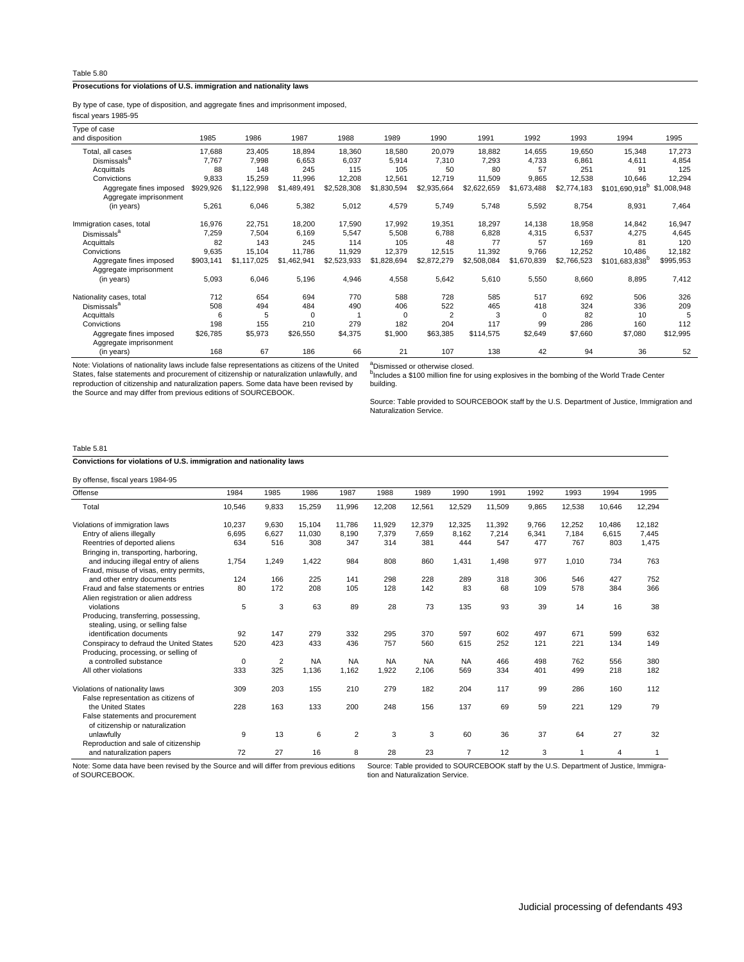## **Prosecutions for violations of U.S. immigration and nationality laws**

By type of case, type of disposition, and aggregate fines and imprisonment imposed, fiscal years 1985-95

| Type of case                                      |           |             |             |             |             |                |             |             |             |                             |             |
|---------------------------------------------------|-----------|-------------|-------------|-------------|-------------|----------------|-------------|-------------|-------------|-----------------------------|-------------|
| and disposition                                   | 1985      | 1986        | 1987        | 1988        | 1989        | 1990           | 1991        | 1992        | 1993        | 1994                        | 1995        |
| Total, all cases                                  | 17,688    | 23,405      | 18,894      | 18,360      | 18,580      | 20,079         | 18,882      | 14,655      | 19,650      | 15,348                      | 17,273      |
| Dismissals <sup>a</sup>                           | 7,767     | 7,998       | 6,653       | 6,037       | 5,914       | 7,310          | 7,293       | 4,733       | 6,861       | 4,611                       | 4,854       |
| Acquittals                                        | 88        | 148         | 245         | 115         | 105         | 50             | 80          | 57          | 251         | 91                          | 125         |
| Convictions                                       | 9,833     | 15,259      | 11,996      | 12,208      | 12,561      | 12,719         | 11,509      | 9,865       | 12,538      | 10,646                      | 12,294      |
| Aggregate fines imposed                           | \$929,926 | \$1,122,998 | \$1,489,491 | \$2,528,308 | \$1,830,594 | \$2,935,664    | \$2,622,659 | \$1,673,488 | \$2,774,183 | $$101,690,918$ <sup>b</sup> | \$1,008,948 |
| Aggregate imprisonment                            |           |             |             |             |             |                |             |             |             |                             |             |
| (in years)                                        | 5,261     | 6,046       | 5,382       | 5,012       | 4,579       | 5,749          | 5,748       | 5,592       | 8,754       | 8,931                       | 7,464       |
| Immigration cases, total                          | 16,976    | 22,751      | 18,200      | 17,590      | 17,992      | 19,351         | 18,297      | 14,138      | 18,958      | 14,842                      | 16,947      |
| Dismissals <sup>a</sup>                           | 7,259     | 7,504       | 6,169       | 5,547       | 5,508       | 6,788          | 6,828       | 4,315       | 6,537       | 4,275                       | 4,645       |
| Acquittals                                        | 82        | 143         | 245         | 114         | 105         | 48             | 77          | 57          | 169         | 81                          | 120         |
| Convictions                                       | 9,635     | 15,104      | 11,786      | 11,929      | 12,379      | 12,515         | 11,392      | 9,766       | 12,252      | 10,486                      | 12,182      |
| Aggregate fines imposed<br>Aggregate imprisonment | \$903,141 | \$1,117,025 | \$1,462,941 | \$2,523,933 | \$1,828,694 | \$2,872,279    | \$2,508,084 | \$1,670,839 | \$2,766,523 | \$101,683,838 <sup>b</sup>  | \$995,953   |
| (in years)                                        | 5,093     | 6,046       | 5,196       | 4,946       | 4,558       | 5,642          | 5,610       | 5,550       | 8,660       | 8,895                       | 7,412       |
|                                                   |           |             |             |             |             |                |             |             |             |                             |             |
| Nationality cases, total                          | 712       | 654         | 694         | 770         | 588         | 728            | 585         | 517         | 692         | 506                         | 326         |
| Dismissals <sup>a</sup>                           | 508       | 494         | 484         | 490         | 406         | 522            | 465         | 418         | 324         | 336                         | 209         |
| Acquittals                                        | 6         | 5           | $\mathbf 0$ |             | $\Omega$    | $\overline{2}$ | 3           | 0           | 82          | 10                          | 5           |
| Convictions                                       | 198       | 155         | 210         | 279         | 182         | 204            | 117         | 99          | 286         | 160                         | 112         |
| Aggregate fines imposed                           | \$26,785  | \$5,973     | \$26,550    | \$4,375     | \$1,900     | \$63,385       | \$114,575   | \$2,649     | \$7,660     | \$7,080                     | \$12,995    |
| Aggregate imprisonment                            |           |             |             |             |             |                |             |             |             |                             |             |
| (in years)                                        | 168       | 67          | 186         | 66          | 21          | 107            | 138         | 42          | 94          | 36                          | 52          |

Note: Violations of nationality laws include false representations as citizens of the United States, false statements and procurement of citizenship or naturalization unlawfully, and reproduction of citizenship and naturalization papers. Some data have been revised by the Source and may differ from previous editions of SOURCEBOOK.

<sup>a</sup>Dismissed or otherwise closed.<br><sup>b</sup>Includes a \$100 million fine for using explosives in the bombing of the World Trade Center building.

Source: Table provided to SOURCEBOOK staff by the U.S. Department of Justice, Immigration and Naturalization Service.

#### Table 5.81

### **Convictions for violations of U.S. immigration and nationality laws**

By offense, fiscal years 1984-95

| Offense                                                                   | 1984   | 1985           | 1986      | 1987           | 1988      | 1989      | 1990           | 1991   | 1992  | 1993         | 1994   | 1995   |
|---------------------------------------------------------------------------|--------|----------------|-----------|----------------|-----------|-----------|----------------|--------|-------|--------------|--------|--------|
| Total                                                                     | 10,546 | 9,833          | 15,259    | 11,996         | 12,208    | 12,561    | 12,529         | 11,509 | 9,865 | 12,538       | 10,646 | 12,294 |
| Violations of immigration laws                                            | 10,237 | 9,630          | 15.104    | 11,786         | 11,929    | 12,379    | 12,325         | 11,392 | 9,766 | 12,252       | 10,486 | 12,182 |
| Entry of aliens illegally                                                 | 6,695  | 6,627          | 11,030    | 8,190          | 7,379     | 7,659     | 8,162          | 7,214  | 6,341 | 7,184        | 6,615  | 7,445  |
| Reentries of deported aliens                                              | 634    | 516            | 308       | 347            | 314       | 381       | 444            | 547    | 477   | 767          | 803    | 1,475  |
| Bringing in, transporting, harboring,                                     |        |                |           |                |           |           |                |        |       |              |        |        |
| and inducing illegal entry of aliens                                      | 1,754  | 1,249          | 1,422     | 984            | 808       | 860       | 1,431          | 1,498  | 977   | 1,010        | 734    | 763    |
| Fraud, misuse of visas, entry permits,                                    |        |                |           |                |           |           |                |        |       |              |        |        |
| and other entry documents                                                 | 124    | 166            | 225       | 141            | 298       | 228       | 289            | 318    | 306   | 546          | 427    | 752    |
| Fraud and false statements or entries                                     | 80     | 172            | 208       | 105            | 128       | 142       | 83             | 68     | 109   | 578          | 384    | 366    |
| Alien registration or alien address                                       |        |                |           |                |           |           |                |        |       |              |        |        |
| violations                                                                | 5      | 3              | 63        | 89             | 28        | 73        | 135            | 93     | 39    | 14           | 16     | 38     |
| Producing, transferring, possessing,<br>stealing, using, or selling false |        |                |           |                |           |           |                |        |       |              |        |        |
| identification documents                                                  | 92     | 147            | 279       | 332            | 295       | 370       | 597            | 602    | 497   | 671          | 599    | 632    |
| Conspiracy to defraud the United States                                   | 520    | 423            | 433       | 436            | 757       | 560       | 615            | 252    | 121   | 221          | 134    | 149    |
| Producing, processing, or selling of                                      |        |                |           |                |           |           |                |        |       |              |        |        |
| a controlled substance                                                    | 0      | $\overline{2}$ | <b>NA</b> | <b>NA</b>      | <b>NA</b> | <b>NA</b> | <b>NA</b>      | 466    | 498   | 762          | 556    | 380    |
| All other violations                                                      | 333    | 325            | 1,136     | 1,162          | 1,922     | 2,106     | 569            | 334    | 401   | 499          | 218    | 182    |
| Violations of nationality laws                                            | 309    | 203            | 155       | 210            | 279       | 182       | 204            | 117    | 99    | 286          | 160    | 112    |
| False representation as citizens of                                       |        |                |           |                |           |           |                |        |       |              |        |        |
| the United States                                                         | 228    | 163            | 133       | 200            | 248       | 156       | 137            | 69     | 59    | 221          | 129    | 79     |
| False statements and procurement<br>of citizenship or naturalization      |        |                |           |                |           |           |                |        |       |              |        |        |
| unlawfully                                                                | 9      | 13             | 6         | $\overline{2}$ | 3         | 3         | 60             | 36     | 37    | 64           | 27     | 32     |
| Reproduction and sale of citizenship                                      |        |                |           |                |           |           |                |        |       |              |        |        |
| and naturalization papers                                                 | 72     | 27             | 16        | 8              | 28        | 23        | $\overline{7}$ | 12     | 3     | $\mathbf{1}$ | 4      | 1      |

Note: Some data have been revised by the Source and will differ from previous editions of SOURCEBOOK.

Source: Table provided to SOURCEBOOK staff by the U.S. Department of Justice, Immigration and Naturalization Service.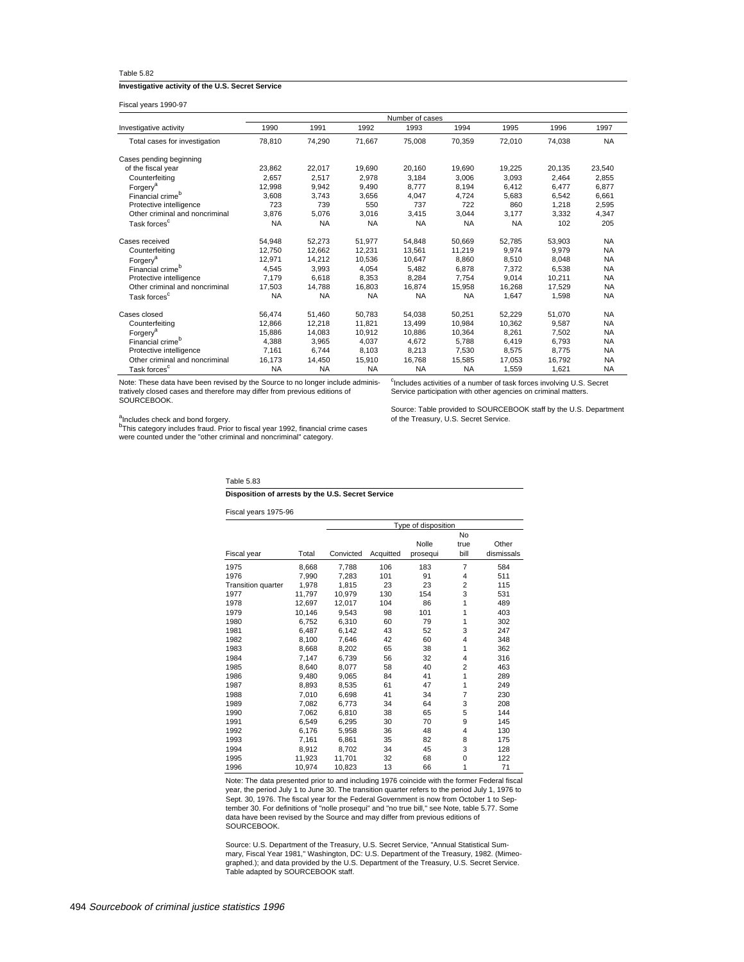### **Investigative activity of the U.S. Secret Service**

Fiscal years 1990-97

|                                |           |           |           | Number of cases |           |           |        |           |
|--------------------------------|-----------|-----------|-----------|-----------------|-----------|-----------|--------|-----------|
| Investigative activity         | 1990      | 1991      | 1992      | 1993            | 1994      | 1995      | 1996   | 1997      |
| Total cases for investigation  | 78.810    | 74,290    | 71.667    | 75,008          | 70,359    | 72,010    | 74,038 | <b>NA</b> |
| Cases pending beginning        |           |           |           |                 |           |           |        |           |
| of the fiscal year             | 23.862    | 22,017    | 19,690    | 20,160          | 19,690    | 19,225    | 20,135 | 23,540    |
| Counterfeiting                 | 2,657     | 2.517     | 2.978     | 3,184           | 3.006     | 3,093     | 2.464  | 2,855     |
| Forgery <sup>a</sup>           | 12,998    | 9.942     | 9.490     | 8.777           | 8,194     | 6.412     | 6.477  | 6.877     |
| Financial crime <sup>b</sup>   | 3,608     | 3,743     | 3,656     | 4,047           | 4,724     | 5,683     | 6,542  | 6,661     |
| Protective intelligence        | 723       | 739       | 550       | 737             | 722       | 860       | 1,218  | 2,595     |
| Other criminal and noncriminal | 3.876     | 5.076     | 3.016     | 3.415           | 3.044     | 3.177     | 3.332  | 4.347     |
| Task forces <sup>c</sup>       | <b>NA</b> | <b>NA</b> | <b>NA</b> | <b>NA</b>       | <b>NA</b> | <b>NA</b> | 102    | 205       |
| Cases received                 | 54,948    | 52,273    | 51,977    | 54,848          | 50,669    | 52,785    | 53,903 | <b>NA</b> |
| Counterfeiting                 | 12,750    | 12,662    | 12,231    | 13,561          | 11,219    | 9,974     | 9,979  | <b>NA</b> |
| Forgery <sup>a</sup>           | 12.971    | 14.212    | 10,536    | 10.647          | 8.860     | 8,510     | 8.048  | <b>NA</b> |
| Financial crime <sup>b</sup>   | 4,545     | 3.993     | 4,054     | 5.482           | 6,878     | 7.372     | 6,538  | <b>NA</b> |
| Protective intelligence        | 7,179     | 6,618     | 8,353     | 8,284           | 7.754     | 9,014     | 10,211 | <b>NA</b> |
| Other criminal and noncriminal | 17.503    | 14.788    | 16.803    | 16.874          | 15.958    | 16.268    | 17.529 | <b>NA</b> |
| Task forces <sup>c</sup>       | <b>NA</b> | <b>NA</b> | <b>NA</b> | <b>NA</b>       | <b>NA</b> | 1.647     | 1,598  | <b>NA</b> |
| Cases closed                   | 56,474    | 51.460    | 50,783    | 54,038          | 50,251    | 52,229    | 51,070 | <b>NA</b> |
| Counterfeiting                 | 12.866    | 12.218    | 11.821    | 13.499          | 10.984    | 10.362    | 9,587  | <b>NA</b> |
| Forgery <sup>a</sup>           | 15,886    | 14,083    | 10,912    | 10.886          | 10,364    | 8.261     | 7.502  | <b>NA</b> |
| Financial crime <sup>b</sup>   | 4,388     | 3,965     | 4,037     | 4,672           | 5,788     | 6,419     | 6,793  | <b>NA</b> |
| Protective intelligence        | 7,161     | 6.744     | 8,103     | 8,213           | 7,530     | 8,575     | 8,775  | <b>NA</b> |
| Other criminal and noncriminal | 16,173    | 14,450    | 15,910    | 16,768          | 15,585    | 17,053    | 16,792 | <b>NA</b> |
| Task forces <sup>c</sup>       | <b>NA</b> | <b>NA</b> | <b>NA</b> | <b>NA</b>       | <b>NA</b> | 1,559     | 1,621  | <b>NA</b> |

Note: These data have been revised by the Source to no longer include administratively closed cases and therefore may differ from previous editions of SOURCEBOOK.

<sup>a</sup>Includes check and bond forgery.<br><sup>b</sup>This category includes fraud. Prior to fiscal year 1992, financial crime cases<br>were counted under the "other criminal and noncriminal" category.

Table 5.83

<sup>c</sup>Includes activities of a number of task forces involving U.S. Secret<br>Service participation with other agencies on criminal matters.

Source: Table provided to SOURCEBOOK staff by the U.S. Department of the Treasury, U.S. Secret Service.

| Disposition of arrests by the U.S. Secret Service |        |           |           |                     |                |            |  |  |  |  |  |  |
|---------------------------------------------------|--------|-----------|-----------|---------------------|----------------|------------|--|--|--|--|--|--|
| Fiscal years 1975-96                              |        |           |           |                     |                |            |  |  |  |  |  |  |
|                                                   |        |           |           | Type of disposition |                |            |  |  |  |  |  |  |
|                                                   |        |           |           |                     | No             |            |  |  |  |  |  |  |
|                                                   |        |           |           | Nolle               | true           | Other      |  |  |  |  |  |  |
| Fiscal year                                       | Total  | Convicted | Acquitted | prosequi            | bill           | dismissals |  |  |  |  |  |  |
| 1975                                              | 8,668  | 7,788     | 106       | 183                 | $\overline{7}$ | 584        |  |  |  |  |  |  |
| 1976                                              | 7,990  | 7,283     | 101       | 91                  | 4              | 511        |  |  |  |  |  |  |
| <b>Transition quarter</b>                         | 1.978  | 1,815     | 23        | 23                  | 2              | 115        |  |  |  |  |  |  |
| 1977                                              | 11,797 | 10,979    | 130       | 154                 | 3              | 531        |  |  |  |  |  |  |
| 1978                                              | 12,697 | 12,017    | 104       | 86                  | 1              | 489        |  |  |  |  |  |  |
| 1979                                              | 10,146 | 9,543     | 98        | 101                 | 1              | 403        |  |  |  |  |  |  |
| 1980                                              | 6,752  | 6.310     | 60        | 79                  | 1              | 302        |  |  |  |  |  |  |
| 1981                                              | 6,487  | 6,142     | 43        | 52                  | 3              | 247        |  |  |  |  |  |  |
| 1982                                              | 8.100  | 7.646     | 42        | 60                  | 4              | 348        |  |  |  |  |  |  |
| 1983                                              | 8,668  | 8,202     | 65        | 38                  | 1              | 362        |  |  |  |  |  |  |
| 1984                                              | 7,147  | 6,739     | 56        | 32                  | 4              | 316        |  |  |  |  |  |  |
| 1985                                              | 8,640  | 8,077     | 58        | 40                  | $\overline{2}$ | 463        |  |  |  |  |  |  |
| 1986                                              | 9.480  | 9.065     | 84        | 41                  | 1              | 289        |  |  |  |  |  |  |
| 1987                                              | 8.893  | 8,535     | 61        | 47                  | 1              | 249        |  |  |  |  |  |  |
| 1988                                              | 7.010  | 6,698     | 41        | 34                  | 7              | 230        |  |  |  |  |  |  |
| 1989                                              | 7,082  | 6,773     | 34        | 64                  | 3              | 208        |  |  |  |  |  |  |
| 1990                                              | 7.062  | 6.810     | 38        | 65                  | 5              | 144        |  |  |  |  |  |  |
| 1991                                              | 6,549  | 6,295     | 30        | 70                  | 9              | 145        |  |  |  |  |  |  |
| 1992                                              | 6.176  | 5.958     | 36        | 48                  | 4              | 130        |  |  |  |  |  |  |
| 1993                                              | 7,161  | 6,861     | 35        | 82                  | 8              | 175        |  |  |  |  |  |  |
| 1994                                              | 8.912  | 8.702     | 34        | 45                  | 3              | 128        |  |  |  |  |  |  |
| 1995                                              | 11,923 | 11,701    | 32        | 68                  | 0              | 122        |  |  |  |  |  |  |
| 1996                                              | 10.974 | 10.823    | 13        | 66                  | 1              | 71         |  |  |  |  |  |  |

Note: The data presented prior to and including 1976 coincide with the former Federal fiscal year, the period July 1 to June 30. The transition quarter refers to the period July 1, 1976 to Sept. 30, 1976. The fiscal year for the Federal Government is now from October 1 to September 30. For definitions of "nolle prosequi" and "no true bill," see Note, table 5.77. Some data have been revised by the Source and may differ from previous editions of SOURCEBOOK.

Source: U.S. Department of the Treasury, U.S. Secret Service, "Annual Statistical Summary, Fiscal Year 1981," Washington, DC: U.S. Department of the Treasury, 1982. (Mimeo-<br>graphed.); and data provided by the U.S. Department of the Treasury, U.S. Secret Service.<br>Table adapted by SOURCEBOOK staff.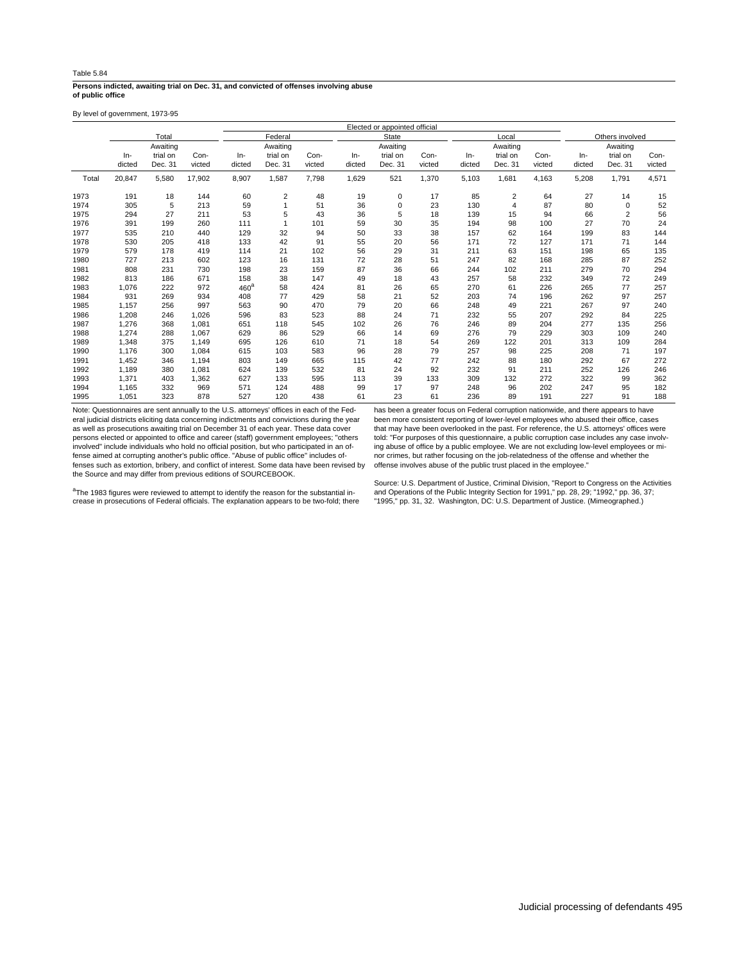**Persons indicted, awaiting trial on Dec. 31, and convicted of offenses involving abuse of public office**

By level of government, 1973-95

|       |               |                     |                | Elected or appointed official |                     |                |                 |                     |                |                 |                     |                |                 |                     |                |
|-------|---------------|---------------------|----------------|-------------------------------|---------------------|----------------|-----------------|---------------------|----------------|-----------------|---------------------|----------------|-----------------|---------------------|----------------|
|       |               | Total               |                |                               | Federal             |                |                 | State               |                |                 | Local               |                |                 | Others involved     |                |
|       |               | Awaiting            |                |                               | Awaiting            |                |                 | Awaiting            |                |                 | Awaiting            |                |                 | Awaiting            |                |
|       | In-<br>dicted | trial on<br>Dec. 31 | Con-<br>victed | $In-$<br>dicted               | trial on<br>Dec. 31 | Con-<br>victed | $In-$<br>dicted | trial on<br>Dec. 31 | Con-<br>victed | $In-$<br>dicted | trial on<br>Dec. 31 | Con-<br>victed | $In-$<br>dicted | trial on<br>Dec. 31 | Con-<br>victed |
| Total | 20,847        | 5,580               | 17.902         | 8,907                         | 1.587               | 7.798          | 1,629           | 521                 | 1,370          | 5.103           | 1.681               | 4,163          | 5,208           | 1.791               | 4,571          |
| 1973  | 191           | 18                  | 144            | 60                            | $\overline{2}$      | 48             | 19              | $\mathbf 0$         | 17             | 85              | $\overline{2}$      | 64             | 27              | 14                  | 15             |
| 1974  | 305           | 5                   | 213            | 59                            | $\overline{1}$      | 51             | 36              | 0                   | 23             | 130             | 4                   | 87             | 80              | 0                   | 52             |
| 1975  | 294           | 27                  | 211            | 53                            | 5                   | 43             | 36              | 5                   | 18             | 139             | 15                  | 94             | 66              | $\overline{2}$      | 56             |
| 1976  | 391           | 199                 | 260            | 111                           | $\overline{1}$      | 101            | 59              | 30                  | 35             | 194             | 98                  | 100            | 27              | 70                  | 24             |
| 1977  | 535           | 210                 | 440            | 129                           | 32                  | 94             | 50              | 33                  | 38             | 157             | 62                  | 164            | 199             | 83                  | 144            |
| 1978  | 530           | 205                 | 418            | 133                           | 42                  | 91             | 55              | 20                  | 56             | 171             | 72                  | 127            | 171             | 71                  | 144            |
| 1979  | 579           | 178                 | 419            | 114                           | 21                  | 102            | 56              | 29                  | 31             | 211             | 63                  | 151            | 198             | 65                  | 135            |
| 1980  | 727           | 213                 | 602            | 123                           | 16                  | 131            | 72              | 28                  | 51             | 247             | 82                  | 168            | 285             | 87                  | 252            |
| 1981  | 808           | 231                 | 730            | 198                           | 23                  | 159            | 87              | 36                  | 66             | 244             | 102                 | 211            | 279             | 70                  | 294            |
| 1982  | 813           | 186                 | 671            | 158                           | 38                  | 147            | 49              | 18                  | 43             | 257             | 58                  | 232            | 349             | 72                  | 249            |
| 1983  | 1,076         | 222                 | 972            | 460 <sup>a</sup>              | 58                  | 424            | 81              | 26                  | 65             | 270             | 61                  | 226            | 265             | 77                  | 257            |
| 1984  | 931           | 269                 | 934            | 408                           | 77                  | 429            | 58              | 21                  | 52             | 203             | 74                  | 196            | 262             | 97                  | 257            |
| 1985  | 1.157         | 256                 | 997            | 563                           | 90                  | 470            | 79              | 20                  | 66             | 248             | 49                  | 221            | 267             | 97                  | 240            |
| 1986  | 1,208         | 246                 | 1.026          | 596                           | 83                  | 523            | 88              | 24                  | 71             | 232             | 55                  | 207            | 292             | 84                  | 225            |
| 1987  | 1,276         | 368                 | 1,081          | 651                           | 118                 | 545            | 102             | 26                  | 76             | 246             | 89                  | 204            | 277             | 135                 | 256            |
| 1988  | 1,274         | 288                 | 1,067          | 629                           | 86                  | 529            | 66              | 14                  | 69             | 276             | 79                  | 229            | 303             | 109                 | 240            |
| 1989  | 1,348         | 375                 | 1.149          | 695                           | 126                 | 610            | 71              | 18                  | 54             | 269             | 122                 | 201            | 313             | 109                 | 284            |
| 1990  | 1,176         | 300                 | 1,084          | 615                           | 103                 | 583            | 96              | 28                  | 79             | 257             | 98                  | 225            | 208             | 71                  | 197            |
| 1991  | 1,452         | 346                 | 1.194          | 803                           | 149                 | 665            | 115             | 42                  | 77             | 242             | 88                  | 180            | 292             | 67                  | 272            |
| 1992  | 1,189         | 380                 | 1,081          | 624                           | 139                 | 532            | 81              | 24                  | 92             | 232             | 91                  | 211            | 252             | 126                 | 246            |
| 1993  | 1,371         | 403                 | 1,362          | 627                           | 133                 | 595            | 113             | 39                  | 133            | 309             | 132                 | 272            | 322             | 99                  | 362            |
| 1994  | 1,165         | 332                 | 969            | 571                           | 124                 | 488            | 99              | 17                  | 97             | 248             | 96                  | 202            | 247             | 95                  | 182            |
| 1995  | 1,051         | 323                 | 878            | 527                           | 120                 | 438            | 61              | 23                  | 61             | 236             | 89                  | 191            | 227             | 91                  | 188            |

Note: Questionnaires are sent annually to the U.S. attorneys' offices in each of the Federal judicial districts eliciting data concerning indictments and convictions during the year as well as prosecutions awaiting trial on December 31 of each year. These data cover<br>persons elected or appointed to office and career (staff) government employees; "others<br>involved" include individuals who hold no officia fenses such as extortion, bribery, and conflict of interest. Some data have been revised by the Source and may differ from previous editions of SOURCEBOOK.

<sup>a</sup>The 1983 figures were reviewed to attempt to identify the reason for the substantial in-<br>crease in prosecutions of Federal officials. The explanation appears to be two-fold; there

has been a greater focus on Federal corruption nationwide, and there appears to have been more consistent reporting of lower-level employees who abused their office, cases that may have been overlooked in the past. For reference, the U.S. attorneys' offices were told: "For purposes of this questionnaire, a public corruption case includes any case involv-ing abuse of office by a public employee. We are not excluding low-level employees or minor crimes, but rather focusing on the job-relatedness of the offense and whether the offense involves abuse of the public trust placed in the employee."

Source: U.S. Department of Justice, Criminal Division, "Report to Congress on the Activities<br>and Operations of the Public Integrity Section for 1991," pp. 28, 29; "1992," pp. 36, 37;<br>"1995," pp. 31, 32. Washington, DC: U.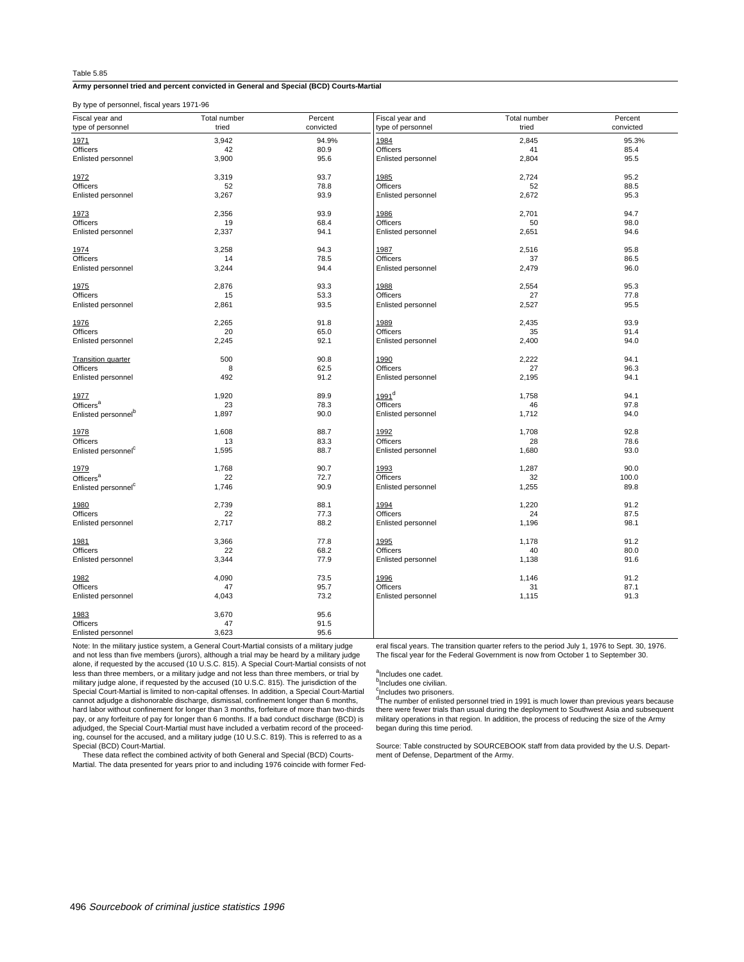### **Army personnel tried and percent convicted in General and Special (BCD) Courts-Martial**

By type of personnel, fiscal years 1971-96

| Fiscal year and                 | Total number | Percent   | Fiscal year and           | Total number | Percent   |
|---------------------------------|--------------|-----------|---------------------------|--------------|-----------|
| type of personnel               | tried        | convicted | type of personnel         | tried        | convicted |
| 1971                            | 3,942        | 94.9%     | 1984                      | 2,845        | 95.3%     |
| Officers                        | 42           | 80.9      | Officers                  | 41           | 85.4      |
| Enlisted personnel              | 3,900        | 95.6      | Enlisted personnel        | 2,804        | 95.5      |
| 1972                            | 3,319        | 93.7      | 1985                      | 2,724        | 95.2      |
| Officers                        | 52           | 78.8      | Officers                  | 52           | 88.5      |
| Enlisted personnel              | 3,267        | 93.9      | <b>Enlisted personnel</b> | 2,672        | 95.3      |
| 1973                            | 2,356        | 93.9      | 1986                      | 2,701        | 94.7      |
| Officers                        | 19           | 68.4      | Officers                  | 50           | 98.0      |
| Enlisted personnel              | 2,337        | 94.1      | <b>Enlisted personnel</b> | 2,651        | 94.6      |
| 1974                            | 3,258        | 94.3      | 1987                      | 2,516        | 95.8      |
| Officers                        | 14           | 78.5      | Officers                  | 37           | 86.5      |
| Enlisted personnel              | 3,244        | 94.4      | Enlisted personnel        | 2,479        | 96.0      |
| 1975                            | 2,876        | 93.3      | 1988                      | 2,554        | 95.3      |
| Officers                        | 15           | 53.3      | Officers                  | 27           | 77.8      |
| Enlisted personnel              | 2,861        | 93.5      | Enlisted personnel        | 2,527        | 95.5      |
| 1976                            | 2,265        | 91.8      | 1989                      | 2,435        | 93.9      |
| <b>Officers</b>                 | 20           | 65.0      | Officers                  | 35           | 91.4      |
| Enlisted personnel              | 2,245        | 92.1      | Enlisted personnel        | 2,400        | 94.0      |
| <b>Transition quarter</b>       | 500          | 90.8      | 1990                      | 2,222        | 94.1      |
| Officers                        | 8            | 62.5      | Officers                  | 27           | 96.3      |
| Enlisted personnel              | 492          | 91.2      | Enlisted personnel        | 2,195        | 94.1      |
| 1977                            | 1,920        | 89.9      | 1991 <sup>d</sup>         | 1,758        | 94.1      |
| Officers <sup>a</sup>           | 23           | 78.3      | Officers                  | 46           | 97.8      |
| Enlisted personnel <sup>b</sup> | 1,897        | 90.0      | Enlisted personnel        | 1,712        | 94.0      |
| 1978                            | 1,608        | 88.7      | 1992                      | 1,708        | 92.8      |
| <b>Officers</b>                 | 13           | 83.3      | Officers                  | 28           | 78.6      |
| Enlisted personnel <sup>c</sup> | 1,595        | 88.7      | <b>Enlisted personnel</b> | 1,680        | 93.0      |
| 1979                            | 1,768        | 90.7      | 1993                      | 1,287        | 90.0      |
| Officers <sup>a</sup>           | 22           | 72.7      | Officers                  | 32           | 100.0     |
| Enlisted personnel <sup>c</sup> | 1,746        | 90.9      | <b>Enlisted personnel</b> | 1,255        | 89.8      |
| 1980                            | 2,739        | 88.1      | 1994                      | 1,220        | 91.2      |
| Officers                        | 22           | 77.3      | Officers                  | 24           | 87.5      |
| Enlisted personnel              | 2,717        | 88.2      | Enlisted personnel        | 1,196        | 98.1      |
| 1981                            | 3,366        | 77.8      | 1995                      | 1,178        | 91.2      |
| Officers                        | 22           | 68.2      | Officers                  | 40           | 80.0      |
| Enlisted personnel              | 3,344        | 77.9      | Enlisted personnel        | 1,138        | 91.6      |
| 1982                            | 4,090        | 73.5      | 1996                      | 1,146        | 91.2      |
| Officers                        | 47           | 95.7      | Officers                  | 31           | 87.1      |
| Enlisted personnel              | 4,043        | 73.2      | Enlisted personnel        | 1,115        | 91.3      |
| 1983                            | 3,670        | 95.6      |                           |              |           |
| Officers                        | 47           | 91.5      |                           |              |           |
| Enlisted personnel              | 3,623        | 95.6      |                           |              |           |

<span id="page-79-0"></span>Note: In the military justice system, a General Court-Martial consists of a military judge and not less than five members (jurors), although a trial may be heard by a military judge alone, if requested by the accused (10 U.S.C. 815). A Special Court-Martial consists of not less than three members, or a military judge and not less than three members, or trial by military judge alone, if requested by the accused (10 U.S.C. 815). The jurisdiction of the Special Court-Martial is limited to non-capital offenses. In addition, a Special Court-Martial cannot adjudge a dishonorable discharge, dismissal, confinement longer than 6 months, hard labor without confinement for longer than 3 months, forfeiture of more than two-thirds pay, or any forfeiture of pay for longer than 6 months. If a bad conduct discharge (BCD) is adjudged, the Special Court-Martial must have included a verbatim record of the proceeding, counsel for the accused, and a military judge (10 U.S.C. 819). This is referred to as a Special (BCD) Court-Martial.

 These data reflect the combined activity of both General and Special (BCD) Courts-Martial. The data presented for years prior to and including 1976 coincide with former Federal fiscal years. The transition quarter refers to the period July 1, 1976 to Sept. 30, 1976. The fiscal year for the Federal Government is now from October 1 to September 30.

a<br>Includes one cadet.

<sup>b</sup>Includes one civilian.

<sup>c</sup>Includes two prisoners.

<sup>d</sup>The number of enlisted personnel tried in 1991 is much lower than previous years because<br>there were fewer trials than usual during the deployment to Southwest Asia and subsequent military operations in that region. In addition, the process of reducing the size of the Army began during this time period.

Source: Table constructed by SOURCEBOOK staff from data provided by the U.S. Department of Defense, Department of the Army.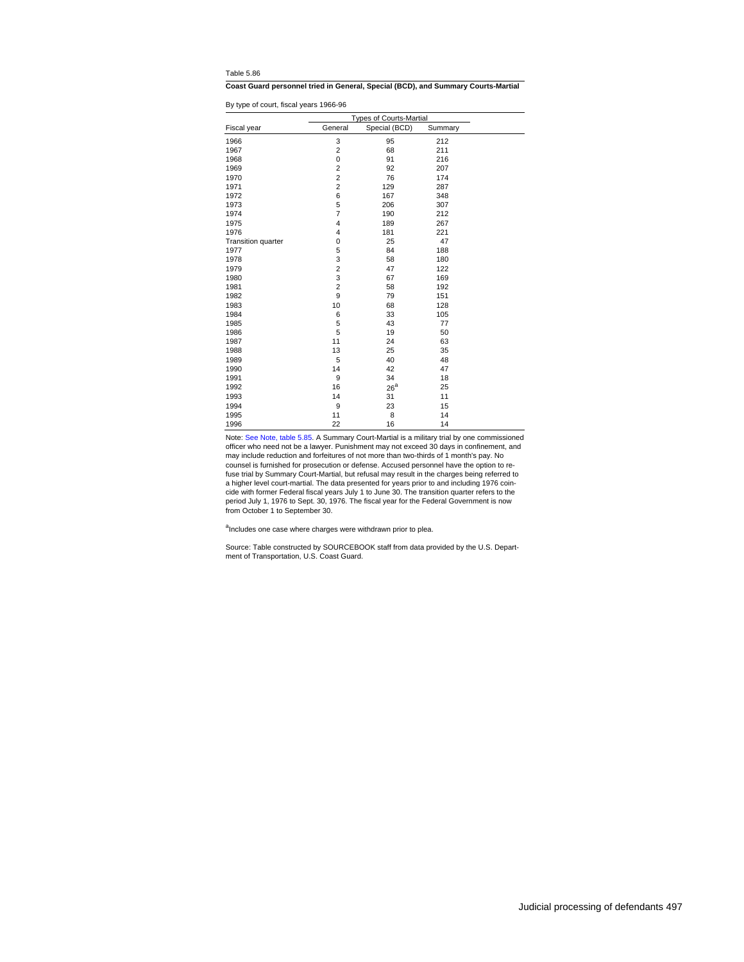| Table 5.86 |  |
|------------|--|
|------------|--|

**Coast Guard personnel tried in General, Special (BCD), and Summary Courts-Martial**

By type of court, fiscal years 1966-96

|                           | <b>Types of Courts-Martial</b> |                 |         |  |  |  |  |
|---------------------------|--------------------------------|-----------------|---------|--|--|--|--|
| Fiscal year               | General                        | Special (BCD)   | Summary |  |  |  |  |
| 1966                      | 3                              | 95              | 212     |  |  |  |  |
| 1967                      | $\overline{c}$                 | 68              | 211     |  |  |  |  |
| 1968                      | 0                              | 91              | 216     |  |  |  |  |
| 1969                      | $\overline{\mathbf{c}}$        | 92              | 207     |  |  |  |  |
| 1970                      | $\overline{\mathbf{c}}$        | 76              | 174     |  |  |  |  |
| 1971                      | $\overline{2}$                 | 129             | 287     |  |  |  |  |
| 1972                      | 6                              | 167             | 348     |  |  |  |  |
| 1973                      | 5                              | 206             | 307     |  |  |  |  |
| 1974                      | 7                              | 190             | 212     |  |  |  |  |
| 1975                      | 4                              | 189             | 267     |  |  |  |  |
| 1976                      | 4                              | 181             | 221     |  |  |  |  |
| <b>Transition quarter</b> | 0                              | 25              | 47      |  |  |  |  |
| 1977                      | 5                              | 84              | 188     |  |  |  |  |
| 1978                      | 3                              | 58              | 180     |  |  |  |  |
| 1979                      | $\overline{\mathbf{c}}$        | 47              | 122     |  |  |  |  |
| 1980                      | 3                              | 67              | 169     |  |  |  |  |
| 1981                      | $\overline{c}$                 | 58              | 192     |  |  |  |  |
| 1982                      | 9                              | 79              | 151     |  |  |  |  |
| 1983                      | 10                             | 68              | 128     |  |  |  |  |
| 1984                      | 6                              | 33              | 105     |  |  |  |  |
| 1985                      | 5                              | 43              | 77      |  |  |  |  |
| 1986                      | 5                              | 19              | 50      |  |  |  |  |
| 1987                      | 11                             | 24              | 63      |  |  |  |  |
| 1988                      | 13                             | 25              | 35      |  |  |  |  |
| 1989                      | 5                              | 40              | 48      |  |  |  |  |
| 1990                      | 14                             | 42              | 47      |  |  |  |  |
| 1991                      | 9                              | 34              | 18      |  |  |  |  |
| 1992                      | 16                             | 26 <sup>a</sup> | 25      |  |  |  |  |
| 1993                      | 14                             | 31              | 11      |  |  |  |  |
| 1994                      | 9                              | 23              | 15      |  |  |  |  |
| 1995                      | 11                             | 8               | 14      |  |  |  |  |
| 1996                      | 22                             | 16              | 14      |  |  |  |  |

Note: [See Note, table 5.85.](#page-79-0) A Summary Court-Martial is a military trial by one commissioned<br>officer who need not be a lawyer. Punishment may not exceed 30 days in confinement, and may include reduction and forfeitures of not more than two-thirds of 1 month's pay. No counsel is furnished for prosecution or defense. Accused personnel have the option to refuse trial by Summary Court-Martial, but refusal may result in the charges being referred to a higher level court-martial. The data presented for years prior to and including 1976 coincide with former Federal fiscal years July 1 to June 30. The transition quarter refers to the period July 1 to June 30. The fransit

<sup>a</sup>Includes one case where charges were withdrawn prior to plea.

Source: Table constructed by SOURCEBOOK staff from data provided by the U.S. Depart-ment of Transportation, U.S. Coast Guard.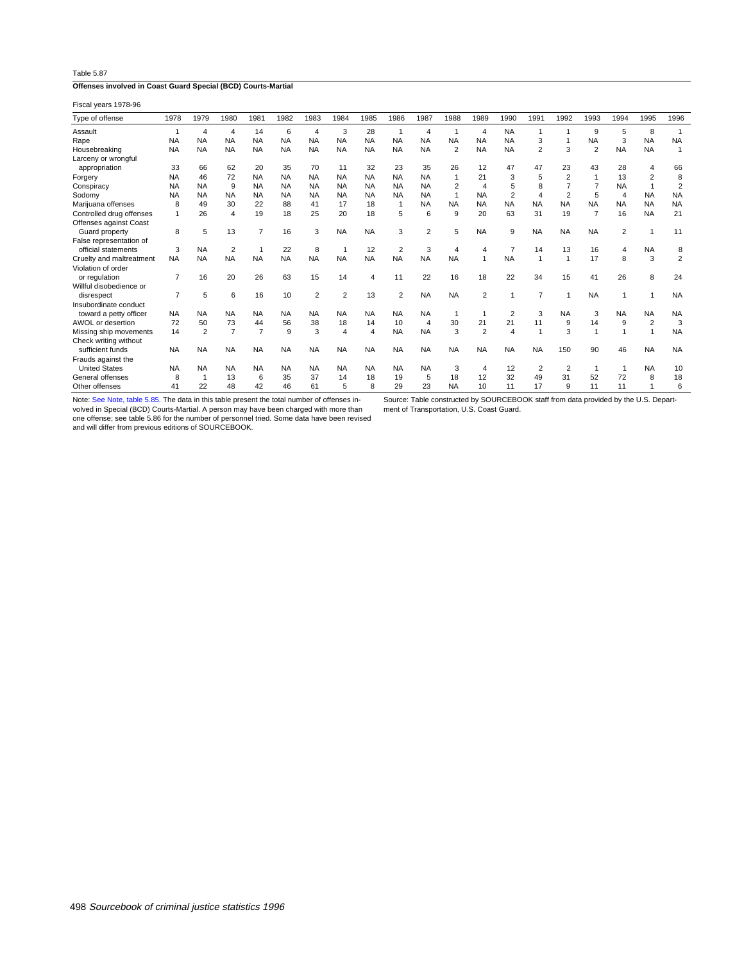# **Offenses involved in Coast Guard Special (BCD) Courts-Martial**

Fiscal years 1978-96

| Type of offense          | 1978           | 1979           | 1980           | 1981           | 1982      | 1983           | 1984           | 1985           | 1986           | 1987                  | 1988           | 1989           | 1990           | 1991           | 1992           | 1993           | 1994           | 1995           | 1996           |
|--------------------------|----------------|----------------|----------------|----------------|-----------|----------------|----------------|----------------|----------------|-----------------------|----------------|----------------|----------------|----------------|----------------|----------------|----------------|----------------|----------------|
| Assault                  |                | 4              | 4              | 14             | 6         | 4              | 3              | 28             |                | $\boldsymbol{\Delta}$ | -1             | 4              | <b>NA</b>      |                |                | 9              | 5              | 8              |                |
| Rape                     | <b>NA</b>      | <b>NA</b>      | <b>NA</b>      | <b>NA</b>      | <b>NA</b> | <b>NA</b>      | <b>NA</b>      | <b>NA</b>      | <b>NA</b>      | <b>NA</b>             | <b>NA</b>      | <b>NA</b>      | <b>NA</b>      | 3              |                | <b>NA</b>      | 3              | <b>NA</b>      | <b>NA</b>      |
| Housebreaking            | <b>NA</b>      | <b>NA</b>      | <b>NA</b>      | <b>NA</b>      | <b>NA</b> | <b>NA</b>      | <b>NA</b>      | <b>NA</b>      | <b>NA</b>      | <b>NA</b>             | $\overline{2}$ | <b>NA</b>      | <b>NA</b>      | $\overline{2}$ | 3              | $\overline{2}$ | <b>NA</b>      | <b>NA</b>      | $\mathbf{1}$   |
| Larceny or wrongful      |                |                |                |                |           |                |                |                |                |                       |                |                |                |                |                |                |                |                |                |
| appropriation            | 33             | 66             | 62             | 20             | 35        | 70             | 11             | 32             | 23             | 35                    | 26             | 12             | 47             | 47             | 23             | 43             | 28             |                | 66             |
| Forgery                  | <b>NA</b>      | 46             | 72             | <b>NA</b>      | <b>NA</b> | <b>NA</b>      | <b>NA</b>      | <b>NA</b>      | <b>NA</b>      | <b>NA</b>             | $\overline{1}$ | 21             | 3              | 5              | $\overline{2}$ |                | 13             | $\overline{2}$ |                |
| Conspiracy               | <b>NA</b>      | <b>NA</b>      | 9              | <b>NA</b>      | <b>NA</b> | <b>NA</b>      | <b>NA</b>      | <b>NA</b>      | <b>NA</b>      | <b>NA</b>             | $\overline{2}$ | $\overline{4}$ |                | 8              | 7              |                | <b>NA</b>      |                |                |
| Sodomy                   | <b>NA</b>      | <b>NA</b>      | <b>NA</b>      | <b>NA</b>      | <b>NA</b> | <b>NA</b>      | <b>NA</b>      | <b>NA</b>      | <b>NA</b>      | <b>NA</b>             | 1              | <b>NA</b>      | 2              | $\overline{4}$ | $\overline{2}$ | 5              | 4              | <b>NA</b>      | <b>NA</b>      |
| Marijuana offenses       | 8              | 49             | 30             | 22             | 88        | 41             | 17             | 18             |                | <b>NA</b>             | <b>NA</b>      | <b>NA</b>      | <b>NA</b>      | <b>NA</b>      | <b>NA</b>      | <b>NA</b>      | <b>NA</b>      | <b>NA</b>      | <b>NA</b>      |
| Controlled drug offenses | $\mathbf{1}$   | 26             | $\Delta$       | 19             | 18        | 25             | 20             | 18             | 5              | 6                     | 9              | 20             | 63             | 31             | 19             | $\overline{7}$ | 16             | <b>NA</b>      | 21             |
| Offenses against Coast   |                |                |                |                |           |                |                |                |                |                       |                |                |                |                |                |                |                |                |                |
| Guard property           | 8              | 5              | 13             |                | 16        | 3              | <b>NA</b>      | <b>NA</b>      | 3              | $\overline{2}$        | 5              | <b>NA</b>      | 9              | <b>NA</b>      | <b>NA</b>      | <b>NA</b>      | $\overline{2}$ |                | 11             |
| False representation of  |                |                |                |                |           |                |                |                |                |                       |                |                |                |                |                |                |                |                |                |
| official statements      | 3              | <b>NA</b>      | $\overline{2}$ |                | 22        | 8              |                | 12             | 2              | 3                     | $\overline{4}$ |                |                | 14             | 13             | 16             | 4              | <b>NA</b>      |                |
| Cruelty and maltreatment | <b>NA</b>      | <b>NA</b>      | <b>NA</b>      | <b>NA</b>      | <b>NA</b> | <b>NA</b>      | <b>NA</b>      | <b>NA</b>      | <b>NA</b>      | <b>NA</b>             | <b>NA</b>      |                | <b>NA</b>      | $\overline{1}$ | 1              | 17             | 8              | 3              | $\overline{c}$ |
| Violation of order       |                |                |                |                |           |                |                |                |                |                       |                |                |                |                |                |                |                |                |                |
| or regulation            | $\overline{7}$ | 16             | 20             | 26             | 63        | 15             | 14             | 4              | 11             | 22                    | 16             | 18             | 22             | 34             | 15             | 41             | 26             | 8              | 24             |
| Willful disobedience or  |                |                |                |                |           |                |                |                |                |                       |                |                |                |                |                |                |                |                |                |
| disrespect               | $\overline{7}$ | 5              | 6              | 16             | 10        | $\overline{2}$ | $\overline{2}$ | 13             | $\overline{2}$ | <b>NA</b>             | <b>NA</b>      | $\overline{2}$ |                | $\overline{7}$ |                | <b>NA</b>      |                |                | <b>NA</b>      |
| Insubordinate conduct    |                |                |                |                |           |                |                |                |                |                       |                |                |                |                |                |                |                |                |                |
| toward a petty officer   | <b>NA</b>      | <b>NA</b>      | <b>NA</b>      | <b>NA</b>      | <b>NA</b> | <b>NA</b>      | <b>NA</b>      | <b>NA</b>      | <b>NA</b>      | <b>NA</b>             | $\mathbf{1}$   |                | $\overline{2}$ | 3              | <b>NA</b>      | 3              | <b>NA</b>      | <b>NA</b>      | <b>NA</b>      |
| AWOL or desertion        | 72             | 50             | 73             | 44             | 56        | 38             | 18             | 14             | 10             | $\overline{4}$        | 30             | 21             | 21             | 11             | 9              | 14             | 9              | $\overline{2}$ | 3              |
| Missing ship movements   | 14             | $\overline{2}$ | $\overline{7}$ | $\overline{7}$ | 9         | 3              | 4              | $\overline{4}$ | <b>NA</b>      | <b>NA</b>             | 3              | $\overline{2}$ | $\Delta$       | $\overline{1}$ | 3              |                |                |                | <b>NA</b>      |
| Check writing without    |                |                |                |                |           |                |                |                |                |                       |                |                |                |                |                |                |                |                |                |
| sufficient funds         | <b>NA</b>      | <b>NA</b>      | <b>NA</b>      | <b>NA</b>      | <b>NA</b> | <b>NA</b>      | <b>NA</b>      | <b>NA</b>      | <b>NA</b>      | <b>NA</b>             | <b>NA</b>      | <b>NA</b>      | <b>NA</b>      | <b>NA</b>      | 150            | 90             | 46             | <b>NA</b>      | <b>NA</b>      |
| Frauds against the       |                |                |                |                |           |                |                |                |                |                       |                |                |                |                |                |                |                |                |                |
| <b>United States</b>     | <b>NA</b>      | <b>NA</b>      | <b>NA</b>      | <b>NA</b>      | <b>NA</b> | <b>NA</b>      | <b>NA</b>      | <b>NA</b>      | <b>NA</b>      | <b>NA</b>             | 3              | 4              | 12             | $\overline{2}$ | 2              |                |                | <b>NA</b>      | 10             |
| General offenses         | 8              |                | 13             | 6              | 35        | 37             | 14             | 18             | 19             | 5                     | 18             | 12             | 32             | 49             | 31             | 52             | 72             | 8              | 18             |
| Other offenses           | 41             | 22             | 48             | 42             | 46        | 61             | 5              | 8              | 29             | 23                    | <b>NA</b>      | 10             | 11             | 17             | 9              | 11             | 11             |                | 6              |

Source: Table constructed by SOURCEBOOK staff from data provided by the U.S. Depart-ment of Transportation, U.S. Coast Guard.

Note: [See Note, table 5.85.](#page-79-0) The data in this table present the total number of offenses in-<br>volved in Special (BCD) Courts-Martial. A person may have been charged with more than<br>one offense; see table 5.86 for the number o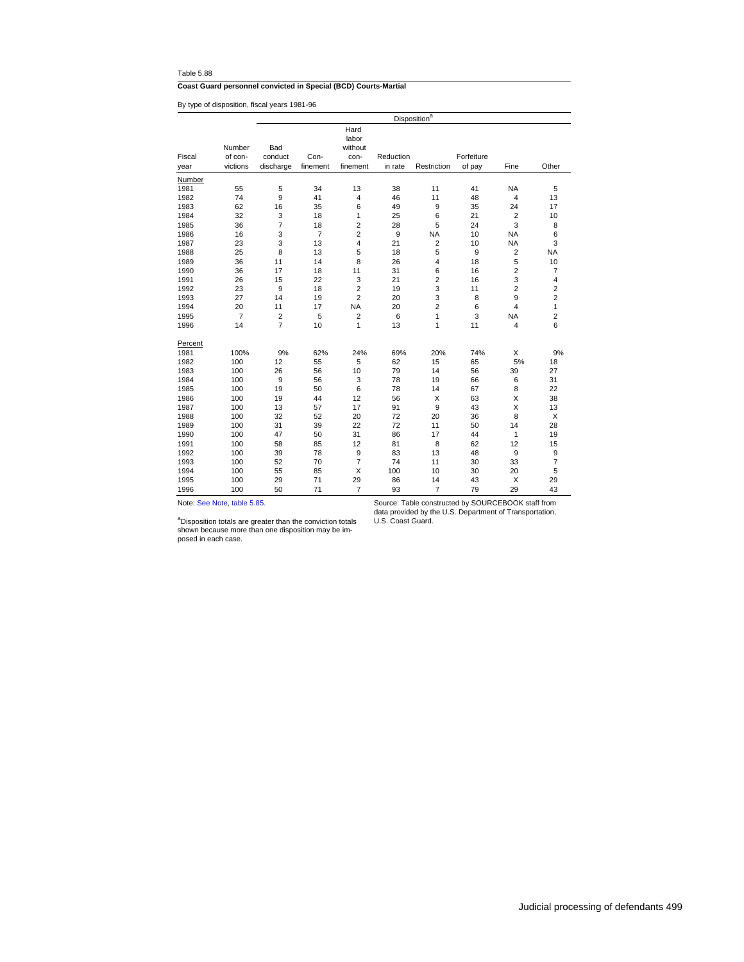**Coast Guard personnel convicted in Special (BCD) Courts-Martial**

By type of disposition, fiscal years 1981-96

|         |                   | Disposition <sup>a</sup> |                |                                  |           |                |            |                |                         |  |  |  |  |
|---------|-------------------|--------------------------|----------------|----------------------------------|-----------|----------------|------------|----------------|-------------------------|--|--|--|--|
| Fiscal  | Number<br>of con- | Bad<br>conduct           | Con-           | Hard<br>labor<br>without<br>con- | Reduction |                | Forfeiture |                |                         |  |  |  |  |
| year    | victions          | discharge                | finement       | finement                         | in rate   | Restriction    | of pay     | Fine           | Other                   |  |  |  |  |
| Number  |                   |                          |                |                                  |           |                |            |                |                         |  |  |  |  |
| 1981    | 55                | 5                        | 34             | 13                               | 38        | 11             | 41         | <b>NA</b>      | 5                       |  |  |  |  |
| 1982    | 74                | 9                        | 41             | 4                                | 46        | 11             | 48         | $\overline{4}$ | 13                      |  |  |  |  |
| 1983    | 62                | 16                       | 35             | 6                                | 49        | 9              | 35         | 24             | 17                      |  |  |  |  |
| 1984    | 32                | 3                        | 18             | $\mathbf{1}$                     | 25        | 6              | 21         | $\overline{2}$ | 10                      |  |  |  |  |
| 1985    | 36                | $\overline{7}$           | 18             | 2                                | 28        | 5              | 24         | 3              | 8                       |  |  |  |  |
| 1986    | 16                | 3                        | $\overline{7}$ | $\overline{\mathbf{c}}$          | 9         | <b>NA</b>      | 10         | <b>NA</b>      | 6                       |  |  |  |  |
| 1987    | 23                | 3                        | 13             | 4                                | 21        | 2              | 10         | <b>NA</b>      | 3                       |  |  |  |  |
| 1988    | 25                | 8                        | 13             | 5                                | 18        | 5              | 9          | $\overline{2}$ | <b>NA</b>               |  |  |  |  |
| 1989    | 36                | 11                       | 14             | 8                                | 26        | 4              | 18         | 5              | 10                      |  |  |  |  |
| 1990    | 36                | 17                       | 18             | 11                               | 31        | 6              | 16         | $\mathbf 2$    | $\overline{7}$          |  |  |  |  |
| 1991    | 26                | 15                       | 22             | 3                                | 21        | $\overline{2}$ | 16         | 3              | 4                       |  |  |  |  |
| 1992    | 23                | 9                        | 18             | $\overline{c}$                   | 19        | 3              | 11         | $\overline{2}$ | 2                       |  |  |  |  |
| 1993    | 27                | 14                       | 19             | $\overline{c}$                   | 20        | 3              | 8          | 9              | $\overline{c}$          |  |  |  |  |
| 1994    | 20                | 11                       | 17             | <b>NA</b>                        | 20        | $\overline{2}$ | 6          | 4              | $\mathbf{1}$            |  |  |  |  |
| 1995    | 7                 | $\overline{2}$           | 5              | $\overline{\mathbf{c}}$          | 6         | $\mathbf{1}$   | 3          | <b>NA</b>      | $\overline{\mathbf{c}}$ |  |  |  |  |
| 1996    | 14                | $\overline{7}$           | 10             | $\mathbf{1}$                     | 13        | $\mathbf{1}$   | 11         | $\overline{4}$ | 6                       |  |  |  |  |
| Percent |                   |                          |                |                                  |           |                |            |                |                         |  |  |  |  |
| 1981    | 100%              | 9%                       | 62%            | 24%                              | 69%       | 20%            | 74%        | X              | 9%                      |  |  |  |  |
| 1982    | 100               | 12                       | 55             | 5                                | 62        | 15             | 65         | 5%             | 18                      |  |  |  |  |
| 1983    | 100               | 26                       | 56             | 10                               | 79        | 14             | 56         | 39             | 27                      |  |  |  |  |
| 1984    | 100               | 9                        | 56             | 3                                | 78        | 19             | 66         | 6              | 31                      |  |  |  |  |
| 1985    | 100               | 19                       | 50             | 6                                | 78        | 14             | 67         | 8              | 22                      |  |  |  |  |
| 1986    | 100               | 19                       | 44             | 12                               | 56        | X              | 63         | X              | 38                      |  |  |  |  |
| 1987    | 100               | 13                       | 57             | 17                               | 91        | 9              | 43         | Χ              | 13                      |  |  |  |  |
| 1988    | 100               | 32                       | 52             | 20                               | 72        | 20             | 36         | 8              | X                       |  |  |  |  |
| 1989    | 100               | 31                       | 39             | 22                               | 72        | 11             | 50         | 14             | 28                      |  |  |  |  |
| 1990    | 100               | 47                       | 50             | 31                               | 86        | 17             | 44         | $\mathbf{1}$   | 19                      |  |  |  |  |
| 1991    | 100               | 58                       | 85             | 12                               | 81        | 8              | 62         | 12             | 15                      |  |  |  |  |
| 1992    | 100               | 39                       | 78             | 9                                | 83        | 13             | 48         | 9              | 9                       |  |  |  |  |
| 1993    | 100               | 52                       | 70             | 7                                | 74        | 11             | 30         | 33             | $\overline{7}$          |  |  |  |  |
| 1994    | 100               | 55                       | 85             | X                                | 100       | 10             | 30         | 20             | 5                       |  |  |  |  |
| 1995    | 100               | 29                       | 71             | 29                               | 86        | 14             | 43         | X              | 29                      |  |  |  |  |
| 1996    | 100               | 50                       | 71             | 7                                | 93        | $\overline{7}$ | 79         | 29             | 43                      |  |  |  |  |

Note: [See Note, table 5.85.](#page-79-0)

<sup>a</sup>Disposition totals are greater than the conviction totals<br>shown because more than one disposition may be im-<br>posed in each case.

Source: Table constructed by SOURCEBOOK staff from data provided by the U.S. Department of Transportation, U.S. Coast Guard.

Table 5.88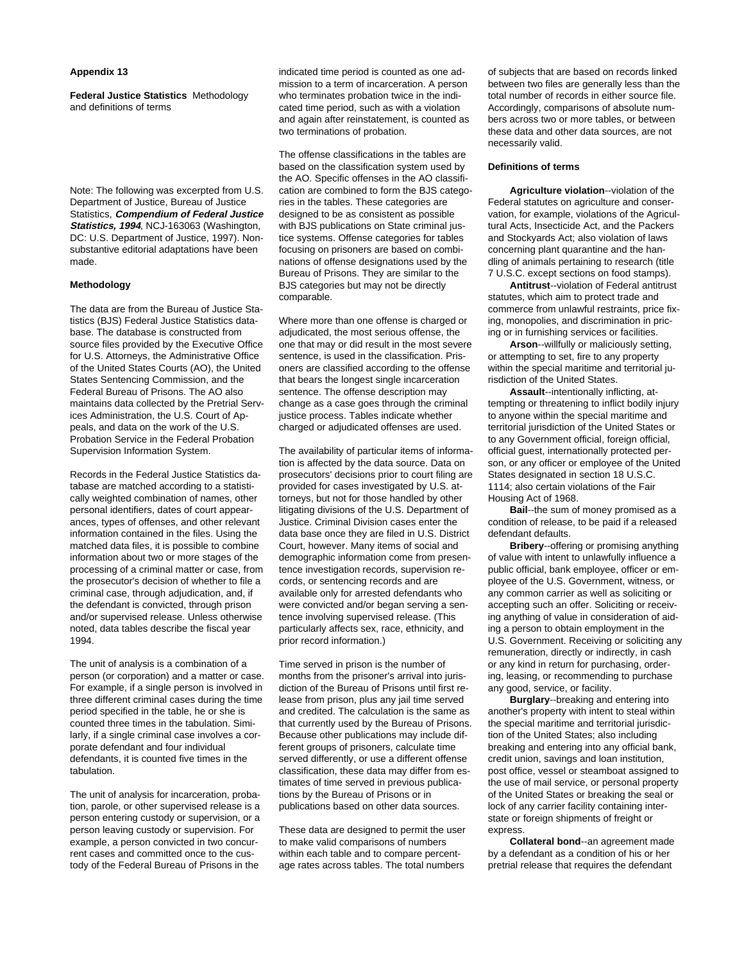## **Appendix 13**

**Federal Justice Statistics** Methodology and definitions of terms

Note: The following was excerpted from U.S. Department of Justice, Bureau of Justice Statistics, **Compendium of Federal Justice Statistics, 1994**, NCJ-163063 (Washington, DC: U.S. Department of Justice, 1997). Nonsubstantive editorial adaptations have been made.

## **Methodology**

The data are from the Bureau of Justice Statistics (BJS) Federal Justice Statistics database. The database is constructed from source files provided by the Executive Office for U.S. Attorneys, the Administrative Office of the United States Courts (AO), the United States Sentencing Commission, and the Federal Bureau of Prisons. The AO also maintains data collected by the Pretrial Services Administration, the U.S. Court of Appeals, and data on the work of the U.S. Probation Service in the Federal Probation Supervision Information System.

Records in the Federal Justice Statistics database are matched according to a statistically weighted combination of names, other personal identifiers, dates of court appearances, types of offenses, and other relevant information contained in the files. Using the matched data files, it is possible to combine information about two or more stages of the processing of a criminal matter or case, from the prosecutor's decision of whether to file a criminal case, through adjudication, and, if the defendant is convicted, through prison and/or supervised release. Unless otherwise noted, data tables describe the fiscal year 1994.

The unit of analysis is a combination of a person (or corporation) and a matter or case. For example, if a single person is involved in three different criminal cases during the time period specified in the table, he or she is counted three times in the tabulation. Similarly, if a single criminal case involves a corporate defendant and four individual defendants, it is counted five times in the tabulation.

The unit of analysis for incarceration, probation, parole, or other supervised release is a person entering custody or supervision, or a person leaving custody or supervision. For example, a person convicted in two concurrent cases and committed once to the custody of the Federal Bureau of Prisons in the

indicated time period is counted as one admission to a term of incarceration. A person who terminates probation twice in the indicated time period, such as with a violation and again after reinstatement, is counted as two terminations of probation.

The offense classifications in the tables are based on the classification system used by the AO. Specific offenses in the AO classification are combined to form the BJS categories in the tables. These categories are designed to be as consistent as possible with BJS publications on State criminal justice systems. Offense categories for tables focusing on prisoners are based on combinations of offense designations used by the Bureau of Prisons. They are similar to the BJS categories but may not be directly comparable.

Where more than one offense is charged or adjudicated, the most serious offense, the one that may or did result in the most severe sentence, is used in the classification. Prisoners are classified according to the offense that bears the longest single incarceration sentence. The offense description may change as a case goes through the criminal justice process. Tables indicate whether charged or adjudicated offenses are used.

The availability of particular items of information is affected by the data source. Data on prosecutors' decisions prior to court filing are provided for cases investigated by U.S. attorneys, but not for those handled by other litigating divisions of the U.S. Department of Justice. Criminal Division cases enter the data base once they are filed in U.S. District Court, however. Many items of social and demographic information come from presentence investigation records, supervision records, or sentencing records and are available only for arrested defendants who were convicted and/or began serving a sentence involving supervised release. (This particularly affects sex, race, ethnicity, and prior record information.)

Time served in prison is the number of months from the prisoner's arrival into jurisdiction of the Bureau of Prisons until first release from prison, plus any jail time served and credited. The calculation is the same as that currently used by the Bureau of Prisons. Because other publications may include different groups of prisoners, calculate time served differently, or use a different offense classification, these data may differ from estimates of time served in previous publications by the Bureau of Prisons or in publications based on other data sources.

These data are designed to permit the user to make valid comparisons of numbers within each table and to compare percentage rates across tables. The total numbers

of subjects that are based on records linked between two files are generally less than the total number of records in either source file. Accordingly, comparisons of absolute numbers across two or more tables, or between these data and other data sources, are not necessarily valid.

## **Definitions of terms**

**Agriculture violation**--violation of the Federal statutes on agriculture and conservation, for example, violations of the Agricultural Acts, Insecticide Act, and the Packers and Stockyards Act; also violation of laws concerning plant quarantine and the handling of animals pertaining to research (title 7 U.S.C. except sections on food stamps).

**Antitrust**--violation of Federal antitrust statutes, which aim to protect trade and commerce from unlawful restraints, price fixing, monopolies, and discrimination in pricing or in furnishing services or facilities.

**Arson**--willfully or maliciously setting, or attempting to set, fire to any property within the special maritime and territorial jurisdiction of the United States.

**Assault**--intentionally inflicting, attempting or threatening to inflict bodily injury to anyone within the special maritime and territorial jurisdiction of the United States or to any Government official, foreign official, official guest, internationally protected person, or any officer or employee of the United States designated in section 18 U.S.C. 1114; also certain violations of the Fair Housing Act of 1968.

**Bail**--the sum of money promised as a condition of release, to be paid if a released defendant defaults.

**Bribery**--offering or promising anything of value with intent to unlawfully influence a public official, bank employee, officer or employee of the U.S. Government, witness, or any common carrier as well as soliciting or accepting such an offer. Soliciting or receiving anything of value in consideration of aiding a person to obtain employment in the U.S. Government. Receiving or soliciting any remuneration, directly or indirectly, in cash or any kind in return for purchasing, ordering, leasing, or recommending to purchase any good, service, or facility.

**Burglary**--breaking and entering into another's property with intent to steal within the special maritime and territorial jurisdiction of the United States; also including breaking and entering into any official bank, credit union, savings and loan institution, post office, vessel or steamboat assigned to the use of mail service, or personal property of the United States or breaking the seal or lock of any carrier facility containing interstate or foreign shipments of freight or express.

**Collateral bond**--an agreement made by a defendant as a condition of his or her pretrial release that requires the defendant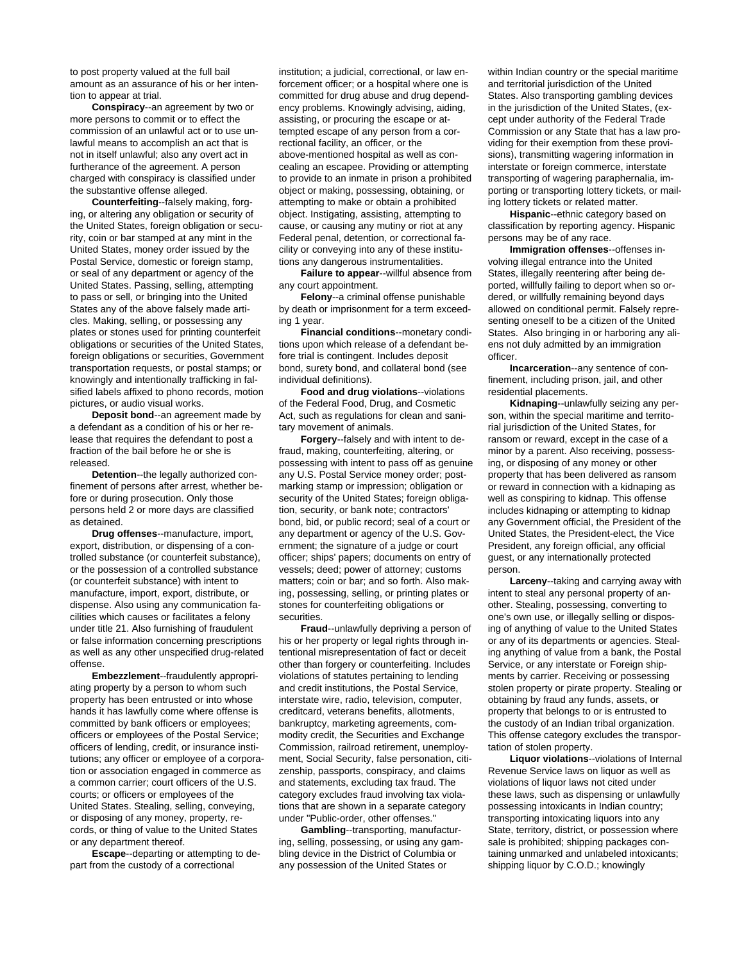to post property valued at the full bail amount as an assurance of his or her intention to appear at trial.

**Conspiracy**--an agreement by two or more persons to commit or to effect the commission of an unlawful act or to use unlawful means to accomplish an act that is not in itself unlawful; also any overt act in furtherance of the agreement. A person charged with conspiracy is classified under the substantive offense alleged.

**Counterfeiting**--falsely making, forging, or altering any obligation or security of the United States, foreign obligation or security, coin or bar stamped at any mint in the United States, money order issued by the Postal Service, domestic or foreign stamp, or seal of any department or agency of the United States. Passing, selling, attempting to pass or sell, or bringing into the United States any of the above falsely made articles. Making, selling, or possessing any plates or stones used for printing counterfeit obligations or securities of the United States, foreign obligations or securities, Government transportation requests, or postal stamps; or knowingly and intentionally trafficking in falsified labels affixed to phono records, motion pictures, or audio visual works.

**Deposit bond**--an agreement made by a defendant as a condition of his or her release that requires the defendant to post a fraction of the bail before he or she is released.

**Detention**--the legally authorized confinement of persons after arrest, whether before or during prosecution. Only those persons held 2 or more days are classified as detained.

**Drug offenses**--manufacture, import, export, distribution, or dispensing of a controlled substance (or counterfeit substance), or the possession of a controlled substance (or counterfeit substance) with intent to manufacture, import, export, distribute, or dispense. Also using any communication facilities which causes or facilitates a felony under title 21. Also furnishing of fraudulent or false information concerning prescriptions as well as any other unspecified drug-related offense.

**Embezzlement**--fraudulently appropriating property by a person to whom such property has been entrusted or into whose hands it has lawfully come where offense is committed by bank officers or employees; officers or employees of the Postal Service; officers of lending, credit, or insurance institutions; any officer or employee of a corporation or association engaged in commerce as a common carrier; court officers of the U.S. courts; or officers or employees of the United States. Stealing, selling, conveying, or disposing of any money, property, records, or thing of value to the United States or any department thereof.

**Escape**--departing or attempting to depart from the custody of a correctional

institution; a judicial, correctional, or law enforcement officer; or a hospital where one is committed for drug abuse and drug dependency problems. Knowingly advising, aiding, assisting, or procuring the escape or attempted escape of any person from a correctional facility, an officer, or the above-mentioned hospital as well as concealing an escapee. Providing or attempting to provide to an inmate in prison a prohibited object or making, possessing, obtaining, or attempting to make or obtain a prohibited object. Instigating, assisting, attempting to cause, or causing any mutiny or riot at any Federal penal, detention, or correctional facility or conveying into any of these institutions any dangerous instrumentalities.

**Failure to appear**--willful absence from any court appointment.

**Felony**--a criminal offense punishable by death or imprisonment for a term exceeding 1 year.

**Financial conditions**--monetary conditions upon which release of a defendant before trial is contingent. Includes deposit bond, surety bond, and collateral bond (see individual definitions).

**Food and drug violations**--violations of the Federal Food, Drug, and Cosmetic Act, such as regulations for clean and sanitary movement of animals.

**Forgery**--falsely and with intent to defraud, making, counterfeiting, altering, or possessing with intent to pass off as genuine any U.S. Postal Service money order; postmarking stamp or impression; obligation or security of the United States; foreign obligation, security, or bank note; contractors' bond, bid, or public record; seal of a court or any department or agency of the U.S. Government; the signature of a judge or court officer; ships' papers; documents on entry of vessels; deed; power of attorney; customs matters; coin or bar; and so forth. Also making, possessing, selling, or printing plates or stones for counterfeiting obligations or securities.

**Fraud**--unlawfully depriving a person of his or her property or legal rights through intentional misrepresentation of fact or deceit other than forgery or counterfeiting. Includes violations of statutes pertaining to lending and credit institutions, the Postal Service, interstate wire, radio, television, computer, creditcard, veterans benefits, allotments, bankruptcy, marketing agreements, commodity credit, the Securities and Exchange Commission, railroad retirement, unemployment, Social Security, false personation, citizenship, passports, conspiracy, and claims and statements, excluding tax fraud. The category excludes fraud involving tax violations that are shown in a separate category under "Public-order, other offenses."

**Gambling**--transporting, manufacturing, selling, possessing, or using any gambling device in the District of Columbia or any possession of the United States or

within Indian country or the special maritime and territorial jurisdiction of the United States. Also transporting gambling devices in the jurisdiction of the United States, (except under authority of the Federal Trade Commission or any State that has a law providing for their exemption from these provisions), transmitting wagering information in interstate or foreign commerce, interstate transporting of wagering paraphernalia, importing or transporting lottery tickets, or mailing lottery tickets or related matter.

**Hispanic**--ethnic category based on classification by reporting agency. Hispanic persons may be of any race.

**Immigration offenses**--offenses involving illegal entrance into the United States, illegally reentering after being deported, willfully failing to deport when so ordered, or willfully remaining beyond days allowed on conditional permit. Falsely representing oneself to be a citizen of the United States. Also bringing in or harboring any aliens not duly admitted by an immigration officer.

**Incarceration**--any sentence of confinement, including prison, jail, and other residential placements.

**Kidnaping**--unlawfully seizing any person, within the special maritime and territorial jurisdiction of the United States, for ransom or reward, except in the case of a minor by a parent. Also receiving, possessing, or disposing of any money or other property that has been delivered as ransom or reward in connection with a kidnaping as well as conspiring to kidnap. This offense includes kidnaping or attempting to kidnap any Government official, the President of the United States, the President-elect, the Vice President, any foreign official, any official guest, or any internationally protected person.

**Larceny**--taking and carrying away with intent to steal any personal property of another. Stealing, possessing, converting to one's own use, or illegally selling or disposing of anything of value to the United States or any of its departments or agencies. Stealing anything of value from a bank, the Postal Service, or any interstate or Foreign shipments by carrier. Receiving or possessing stolen property or pirate property. Stealing or obtaining by fraud any funds, assets, or property that belongs to or is entrusted to the custody of an Indian tribal organization. This offense category excludes the transportation of stolen property.

**Liquor violations**--violations of Internal Revenue Service laws on liquor as well as violations of liquor laws not cited under these laws, such as dispensing or unlawfully possessing intoxicants in Indian country; transporting intoxicating liquors into any State, territory, district, or possession where sale is prohibited; shipping packages containing unmarked and unlabeled intoxicants; shipping liquor by C.O.D.; knowingly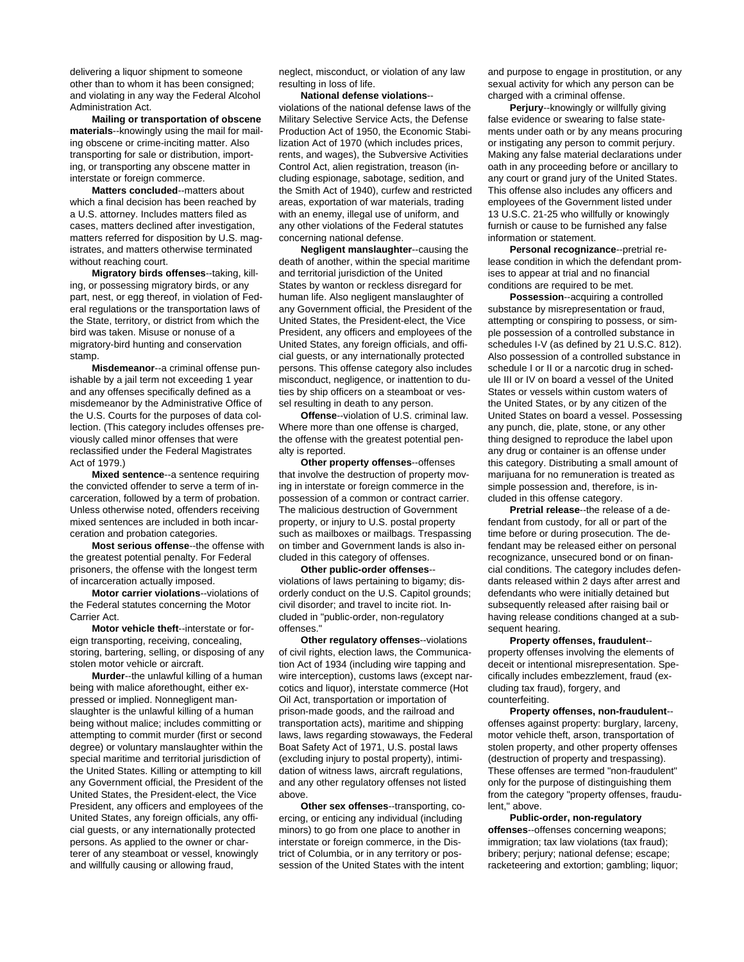delivering a liquor shipment to someone other than to whom it has been consigned; and violating in any way the Federal Alcohol Administration Act.

**Mailing or transportation of obscene materials**--knowingly using the mail for mailing obscene or crime-inciting matter. Also transporting for sale or distribution, importing, or transporting any obscene matter in interstate or foreign commerce.

**Matters concluded**--matters about which a final decision has been reached by a U.S. attorney. Includes matters filed as cases, matters declined after investigation, matters referred for disposition by U.S. magistrates, and matters otherwise terminated without reaching court.

**Migratory birds offenses**--taking, killing, or possessing migratory birds, or any part, nest, or egg thereof, in violation of Federal regulations or the transportation laws of the State, territory, or district from which the bird was taken. Misuse or nonuse of a migratory-bird hunting and conservation stamp.

**Misdemeanor**--a criminal offense punishable by a jail term not exceeding 1 year and any offenses specifically defined as a misdemeanor by the Administrative Office of the U.S. Courts for the purposes of data collection. (This category includes offenses previously called minor offenses that were reclassified under the Federal Magistrates Act of 1979.)

**Mixed sentence**--a sentence requiring the convicted offender to serve a term of incarceration, followed by a term of probation. Unless otherwise noted, offenders receiving mixed sentences are included in both incarceration and probation categories.

**Most serious offense**--the offense with the greatest potential penalty. For Federal prisoners, the offense with the longest term of incarceration actually imposed.

**Motor carrier violations**--violations of the Federal statutes concerning the Motor Carrier Act.

**Motor vehicle theft**--interstate or foreign transporting, receiving, concealing, storing, bartering, selling, or disposing of any stolen motor vehicle or aircraft.

**Murder**--the unlawful killing of a human being with malice aforethought, either expressed or implied. Nonnegligent manslaughter is the unlawful killing of a human being without malice; includes committing or attempting to commit murder (first or second degree) or voluntary manslaughter within the special maritime and territorial jurisdiction of the United States. Killing or attempting to kill any Government official, the President of the United States, the President-elect, the Vice President, any officers and employees of the United States, any foreign officials, any official guests, or any internationally protected persons. As applied to the owner or charterer of any steamboat or vessel, knowingly and willfully causing or allowing fraud,

neglect, misconduct, or violation of any law resulting in loss of life.

**National defense violations**- violations of the national defense laws of the Military Selective Service Acts, the Defense Production Act of 1950, the Economic Stabilization Act of 1970 (which includes prices, rents, and wages), the Subversive Activities Control Act, alien registration, treason (including espionage, sabotage, sedition, and the Smith Act of 1940), curfew and restricted areas, exportation of war materials, trading with an enemy, illegal use of uniform, and any other violations of the Federal statutes concerning national defense.

**Negligent manslaughter**--causing the death of another, within the special maritime and territorial jurisdiction of the United States by wanton or reckless disregard for human life. Also negligent manslaughter of any Government official, the President of the United States, the President-elect, the Vice President, any officers and employees of the United States, any foreign officials, and official guests, or any internationally protected persons. This offense category also includes misconduct, negligence, or inattention to duties by ship officers on a steamboat or vessel resulting in death to any person.

**Offense**--violation of U.S. criminal law. Where more than one offense is charged. the offense with the greatest potential penalty is reported.

**Other property offenses**--offenses that involve the destruction of property moving in interstate or foreign commerce in the possession of a common or contract carrier. The malicious destruction of Government property, or injury to U.S. postal property such as mailboxes or mailbags. Trespassing on timber and Government lands is also included in this category of offenses.

**Other public-order offenses**- violations of laws pertaining to bigamy; disorderly conduct on the U.S. Capitol grounds; civil disorder; and travel to incite riot. Included in "public-order, non-regulatory offenses."

**Other regulatory offenses**--violations of civil rights, election laws, the Communication Act of 1934 (including wire tapping and wire interception), customs laws (except narcotics and liquor), interstate commerce (Hot Oil Act, transportation or importation of prison-made goods, and the railroad and transportation acts), maritime and shipping laws, laws regarding stowaways, the Federal Boat Safety Act of 1971, U.S. postal laws (excluding injury to postal property), intimidation of witness laws, aircraft regulations, and any other regulatory offenses not listed above.

**Other sex offenses**--transporting, coercing, or enticing any individual (including minors) to go from one place to another in interstate or foreign commerce, in the District of Columbia, or in any territory or possession of the United States with the intent

and purpose to engage in prostitution, or any sexual activity for which any person can be charged with a criminal offense.

**Perjury**--knowingly or willfully giving false evidence or swearing to false statements under oath or by any means procuring or instigating any person to commit perjury. Making any false material declarations under oath in any proceeding before or ancillary to any court or grand jury of the United States. This offense also includes any officers and employees of the Government listed under 13 U.S.C. 21-25 who willfully or knowingly furnish or cause to be furnished any false information or statement.

**Personal recognizance**--pretrial release condition in which the defendant promises to appear at trial and no financial conditions are required to be met.

**Possession**--acquiring a controlled substance by misrepresentation or fraud, attempting or conspiring to possess, or simple possession of a controlled substance in schedules I-V (as defined by 21 U.S.C. 812). Also possession of a controlled substance in schedule I or II or a narcotic drug in schedule III or IV on board a vessel of the United States or vessels within custom waters of the United States, or by any citizen of the United States on board a vessel. Possessing any punch, die, plate, stone, or any other thing designed to reproduce the label upon any drug or container is an offense under this category. Distributing a small amount of marijuana for no remuneration is treated as simple possession and, therefore, is included in this offense category.

**Pretrial release**--the release of a defendant from custody, for all or part of the time before or during prosecution. The defendant may be released either on personal recognizance, unsecured bond or on financial conditions. The category includes defendants released within 2 days after arrest and defendants who were initially detained but subsequently released after raising bail or having release conditions changed at a subsequent hearing.

**Property offenses, fraudulent**- property offenses involving the elements of deceit or intentional misrepresentation. Specifically includes embezzlement, fraud (excluding tax fraud), forgery, and counterfeiting.

**Property offenses, non-fraudulent**- offenses against property: burglary, larceny, motor vehicle theft, arson, transportation of stolen property, and other property offenses (destruction of property and trespassing). These offenses are termed "non-fraudulent" only for the purpose of distinguishing them from the category "property offenses, fraudulent," above.

**Public-order, non-regulatory offenses**--offenses concerning weapons; immigration; tax law violations (tax fraud); bribery; perjury; national defense; escape; racketeering and extortion; gambling; liquor;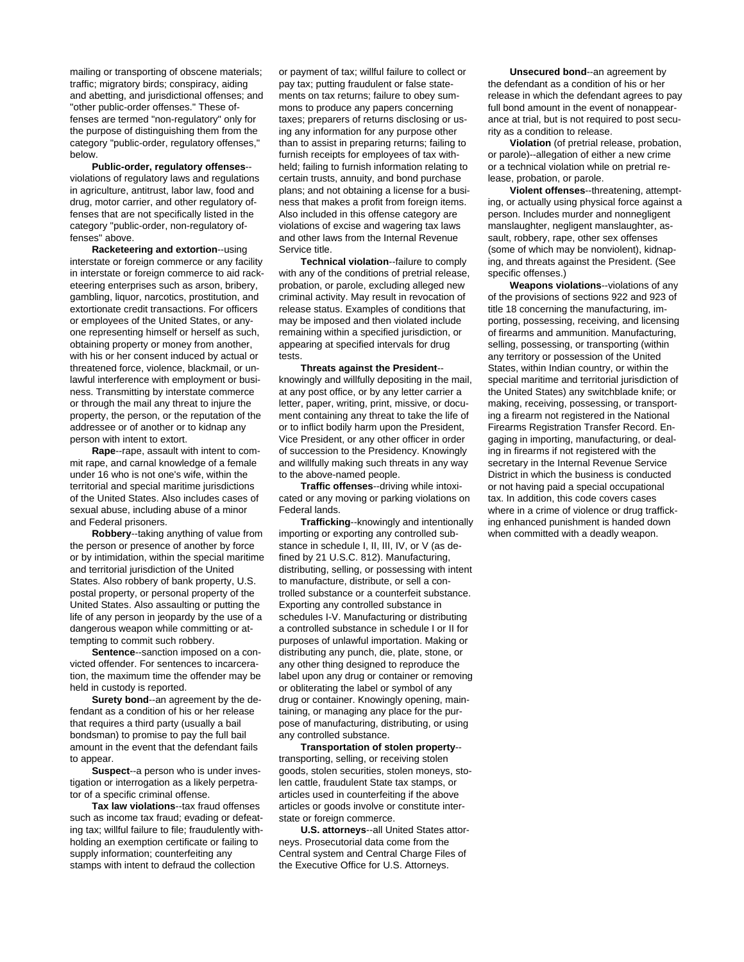mailing or transporting of obscene materials; traffic; migratory birds; conspiracy, aiding and abetting, and jurisdictional offenses; and "other public-order offenses." These offenses are termed "non-regulatory" only for the purpose of distinguishing them from the category "public-order, regulatory offenses," below.

**Public-order, regulatory offenses**- violations of regulatory laws and regulations in agriculture, antitrust, labor law, food and drug, motor carrier, and other regulatory offenses that are not specifically listed in the category "public-order, non-regulatory offenses" above.

**Racketeering and extortion**--using interstate or foreign commerce or any facility in interstate or foreign commerce to aid racketeering enterprises such as arson, bribery, gambling, liquor, narcotics, prostitution, and extortionate credit transactions. For officers or employees of the United States, or anyone representing himself or herself as such, obtaining property or money from another, with his or her consent induced by actual or threatened force, violence, blackmail, or unlawful interference with employment or business. Transmitting by interstate commerce or through the mail any threat to injure the property, the person, or the reputation of the addressee or of another or to kidnap any person with intent to extort.

**Rape**--rape, assault with intent to commit rape, and carnal knowledge of a female under 16 who is not one's wife, within the territorial and special maritime jurisdictions of the United States. Also includes cases of sexual abuse, including abuse of a minor and Federal prisoners.

**Robbery**--taking anything of value from the person or presence of another by force or by intimidation, within the special maritime and territorial jurisdiction of the United States. Also robbery of bank property, U.S. postal property, or personal property of the United States. Also assaulting or putting the life of any person in jeopardy by the use of a dangerous weapon while committing or attempting to commit such robbery.

**Sentence**--sanction imposed on a convicted offender. For sentences to incarceration, the maximum time the offender may be held in custody is reported.

**Surety bond**--an agreement by the defendant as a condition of his or her release that requires a third party (usually a bail bondsman) to promise to pay the full bail amount in the event that the defendant fails to appear.

**Suspect**--a person who is under investigation or interrogation as a likely perpetrator of a specific criminal offense.

**Tax law violations**--tax fraud offenses such as income tax fraud; evading or defeating tax; willful failure to file; fraudulently withholding an exemption certificate or failing to supply information; counterfeiting any stamps with intent to defraud the collection

or payment of tax; willful failure to collect or pay tax; putting fraudulent or false statements on tax returns; failure to obey summons to produce any papers concerning taxes; preparers of returns disclosing or using any information for any purpose other than to assist in preparing returns; failing to furnish receipts for employees of tax withheld; failing to furnish information relating to certain trusts, annuity, and bond purchase plans; and not obtaining a license for a business that makes a profit from foreign items. Also included in this offense category are violations of excise and wagering tax laws and other laws from the Internal Revenue Service title.

**Technical violation**--failure to comply with any of the conditions of pretrial release. probation, or parole, excluding alleged new criminal activity. May result in revocation of release status. Examples of conditions that may be imposed and then violated include remaining within a specified jurisdiction, or appearing at specified intervals for drug tests.

**Threats against the President**- knowingly and willfully depositing in the mail, at any post office, or by any letter carrier a letter, paper, writing, print, missive, or document containing any threat to take the life of or to inflict bodily harm upon the President, Vice President, or any other officer in order of succession to the Presidency. Knowingly and willfully making such threats in any way to the above-named people.

**Traffic offenses**--driving while intoxicated or any moving or parking violations on Federal lands.

**Trafficking**--knowingly and intentionally importing or exporting any controlled substance in schedule I, II, III, IV, or V (as defined by 21 U.S.C. 812). Manufacturing, distributing, selling, or possessing with intent to manufacture, distribute, or sell a controlled substance or a counterfeit substance. Exporting any controlled substance in schedules I-V. Manufacturing or distributing a controlled substance in schedule I or II for purposes of unlawful importation. Making or distributing any punch, die, plate, stone, or any other thing designed to reproduce the label upon any drug or container or removing or obliterating the label or symbol of any drug or container. Knowingly opening, maintaining, or managing any place for the purpose of manufacturing, distributing, or using any controlled substance.

**Transportation of stolen property**- transporting, selling, or receiving stolen goods, stolen securities, stolen moneys, stolen cattle, fraudulent State tax stamps, or articles used in counterfeiting if the above articles or goods involve or constitute interstate or foreign commerce.

**U.S. attorneys**--all United States attorneys. Prosecutorial data come from the Central system and Central Charge Files of the Executive Office for U.S. Attorneys.

**Unsecured bond**--an agreement by the defendant as a condition of his or her release in which the defendant agrees to pay full bond amount in the event of nonappearance at trial, but is not required to post security as a condition to release.

**Violation** (of pretrial release, probation, or parole)--allegation of either a new crime or a technical violation while on pretrial release, probation, or parole.

**Violent offenses**--threatening, attempting, or actually using physical force against a person. Includes murder and nonnegligent manslaughter, negligent manslaughter, assault, robbery, rape, other sex offenses (some of which may be nonviolent), kidnaping, and threats against the President. (See specific offenses.)

**Weapons violations**--violations of any of the provisions of sections 922 and 923 of title 18 concerning the manufacturing, importing, possessing, receiving, and licensing of firearms and ammunition. Manufacturing, selling, possessing, or transporting (within any territory or possession of the United States, within Indian country, or within the special maritime and territorial jurisdiction of the United States) any switchblade knife; or making, receiving, possessing, or transporting a firearm not registered in the National Firearms Registration Transfer Record. Engaging in importing, manufacturing, or dealing in firearms if not registered with the secretary in the Internal Revenue Service District in which the business is conducted or not having paid a special occupational tax. In addition, this code covers cases where in a crime of violence or drug trafficking enhanced punishment is handed down when committed with a deadly weapon.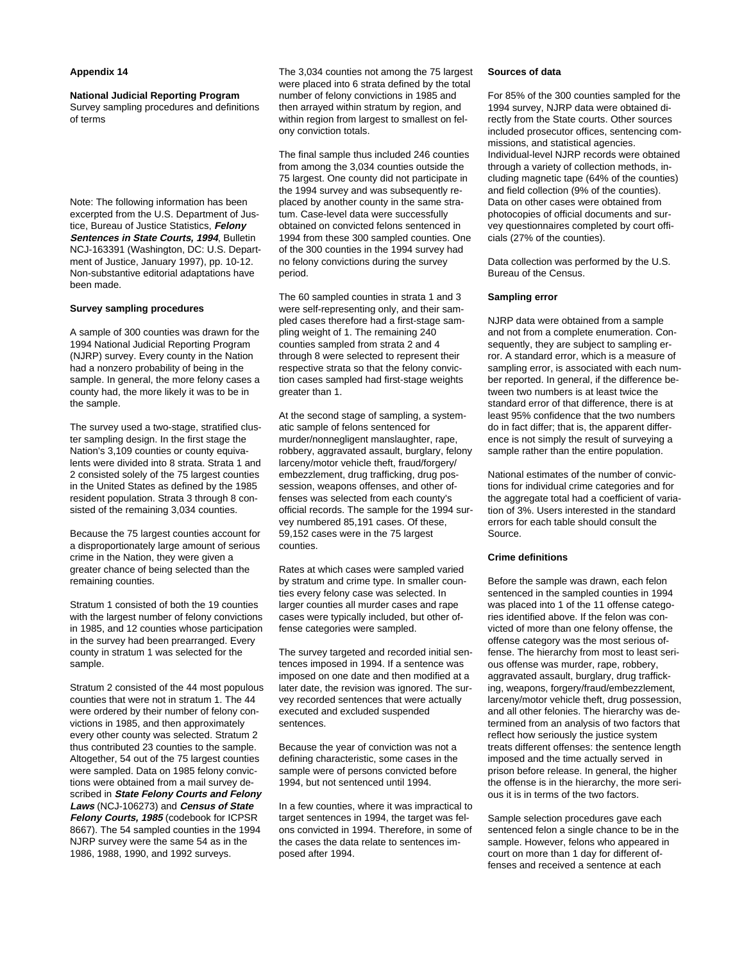## **Appendix 14**

**National Judicial Reporting Program** Survey sampling procedures and definitions of terms

Note: The following information has been excerpted from the U.S. Department of Justice, Bureau of Justice Statistics, **Felony Sentences in State Courts, 1994**, Bulletin NCJ-163391 (Washington, DC: U.S. Department of Justice, January 1997), pp. 10-12. Non-substantive editorial adaptations have been made.

## **Survey sampling procedures**

A sample of 300 counties was drawn for the 1994 National Judicial Reporting Program (NJRP) survey. Every county in the Nation had a nonzero probability of being in the sample. In general, the more felony cases a county had, the more likely it was to be in the sample.

The survey used a two-stage, stratified cluster sampling design. In the first stage the Nation's 3,109 counties or county equivalents were divided into 8 strata. Strata 1 and 2 consisted solely of the 75 largest counties in the United States as defined by the 1985 resident population. Strata 3 through 8 consisted of the remaining 3,034 counties.

Because the 75 largest counties account for a disproportionately large amount of serious crime in the Nation, they were given a greater chance of being selected than the remaining counties.

Stratum 1 consisted of both the 19 counties with the largest number of felony convictions in 1985, and 12 counties whose participation in the survey had been prearranged. Every county in stratum 1 was selected for the sample.

Stratum 2 consisted of the 44 most populous counties that were not in stratum 1. The 44 were ordered by their number of felony convictions in 1985, and then approximately every other county was selected. Stratum 2 thus contributed 23 counties to the sample. Altogether, 54 out of the 75 largest counties were sampled. Data on 1985 felony convictions were obtained from a mail survey described in **State Felony Courts and Felony Laws** (NCJ-106273) and **Census of State Felony Courts, 1985** (codebook for ICPSR 8667). The 54 sampled counties in the 1994 NJRP survey were the same 54 as in the 1986, 1988, 1990, and 1992 surveys.

The 3,034 counties not among the 75 largest were placed into 6 strata defined by the total number of felony convictions in 1985 and then arrayed within stratum by region, and within region from largest to smallest on felony conviction totals.

The final sample thus included 246 counties from among the 3,034 counties outside the 75 largest. One county did not participate in the 1994 survey and was subsequently replaced by another county in the same stratum. Case-level data were successfully obtained on convicted felons sentenced in 1994 from these 300 sampled counties. One of the 300 counties in the 1994 survey had no felony convictions during the survey period.

The 60 sampled counties in strata 1 and 3 were self-representing only, and their sampled cases therefore had a first-stage sampling weight of 1. The remaining 240 counties sampled from strata 2 and 4 through 8 were selected to represent their respective strata so that the felony conviction cases sampled had first-stage weights greater than 1.

At the second stage of sampling, a systematic sample of felons sentenced for murder/nonnegligent manslaughter, rape, robbery, aggravated assault, burglary, felony larceny/motor vehicle theft, fraud/forgery/ embezzlement, drug trafficking, drug possession, weapons offenses, and other offenses was selected from each county's official records. The sample for the 1994 survey numbered 85,191 cases. Of these, 59,152 cases were in the 75 largest counties.

Rates at which cases were sampled varied by stratum and crime type. In smaller counties every felony case was selected. In larger counties all murder cases and rape cases were typically included, but other offense categories were sampled.

The survey targeted and recorded initial sentences imposed in 1994. If a sentence was imposed on one date and then modified at a later date, the revision was ignored. The survey recorded sentences that were actually executed and excluded suspended sentences.

Because the year of conviction was not a defining characteristic, some cases in the sample were of persons convicted before 1994, but not sentenced until 1994.

In a few counties, where it was impractical to target sentences in 1994, the target was felons convicted in 1994. Therefore, in some of the cases the data relate to sentences imposed after 1994.

## **Sources of data**

For 85% of the 300 counties sampled for the 1994 survey, NJRP data were obtained directly from the State courts. Other sources included prosecutor offices, sentencing commissions, and statistical agencies. Individual-level NJRP records were obtained through a variety of collection methods, including magnetic tape (64% of the counties) and field collection (9% of the counties). Data on other cases were obtained from photocopies of official documents and survey questionnaires completed by court officials (27% of the counties).

Data collection was performed by the U.S. Bureau of the Census.

#### **Sampling error**

NJRP data were obtained from a sample and not from a complete enumeration. Consequently, they are subject to sampling error. A standard error, which is a measure of sampling error, is associated with each number reported. In general, if the difference between two numbers is at least twice the standard error of that difference, there is at least 95% confidence that the two numbers do in fact differ; that is, the apparent difference is not simply the result of surveying a sample rather than the entire population.

National estimates of the number of convictions for individual crime categories and for the aggregate total had a coefficient of variation of 3%. Users interested in the standard errors for each table should consult the Source.

#### **Crime definitions**

Before the sample was drawn, each felon sentenced in the sampled counties in 1994 was placed into 1 of the 11 offense categories identified above. If the felon was convicted of more than one felony offense, the offense category was the most serious offense. The hierarchy from most to least serious offense was murder, rape, robbery, aggravated assault, burglary, drug trafficking, weapons, forgery/fraud/embezzlement, larceny/motor vehicle theft, drug possession, and all other felonies. The hierarchy was determined from an analysis of two factors that reflect how seriously the justice system treats different offenses: the sentence length imposed and the time actually served in prison before release. In general, the higher the offense is in the hierarchy, the more serious it is in terms of the two factors.

Sample selection procedures gave each sentenced felon a single chance to be in the sample. However, felons who appeared in court on more than 1 day for different offenses and received a sentence at each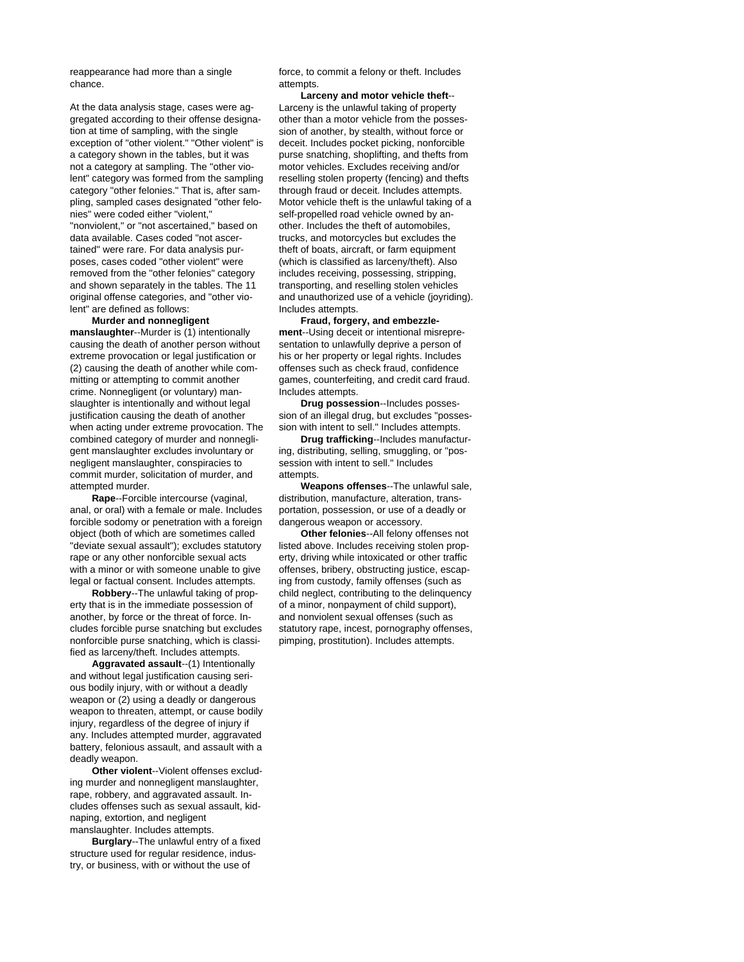reappearance had more than a single chance.

At the data analysis stage, cases were aggregated according to their offense designation at time of sampling, with the single exception of "other violent." "Other violent" is a category shown in the tables, but it was not a category at sampling. The "other violent" category was formed from the sampling category "other felonies." That is, after sampling, sampled cases designated "other felonies" were coded either "violent," "nonviolent," or "not ascertained," based on data available. Cases coded "not ascertained" were rare. For data analysis purposes, cases coded "other violent" were removed from the "other felonies" category and shown separately in the tables. The 11 original offense categories, and "other violent" are defined as follows:

**Murder and nonnegligent manslaughter**--Murder is (1) intentionally causing the death of another person without extreme provocation or legal justification or (2) causing the death of another while committing or attempting to commit another crime. Nonnegligent (or voluntary) manslaughter is intentionally and without legal justification causing the death of another when acting under extreme provocation. The combined category of murder and nonnegligent manslaughter excludes involuntary or negligent manslaughter, conspiracies to commit murder, solicitation of murder, and attempted murder.

**Rape**--Forcible intercourse (vaginal, anal, or oral) with a female or male. Includes forcible sodomy or penetration with a foreign object (both of which are sometimes called "deviate sexual assault"); excludes statutory rape or any other nonforcible sexual acts with a minor or with someone unable to give legal or factual consent. Includes attempts.

**Robbery**--The unlawful taking of property that is in the immediate possession of another, by force or the threat of force. Includes forcible purse snatching but excludes nonforcible purse snatching, which is classified as larceny/theft. Includes attempts.

**Aggravated assault**--(1) Intentionally and without legal justification causing serious bodily injury, with or without a deadly weapon or (2) using a deadly or dangerous weapon to threaten, attempt, or cause bodily injury, regardless of the degree of injury if any. Includes attempted murder, aggravated battery, felonious assault, and assault with a deadly weapon.

**Other violent**--Violent offenses excluding murder and nonnegligent manslaughter, rape, robbery, and aggravated assault. Includes offenses such as sexual assault, kidnaping, extortion, and negligent manslaughter. Includes attempts.

**Burglary**--The unlawful entry of a fixed structure used for regular residence, industry, or business, with or without the use of

force, to commit a felony or theft. Includes attempts.

**Larceny and motor vehicle theft**-- Larceny is the unlawful taking of property other than a motor vehicle from the possession of another, by stealth, without force or deceit. Includes pocket picking, nonforcible purse snatching, shoplifting, and thefts from motor vehicles. Excludes receiving and/or reselling stolen property (fencing) and thefts through fraud or deceit. Includes attempts. Motor vehicle theft is the unlawful taking of a self-propelled road vehicle owned by another. Includes the theft of automobiles, trucks, and motorcycles but excludes the theft of boats, aircraft, or farm equipment (which is classified as larceny/theft). Also includes receiving, possessing, stripping, transporting, and reselling stolen vehicles and unauthorized use of a vehicle (joyriding). Includes attempts.

**Fraud, forgery, and embezzlement**--Using deceit or intentional misrepresentation to unlawfully deprive a person of his or her property or legal rights. Includes offenses such as check fraud, confidence games, counterfeiting, and credit card fraud. Includes attempts.

**Drug possession**--Includes possession of an illegal drug, but excludes "possession with intent to sell." Includes attempts.

**Drug trafficking**--Includes manufacturing, distributing, selling, smuggling, or "possession with intent to sell." Includes attempts.

**Weapons offenses**--The unlawful sale, distribution, manufacture, alteration, transportation, possession, or use of a deadly or dangerous weapon or accessory.

**Other felonies**--All felony offenses not listed above. Includes receiving stolen property, driving while intoxicated or other traffic offenses, bribery, obstructing justice, escaping from custody, family offenses (such as child neglect, contributing to the delinquency of a minor, nonpayment of child support), and nonviolent sexual offenses (such as statutory rape, incest, pornography offenses, pimping, prostitution). Includes attempts.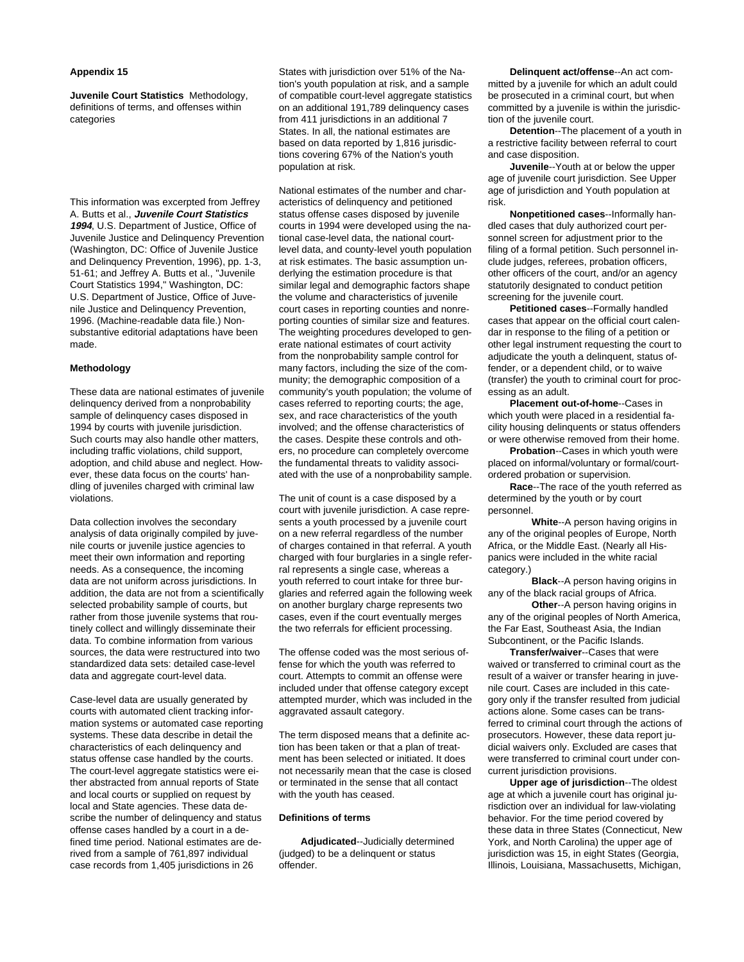### **Appendix 15**

**Juvenile Court Statistics** Methodology, definitions of terms, and offenses within categories

This information was excerpted from Jeffrey A. Butts et al., **Juvenile Court Statistics 1994**, U.S. Department of Justice, Office of Juvenile Justice and Delinquency Prevention (Washington, DC: Office of Juvenile Justice and Delinquency Prevention, 1996), pp. 1-3, 51-61; and Jeffrey A. Butts et al., "Juvenile Court Statistics 1994," Washington, DC: U.S. Department of Justice, Office of Juvenile Justice and Delinquency Prevention, 1996. (Machine-readable data file.) Nonsubstantive editorial adaptations have been made.

## **Methodology**

These data are national estimates of juvenile delinquency derived from a nonprobability sample of delinquency cases disposed in 1994 by courts with juvenile jurisdiction. Such courts may also handle other matters, including traffic violations, child support, adoption, and child abuse and neglect. However, these data focus on the courts' handling of juveniles charged with criminal law violations.

Data collection involves the secondary analysis of data originally compiled by juvenile courts or juvenile justice agencies to meet their own information and reporting needs. As a consequence, the incoming data are not uniform across jurisdictions. In addition, the data are not from a scientifically selected probability sample of courts, but rather from those juvenile systems that routinely collect and willingly disseminate their data. To combine information from various sources, the data were restructured into two standardized data sets: detailed case-level data and aggregate court-level data.

Case-level data are usually generated by courts with automated client tracking information systems or automated case reporting systems. These data describe in detail the characteristics of each delinquency and status offense case handled by the courts. The court-level aggregate statistics were either abstracted from annual reports of State and local courts or supplied on request by local and State agencies. These data describe the number of delinquency and status offense cases handled by a court in a defined time period. National estimates are derived from a sample of 761,897 individual case records from 1,405 jurisdictions in 26

States with jurisdiction over 51% of the Nation's youth population at risk, and a sample of compatible court-level aggregate statistics on an additional 191,789 delinquency cases from 411 jurisdictions in an additional 7 States. In all, the national estimates are based on data reported by 1,816 jurisdictions covering 67% of the Nation's youth population at risk.

National estimates of the number and characteristics of delinquency and petitioned status offense cases disposed by juvenile courts in 1994 were developed using the national case-level data, the national courtlevel data, and county-level youth population at risk estimates. The basic assumption underlying the estimation procedure is that similar legal and demographic factors shape the volume and characteristics of juvenile court cases in reporting counties and nonreporting counties of similar size and features. The weighting procedures developed to generate national estimates of court activity from the nonprobability sample control for many factors, including the size of the community; the demographic composition of a community's youth population; the volume of cases referred to reporting courts; the age, sex, and race characteristics of the youth involved; and the offense characteristics of the cases. Despite these controls and others, no procedure can completely overcome the fundamental threats to validity associated with the use of a nonprobability sample.

The unit of count is a case disposed by a court with juvenile jurisdiction. A case represents a youth processed by a juvenile court on a new referral regardless of the number of charges contained in that referral. A youth charged with four burglaries in a single referral represents a single case, whereas a youth referred to court intake for three burglaries and referred again the following week on another burglary charge represents two cases, even if the court eventually merges the two referrals for efficient processing.

The offense coded was the most serious offense for which the youth was referred to court. Attempts to commit an offense were included under that offense category except attempted murder, which was included in the aggravated assault category.

The term disposed means that a definite action has been taken or that a plan of treatment has been selected or initiated. It does not necessarily mean that the case is closed or terminated in the sense that all contact with the youth has ceased.

### **Definitions of terms**

**Adjudicated**--Judicially determined (judged) to be a delinquent or status offender.

**Delinquent act/offense**--An act committed by a juvenile for which an adult could be prosecuted in a criminal court, but when committed by a juvenile is within the jurisdiction of the juvenile court.

**Detention**--The placement of a youth in a restrictive facility between referral to court and case disposition.

**Juvenile**--Youth at or below the upper age of juvenile court jurisdiction. See Upper age of jurisdiction and Youth population at risk.

**Nonpetitioned cases**--Informally handled cases that duly authorized court personnel screen for adiustment prior to the filing of a formal petition. Such personnel include judges, referees, probation officers, other officers of the court, and/or an agency statutorily designated to conduct petition screening for the juvenile court.

**Petitioned cases**--Formally handled cases that appear on the official court calendar in response to the filing of a petition or other legal instrument requesting the court to adjudicate the youth a delinquent, status offender, or a dependent child, or to waive (transfer) the youth to criminal court for processing as an adult.

**Placement out-of-home**--Cases in which youth were placed in a residential facility housing delinquents or status offenders or were otherwise removed from their home.

**Probation**--Cases in which youth were placed on informal/voluntary or formal/courtordered probation or supervision.

**Race**--The race of the youth referred as determined by the youth or by court personnel.

**White**--A person having origins in any of the original peoples of Europe, North Africa, or the Middle East. (Nearly all Hispanics were included in the white racial category.)

**Black**--A person having origins in any of the black racial groups of Africa.

**Other**--A person having origins in any of the original peoples of North America, the Far East, Southeast Asia, the Indian Subcontinent, or the Pacific Islands.

**Transfer/waiver**--Cases that were waived or transferred to criminal court as the result of a waiver or transfer hearing in juvenile court. Cases are included in this category only if the transfer resulted from judicial actions alone. Some cases can be transferred to criminal court through the actions of prosecutors. However, these data report judicial waivers only. Excluded are cases that were transferred to criminal court under concurrent jurisdiction provisions.

**Upper age of jurisdiction**--The oldest age at which a juvenile court has original jurisdiction over an individual for law-violating behavior. For the time period covered by these data in three States (Connecticut, New York, and North Carolina) the upper age of jurisdiction was 15, in eight States (Georgia, Illinois, Louisiana, Massachusetts, Michigan,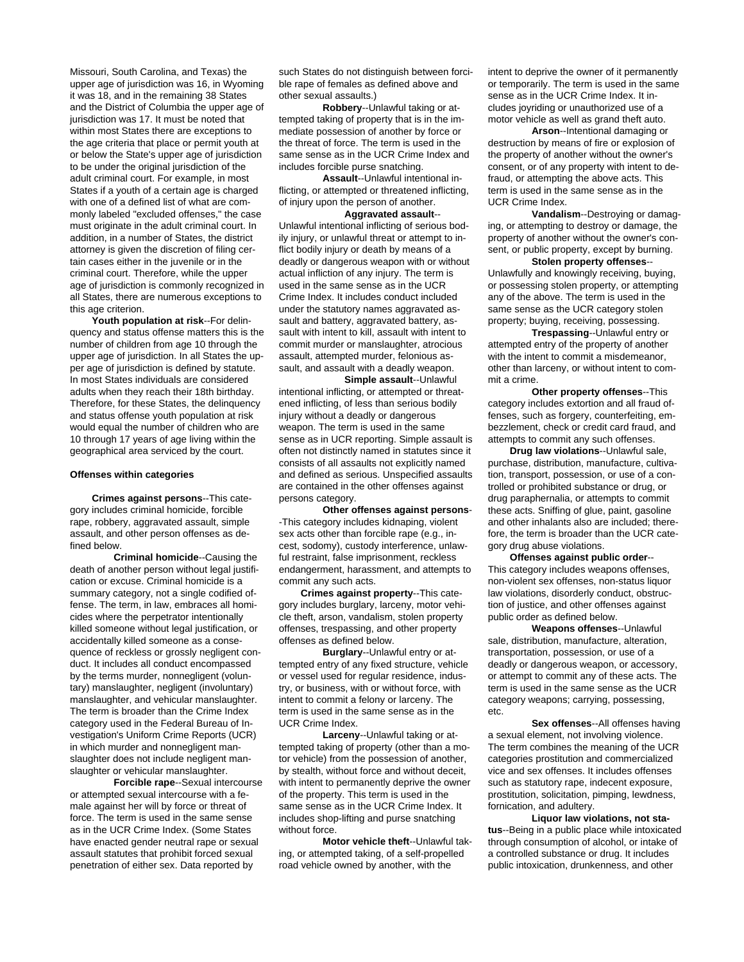Missouri, South Carolina, and Texas) the upper age of jurisdiction was 16, in Wyoming it was 18, and in the remaining 38 States and the District of Columbia the upper age of jurisdiction was 17. It must be noted that within most States there are exceptions to the age criteria that place or permit youth at or below the State's upper age of jurisdiction to be under the original jurisdiction of the adult criminal court. For example, in most States if a youth of a certain age is charged with one of a defined list of what are commonly labeled "excluded offenses," the case must originate in the adult criminal court. In addition, in a number of States, the district attorney is given the discretion of filing certain cases either in the juvenile or in the criminal court. Therefore, while the upper age of jurisdiction is commonly recognized in all States, there are numerous exceptions to this age criterion.

**Youth population at risk**--For delinquency and status offense matters this is the number of children from age 10 through the upper age of jurisdiction. In all States the upper age of jurisdiction is defined by statute. In most States individuals are considered adults when they reach their 18th birthday. Therefore, for these States, the delinquency and status offense youth population at risk would equal the number of children who are 10 through 17 years of age living within the geographical area serviced by the court.

# **Offenses within categories**

**Crimes against persons**--This category includes criminal homicide, forcible rape, robbery, aggravated assault, simple assault, and other person offenses as defined below.

**Criminal homicide**--Causing the death of another person without legal justification or excuse. Criminal homicide is a summary category, not a single codified offense. The term, in law, embraces all homicides where the perpetrator intentionally killed someone without legal justification, or accidentally killed someone as a consequence of reckless or grossly negligent conduct. It includes all conduct encompassed by the terms murder, nonnegligent (voluntary) manslaughter, negligent (involuntary) manslaughter, and vehicular manslaughter. The term is broader than the Crime Index category used in the Federal Bureau of Investigation's Uniform Crime Reports (UCR) in which murder and nonnegligent manslaughter does not include negligent manslaughter or vehicular manslaughter.

**Forcible rape**--Sexual intercourse or attempted sexual intercourse with a female against her will by force or threat of force. The term is used in the same sense as in the UCR Crime Index. (Some States have enacted gender neutral rape or sexual assault statutes that prohibit forced sexual penetration of either sex. Data reported by

such States do not distinguish between forcible rape of females as defined above and other sexual assaults.)

**Robbery**--Unlawful taking or attempted taking of property that is in the immediate possession of another by force or the threat of force. The term is used in the same sense as in the UCR Crime Index and includes forcible purse snatching.

**Assault**--Unlawful intentional inflicting, or attempted or threatened inflicting, of injury upon the person of another.

# **Aggravated assault**--

Unlawful intentional inflicting of serious bodily injury, or unlawful threat or attempt to inflict bodily injury or death by means of a deadly or dangerous weapon with or without actual infliction of any injury. The term is used in the same sense as in the UCR Crime Index. It includes conduct included under the statutory names aggravated assault and battery, aggravated battery, assault with intent to kill, assault with intent to commit murder or manslaughter, atrocious assault, attempted murder, felonious assault, and assault with a deadly weapon.

**Simple assault**--Unlawful intentional inflicting, or attempted or threatened inflicting, of less than serious bodily injury without a deadly or dangerous weapon. The term is used in the same sense as in UCR reporting. Simple assault is often not distinctly named in statutes since it consists of all assaults not explicitly named and defined as serious. Unspecified assaults are contained in the other offenses against persons category.

**Other offenses against persons**- -This category includes kidnaping, violent sex acts other than forcible rape (e.g., incest, sodomy), custody interference, unlawful restraint, false imprisonment, reckless endangerment, harassment, and attempts to commit any such acts.

**Crimes against property**--This category includes burglary, larceny, motor vehicle theft, arson, vandalism, stolen property offenses, trespassing, and other property offenses as defined below.

**Burglary**--Unlawful entry or attempted entry of any fixed structure, vehicle or vessel used for regular residence, industry, or business, with or without force, with intent to commit a felony or larceny. The term is used in the same sense as in the UCR Crime Index.

**Larceny**--Unlawful taking or attempted taking of property (other than a motor vehicle) from the possession of another, by stealth, without force and without deceit, with intent to permanently deprive the owner of the property. This term is used in the same sense as in the UCR Crime Index. It includes shop-lifting and purse snatching without force.

**Motor vehicle theft**--Unlawful taking, or attempted taking, of a self-propelled road vehicle owned by another, with the

intent to deprive the owner of it permanently or temporarily. The term is used in the same sense as in the UCR Crime Index. It includes joyriding or unauthorized use of a motor vehicle as well as grand theft auto.

**Arson**--Intentional damaging or destruction by means of fire or explosion of the property of another without the owner's consent, or of any property with intent to defraud, or attempting the above acts. This term is used in the same sense as in the UCR Crime Index.

**Vandalism**--Destroying or damaging, or attempting to destroy or damage, the property of another without the owner's consent, or public property, except by burning.

**Stolen property offenses**-- Unlawfully and knowingly receiving, buying, or possessing stolen property, or attempting any of the above. The term is used in the same sense as the UCR category stolen property; buying, receiving, possessing.

**Trespassing**--Unlawful entry or attempted entry of the property of another with the intent to commit a misdemeanor, other than larceny, or without intent to commit a crime.

**Other property offenses**--This category includes extortion and all fraud offenses, such as forgery, counterfeiting, embezzlement, check or credit card fraud, and attempts to commit any such offenses.

**Drug law violations**--Unlawful sale, purchase, distribution, manufacture, cultivation, transport, possession, or use of a controlled or prohibited substance or drug, or drug paraphernalia, or attempts to commit these acts. Sniffing of glue, paint, gasoline and other inhalants also are included; therefore, the term is broader than the UCR category drug abuse violations.

**Offenses against public order**-- This category includes weapons offenses, non-violent sex offenses, non-status liquor law violations, disorderly conduct, obstruction of justice, and other offenses against public order as defined below.

**Weapons offenses**--Unlawful sale, distribution, manufacture, alteration, transportation, possession, or use of a deadly or dangerous weapon, or accessory, or attempt to commit any of these acts. The term is used in the same sense as the UCR category weapons; carrying, possessing, etc.

**Sex offenses**--All offenses having a sexual element, not involving violence. The term combines the meaning of the UCR categories prostitution and commercialized vice and sex offenses. It includes offenses such as statutory rape, indecent exposure, prostitution, solicitation, pimping, lewdness, fornication, and adultery.

**Liquor law violations, not status**--Being in a public place while intoxicated through consumption of alcohol, or intake of a controlled substance or drug. It includes public intoxication, drunkenness, and other